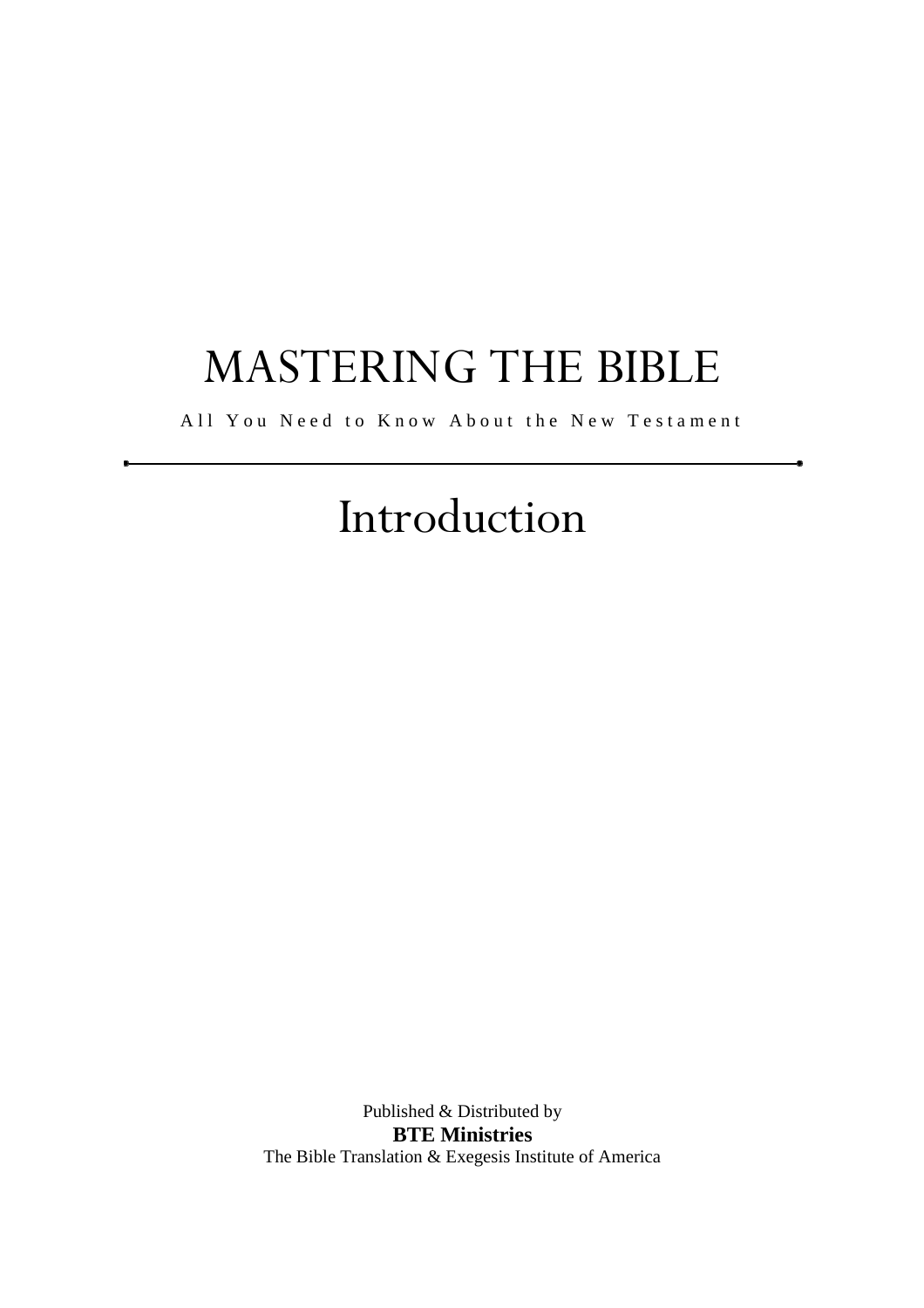# MASTERING THE BIBLE

All You Need to Know About the New Testament

# Introduction

Published & Distributed by **BTE Ministries** The Bible Translation & Exegesis Institute of America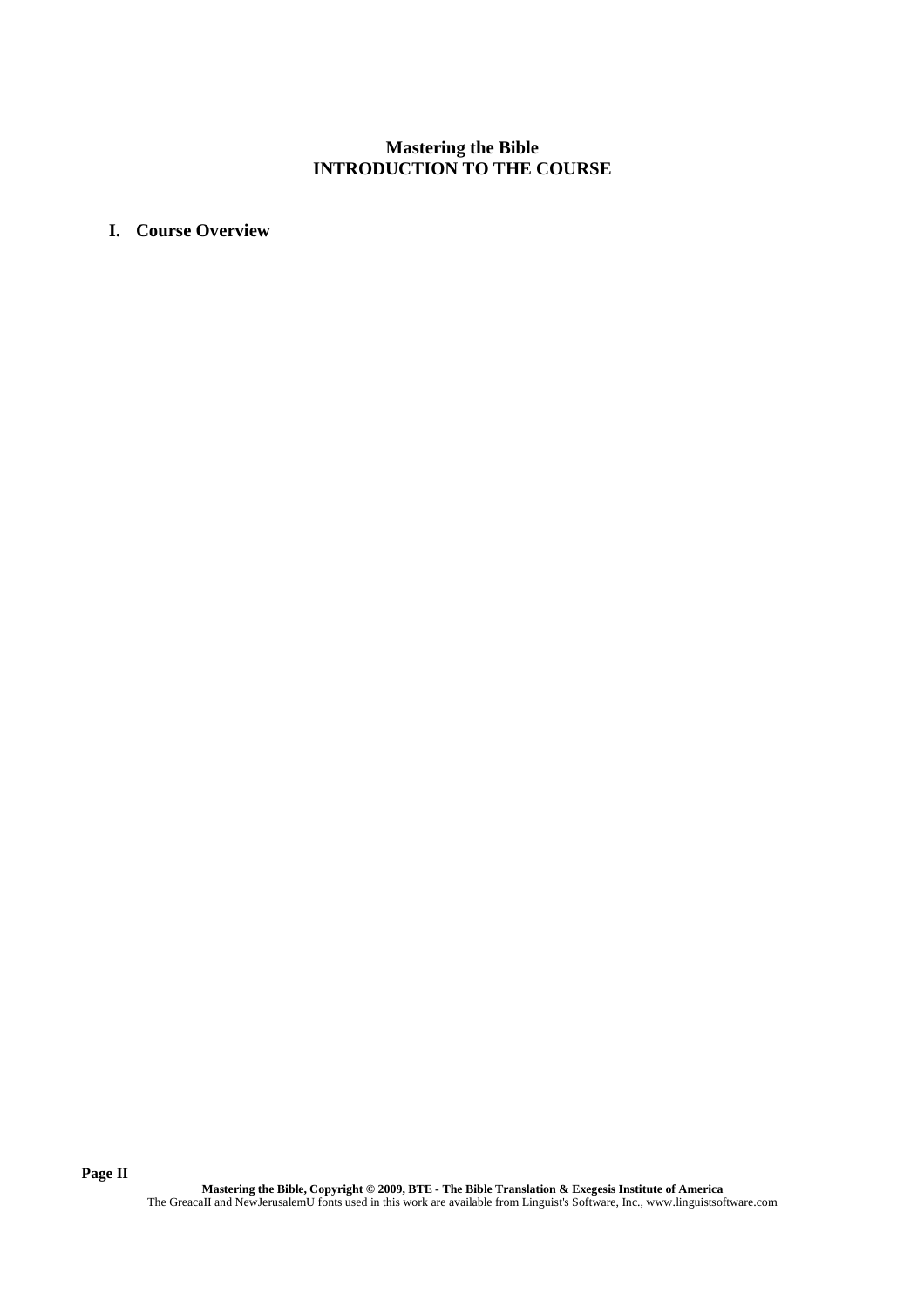# **Mastering the Bible INTRODUCTION TO THE COURSE**

# **I. Course Overview**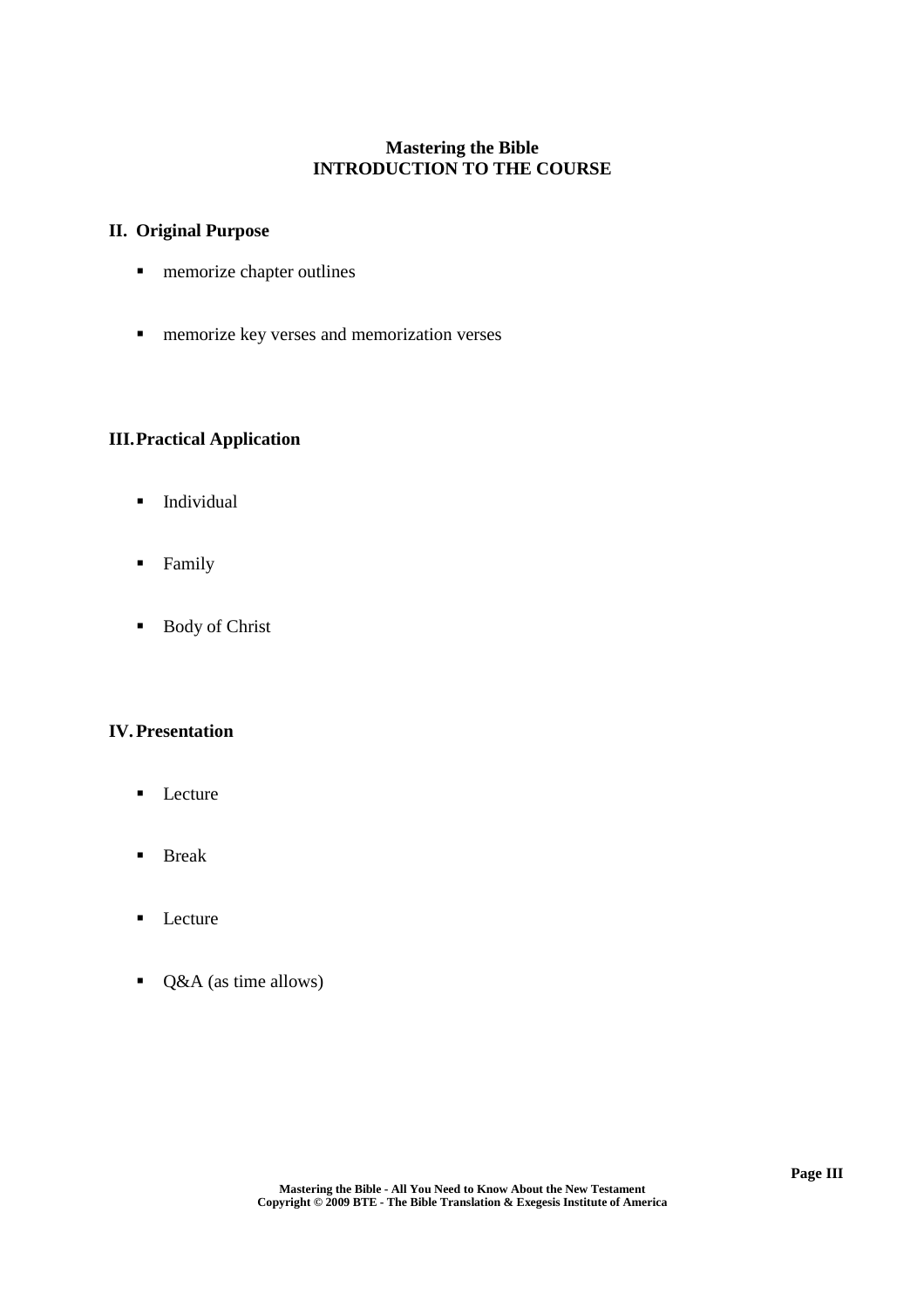# **Mastering the Bible INTRODUCTION TO THE COURSE**

# **II. Original Purpose**

- **memorize chapter outlines**
- **memorize key verses and memorization verses**

# **III.Practical Application**

- **Individual**
- **Family**
- Body of Christ

# **IV. Presentation**

- **Lecture**
- **Break**
- **Lecture**
- Q&A (as time allows)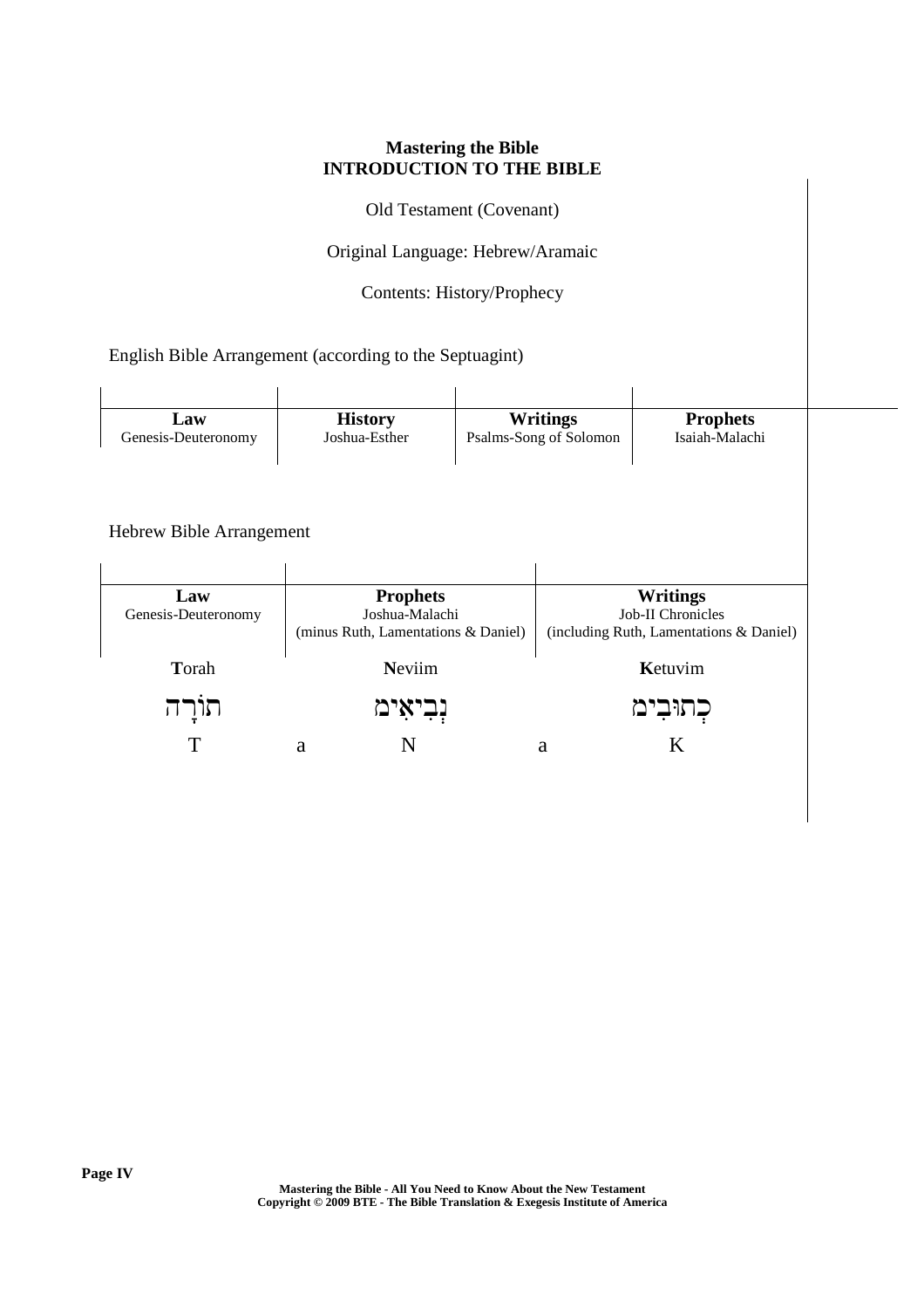# **Mastering the Bible INTRODUCTION TO THE BIBLE**

Old Testament (Covenant)

Original Language: Hebrew/Aramaic

Contents: History/Prophecy

English Bible Arrangement (according to the Septuagint)

| Law<br>Genesis-Deuteronomy | <b>History</b><br>Joshua-Esther | <b>Writings</b><br>Psalms-Song of Solomon | <b>Prophets</b><br>Isaiah-Malachi |  |
|----------------------------|---------------------------------|-------------------------------------------|-----------------------------------|--|
| Hebrew Bible Arrangement   |                                 |                                           |                                   |  |
|                            |                                 |                                           |                                   |  |

| <b>Writings</b>                         |
|-----------------------------------------|
| Job-II Chronicles                       |
| (including Ruth, Lamentations & Daniel) |
|                                         |
| Ketuvim                                 |
|                                         |
| כתובימ                                  |
|                                         |
|                                         |
|                                         |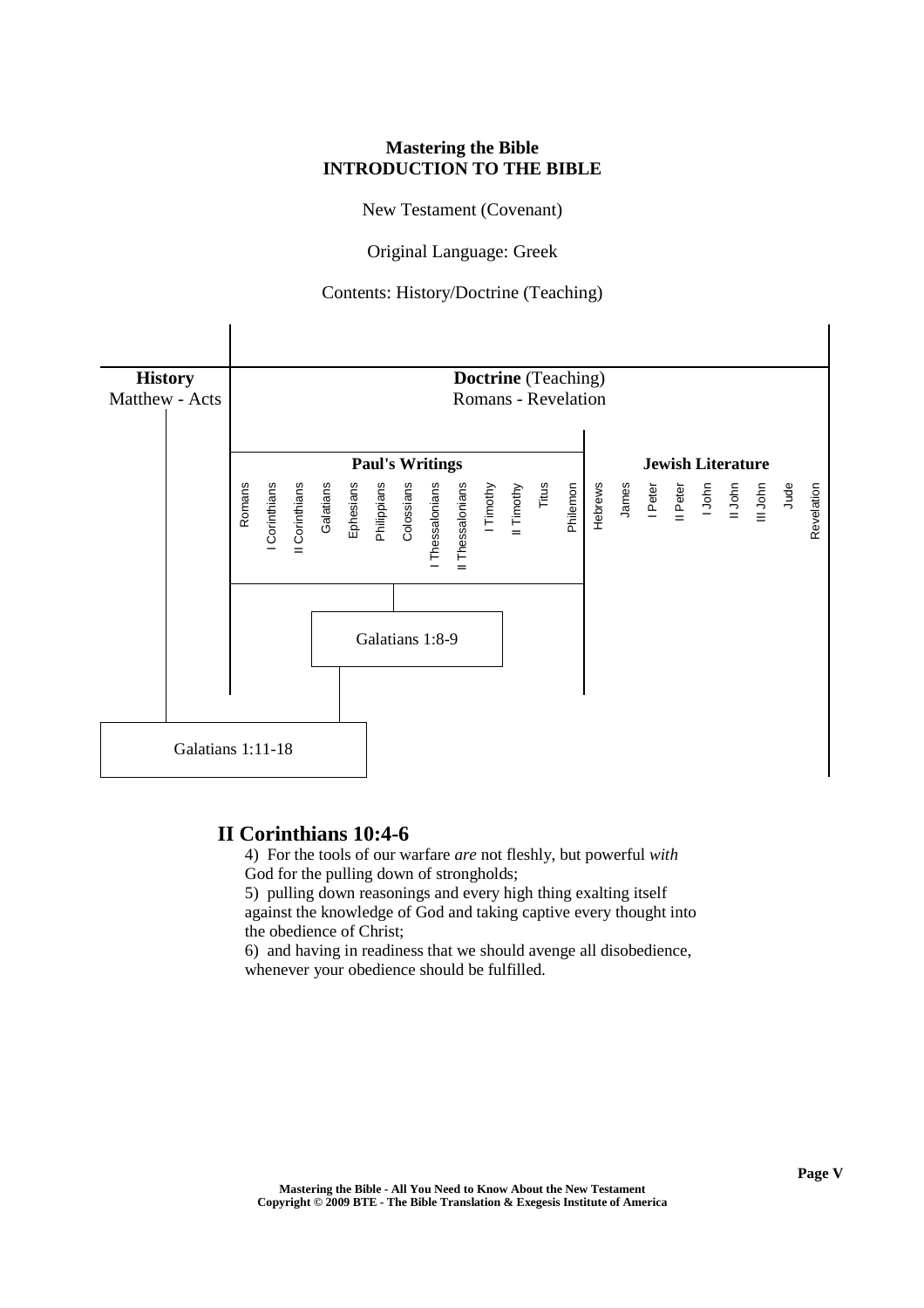## **Mastering the Bible INTRODUCTION TO THE BIBLE**

New Testament (Covenant)

Original Language: Greek

Contents: History/Doctrine (Teaching)



# **II Corinthians 10:4-6**

4) For the tools of our warfare *are* not fleshly, but powerful *with* God for the pulling down of strongholds;

5) pulling down reasonings and every high thing exalting itself against the knowledge of God and taking captive every thought into the obedience of Christ;

6) and having in readiness that we should avenge all disobedience, whenever your obedience should be fulfilled.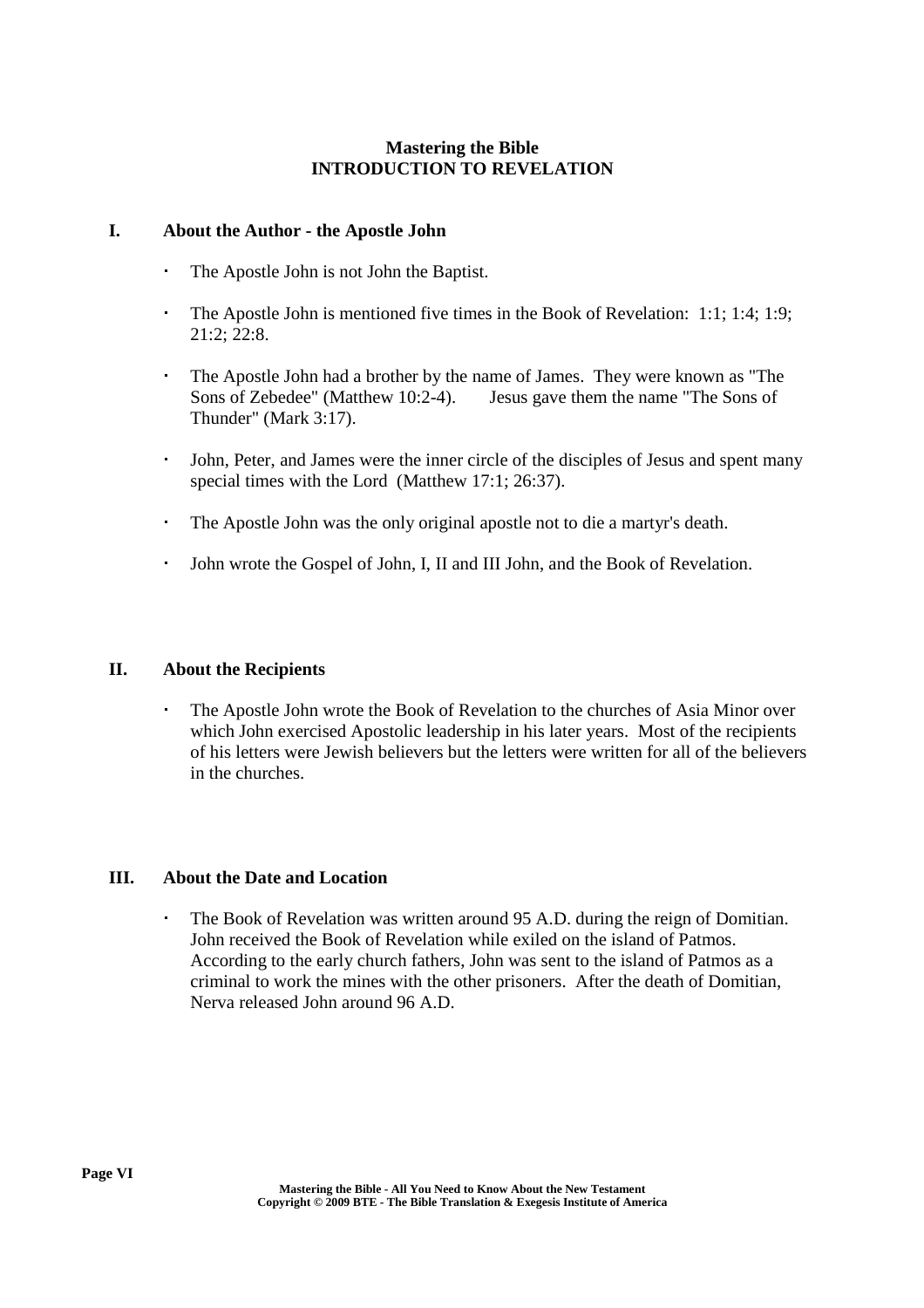# **Mastering the Bible INTRODUCTION TO REVELATION**

# **I. About the Author - the Apostle John**

- The Apostle John is not John the Baptist.
- The Apostle John is mentioned five times in the Book of Revelation: 1:1; 1:4; 1:9; 21:2; 22:8.
- The Apostle John had a brother by the name of James. They were known as "The Sons of Zebedee" (Matthew 10:2-4). Jesus gave them the name "The Sons of Thunder" (Mark 3:17).
- John, Peter, and James were the inner circle of the disciples of Jesus and spent many special times with the Lord (Matthew 17:1; 26:37).
- The Apostle John was the only original apostle not to die a martyr's death.
- John wrote the Gospel of John, I, II and III John, and the Book of Revelation.

# **II. About the Recipients**

 The Apostle John wrote the Book of Revelation to the churches of Asia Minor over which John exercised Apostolic leadership in his later years. Most of the recipients of his letters were Jewish believers but the letters were written for all of the believers in the churches.

# **III. About the Date and Location**

 The Book of Revelation was written around 95 A.D. during the reign of Domitian. John received the Book of Revelation while exiled on the island of Patmos. According to the early church fathers, John was sent to the island of Patmos as a criminal to work the mines with the other prisoners. After the death of Domitian, Nerva released John around 96 A.D.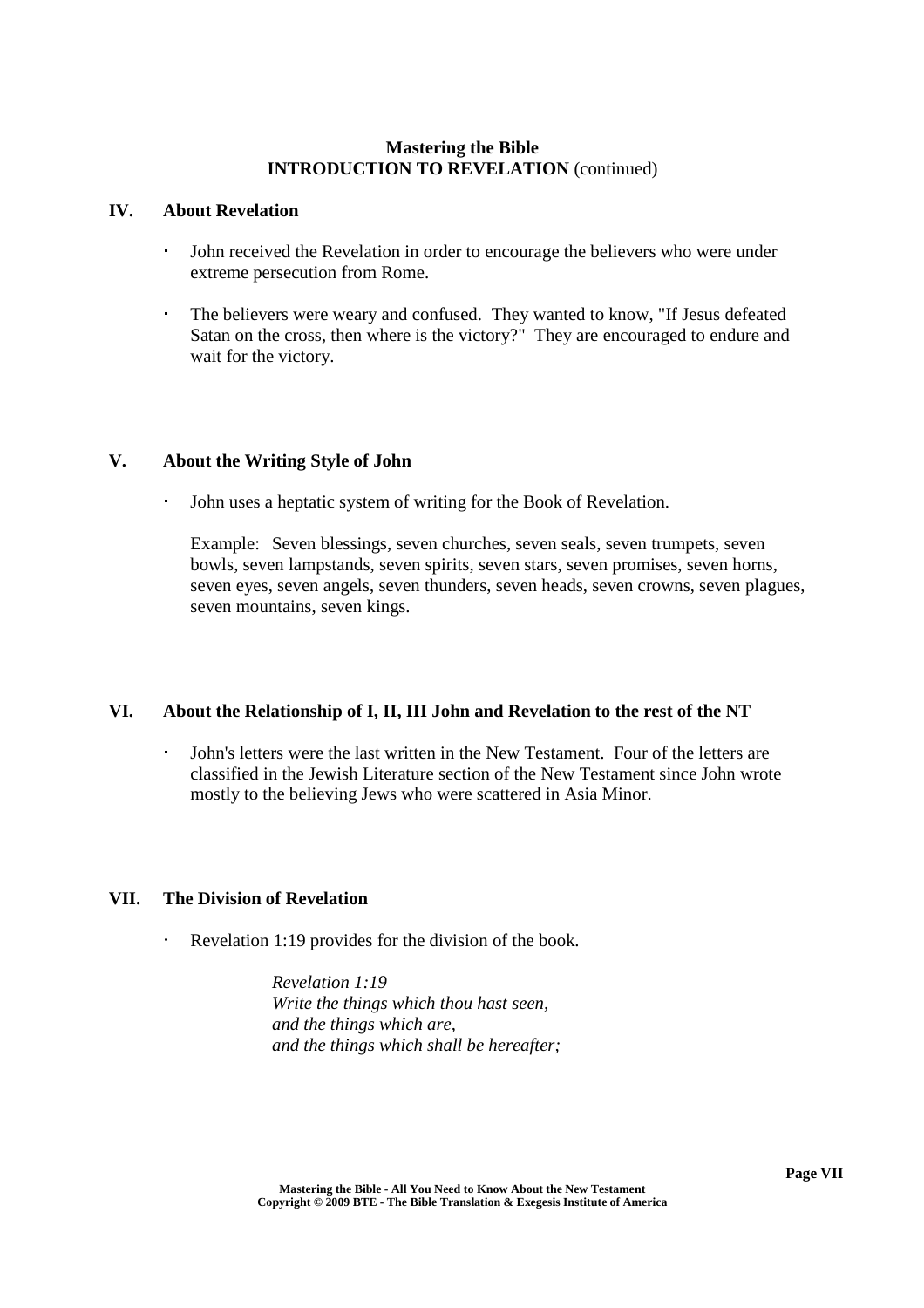# **Mastering the Bible INTRODUCTION TO REVELATION** (continued)

## **IV. About Revelation**

- John received the Revelation in order to encourage the believers who were under extreme persecution from Rome.
- The believers were weary and confused. They wanted to know, "If Jesus defeated Satan on the cross, then where is the victory?" They are encouraged to endure and wait for the victory.

# **V. About the Writing Style of John**

John uses a heptatic system of writing for the Book of Revelation.

Example: Seven blessings, seven churches, seven seals, seven trumpets, seven bowls, seven lampstands, seven spirits, seven stars, seven promises, seven horns, seven eyes, seven angels, seven thunders, seven heads, seven crowns, seven plagues, seven mountains, seven kings.

# **VI. About the Relationship of I, II, III John and Revelation to the rest of the NT**

 John's letters were the last written in the New Testament. Four of the letters are classified in the Jewish Literature section of the New Testament since John wrote mostly to the believing Jews who were scattered in Asia Minor.

# **VII. The Division of Revelation**

Revelation 1:19 provides for the division of the book.

*Revelation 1:19 Write the things which thou hast seen, and the things which are, and the things which shall be hereafter;*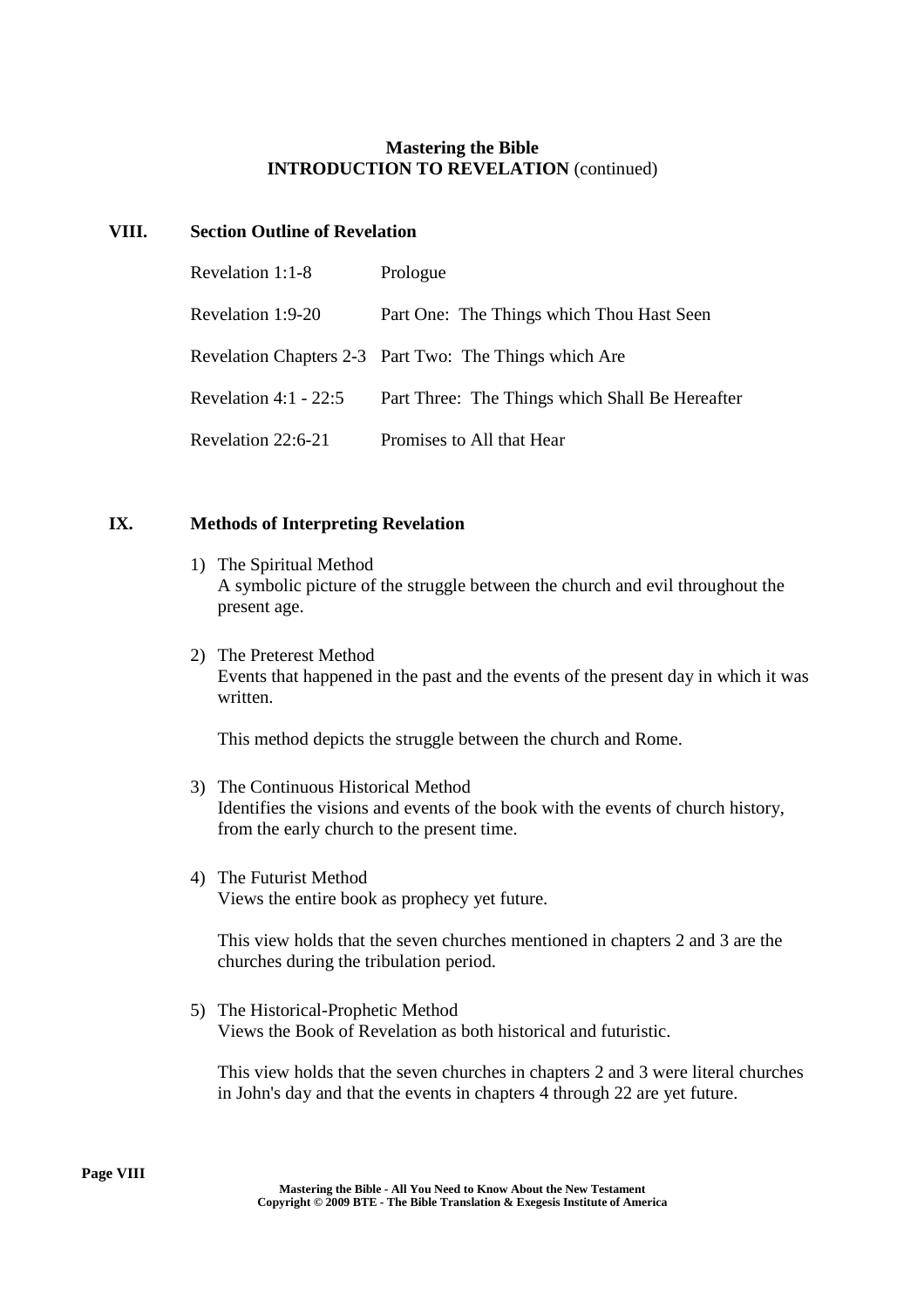# **Mastering the Bible INTRODUCTION TO REVELATION** (continued)

## **VIII. Section Outline of Revelation**

| Revelation 1:1-8        | Prologue                                               |
|-------------------------|--------------------------------------------------------|
| Revelation 1:9-20       | Part One: The Things which Thou Hast Seen              |
|                         | Revelation Chapters 2-3 Part Two: The Things which Are |
| Revelation 4:1 - $22:5$ | Part Three: The Things which Shall Be Hereafter        |
| Revelation 22:6-21      | Promises to All that Hear                              |

## **IX. Methods of Interpreting Revelation**

- 1) The Spiritual Method A symbolic picture of the struggle between the church and evil throughout the present age.
- 2) The Preterest Method Events that happened in the past and the events of the present day in which it was written.

This method depicts the struggle between the church and Rome.

- 3) The Continuous Historical Method Identifies the visions and events of the book with the events of church history, from the early church to the present time.
- 4) The Futurist Method Views the entire book as prophecy yet future.

This view holds that the seven churches mentioned in chapters 2 and 3 are the churches during the tribulation period.

5) The Historical-Prophetic Method Views the Book of Revelation as both historical and futuristic.

This view holds that the seven churches in chapters 2 and 3 were literal churches in John's day and that the events in chapters 4 through 22 are yet future.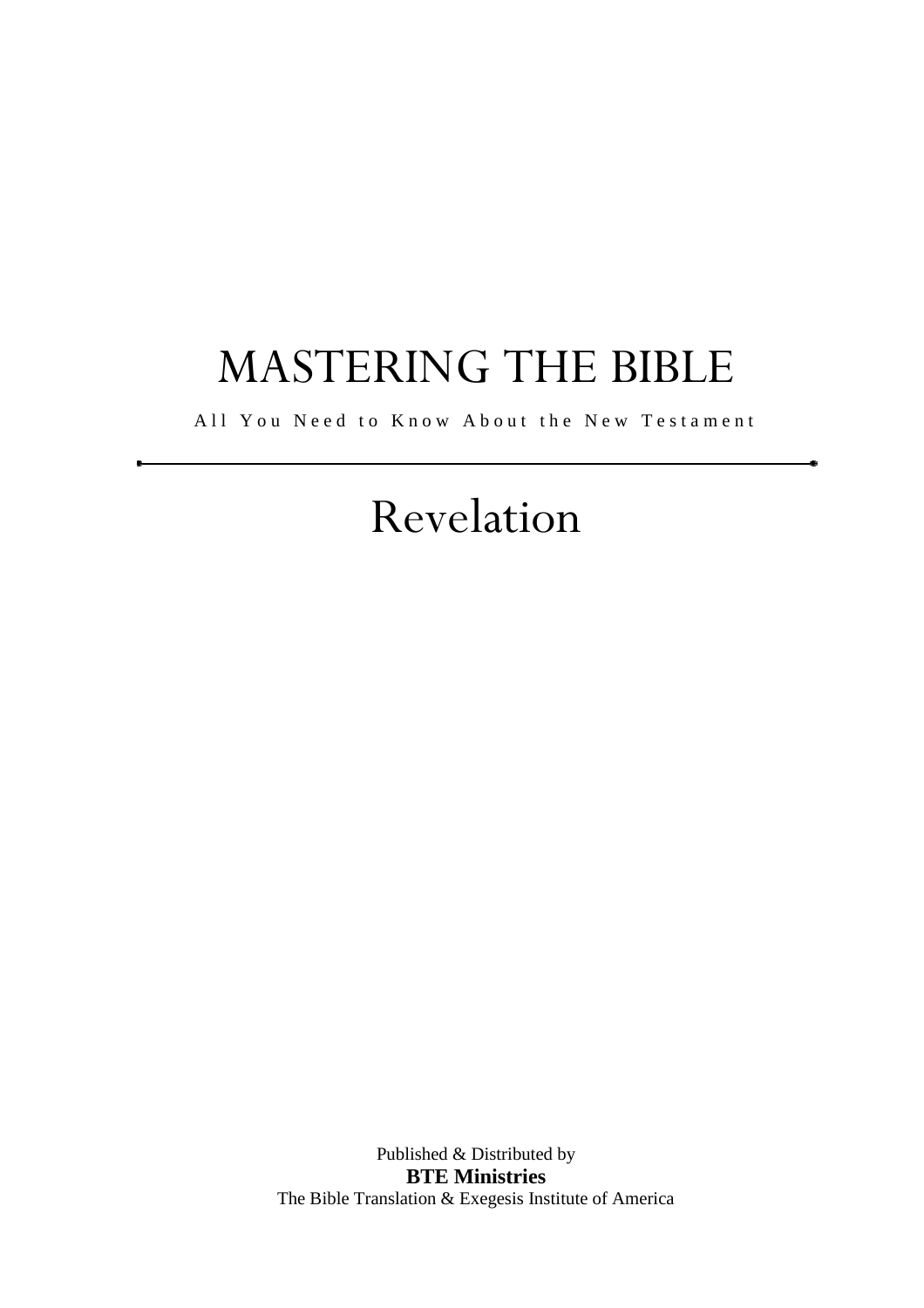# MASTERING THE BIBLE

All You Need to Know About the New Testament

# Revelation

Published & Distributed by **BTE Ministries** The Bible Translation & Exegesis Institute of America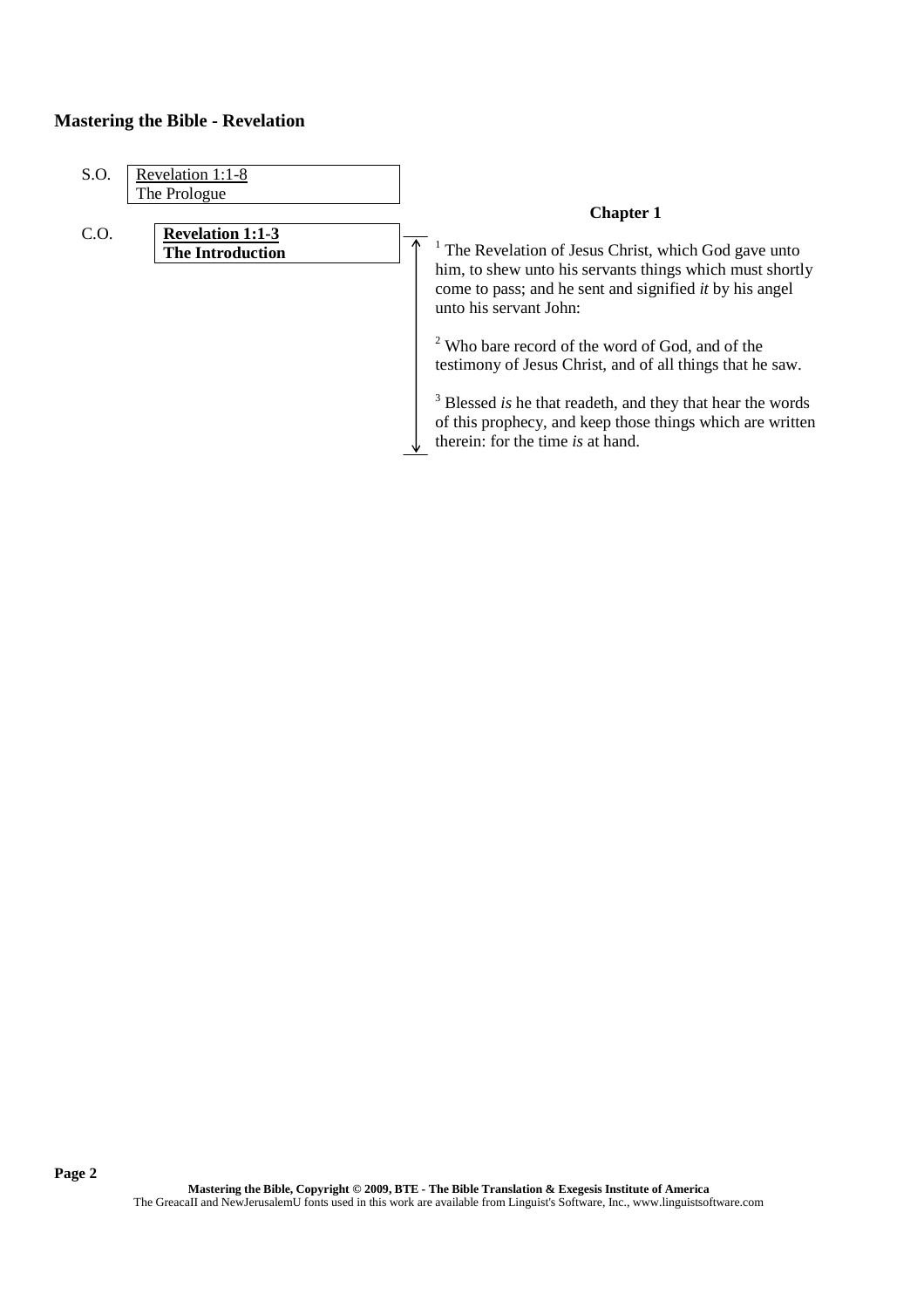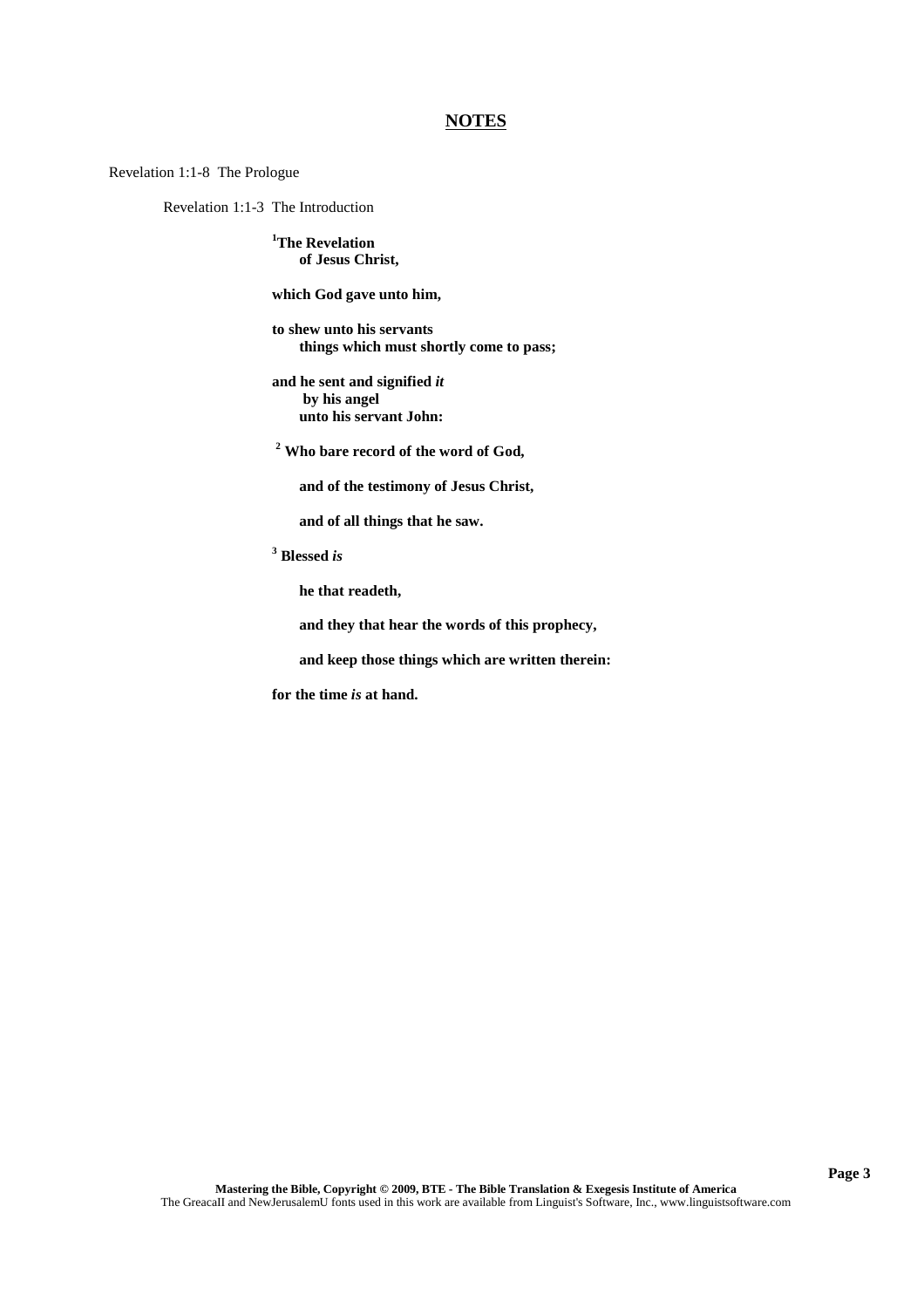Revelation 1:1-8 The Prologue

Revelation 1:1-3 The Introduction

**<sup>1</sup>The Revelation of Jesus Christ,**

**which God gave unto him,**

**to shew unto his servants things which must shortly come to pass;**

**and he sent and signified** *it* **by his angel unto his servant John:**

**<sup>2</sup> Who bare record of the word of God,**

**and of the testimony of Jesus Christ,**

**and of all things that he saw.**

**<sup>3</sup> Blessed** *is*

**he that readeth,**

**and they that hear the words of this prophecy,**

**and keep those things which are written therein:**

**for the time** *is* **at hand.**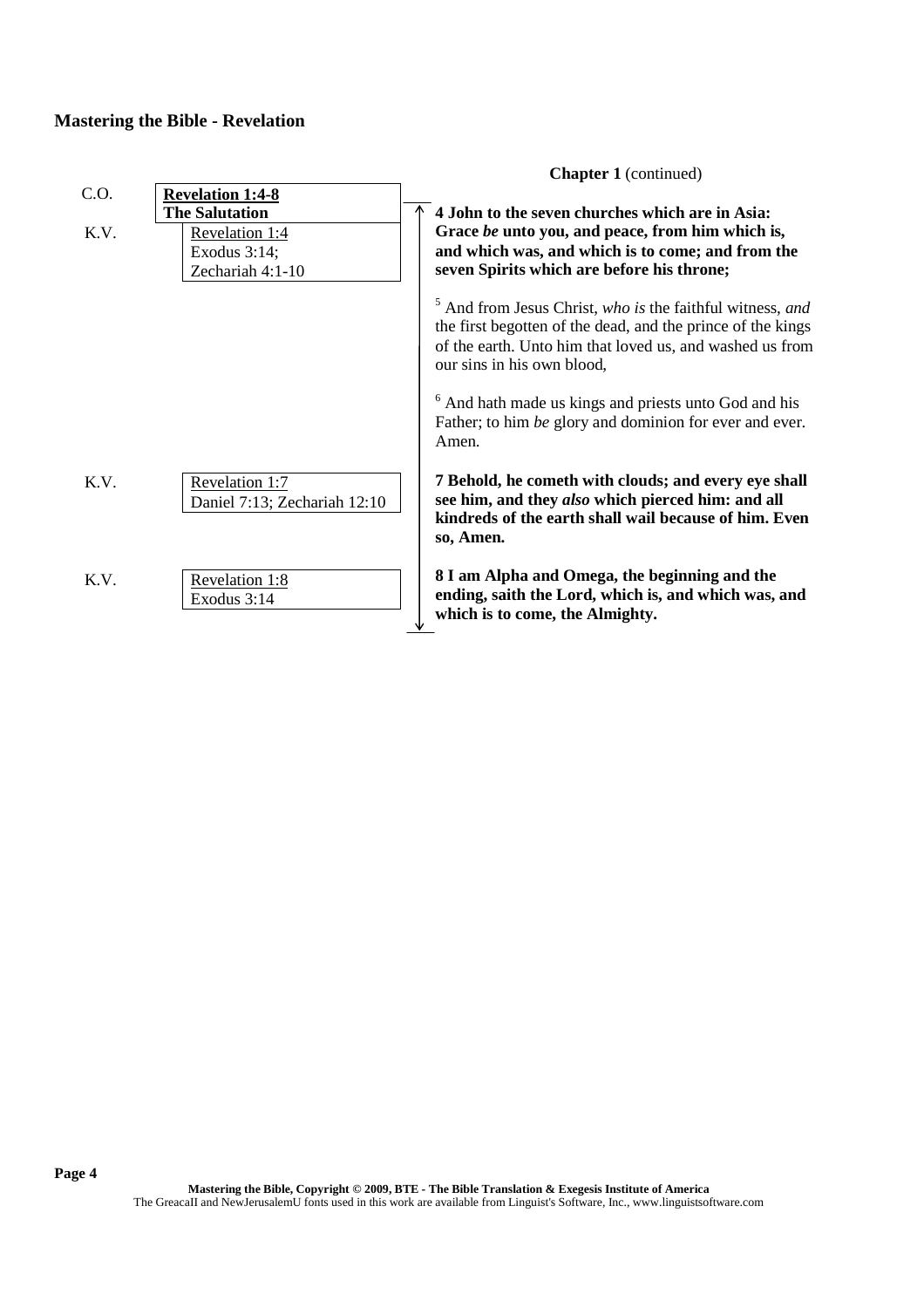|              |                                                                                                        | <b>Chapter 1</b> (continued)                                                                                                                                                                                     |
|--------------|--------------------------------------------------------------------------------------------------------|------------------------------------------------------------------------------------------------------------------------------------------------------------------------------------------------------------------|
| C.O.<br>K.V. | <b>Revelation 1:4-8</b><br><b>The Salutation</b><br>Revelation 1:4<br>Exodus 3:14;<br>Zechariah 4:1-10 | 4 John to the seven churches which are in Asia:<br>Grace be unto you, and peace, from him which is,<br>and which was, and which is to come; and from the<br>seven Spirits which are before his throne;           |
|              |                                                                                                        | And from Jesus Christ, who is the faithful witness, and<br>the first begotten of the dead, and the prince of the kings<br>of the earth. Unto him that loved us, and washed us from<br>our sins in his own blood, |
|              |                                                                                                        | <sup>6</sup> And hath made us kings and priests unto God and his<br>Father; to him be glory and dominion for ever and ever.<br>Amen.                                                                             |
| K.V.         | Revelation 1:7<br>Daniel 7:13; Zechariah 12:10                                                         | 7 Behold, he cometh with clouds; and every eye shall<br>see him, and they also which pierced him: and all<br>kindreds of the earth shall wail because of him. Even<br>so, Amen.                                  |
| K.V.         | Revelation 1:8<br>Exodus 3:14                                                                          | 8 I am Alpha and Omega, the beginning and the<br>ending, saith the Lord, which is, and which was, and<br>which is to come, the Almighty.                                                                         |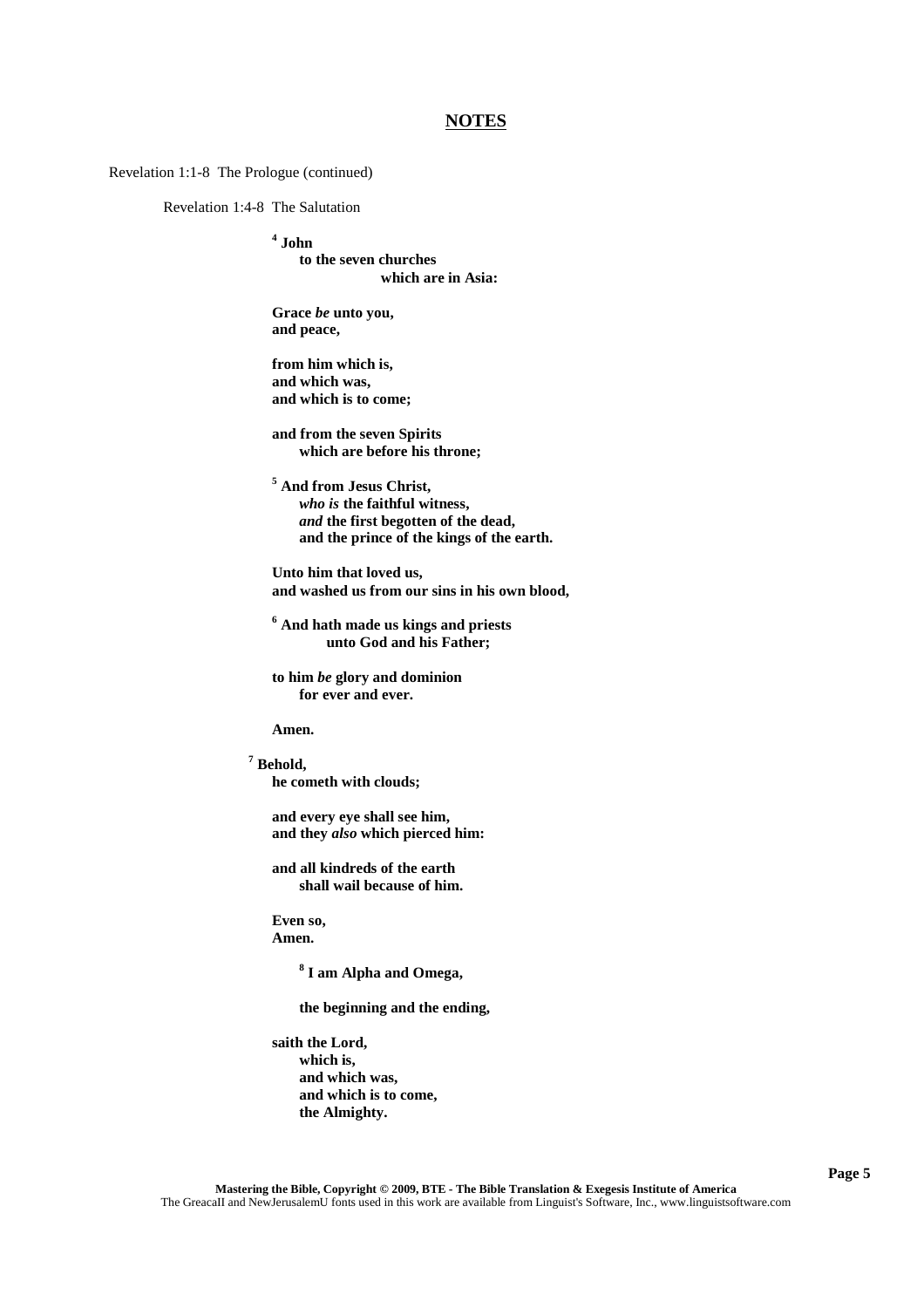Revelation 1:1-8 The Prologue (continued)

Revelation 1:4-8 The Salutation

**4 John to the seven churches which are in Asia:**

**Grace** *be* **unto you, and peace,**

**from him which is, and which was, and which is to come;**

**and from the seven Spirits which are before his throne;**

**<sup>5</sup> And from Jesus Christ,** *who is* **the faithful witness,** *and* **the first begotten of the dead, and the prince of the kings of the earth.**

**Unto him that loved us, and washed us from our sins in his own blood,**

**<sup>6</sup> And hath made us kings and priests unto God and his Father;**

**to him** *be* **glory and dominion for ever and ever.**

**Amen.**

**<sup>7</sup> Behold, he cometh with clouds;**

> **and every eye shall see him, and they** *also* **which pierced him:**

**and all kindreds of the earth shall wail because of him.**

**Even so, Amen.**

**8 I am Alpha and Omega,**

**the beginning and the ending,**

**saith the Lord, which is, and which was, and which is to come, the Almighty.**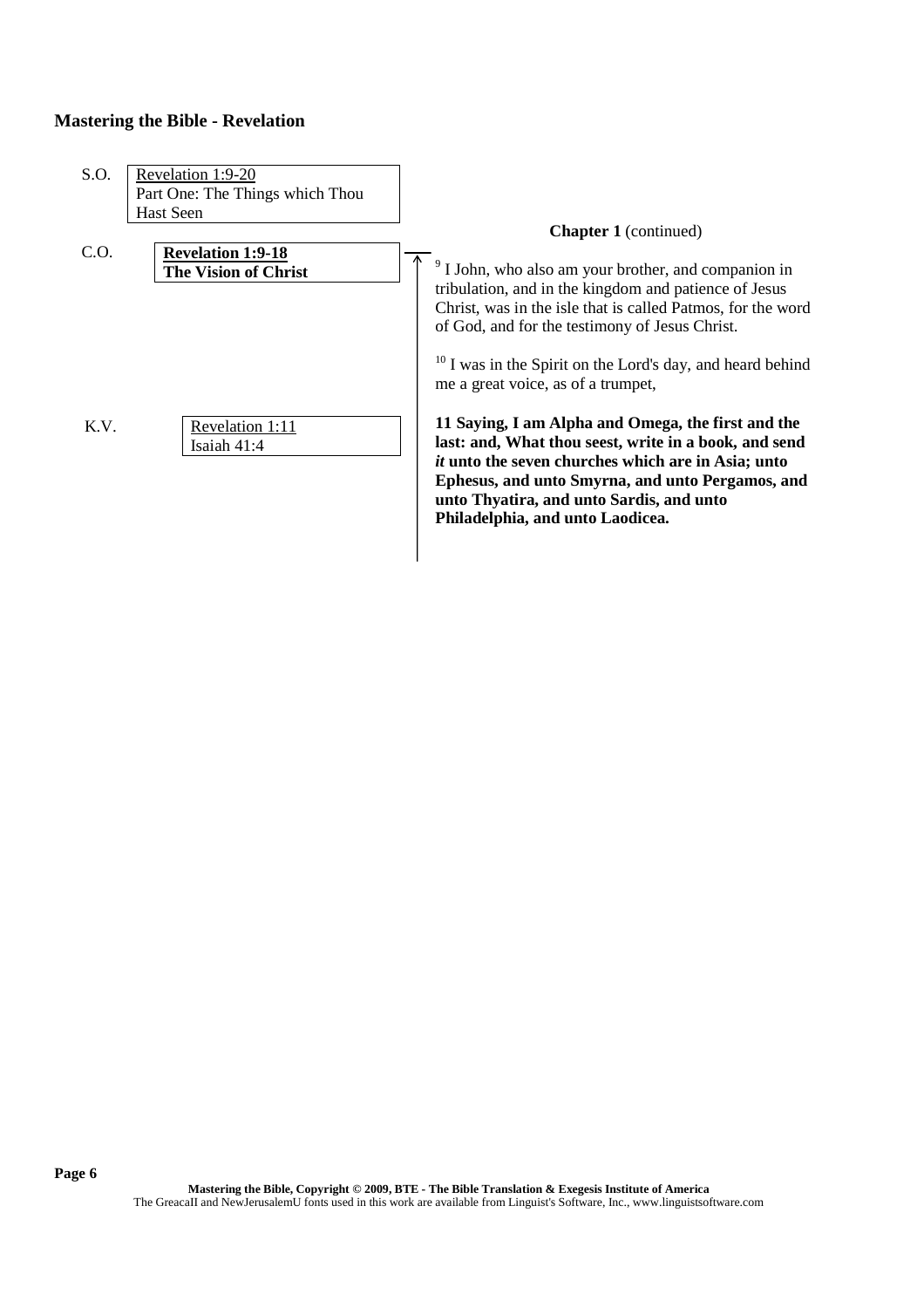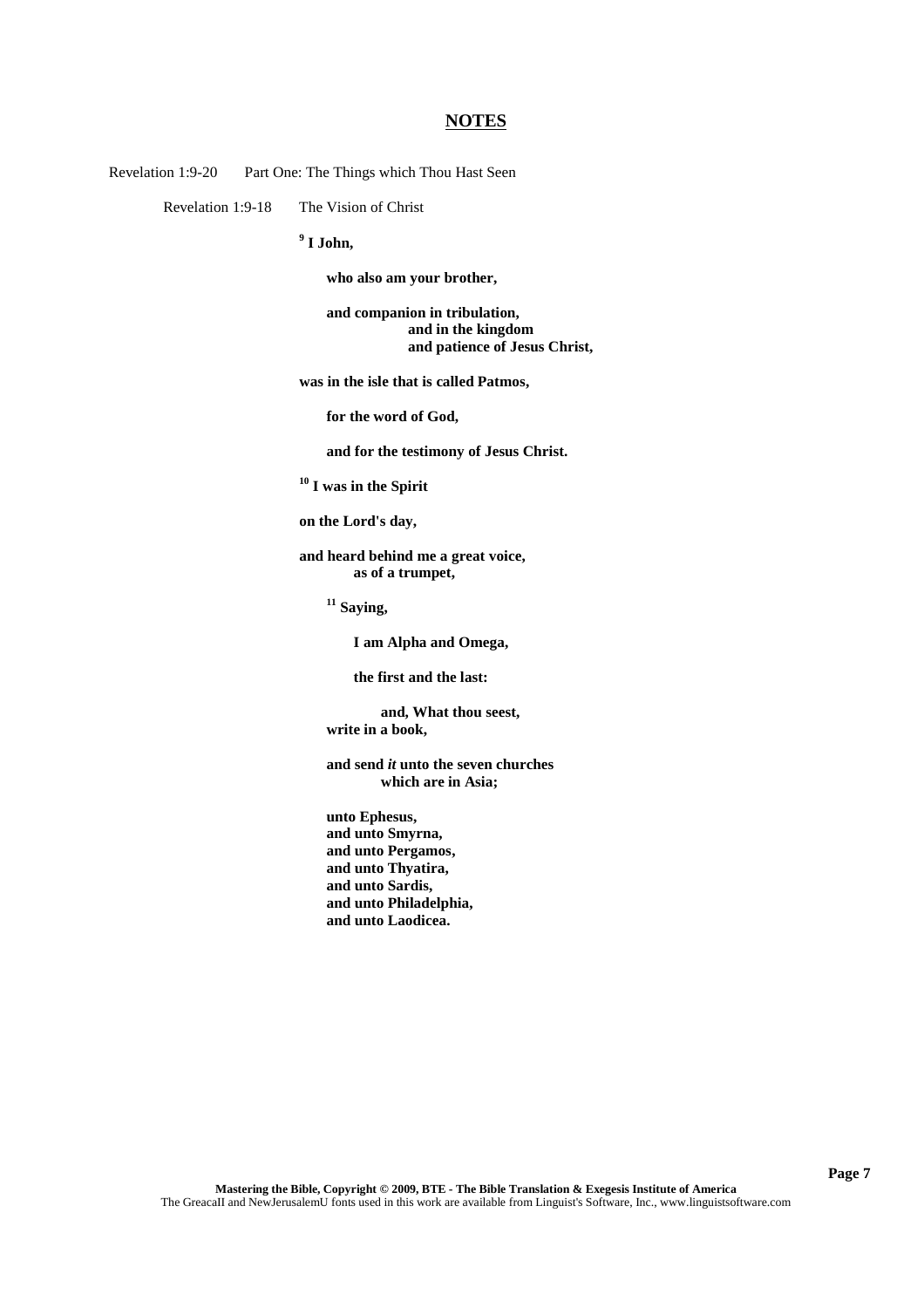Revelation 1:9-20 Part One: The Things which Thou Hast Seen

Revelation 1:9-18 The Vision of Christ

**9 I John,**

**who also am your brother,**

**and companion in tribulation, and in the kingdom and patience of Jesus Christ,**

**was in the isle that is called Patmos,**

**for the word of God,**

**and for the testimony of Jesus Christ.**

**<sup>10</sup> I was in the Spirit**

**on the Lord's day,**

**and heard behind me a great voice, as of a trumpet,**

**<sup>11</sup> Saying,**

**I am Alpha and Omega,**

**the first and the last:**

**and, What thou seest, write in a book,**

**and send** *it* **unto the seven churches which are in Asia;**

**unto Ephesus, and unto Smyrna, and unto Pergamos, and unto Thyatira, and unto Sardis, and unto Philadelphia, and unto Laodicea.**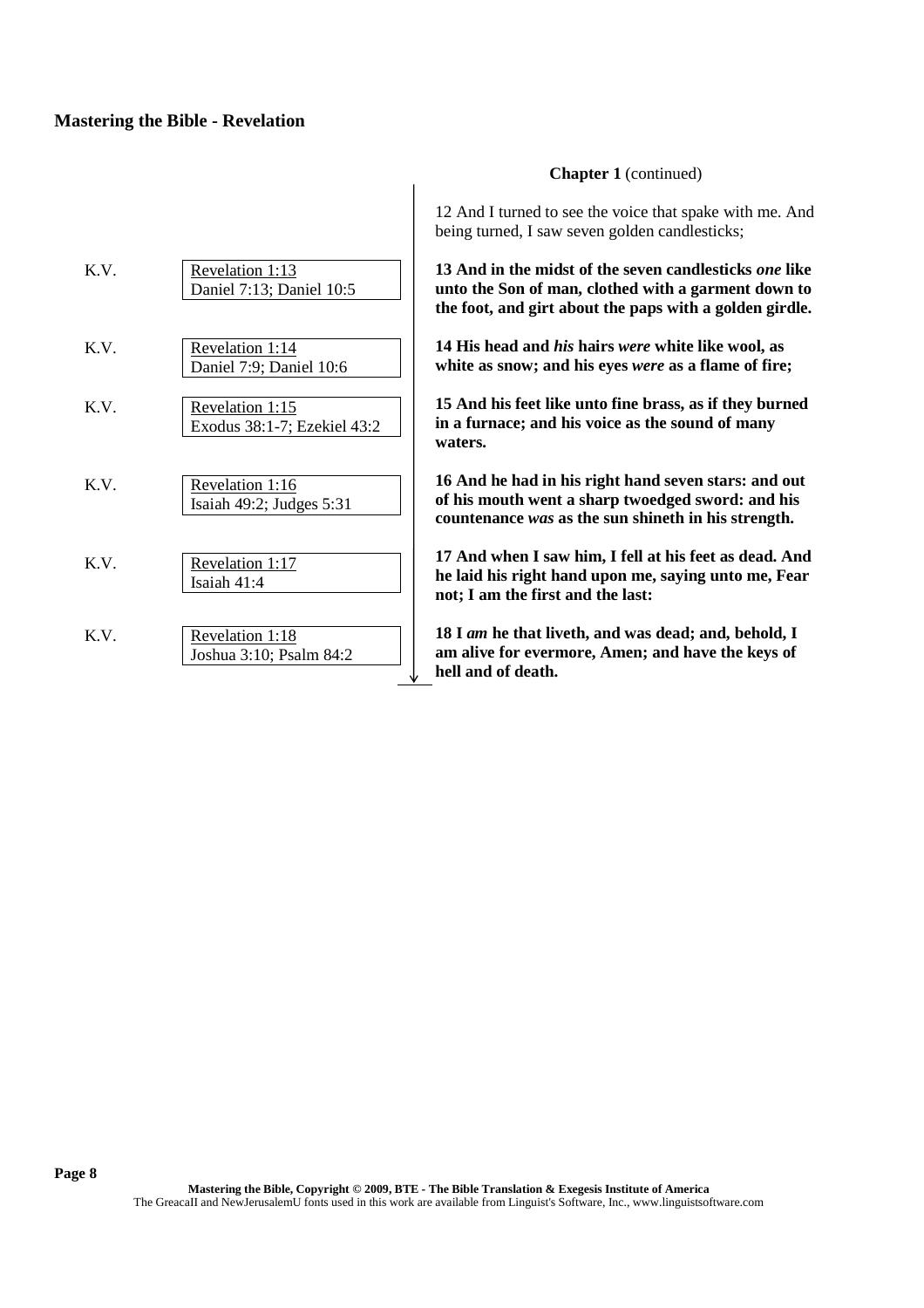| K.V. | Revelation 1:13               | 13A         |
|------|-------------------------------|-------------|
|      | Daniel 7:13; Daniel 10:5      | unto        |
|      |                               | the f       |
| K.V. | Revelation 1:14               | 14 F        |
|      | Daniel 7:9; Daniel 10:6       | whit        |
|      |                               |             |
| K.V. | Revelation 1:15               | 15A         |
|      | Exodus 38:1-7; Ezekiel 43:2   | in a        |
|      |                               | wat         |
|      |                               | 16A         |
| K.V. | Revelation 1:16               | of h        |
|      | Isaiah $49:2$ ; Judges $5:31$ |             |
|      |                               | coul        |
| K.V. | Revelation 1:17               | 17A         |
|      | Isaiah 41:4                   | he la       |
|      |                               | not;        |
|      |                               | 18 I        |
| K.V. | Revelation 1:18               |             |
|      | Joshua 3:10; Psalm 84:2       | am:<br>hall |
|      |                               |             |

### **Chapter 1** (continued)

12 And I turned to see the voice that spake with me. And being turned, I saw seven golden candlesticks;

**13 And in the midst of the seven candlesticks** *one* **like unto the Son of man, clothed with a garment down to** foot, and girt about the paps with a golden girdle.

**14 His head and** *his* **hairs** *were* **white like wool, as white as snow; and his eyes** *were* **as a flame of fire;**

**15 And his feet like unto fine brass, as if they burned** furnace; and his voice as the sound of many ers.

**16 And he had in his right hand seven stars: and out of his mouth went a sharp twoedged sword: and his countenance** *was* **as the sun shineth in his strength.**

And when I saw him, I fell at his feet as dead. And **he laid his right hand upon me, saying unto me, Fear not; I am the first and the last:**

**18 I** *am* **he that liveth, and was dead; and, behold, I** alive for evermore, Amen; and have the keys of **hell and of death.**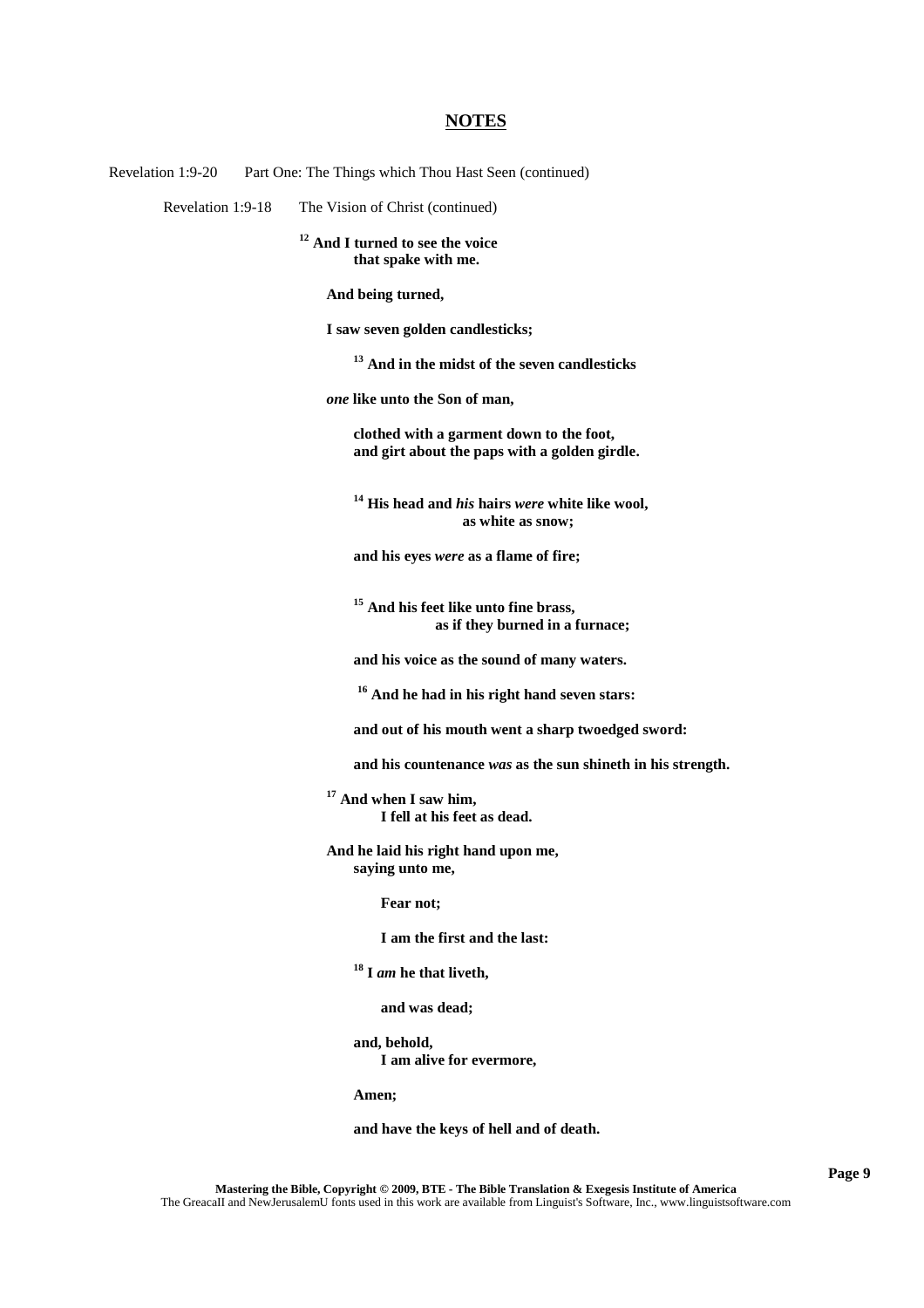Revelation 1:9-20 Part One: The Things which Thou Hast Seen (continued)

Revelation 1:9-18 The Vision of Christ (continued)

## **<sup>12</sup> And I turned to see the voice that spake with me.**

**And being turned,**

**I saw seven golden candlesticks;**

**<sup>13</sup> And in the midst of the seven candlesticks**

*one* **like unto the Son of man,**

**clothed with a garment down to the foot, and girt about the paps with a golden girdle.**

**<sup>14</sup> His head and** *his* **hairs** *were* **white like wool, as white as snow;**

**and his eyes** *were* **as a flame of fire;**

**<sup>15</sup> And his feet like unto fine brass, as if they burned in a furnace;**

**and his voice as the sound of many waters.**

**<sup>16</sup> And he had in his right hand seven stars:**

**and out of his mouth went a sharp twoedged sword:**

**and his countenance** *was* **as the sun shineth in his strength.**

**<sup>17</sup> And when I saw him, I fell at his feet as dead.**

**And he laid his right hand upon me, saying unto me,**

**Fear not;**

**I am the first and the last:**

**<sup>18</sup> I** *am* **he that liveth,**

**and was dead;**

**and, behold, I am alive for evermore,**

**Amen;**

**and have the keys of hell and of death.**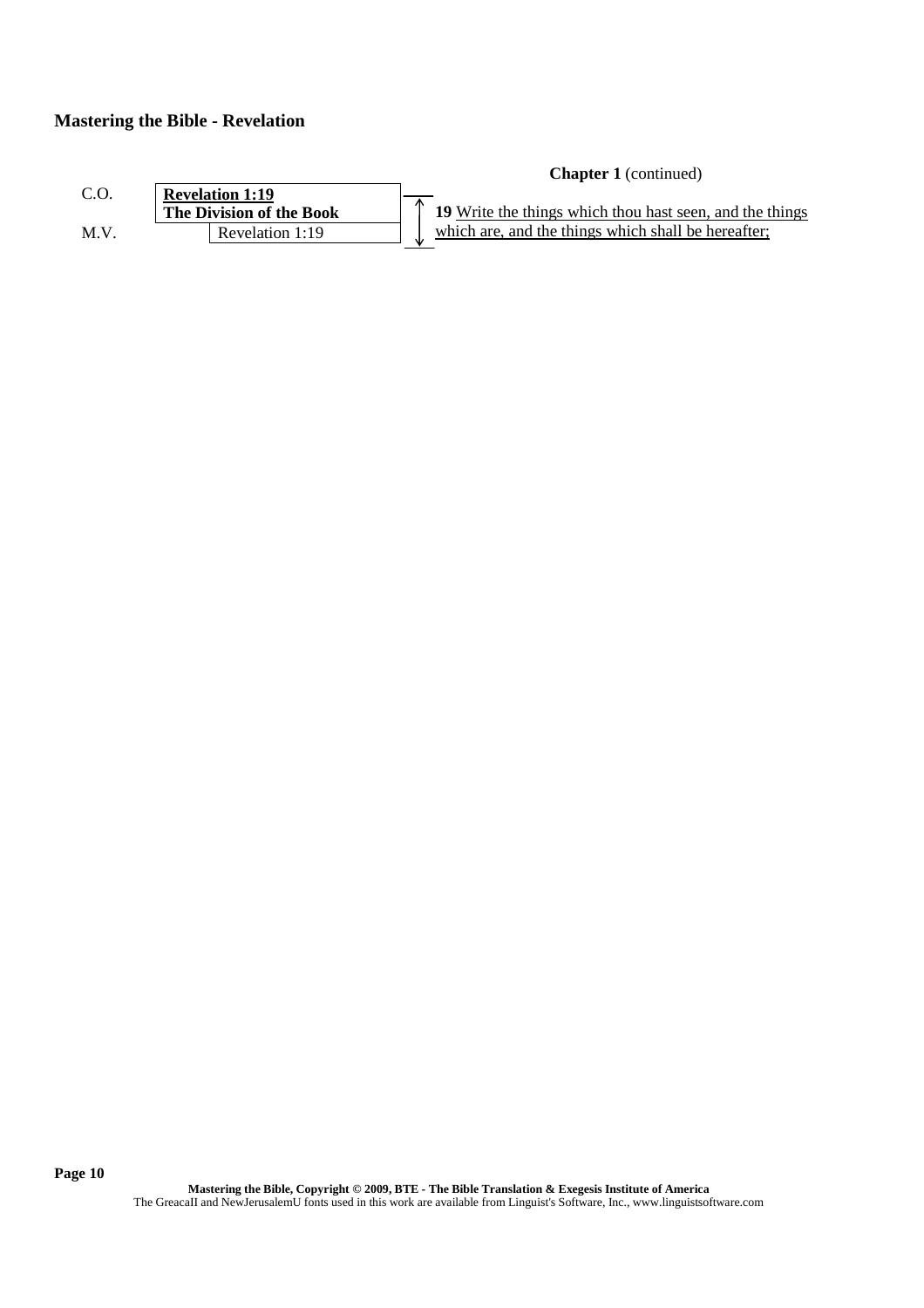|     |                          | <b>Chapter 1</b> (continued)                             |
|-----|--------------------------|----------------------------------------------------------|
|     | <b>Revelation 1:19</b>   |                                                          |
|     | The Division of the Book | 19 Write the things which thou hast seen, and the things |
| M.V | Revelation 1:19          | which are, and the things which shall be hereafter;      |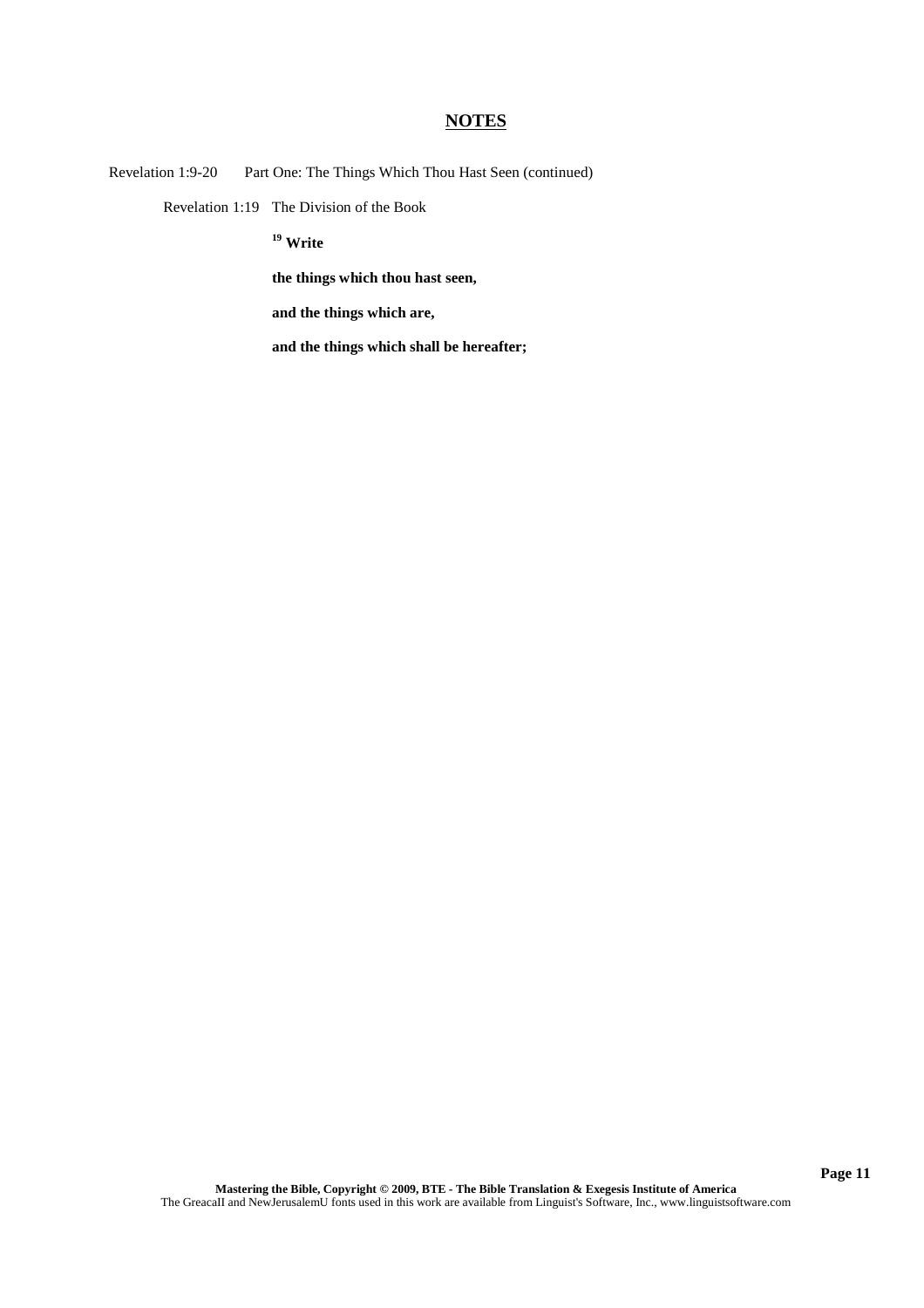Revelation 1:9-20 Part One: The Things Which Thou Hast Seen (continued)

Revelation 1:19 The Division of the Book

**<sup>19</sup> Write**

**the things which thou hast seen,**

**and the things which are,**

**and the things which shall be hereafter;**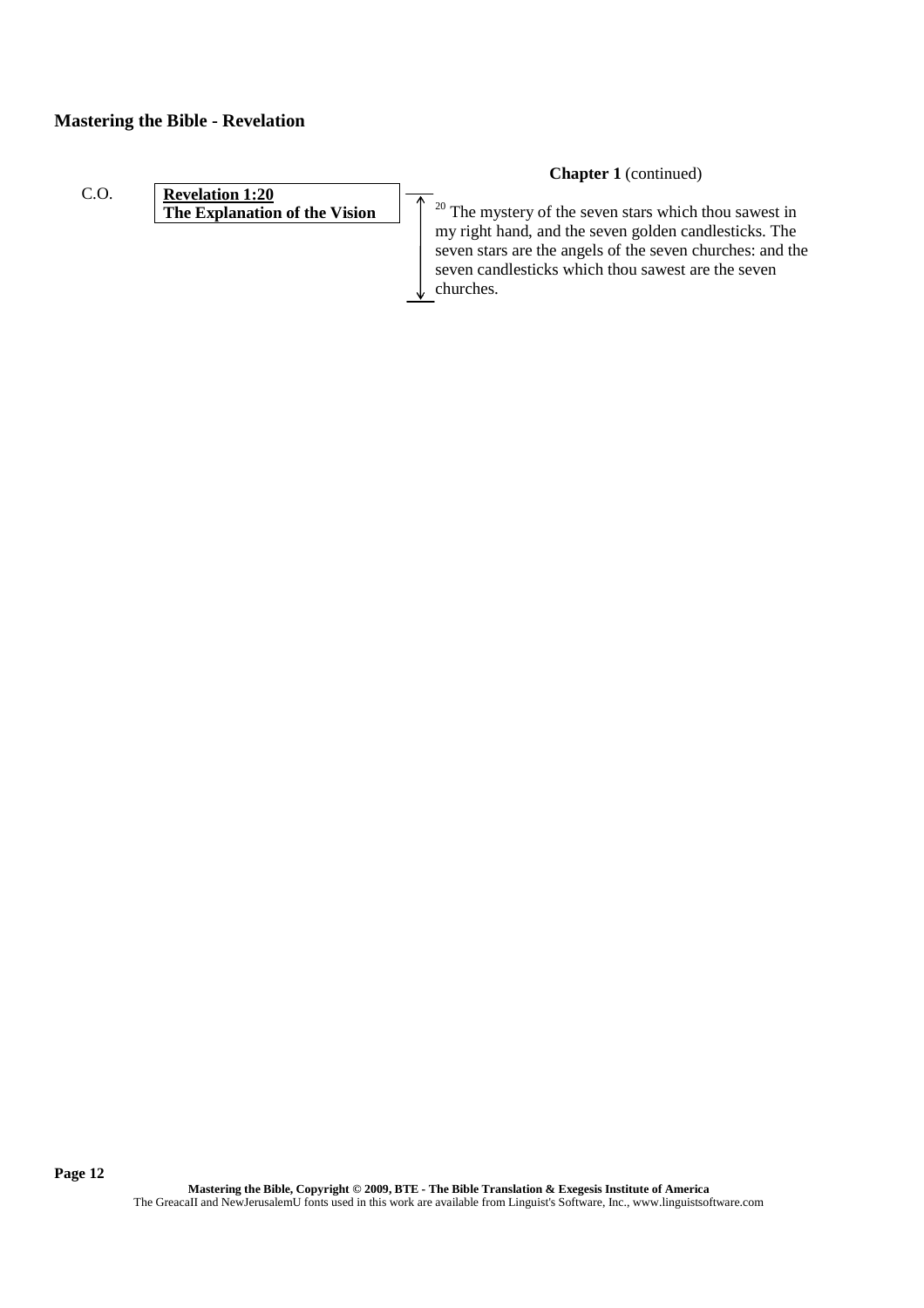

### **Chapter 1** (continued)

 $20$  The mystery of the seven stars which thou sawest in my right hand, and the seven golden candlesticks. The seven stars are the angels of the seven churches: and the seven candlesticks which thou sawest are the seven churches.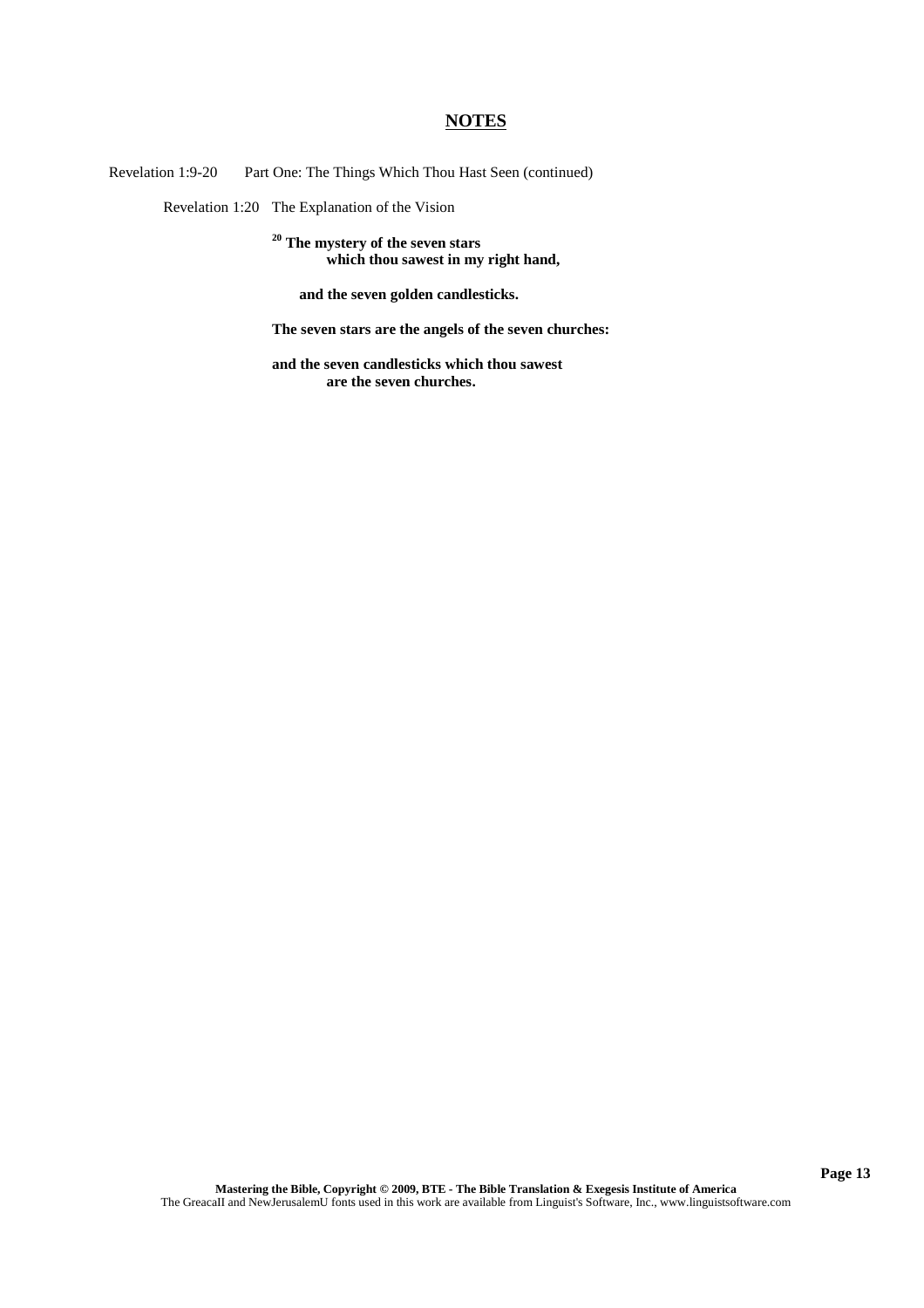Revelation 1:9-20 Part One: The Things Which Thou Hast Seen (continued)

Revelation 1:20 The Explanation of the Vision

**<sup>20</sup> The mystery of the seven stars which thou sawest in my right hand,**

**and the seven golden candlesticks.**

**The seven stars are the angels of the seven churches:**

**and the seven candlesticks which thou sawest are the seven churches.**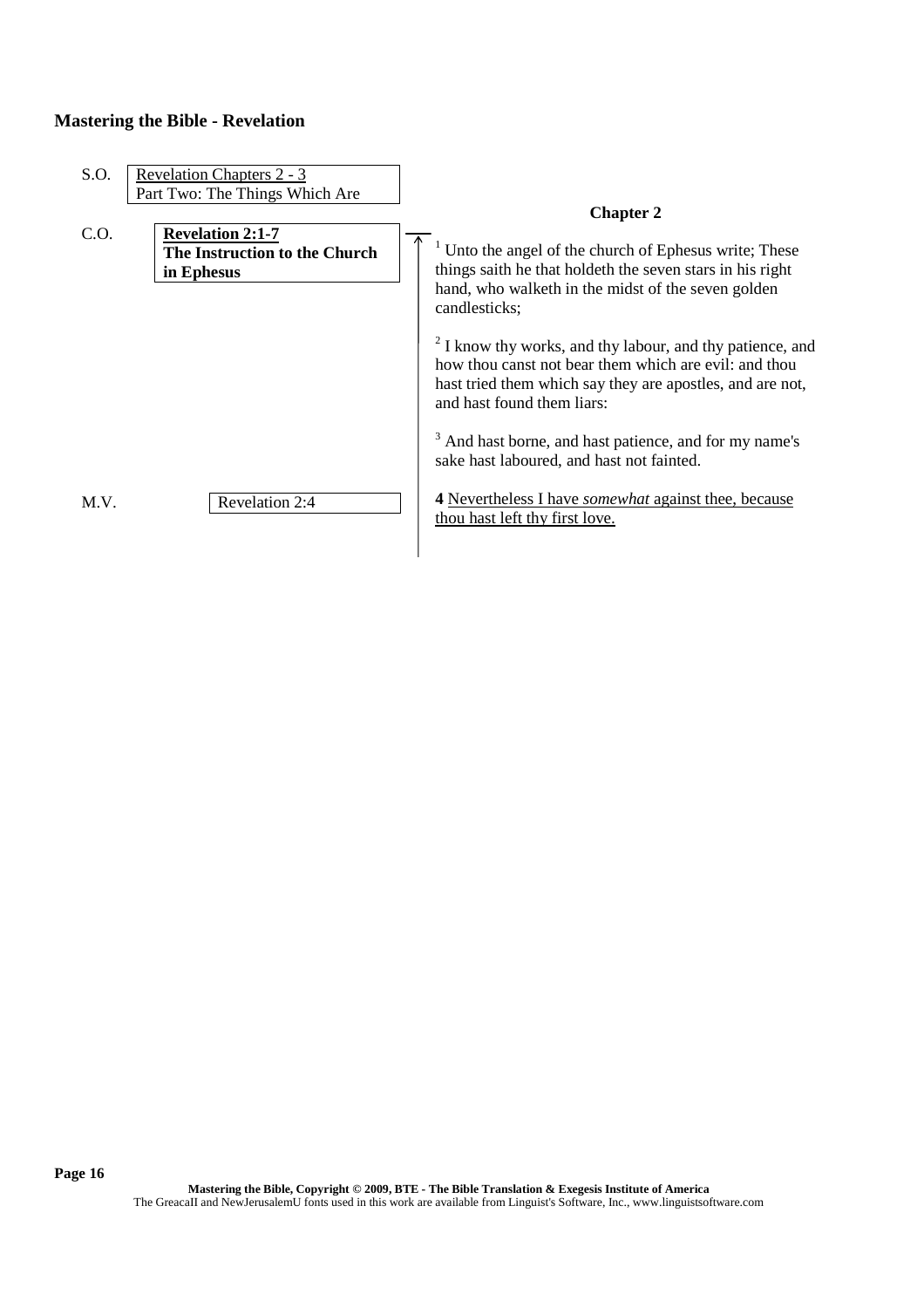| S.O.           | <b>Revelation Chapters 2 - 3</b><br>Part Two: The Things Which Are     | <b>Chapter 2</b>                                                                                                                                                                                                                                                                                                                                                                                                                                                                                                                       |
|----------------|------------------------------------------------------------------------|----------------------------------------------------------------------------------------------------------------------------------------------------------------------------------------------------------------------------------------------------------------------------------------------------------------------------------------------------------------------------------------------------------------------------------------------------------------------------------------------------------------------------------------|
| $C_{\cdot}$ O. | <b>Revelation 2:1-7</b><br>The Instruction to the Church<br>in Ephesus | <sup>1</sup> Unto the angel of the church of Ephesus write; These<br>things saith he that holderh the seven stars in his right<br>hand, who walketh in the midst of the seven golden<br>candlesticks;<br><sup>2</sup> I know thy works, and thy labour, and thy patience, and<br>how thou canst not bear them which are evil: and thou<br>hast tried them which say they are apostles, and are not,<br>and hast found them liars:<br>And hast borne, and hast patience, and for my name's<br>sake hast laboured, and hast not fainted. |
| M.V.           | Revelation 2:4                                                         | 4 Nevertheless I have <i>somewhat</i> against thee, because<br>thou hast left thy first love.                                                                                                                                                                                                                                                                                                                                                                                                                                          |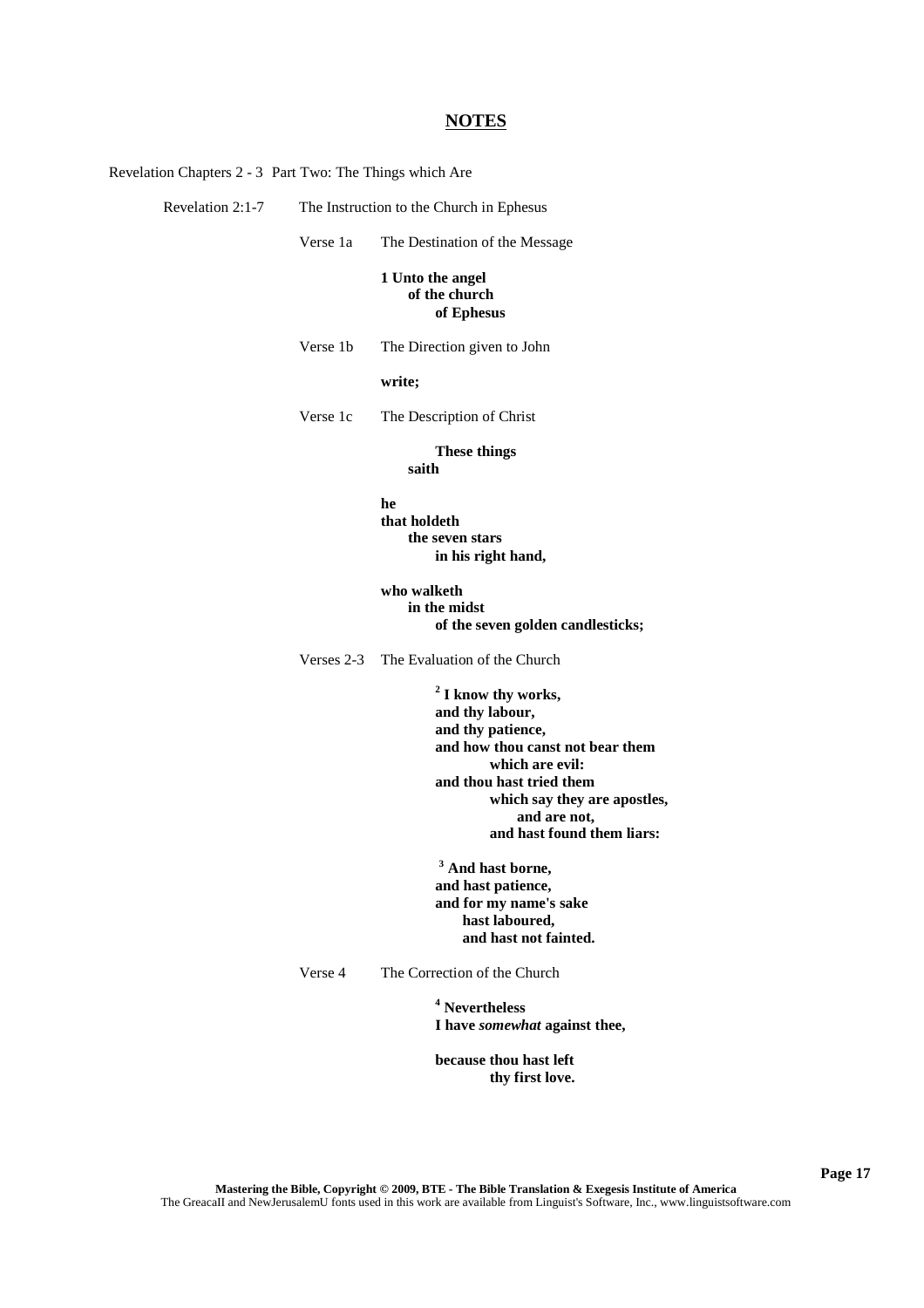Revelation Chapters 2 - 3 Part Two: The Things which Are

Revelation 2:1-7 The Instruction to the Church in Ephesus

Verse 1a The Destination of the Message

#### **1 Unto the angel of the church of Ephesus**

Verse 1b The Direction given to John

#### **write;**

Verse 1c The Description of Christ

#### **These things saith**

#### **he**

**that holdeth the seven stars in his right hand,**

#### **who walketh in the midst of the seven golden candlesticks;**

Verses 2-3 The Evaluation of the Church

**2 I know thy works, and thy labour, and thy patience, and how thou canst not bear them which are evil: and thou hast tried them which say they are apostles, and are not, and hast found them liars:**

**<sup>3</sup> And hast borne, and hast patience, and for my name's sake hast laboured, and hast not fainted.**

Verse 4 The Correction of the Church

**<sup>4</sup> Nevertheless I have** *somewhat* **against thee,**

**because thou hast left thy first love.**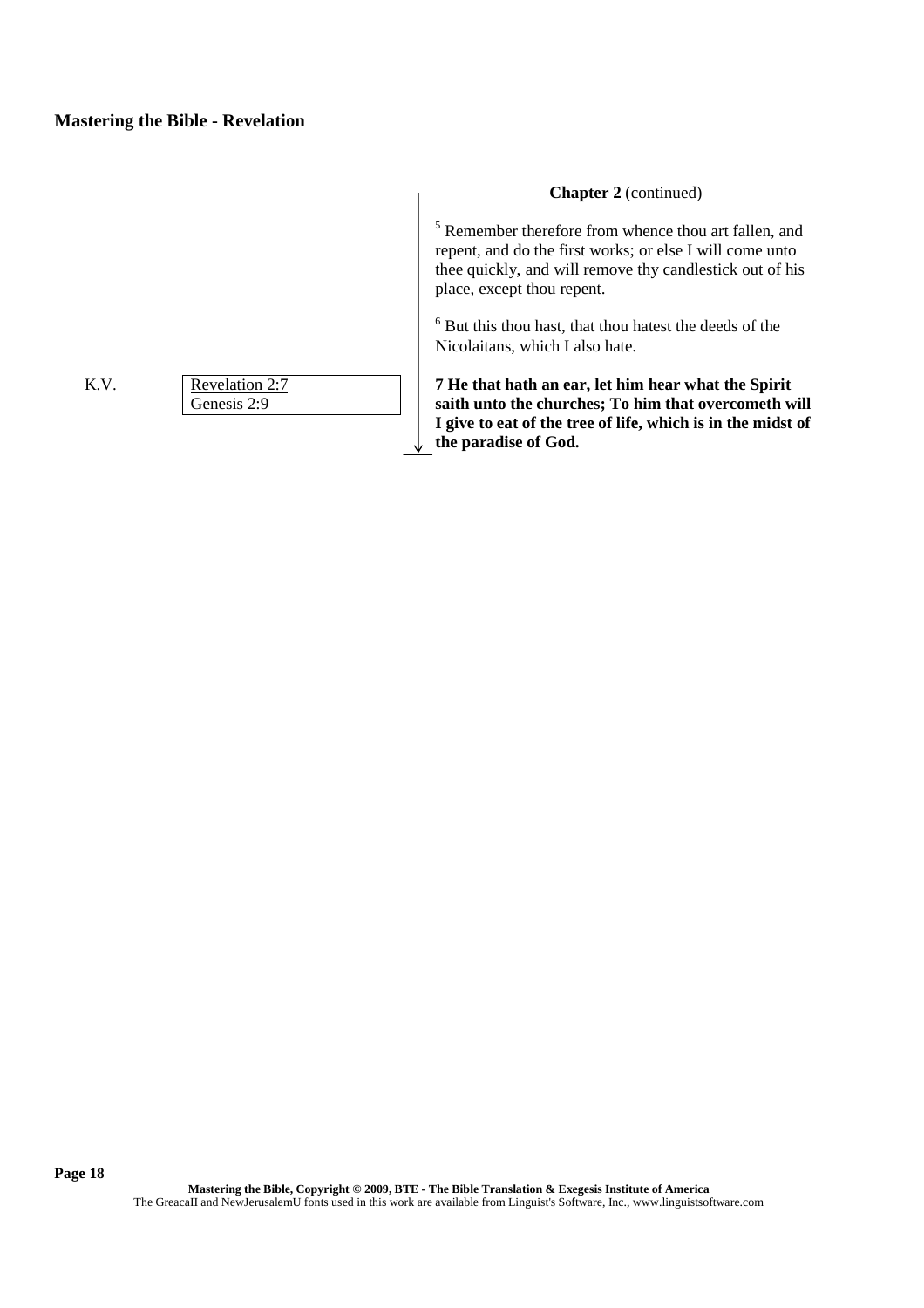K.V. Revelation 2:7 Genesis 2:9 **Chapter 2** (continued) <sup>5</sup> Remember therefore from whence thou art fallen, and repent, and do the first works; or else I will come unto thee quickly, and will remove thy candlestick out of his place, except thou repent.  $6$  But this thou hast, that thou hatest the deeds of the Nicolaitans, which I also hate. **7 He that hath an ear, let him hear what the Spirit saith unto the churches; To him that overcometh will I give to eat of the tree of life, which is in the midst of the paradise of God.**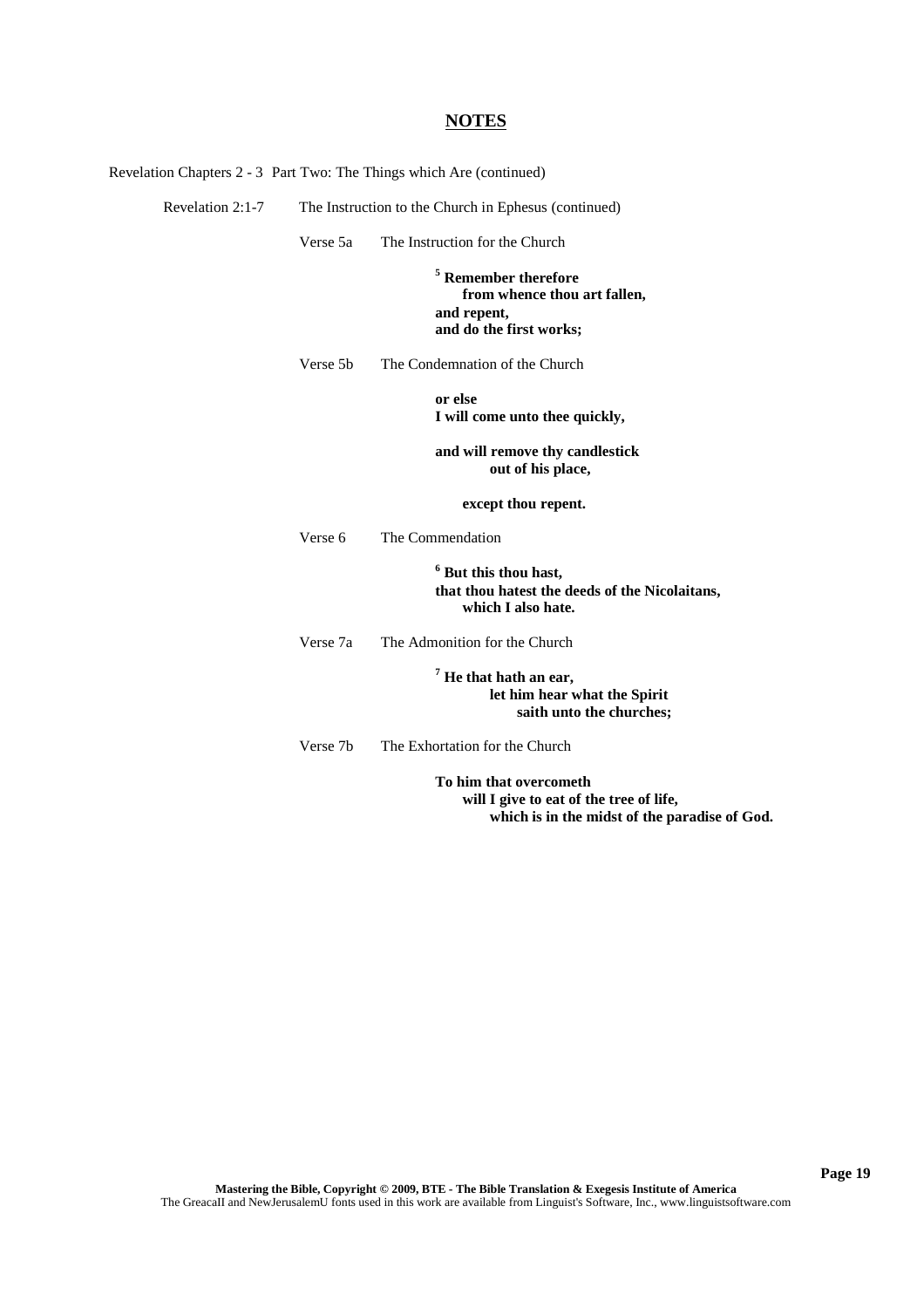|                  |                      | Revelation Chapters 2 - 3 Part Two: The Things which Are (continued)                                      |  |  |
|------------------|----------------------|-----------------------------------------------------------------------------------------------------------|--|--|
| Revelation 2:1-7 |                      | The Instruction to the Church in Ephesus (continued)                                                      |  |  |
|                  | Verse 5a             | The Instruction for the Church                                                                            |  |  |
|                  |                      | <sup>5</sup> Remember therefore<br>from whence thou art fallen,<br>and repent,<br>and do the first works; |  |  |
|                  | Verse 5 <sub>b</sub> | The Condemnation of the Church                                                                            |  |  |
|                  |                      | or else<br>I will come unto thee quickly,                                                                 |  |  |
|                  |                      | and will remove thy candlestick<br>out of his place,                                                      |  |  |
|                  |                      | except thou repent.                                                                                       |  |  |
|                  | Verse 6              | The Commendation                                                                                          |  |  |
|                  |                      | <sup>6</sup> But this thou hast,<br>that thou hatest the deeds of the Nicolaitans,<br>which I also hate.  |  |  |
|                  | Verse 7a             | The Admonition for the Church                                                                             |  |  |
|                  |                      | $7$ He that hath an ear,<br>let him hear what the Spirit<br>saith unto the churches;                      |  |  |
|                  | Verse 7b             | The Exhortation for the Church                                                                            |  |  |
|                  |                      | To him that overcometh<br>will I give to eat of the tree of life,                                         |  |  |

**which is in the midst of the paradise of God.**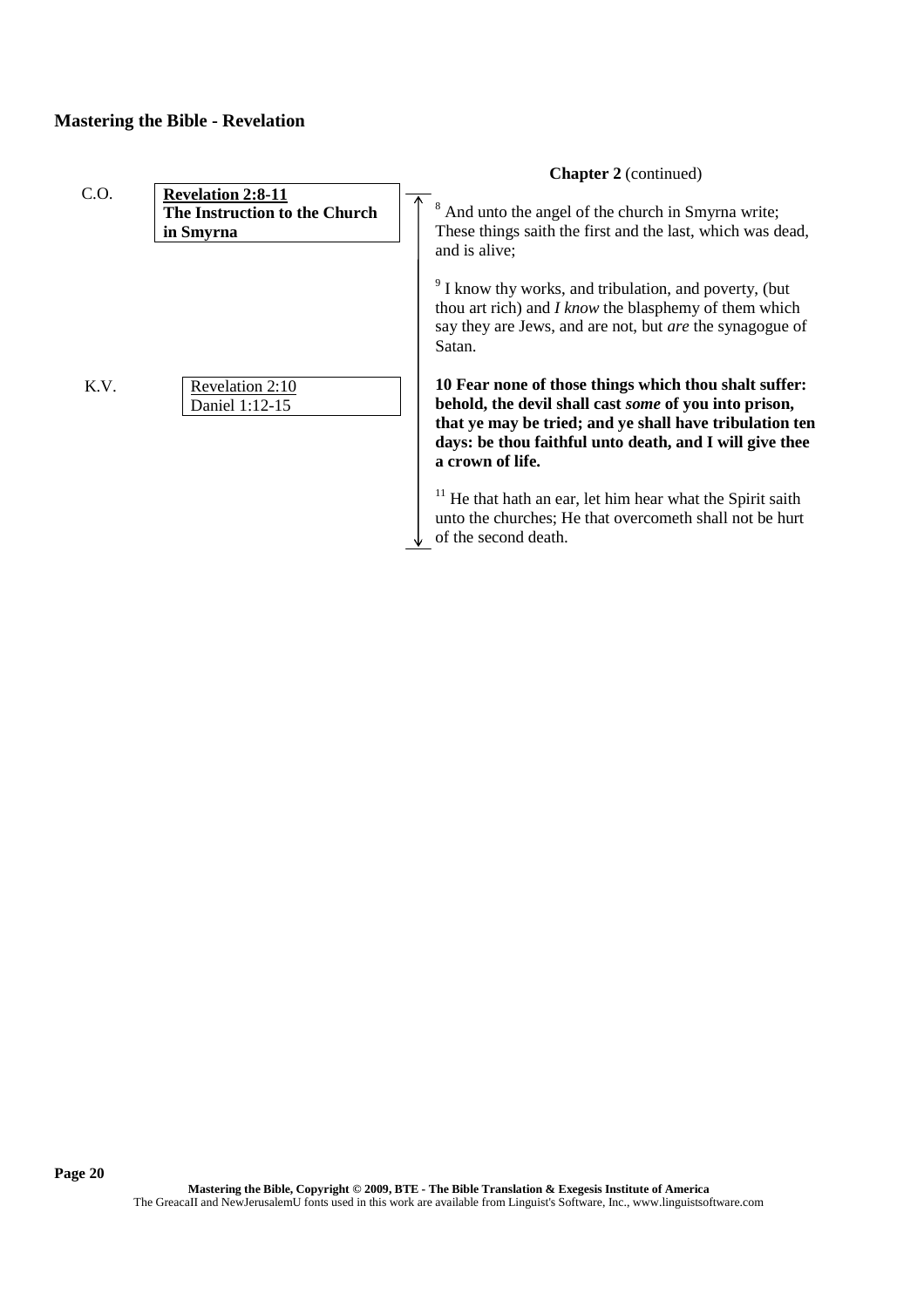|      |                                                                        | <b>Chapter 2</b> (continued)                                                                                                                                                                                                                                    |
|------|------------------------------------------------------------------------|-----------------------------------------------------------------------------------------------------------------------------------------------------------------------------------------------------------------------------------------------------------------|
| C.O. | <b>Revelation 2:8-11</b><br>The Instruction to the Church<br>in Smyrna | And unto the angel of the church in Smyrna write;<br>These things saith the first and the last, which was dead,<br>and is alive;                                                                                                                                |
|      |                                                                        | <sup>9</sup> I know thy works, and tribulation, and poverty, (but<br>thou art rich) and <i>I know</i> the blasphemy of them which<br>say they are Jews, and are not, but are the synagogue of<br>Satan.                                                         |
| K.V. | Revelation 2:10<br>Daniel 1:12-15                                      | 10 Fear none of those things which thou shalt suffer:<br>behold, the devil shall cast <i>some</i> of you into prison,<br>that ye may be tried; and ye shall have tribulation ten<br>days: be thou faithful unto death, and I will give thee<br>a crown of life. |
|      |                                                                        | $11$ He that hath an ear, let him hear what the Spirit saith<br>unto the churches; He that overcometh shall not be hurt<br>of the second death.                                                                                                                 |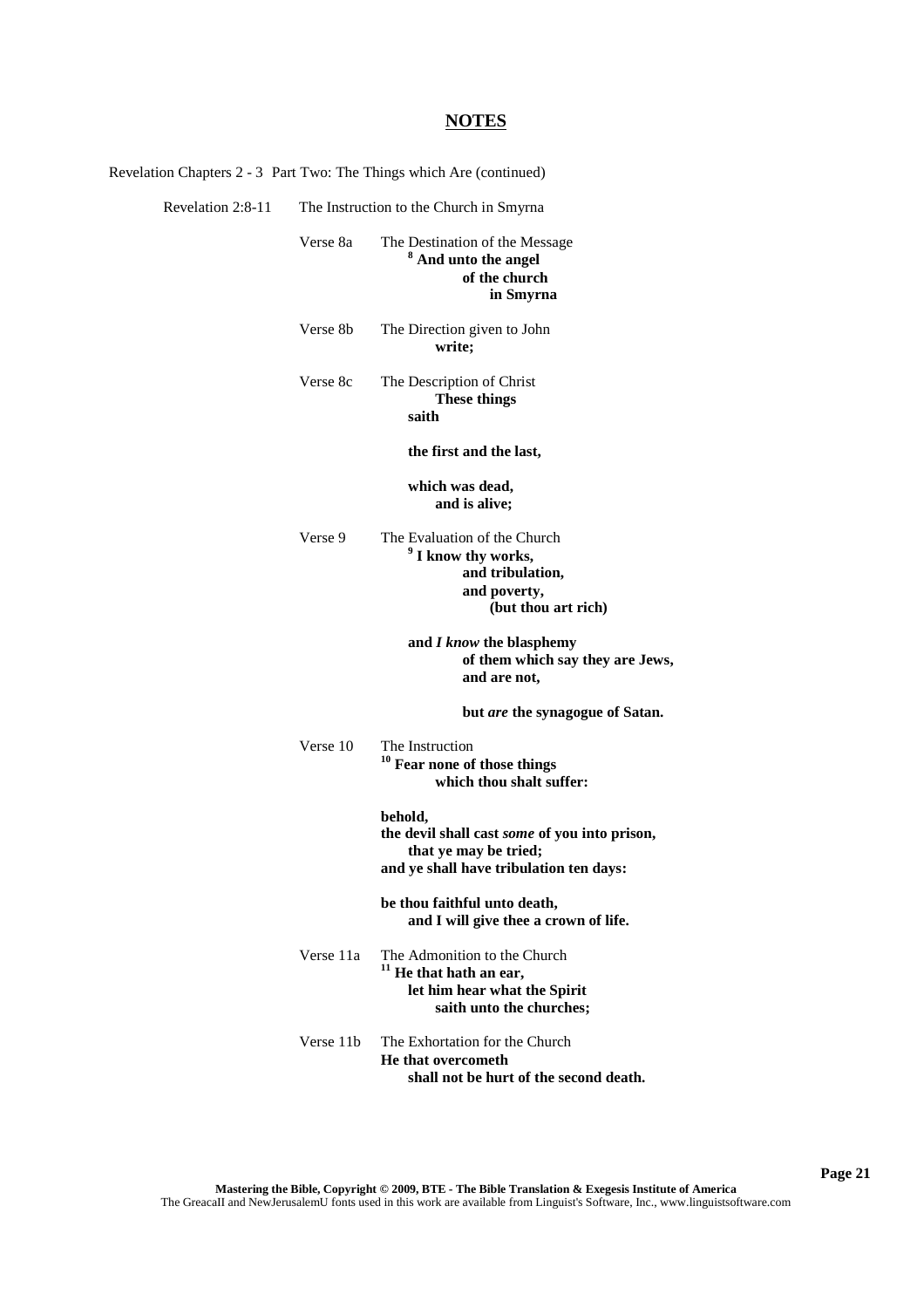Revelation 2:8-11 The Instruction to the Church in Smyrna

Verse 8a The Destination of the Message **<sup>8</sup> And unto the angel of the church in Smyrna**

Verse 8b The Direction given to John **write;**

#### Verse 8c The Description of Christ **These things saith**

#### **the first and the last,**

**which was dead, and is alive;**

Verse 9 The Evaluation of the Church **9 I know thy works, and tribulation, and poverty, (but thou art rich)**

> **and** *I know* **the blasphemy of them which say they are Jews, and are not,**

> > **but** *are* **the synagogue of Satan.**

Verse 10 The Instruction **<sup>10</sup> Fear none of those things which thou shalt suffer:**

> **behold, the devil shall cast** *some* **of you into prison, that ye may be tried; and ye shall have tribulation ten days:**

**be thou faithful unto death, and I will give thee a crown of life.**

- Verse 11a The Admonition to the Church **<sup>11</sup> He that hath an ear, let him hear what the Spirit saith unto the churches;**
- Verse 11b The Exhortation for the Church **He that overcometh shall not be hurt of the second death.**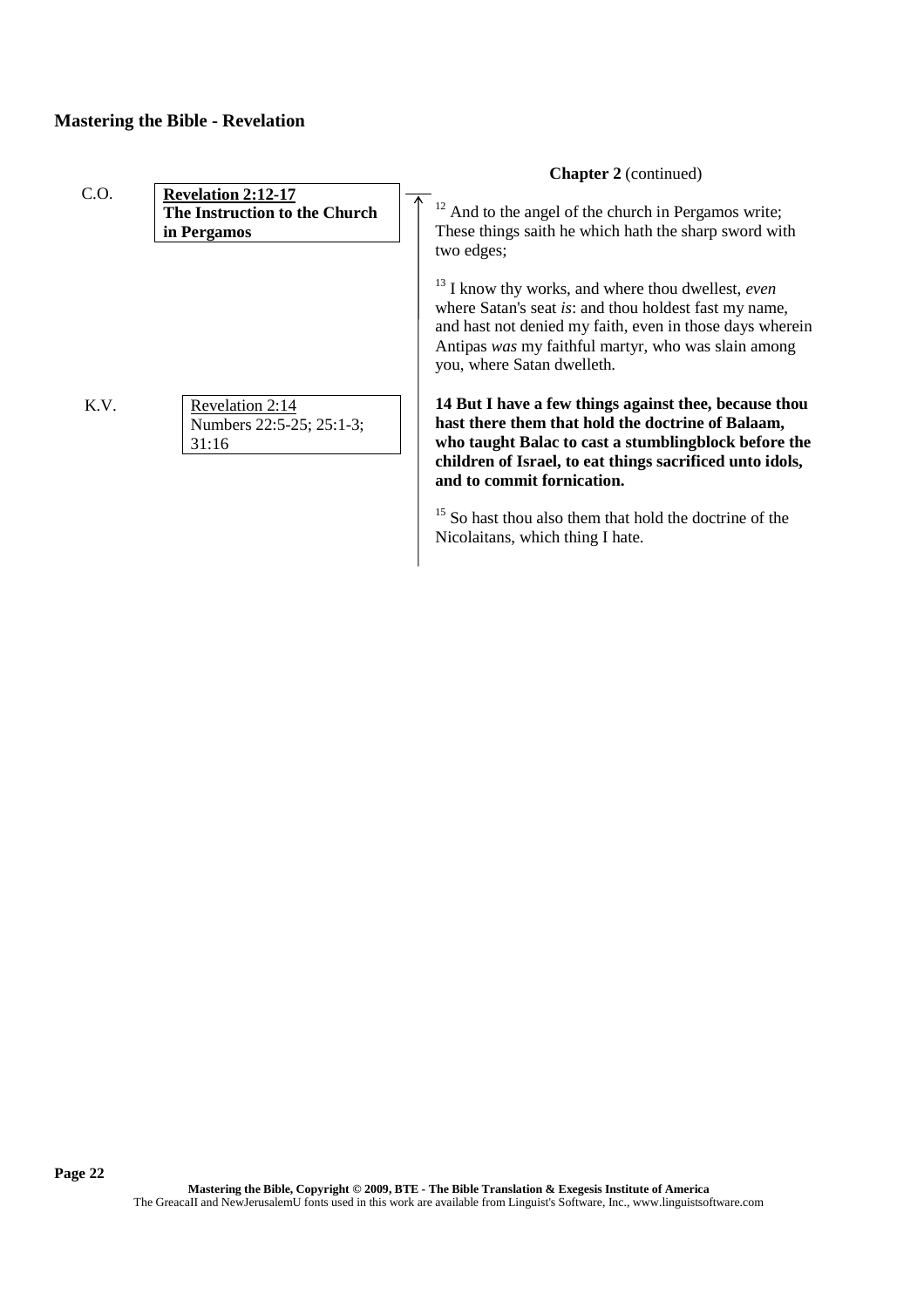|      |                                                                           | <b>Chapter 2</b> (continued)                                                                                                                                                                                                                                                                                                        |
|------|---------------------------------------------------------------------------|-------------------------------------------------------------------------------------------------------------------------------------------------------------------------------------------------------------------------------------------------------------------------------------------------------------------------------------|
| C.O. | <b>Revelation 2:12-17</b><br>The Instruction to the Church<br>in Pergamos | And to the angel of the church in Pergamos write;<br>These things saith he which hath the sharp sword with<br>two edges;                                                                                                                                                                                                            |
|      |                                                                           | $13$ I know thy works, and where thou dwellest, <i>even</i><br>where Satan's seat <i>is</i> : and thou holdest fast my name,<br>and hast not denied my faith, even in those days wherein<br>Antipas was my faithful martyr, who was slain among<br>you, where Satan dwelleth.                                                       |
| K.V. | Revelation 2:14<br>Numbers 22:5-25; 25:1-3;<br>31:16                      | 14 But I have a few things against thee, because thou<br>hast there them that hold the doctrine of Balaam,<br>who taught Balac to cast a stumbling block before the<br>children of Israel, to eat things sacrificed unto idols,<br>and to commit fornication.<br><sup>15</sup> So hast thou also them that hold the doctrine of the |

Nicolaitans, which thing I hate.

**Mastering the Bible, Copyright © 2009, BTE - The Bible Translation & Exegesis Institute of America** The GreacaII and NewJerusalemU fonts used in this work are available from Linguist's Software, Inc., www.linguistsoftware.com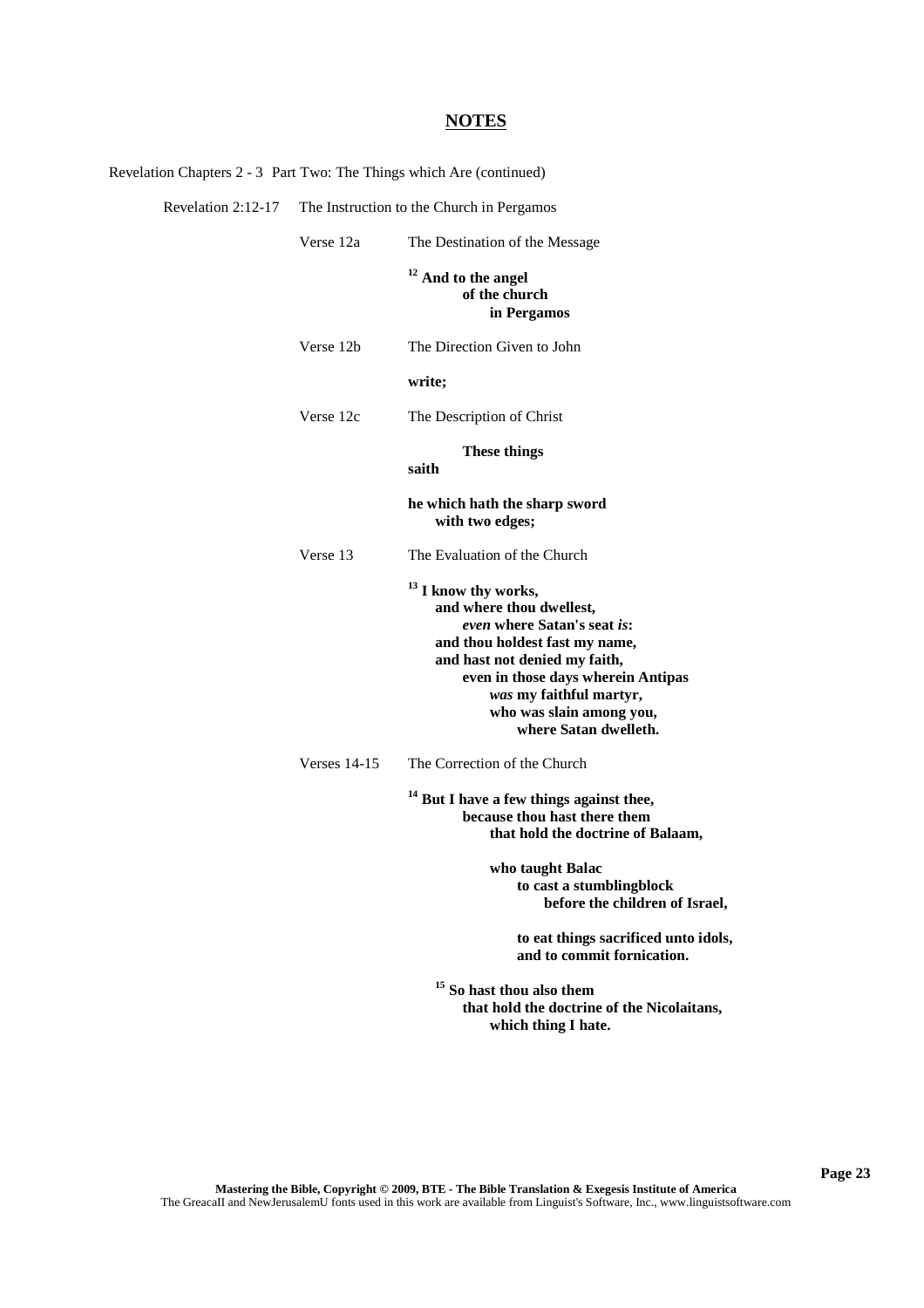| Revelation Chapters 2 - 3 Part Two: The Things which Are (continued) |                                           |                                                                                                                                                                                                                                                                                     |
|----------------------------------------------------------------------|-------------------------------------------|-------------------------------------------------------------------------------------------------------------------------------------------------------------------------------------------------------------------------------------------------------------------------------------|
| Revelation 2:12-17                                                   | The Instruction to the Church in Pergamos |                                                                                                                                                                                                                                                                                     |
|                                                                      | Verse 12a                                 | The Destination of the Message                                                                                                                                                                                                                                                      |
|                                                                      |                                           | <sup>12</sup> And to the angel<br>of the church<br>in Pergamos                                                                                                                                                                                                                      |
|                                                                      | Verse 12b                                 | The Direction Given to John                                                                                                                                                                                                                                                         |
|                                                                      |                                           | write;                                                                                                                                                                                                                                                                              |
|                                                                      | Verse 12c                                 | The Description of Christ                                                                                                                                                                                                                                                           |
|                                                                      |                                           | <b>These things</b><br>saith                                                                                                                                                                                                                                                        |
|                                                                      |                                           | he which hath the sharp sword<br>with two edges;                                                                                                                                                                                                                                    |
|                                                                      | Verse 13                                  | The Evaluation of the Church                                                                                                                                                                                                                                                        |
|                                                                      |                                           | <sup>13</sup> I know thy works,<br>and where thou dwellest,<br>even where Satan's seat is:<br>and thou holdest fast my name,<br>and hast not denied my faith,<br>even in those days wherein Antipas<br>was my faithful martyr,<br>who was slain among you,<br>where Satan dwelleth. |
|                                                                      | <b>Verses 14-15</b>                       | The Correction of the Church                                                                                                                                                                                                                                                        |
|                                                                      |                                           | <sup>14</sup> But I have a few things against thee,<br>because thou hast there them<br>that hold the doctrine of Balaam,                                                                                                                                                            |
|                                                                      |                                           | who taught Balac<br>to cast a stumblingblock<br>before the children of Israel,                                                                                                                                                                                                      |
|                                                                      |                                           | to eat things sacrificed unto idols,<br>and to commit fornication.                                                                                                                                                                                                                  |
|                                                                      |                                           | <sup>15</sup> So hast thou also them<br>that hold the doctrine of the Nicolaitans,<br>which thing I hate.                                                                                                                                                                           |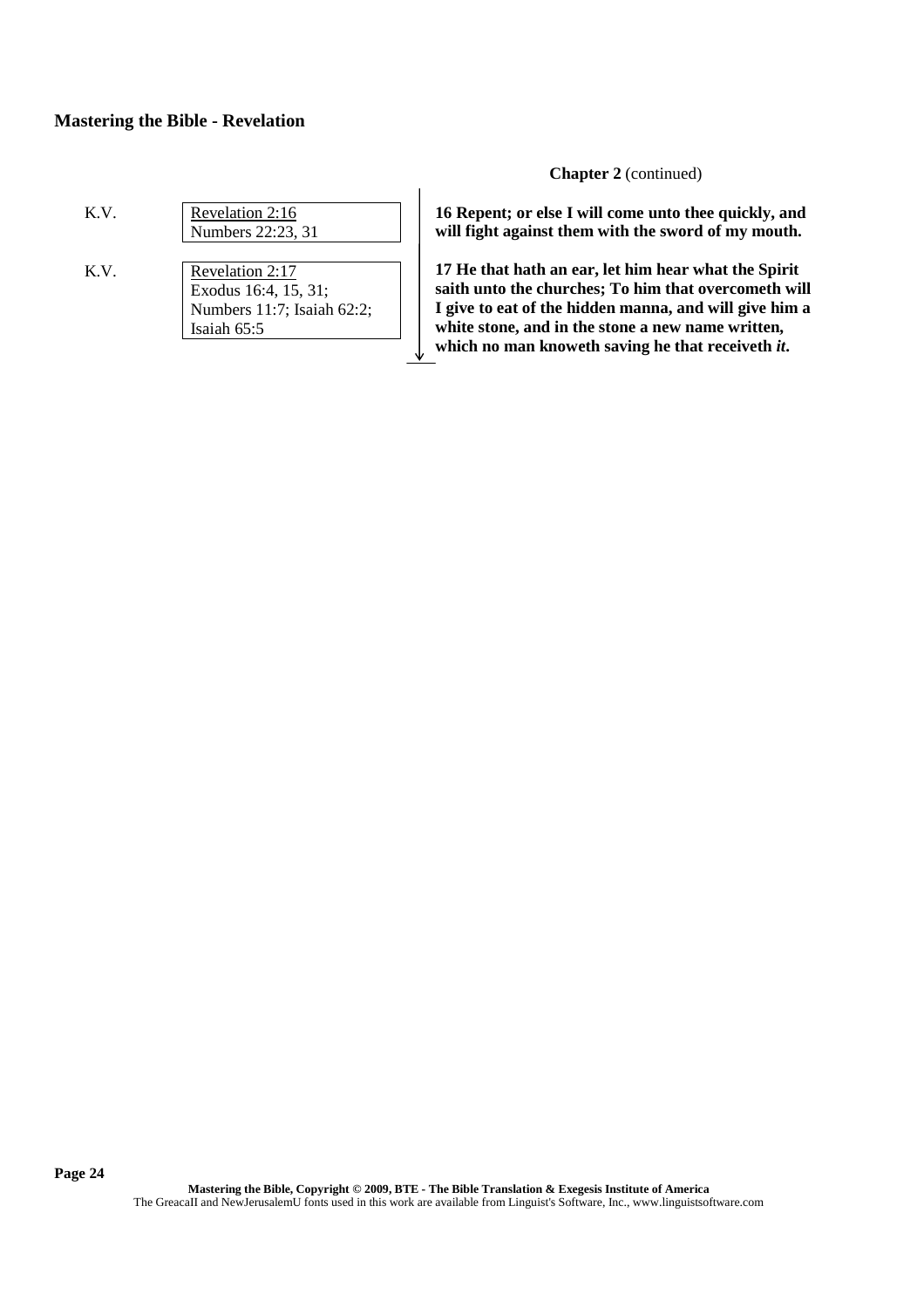| K.V. | Revelation 2:16<br>Numbers 22:23, 31 |  |
|------|--------------------------------------|--|
|      |                                      |  |
|      | Revelation $2.17$                    |  |

K.V. Revelation 2:1 Exodus 16:4, 15, 31; Numbers 11:7; Isaiah 62:2; Isaiah 65:5

**Chapter 2** (continued)

**16 Repent; or else I will come unto thee quickly, and will fight against them with the sword of my mouth.**

**17 He that hath an ear, let him hear what the Spirit saith unto the churches; To him that overcometh will I give to eat of the hidden manna, and will give him a white stone, and in the stone a new name written, which no man knoweth saving he that receiveth** *it***.**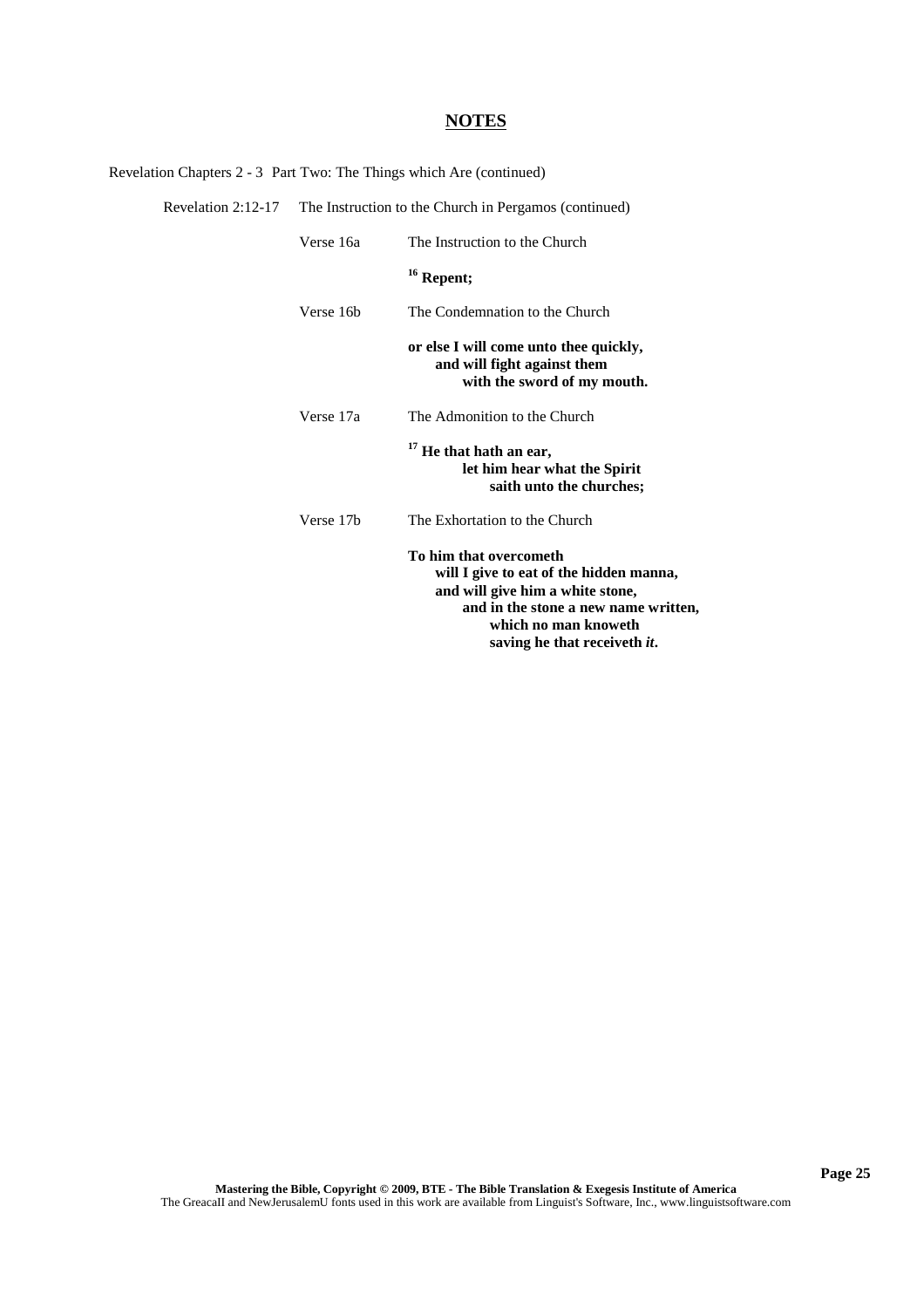Revelation Chapters 2 - 3 Part Two: The Things which Are (continued)

| Revelation $2:12-17$ |                       | The Instruction to the Church in Pergamos (continued)                                                                                                                                                 |
|----------------------|-----------------------|-------------------------------------------------------------------------------------------------------------------------------------------------------------------------------------------------------|
|                      | Verse 16a             | The Instruction to the Church                                                                                                                                                                         |
|                      |                       | $16$ Repent;                                                                                                                                                                                          |
|                      | Verse 16 <sub>b</sub> | The Condemnation to the Church                                                                                                                                                                        |
|                      |                       | or else I will come unto thee quickly,<br>and will fight against them<br>with the sword of my mouth.                                                                                                  |
|                      | Verse 17a             | The Admonition to the Church                                                                                                                                                                          |
|                      |                       | He that hath an ear,<br>let him hear what the Spirit<br>saith unto the churches;                                                                                                                      |
|                      | Verse 17b             | The Exhortation to the Church                                                                                                                                                                         |
|                      |                       | To him that overcometh<br>will I give to eat of the hidden manna,<br>and will give him a white stone,<br>and in the stone a new name written,<br>which no man knoweth<br>saving he that receiveth it. |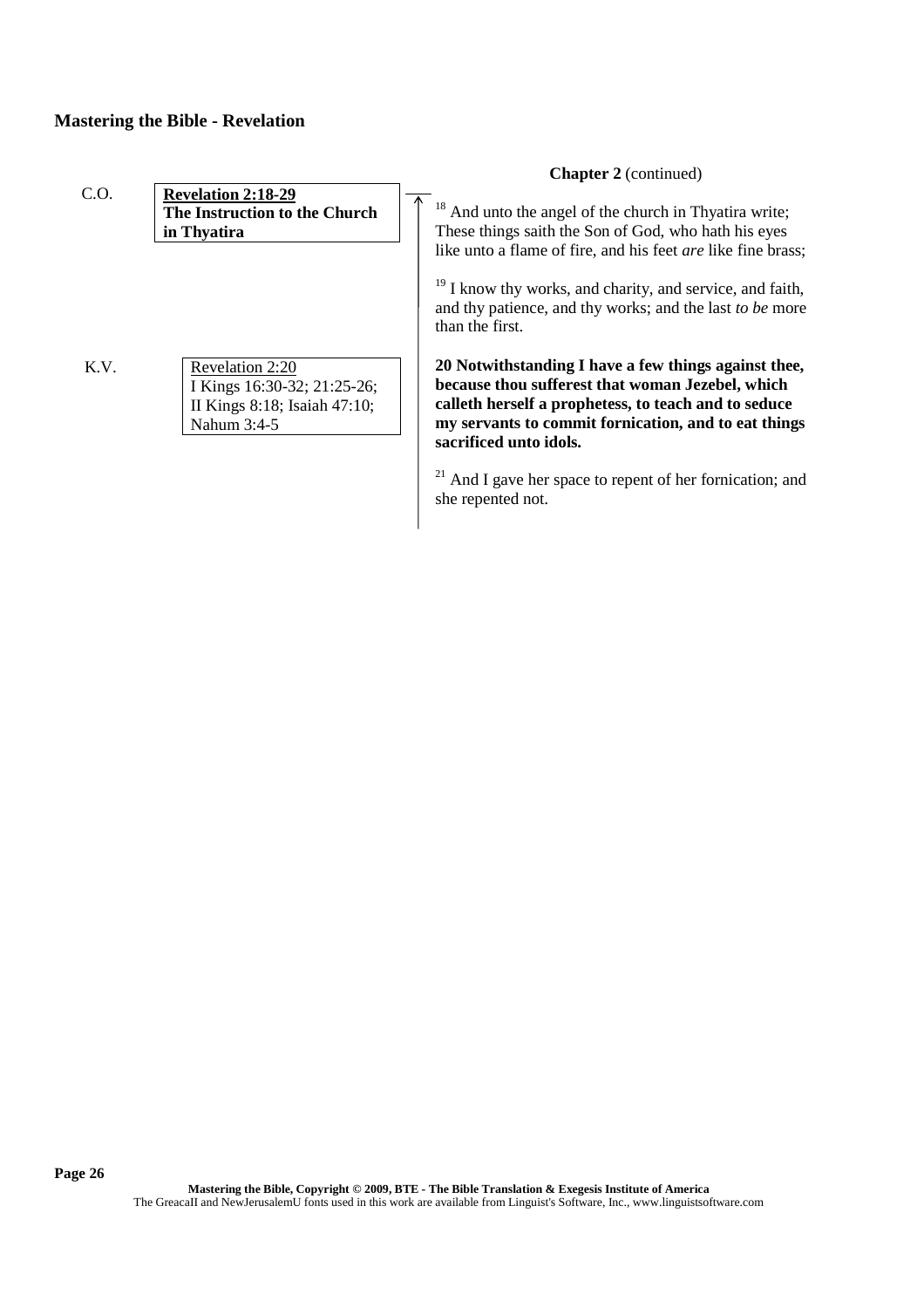|      |                                                                                               | <b>Chapter 2</b> (continued)                                                                                                                                                                                                                                                                                                      |
|------|-----------------------------------------------------------------------------------------------|-----------------------------------------------------------------------------------------------------------------------------------------------------------------------------------------------------------------------------------------------------------------------------------------------------------------------------------|
| C.O. | <b>Revelation 2:18-29</b><br>The Instruction to the Church<br>in Thyatira                     | And unto the angel of the church in Thyatira write;<br>These things saith the Son of God, who hath his eyes<br>like unto a flame of fire, and his feet <i>are</i> like fine brass;<br>$19$ I know thy works, and charity, and service, and faith,<br>and thy patience, and thy works; and the last to be more<br>than the first.  |
| K.V. | Revelation 2:20<br>I Kings 16:30-32; 21:25-26;<br>II Kings 8:18; Isaiah 47:10;<br>Nahum 3:4-5 | 20 Notwithstanding I have a few things against thee,<br>because thou sufferest that woman Jezebel, which<br>calleth herself a prophetess, to teach and to seduce<br>my servants to commit fornication, and to eat things<br>sacrificed unto idols.<br>And I gave her space to repent of her fornication; and<br>she repented not. |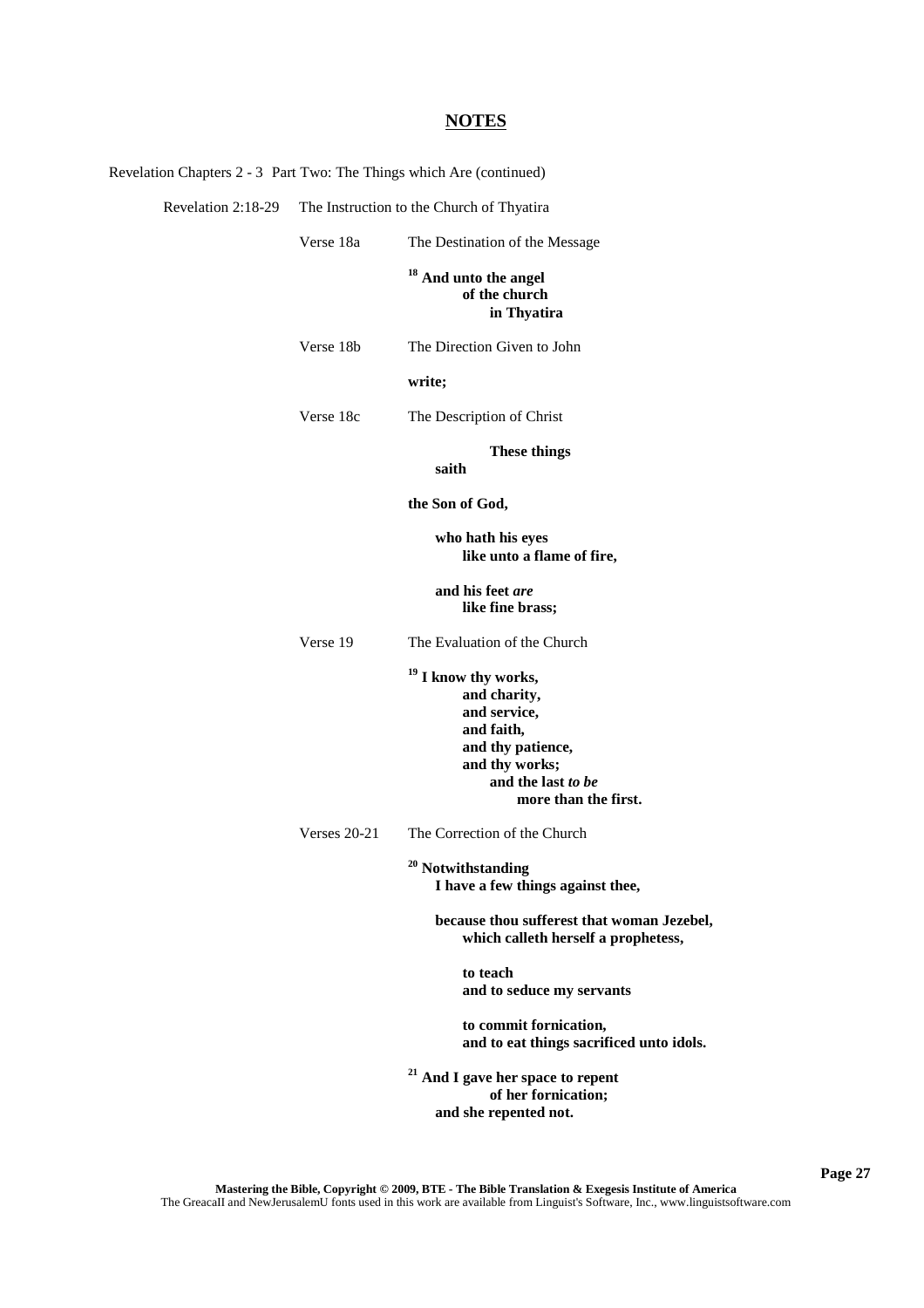| Revelation Chapters 2 - 3 Part Two: The Things which Are (continued) |                                           |                                                                                                                                                                    |  |
|----------------------------------------------------------------------|-------------------------------------------|--------------------------------------------------------------------------------------------------------------------------------------------------------------------|--|
| Revelation 2:18-29                                                   | The Instruction to the Church of Thyatira |                                                                                                                                                                    |  |
|                                                                      | Verse 18a                                 | The Destination of the Message                                                                                                                                     |  |
|                                                                      |                                           | <sup>18</sup> And unto the angel<br>of the church<br>in Thyatira                                                                                                   |  |
|                                                                      | Verse 18b                                 | The Direction Given to John                                                                                                                                        |  |
|                                                                      |                                           | write;                                                                                                                                                             |  |
|                                                                      | Verse 18c                                 | The Description of Christ                                                                                                                                          |  |
|                                                                      |                                           | <b>These things</b><br>saith                                                                                                                                       |  |
|                                                                      |                                           | the Son of God,                                                                                                                                                    |  |
|                                                                      |                                           | who hath his eyes<br>like unto a flame of fire,                                                                                                                    |  |
|                                                                      |                                           | and his feet are<br>like fine brass;                                                                                                                               |  |
|                                                                      | Verse 19                                  | The Evaluation of the Church                                                                                                                                       |  |
|                                                                      |                                           | <sup>19</sup> I know thy works,<br>and charity,<br>and service,<br>and faith,<br>and thy patience,<br>and thy works;<br>and the last to be<br>more than the first. |  |
|                                                                      | <b>Verses 20-21</b>                       | The Correction of the Church                                                                                                                                       |  |
|                                                                      |                                           | $^\mathrm{20}$ Notwithstanding<br>I have a few things against thee,                                                                                                |  |
|                                                                      |                                           | because thou sufferest that woman Jezebel,<br>which calleth herself a prophetess,                                                                                  |  |
|                                                                      |                                           | to teach<br>and to seduce my servants                                                                                                                              |  |
|                                                                      |                                           | to commit fornication,<br>and to eat things sacrificed unto idols.                                                                                                 |  |
|                                                                      |                                           | <sup>21</sup> And I gave her space to repent<br>of her fornication;<br>and she repented not.                                                                       |  |

**Page 27**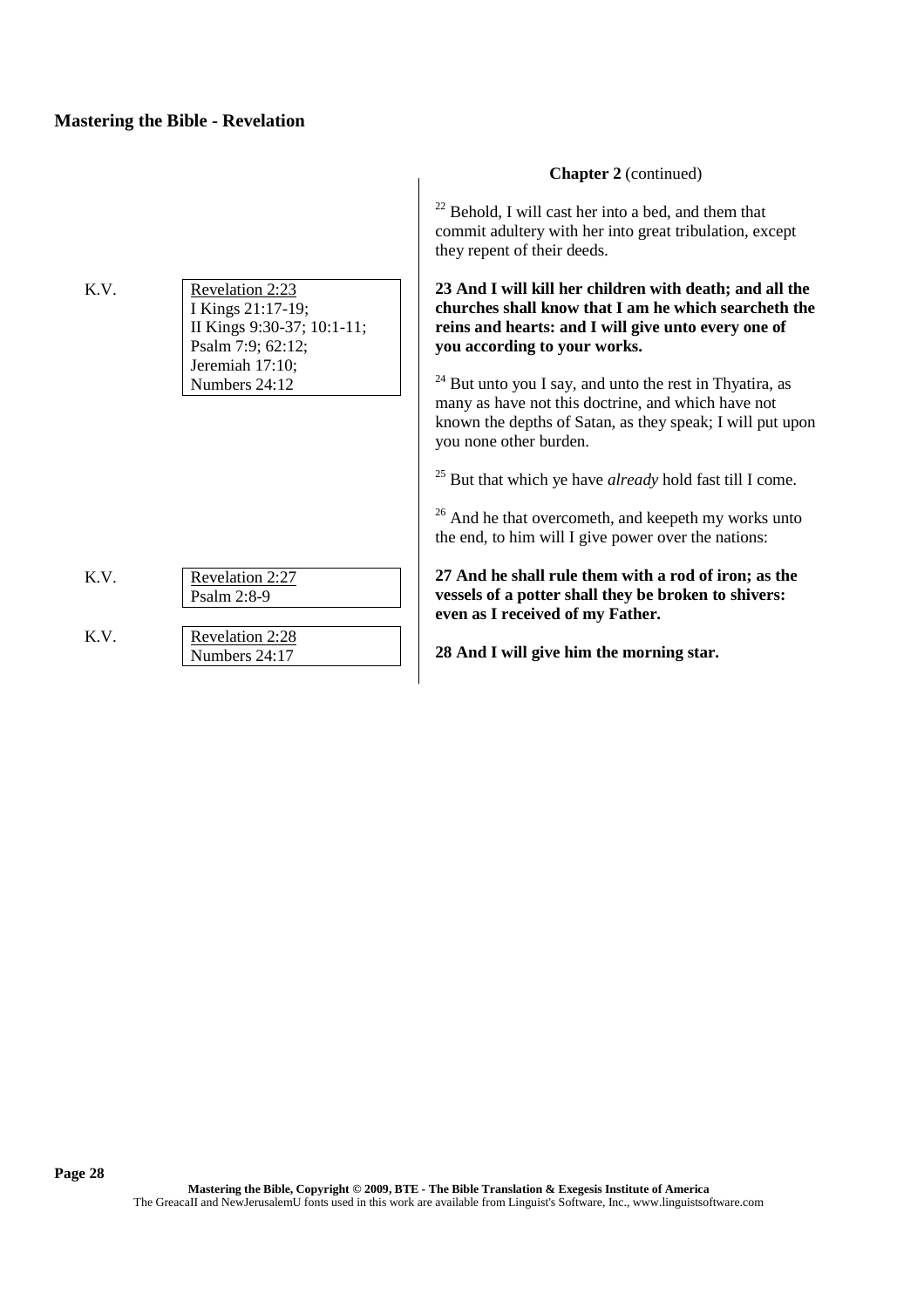K.V. Revelation 2:23 I Kings 21:17-19; II Kings 9:30-37; 10:1-11; Psalm 7:9; 62:12; Jeremiah 17:10; Numbers 24:12

| K.V. | Revelation 2:27 |  |  |
|------|-----------------|--|--|
|      | Psalm $2:8-9$   |  |  |
|      |                 |  |  |
| K V  | Revelation 2:28 |  |  |
|      | Numbers 24:17   |  |  |

## **Chapter 2** (continued)

 $22$  Behold, I will cast her into a bed, and them that commit adultery with her into great tribulation, except they repent of their deeds.

**23 And I will kill her children with death; and all the churches shall know that I am he which searcheth the reins and hearts: and I will give unto every one of you according to your works.**

 $24$  But unto you I say, and unto the rest in Thyatira, as many as have not this doctrine, and which have not known the depths of Satan, as they speak; I will put upon you none other burden.

<sup>25</sup> But that which ye have *already* hold fast till I come.

 $26$  And he that overcometh, and keepeth my works unto the end, to him will I give power over the nations:

**27 And he shall rule them with a rod of iron; as the vessels of a potter shall they be broken to shivers: even as I received of my Father.**

**28 And I will give him the morning star.**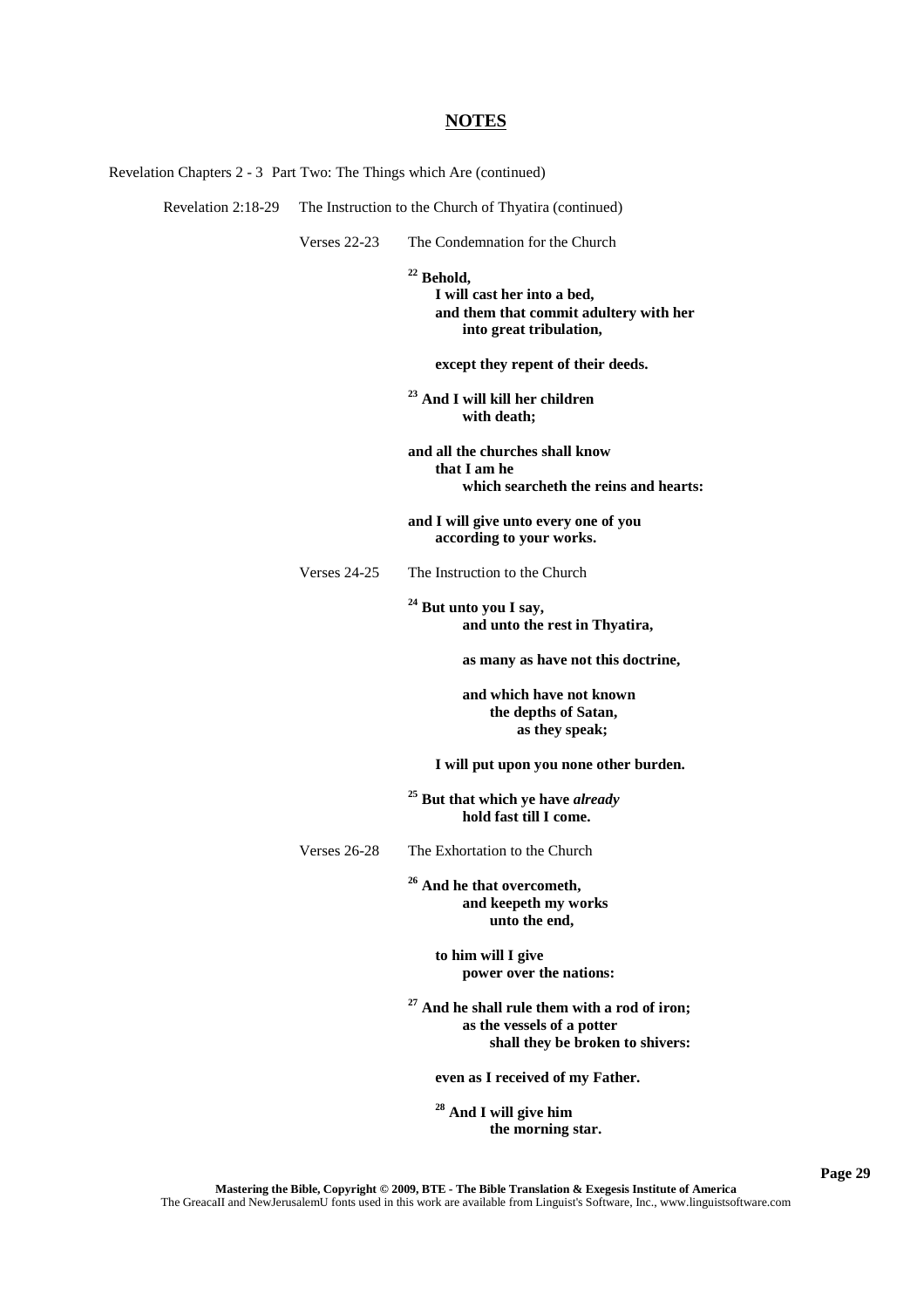| Revelation Chapters 2 - 3 Part Two: The Things which Are (continued) |                                                       |                                                                                                                            |  |
|----------------------------------------------------------------------|-------------------------------------------------------|----------------------------------------------------------------------------------------------------------------------------|--|
| Revelation 2:18-29                                                   | The Instruction to the Church of Thyatira (continued) |                                                                                                                            |  |
|                                                                      | Verses $22-23$                                        | The Condemnation for the Church                                                                                            |  |
|                                                                      |                                                       | $22$ Behold,<br>I will cast her into a bed,<br>and them that commit adultery with her<br>into great tribulation,           |  |
|                                                                      |                                                       | except they repent of their deeds.                                                                                         |  |
|                                                                      |                                                       | <sup>23</sup> And I will kill her children<br>with death;                                                                  |  |
|                                                                      |                                                       | and all the churches shall know<br>that I am he<br>which searcheth the reins and hearts:                                   |  |
|                                                                      |                                                       | and I will give unto every one of you<br>according to your works.                                                          |  |
|                                                                      | <b>Verses 24-25</b>                                   | The Instruction to the Church                                                                                              |  |
|                                                                      |                                                       | <sup>24</sup> But unto you I say,<br>and unto the rest in Thyatira,                                                        |  |
|                                                                      |                                                       | as many as have not this doctrine,                                                                                         |  |
|                                                                      |                                                       | and which have not known<br>the depths of Satan,<br>as they speak;                                                         |  |
|                                                                      |                                                       | I will put upon you none other burden.                                                                                     |  |
|                                                                      |                                                       | <sup>25</sup> But that which ye have already<br>hold fast till I come.                                                     |  |
|                                                                      | Verses 26-28                                          | The Exhortation to the Church                                                                                              |  |
|                                                                      |                                                       | <sup>26</sup> And he that overcometh,<br>and keepeth my works<br>unto the end,                                             |  |
|                                                                      |                                                       | to him will I give<br>power over the nations:                                                                              |  |
|                                                                      |                                                       | <sup>27</sup> And he shall rule them with a rod of iron;<br>as the vessels of a potter<br>shall they be broken to shivers: |  |
|                                                                      |                                                       | even as I received of my Father.                                                                                           |  |
|                                                                      |                                                       | $28$ And I will give him<br>the morning star.                                                                              |  |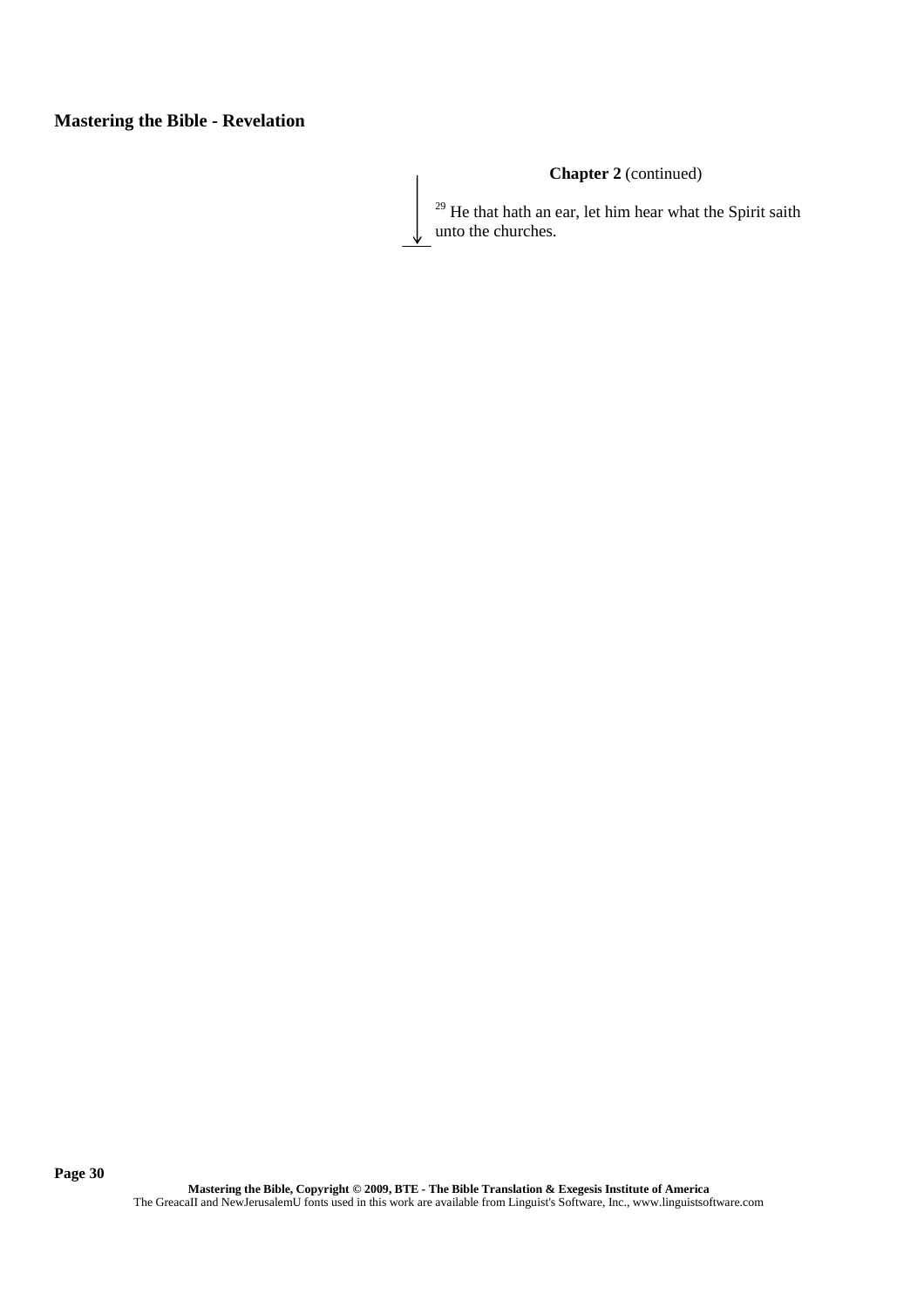**Chapter 2** (continued)

<sup>29</sup> He that hath an ear, let him hear what the Spirit saith unto the churches.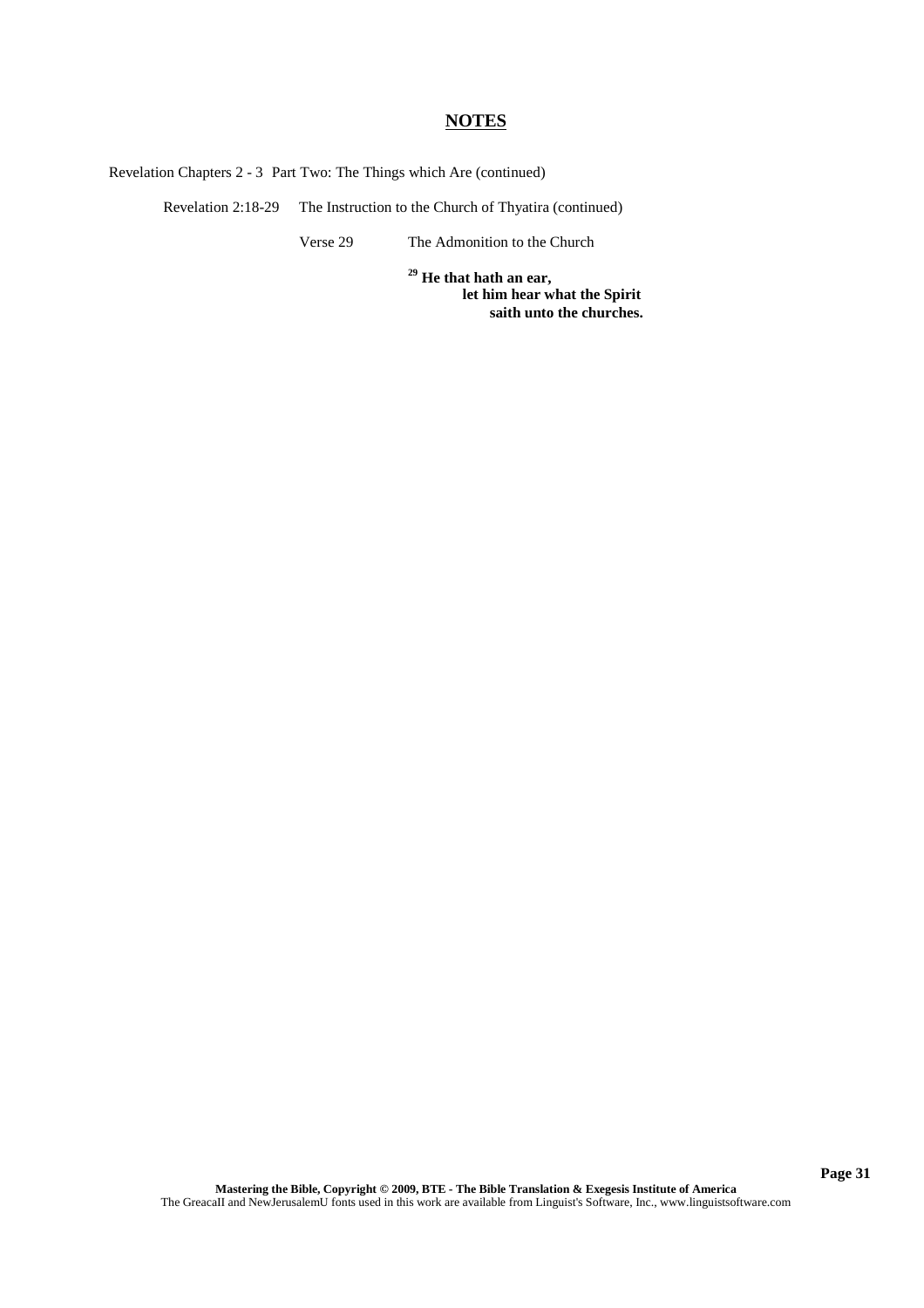Revelation Chapters 2 - 3 Part Two: The Things which Are (continued)

Revelation 2:18-29 The Instruction to the Church of Thyatira (continued)

Verse 29 The Admonition to the Church

**<sup>29</sup> He that hath an ear, let him hear what the Spirit saith unto the churches.**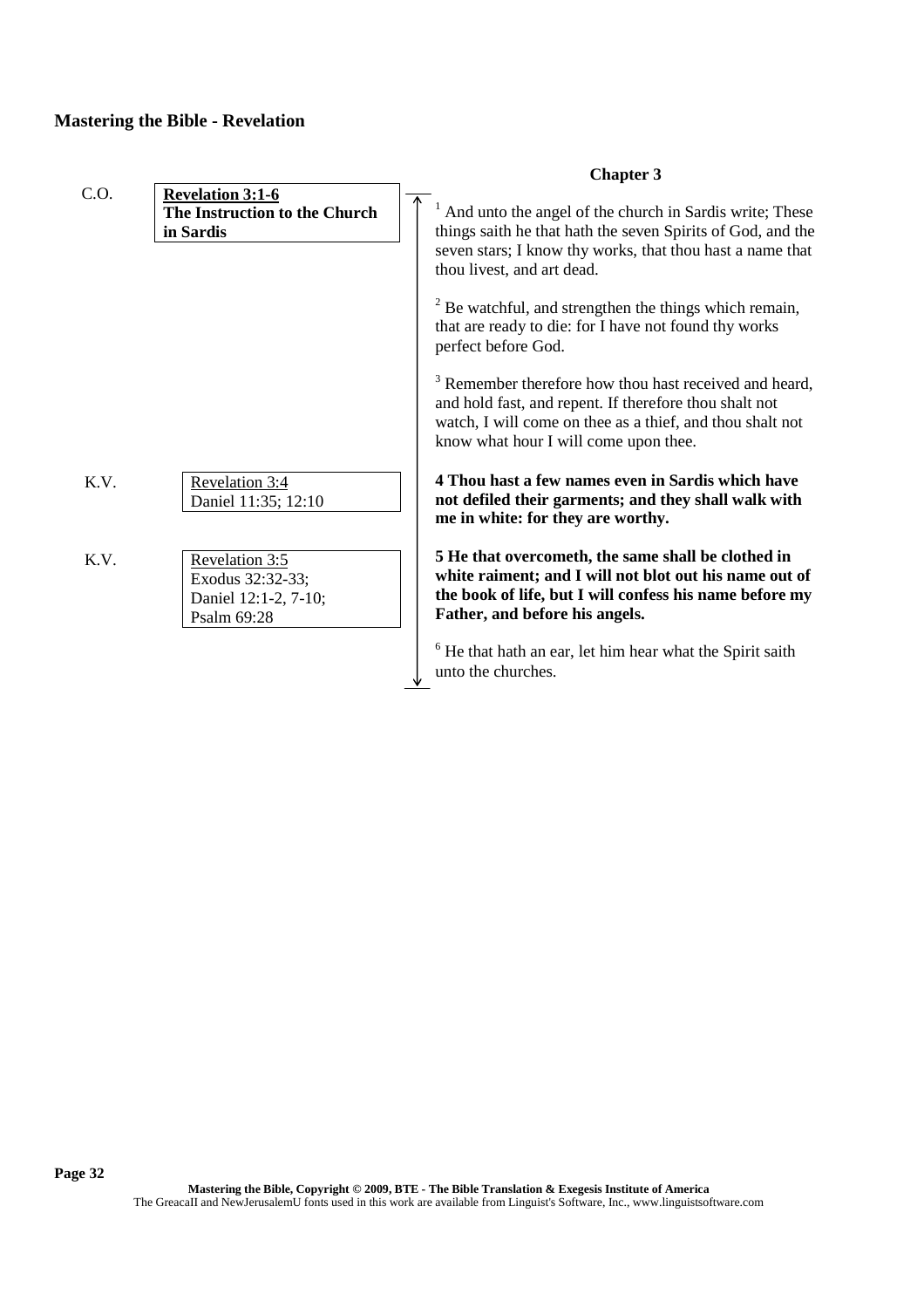|      |                                                                           | <b>Chapter 3</b>                                                                                                                                                                                                                  |
|------|---------------------------------------------------------------------------|-----------------------------------------------------------------------------------------------------------------------------------------------------------------------------------------------------------------------------------|
| C.O. | <b>Revelation 3:1-6</b><br>The Instruction to the Church<br>in Sardis     | And unto the angel of the church in Sardis write; These<br>things saith he that hath the seven Spirits of God, and the<br>seven stars; I know thy works, that thou hast a name that<br>thou livest, and art dead.                 |
|      |                                                                           | $2$ Be watchful, and strengthen the things which remain,<br>that are ready to die: for I have not found thy works<br>perfect before God.                                                                                          |
|      |                                                                           | <sup>3</sup> Remember therefore how thou hast received and heard,<br>and hold fast, and repent. If therefore thou shalt not<br>watch, I will come on thee as a thief, and thou shalt not<br>know what hour I will come upon thee. |
| K.V. | Revelation 3:4<br>Daniel 11:35; 12:10                                     | 4 Thou hast a few names even in Sardis which have<br>not defiled their garments; and they shall walk with<br>me in white: for they are worthy.                                                                                    |
| K.V. | Revelation 3:5<br>Exodus 32:32-33;<br>Daniel 12:1-2, 7-10;<br>Psalm 69:28 | 5 He that overcometh, the same shall be clothed in<br>white raiment; and I will not blot out his name out of<br>the book of life, but I will confess his name before my<br>Father, and before his angels.                         |
|      |                                                                           | $6$ He that hath an ear, let him hear what the Spirit saith<br>unto the churches.                                                                                                                                                 |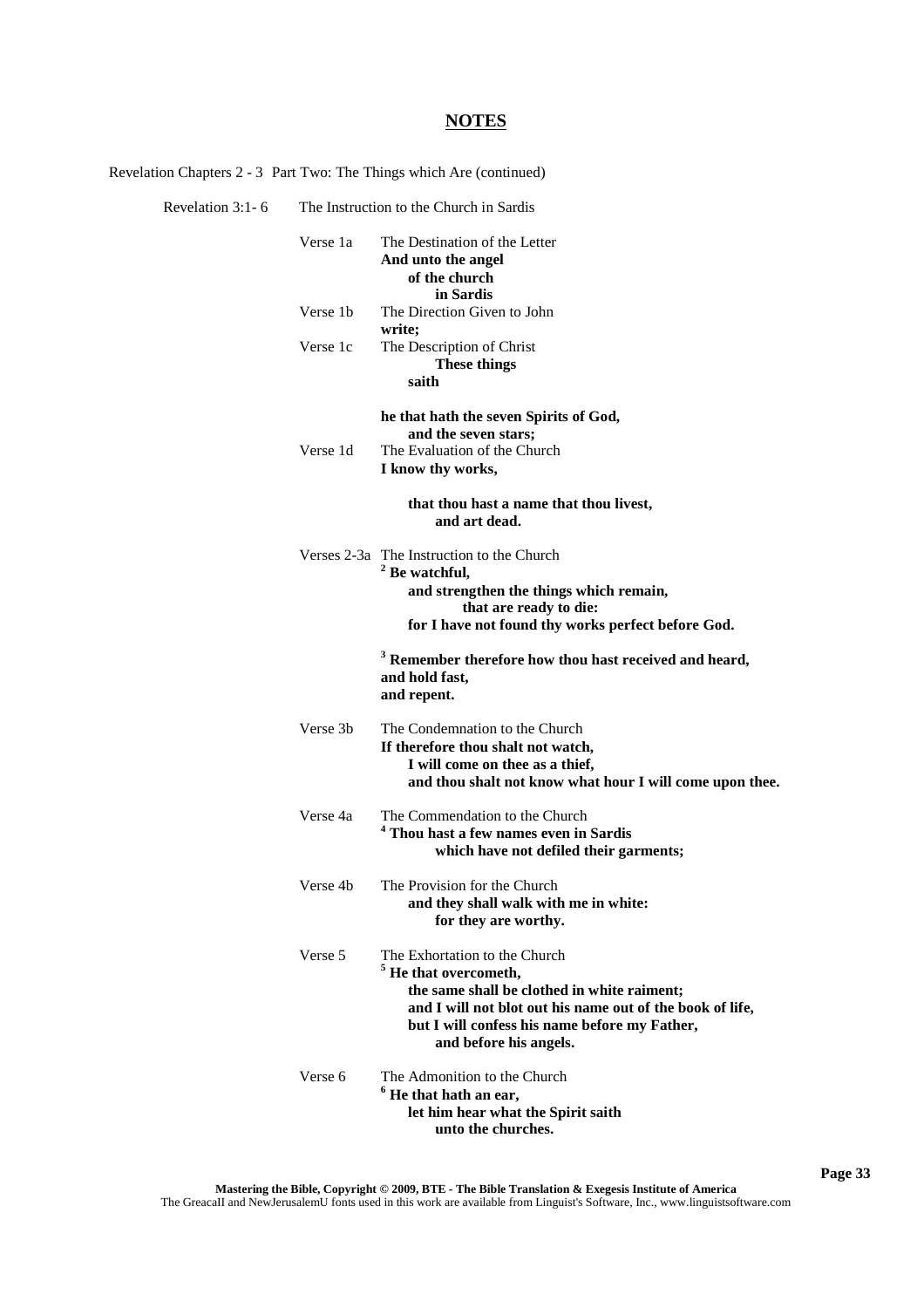| Revelation Chapters 2 - 3 Part Two: The Things which Are (continued) |          |                                                                                                                                                                                                                                                 |
|----------------------------------------------------------------------|----------|-------------------------------------------------------------------------------------------------------------------------------------------------------------------------------------------------------------------------------------------------|
| Revelation $3:1-6$                                                   |          | The Instruction to the Church in Sardis                                                                                                                                                                                                         |
|                                                                      | Verse 1a | The Destination of the Letter<br>And unto the angel<br>of the church<br>in Sardis                                                                                                                                                               |
|                                                                      | Verse 1b | The Direction Given to John<br>write;                                                                                                                                                                                                           |
|                                                                      | Verse 1c | The Description of Christ<br><b>These things</b><br>saith                                                                                                                                                                                       |
|                                                                      |          | he that hath the seven Spirits of God,                                                                                                                                                                                                          |
|                                                                      |          | and the seven stars;                                                                                                                                                                                                                            |
|                                                                      | Verse 1d | The Evaluation of the Church<br>I know thy works,                                                                                                                                                                                               |
|                                                                      |          | that thou hast a name that thou livest,<br>and art dead.                                                                                                                                                                                        |
|                                                                      |          | Verses 2-3a The Instruction to the Church<br>$2$ Be watchful,<br>and strengthen the things which remain,<br>that are ready to die:<br>for I have not found thy works perfect before God.                                                        |
|                                                                      |          | <sup>3</sup> Remember therefore how thou hast received and heard,<br>and hold fast,<br>and repent.                                                                                                                                              |
|                                                                      | Verse 3b | The Condemnation to the Church<br>If therefore thou shalt not watch,<br>I will come on thee as a thief,<br>and thou shalt not know what hour I will come upon thee.                                                                             |
|                                                                      | Verse 4a | The Commendation to the Church<br><sup>4</sup> Thou hast a few names even in Sardis<br>which have not defiled their garments;                                                                                                                   |
|                                                                      | Verse 4b | The Provision for the Church<br>and they shall walk with me in white:<br>for they are worthy.                                                                                                                                                   |
|                                                                      | Verse 5  | The Exhortation to the Church<br>$5$ He that overcometh,<br>the same shall be clothed in white raiment;<br>and I will not blot out his name out of the book of life,<br>but I will confess his name before my Father,<br>and before his angels. |
|                                                                      | Verse 6  | The Admonition to the Church<br>$6$ He that hath an ear,<br>let him hear what the Spirit saith<br>unto the churches.                                                                                                                            |

**Page 33**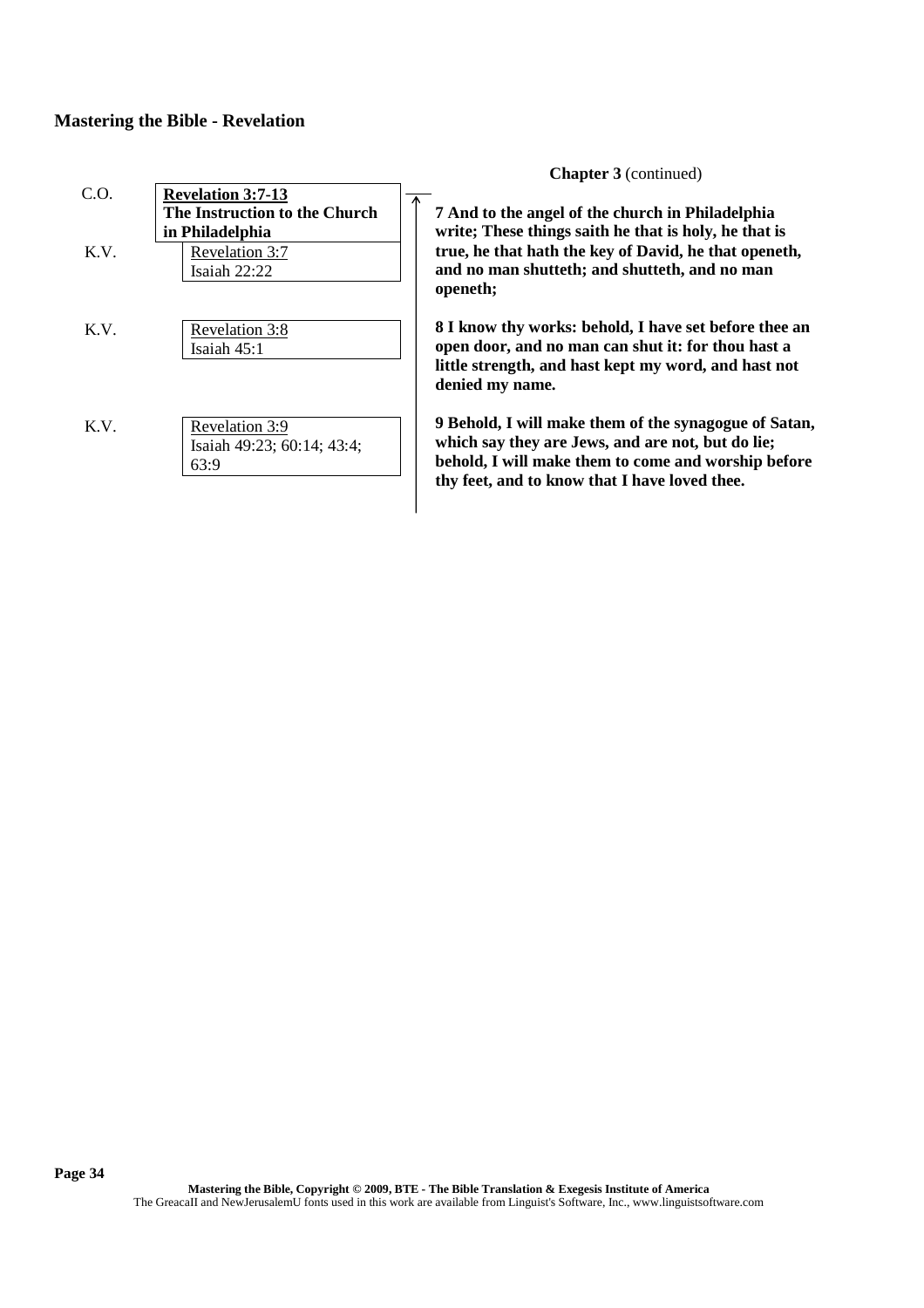|                |                                                                              | <b>Chapter 3</b> (continued)                                                                                                                                                                                       |
|----------------|------------------------------------------------------------------------------|--------------------------------------------------------------------------------------------------------------------------------------------------------------------------------------------------------------------|
| $C_{\cdot}$ O. | <b>Revelation 3:7-13</b><br>The Instruction to the Church<br>in Philadelphia | 7 And to the angel of the church in Philadelphia<br>write; These things saith he that is holy, he that is                                                                                                          |
| K.V.           | Revelation 3:7<br>Isaiah 22:22                                               | true, he that hath the key of David, he that openeth,<br>and no man shutteth; and shutteth, and no man<br>openeth;                                                                                                 |
| K.V.           | Revelation 3:8<br>Isaiah $45:1$                                              | 8 I know thy works: behold, I have set before thee an<br>open door, and no man can shut it: for thou hast a<br>little strength, and hast kept my word, and hast not<br>denied my name.                             |
| K.V.           | Revelation 3:9<br>Isaiah 49:23; 60:14; 43:4;<br>63:9                         | 9 Behold, I will make them of the synagogue of Satan,<br>which say they are Jews, and are not, but do lie;<br>behold, I will make them to come and worship before<br>thy feet, and to know that I have loved thee. |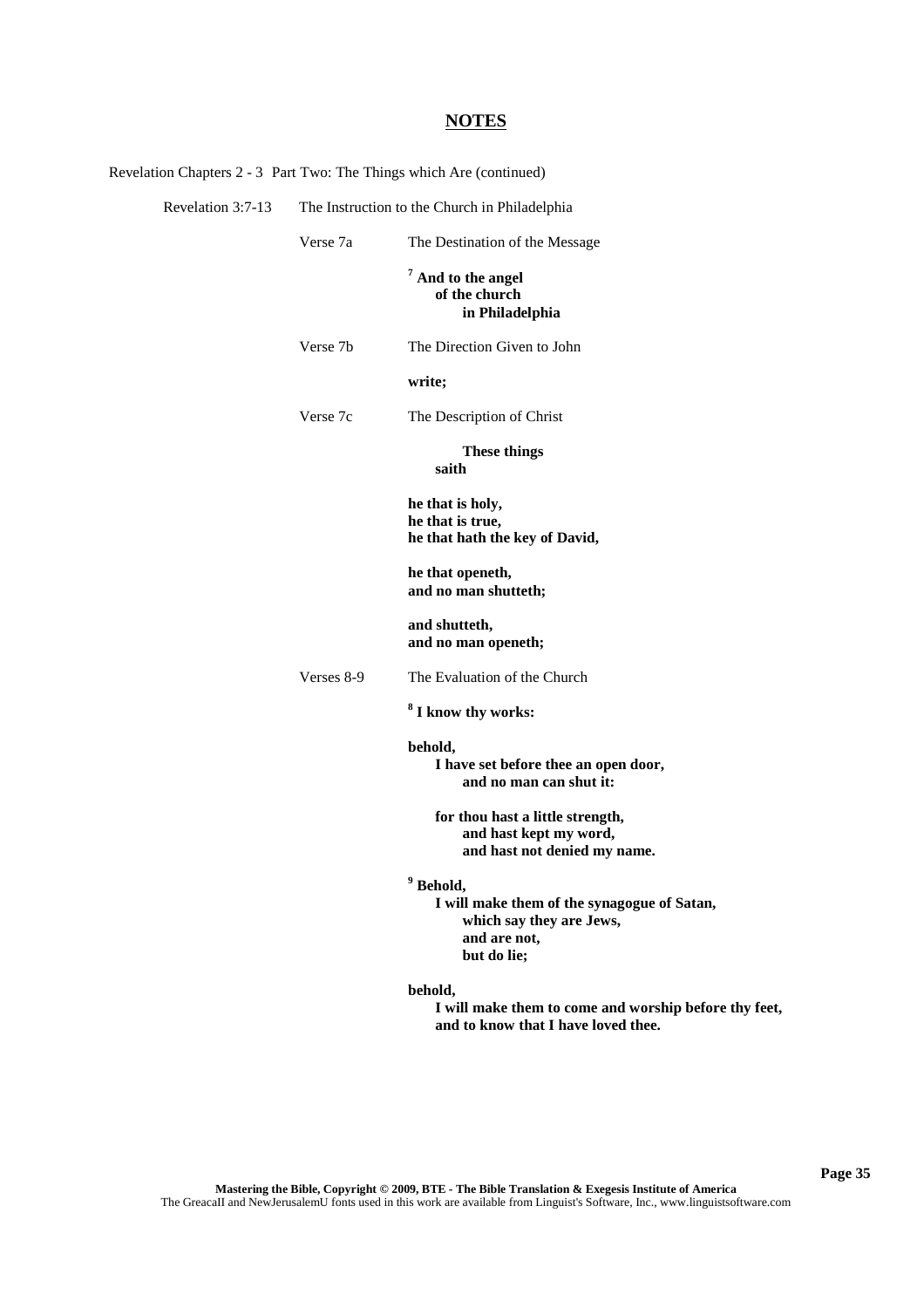| Revelation Chapters 2 - 3 Part Two: The Things which Are (continued) |            |                                                                                                                                |  |  |
|----------------------------------------------------------------------|------------|--------------------------------------------------------------------------------------------------------------------------------|--|--|
| Revelation 3:7-13                                                    |            | The Instruction to the Church in Philadelphia                                                                                  |  |  |
|                                                                      | Verse 7a   | The Destination of the Message                                                                                                 |  |  |
|                                                                      |            | $7$ And to the angel<br>of the church<br>in Philadelphia                                                                       |  |  |
|                                                                      | Verse 7b   | The Direction Given to John                                                                                                    |  |  |
|                                                                      |            | write;                                                                                                                         |  |  |
|                                                                      | Verse 7c   | The Description of Christ                                                                                                      |  |  |
|                                                                      |            | <b>These things</b><br>saith                                                                                                   |  |  |
|                                                                      |            | he that is holy,<br>he that is true,<br>he that hath the key of David,                                                         |  |  |
|                                                                      |            | he that openeth,<br>and no man shutteth;                                                                                       |  |  |
|                                                                      |            | and shutteth,<br>and no man openeth;                                                                                           |  |  |
|                                                                      | Verses 8-9 | The Evaluation of the Church                                                                                                   |  |  |
|                                                                      |            | <sup>8</sup> I know thy works:                                                                                                 |  |  |
|                                                                      |            | behold,<br>I have set before thee an open door,<br>and no man can shut it:                                                     |  |  |
|                                                                      |            | for thou hast a little strength,<br>and hast kept my word,<br>and hast not denied my name.                                     |  |  |
|                                                                      |            | <sup>9</sup> Behold,<br>I will make them of the synagogue of Satan,<br>which say they are Jews,<br>and are not,<br>but do lie; |  |  |
|                                                                      |            | behold,<br>I will make them to come and worship before thy feet,<br>and to know that I have loved thee.                        |  |  |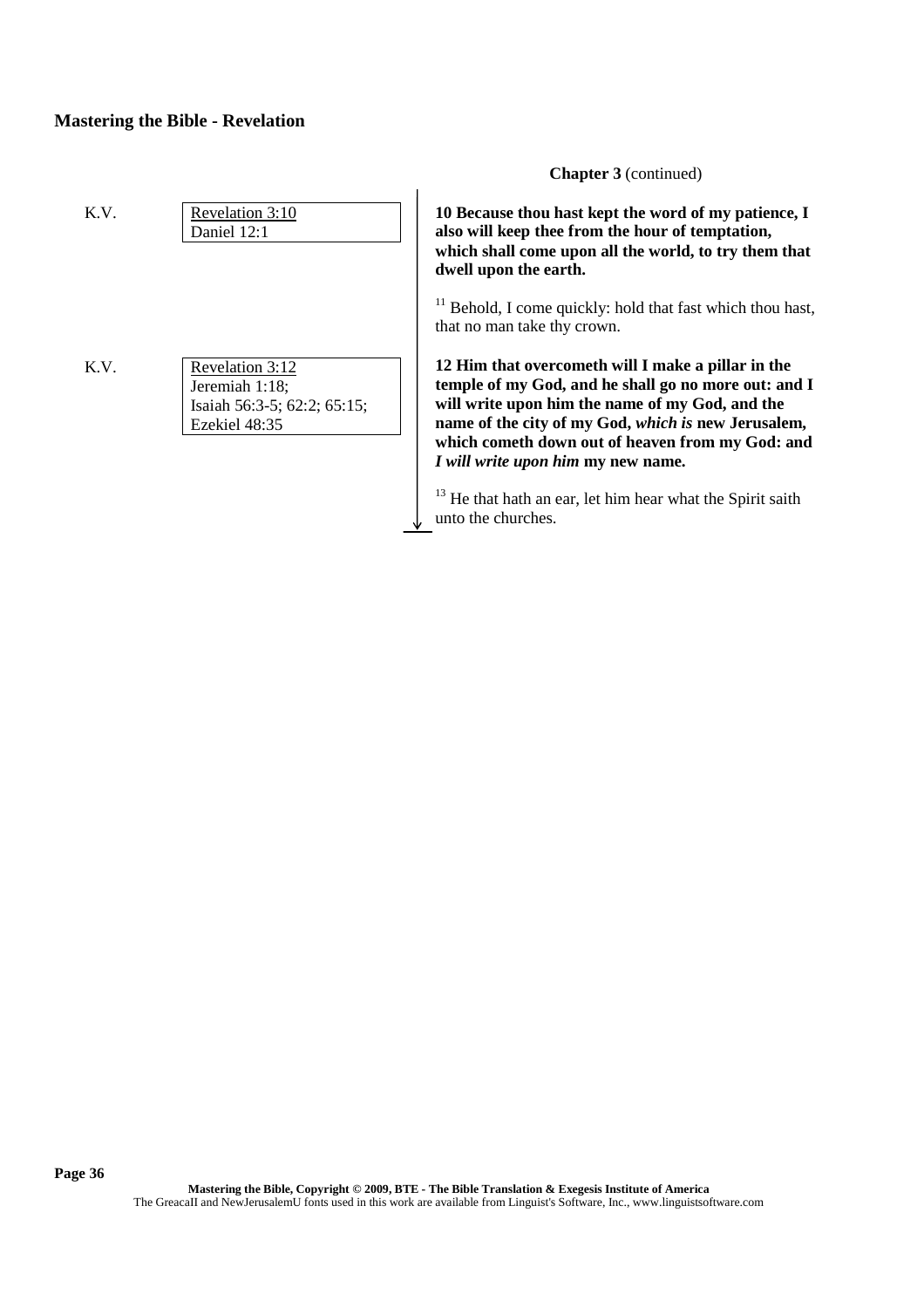**Chapter 3** (continued)

**10 Because thou hast kept the word of my patience, I also will keep thee from the hour of temptation, which shall come upon all the world, to try them that dwell upon the earth.**

Behold, I come quickly: hold that fast which thou hast, at no man take thy crown.

**12 Him that overcometh will I make a pillar in the** emple of my God, and he shall go no more out: and I **will write upon him the name of my God, and the name of the city of my God,** *which is* **new Jerusalem, which cometh down out of heaven from my God: and** *I will write upon him* **my new name.**

<sup>13</sup> He that hath an ear, let him hear what the Spirit saith unto the churches.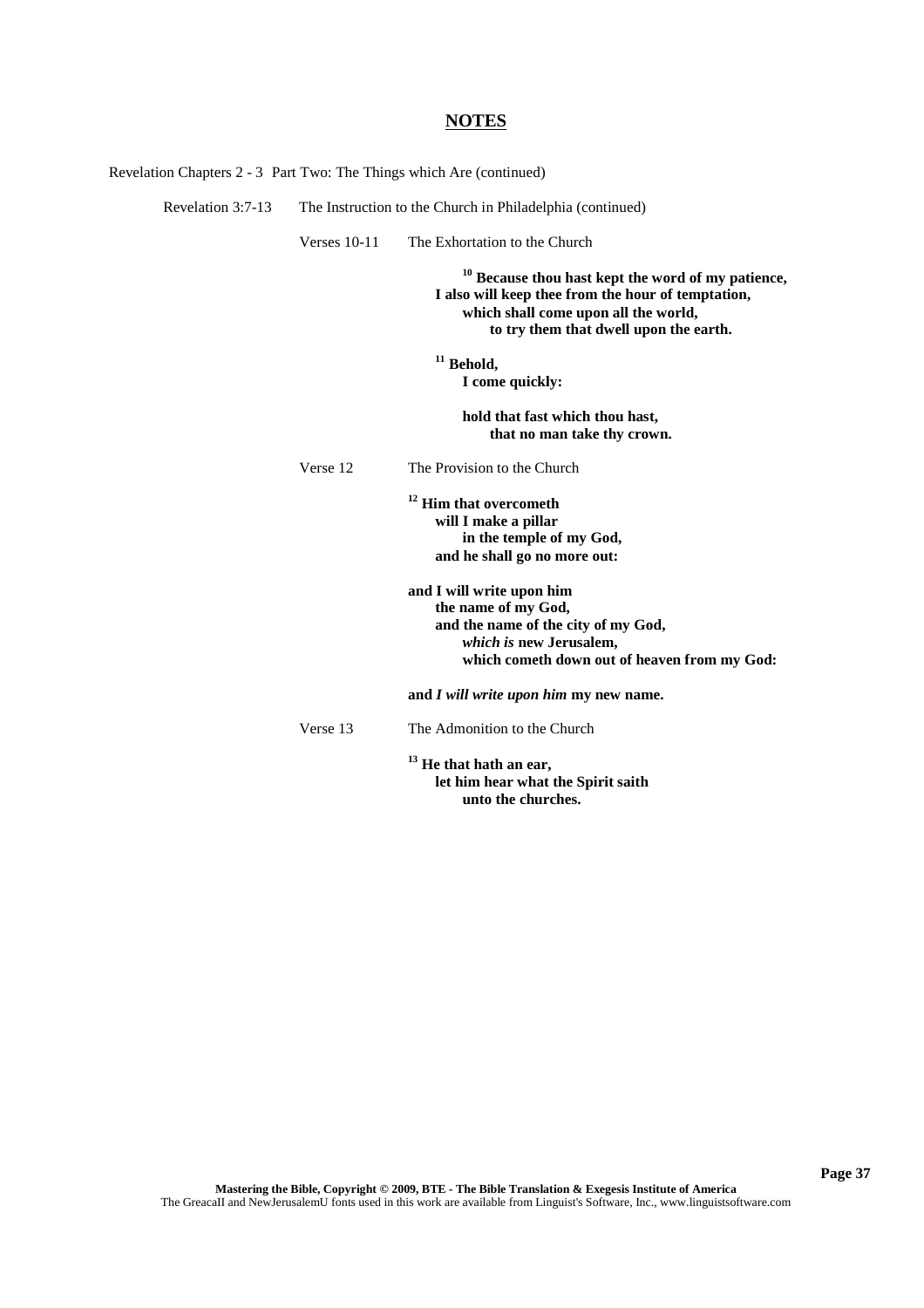| Revelation Chapters 2 - 3 Part Two: The Things which Are (continued) |                |                                                                                                                                                                                              |
|----------------------------------------------------------------------|----------------|----------------------------------------------------------------------------------------------------------------------------------------------------------------------------------------------|
| Revelation 3:7-13                                                    |                | The Instruction to the Church in Philadelphia (continued)                                                                                                                                    |
|                                                                      | Verses $10-11$ | The Exhortation to the Church                                                                                                                                                                |
|                                                                      |                | $10$ Because thou hast kept the word of my patience,<br>I also will keep thee from the hour of temptation,<br>which shall come upon all the world,<br>to try them that dwell upon the earth. |
|                                                                      |                | $11$ Behold,<br>I come quickly:                                                                                                                                                              |
|                                                                      |                | hold that fast which thou hast,<br>that no man take thy crown.                                                                                                                               |
|                                                                      | Verse 12       | The Provision to the Church                                                                                                                                                                  |
|                                                                      |                | <sup>12</sup> Him that overcometh<br>will I make a pillar<br>in the temple of my God,<br>and he shall go no more out:                                                                        |
|                                                                      |                | and I will write upon him<br>the name of my God,<br>and the name of the city of my God,<br>which is new Jerusalem,<br>which cometh down out of heaven from my God:                           |
|                                                                      |                | and I will write upon him my new name.                                                                                                                                                       |
|                                                                      | Verse 13       | The Admonition to the Church                                                                                                                                                                 |
|                                                                      |                | $13$ He that hath an ear,<br>let him hear what the Spirit saith<br>unto the churches.                                                                                                        |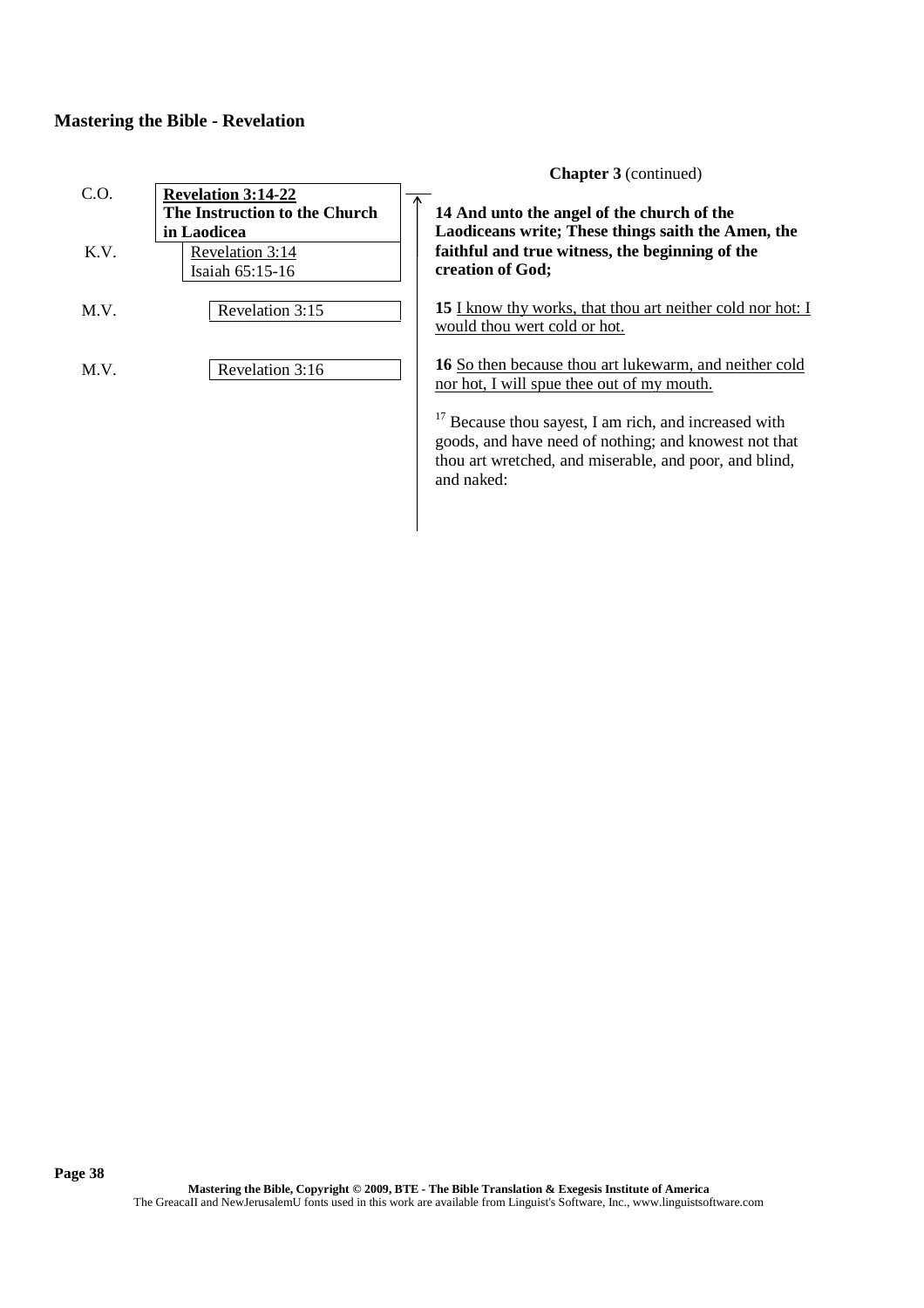|      |                                                                           | <b>Chapter 3</b> (continued)                                                                                  |
|------|---------------------------------------------------------------------------|---------------------------------------------------------------------------------------------------------------|
| C.0. | <b>Revelation 3:14-22</b><br>The Instruction to the Church<br>in Laodicea | $\Lambda$<br>14 And unto the angel of the church of the<br>Laodiceans write; These things saith the Amen, the |
| K.V. | Revelation 3:14<br>Isaiah 65:15-16                                        | faithful and true witness, the beginning of the<br>creation of God;                                           |
| M.V. | Revelation 3:15                                                           | 15 I know thy works, that thou art neither cold nor hot: I<br>would thou wert cold or hot.                    |
| M.V. | Revelation 3:16                                                           | 16 So then because thou art lukewarm, and neither cold<br>nor hot, I will spue thee out of my mouth.          |

 $17$  Because thou sayest, I am rich, and increased with goods, and have need of nothing; and knowest not that thou art wretched, and miserable, and poor, and blind, and naked: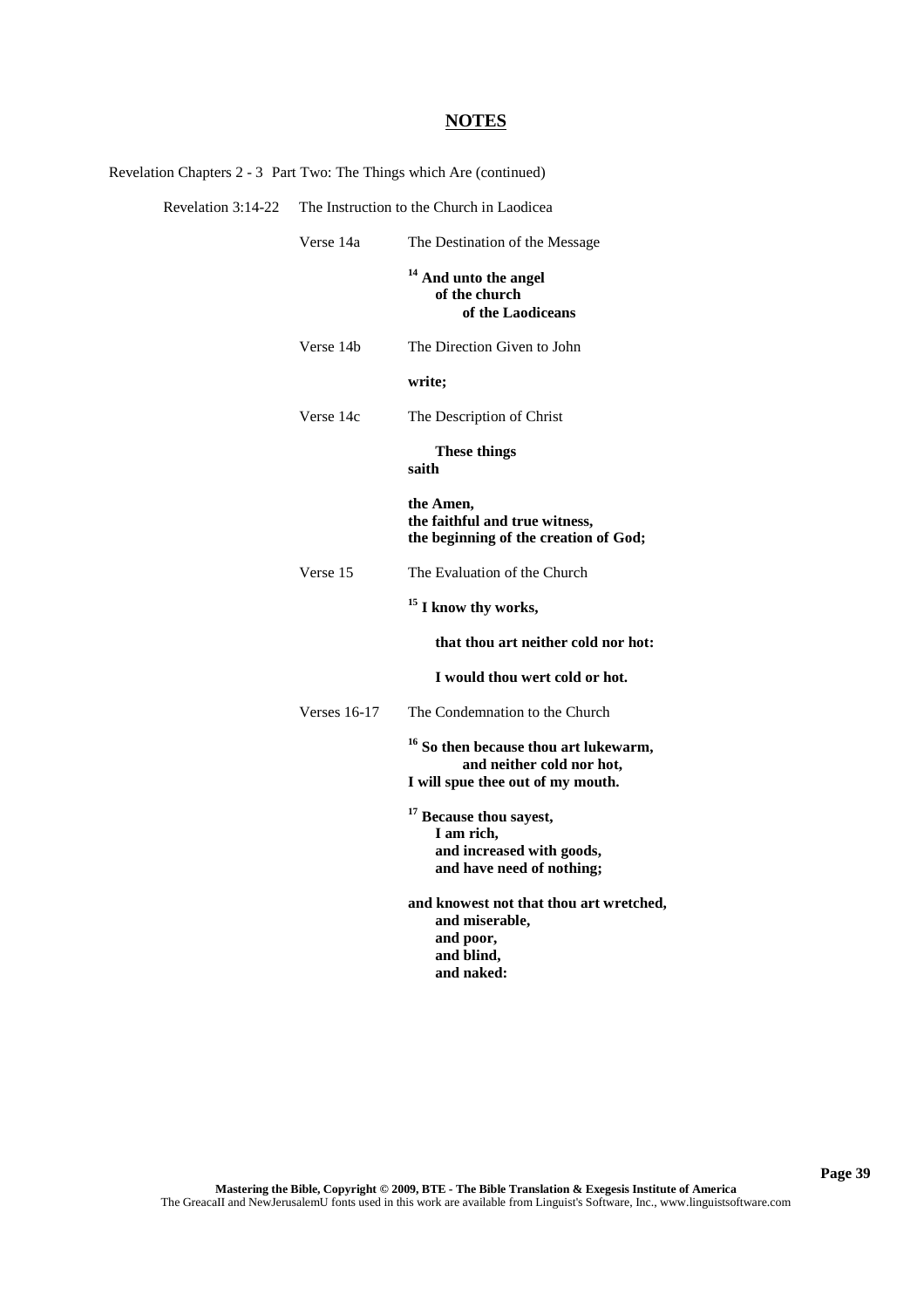| Revelation Chapters 2 - 3 Part Two: The Things which Are (continued) |                     |                                                                                                                    |
|----------------------------------------------------------------------|---------------------|--------------------------------------------------------------------------------------------------------------------|
| Revelation 3:14-22                                                   |                     | The Instruction to the Church in Laodicea                                                                          |
|                                                                      | Verse 14a           | The Destination of the Message                                                                                     |
|                                                                      |                     | 14<br>And unto the angel<br>of the church<br>of the Laodiceans                                                     |
|                                                                      | Verse 14b           | The Direction Given to John                                                                                        |
|                                                                      |                     | write;                                                                                                             |
|                                                                      | Verse 14c           | The Description of Christ                                                                                          |
|                                                                      |                     | <b>These things</b><br>saith                                                                                       |
|                                                                      |                     | the Amen,<br>the faithful and true witness,<br>the beginning of the creation of God;                               |
|                                                                      | Verse 15            | The Evaluation of the Church                                                                                       |
|                                                                      |                     | <sup>15</sup> I know thy works,                                                                                    |
|                                                                      |                     | that thou art neither cold nor hot:                                                                                |
|                                                                      |                     | I would thou wert cold or hot.                                                                                     |
|                                                                      | <b>Verses 16-17</b> | The Condemnation to the Church                                                                                     |
|                                                                      |                     | <sup>16</sup> So then because thou art lukewarm,<br>and neither cold nor hot,<br>I will spue thee out of my mouth. |
|                                                                      |                     | <sup>17</sup> Because thou sayest,<br>I am rich,<br>and increased with goods,<br>and have need of nothing;         |
|                                                                      |                     | and knowest not that thou art wretched,<br>and miserable,<br>and poor,<br>and blind,<br>and naked:                 |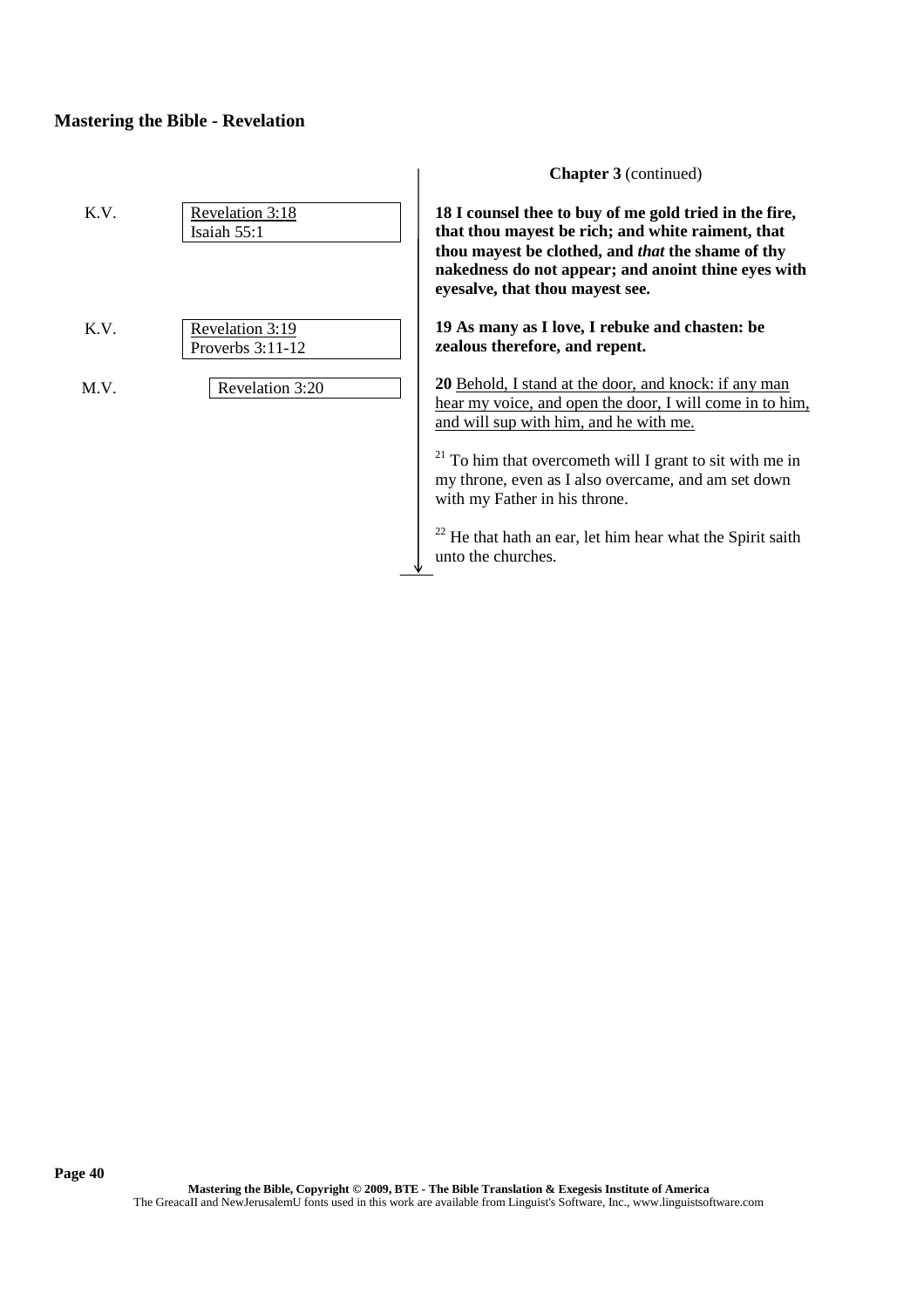| K.V. | Revelation 3:18  | 18              |
|------|------------------|-----------------|
|      | Isaiah 55:1      | th              |
|      |                  | th              |
|      |                  | n:              |
|      |                  | ey              |
| K.V. | Revelation 3:19  | 19              |
|      | Proverbs 3:11-12 | Z <sub>C</sub>  |
|      |                  |                 |
| M.V. | Revelation 3:20  | 2 <sub>0</sub>  |
|      |                  | <u>he</u>       |
|      |                  | $\overline{ar}$ |
|      |                  | 21              |
|      |                  | m               |

**Chapter 3** (continued)

**18 I counsel thee to buy of me gold tried in the fire, that thou mayest be rich; and white raiment, that thou mayest be clothed, and** *that* **the shame of thy nakedness do not appear; and anoint thine eyes with eyesalve, that thou mayest see.**

**19 As many as I love, I rebuke and chasten: be zealous therefore, and repent.**

**20** Behold, I stand at the door, and knock: if any man ear my voice, and open the door, I will come in to him, and will sup with him, and he with me.

<sup>21</sup> To him that overcometh will I grant to sit with me in my throne, even as I also overcame, and am set down with my Father in his throne.

 $22$  He that hath an ear, let him hear what the Spirit saith unto the churches.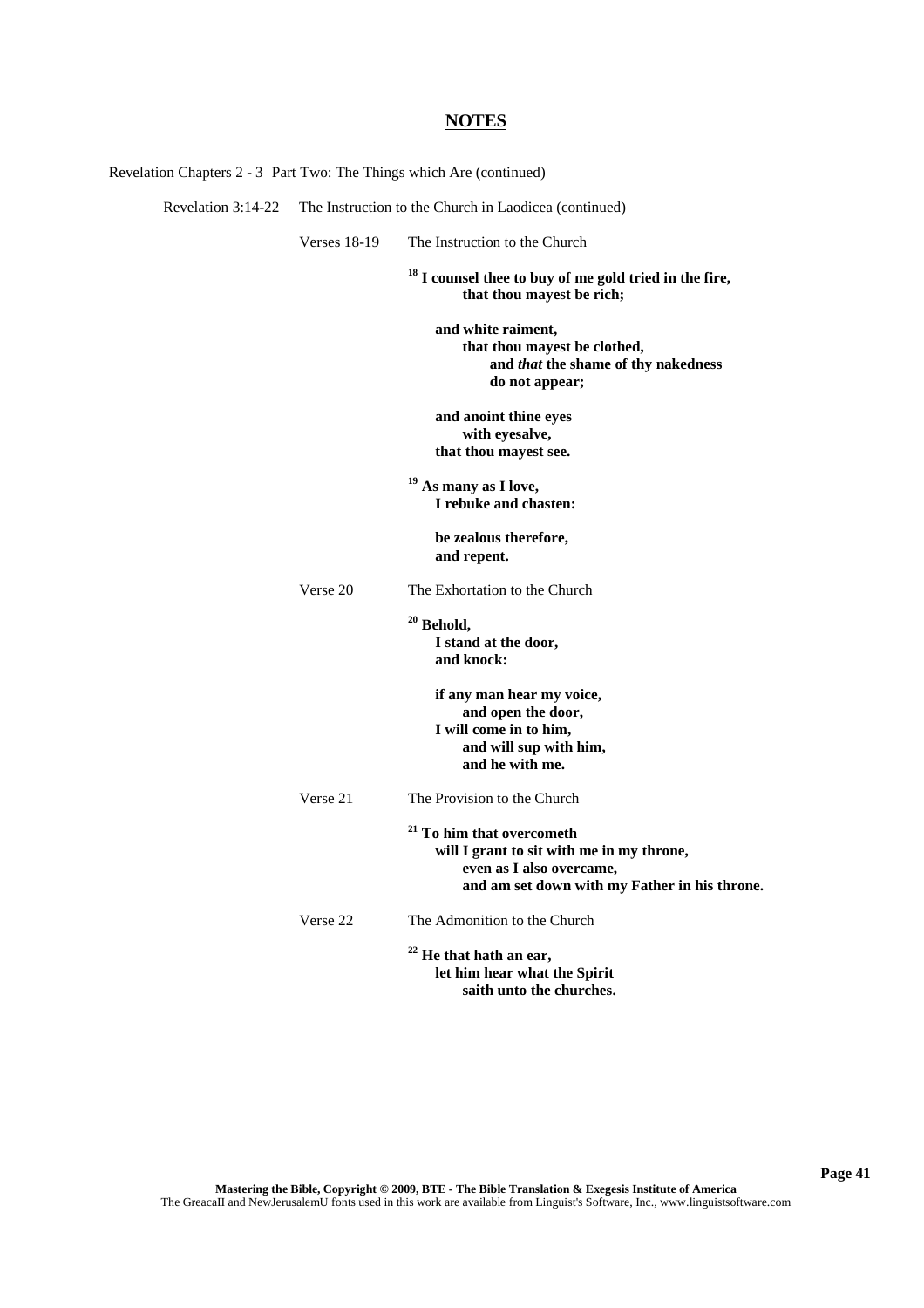| Revelation Chapters 2 - 3 Part Two: The Things which Are (continued) |                     |                                                                                                                                                                |
|----------------------------------------------------------------------|---------------------|----------------------------------------------------------------------------------------------------------------------------------------------------------------|
| Revelation 3:14-22                                                   |                     | The Instruction to the Church in Laodicea (continued)                                                                                                          |
|                                                                      | <b>Verses 18-19</b> | The Instruction to the Church                                                                                                                                  |
|                                                                      |                     | <sup>18</sup> I counsel thee to buy of me gold tried in the fire,<br>that thou mayest be rich;                                                                 |
|                                                                      |                     | and white raiment,<br>that thou mayest be clothed,<br>and that the shame of thy nakedness<br>do not appear;                                                    |
|                                                                      |                     | and anoint thine eyes<br>with eyesalve,<br>that thou mayest see.                                                                                               |
|                                                                      |                     | <sup>19</sup> As many as I love,<br>I rebuke and chasten:                                                                                                      |
|                                                                      |                     | be zealous therefore,<br>and repent.                                                                                                                           |
|                                                                      | Verse 20            | The Exhortation to the Church                                                                                                                                  |
|                                                                      |                     | $20$ Behold,<br>I stand at the door,<br>and knock:                                                                                                             |
|                                                                      |                     | if any man hear my voice,<br>and open the door,<br>I will come in to him,<br>and will sup with him,<br>and he with me.                                         |
|                                                                      | Verse 21            | The Provision to the Church                                                                                                                                    |
|                                                                      |                     | <sup>21</sup> To him that overcometh<br>will I grant to sit with me in my throne,<br>even as I also overcame,<br>and am set down with my Father in his throne. |
|                                                                      | Verse 22            | The Admonition to the Church                                                                                                                                   |
|                                                                      |                     | $22$ He that hath an ear,<br>let him hear what the Spirit<br>saith unto the churches.                                                                          |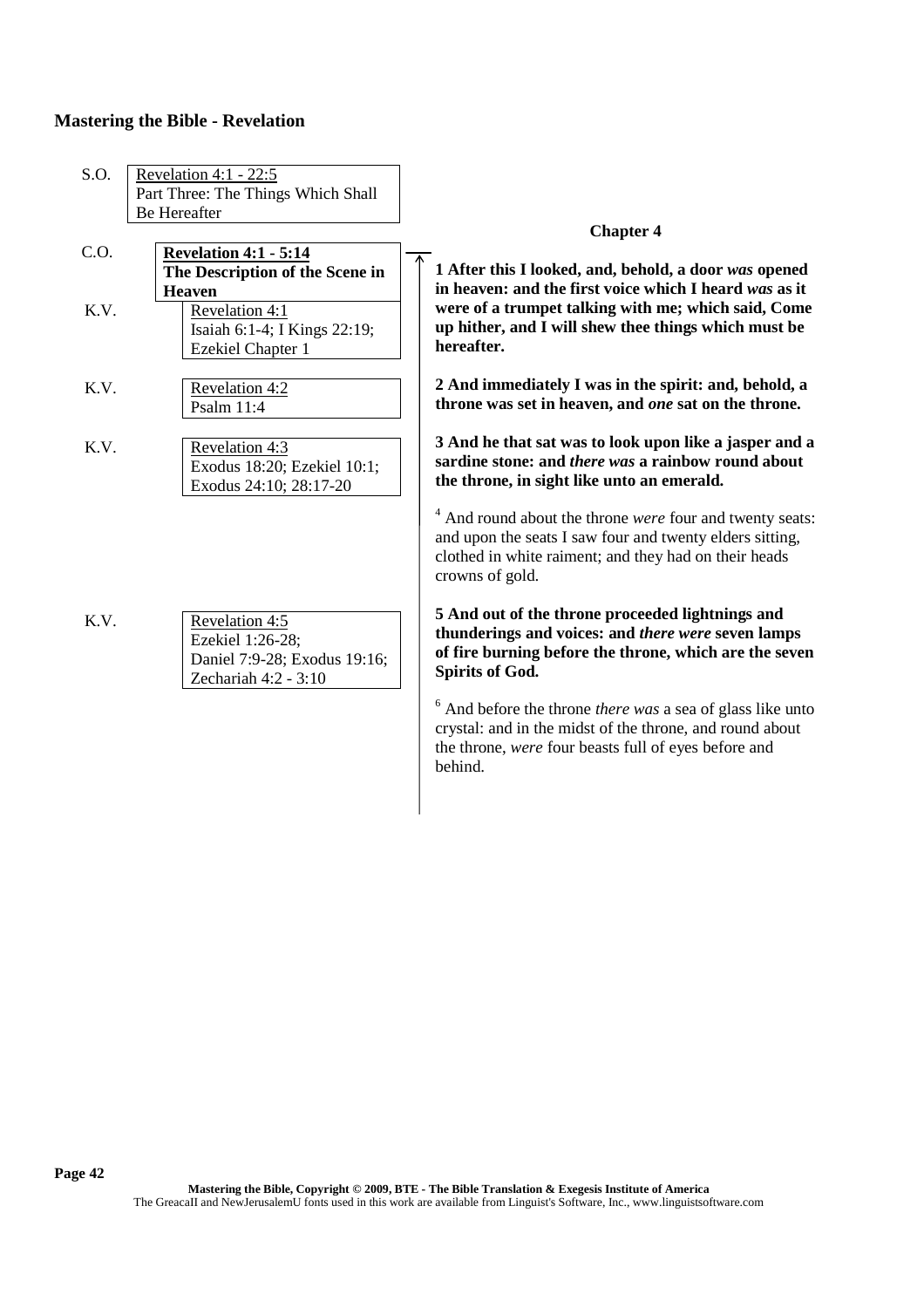| S.O. | Revelation 4:1 - 22:5<br>Part Three: The Things Which Shall<br><b>Be Hereafter</b>         |                                                                                                                                                                                                                    |
|------|--------------------------------------------------------------------------------------------|--------------------------------------------------------------------------------------------------------------------------------------------------------------------------------------------------------------------|
|      |                                                                                            | <b>Chapter 4</b>                                                                                                                                                                                                   |
| C.O. | <b>Revelation 4:1 - 5:14</b><br>The Description of the Scene in<br><b>Heaven</b>           | 1 After this I looked, and, behold, a door was opened<br>in heaven: and the first voice which I heard was as it                                                                                                    |
| K.V. | Revelation 4:1<br>Isaiah 6:1-4; I Kings 22:19;<br>Ezekiel Chapter 1                        | were of a trumpet talking with me; which said, Come<br>up hither, and I will shew thee things which must be<br>hereafter.                                                                                          |
| K.V. | Revelation 4:2<br>Psalm $11:4$                                                             | 2 And immediately I was in the spirit: and, behold, a<br>throne was set in heaven, and one sat on the throne.                                                                                                      |
| K.V. | Revelation 4:3<br>Exodus 18:20; Ezekiel 10:1;<br>Exodus 24:10; 28:17-20                    | 3 And he that sat was to look upon like a jasper and a<br>sardine stone: and <i>there was</i> a rainbow round about<br>the throne, in sight like unto an emerald.                                                  |
|      |                                                                                            | <sup>4</sup> And round about the throne <i>were</i> four and twenty seats:<br>and upon the seats I saw four and twenty elders sitting,<br>clothed in white raiment; and they had on their heads<br>crowns of gold. |
| K.V. | Revelation 4:5<br>Ezekiel 1:26-28;<br>Daniel 7:9-28; Exodus 19:16;<br>Zechariah 4:2 - 3:10 | 5 And out of the throne proceeded lightnings and<br>thunderings and voices: and there were seven lamps<br>of fire burning before the throne, which are the seven<br><b>Spirits of God.</b>                         |
|      |                                                                                            | $6$ And before the throne <i>there was</i> a sea of glass like unto<br>crystal: and in the midst of the throne, and round about<br>the throne, were four beasts full of eyes before and<br>behind.                 |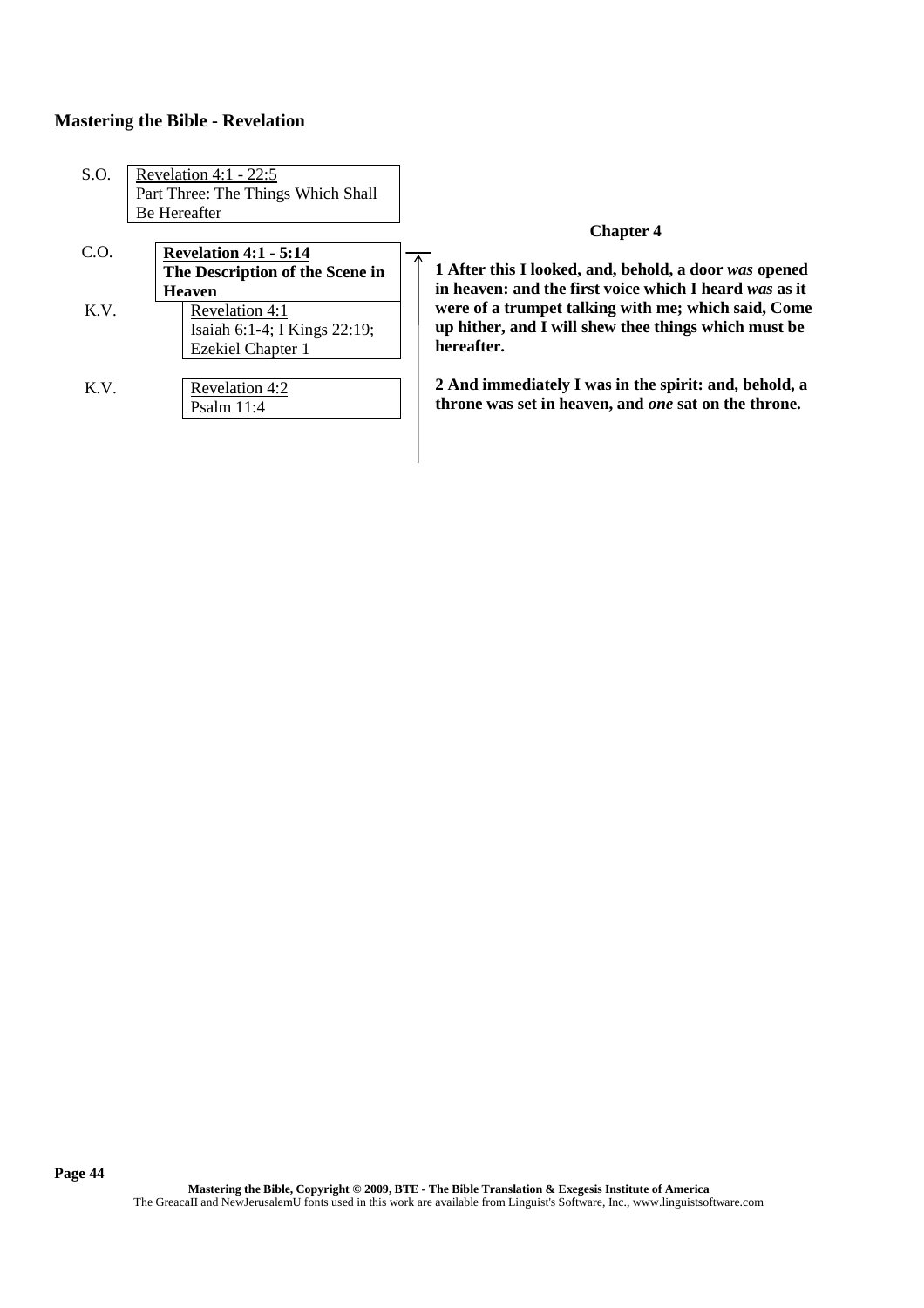| S.O.                          | Revelation 4:1 - $22:5$<br>Part Three: The Things Which Shall<br><b>Be Hereafter</b> |                                                        |
|-------------------------------|--------------------------------------------------------------------------------------|--------------------------------------------------------|
|                               |                                                                                      | <b>Chapter 4</b>                                       |
| C <sub>1</sub> O <sub>2</sub> | <b>Revelation 4:1 - 5:14</b>                                                         |                                                        |
|                               | The Description of the Scene in                                                      | 1 After this I looked, and, behold, a door was opened  |
|                               | <b>Heaven</b>                                                                        | in heaven: and the first voice which I heard was as it |
| K.V.                          | Revelation 4:1                                                                       | were of a trumpet talking with me; which said, Come    |
|                               | Isaiah 6:1-4; I Kings 22:19;                                                         | up hither, and I will shew thee things which must be   |
|                               | Ezekiel Chapter 1                                                                    | hereafter.                                             |
|                               |                                                                                      |                                                        |
| K.V.                          | Revelation 4:2                                                                       | 2 And immediately I was in the spirit: and, behold, a  |
|                               | Psalm $11:4$                                                                         | throne was set in heaven, and one sat on the throne.   |
|                               |                                                                                      |                                                        |
|                               |                                                                                      |                                                        |
|                               |                                                                                      |                                                        |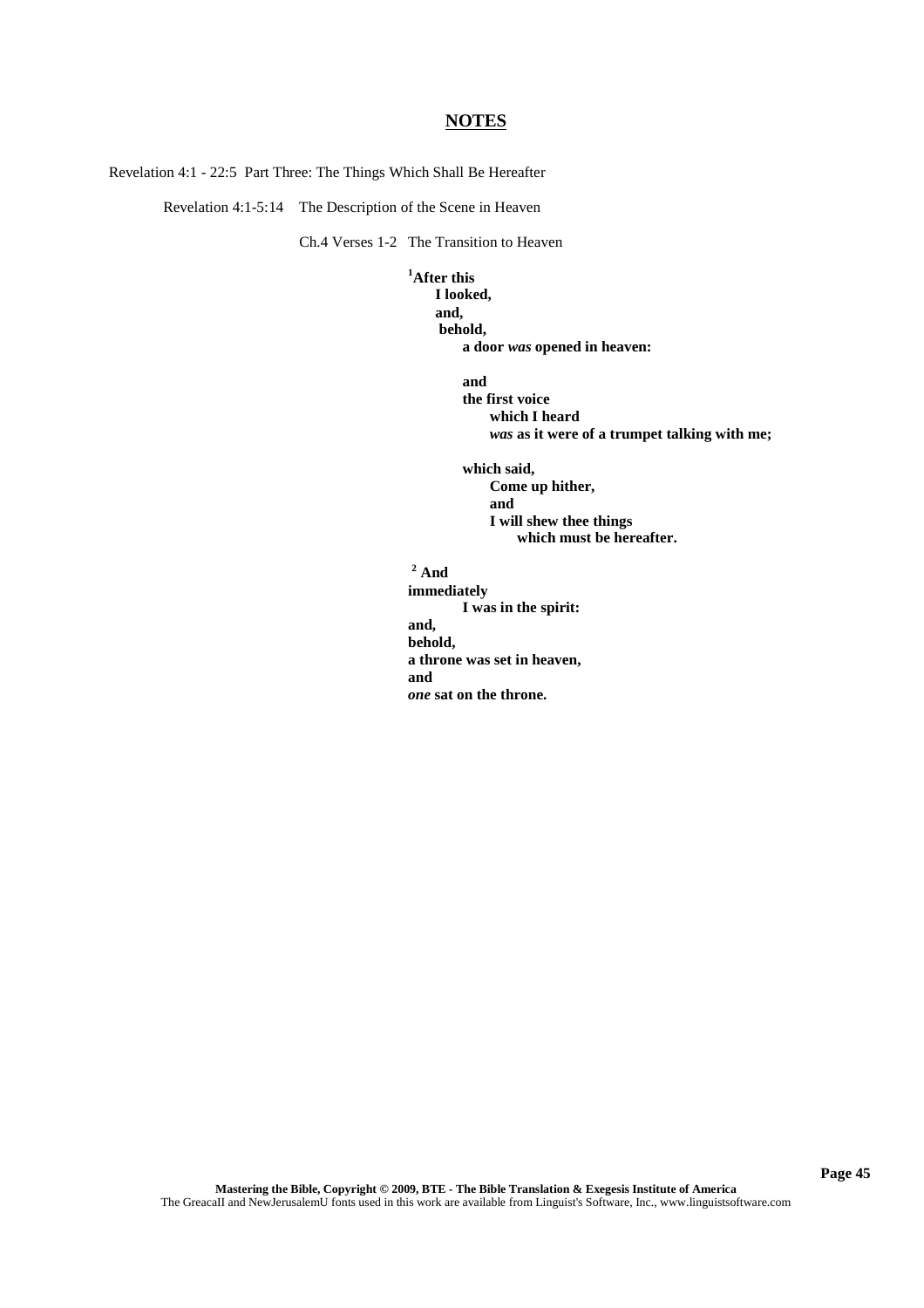Revelation 4:1 - 22:5 Part Three: The Things Which Shall Be Hereafter

Revelation 4:1-5:14 The Description of the Scene in Heaven

Ch.4 Verses 1-2 The Transition to Heaven

### **<sup>1</sup>After this I looked,**

**and, behold, a door** *was* **opened in heaven:**

**and**

**the first voice which I heard** *was* **as it were of a trumpet talking with me;**

**which said, Come up hither, and I will shew thee things which must be hereafter.**

## **<sup>2</sup> And**

**immediately I was in the spirit: and, behold, a throne was set in heaven, and** *one* **sat on the throne.**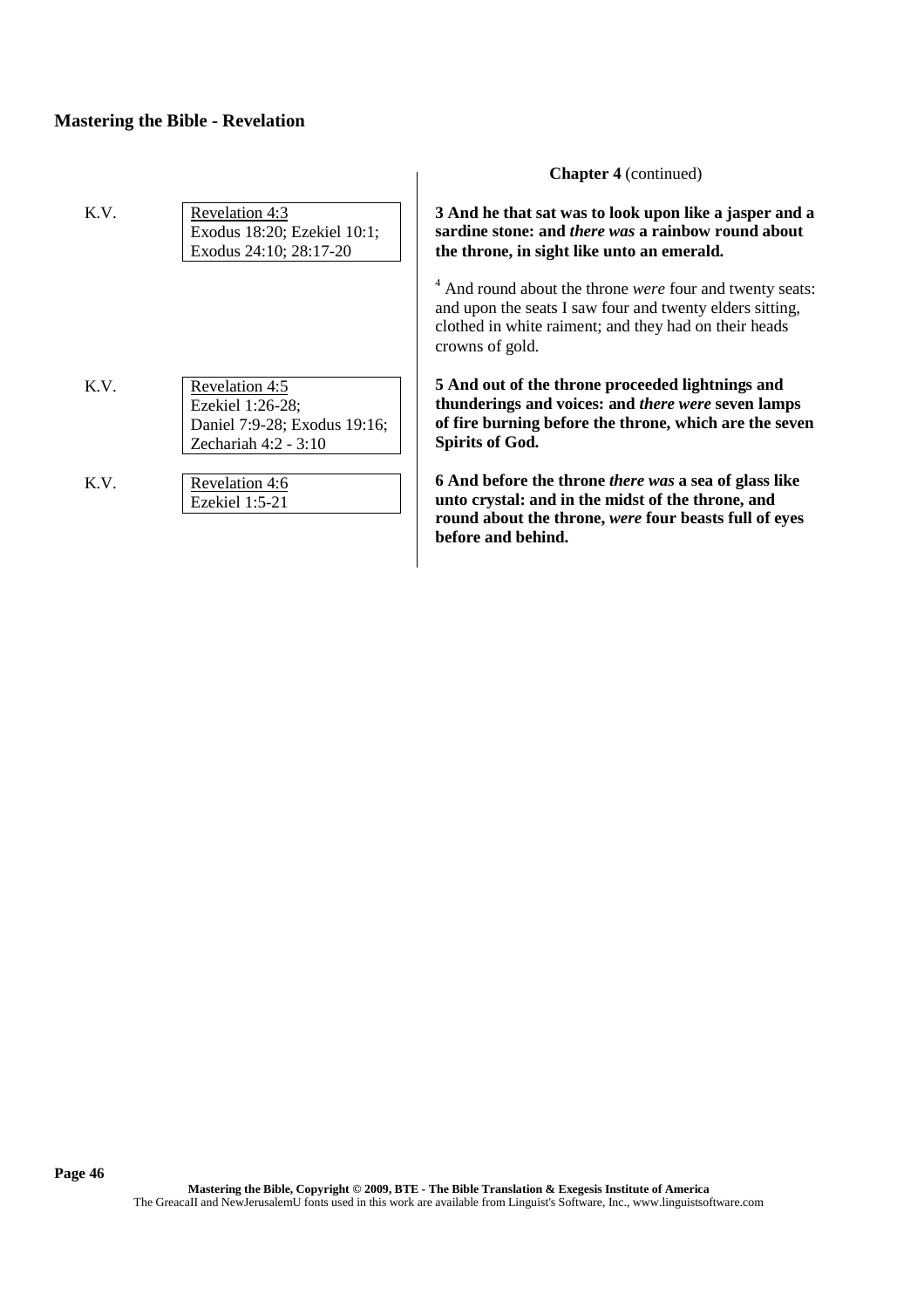| K.V. | Revelation 4:3<br>Exodus 18:20; Ezekiel 10:1;<br>Exodus 24:10; 28:17-20                      | 3 And he that sat was to look upon like a jasper and a<br>sardine stone: and <i>there was</i> a rainbow round about<br>the throne, in sight like unto an emerald.<br><sup>4</sup> And round about the throne <i>were</i> four and twenty seats:<br>and upon the seats I saw four and twenty elders sitting,<br>clothed in white raiment; and they had on their heads<br>crowns of gold. |
|------|----------------------------------------------------------------------------------------------|-----------------------------------------------------------------------------------------------------------------------------------------------------------------------------------------------------------------------------------------------------------------------------------------------------------------------------------------------------------------------------------------|
| K.V. | Revelation 4:5<br>Ezekiel 1:26-28;<br>Daniel 7:9-28; Exodus 19:16;<br>Zechariah $4:2 - 3:10$ | 5 And out of the throne proceeded lightnings and<br>thunderings and voices: and there were seven lamps<br>of fire burning before the throne, which are the seven<br><b>Spirits of God.</b>                                                                                                                                                                                              |
| K.V. | Revelation 4:6<br>Ezekiel 1:5-21                                                             | 6 And before the throne <i>there</i> was a sea of glass like<br>unto crystal: and in the midst of the throne, and<br>round about the throne, were four beasts full of eyes<br>before and behind.                                                                                                                                                                                        |

 $\overline{\phantom{a}}$ 

**Chapter 4** (continued)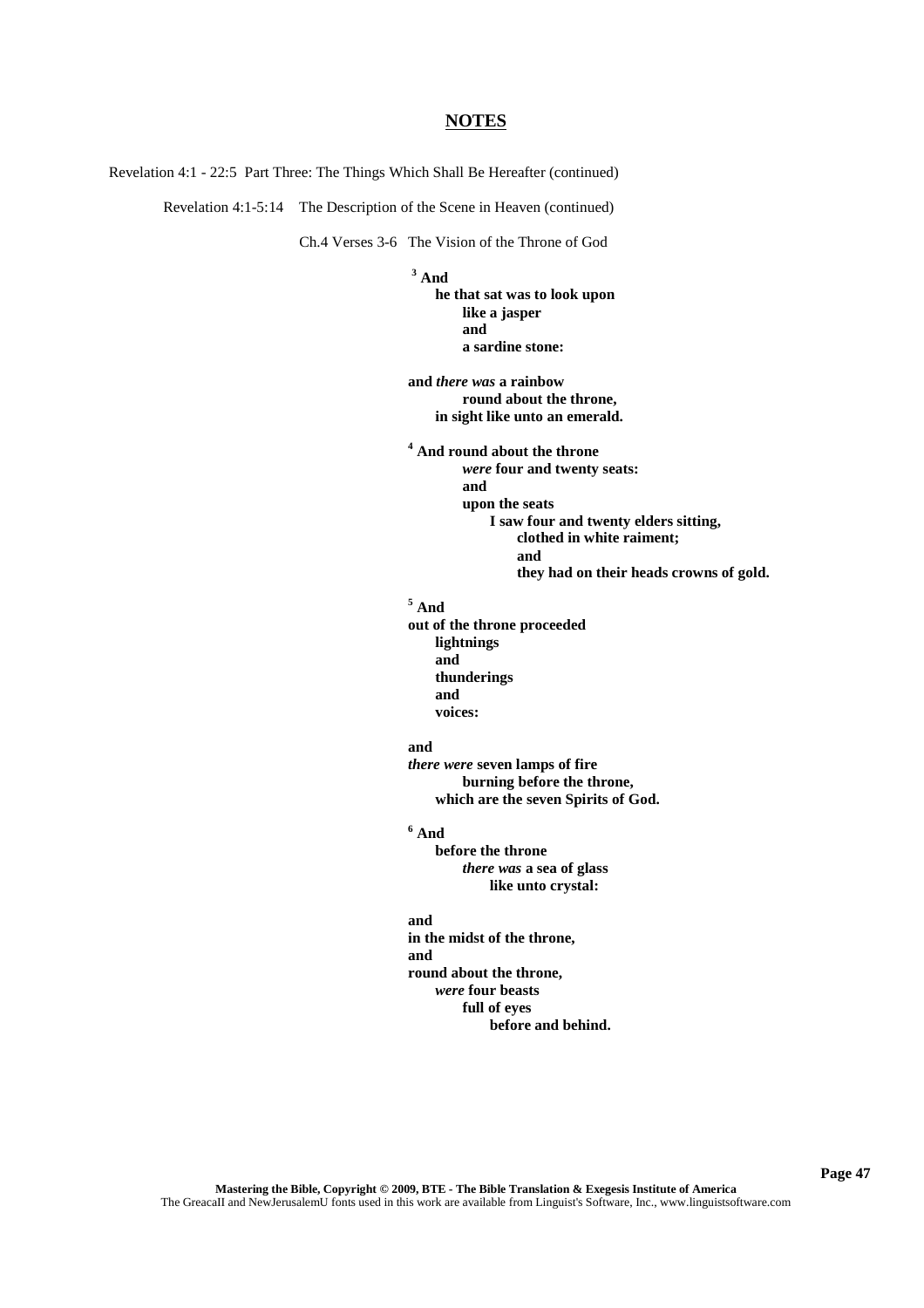Revelation 4:1 - 22:5 Part Three: The Things Which Shall Be Hereafter (continued)

Revelation 4:1-5:14 The Description of the Scene in Heaven (continued)

Ch.4 Verses 3-6 The Vision of the Throne of God

**<sup>3</sup> And**

**he that sat was to look upon like a jasper and a sardine stone:**

**and** *there was* **a rainbow round about the throne, in sight like unto an emerald.**

**<sup>4</sup> And round about the throne** *were* **four and twenty seats: and upon the seats I saw four and twenty elders sitting, clothed in white raiment; and**

**they had on their heads crowns of gold.**

### **<sup>5</sup> And**

**out of the throne proceeded lightnings and thunderings and voices:**

### **and**

*there were* **seven lamps of fire burning before the throne, which are the seven Spirits of God.**

**<sup>6</sup> And**

**before the throne** *there was* **a sea of glass like unto crystal:**

**and**

**in the midst of the throne, and round about the throne,** *were* **four beasts full of eyes before and behind.**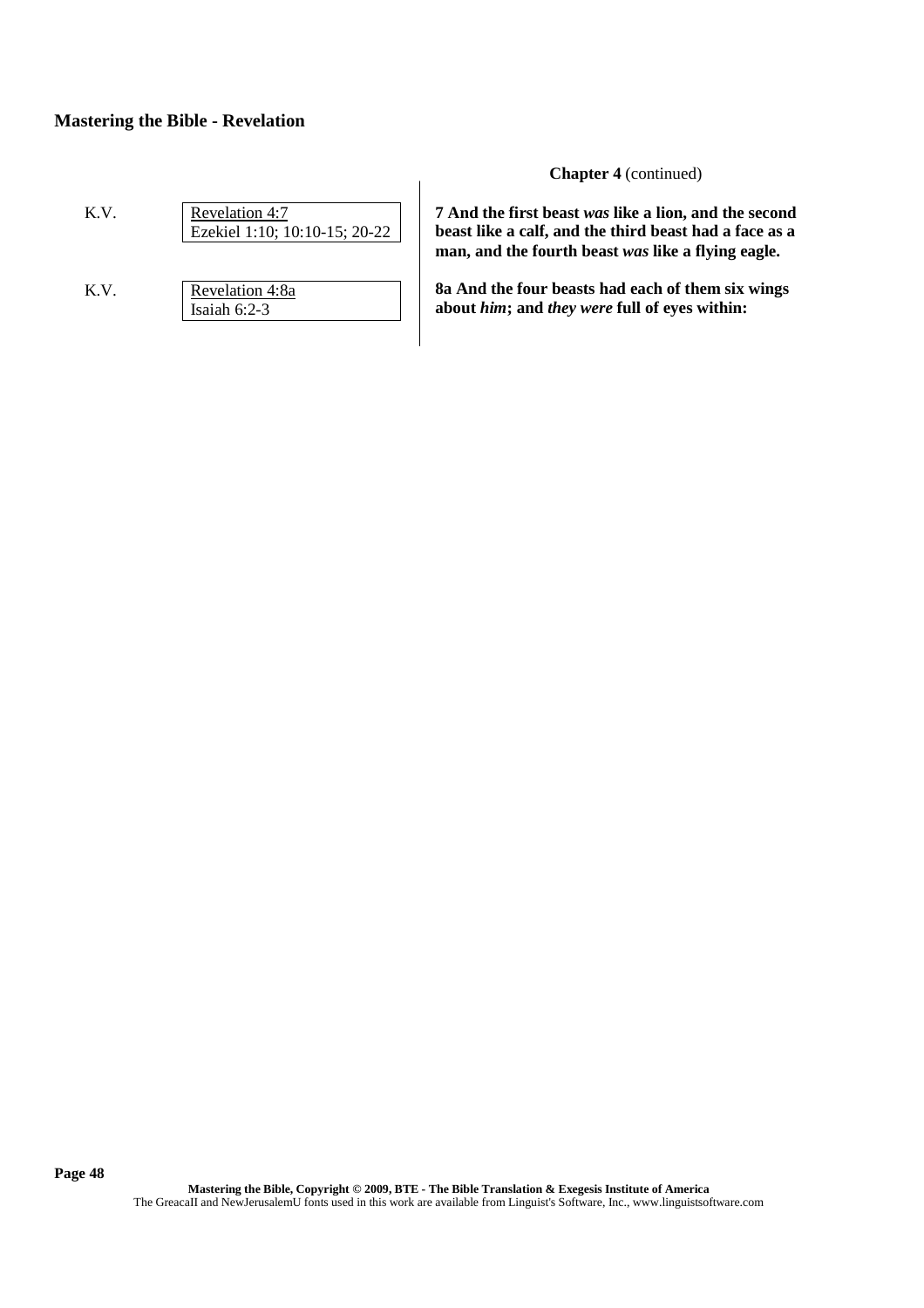| K.V | Revelation 4:7<br>Ezekiel 1:10; 10:10-15; 20-22 |
|-----|-------------------------------------------------|
|     |                                                 |

K.V. Revelation 4:8a Isaiah 6:2-3

**Chapter 4** (continued)

**7 And the first beast** *was* **like a lion, and the second beast like a calf, and the third beast had a face as a man, and the fourth beast** *was* **like a flying eagle.**

**8a And the four beasts had each of them six wings about** *him***; and** *they were* **full of eyes within:**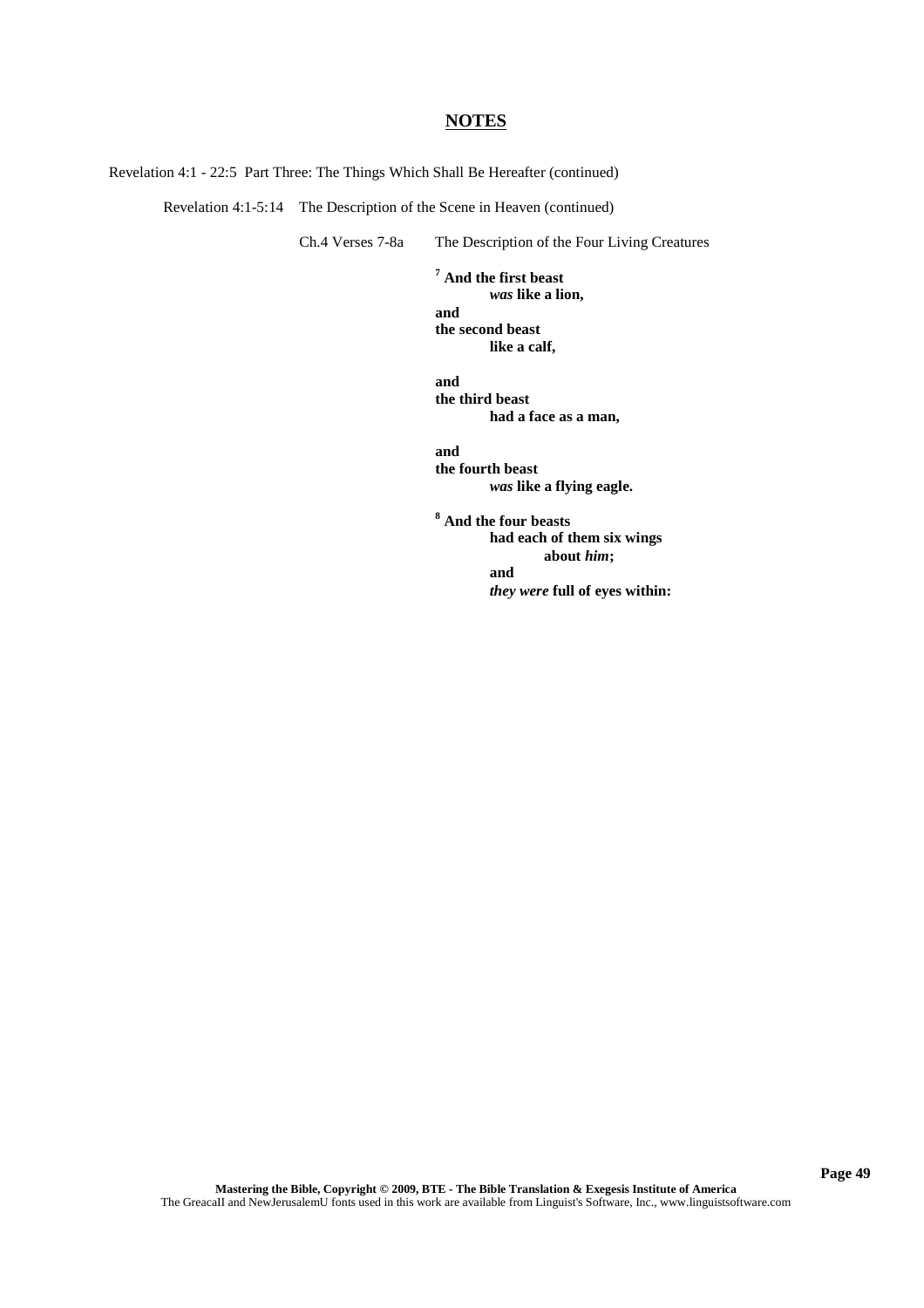Revelation 4:1 - 22:5 Part Three: The Things Which Shall Be Hereafter (continued)

Revelation 4:1-5:14 The Description of the Scene in Heaven (continued)

Ch.4 Verses 7-8a The Description of the Four Living Creatures

**<sup>7</sup> And the first beast** *was* **like a lion,**

**and the second beast like a calf,**

**and the third beast had a face as a man,**

**and the fourth beast** *was* **like a flying eagle.**

**<sup>8</sup> And the four beasts had each of them six wings about** *him***; and** *they were* **full of eyes within:**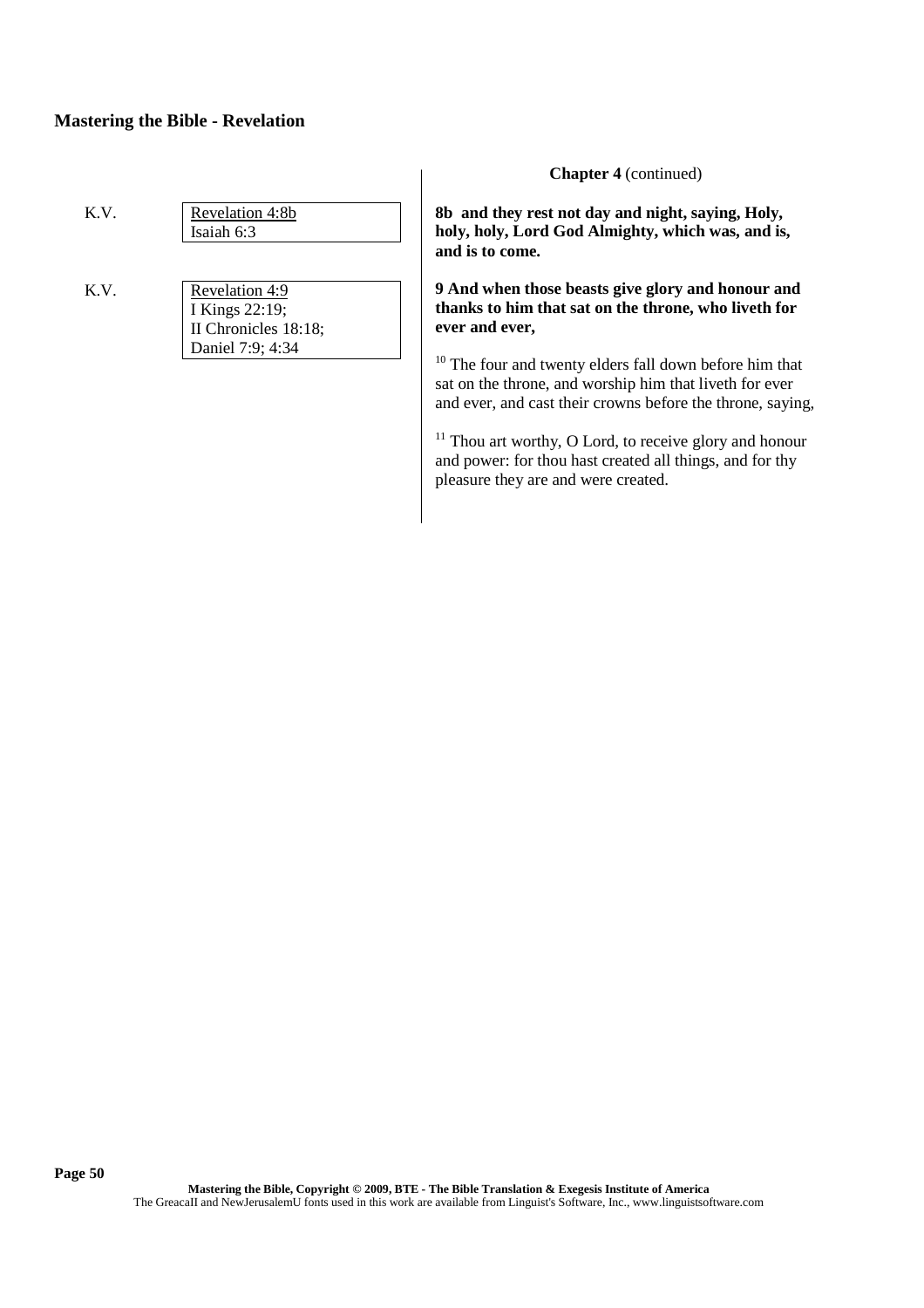| К. | Revelation 4:8b |
|----|-----------------|
|    | Isaiah 6:3      |

K.V. Revelation 4:9 I Kings 22:19; II Chronicles 18:18; Daniel 7:9; 4:34

### **Chapter 4** (continued)

**8b and they rest not day and night, saying, Holy, holy, holy, Lord God Almighty, which was, and is, and is to come.**

**9 And when those beasts give glory and honour and thanks to him that sat on the throne, who liveth for ever and ever,**

<sup>10</sup> The four and twenty elders fall down before him that sat on the throne, and worship him that liveth for ever and ever, and cast their crowns before the throne, saying,

<sup>11</sup> Thou art worthy, O Lord, to receive glory and honour and power: for thou hast created all things, and for thy pleasure they are and were created.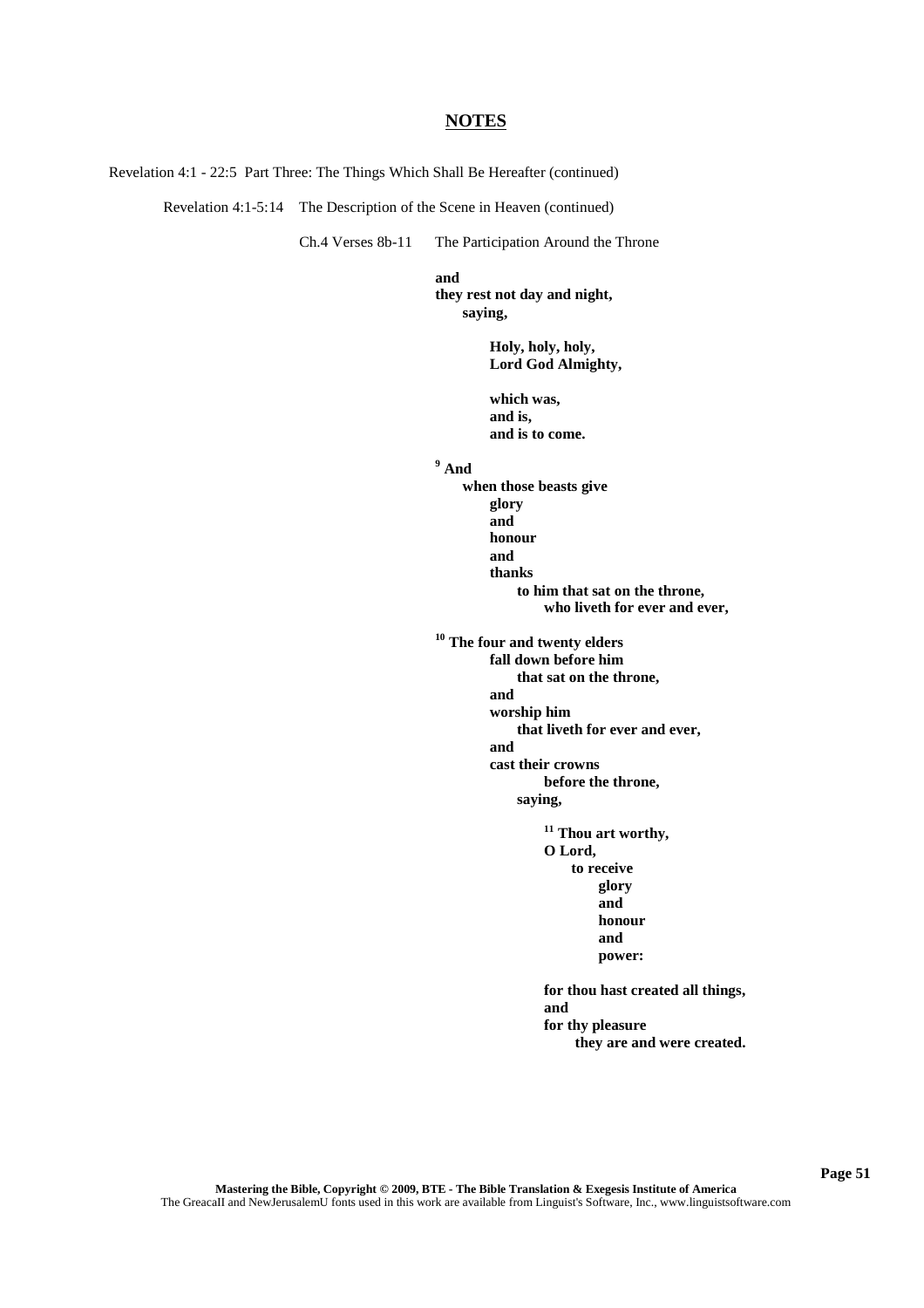Revelation 4:1 - 22:5 Part Three: The Things Which Shall Be Hereafter (continued)

Revelation 4:1-5:14 The Description of the Scene in Heaven (continued)

Ch.4 Verses 8b-11 The Participation Around the Throne

**and**

**they rest not day and night, saying,**

> **Holy, holy, holy, Lord God Almighty,**

**which was, and is, and is to come.**

**<sup>9</sup> And**

**when those beasts give glory and honour and thanks to him that sat on the throne, who liveth for ever and ever,**

**<sup>10</sup> The four and twenty elders**

**fall down before him that sat on the throne, and worship him that liveth for ever and ever, and cast their crowns before the throne,**

**saying,**

**<sup>11</sup> Thou art worthy, O Lord, to receive glory and honour and power:**

**for thou hast created all things, and for thy pleasure they are and were created.**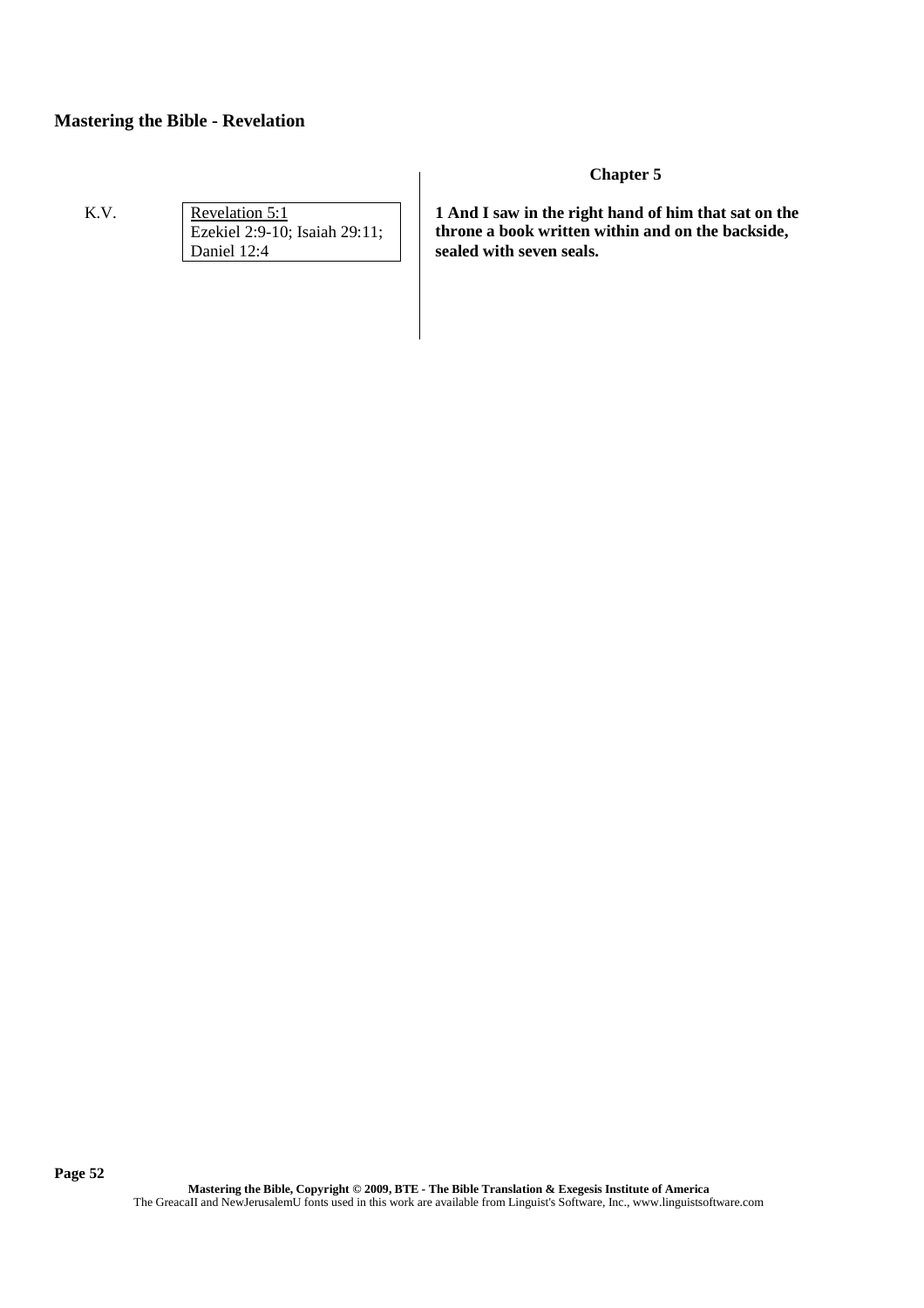K.V. Revelation 5:1 Ezekiel 2:9-10; Isaiah 29:11; Daniel 12:4

### **Chapter 5**

**1 And I saw in the right hand of him that sat on the throne a book written within and on the backside, sealed with seven seals.**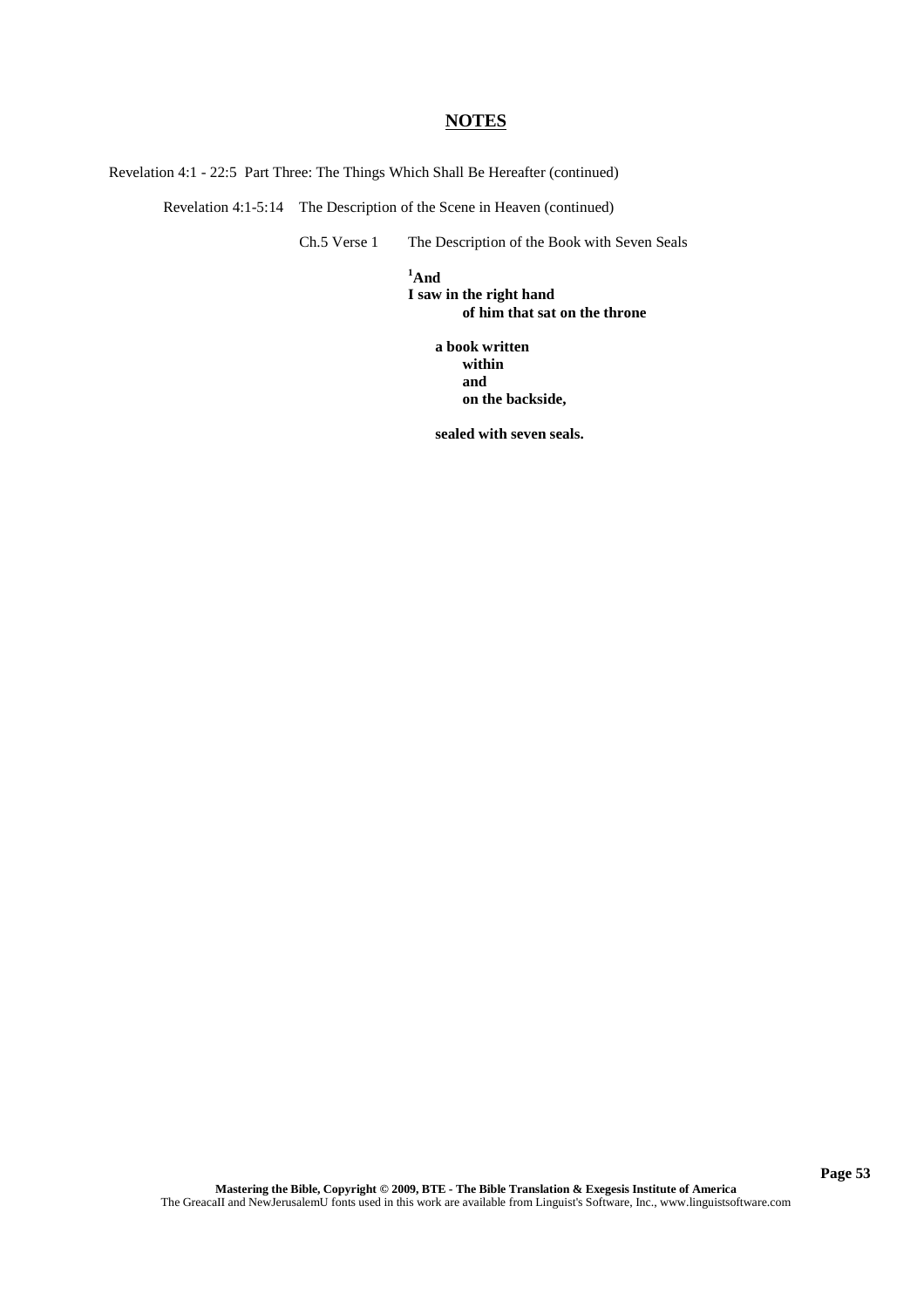Revelation 4:1 - 22:5 Part Three: The Things Which Shall Be Hereafter (continued)

Revelation 4:1-5:14 The Description of the Scene in Heaven (continued)

Ch.5 Verse 1 The Description of the Book with Seven Seals

### **<sup>1</sup>And**

**I saw in the right hand of him that sat on the throne**

> **a book written within and on the backside,**

**sealed with seven seals.**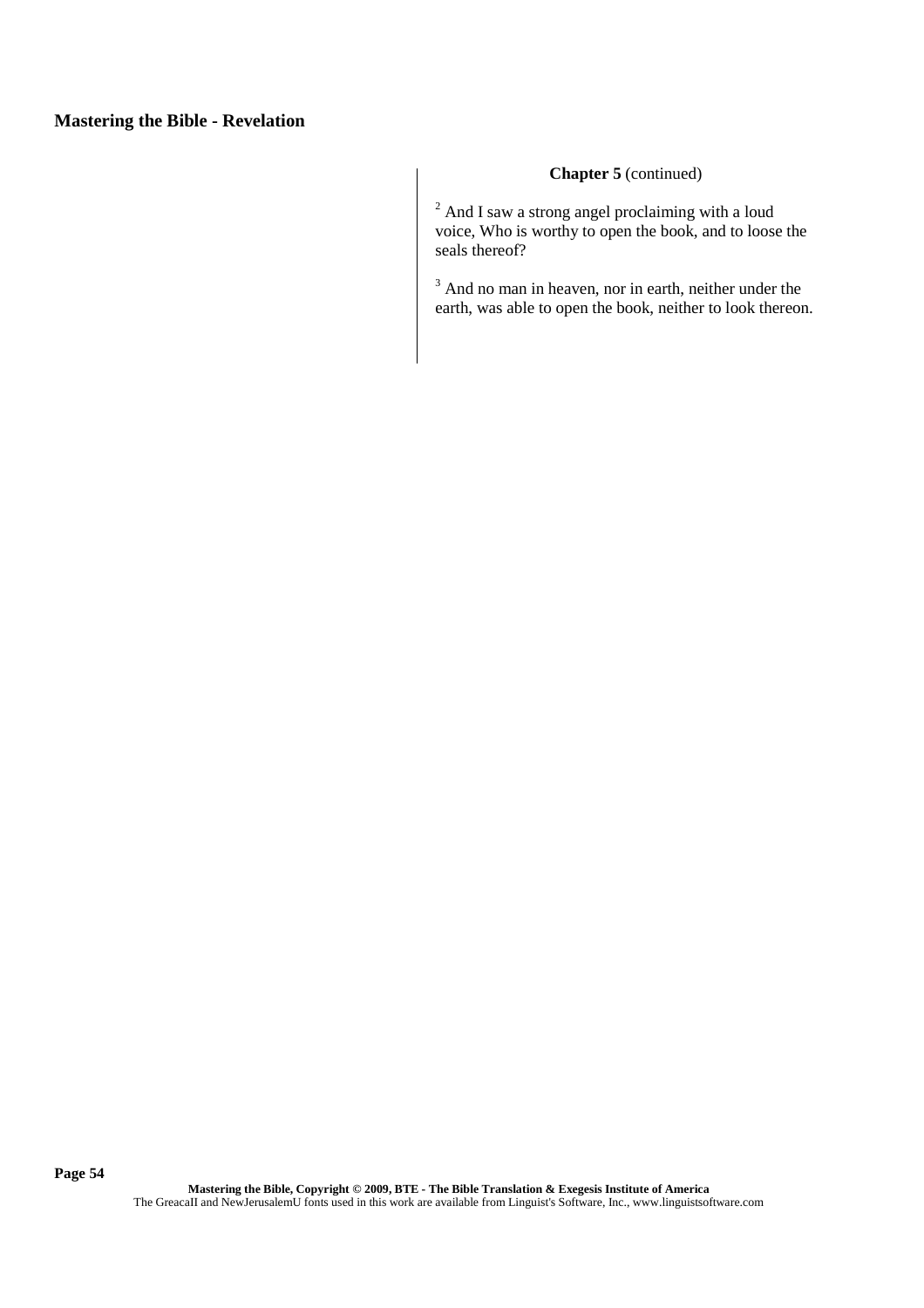### **Chapter 5** (continued)

 $2^{2}$  And I saw a strong angel proclaiming with a loud voice, Who is worthy to open the book, and to loose the seals thereof?

<sup>3</sup> And no man in heaven, nor in earth, neither under the earth, was able to open the book, neither to look thereon.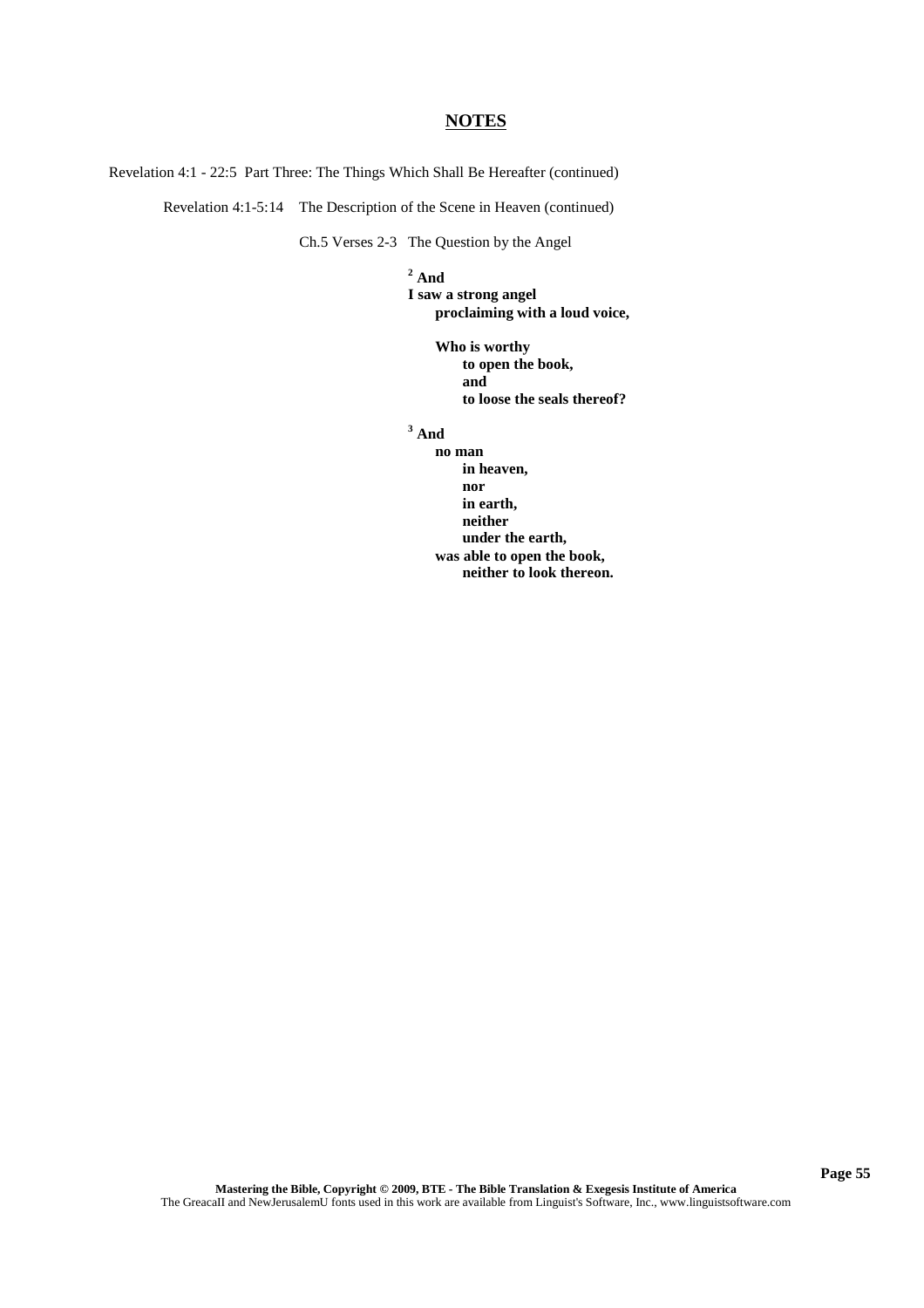Revelation 4:1 - 22:5 Part Three: The Things Which Shall Be Hereafter (continued)

Revelation 4:1-5:14 The Description of the Scene in Heaven (continued)

Ch.5 Verses 2-3 The Question by the Angel

## **<sup>2</sup> And**

**I saw a strong angel proclaiming with a loud voice,**

> **Who is worthy to open the book, and to loose the seals thereof?**

### **<sup>3</sup> And**

**no man in heaven, nor in earth, neither under the earth, was able to open the book, neither to look thereon.**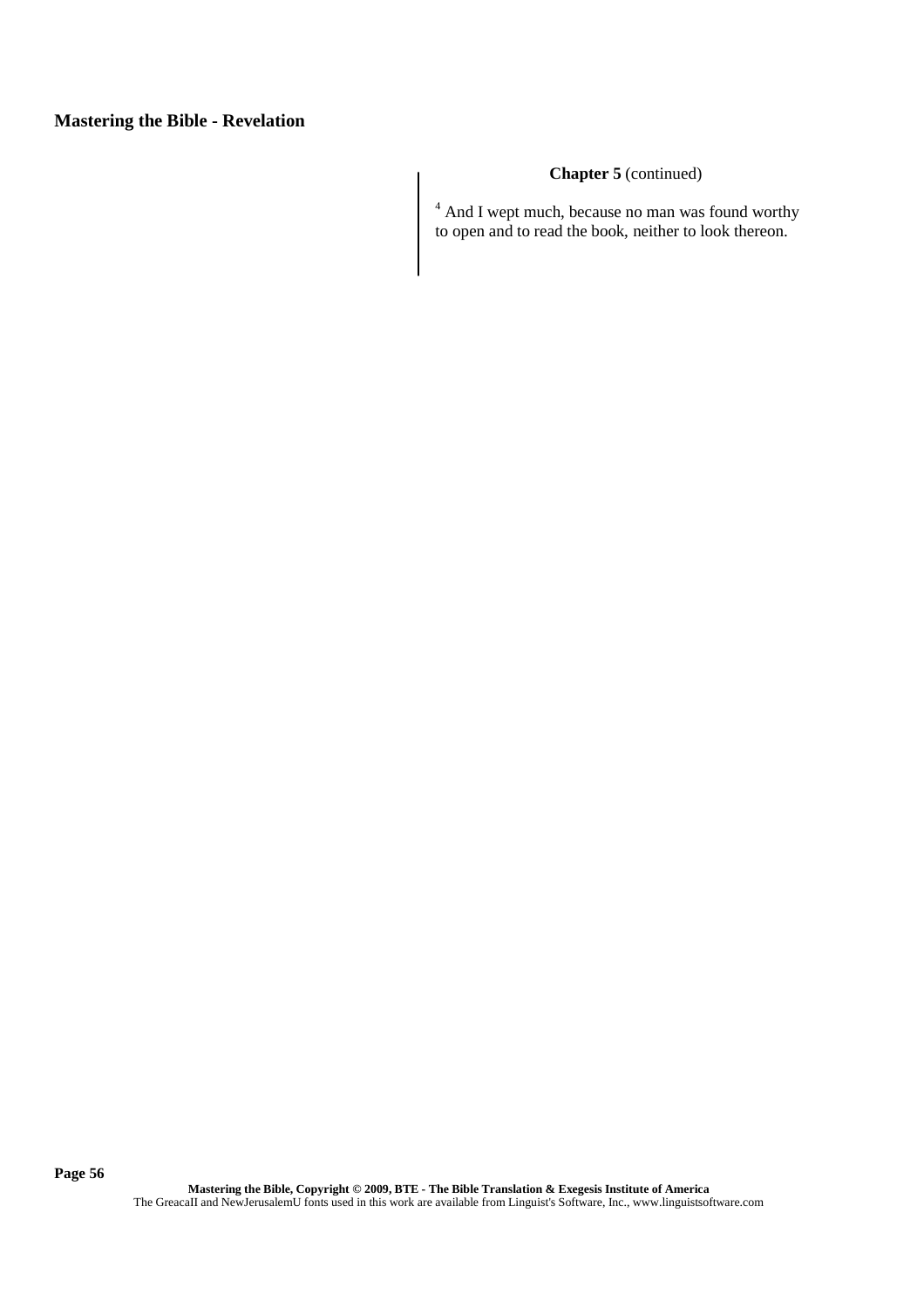### **Chapter 5** (continued)

 $4$  And I wept much, because no man was found worthy to open and to read the book, neither to look thereon.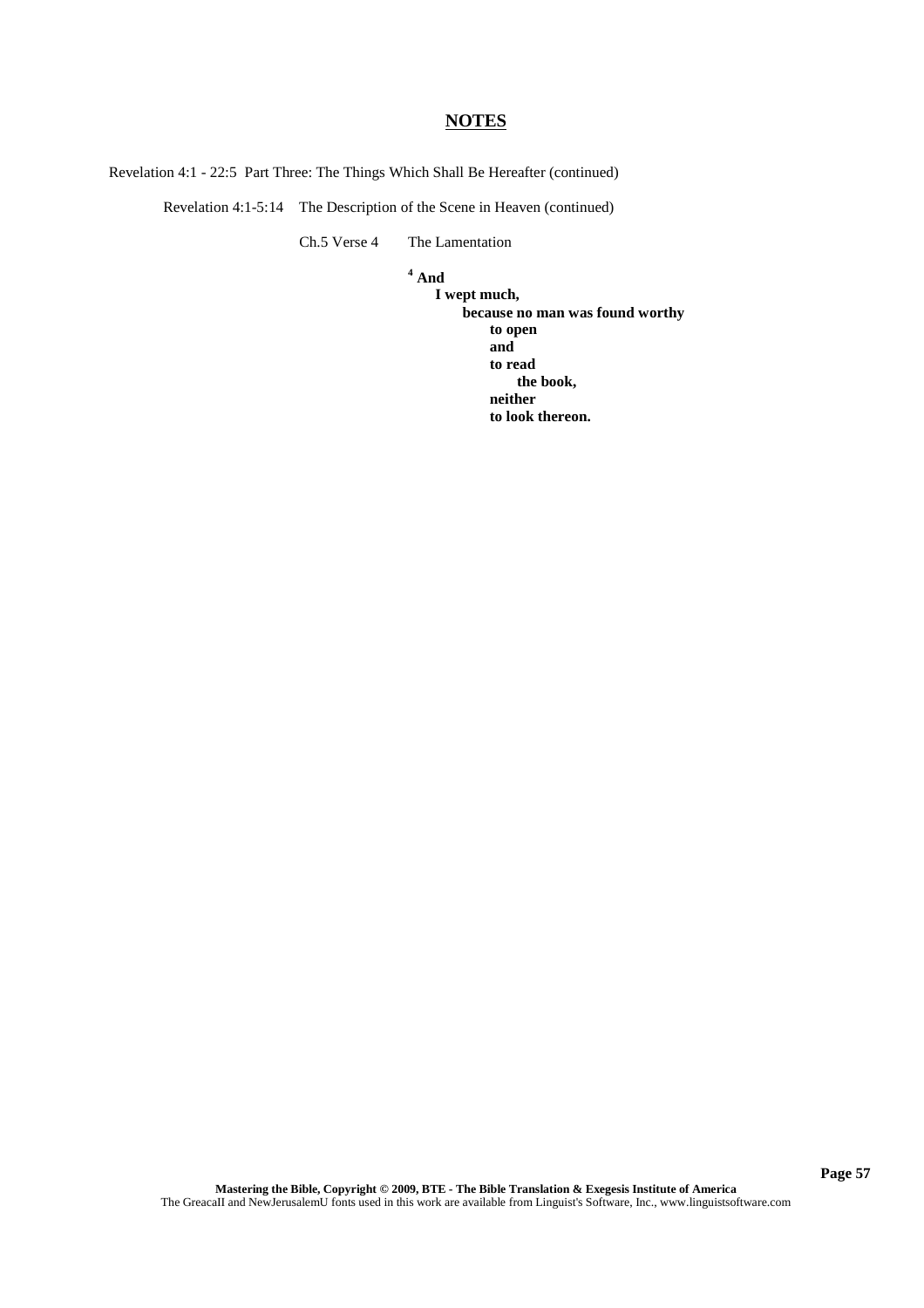Revelation 4:1 - 22:5 Part Three: The Things Which Shall Be Hereafter (continued)

Revelation 4:1-5:14 The Description of the Scene in Heaven (continued)

Ch.5 Verse 4 The Lamentation

# **<sup>4</sup> And**

**I wept much, because no man was found worthy to open and to read the book, neither to look thereon.**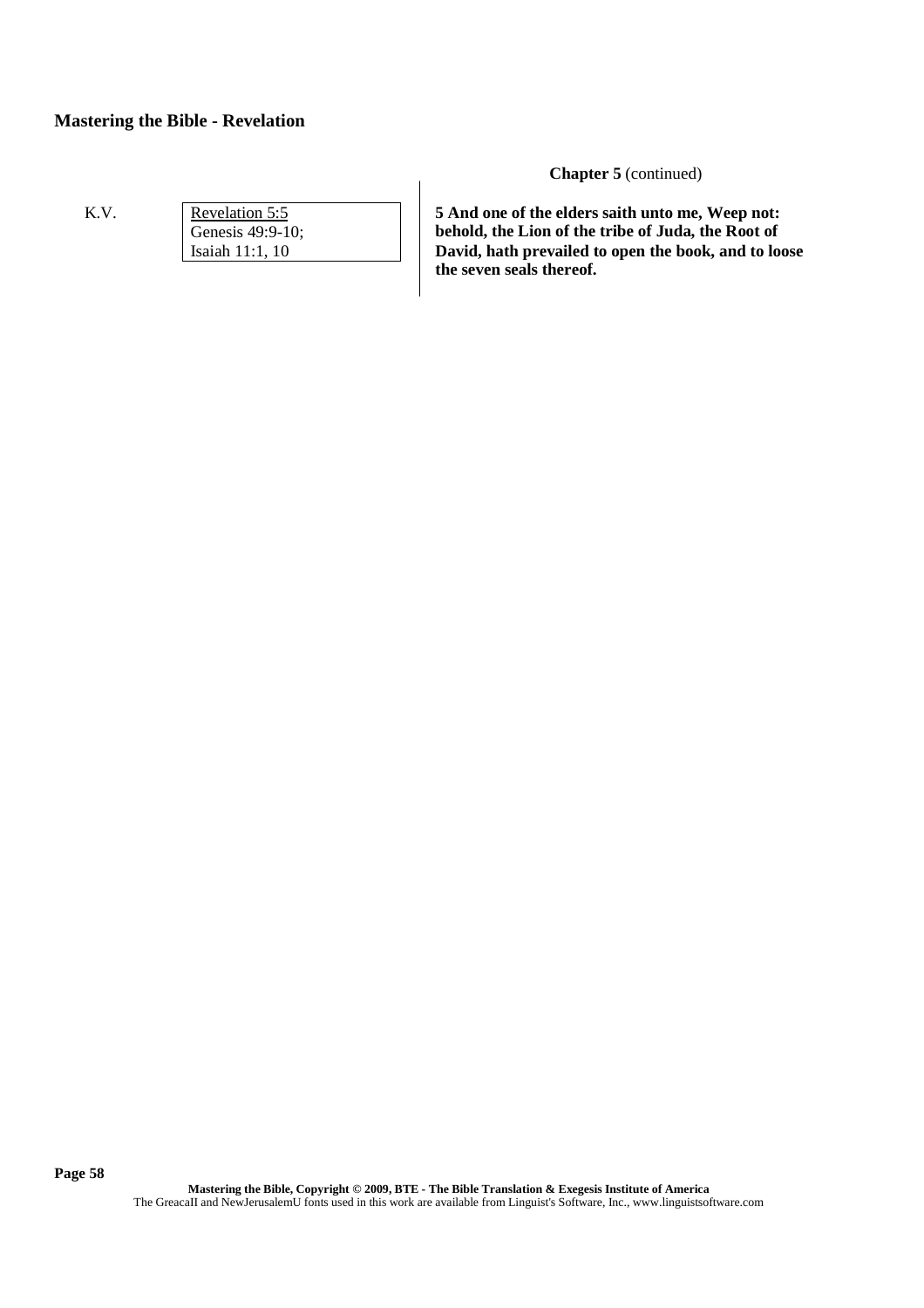K.V. Revelation 5:5 Genesis 49:9-10; Isaiah 11:1, 10

**Chapter 5** (continued)

**5 And one of the elders saith unto me, Weep not: behold, the Lion of the tribe of Juda, the Root of David, hath prevailed to open the book, and to loose the seven seals thereof.**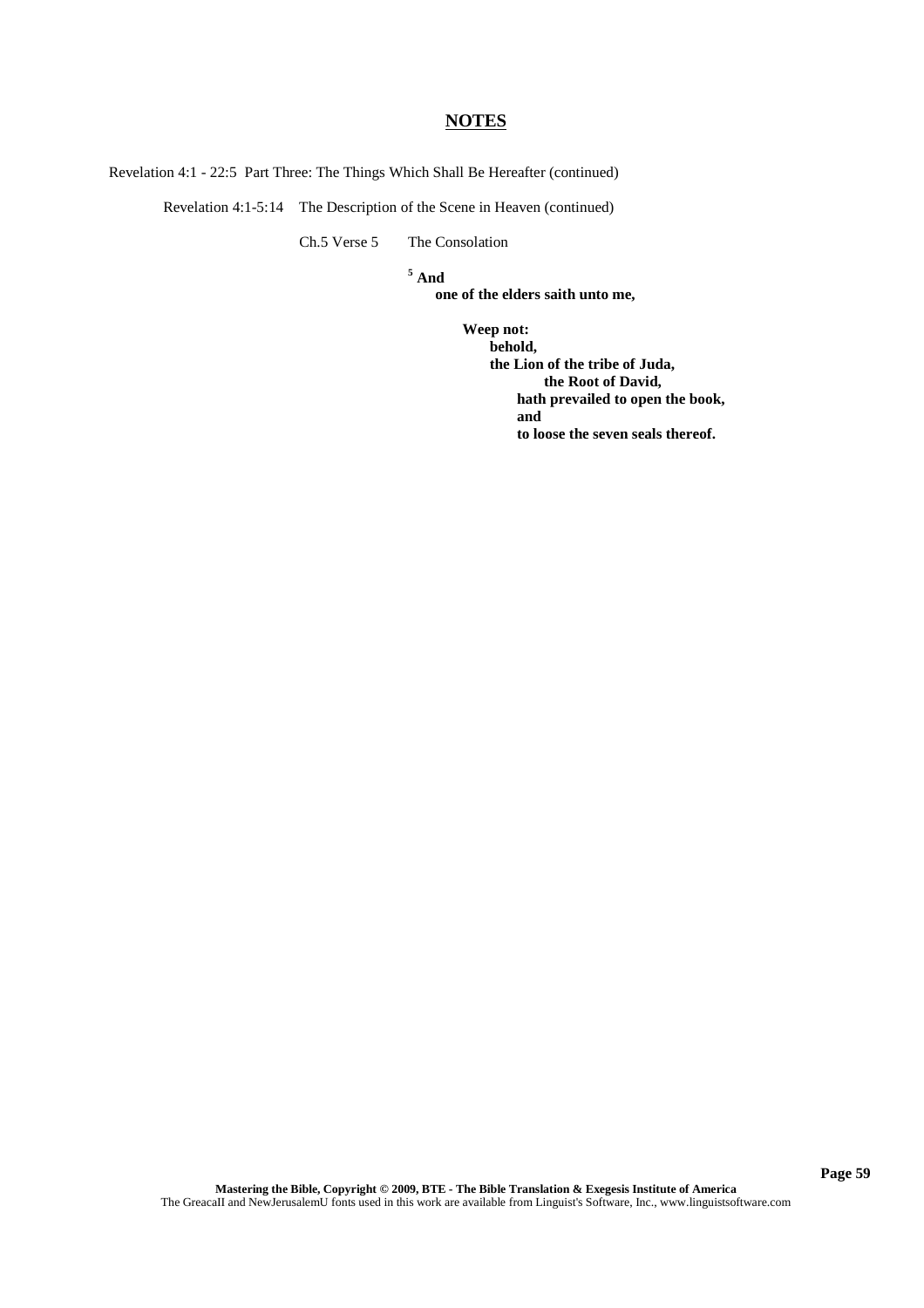Revelation 4:1 - 22:5 Part Three: The Things Which Shall Be Hereafter (continued)

Revelation 4:1-5:14 The Description of the Scene in Heaven (continued)

Ch.5 Verse 5 The Consolation

## **<sup>5</sup> And**

**one of the elders saith unto me,**

**Weep not:**

**behold, the Lion of the tribe of Juda, the Root of David, hath prevailed to open the book, and to loose the seven seals thereof.**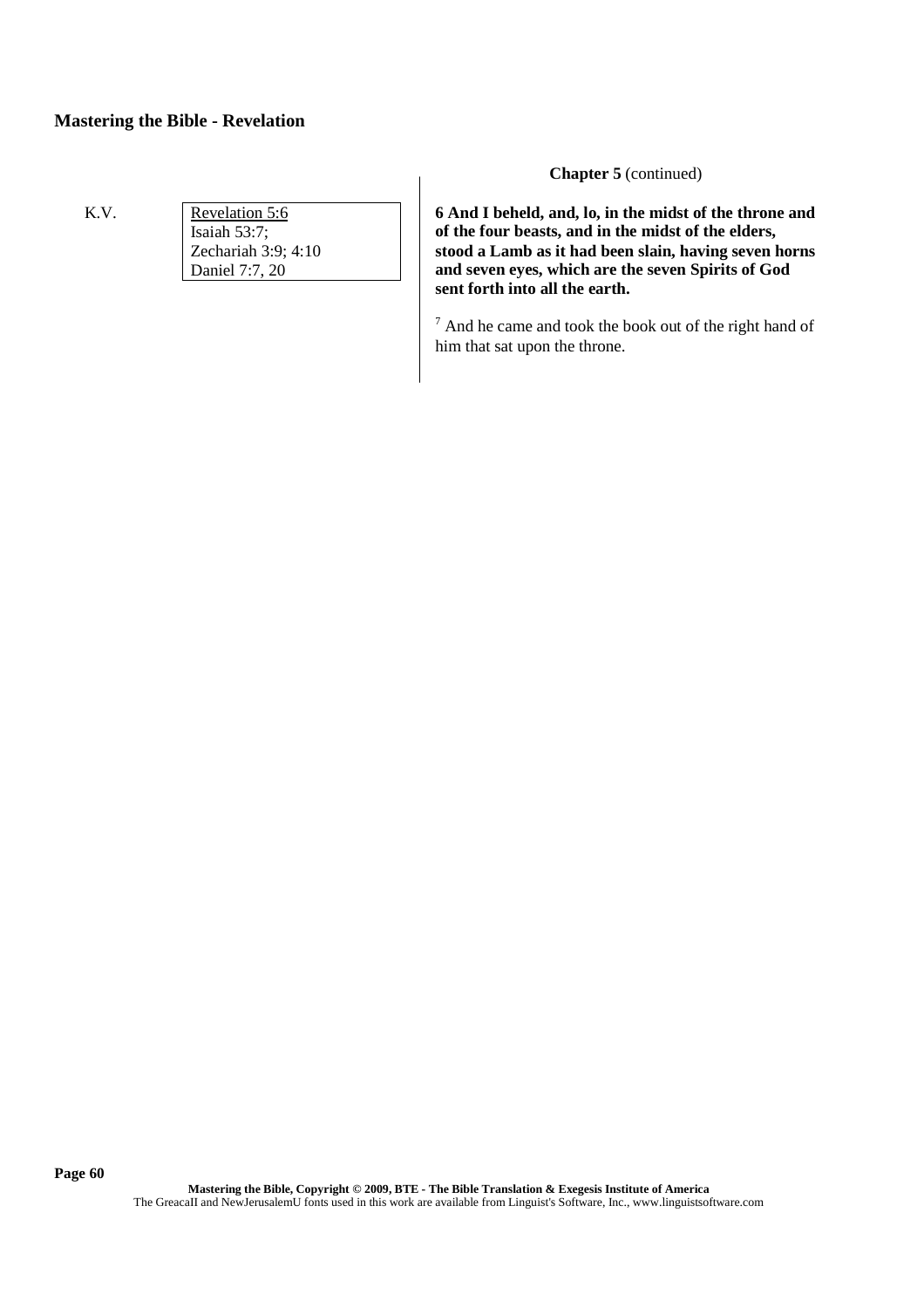K.V. Revelation 5:6 Isaiah 53:7; Zechariah 3:9; 4:10 Daniel 7:7, 20

**Chapter 5** (continued)

**6 And I beheld, and, lo, in the midst of the throne and of the four beasts, and in the midst of the elders, stood a Lamb as it had been slain, having seven horns and seven eyes, which are the seven Spirits of God sent forth into all the earth.**

<sup>7</sup> And he came and took the book out of the right hand of him that sat upon the throne.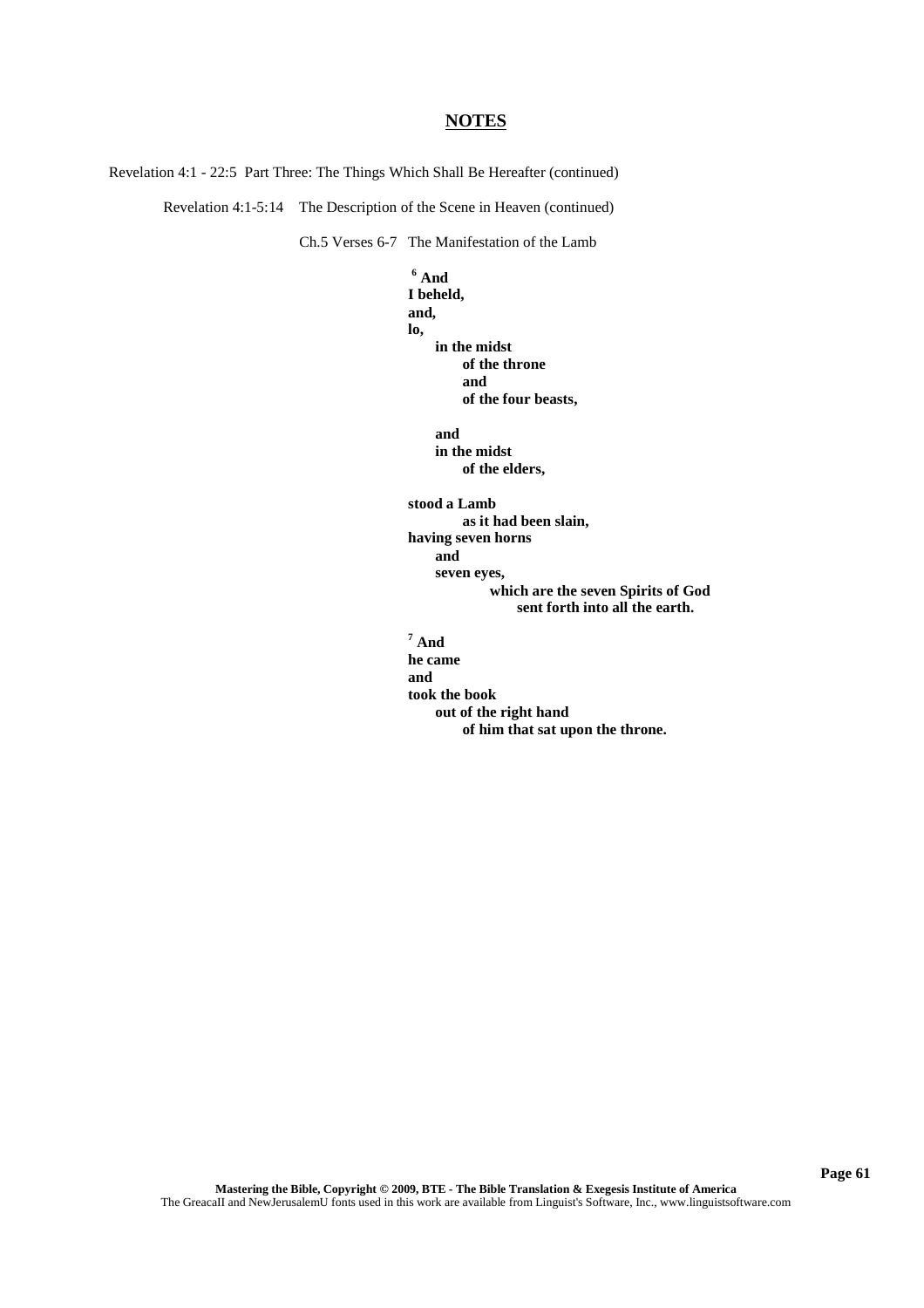Revelation 4:1 - 22:5 Part Three: The Things Which Shall Be Hereafter (continued)

Revelation 4:1-5:14 The Description of the Scene in Heaven (continued)

Ch.5 Verses 6-7 The Manifestation of the Lamb

**<sup>6</sup> And I beheld, and, lo, in the midst of the throne and of the four beasts, and in the midst of the elders, stood a Lamb as it had been slain, having seven horns and seven eyes, which are the seven Spirits of God sent forth into all the earth. <sup>7</sup> And he came and took the book out of the right hand**

**of him that sat upon the throne.**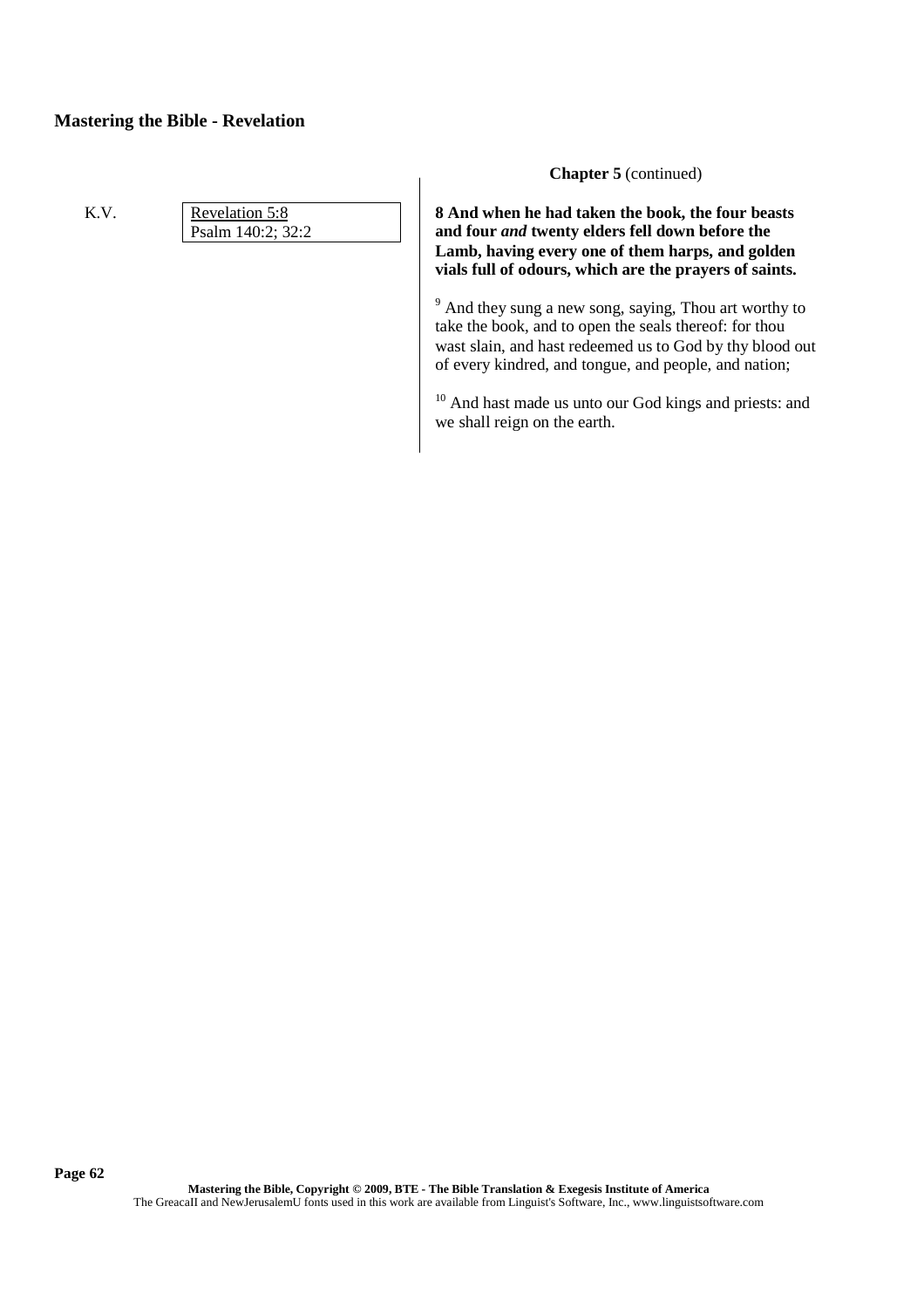## K.V. Revelation 5:8 Psalm 140:2; 32:2

### **Chapter 5** (continued)

**8 And when he had taken the book, the four beasts and four** *and* **twenty elders fell down before the Lamb, having every one of them harps, and golden vials full of odours, which are the prayers of saints.**

<sup>9</sup> And they sung a new song, saying, Thou art worthy to take the book, and to open the seals thereof: for thou wast slain, and hast redeemed us to God by thy blood out of every kindred, and tongue, and people, and nation;

<sup>10</sup> And hast made us unto our God kings and priests: and we shall reign on the earth.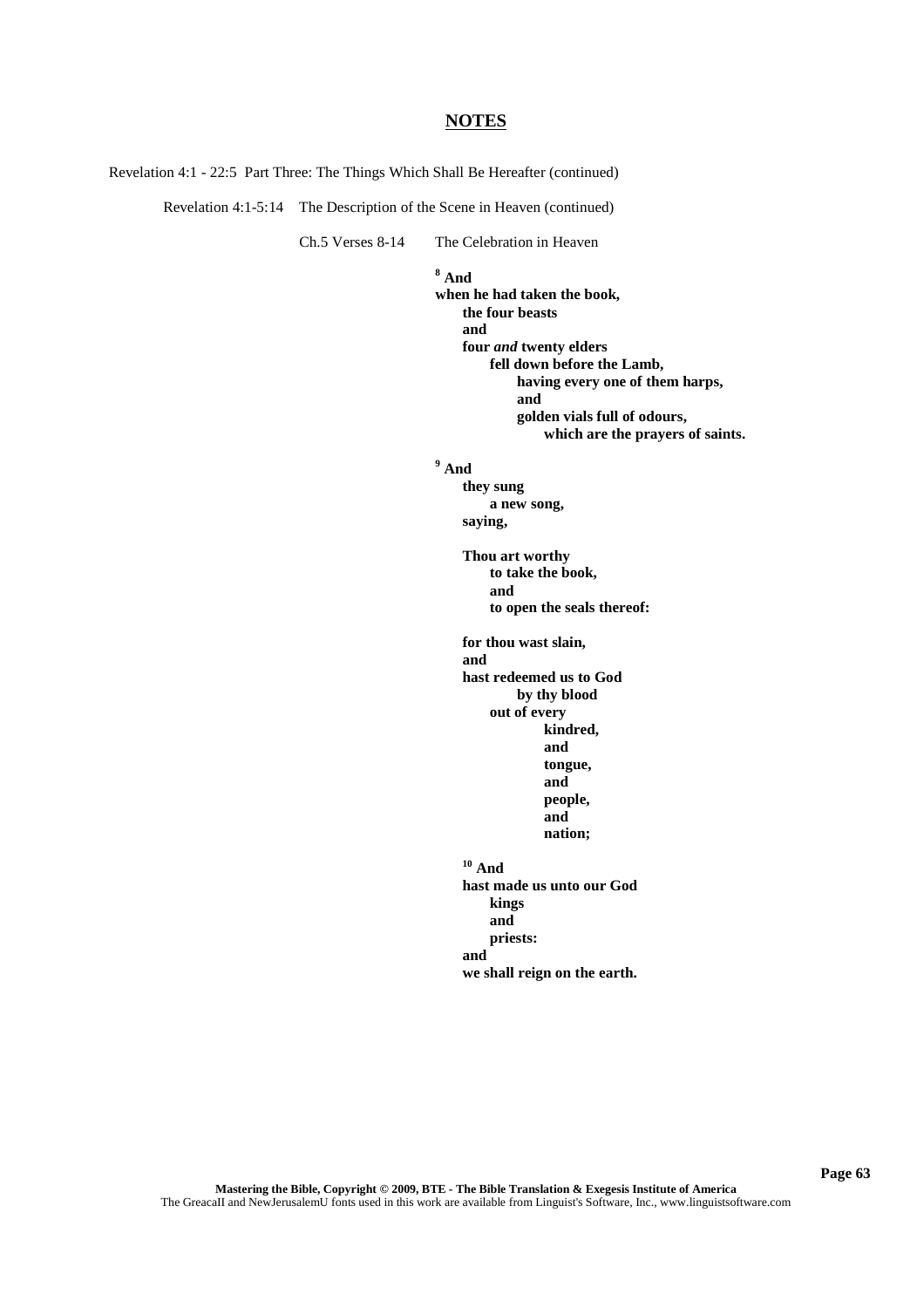Revelation 4:1 - 22:5 Part Three: The Things Which Shall Be Hereafter (continued)

Revelation 4:1-5:14 The Description of the Scene in Heaven (continued)

Ch.5 Verses 8-14 The Celebration in Heaven

**<sup>8</sup> And**

**when he had taken the book, the four beasts and four** *and* **twenty elders fell down before the Lamb, having every one of them harps, and golden vials full of odours, which are the prayers of saints.**

**<sup>9</sup> And**

**they sung a new song, saying,**

**Thou art worthy to take the book, and to open the seals thereof:**

**for thou wast slain, and hast redeemed us to God by thy blood out of every kindred, and tongue, and people, and nation;**

**<sup>10</sup> And hast made us unto our God kings and priests: and we shall reign on the earth.**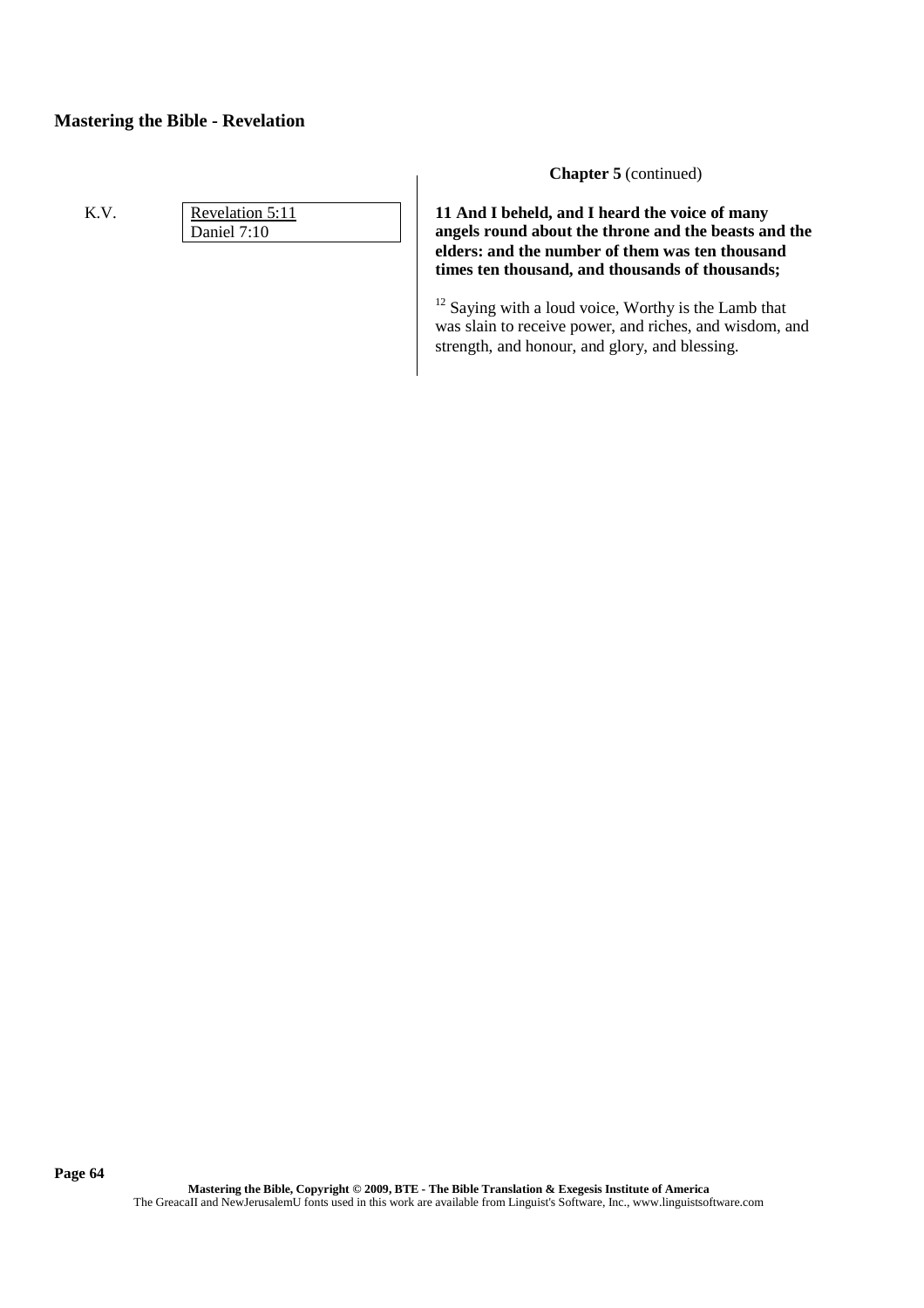# K.V. Revelation 5:11 Daniel 7:10

**Chapter 5** (continued)

**11 And I beheld, and I heard the voice of many angels round about the throne and the beasts and the elders: and the number of them was ten thousand times ten thousand, and thousands of thousands;**

<sup>12</sup> Saying with a loud voice, Worthy is the Lamb that was slain to receive power, and riches, and wisdom, and strength, and honour, and glory, and blessing.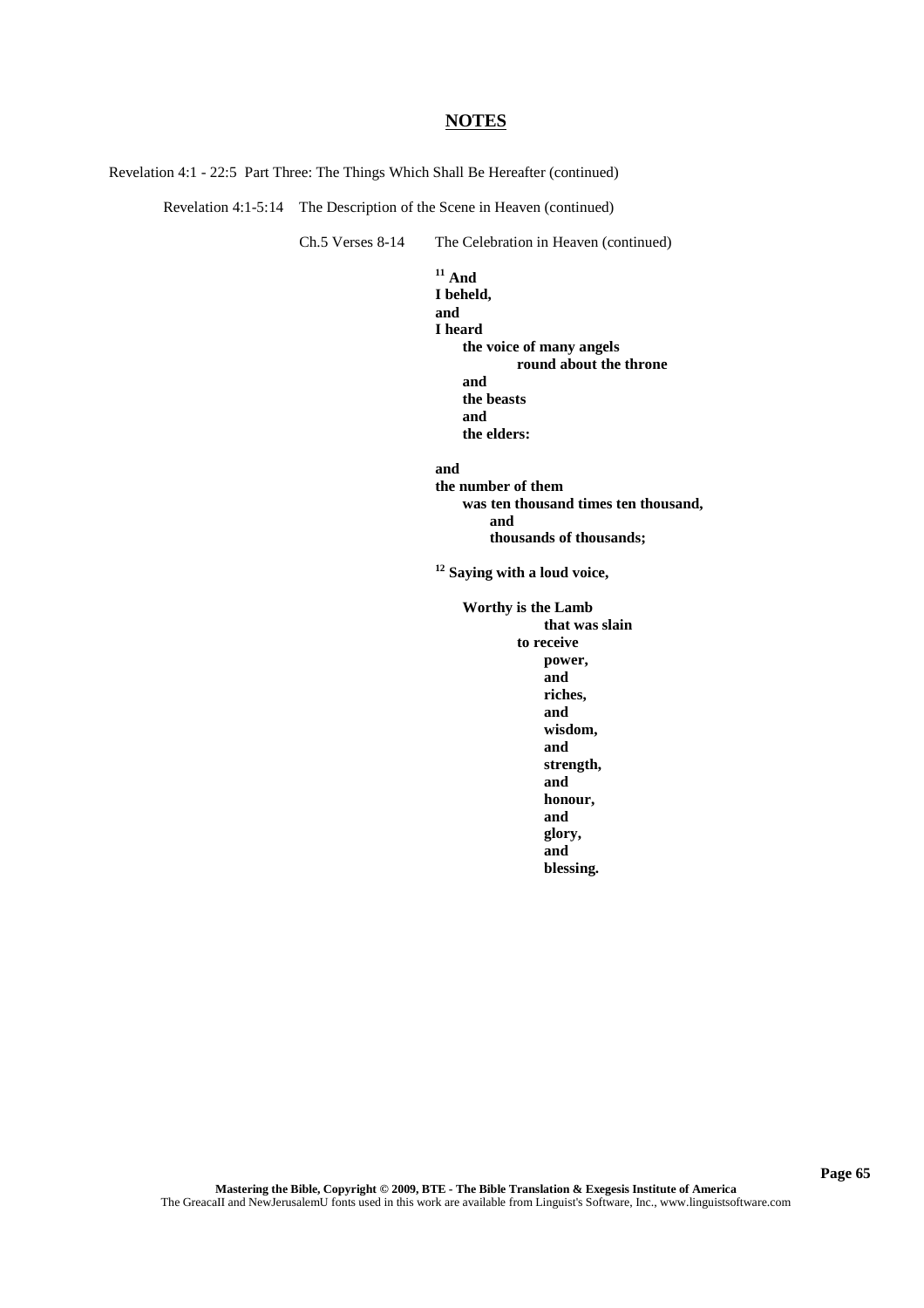Revelation 4:1 - 22:5 Part Three: The Things Which Shall Be Hereafter (continued)

Revelation 4:1-5:14 The Description of the Scene in Heaven (continued)

Ch.5 Verses 8-14 The Celebration in Heaven (continued)

### **<sup>11</sup> And I beheld, and I heard the voice of many angels round about the throne and the beasts and the elders:**

**and**

**the number of them was ten thousand times ten thousand, and thousands of thousands;**

**<sup>12</sup> Saying with a loud voice,**

**Worthy is the Lamb that was slain to receive power, and riches, and wisdom, and strength, and honour, and glory, and blessing.**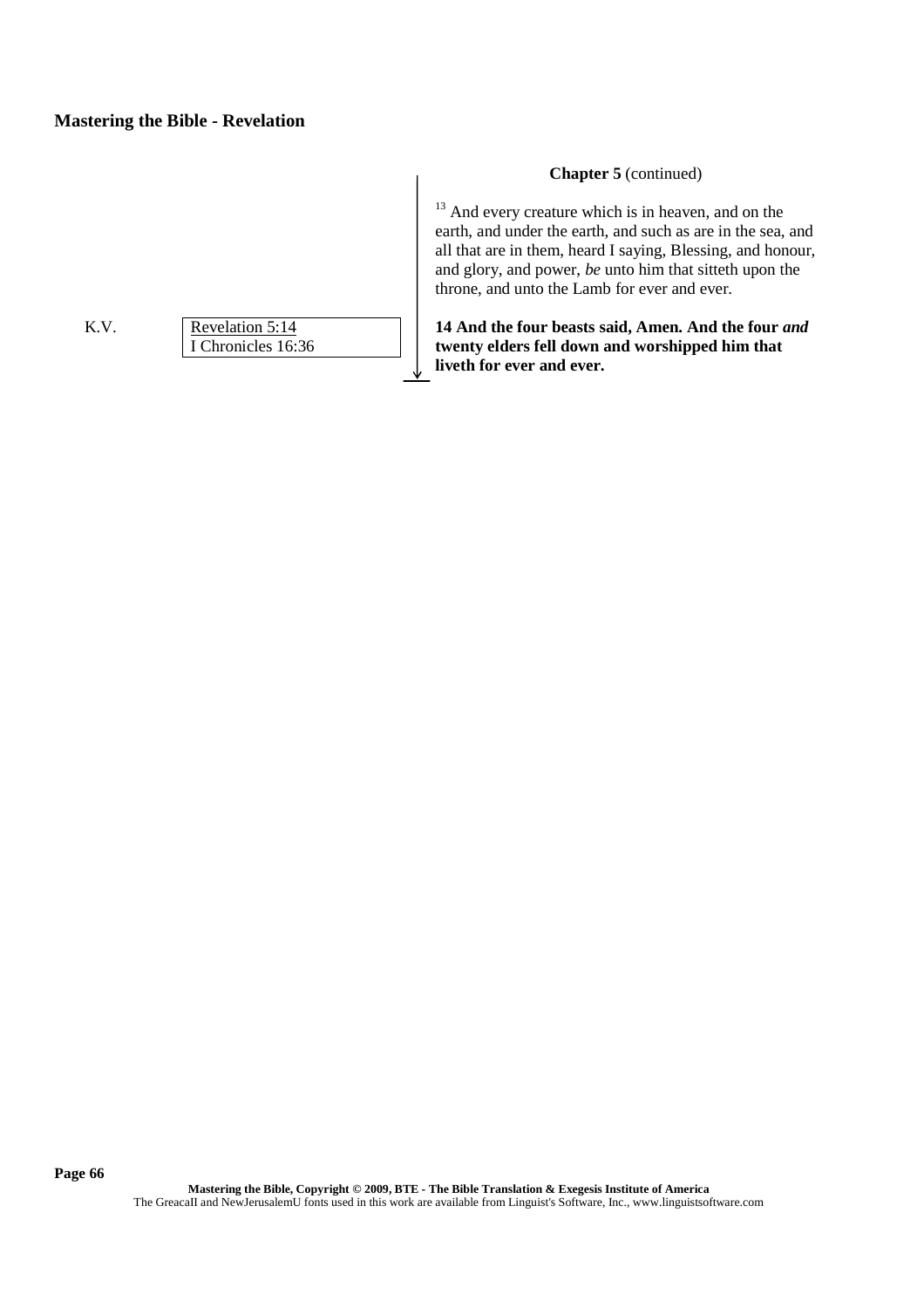K.V. Revelation 5:14 I Chronicles 16:36

## **Chapter 5** (continued)

 $13$  And every creature which is in heaven, and on the earth, and under the earth, and such as are in the sea, and all that are in them, heard I saying, Blessing, and honour, and glory, and power, *be* unto him that sitteth upon the throne, and unto the Lamb for ever and ever.

**14 And the four beasts said, Amen. And the four** *and* **twenty elders fell down and worshipped him that liveth for ever and ever.**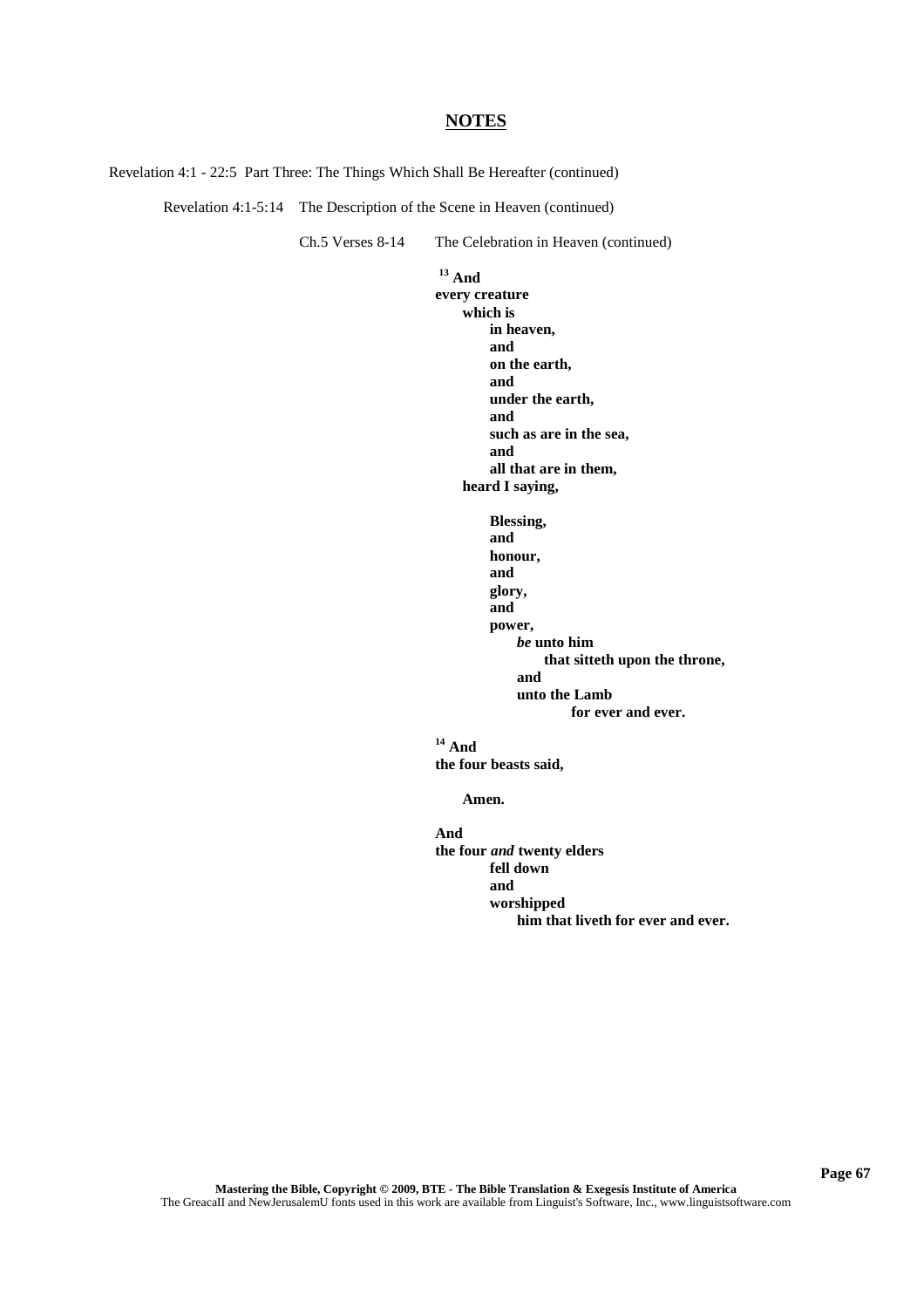Revelation 4:1 - 22:5 Part Three: The Things Which Shall Be Hereafter (continued)

Revelation 4:1-5:14 The Description of the Scene in Heaven (continued)

Ch.5 Verses 8-14 The Celebration in Heaven (continued)

### **<sup>13</sup> And every creature which is in heaven, and on the earth, and under the earth, and such as are in the sea, and all that are in them, heard I saying, Blessing, and honour, and glory, and power,** *be* **unto him that sitteth upon the throne, and unto the Lamb for ever and ever.**

**<sup>14</sup> And the four beasts said,**

**Amen.**

**And the four** *and* **twenty elders fell down and worshipped him that liveth for ever and ever.**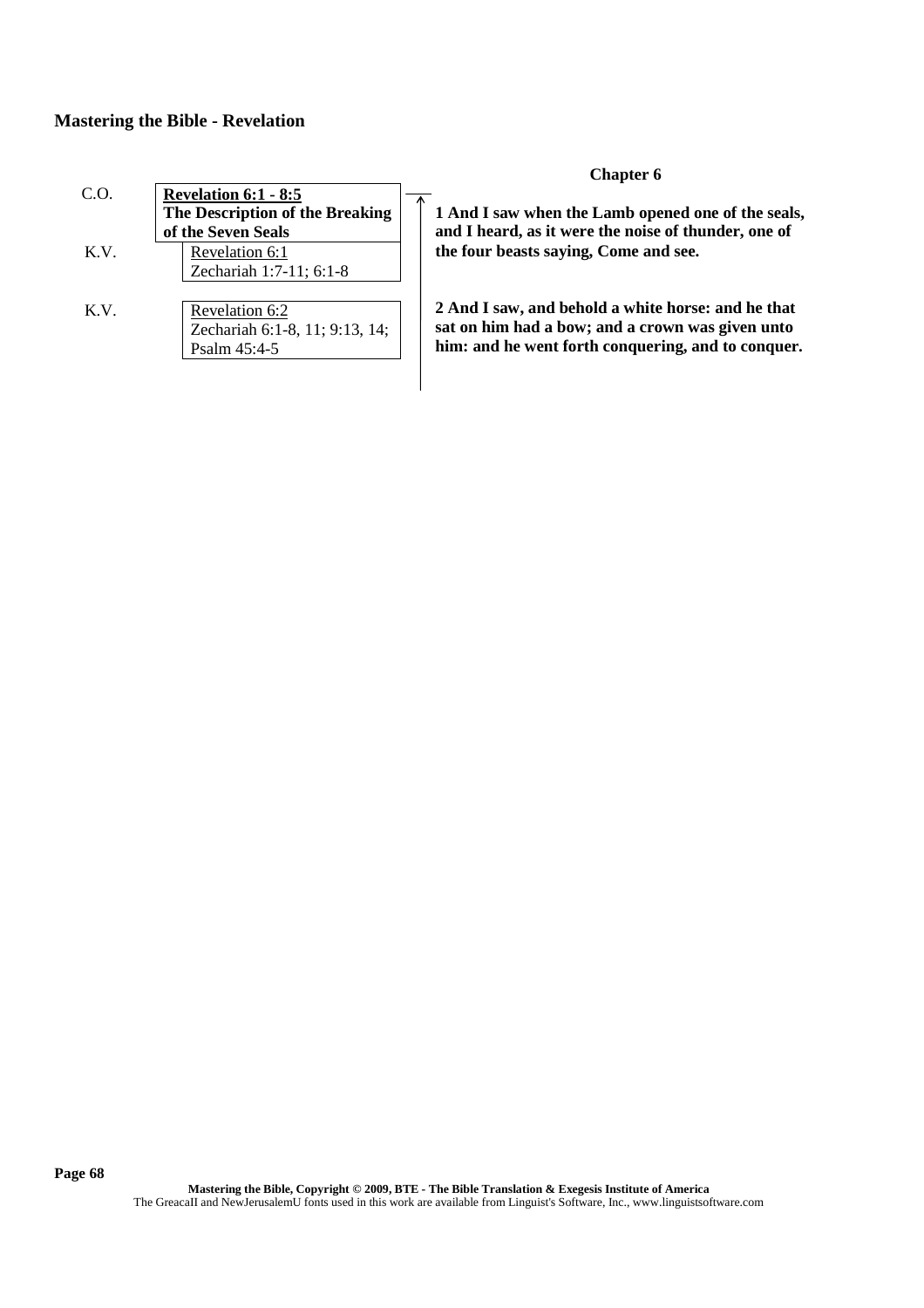|              |                                                                                                                                   | <b>Chapter 6</b>                                                                                                                                             |
|--------------|-----------------------------------------------------------------------------------------------------------------------------------|--------------------------------------------------------------------------------------------------------------------------------------------------------------|
| C.O.<br>K.V. | <b>Revelation 6:1 - 8:5</b><br>The Description of the Breaking<br>of the Seven Seals<br>Revelation 6:1<br>Zechariah 1:7-11; 6:1-8 | 1 And I saw when the Lamb opened one of the seals,<br>and I heard, as it were the noise of thunder, one of<br>the four beasts saying, Come and see.          |
| K.V.         | Revelation 6:2<br>Zechariah 6:1-8, 11; 9:13, 14;<br>Psalm 45:4-5                                                                  | 2 And I saw, and behold a white horse: and he that<br>sat on him had a bow; and a crown was given unto<br>him: and he went forth conquering, and to conquer. |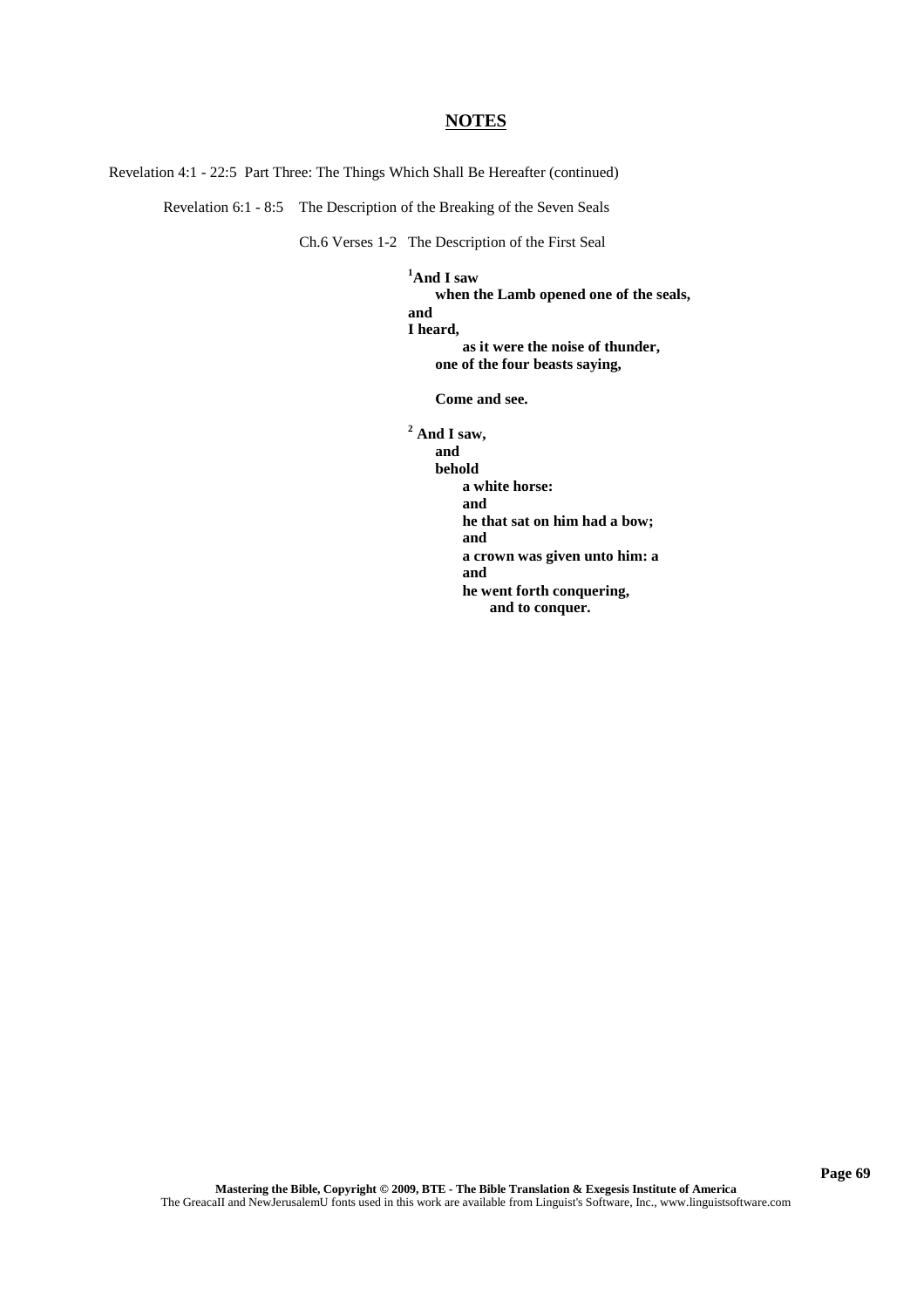Revelation 4:1 - 22:5 Part Three: The Things Which Shall Be Hereafter (continued)

Revelation 6:1 - 8:5 The Description of the Breaking of the Seven Seals

Ch.6 Verses 1-2 The Description of the First Seal

**<sup>1</sup>And I saw when the Lamb opened one of the seals, and I heard, as it were the noise of thunder, one of the four beasts saying,**

**Come and see.**

**<sup>2</sup> And I saw, and behold a white horse: and he that sat on him had a bow; and a crown was given unto him: a and he went forth conquering, and to conquer.**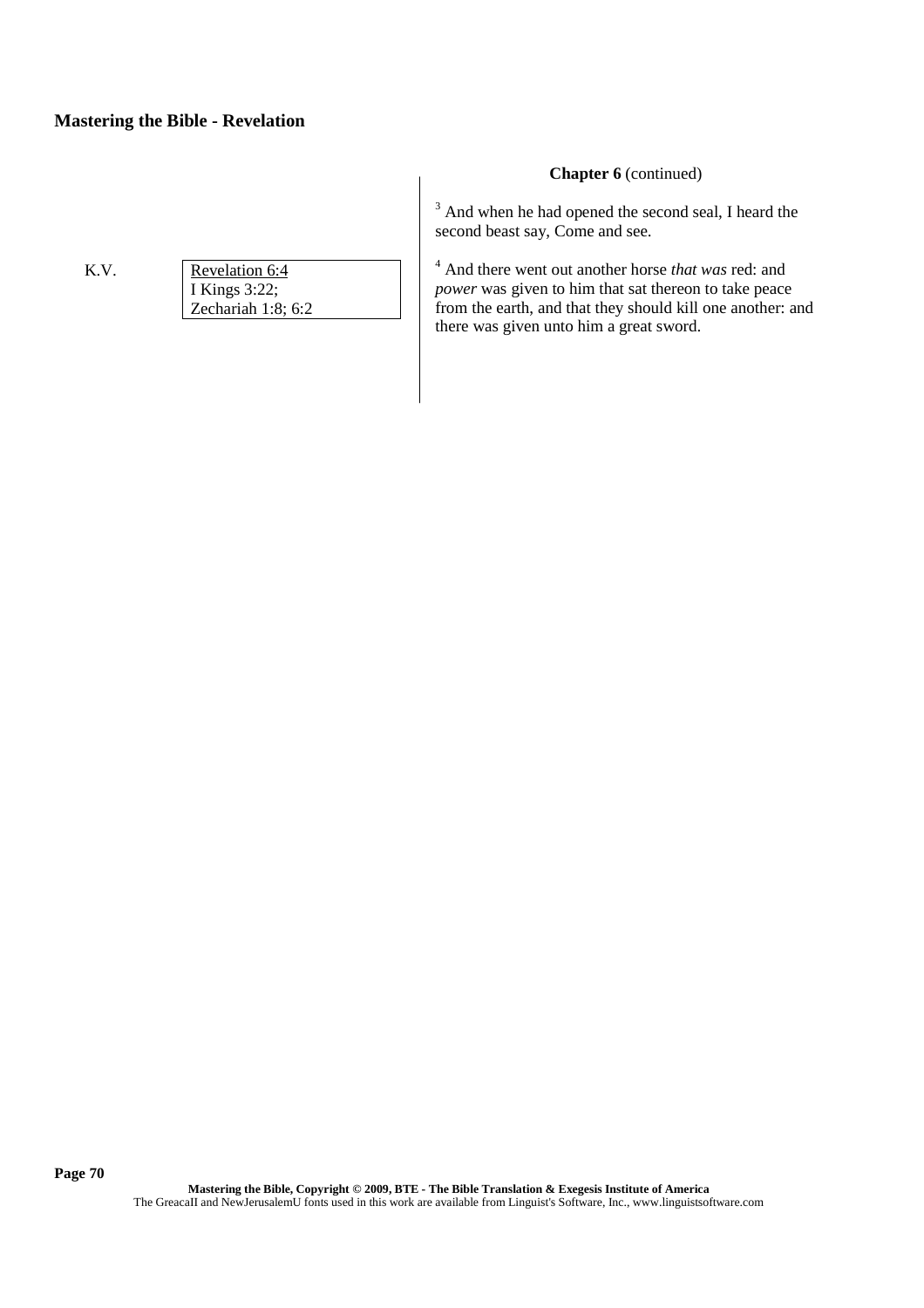K.V. Revelation 6:4 I Kings 3:22; Zechariah 1:8; 6:2

### **Chapter 6** (continued)

<sup>3</sup> And when he had opened the second seal, I heard the second beast say, Come and see.

<sup>4</sup> And there went out another horse *that was* red: and *power* was given to him that sat thereon to take peace from the earth, and that they should kill one another: and there was given unto him a great sword.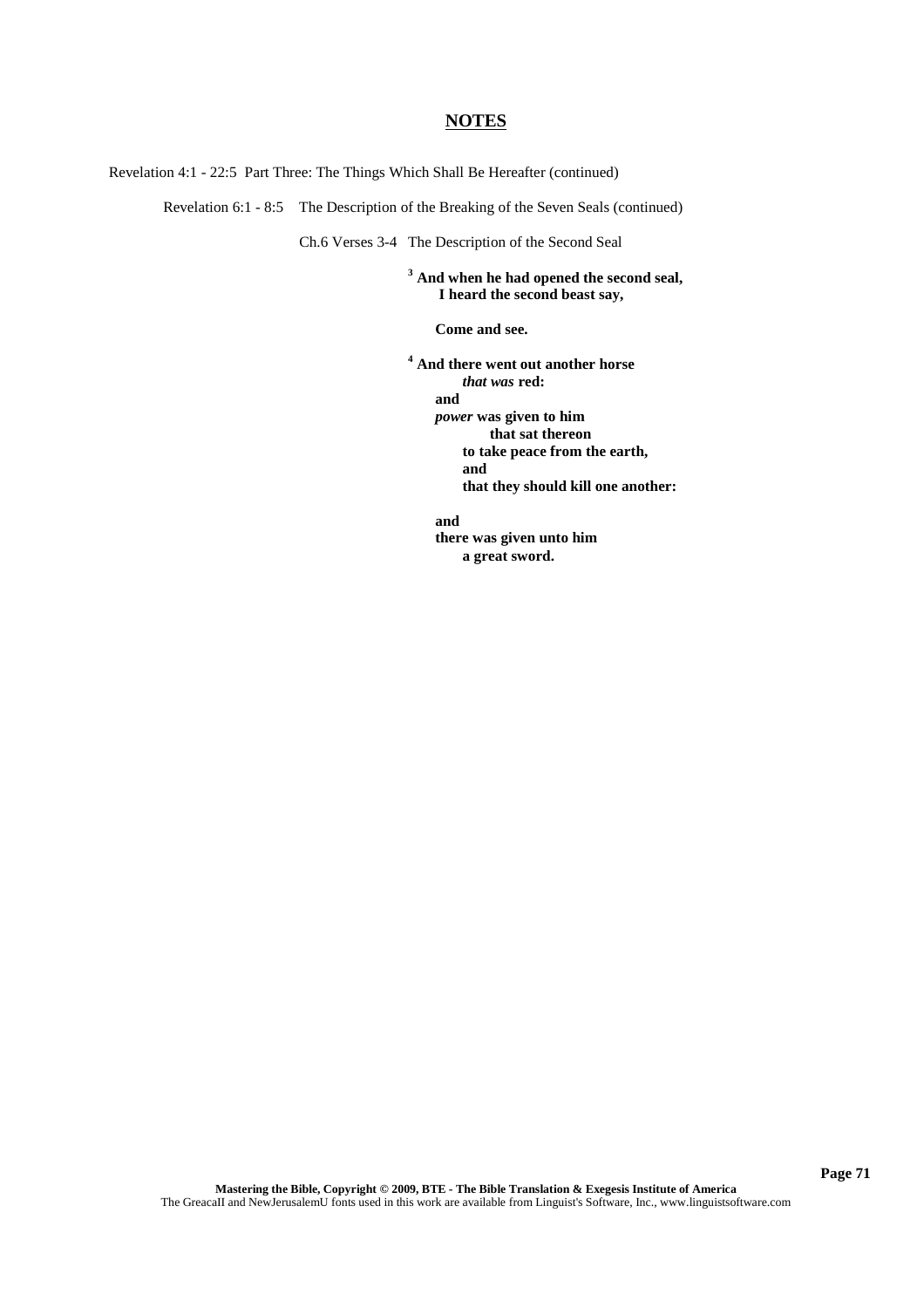Revelation 4:1 - 22:5 Part Three: The Things Which Shall Be Hereafter (continued)

Revelation 6:1 - 8:5 The Description of the Breaking of the Seven Seals (continued)

Ch.6 Verses 3-4 The Description of the Second Seal

**<sup>3</sup> And when he had opened the second seal, I heard the second beast say,**

**Come and see.**

**<sup>4</sup> And there went out another horse** *that was* **red: and** *power* **was given to him that sat thereon to take peace from the earth, and that they should kill one another:**

**and**

**there was given unto him a great sword.**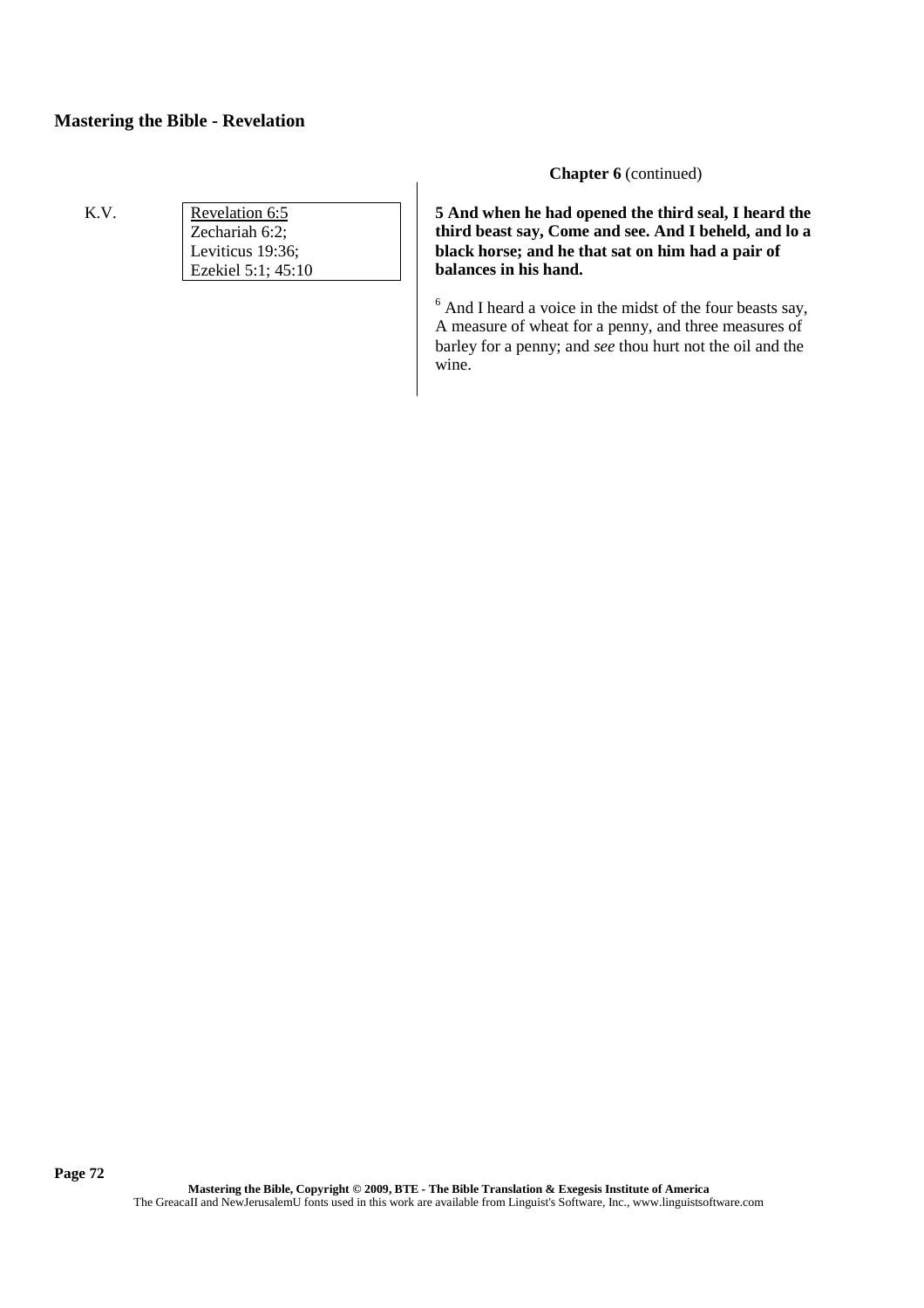K.V. Revelation 6:5 Zechariah 6:2; Leviticus 19:36; Ezekiel 5:1; 45:10 **Chapter 6** (continued)

**5 And when he had opened the third seal, I heard the third beast say, Come and see. And I beheld, and lo a black horse; and he that sat on him had a pair of balances in his hand.**

 $6$  And I heard a voice in the midst of the four beasts say, A measure of wheat for a penny, and three measures of barley for a penny; and *see* thou hurt not the oil and the wine.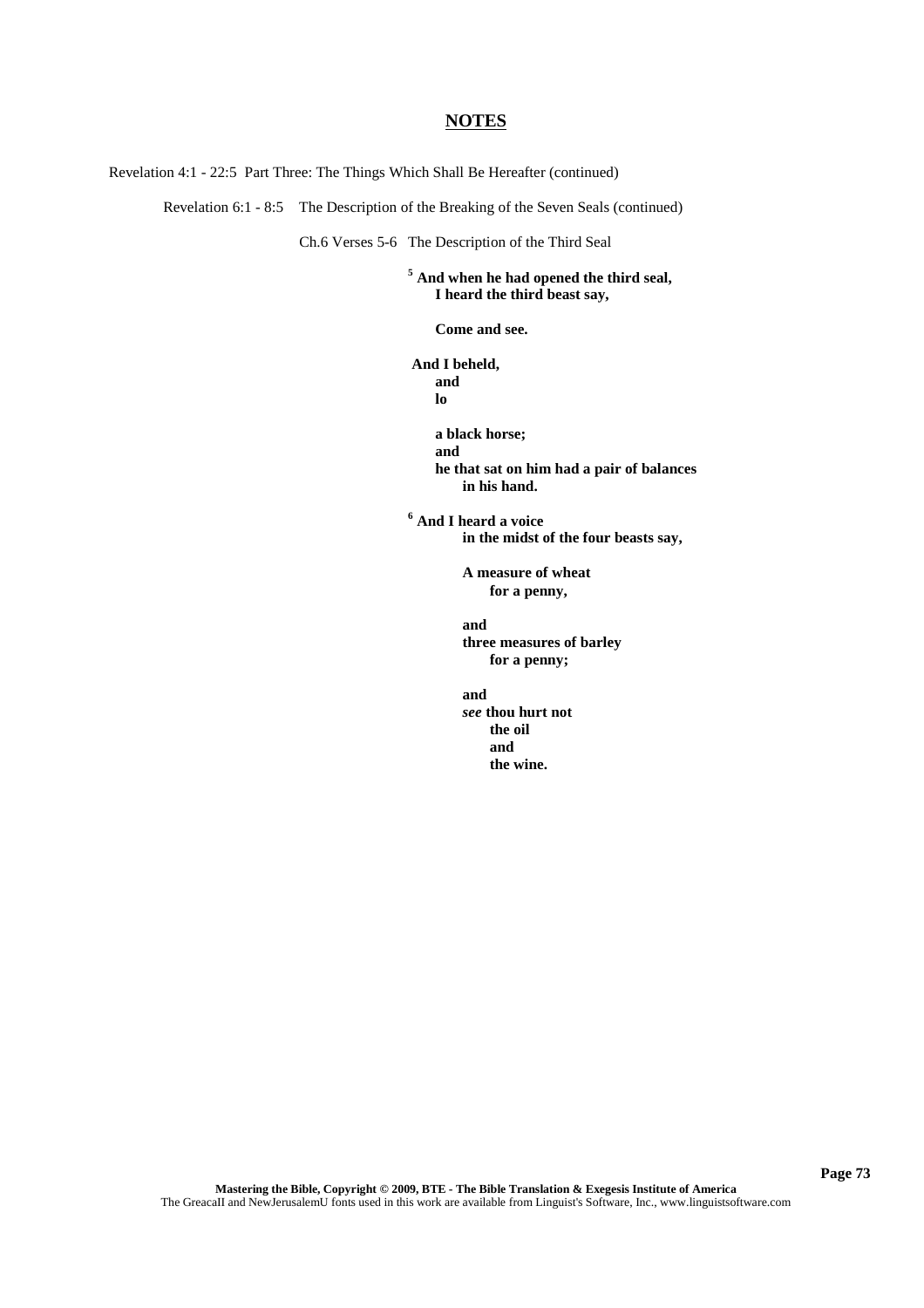Revelation 4:1 - 22:5 Part Three: The Things Which Shall Be Hereafter (continued)

Revelation 6:1 - 8:5 The Description of the Breaking of the Seven Seals (continued)

Ch.6 Verses 5-6 The Description of the Third Seal

**<sup>5</sup> And when he had opened the third seal, I heard the third beast say,**

**Come and see.**

**And I beheld, and lo**

> **a black horse; and he that sat on him had a pair of balances in his hand.**

**<sup>6</sup> And I heard a voice in the midst of the four beasts say,**

> **A measure of wheat for a penny,**

**and three measures of barley for a penny;**

**and** *see* **thou hurt not the oil and the wine.**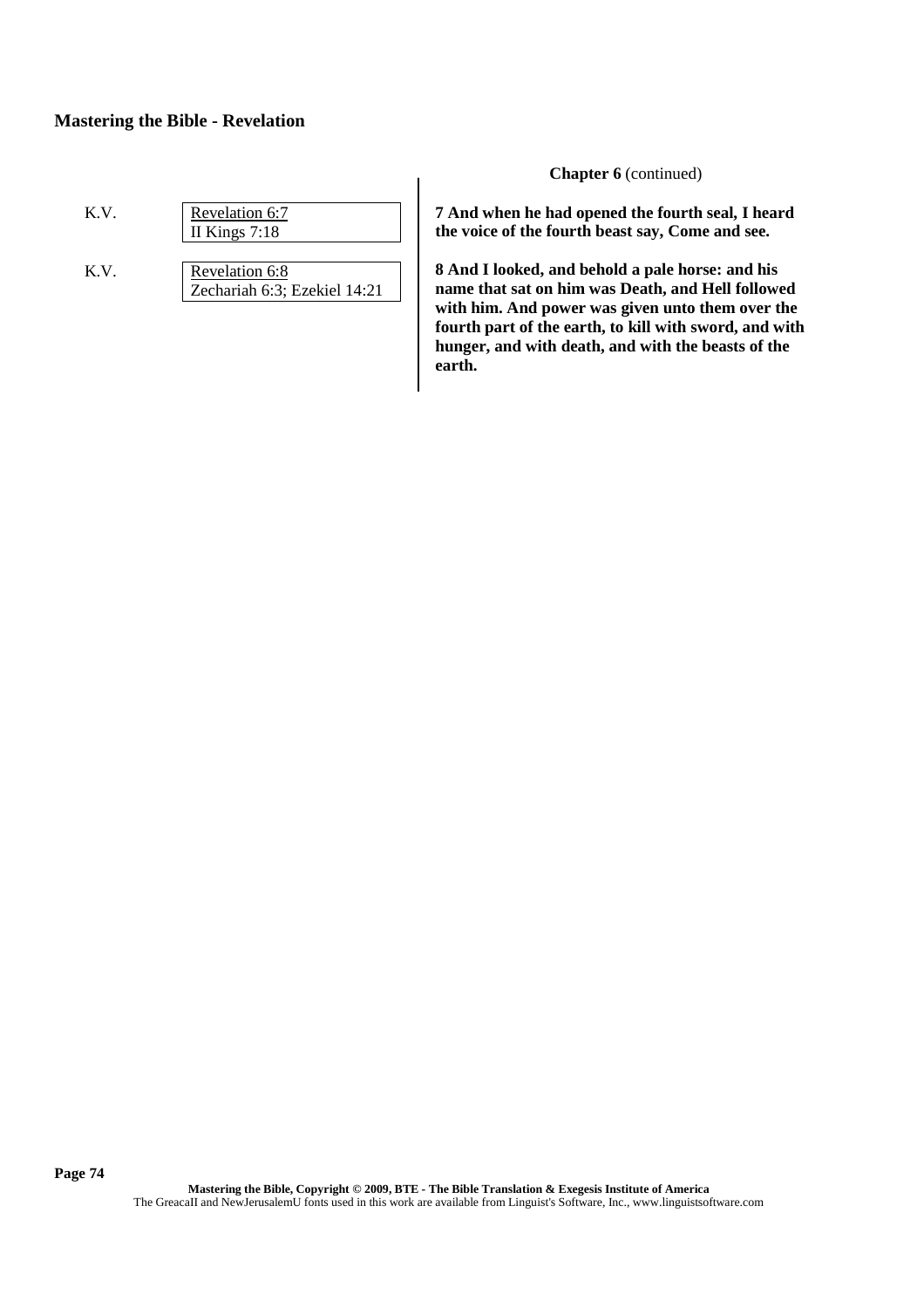| Revelation 6:7  |
|-----------------|
| II Kings $7:18$ |

K.V. Revelation 6:8 Zechariah 6:3; Ezekiel 14:21 **Chapter 6** (continued)

**7 And when he had opened the fourth seal, I heard the voice of the fourth beast say, Come and see.**

**8 And I looked, and behold a pale horse: and his name that sat on him was Death, and Hell followed with him. And power was given unto them over the fourth part of the earth, to kill with sword, and with hunger, and with death, and with the beasts of the earth.**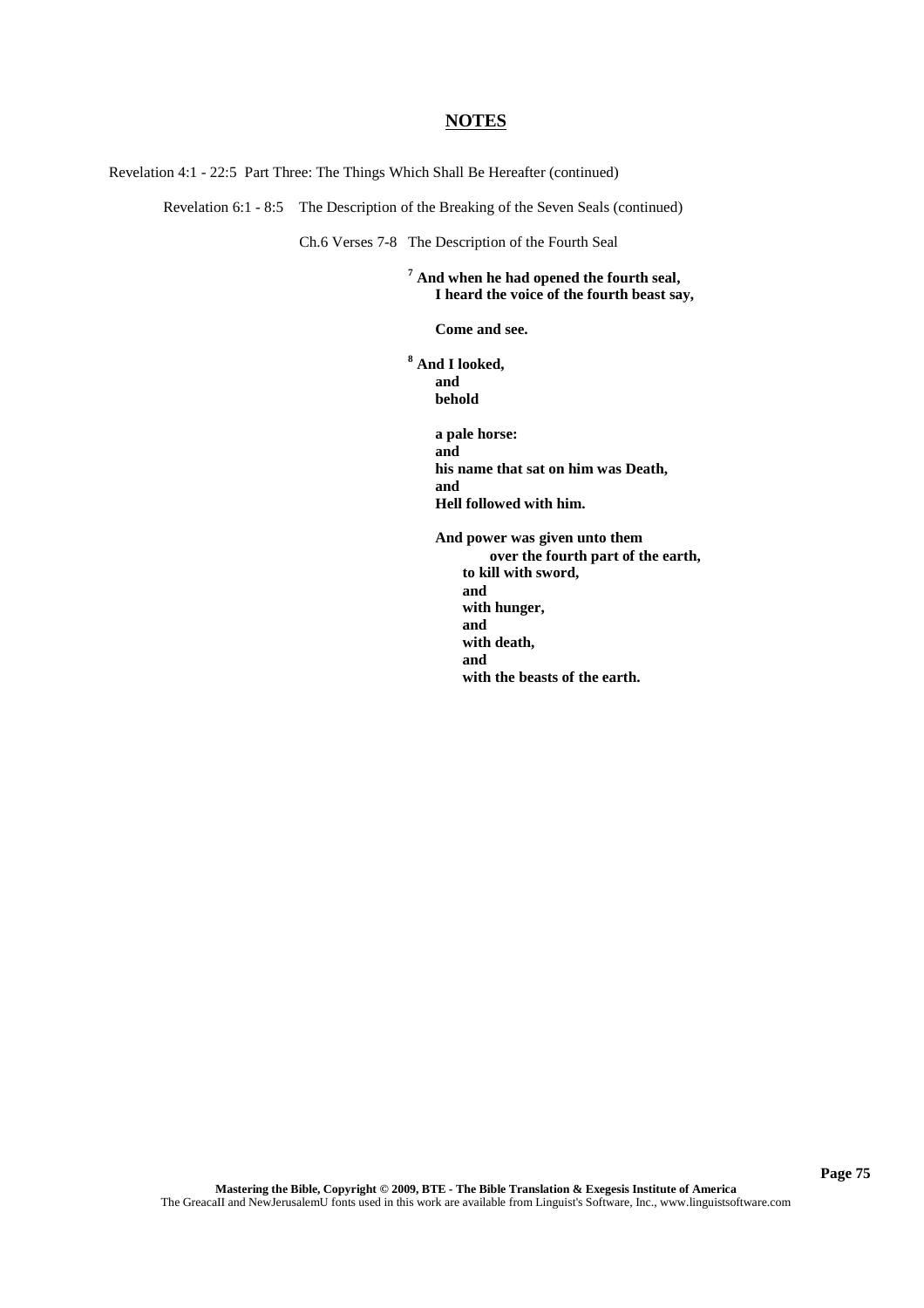Revelation 4:1 - 22:5 Part Three: The Things Which Shall Be Hereafter (continued)

Revelation 6:1 - 8:5 The Description of the Breaking of the Seven Seals (continued)

Ch.6 Verses 7-8 The Description of the Fourth Seal

**<sup>7</sup> And when he had opened the fourth seal, I heard the voice of the fourth beast say,**

**Come and see.**

**<sup>8</sup> And I looked, and behold**

> **a pale horse: and his name that sat on him was Death, and Hell followed with him.**

**And power was given unto them over the fourth part of the earth, to kill with sword, and with hunger, and with death, and with the beasts of the earth.**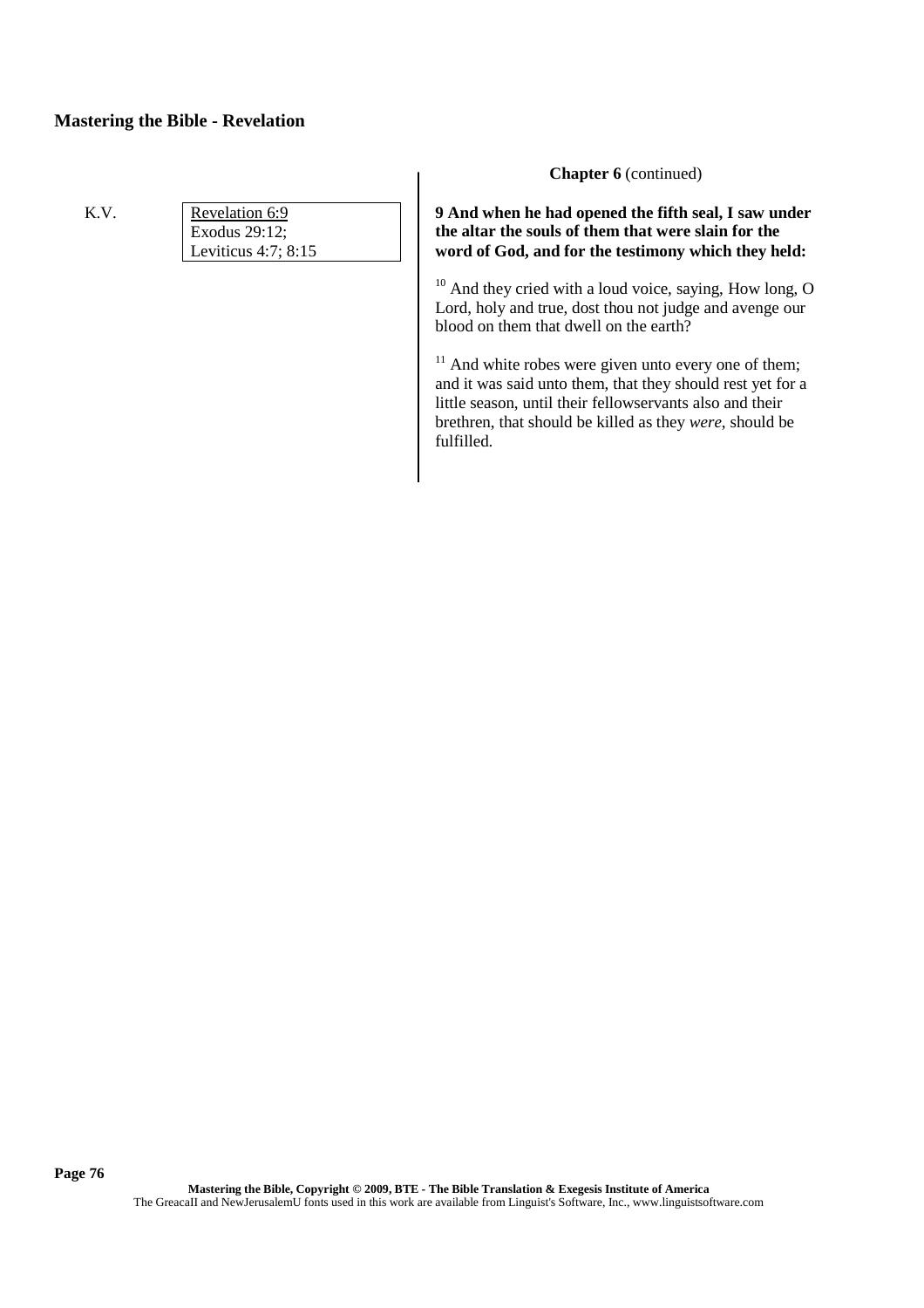K.V. Revelation 6:9 Exodus 29:12; Leviticus 4:7; 8:15 **Chapter 6** (continued)

**9 And when he had opened the fifth seal, I saw under the altar the souls of them that were slain for the word of God, and for the testimony which they held:**

 $10$  And they cried with a loud voice, saying, How long, O Lord, holy and true, dost thou not judge and avenge our blood on them that dwell on the earth?

 $11$  And white robes were given unto every one of them; and it was said unto them, that they should rest yet for a little season, until their fellowservants also and their brethren, that should be killed as they *were*, should be fulfilled.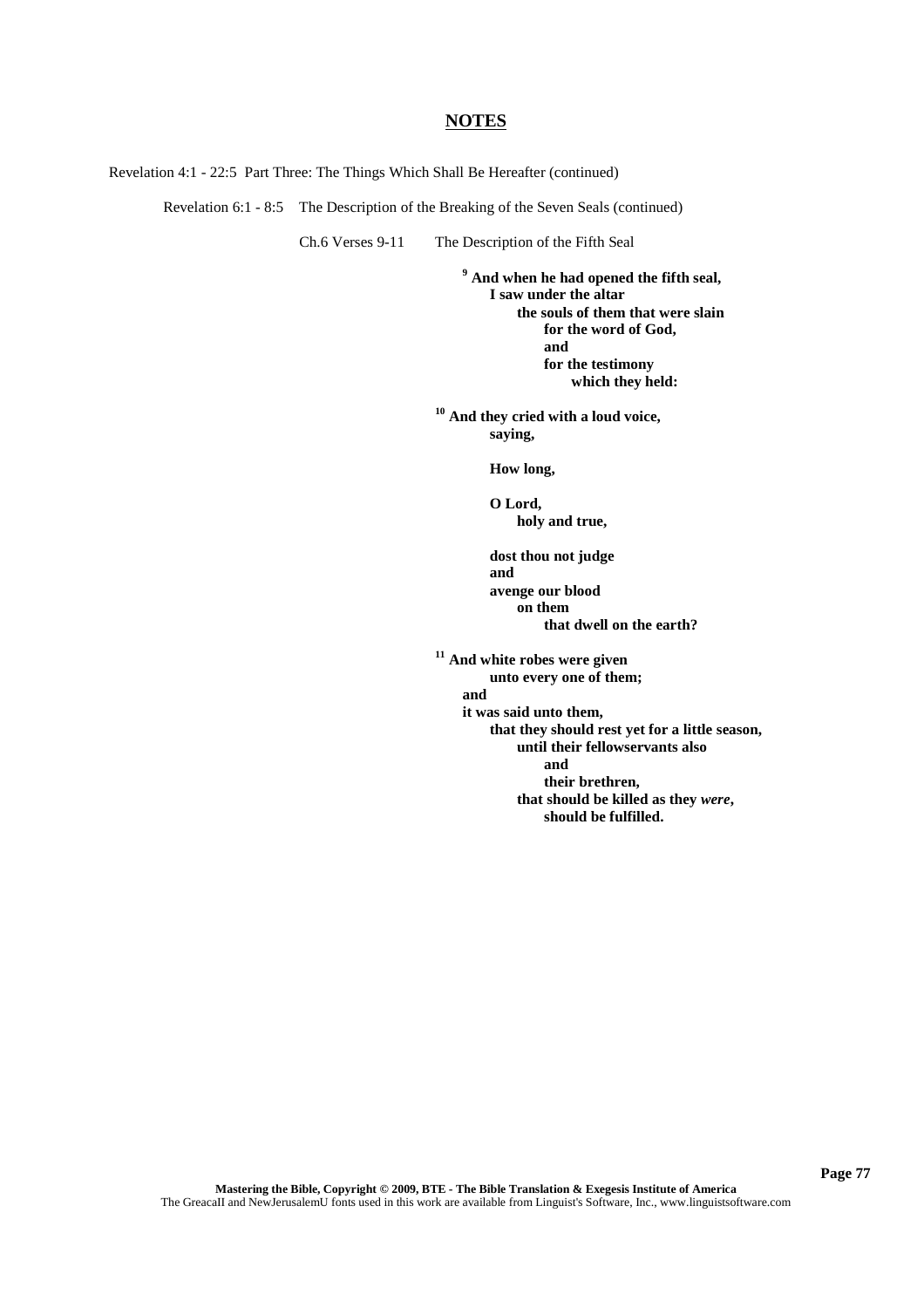Revelation 4:1 - 22:5 Part Three: The Things Which Shall Be Hereafter (continued)

Revelation 6:1 - 8:5 The Description of the Breaking of the Seven Seals (continued)

Ch.6 Verses 9-11 The Description of the Fifth Seal

**<sup>9</sup> And when he had opened the fifth seal, I saw under the altar the souls of them that were slain for the word of God, and for the testimony which they held:**

**<sup>10</sup> And they cried with a loud voice, saying,**

**How long,**

**O Lord, holy and true,**

**dost thou not judge and avenge our blood on them that dwell on the earth?**

**<sup>11</sup> And white robes were given**

**unto every one of them;**

**and**

**it was said unto them,**

**that they should rest yet for a little season, until their fellowservants also and**

**their brethren,**

**that should be killed as they** *were***, should be fulfilled.**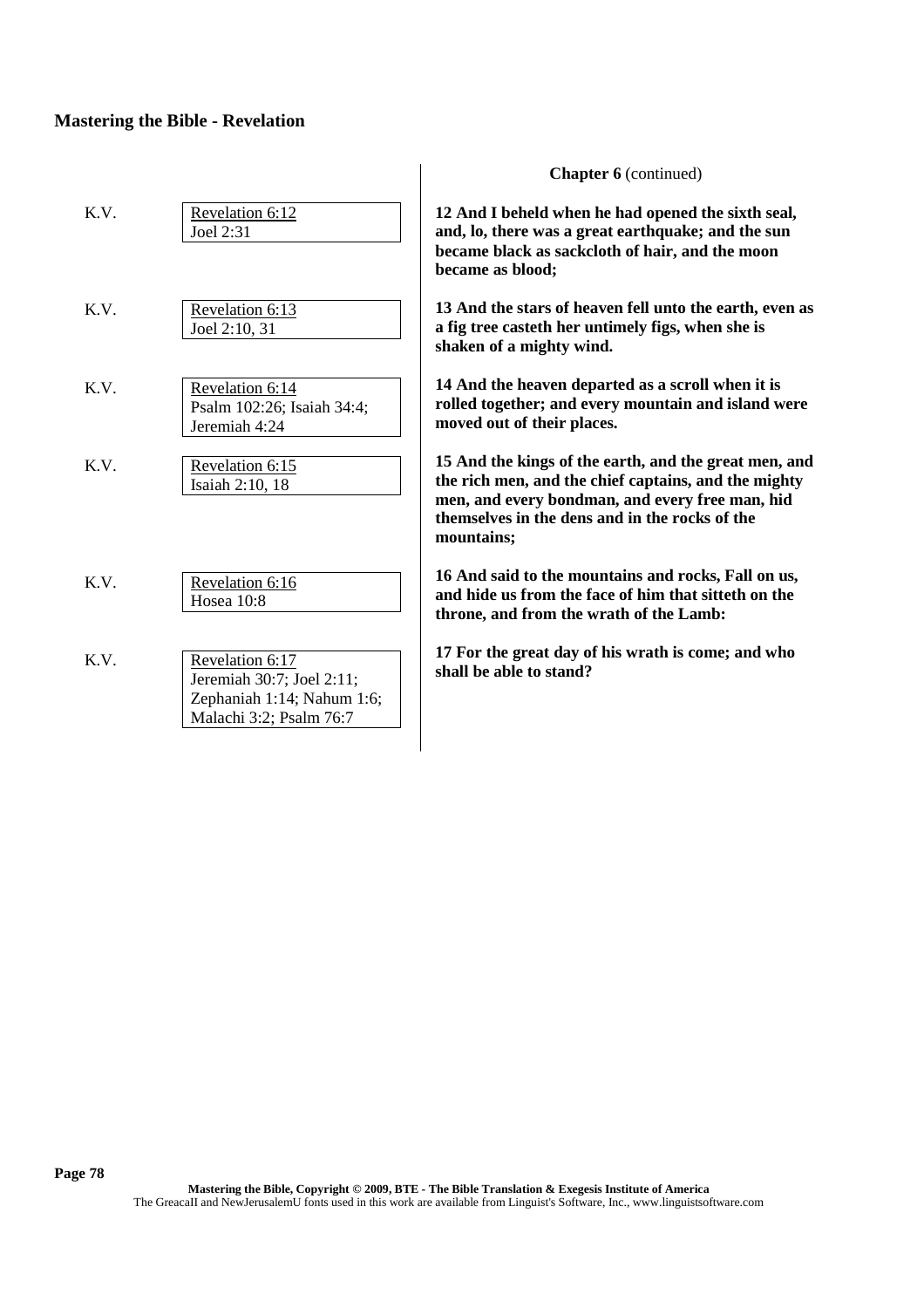| K.V. | Revelation 6:12<br>Joel 2:31                                                                          | 12A<br>and,<br>beca<br>beca         |
|------|-------------------------------------------------------------------------------------------------------|-------------------------------------|
| K.V. | Revelation 6:13<br>Joel 2:10, 31                                                                      | 13A<br>a fig<br>shak                |
| K.V. | Revelation 6:14<br>Psalm 102:26; Isaiah 34:4;<br>Jeremiah 4:24                                        | 14A<br>rolle<br>move                |
| K.V. | Revelation 6:15<br>Isaiah 2:10, 18                                                                    | 15A<br>the r<br>men.<br>them<br>mou |
| K.V. | Revelation 6:16<br>Hosea 10:8                                                                         | 16A<br>and l<br>thro                |
| K.V. | Revelation 6:17<br>Jeremiah 30:7; Joel 2:11;<br>Zephaniah 1:14; Nahum 1:6;<br>Malachi 3:2; Psalm 76:7 | 17 F<br>shall                       |

### **Chapter 6** (continued)

**12 And I beheld when he had opened the sixth seal, and, lo, there was a great earthquake; and the sun became black as sackcloth of hair, and the moon** me as blood:

**13 And the stars of heaven fell unto the earth, even as** tree casteth her untimely figs, when she is **shaken of a mighty wind.**

**14 And the heaven departed as a scroll when it is rolled together; and every mountain and island were moved out of their places.**

**15 And the kings of the earth, and the great men, and the rich men, and the chief captains, and the mighty** and every bondman, and every free man, hid **themselves in the dens and in the rocks of the** ntains:

**16 And said to the mountains and rocks, Fall on us, and hide us from the face of him that sitteth on the throne, and from the wrath of the Lamb:**

**17 For the great day of his wrath is come; and who** be able to stand?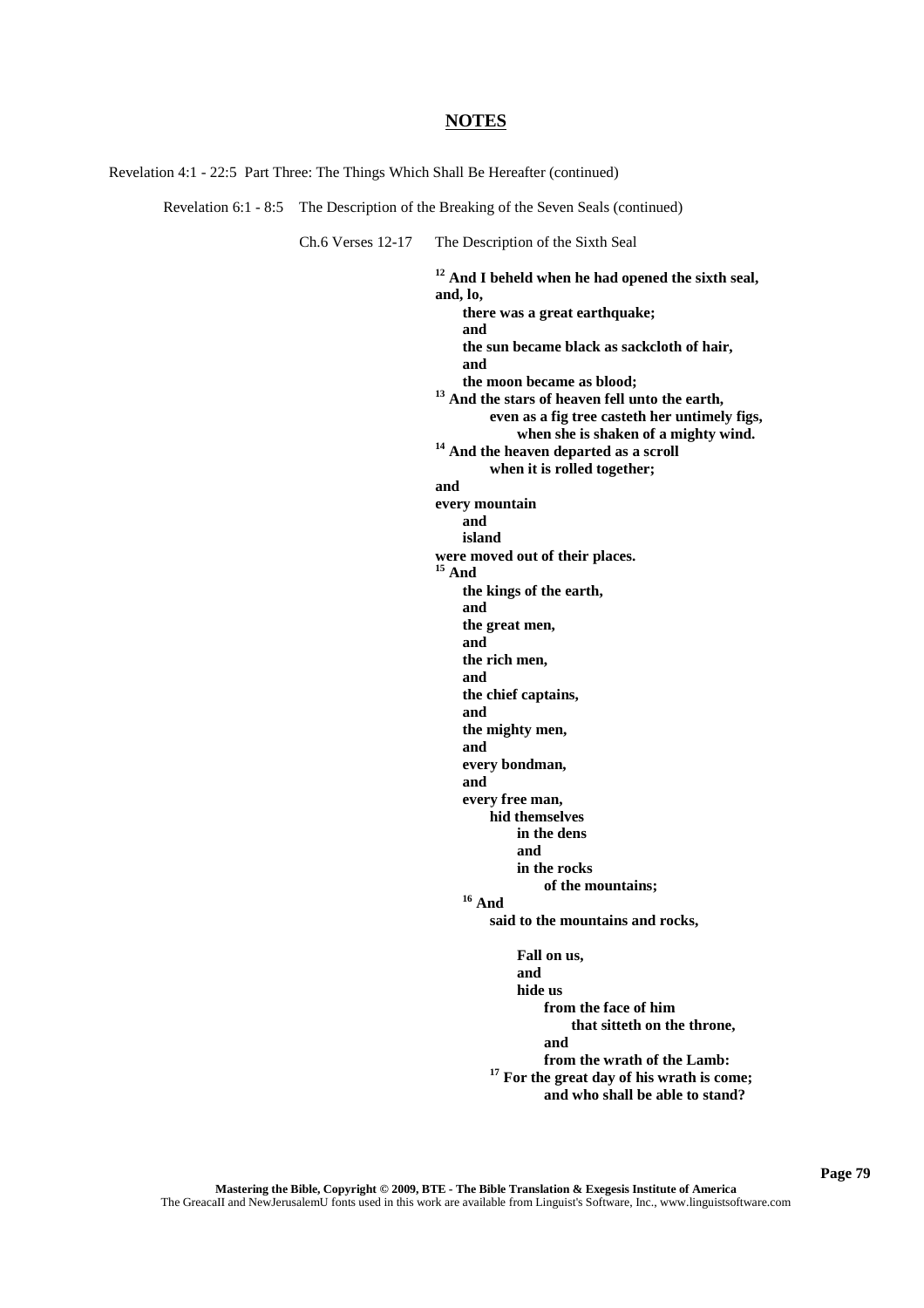Revelation 4:1 - 22:5 Part Three: The Things Which Shall Be Hereafter (continued)

Revelation 6:1 - 8:5 The Description of the Breaking of the Seven Seals (continued)

Ch.6 Verses 12-17 The Description of the Sixth Seal

**<sup>12</sup> And I beheld when he had opened the sixth seal, and, lo, there was a great earthquake; and the sun became black as sackcloth of hair, and the moon became as blood; <sup>13</sup> And the stars of heaven fell unto the earth, even as a fig tree casteth her untimely figs, when she is shaken of a mighty wind. <sup>14</sup> And the heaven departed as a scroll when it is rolled together; and every mountain and island were moved out of their places. <sup>15</sup> And the kings of the earth, and the great men, and the rich men, and the chief captains, and the mighty men, and every bondman, and every free man, hid themselves in the dens and in the rocks of the mountains; <sup>16</sup> And said to the mountains and rocks, Fall on us, and hide us from the face of him that sitteth on the throne, and from the wrath of the Lamb: <sup>17</sup> For the great day of his wrath is come; and who shall be able to stand?**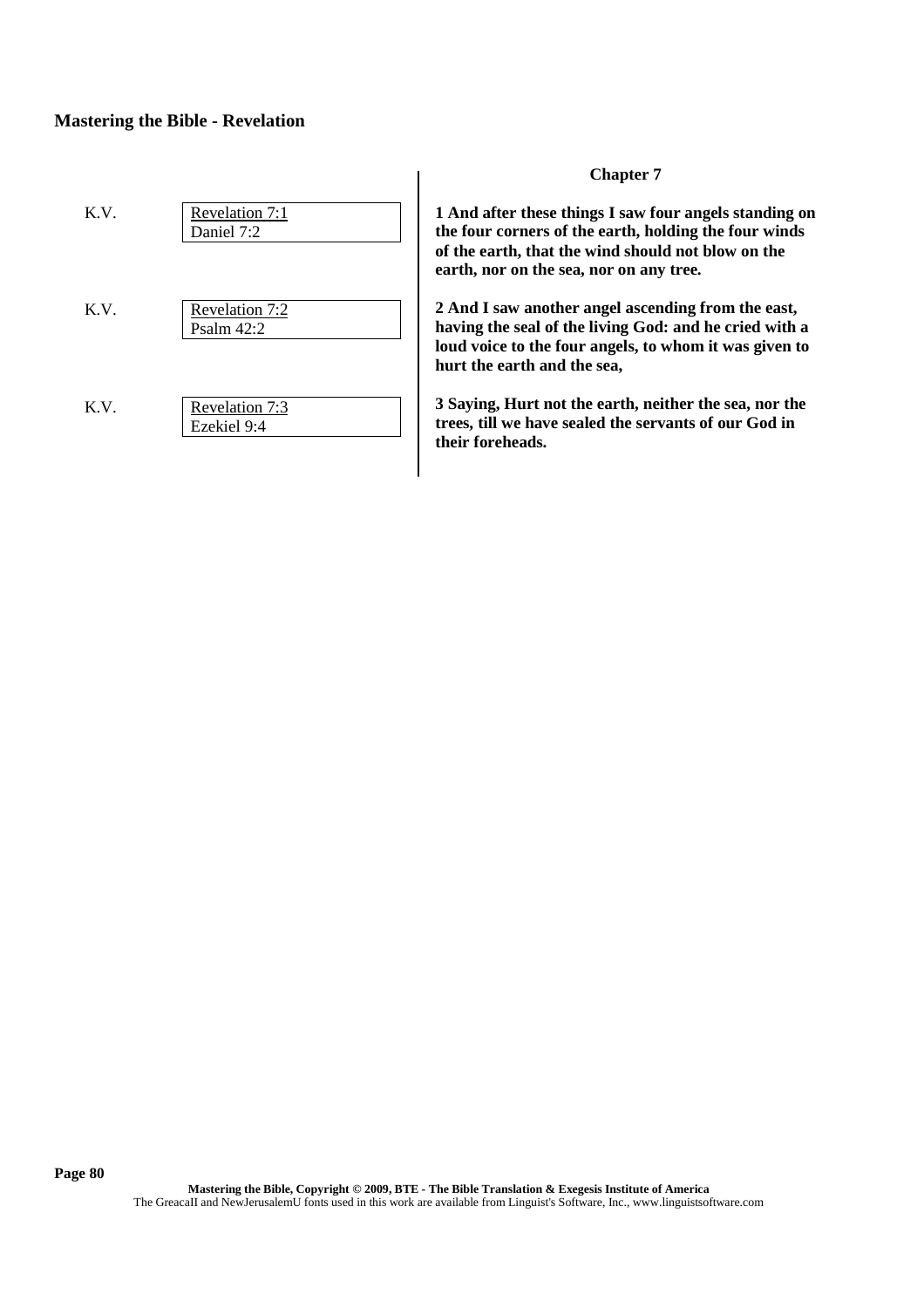| K.V. | Revelation 7:1<br>Daniel 7:2  |  |
|------|-------------------------------|--|
| K.V. | Revelation 7:2<br>Psalm 42:2  |  |
| K.V. | Revelation 7:3<br>Ezekiel 9:4 |  |

### **Chapter 7**

**1 And after these things I saw four angels standing on the four corners of the earth, holding the four winds of the earth, that the wind should not blow on the earth, nor on the sea, nor on any tree.**

**2 And I saw another angel ascending from the east, having the seal of the living God: and he cried with a loud voice to the four angels, to whom it was given to hurt the earth and the sea,**

**3 Saying, Hurt not the earth, neither the sea, nor the trees, till we have sealed the servants of our God in their foreheads.**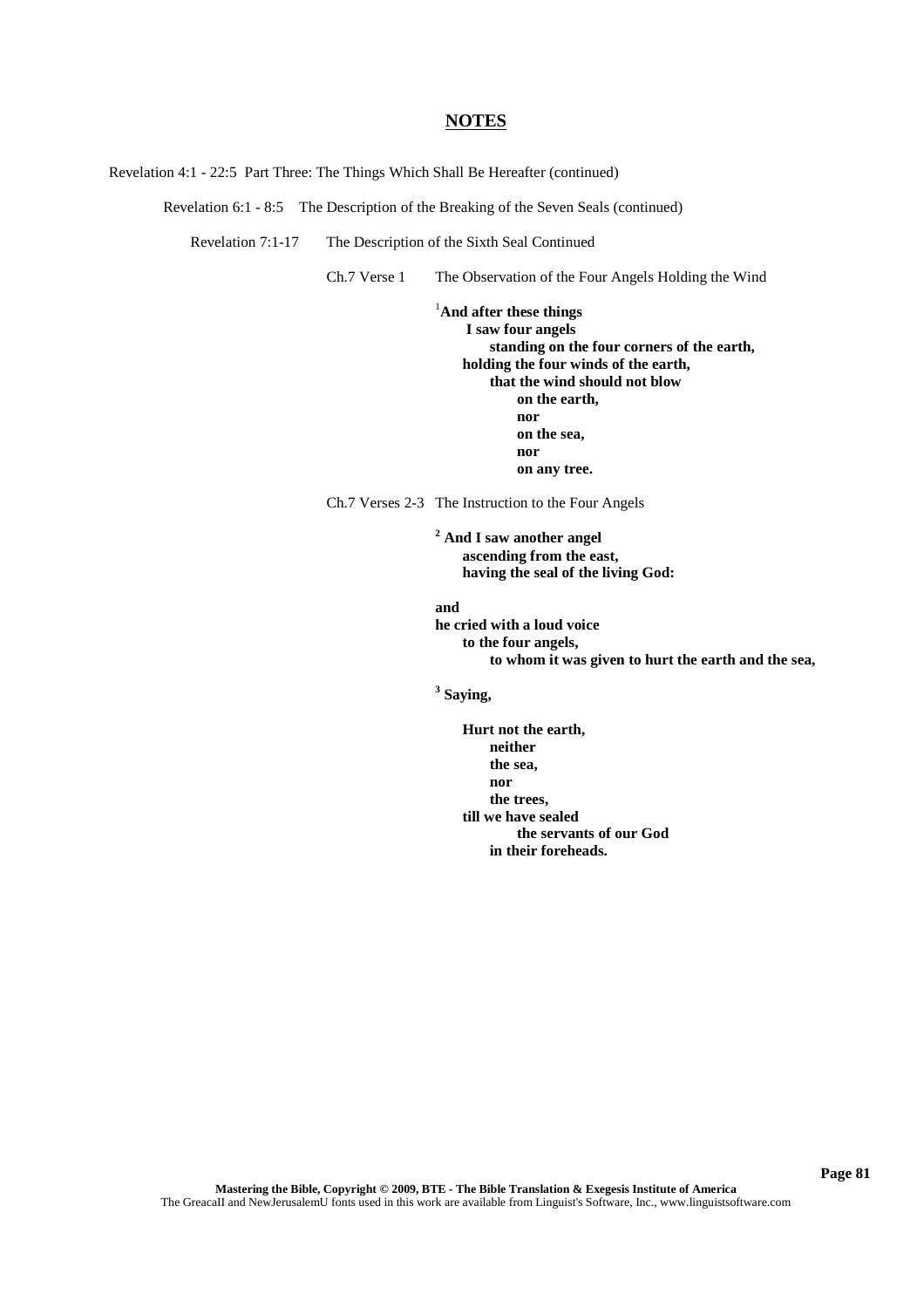Revelation 4:1 - 22:5 Part Three: The Things Which Shall Be Hereafter (continued)

Revelation 6:1 - 8:5 The Description of the Breaking of the Seven Seals (continued)

Revelation 7:1-17 The Description of the Sixth Seal Continued

Ch.7 Verse 1 The Observation of the Four Angels Holding the Wind

<sup>1</sup>**And after these things I saw four angels standing on the four corners of the earth, holding the four winds of the earth, that the wind should not blow on the earth, nor on the sea, nor on any tree.**

Ch.7 Verses 2-3 The Instruction to the Four Angels

**<sup>2</sup> And I saw another angel ascending from the east, having the seal of the living God:**

**and**

**he cried with a loud voice to the four angels, to whom it was given to hurt the earth and the sea,**

**3 Saying,**

**Hurt not the earth, neither the sea, nor the trees, till we have sealed the servants of our God in their foreheads.**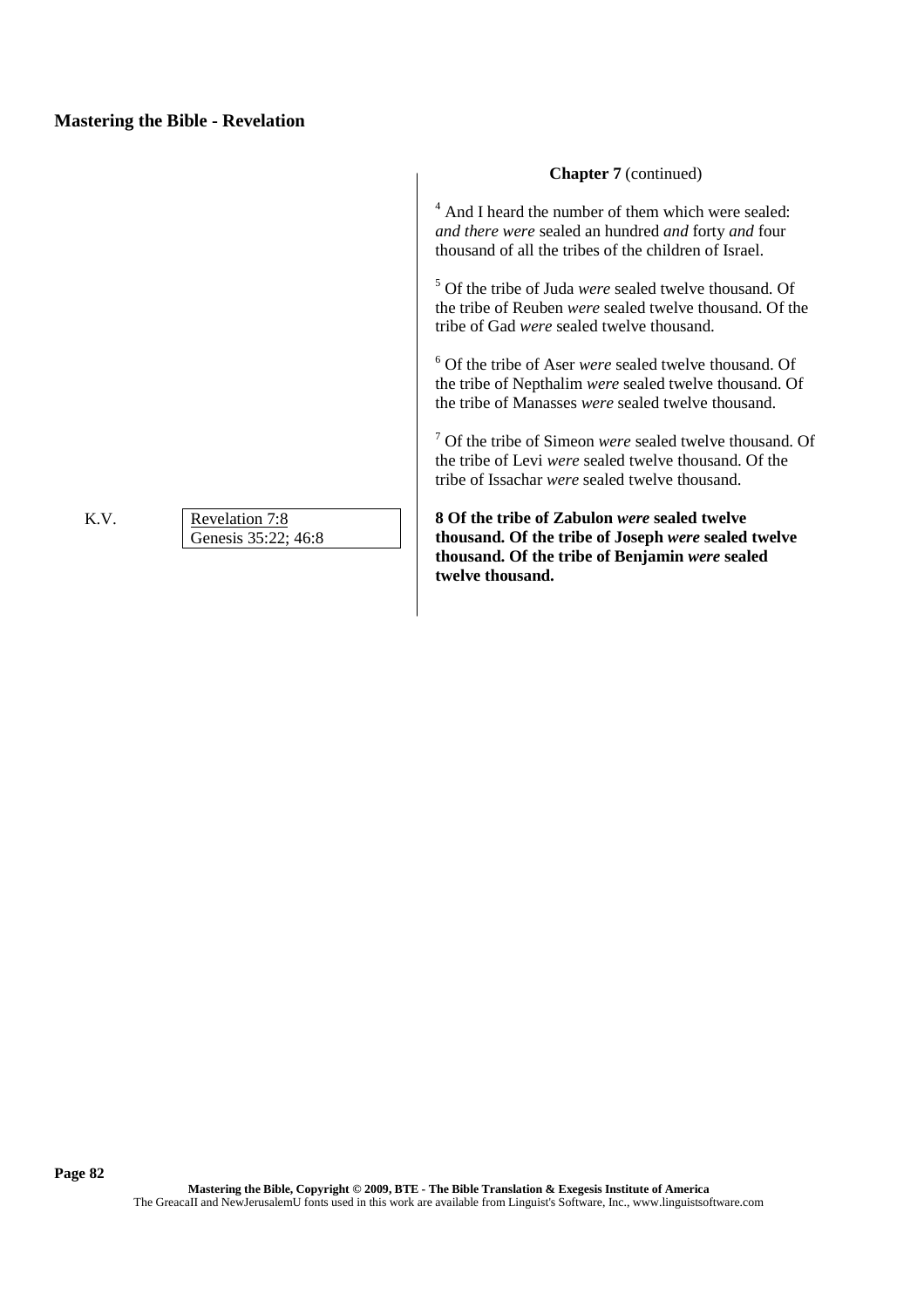K.V. Revelation 7:8 Genesis 35:22; 46:8

### **Chapter 7** (continued)

<sup>4</sup> And I heard the number of them which were sealed: *and there were* sealed an hundred *and* forty *and* four thousand of all the tribes of the children of Israel.

<sup>5</sup> Of the tribe of Juda *were* sealed twelve thousand. Of the tribe of Reuben *were* sealed twelve thousand. Of the tribe of Gad *were* sealed twelve thousand.

<sup>6</sup> Of the tribe of Aser *were* sealed twelve thousand. Of the tribe of Nepthalim *were* sealed twelve thousand. Of the tribe of Manasses *were* sealed twelve thousand.

<sup>7</sup> Of the tribe of Simeon *were* sealed twelve thousand. Of the tribe of Levi *were* sealed twelve thousand. Of the tribe of Issachar *were* sealed twelve thousand.

**8 Of the tribe of Zabulon** *were* **sealed twelve thousand. Of the tribe of Joseph** *were* **sealed twelve thousand. Of the tribe of Benjamin** *were* **sealed twelve thousand.**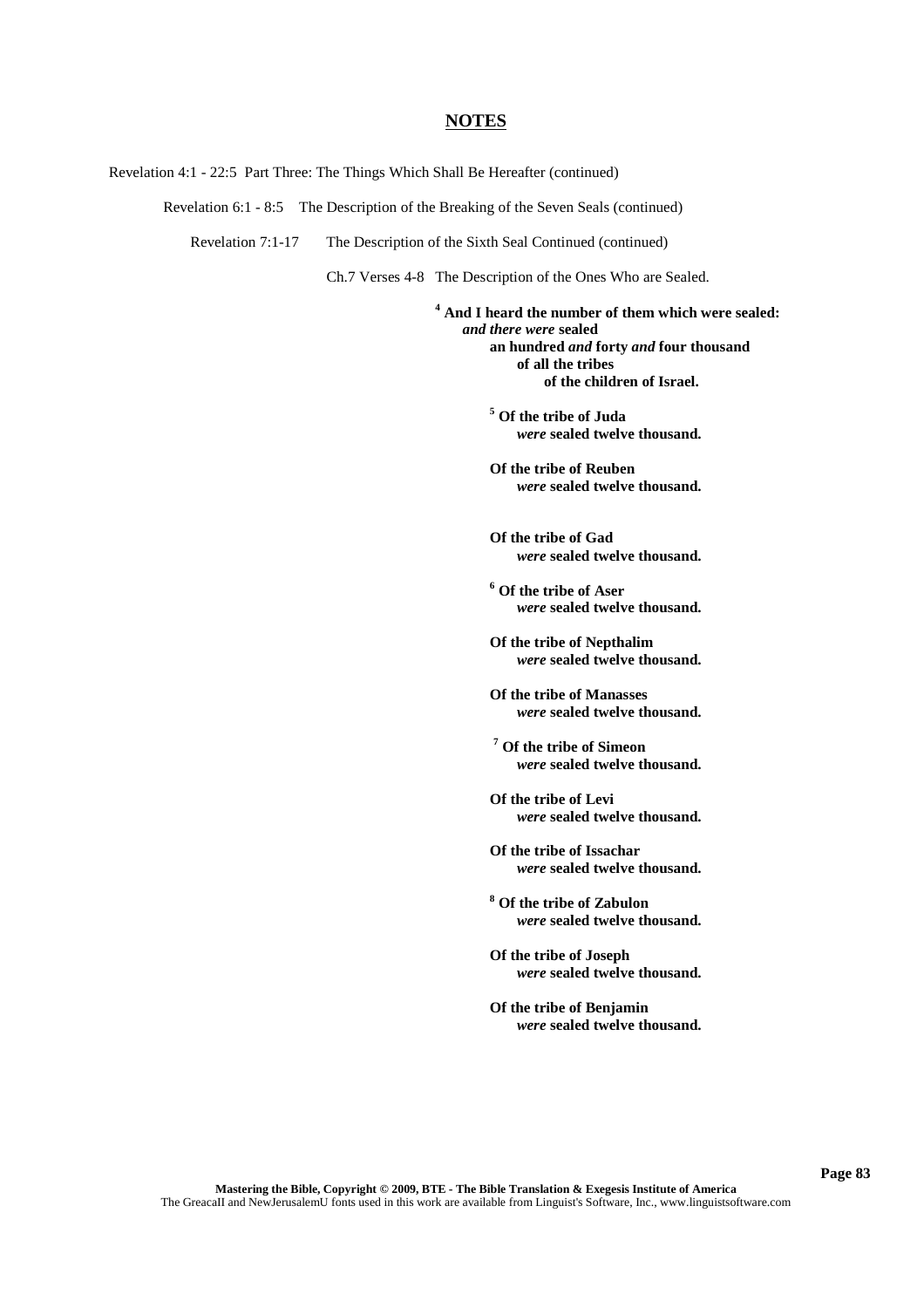Revelation 4:1 - 22:5 Part Three: The Things Which Shall Be Hereafter (continued)

Revelation 6:1 - 8:5 The Description of the Breaking of the Seven Seals (continued)

Revelation 7:1-17 The Description of the Sixth Seal Continued (continued)

Ch.7 Verses 4-8 The Description of the Ones Who are Sealed.

**<sup>4</sup> And I heard the number of them which were sealed:** *and there were* **sealed an hundred** *and* **forty** *and* **four thousand of all the tribes of the children of Israel.**

> **<sup>5</sup> Of the tribe of Juda** *were* **sealed twelve thousand.**

> **Of the tribe of Reuben** *were* **sealed twelve thousand.**

> **Of the tribe of Gad** *were* **sealed twelve thousand.**

> **<sup>6</sup> Of the tribe of Aser** *were* **sealed twelve thousand.**

> **Of the tribe of Nepthalim** *were* **sealed twelve thousand.**

> **Of the tribe of Manasses** *were* **sealed twelve thousand.**

**<sup>7</sup> Of the tribe of Simeon** *were* **sealed twelve thousand.**

**Of the tribe of Levi** *were* **sealed twelve thousand.**

**Of the tribe of Issachar** *were* **sealed twelve thousand.**

**<sup>8</sup> Of the tribe of Zabulon** *were* **sealed twelve thousand.**

**Of the tribe of Joseph** *were* **sealed twelve thousand.**

**Of the tribe of Benjamin** *were* **sealed twelve thousand.**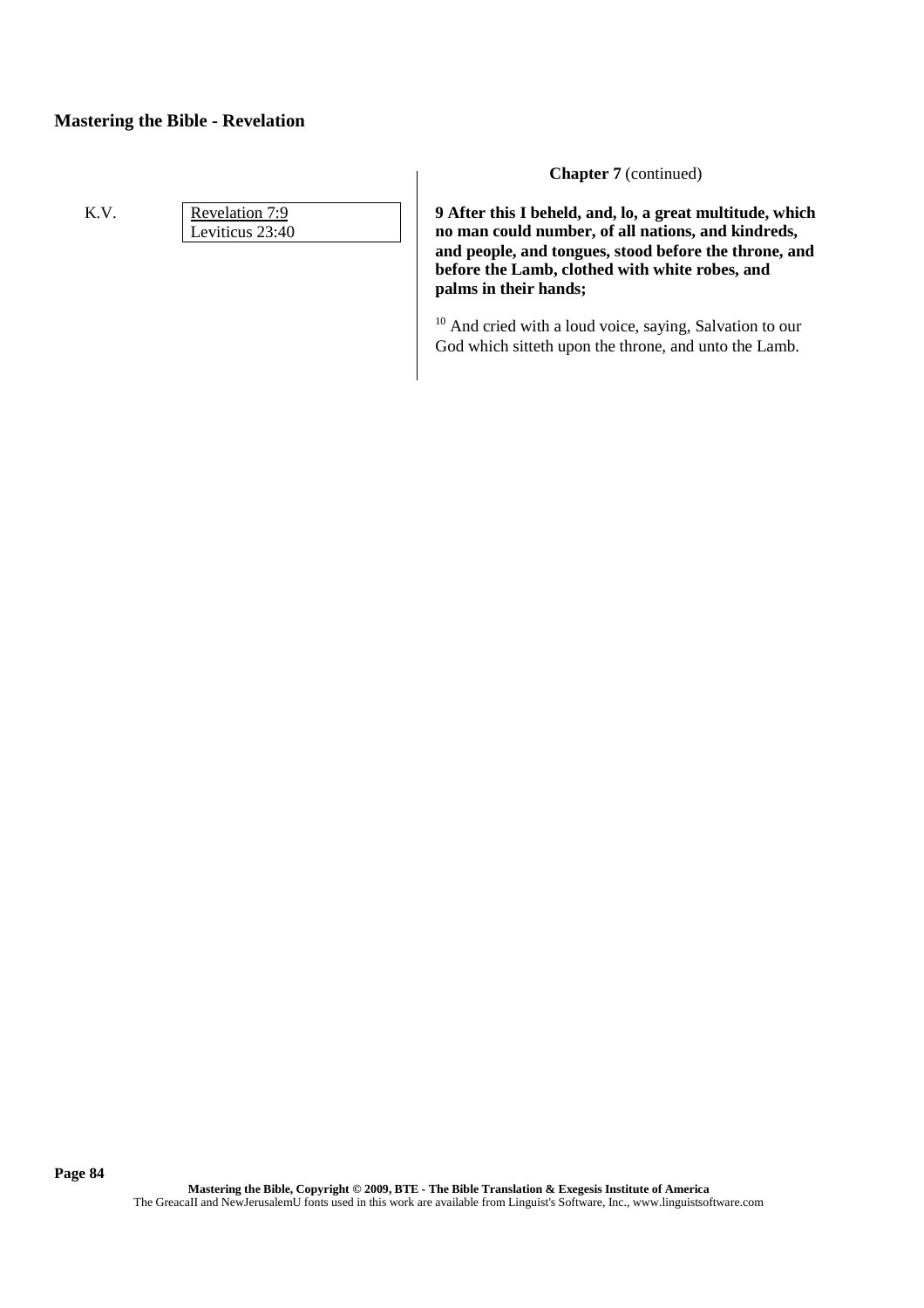## K.V. Revelation 7:9 Leviticus 23:40

**Chapter 7** (continued)

**9 After this I beheld, and, lo, a great multitude, which no man could number, of all nations, and kindreds, and people, and tongues, stood before the throne, and before the Lamb, clothed with white robes, and palms in their hands;**

<sup>10</sup> And cried with a loud voice, saying, Salvation to our God which sitteth upon the throne, and unto the Lamb.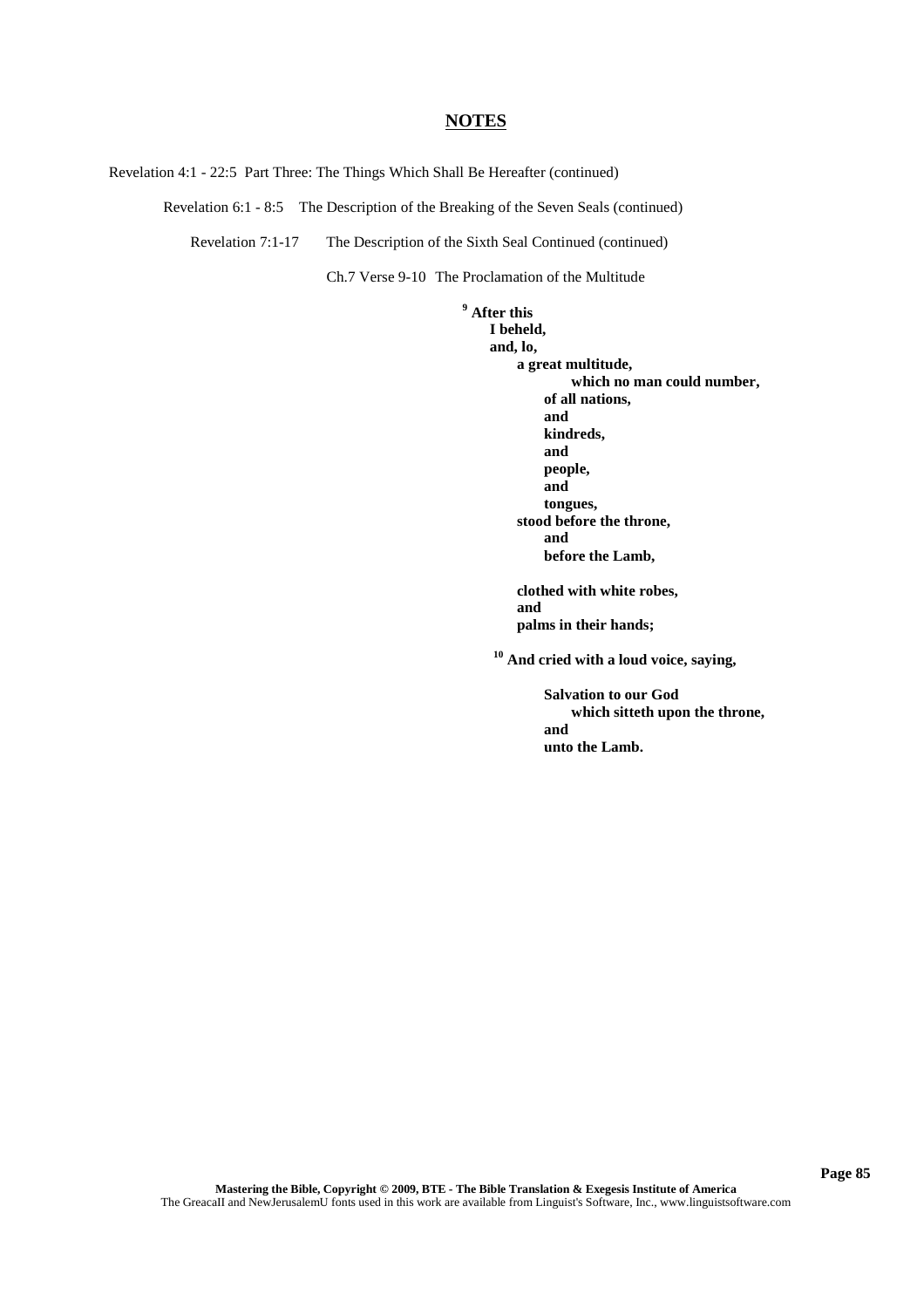Revelation 4:1 - 22:5 Part Three: The Things Which Shall Be Hereafter (continued)

Revelation 6:1 - 8:5 The Description of the Breaking of the Seven Seals (continued)

Revelation 7:1-17 The Description of the Sixth Seal Continued (continued)

Ch.7 Verse 9-10 The Proclamation of the Multitude

**<sup>9</sup> After this I beheld, and, lo, a great multitude, which no man could number, of all nations, and kindreds, and people, and tongues, stood before the throne, and before the Lamb, clothed with white robes, and palms in their hands;**

**<sup>10</sup> And cried with a loud voice, saying,**

**Salvation to our God which sitteth upon the throne, and unto the Lamb.**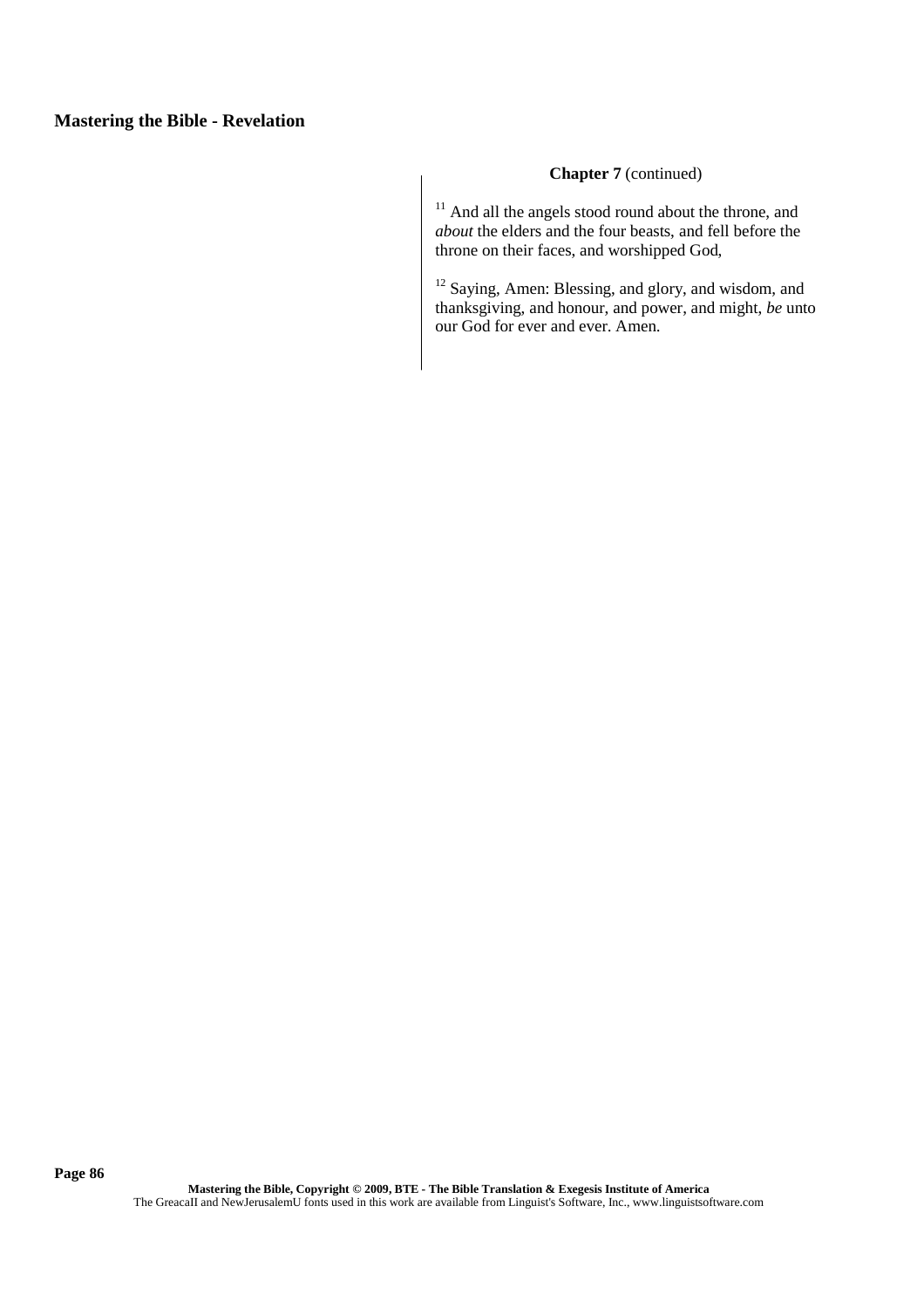### **Chapter 7** (continued)

<sup>11</sup> And all the angels stood round about the throne, and *about* the elders and the four beasts, and fell before the throne on their faces, and worshipped God,

<sup>12</sup> Saying, Amen: Blessing, and glory, and wisdom, and thanksgiving, and honour, and power, and might, *be* unto our God for ever and ever. Amen.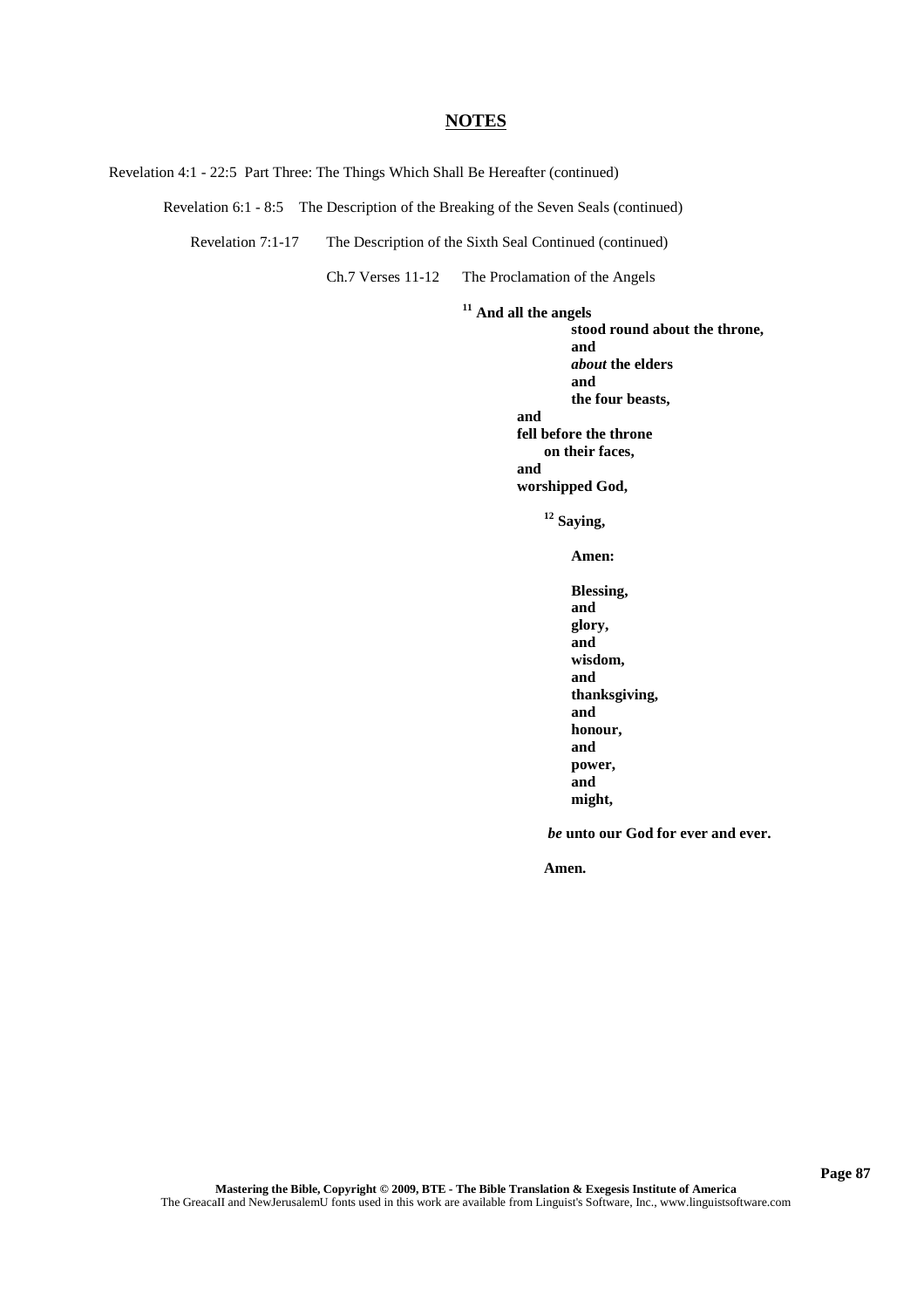Revelation 4:1 - 22:5 Part Three: The Things Which Shall Be Hereafter (continued)

Revelation 6:1 - 8:5 The Description of the Breaking of the Seven Seals (continued)

Revelation 7:1-17 The Description of the Sixth Seal Continued (continued)

Ch.7 Verses 11-12 The Proclamation of the Angels

**<sup>11</sup> And all the angels stood round about the throne, and** *about* **the elders and the four beasts, and fell before the throne on their faces, and worshipped God, <sup>12</sup> Saying,**

**Amen:**

**Blessing, and glory, and wisdom, and thanksgiving, and honour, and power, and might,**

*be* **unto our God for ever and ever.**

**Amen.**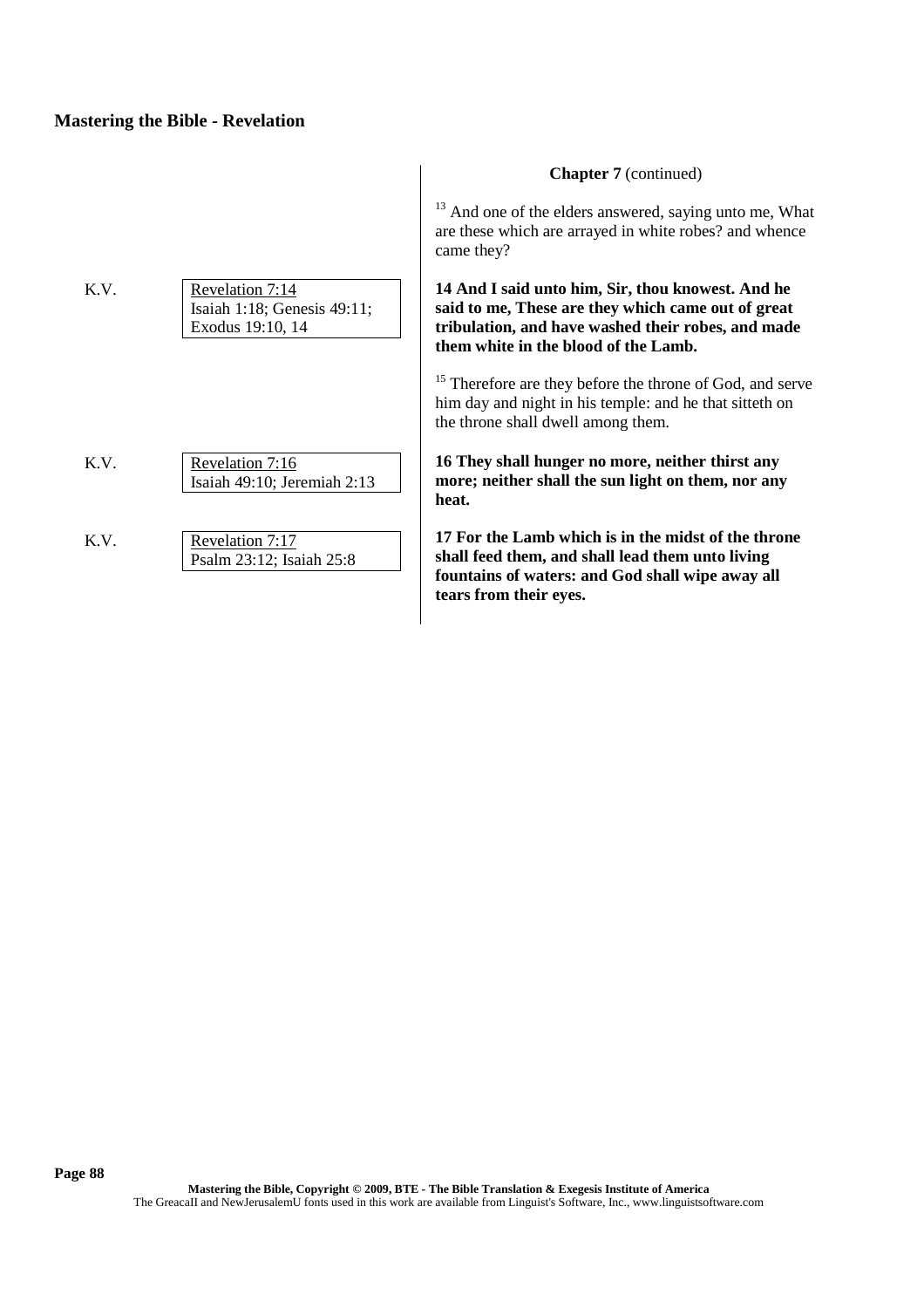- K.V. Revelation 7:14 Isaiah 1:18; Genesis 49:11; Exodus 19:10, 14
- K.V. Revelation 7:16 Isaiah 49:10; Jeremiah 2:13
- K.V. Revelation 7:17 Psalm 23:12; Isaiah 25:8

### **Chapter 7** (continued)

<sup>13</sup> And one of the elders answered, saying unto me, What are these which are arrayed in white robes? and whence came they?

**14 And I said unto him, Sir, thou knowest. And he said to me, These are they which came out of great tribulation, and have washed their robes, and made them white in the blood of the Lamb.**

<sup>15</sup> Therefore are they before the throne of God, and serve him day and night in his temple: and he that sitteth on the throne shall dwell among them.

**16 They shall hunger no more, neither thirst any more; neither shall the sun light on them, nor any heat.**

**17 For the Lamb which is in the midst of the throne shall feed them, and shall lead them unto living fountains of waters: and God shall wipe away all tears from their eyes.**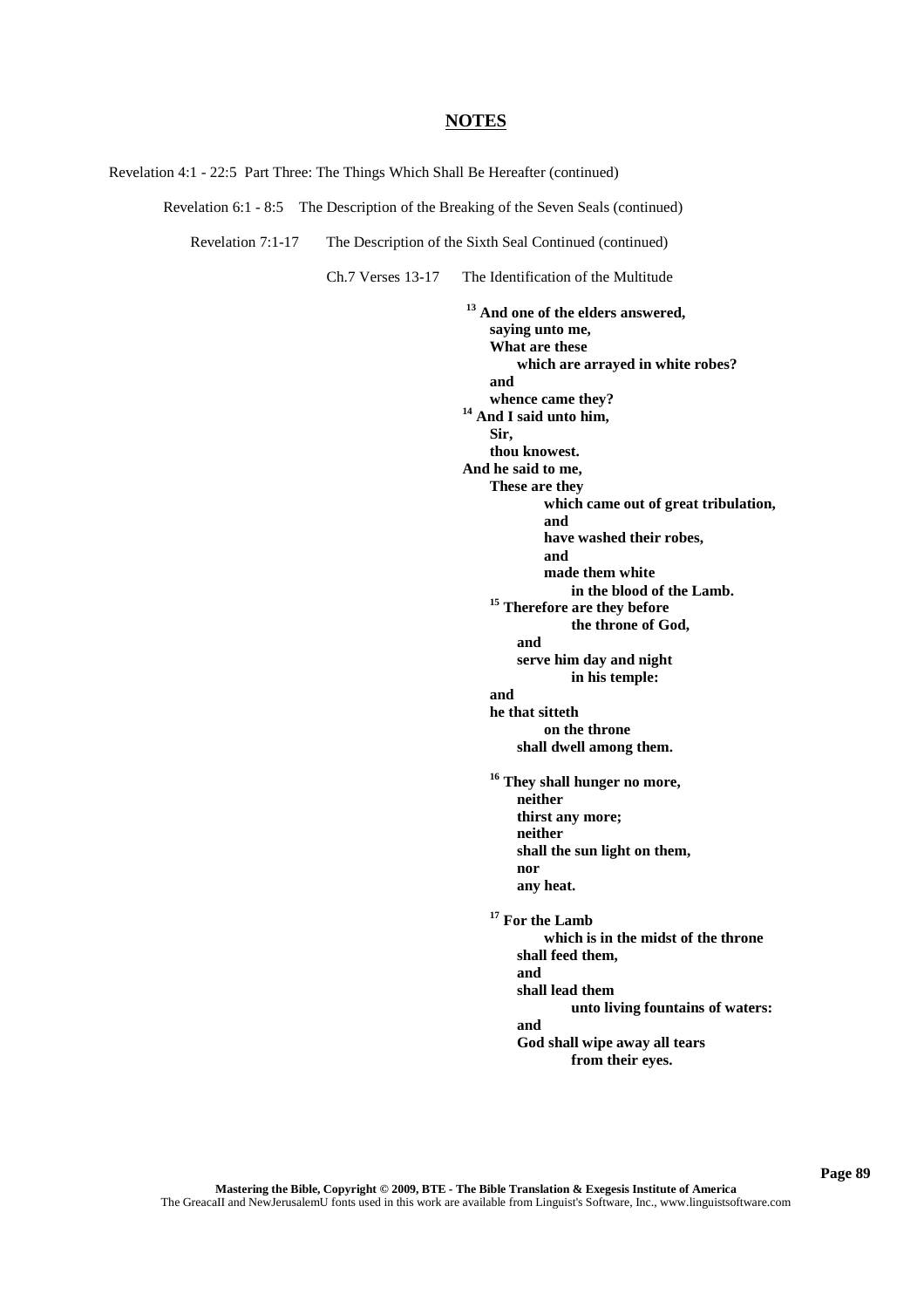Revelation 4:1 - 22:5 Part Three: The Things Which Shall Be Hereafter (continued)

Revelation 6:1 - 8:5 The Description of the Breaking of the Seven Seals (continued)

Revelation 7:1-17 The Description of the Sixth Seal Continued (continued)

Ch.7 Verses 13-17 The Identification of the Multitude

**<sup>13</sup> And one of the elders answered, saying unto me, What are these which are arrayed in white robes? and whence came they? <sup>14</sup> And I said unto him, Sir, thou knowest. And he said to me, These are they which came out of great tribulation, and have washed their robes, and made them white in the blood of the Lamb. <sup>15</sup> Therefore are they before the throne of God, and serve him day and night in his temple: and he that sitteth on the throne shall dwell among them. <sup>16</sup> They shall hunger no more, neither thirst any more; neither shall the sun light on them, nor any heat. <sup>17</sup> For the Lamb which is in the midst of the throne shall feed them, and shall lead them unto living fountains of waters: and God shall wipe away all tears from their eyes.**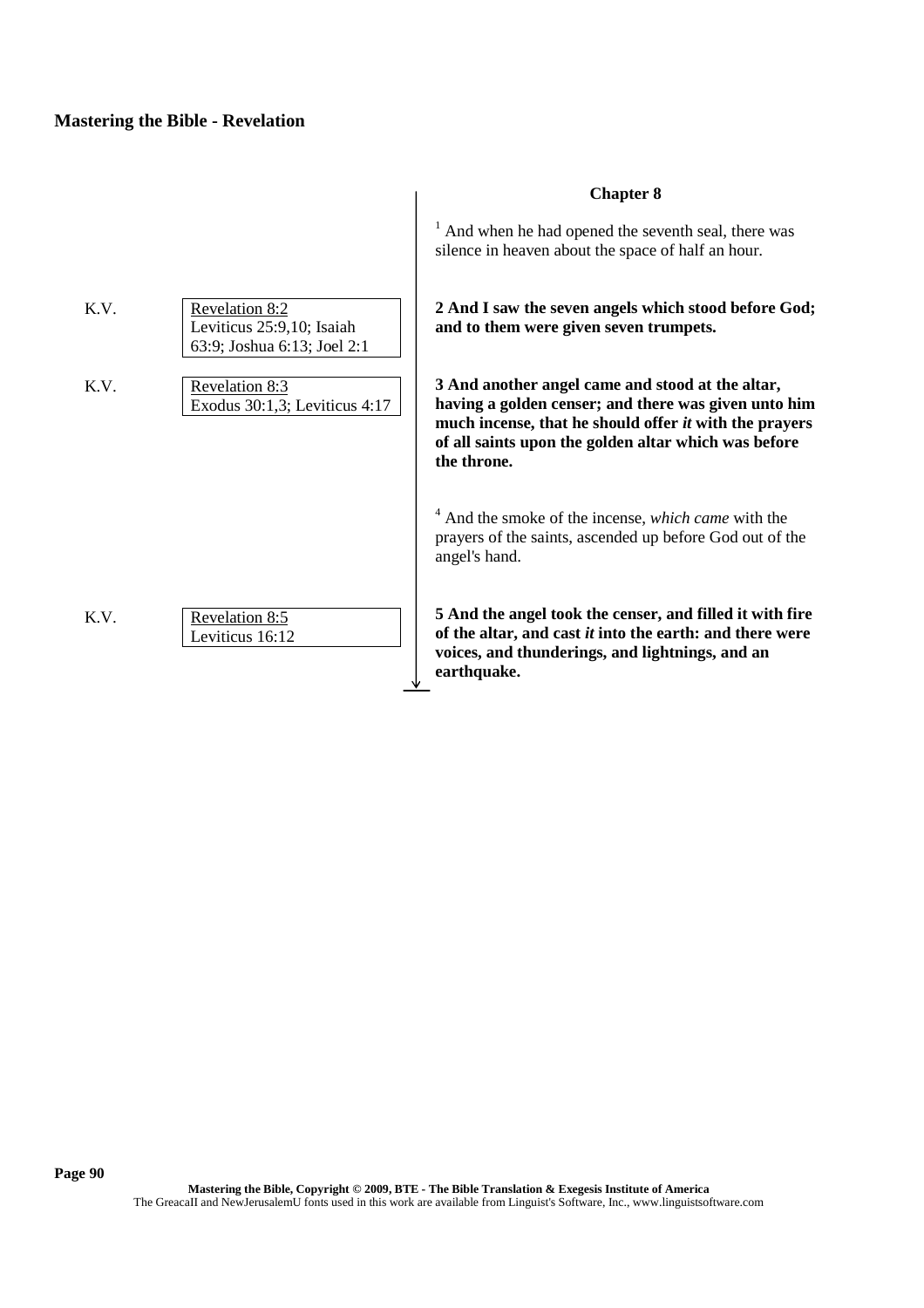|      |                                                                            | And when he had opened the seventh seal, there was<br>silence in heaven about the space of half an hour.                                                                                                                                  |
|------|----------------------------------------------------------------------------|-------------------------------------------------------------------------------------------------------------------------------------------------------------------------------------------------------------------------------------------|
| K.V. | Revelation 8:2<br>Leviticus 25:9,10; Isaiah<br>63:9; Joshua 6:13; Joel 2:1 | 2 And I saw the seven angels which stood before God;<br>and to them were given seven trumpets.                                                                                                                                            |
| K.V. | Revelation 8:3<br>Exodus 30:1,3; Leviticus 4:17                            | 3 And another angel came and stood at the altar,<br>having a golden censer; and there was given unto him<br>much incense, that he should offer it with the prayers<br>of all saints upon the golden altar which was before<br>the throne. |
|      |                                                                            | $4$ And the smoke of the incense, which came with the<br>prayers of the saints, ascended up before God out of the<br>angel's hand.                                                                                                        |
| K.V. | Revelation 8:5<br>Leviticus 16:12                                          | 5 And the angel took the censer, and filled it with fire<br>of the altar, and cast it into the earth: and there were<br>voices, and thunderings, and lightnings, and an<br>earthquake.                                                    |

 $\overline{\phantom{a}}$ 

## **Chapter 8**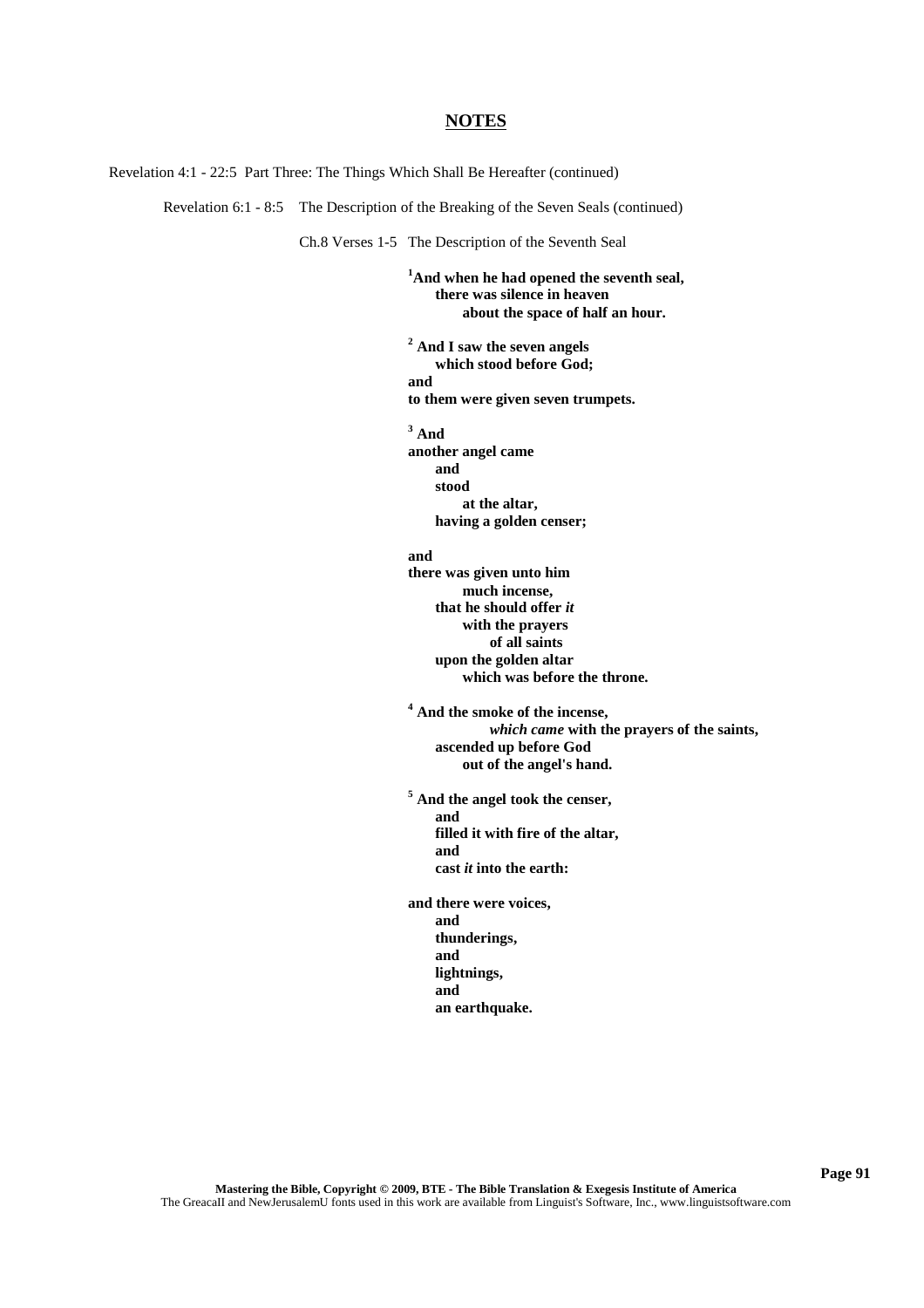Revelation 4:1 - 22:5 Part Three: The Things Which Shall Be Hereafter (continued)

Revelation 6:1 - 8:5 The Description of the Breaking of the Seven Seals (continued)

Ch.8 Verses 1-5 The Description of the Seventh Seal

**<sup>1</sup>And when he had opened the seventh seal, there was silence in heaven about the space of half an hour.**

**<sup>2</sup> And I saw the seven angels which stood before God; and to them were given seven trumpets.**

**<sup>3</sup> And another angel came and stood at the altar, having a golden censer;**

**and**

**there was given unto him much incense, that he should offer** *it* **with the prayers of all saints upon the golden altar which was before the throne.**

**<sup>4</sup> And the smoke of the incense,** *which came* **with the prayers of the saints, ascended up before God out of the angel's hand.**

**<sup>5</sup> And the angel took the censer, and filled it with fire of the altar, and cast** *it* **into the earth:**

**and there were voices, and thunderings, and lightnings, and an earthquake.**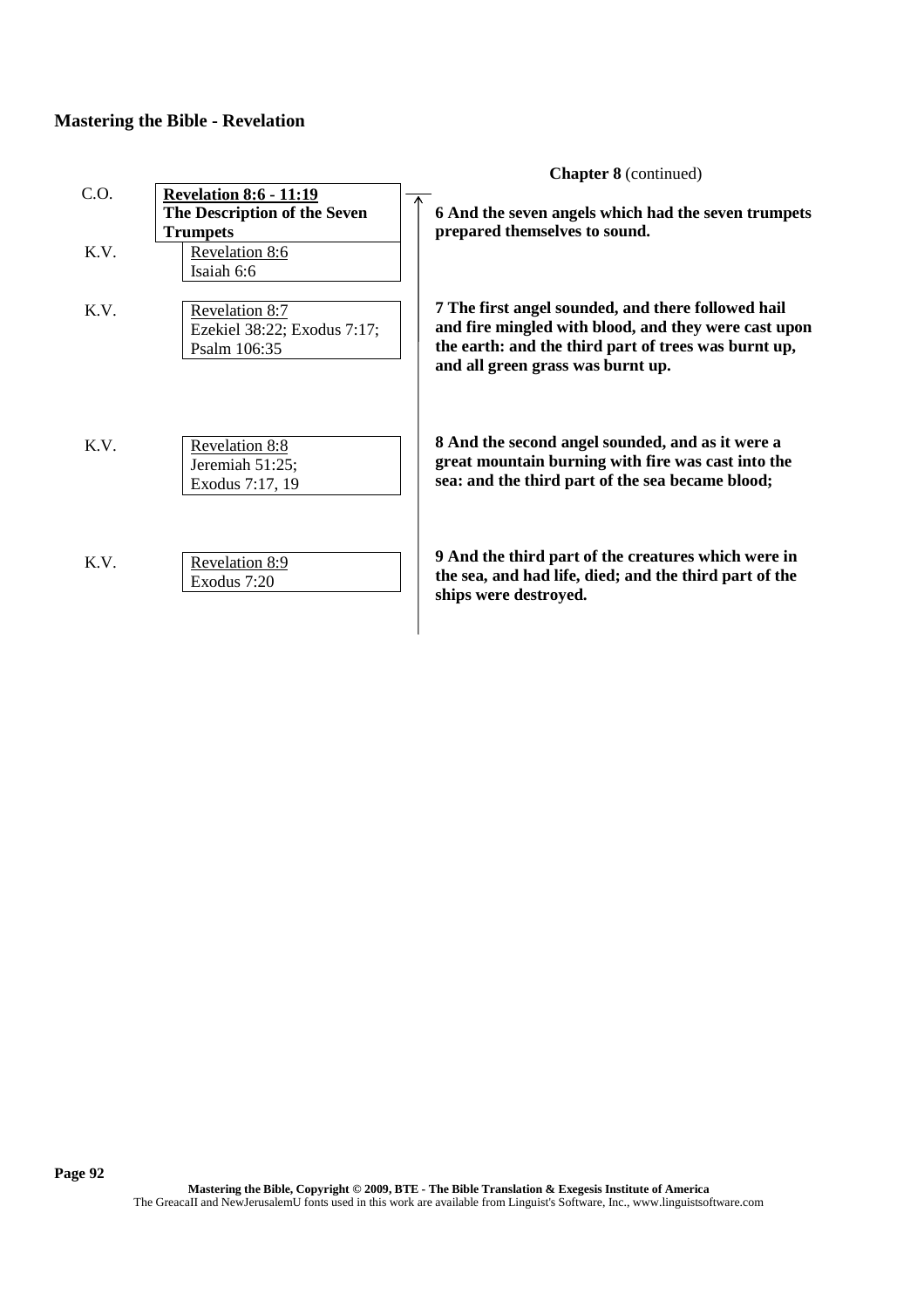|              |                                                                                                                  | <b>Chapter 8</b> (continued)                                                                                                                                                                            |
|--------------|------------------------------------------------------------------------------------------------------------------|---------------------------------------------------------------------------------------------------------------------------------------------------------------------------------------------------------|
| C.O.<br>K.V. | <b>Revelation 8:6 - 11:19</b><br>The Description of the Seven<br><b>Trumpets</b><br>Revelation 8:6<br>Isaiah 6:6 | 6 And the seven angels which had the seven trumpets<br>prepared themselves to sound.                                                                                                                    |
| K.V.         | Revelation 8:7<br>Ezekiel 38:22; Exodus 7:17;<br>Psalm 106:35                                                    | 7 The first angel sounded, and there followed hail<br>and fire mingled with blood, and they were cast upon<br>the earth: and the third part of trees was burnt up,<br>and all green grass was burnt up. |
| K.V.         | Revelation 8:8<br>Jeremiah 51:25;<br>Exodus 7:17, 19                                                             | 8 And the second angel sounded, and as it were a<br>great mountain burning with fire was cast into the<br>sea: and the third part of the sea became blood;                                              |
| K.V.         | Revelation 8:9<br>Exodus 7:20                                                                                    | 9 And the third part of the creatures which were in<br>the sea, and had life, died; and the third part of the<br>ships were destroyed.                                                                  |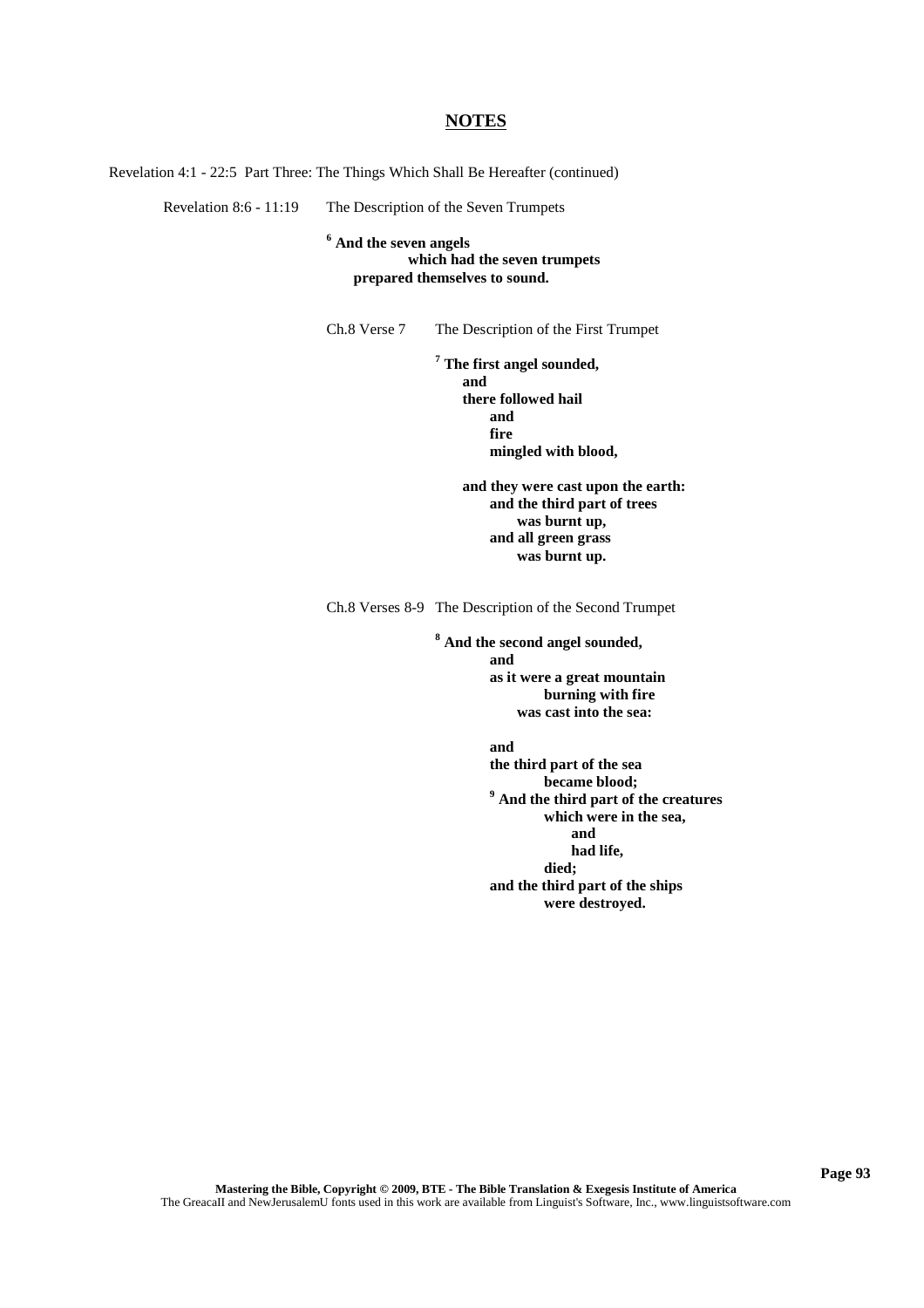Revelation 4:1 - 22:5 Part Three: The Things Which Shall Be Hereafter (continued)

Revelation 8:6 - 11:19 The Description of the Seven Trumpets

### **<sup>6</sup> And the seven angels which had the seven trumpets prepared themselves to sound.**

Ch.8 Verse 7 The Description of the First Trumpet

**<sup>7</sup> The first angel sounded, and there followed hail and fire mingled with blood,**

> **and they were cast upon the earth: and the third part of trees was burnt up, and all green grass was burnt up.**

Ch.8 Verses 8-9 The Description of the Second Trumpet

**<sup>8</sup> And the second angel sounded, and as it were a great mountain burning with fire was cast into the sea:**

> **and the third part of the sea became blood; <sup>9</sup> And the third part of the creatures which were in the sea, and had life, died; and the third part of the ships were destroyed.**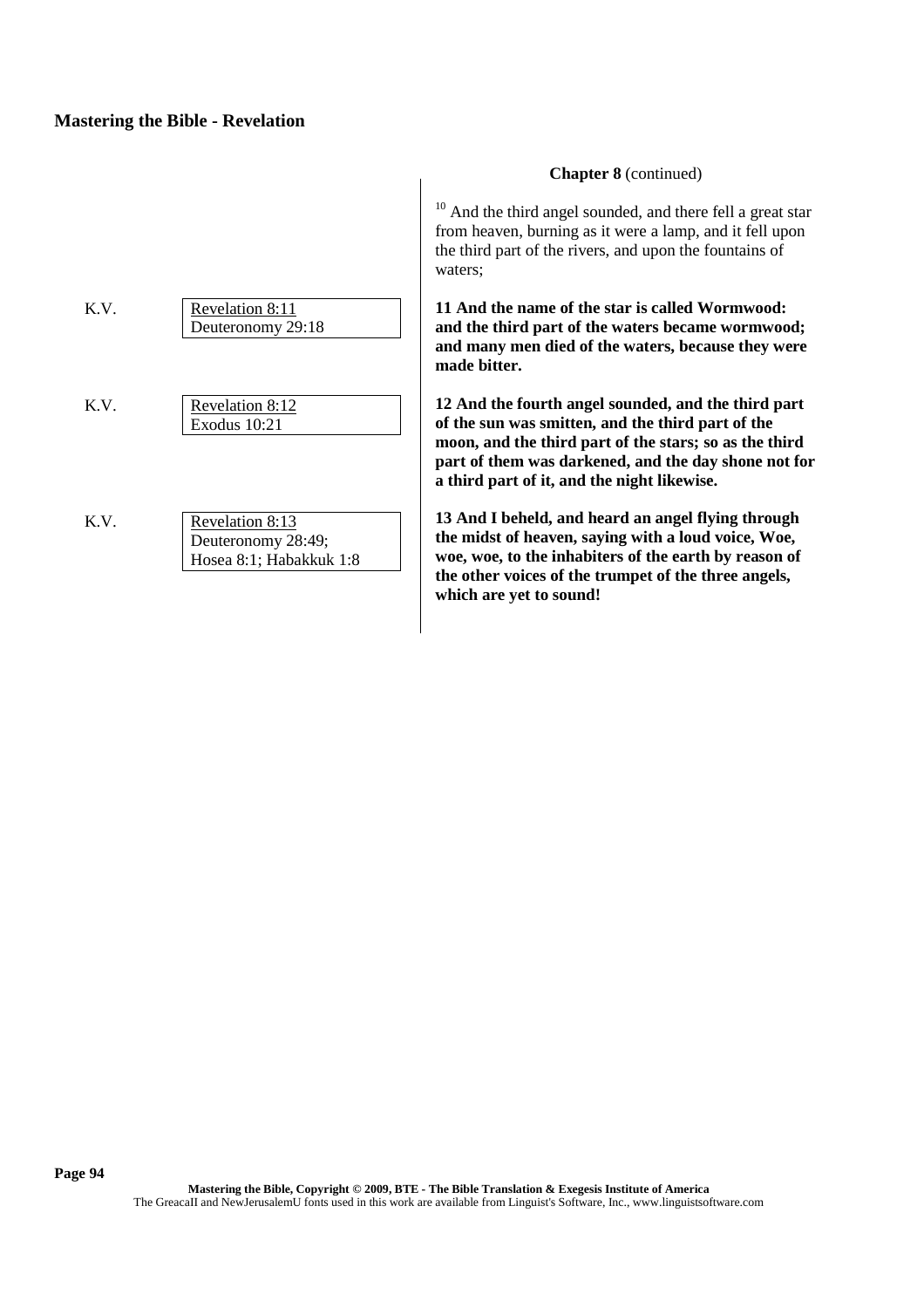| K.V. | Revelation 8:11<br>Deuteronomy 29:18                             |  |
|------|------------------------------------------------------------------|--|
| K.V. | Revelation 8:12<br>Exodus 10:21                                  |  |
| K.V. | Revelation 8:13<br>Deuteronomy 28:49;<br>Hosea 8:1; Habakkuk 1:8 |  |

### **Chapter 8** (continued)

<sup>10</sup> And the third angel sounded, and there fell a great star from heaven, burning as it were a lamp, and it fell upon the third part of the rivers, and upon the fountains of waters;

**11 And the name of the star is called Wormwood: and the third part of the waters became wormwood; and many men died of the waters, because they were made bitter.**

**12 And the fourth angel sounded, and the third part of the sun was smitten, and the third part of the moon, and the third part of the stars; so as the third part of them was darkened, and the day shone not for a third part of it, and the night likewise.**

**13 And I beheld, and heard an angel flying through the midst of heaven, saying with a loud voice, Woe, woe, woe, to the inhabiters of the earth by reason of the other voices of the trumpet of the three angels, which are yet to sound!**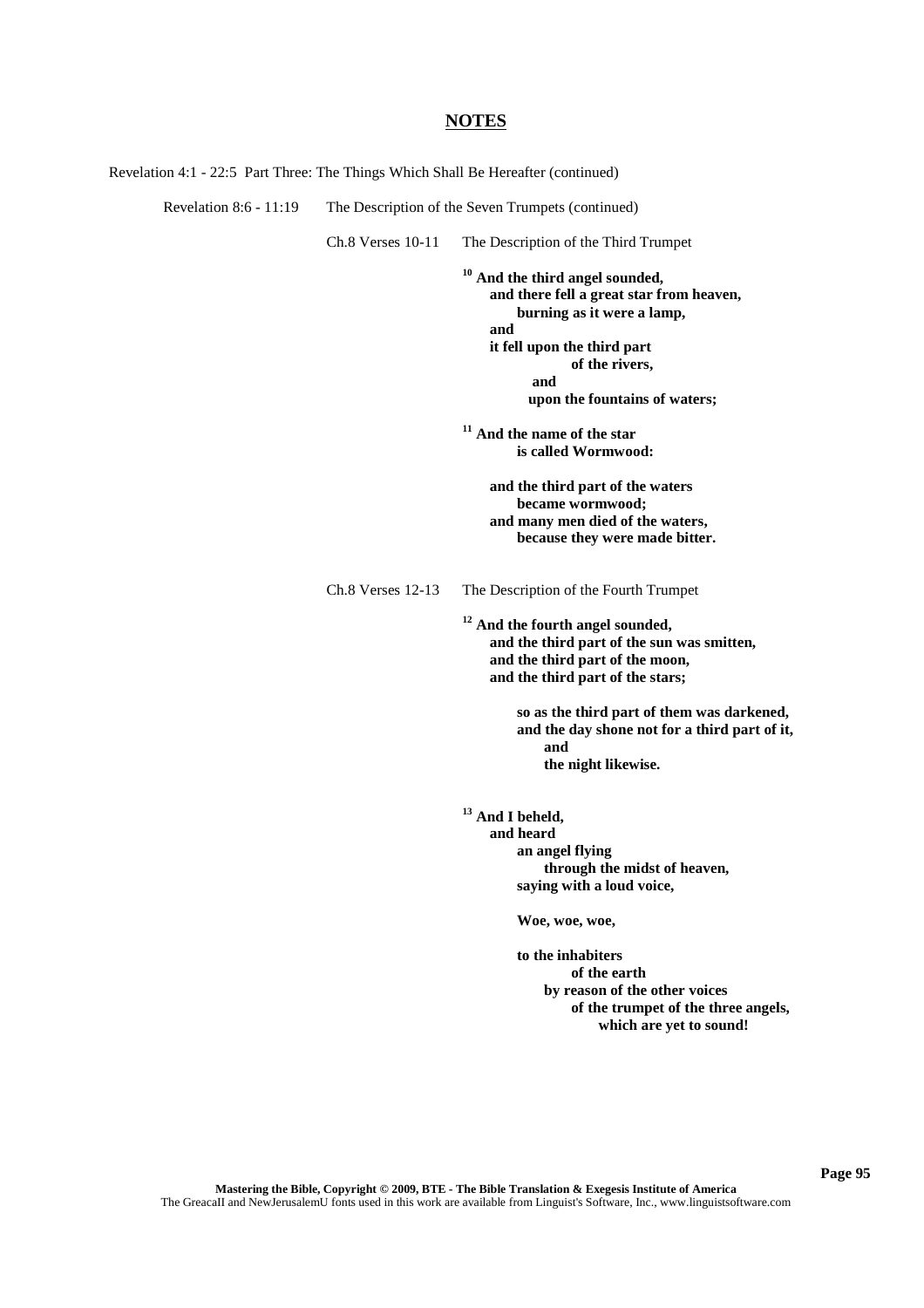| Revelation 8:6 - 11:19 | The Description of the Seven Trumpets (continued) |                                                                                                                                                                  |
|------------------------|---------------------------------------------------|------------------------------------------------------------------------------------------------------------------------------------------------------------------|
|                        | Ch.8 Verses 10-11                                 | The Description of the Third Trumpet                                                                                                                             |
|                        |                                                   | $10$ And the third angel sounded,<br>and there fell a great star from heaven,<br>burning as it were a lamp,<br>and                                               |
|                        |                                                   | it fell upon the third part<br>of the rivers,                                                                                                                    |
|                        |                                                   | and<br>upon the fountains of waters;                                                                                                                             |
|                        |                                                   | <sup>11</sup> And the name of the star<br>is called Wormwood:                                                                                                    |
|                        |                                                   | and the third part of the waters<br>became wormwood;<br>and many men died of the waters,<br>because they were made bitter.                                       |
|                        | Ch.8 Verses 12-13                                 | The Description of the Fourth Trumpet                                                                                                                            |
|                        |                                                   | <sup>12</sup> And the fourth angel sounded,<br>and the third part of the sun was smitten,<br>and the third part of the moon,<br>and the third part of the stars; |
|                        |                                                   | so as the third part of them was darkened,<br>and the day shone not for a third part of it,<br>and<br>the night likewise.                                        |
|                        |                                                   | $13$ And I beheld,                                                                                                                                               |
|                        |                                                   | and heard<br>an angel flying<br>through the midst of heaven,<br>saying with a loud voice,                                                                        |
|                        |                                                   | Woe, woe, woe,                                                                                                                                                   |
|                        |                                                   | to the inhabiters<br>of the earth<br>by reason of the other voices<br>of the trumpet of the three angels,<br>which are yet to sound!                             |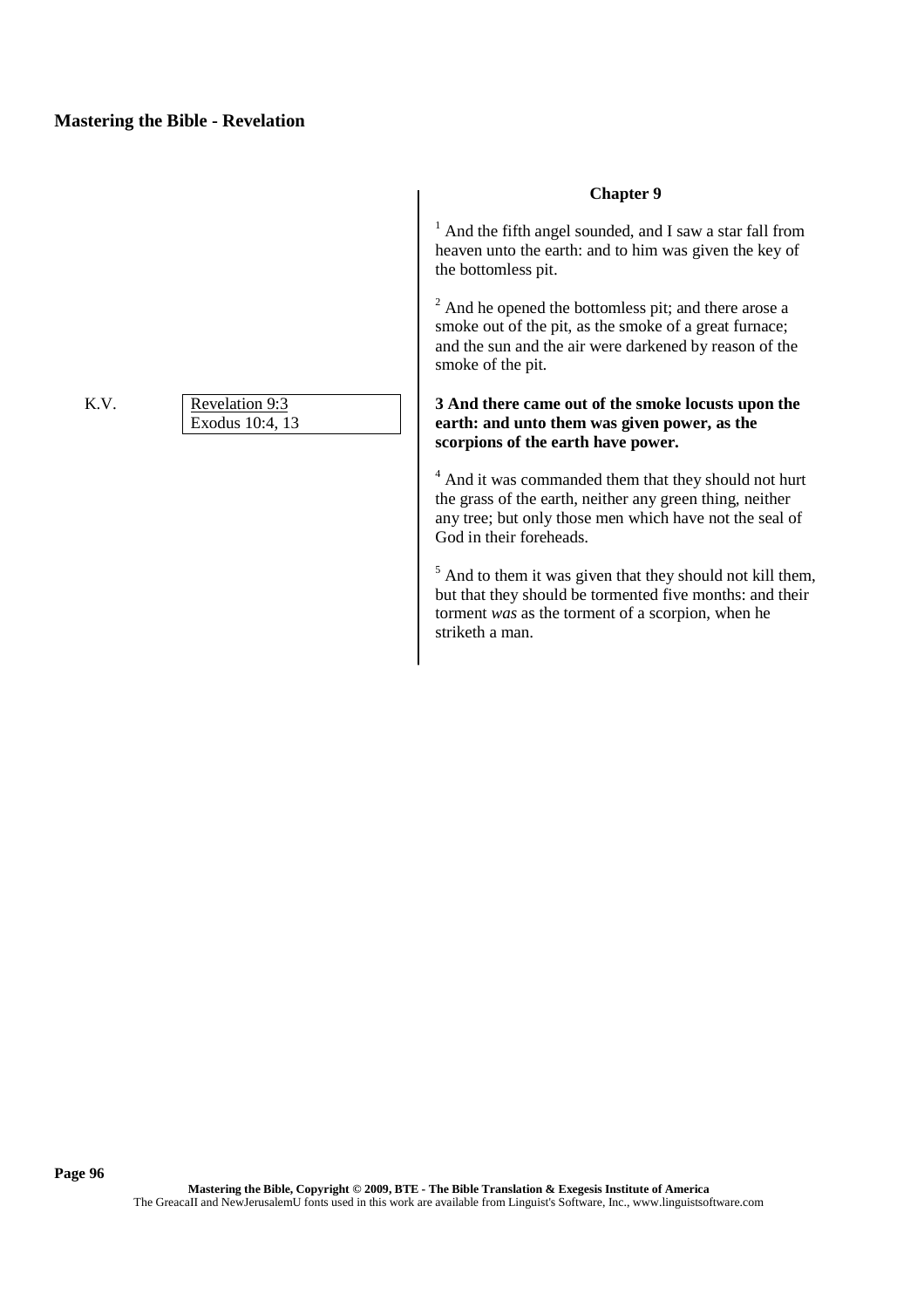K.V. Revelation 9:3 Exodus 10:4, 13

### **Chapter 9**

 $1$  And the fifth angel sounded, and I saw a star fall from heaven unto the earth: and to him was given the key of the bottomless pit.

<sup>2</sup> And he opened the bottomless pit; and there arose a smoke out of the pit, as the smoke of a great furnace; and the sun and the air were darkened by reason of the smoke of the pit.

### **3 And there came out of the smoke locusts upon the earth: and unto them was given power, as the scorpions of the earth have power.**

<sup>4</sup> And it was commanded them that they should not hurt the grass of the earth, neither any green thing, neither any tree; but only those men which have not the seal of God in their foreheads.

 $<sup>5</sup>$  And to them it was given that they should not kill them,</sup> but that they should be tormented five months: and their torment *was* as the torment of a scorpion, when he striketh a man.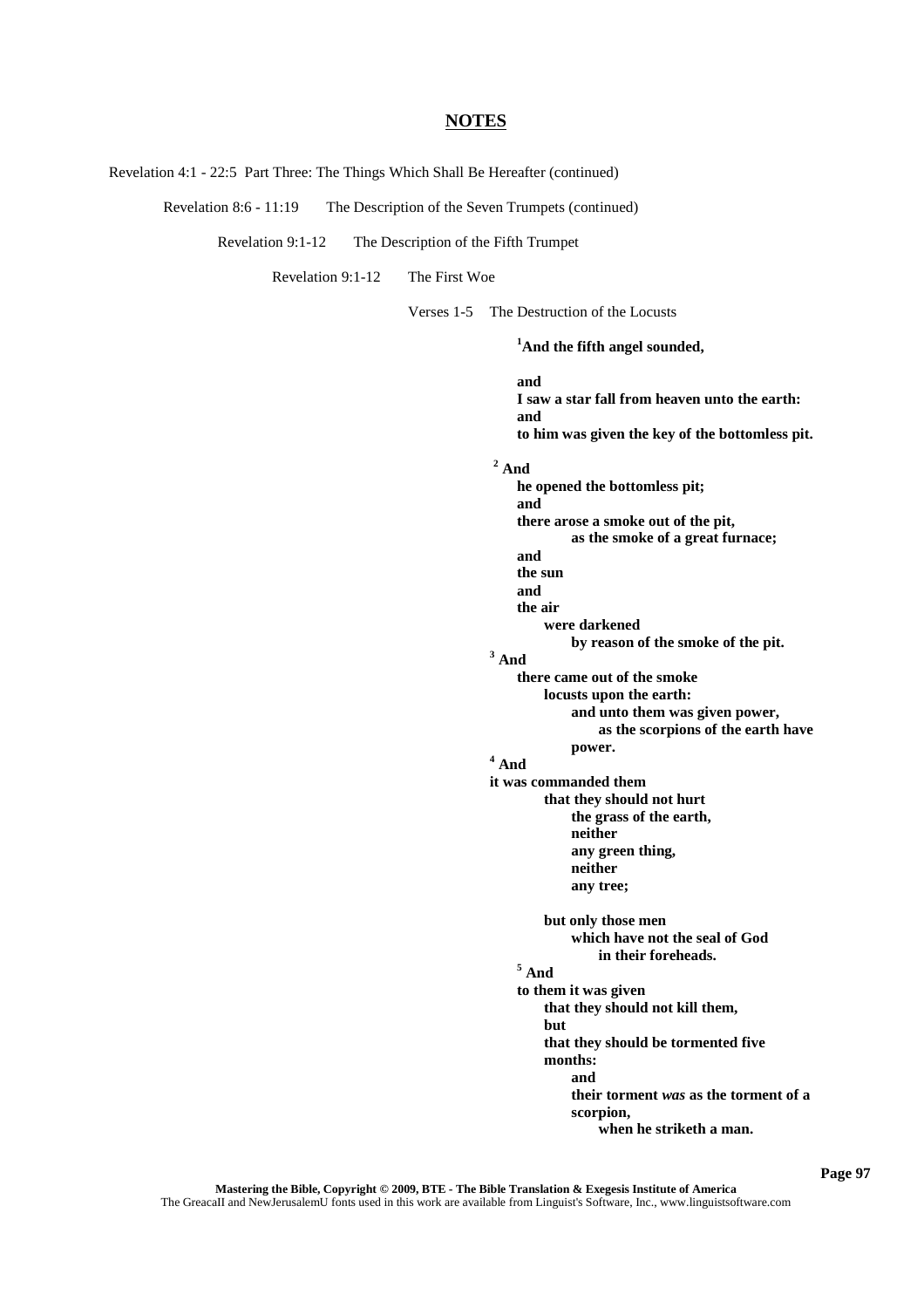Revelation 4:1 - 22:5 Part Three: The Things Which Shall Be Hereafter (continued)

Revelation 8:6 - 11:19 The Description of the Seven Trumpets (continued)

Revelation 9:1-12 The Description of the Fifth Trumpet

Revelation 9:1-12 The First Woe

Verses 1-5 The Destruction of the Locusts

**<sup>1</sup>And the fifth angel sounded,**

**and I saw a star fall from heaven unto the earth: and to him was given the key of the bottomless pit. <sup>2</sup> And he opened the bottomless pit; and there arose a smoke out of the pit, as the smoke of a great furnace; and the sun and the air were darkened by reason of the smoke of the pit. <sup>3</sup> And there came out of the smoke locusts upon the earth: and unto them was given power, as the scorpions of the earth have power. <sup>4</sup> And it was commanded them that they should not hurt the grass of the earth, neither any green thing, neither any tree; but only those men which have not the seal of God in their foreheads. <sup>5</sup> And to them it was given that they should not kill them, but that they should be tormented five months: and their torment** *was* **as the torment of a scorpion, when he striketh a man.**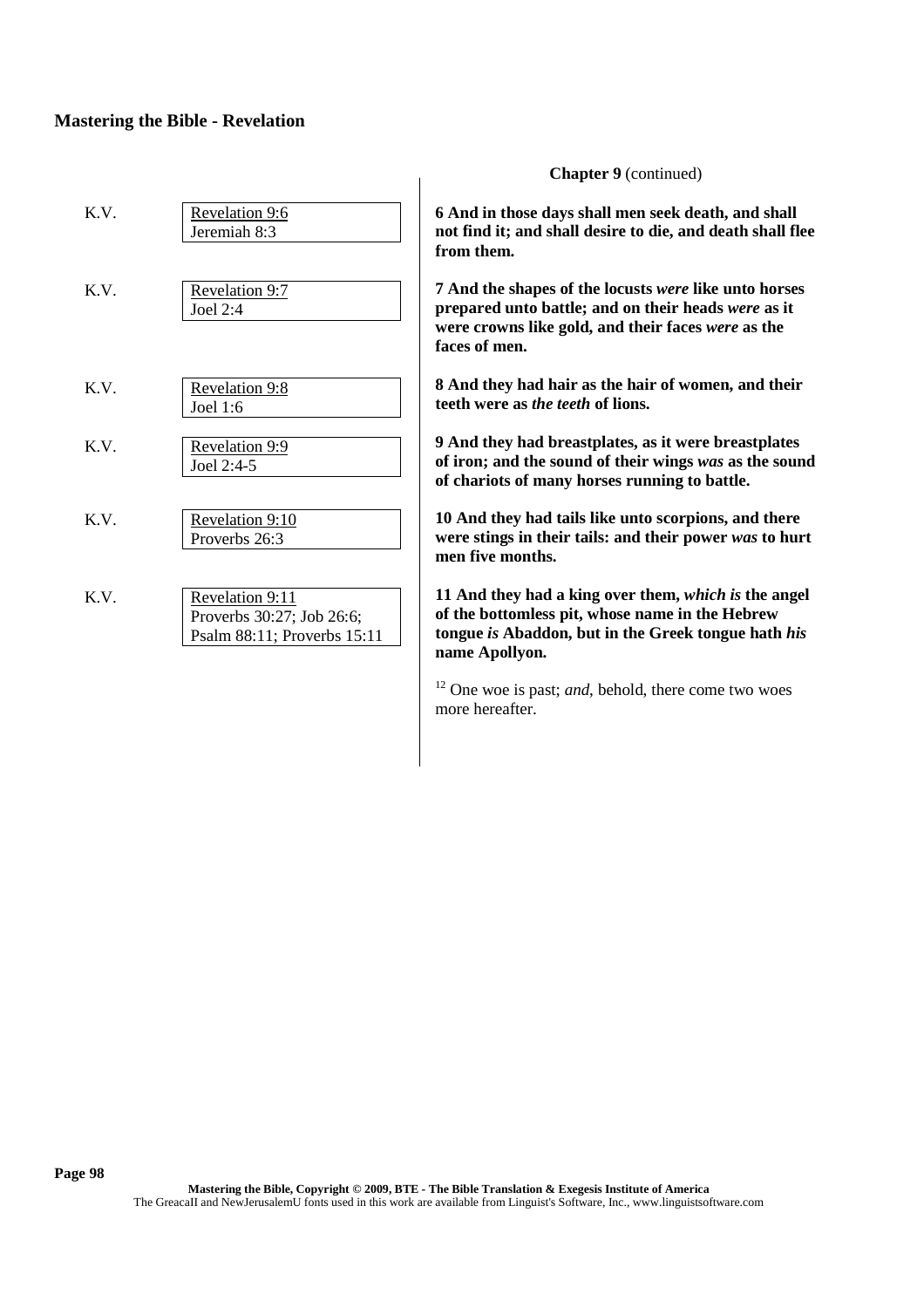| K.V. | Revelation 9:6<br>Jeremiah 8:3                                              | 6 And in those days<br>not find it; and shal<br>from them.                          |
|------|-----------------------------------------------------------------------------|-------------------------------------------------------------------------------------|
| K.V. | Revelation 9:7<br>Joel 2:4                                                  | 7 And the shapes of<br>prepared unto battl<br>were crowns like go<br>faces of men.  |
| K.V. | Revelation 9:8<br>Joel 1:6                                                  | 8 And they had hair<br>teeth were as the tee                                        |
| K.V. | Revelation 9:9<br>Joel 2:4-5                                                | 9 And they had bre<br>of iron; and the sou<br>of chariots of many                   |
| K.V. | Revelation 9:10<br>Proverbs 26:3                                            | 10 And they had tai<br>were stings in their<br>men five months.                     |
| K.V. | Revelation 9:11<br>Proverbs 30:27; Job 26:6;<br>Psalm 88:11; Proverbs 15:11 | 11 And they had a l<br>of the bottomless pi<br>tongue is Abaddon,<br>name Apollyon. |
|      |                                                                             | $^{12}$ One wee is nest: $a$                                                        |

 $\overline{1}$ 

### **Chapter 9** (continued)

shall men seek death, and shall **not find it; and shall desire to die, and death shall flee**

**7 And the shapes of the locusts** *were* **like unto horses le; and on their heads** *were* as it **were crowns like gold, and their faces** *were* **as the**

**8**  $\mathbf{r}$  as the hair of women, and their **teeth were as** *the teeth* **of lions.**

**Pastplates, as it were breastplates of iron; and the sound of their wings** *was* **as the sound** horses running to battle.

**ils like unto scorpions, and there tails: and their power** *was* **to hurt** 

**king over them,** *which is* **the angel it, whose name in the Hebrew tongue** *is* **Abaddon, but in the Greek tongue hath** *his*

One woe is past; *and*, behold, there come two woes more hereafter.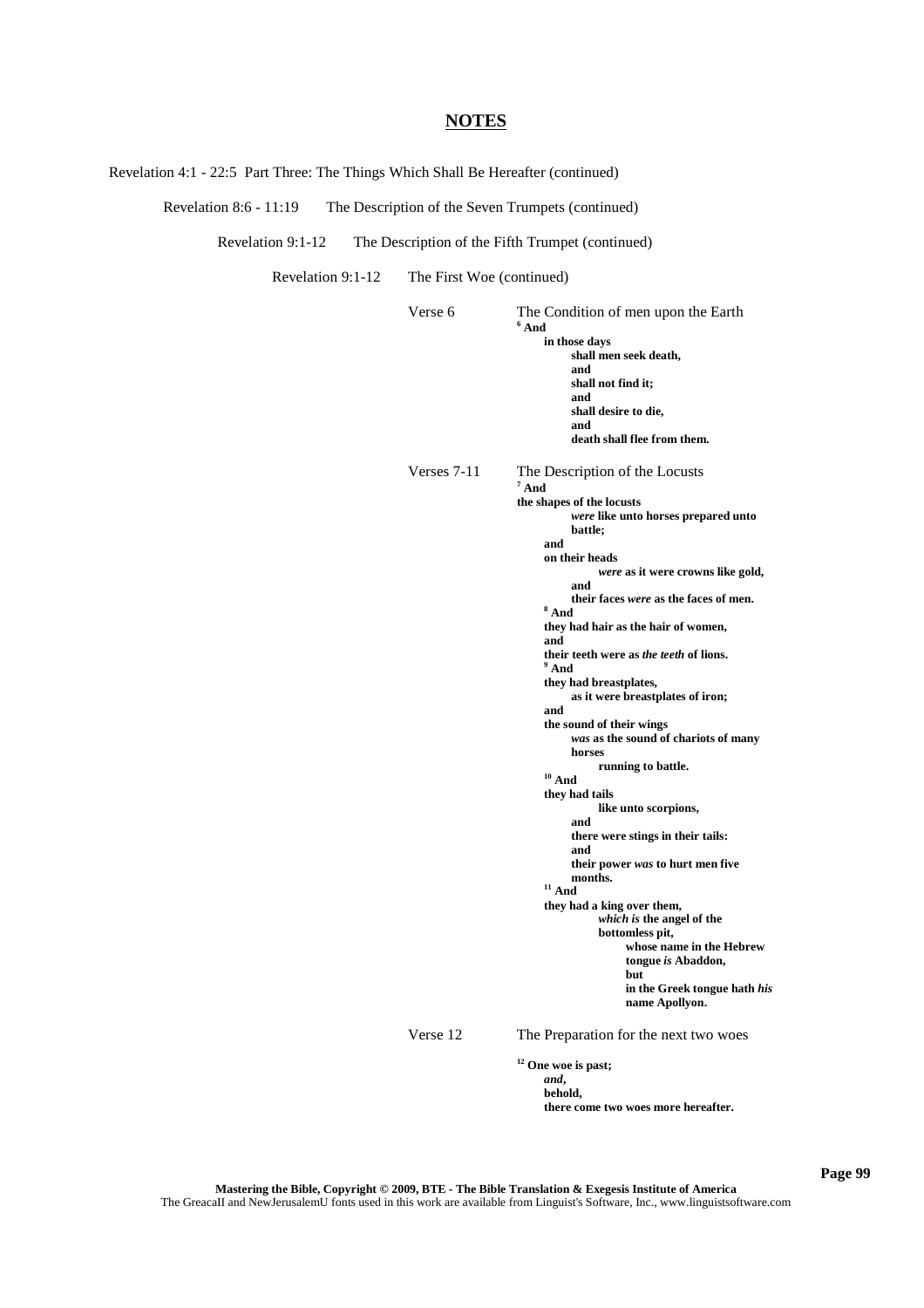Revelation 4:1 - 22:5 Part Three: The Things Which Shall Be Hereafter (continued)

Revelation 8:6 - 11:19 The Description of the Seven Trumpets (continued)

Revelation 9:1-12 The Description of the Fifth Trumpet (continued)

Revelation 9:1-12 The First Woe (continued)

| Verse 6     | The Condition of men upon the Earth<br>$6$ And                   |
|-------------|------------------------------------------------------------------|
|             | in those days                                                    |
|             | shall men seek death,                                            |
|             | and                                                              |
|             | shall not find it;                                               |
|             | and                                                              |
|             | shall desire to die,<br>and                                      |
|             | death shall flee from them.                                      |
| Verses 7-11 | The Description of the Locusts<br>$7$ And                        |
|             | the shapes of the locusts                                        |
|             | were like unto horses prepared unto<br>battle;                   |
|             | and                                                              |
|             | on their heads                                                   |
|             | were as it were crowns like gold,                                |
|             | and                                                              |
|             | their faces were as the faces of men.<br><sup>8</sup> And        |
|             | they had hair as the hair of women,<br>and                       |
|             | their teeth were as the teeth of lions.                          |
|             | <sup>9</sup> And                                                 |
|             | they had breastplates,                                           |
|             | as it were breastplates of iron;                                 |
|             | and                                                              |
|             | the sound of their wings<br>was as the sound of chariots of many |
|             | horses                                                           |
|             | running to battle.                                               |
|             | $10$ And                                                         |
|             | they had tails                                                   |
|             | like unto scorpions,                                             |
|             | and                                                              |
|             | there were stings in their tails:<br>and                         |
|             | their power was to hurt men five                                 |
|             | months.                                                          |
|             | $11$ And                                                         |
|             | they had a king over them,                                       |
|             | which is the angel of the                                        |
|             | bottomless pit,<br>whose name in the Hebrew                      |
|             | tongue is Abaddon,                                               |
|             | but                                                              |
|             | in the Greek tongue hath his<br>name Apollyon.                   |
| Verse 12    | The Preparation for the next two woes                            |
|             |                                                                  |

**<sup>12</sup> One woe is past;** *and***, behold, there come two woes more hereafter.**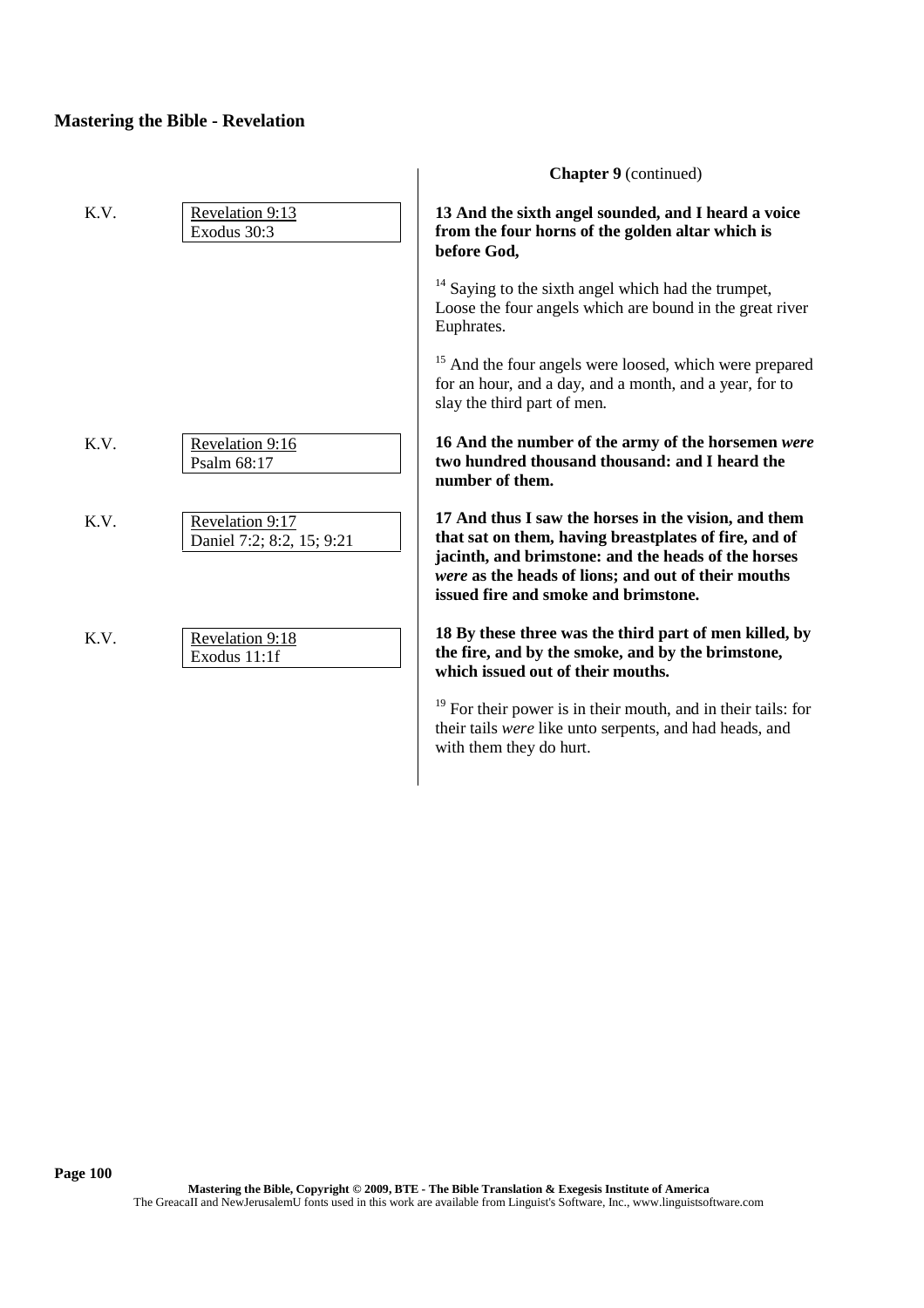|      |                                              | <b>Chapter 9</b> (continued)                                                                                                                                                                                                                                        |
|------|----------------------------------------------|---------------------------------------------------------------------------------------------------------------------------------------------------------------------------------------------------------------------------------------------------------------------|
| K.V. | Revelation 9:13<br>Exodus 30:3               | 13 And the sixth angel sounded, and I heard a voice<br>from the four horns of the golden altar which is<br>before God,                                                                                                                                              |
|      |                                              | <sup>14</sup> Saying to the sixth angel which had the trumpet,<br>Loose the four angels which are bound in the great river<br>Euphrates.                                                                                                                            |
|      |                                              | 15<br>And the four angels were loosed, which were prepared<br>for an hour, and a day, and a month, and a year, for to<br>slay the third part of men.                                                                                                                |
| K.V. | Revelation 9:16<br>Psalm 68:17               | 16 And the number of the army of the horsemen were<br>two hundred thousand thousand: and I heard the<br>number of them.                                                                                                                                             |
| K.V. | Revelation 9:17<br>Daniel 7:2; 8:2, 15; 9:21 | 17 And thus I saw the horses in the vision, and them<br>that sat on them, having breastplates of fire, and of<br>jacinth, and brimstone: and the heads of the horses<br>were as the heads of lions; and out of their mouths<br>issued fire and smoke and brimstone. |
| K.V. | Revelation 9:18<br>Exodus 11:1f              | 18 By these three was the third part of men killed, by<br>the fire, and by the smoke, and by the brimstone,<br>which issued out of their mouths.                                                                                                                    |
|      |                                              | For their power is in their mouth, and in their tails: for<br>their tails were like unto serpents, and had heads, and<br>with them they do hurt.                                                                                                                    |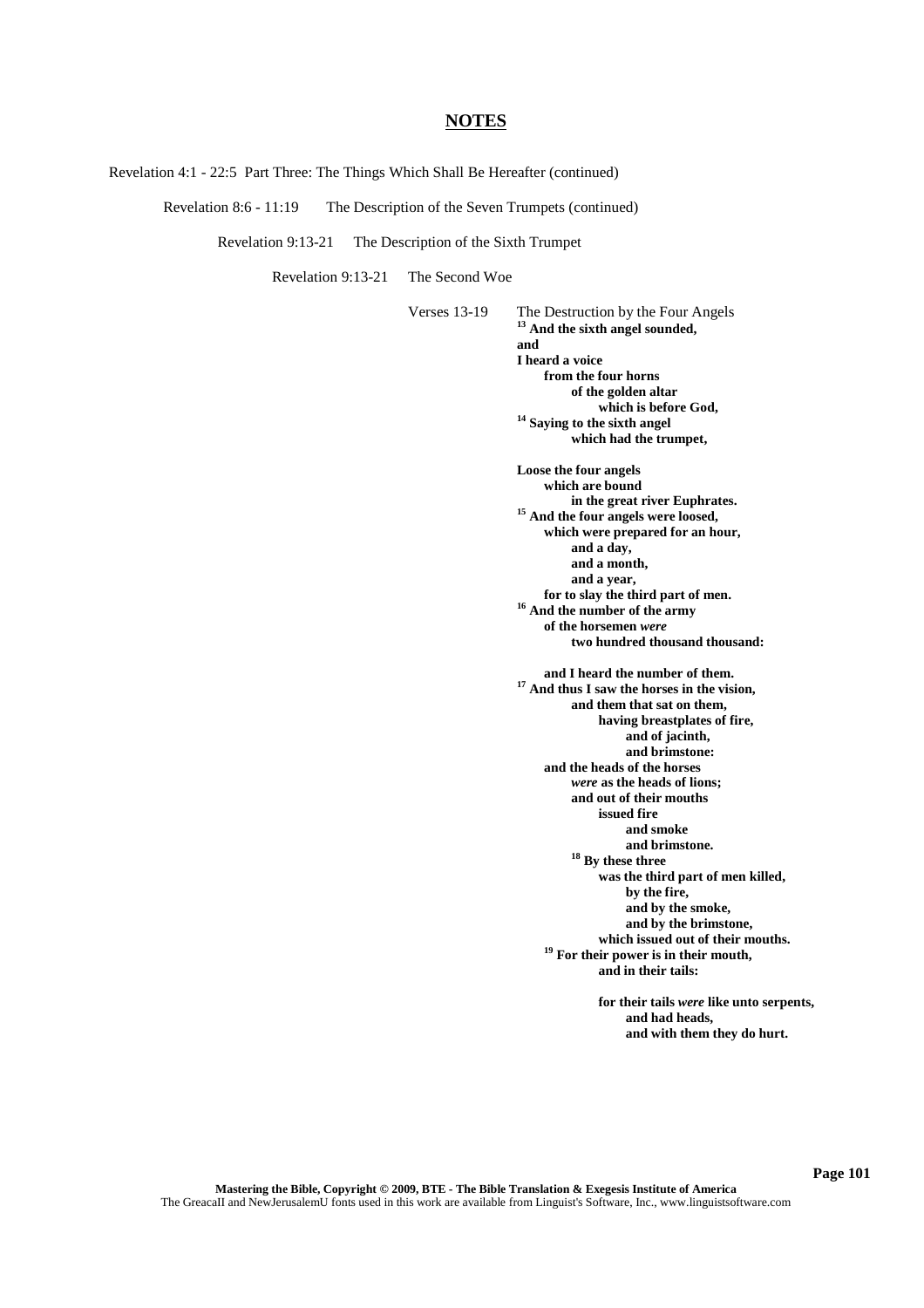Revelation 4:1 - 22:5 Part Three: The Things Which Shall Be Hereafter (continued)

Revelation 8:6 - 11:19 The Description of the Seven Trumpets (continued)

Revelation 9:13-21 The Description of the Sixth Trumpet

Revelation 9:13-21 The Second Woe

Verses 13-19 The Destruction by the Four Angels **<sup>13</sup> And the sixth angel sounded, and I heard a voice from the four horns of the golden altar which is before God, <sup>14</sup> Saying to the sixth angel which had the trumpet, Loose the four angels which are bound in the great river Euphrates. <sup>15</sup> And the four angels were loosed, which were prepared for an hour, and a day, and a month, and a year, for to slay the third part of men. <sup>16</sup> And the number of the army of the horsemen** *were* **two hundred thousand thousand: and I heard the number of them. <sup>17</sup> And thus I saw the horses in the vision, and them that sat on them, having breastplates of fire, and of jacinth, and brimstone: and the heads of the horses** *were* **as the heads of lions; and out of their mouths issued fire and smoke and brimstone. <sup>18</sup> By these three was the third part of men killed, by the fire, and by the smoke, and by the brimstone, which issued out of their mouths. <sup>19</sup> For their power is in their mouth, and in their tails:**

> **for their tails** *were* **like unto serpents, and had heads, and with them they do hurt.**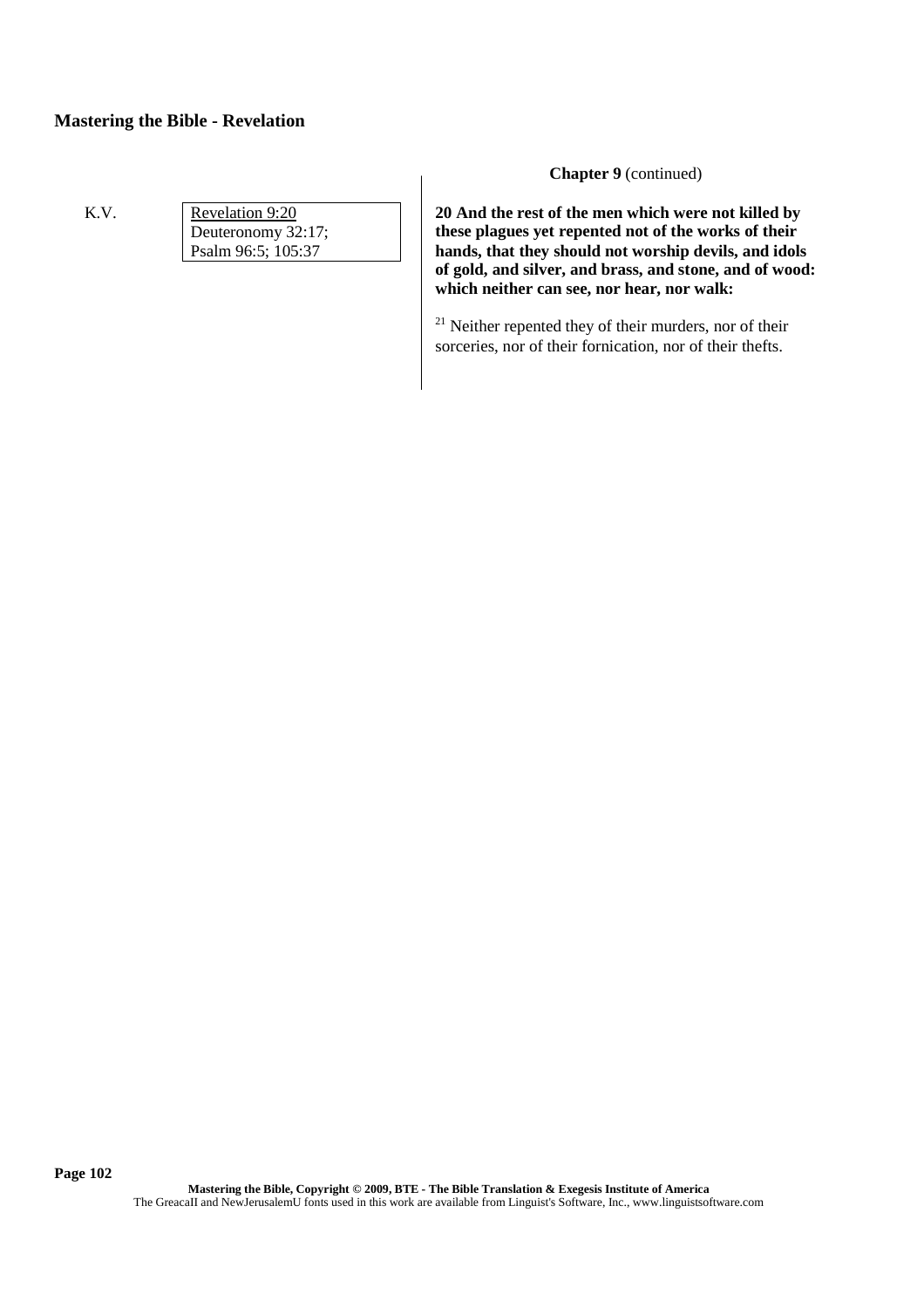K.V. Revelation 9:20 Deuteronomy 32:17; Psalm 96:5; 105:37

**Chapter 9** (continued)

**20 And the rest of the men which were not killed by these plagues yet repented not of the works of their hands, that they should not worship devils, and idols of gold, and silver, and brass, and stone, and of wood: which neither can see, nor hear, nor walk:**

 $21$  Neither repented they of their murders, nor of their sorceries, nor of their fornication, nor of their thefts.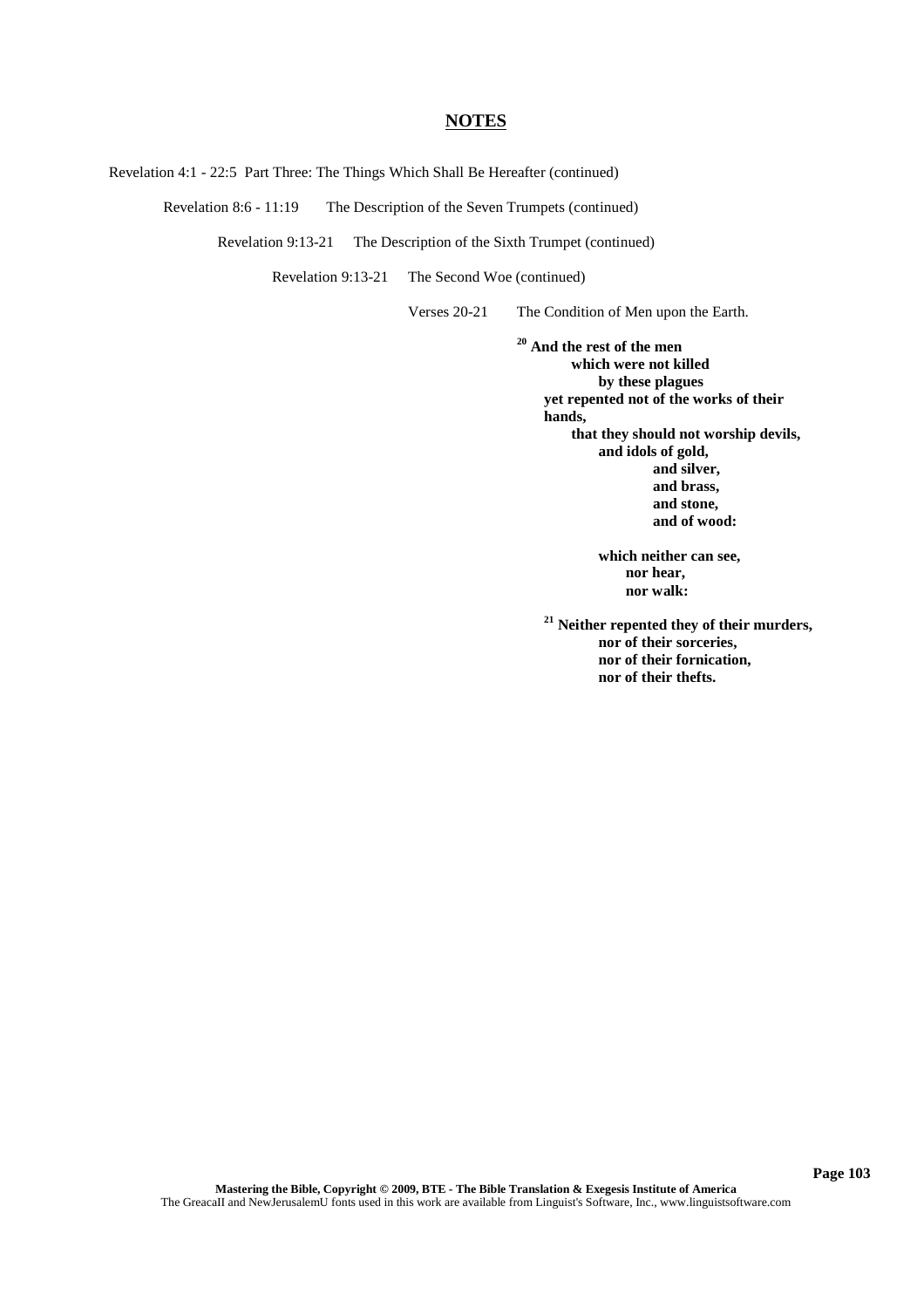Revelation 4:1 - 22:5 Part Three: The Things Which Shall Be Hereafter (continued)

Revelation 8:6 - 11:19 The Description of the Seven Trumpets (continued)

Revelation 9:13-21 The Description of the Sixth Trumpet (continued)

Revelation 9:13-21 The Second Woe (continued)

Verses 20-21 The Condition of Men upon the Earth.

**<sup>20</sup> And the rest of the men which were not killed by these plagues yet repented not of the works of their hands, that they should not worship devils, and idols of gold, and silver, and brass, and stone, and of wood:**

> **which neither can see, nor hear, nor walk:**

**<sup>21</sup> Neither repented they of their murders, nor of their sorceries, nor of their fornication, nor of their thefts.**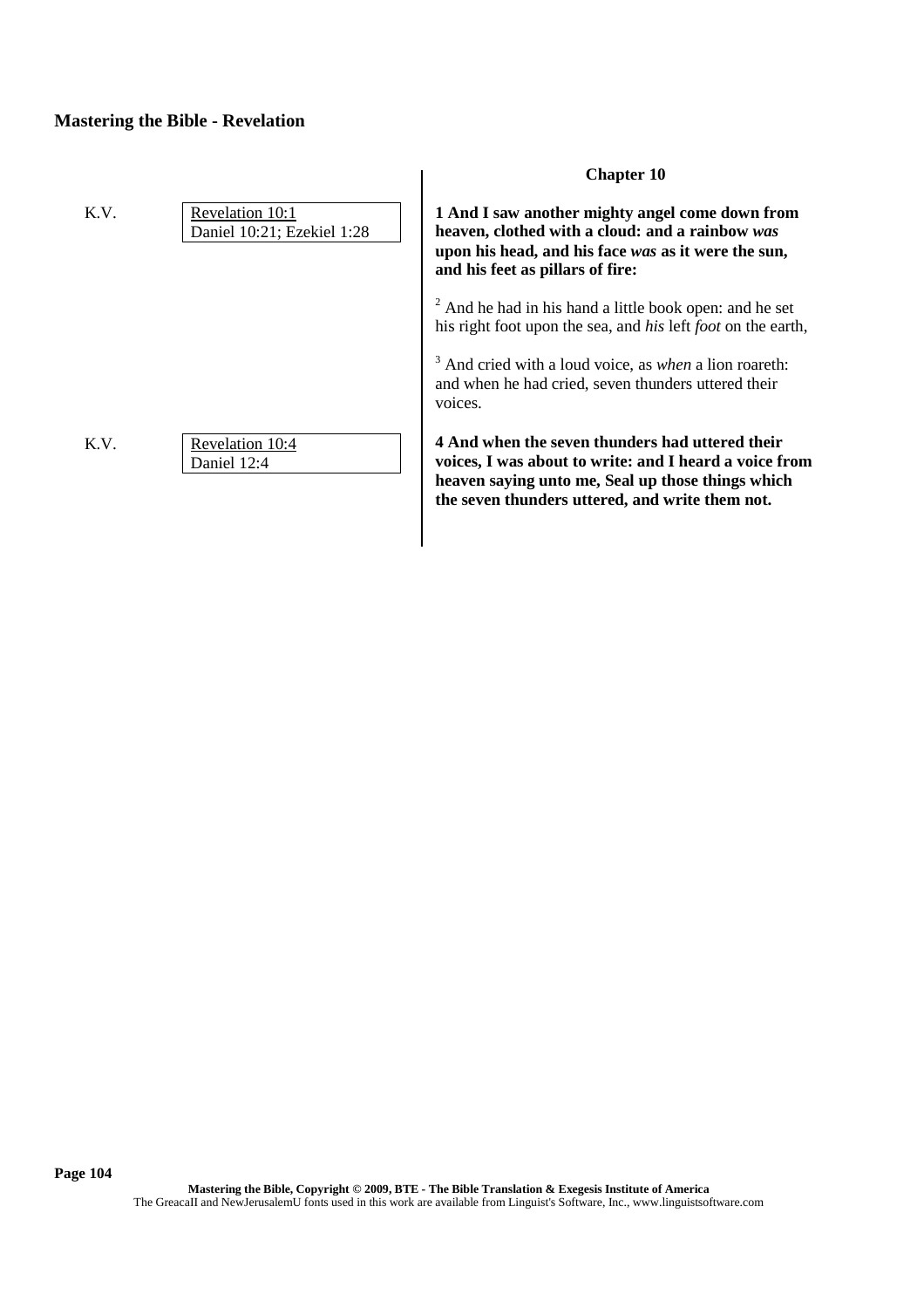|      |                                               | <b>Chapter 10</b>                                                                                                                                                                                                 |
|------|-----------------------------------------------|-------------------------------------------------------------------------------------------------------------------------------------------------------------------------------------------------------------------|
| K.V. | Revelation 10:1<br>Daniel 10:21; Ezekiel 1:28 | 1 And I saw another mighty angel come down from<br>heaven, clothed with a cloud: and a rainbow was<br>upon his head, and his face was as it were the sun,<br>and his feet as pillars of fire:                     |
|      |                                               | $2$ And he had in his hand a little book open: and he set<br>his right foot upon the sea, and his left foot on the earth,                                                                                         |
|      |                                               | $3$ And cried with a loud voice, as <i>when</i> a lion roareth:<br>and when he had cried, seven thunders uttered their<br>voices.                                                                                 |
| K.V. | Revelation 10:4<br>Daniel 12:4                | 4 And when the seven thunders had uttered their<br>voices, I was about to write: and I heard a voice from<br>heaven saying unto me, Seal up those things which<br>the seven thunders uttered, and write them not. |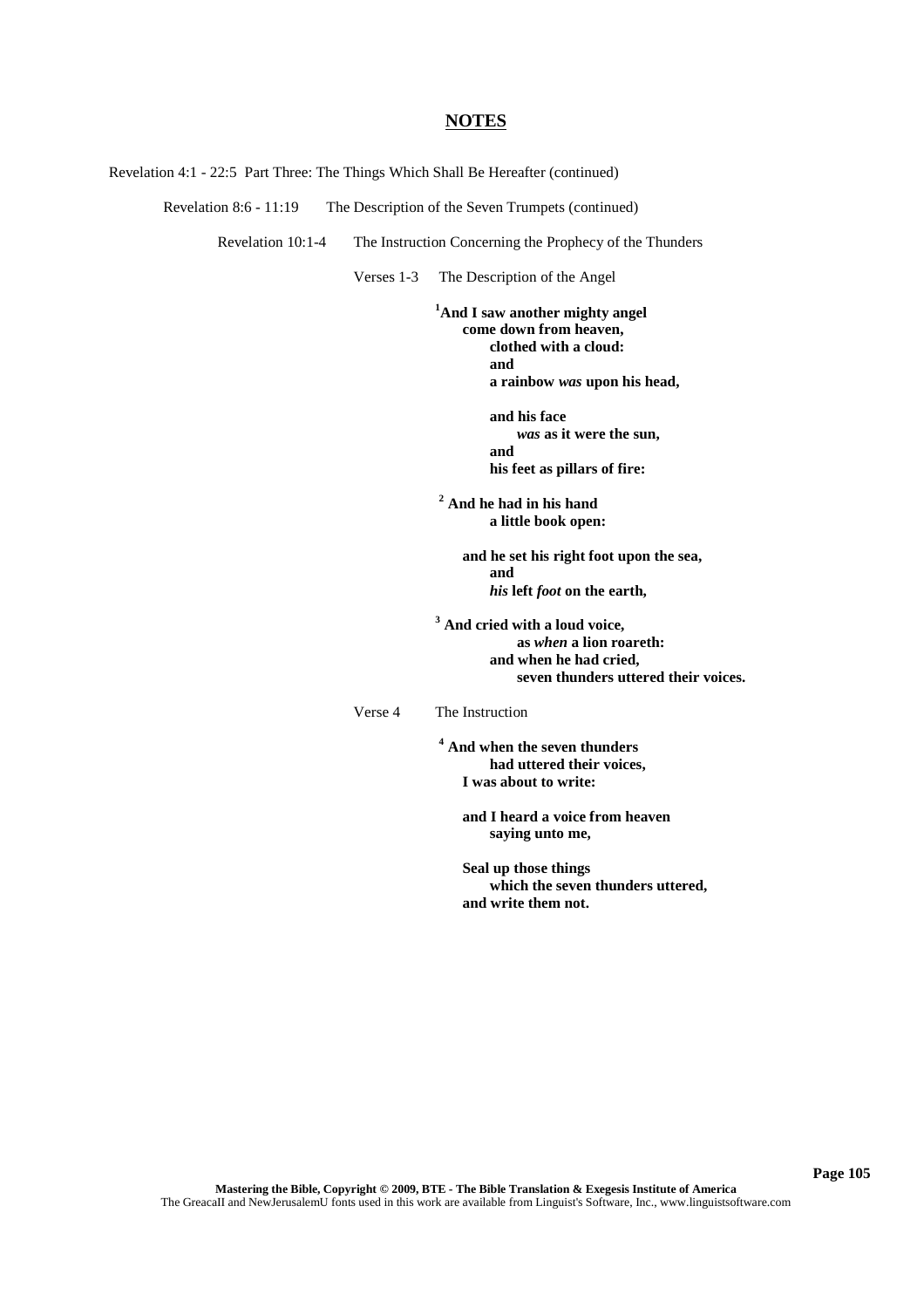Revelation 4:1 - 22:5 Part Three: The Things Which Shall Be Hereafter (continued)

Revelation 8:6 - 11:19 The Description of the Seven Trumpets (continued)

Revelation 10:1-4 The Instruction Concerning the Prophecy of the Thunders

Verses 1-3 The Description of the Angel

**<sup>1</sup>And I saw another mighty angel come down from heaven, clothed with a cloud: and a rainbow** *was* **upon his head,**

> **and his face** *was* **as it were the sun, and his feet as pillars of fire:**

**<sup>2</sup> And he had in his hand a little book open:**

> **and he set his right foot upon the sea, and** *his* **left** *foot* **on the earth,**

**<sup>3</sup> And cried with a loud voice, as** *when* **a lion roareth: and when he had cried, seven thunders uttered their voices.**

Verse 4 The Instruction

**<sup>4</sup> And when the seven thunders had uttered their voices, I was about to write:**

> **and I heard a voice from heaven saying unto me,**

**Seal up those things which the seven thunders uttered, and write them not.**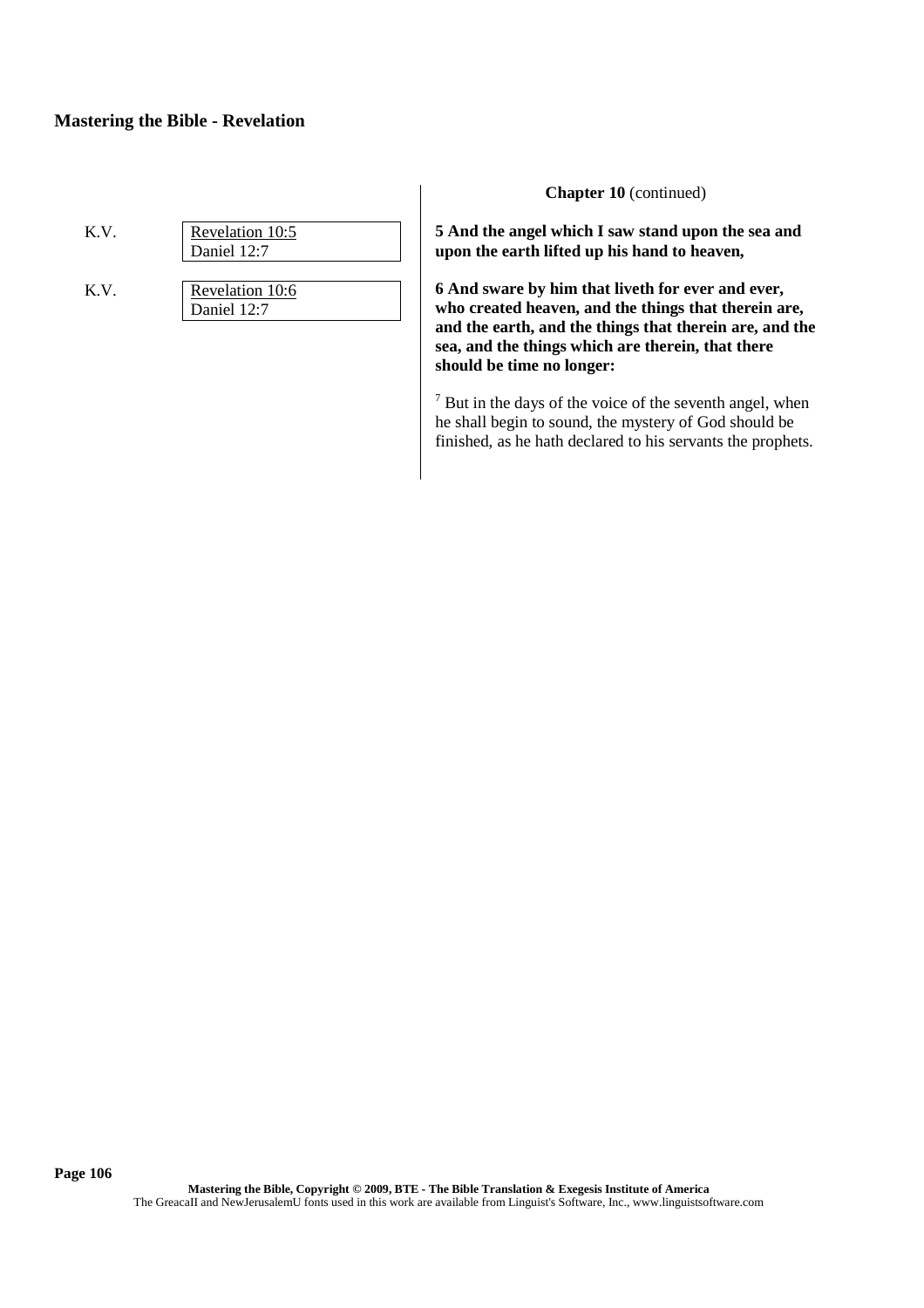| K.V | Revelation 10:5            |
|-----|----------------------------|
|     | $\blacksquare$ Daniel 12:7 |

K.V. Revelation 10:6 Daniel 12:7

**Chapter 10** (continued)

**5 And the angel which I saw stand upon the sea and upon the earth lifted up his hand to heaven,**

**6 And sware by him that liveth for ever and ever, who created heaven, and the things that therein are, and the earth, and the things that therein are, and the sea, and the things which are therein, that there should be time no longer:**

 $<sup>7</sup>$  But in the days of the voice of the seventh angel, when</sup> he shall begin to sound, the mystery of God should be finished, as he hath declared to his servants the prophets.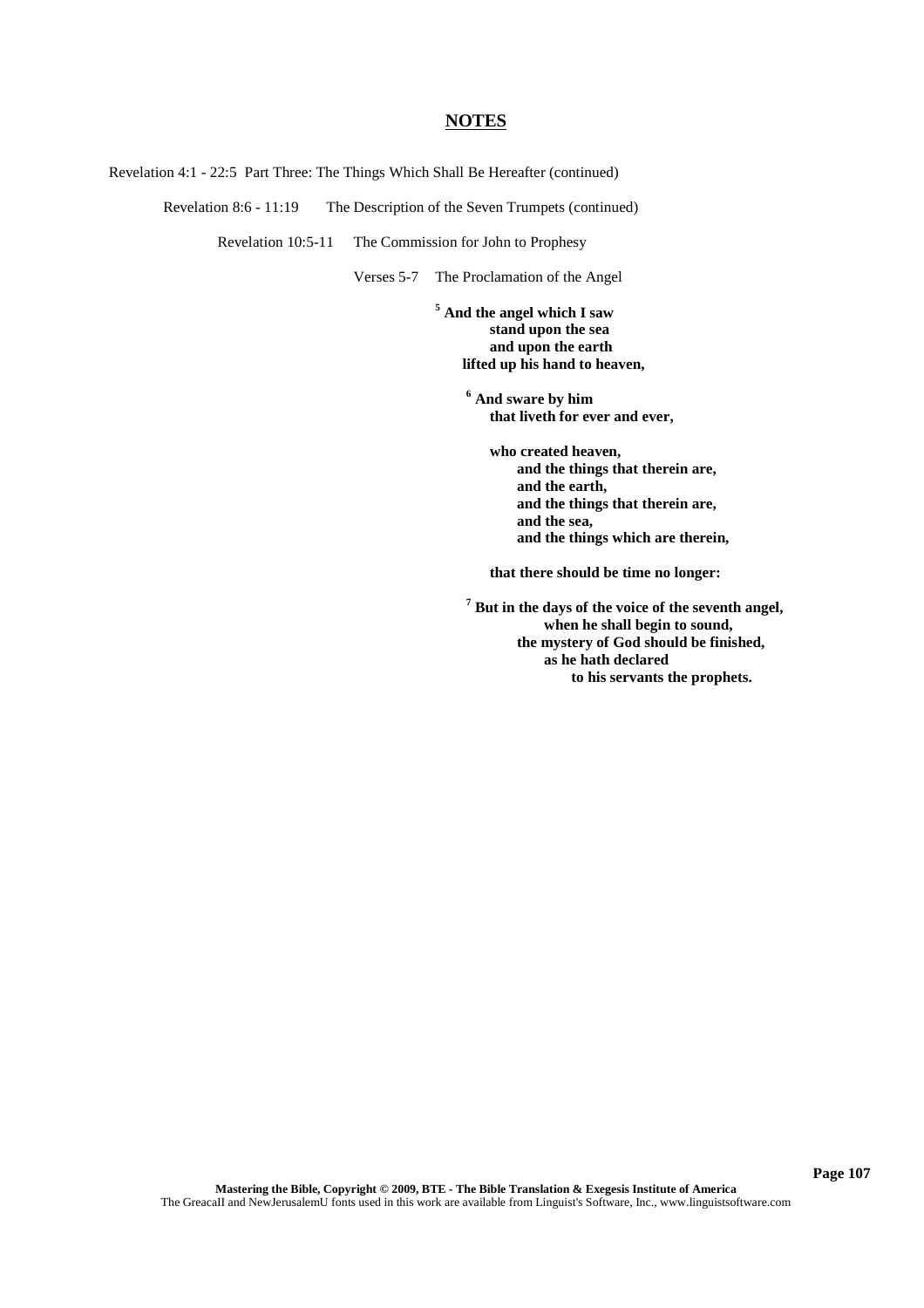Revelation 4:1 - 22:5 Part Three: The Things Which Shall Be Hereafter (continued)

Revelation 8:6 - 11:19 The Description of the Seven Trumpets (continued)

Revelation 10:5-11 The Commission for John to Prophesy

Verses 5-7 The Proclamation of the Angel

**<sup>5</sup> And the angel which I saw stand upon the sea and upon the earth lifted up his hand to heaven,**

> **<sup>6</sup> And sware by him that liveth for ever and ever,**

> > **who created heaven, and the things that therein are, and the earth, and the things that therein are, and the sea, and the things which are therein,**

**that there should be time no longer:**

**<sup>7</sup> But in the days of the voice of the seventh angel, when he shall begin to sound, the mystery of God should be finished, as he hath declared to his servants the prophets.**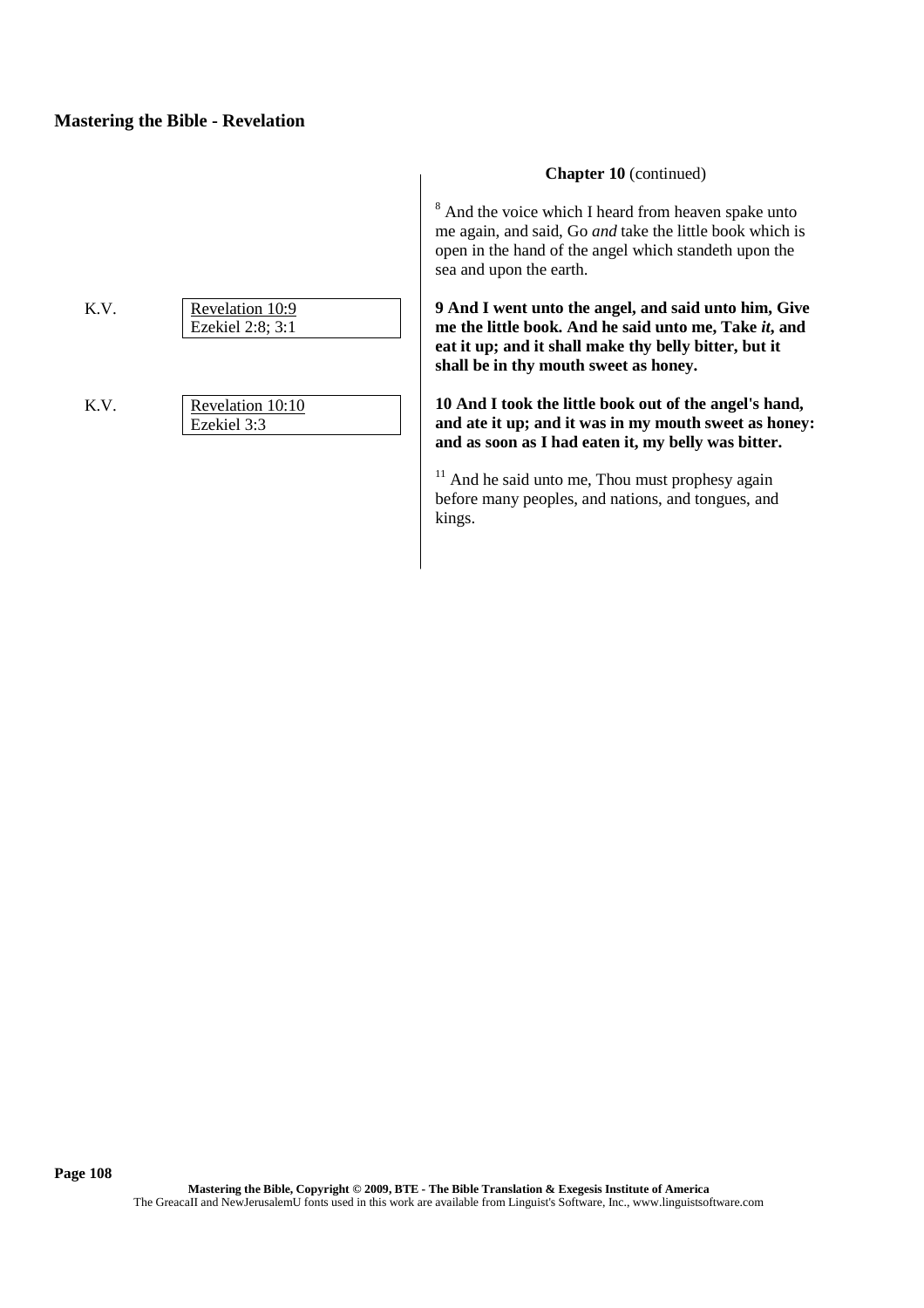| K.V. | Revelation 10:9    |  |
|------|--------------------|--|
|      | Ezekiel 2:8; $3:1$ |  |
|      |                    |  |
|      |                    |  |
|      |                    |  |

Ezekiel 3:3

K.V. Revelation 10:10

### **Chapter 10** (continued)

<sup>8</sup> And the voice which I heard from heaven spake unto me again, and said, Go *and* take the little book which is open in the hand of the angel which standeth upon the sea and upon the earth.

**9 And I went unto the angel, and said unto him, Give me the little book. And he said unto me, Take** *it***, and eat it up; and it shall make thy belly bitter, but it shall be in thy mouth sweet as honey.**

**10 And I took the little book out of the angel's hand, and ate it up; and it was in my mouth sweet as honey: and as soon as I had eaten it, my belly was bitter.**

<sup>11</sup> And he said unto me, Thou must prophesy again before many peoples, and nations, and tongues, and kings.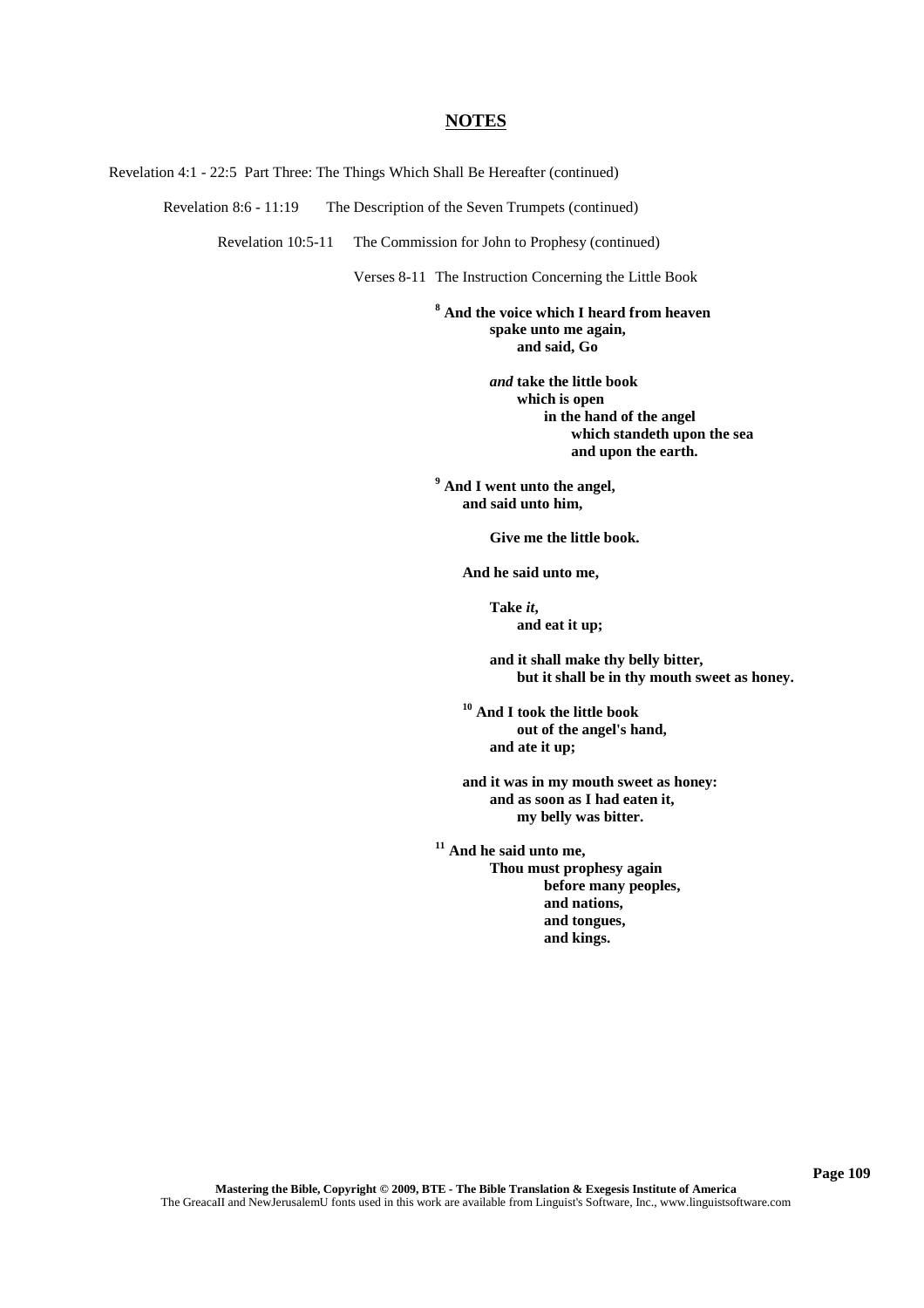Revelation 4:1 - 22:5 Part Three: The Things Which Shall Be Hereafter (continued)

Revelation 8:6 - 11:19 The Description of the Seven Trumpets (continued)

Revelation 10:5-11 The Commission for John to Prophesy (continued)

Verses 8-11 The Instruction Concerning the Little Book

**<sup>8</sup> And the voice which I heard from heaven spake unto me again, and said, Go**

> *and* **take the little book which is open in the hand of the angel which standeth upon the sea and upon the earth.**

**<sup>9</sup> And I went unto the angel, and said unto him,**

**Give me the little book.**

**And he said unto me,**

**Take** *it***, and eat it up;**

**and it shall make thy belly bitter, but it shall be in thy mouth sweet as honey.**

**<sup>10</sup> And I took the little book out of the angel's hand, and ate it up;**

**and it was in my mouth sweet as honey: and as soon as I had eaten it, my belly was bitter.**

**<sup>11</sup> And he said unto me, Thou must prophesy again before many peoples, and nations, and tongues, and kings.**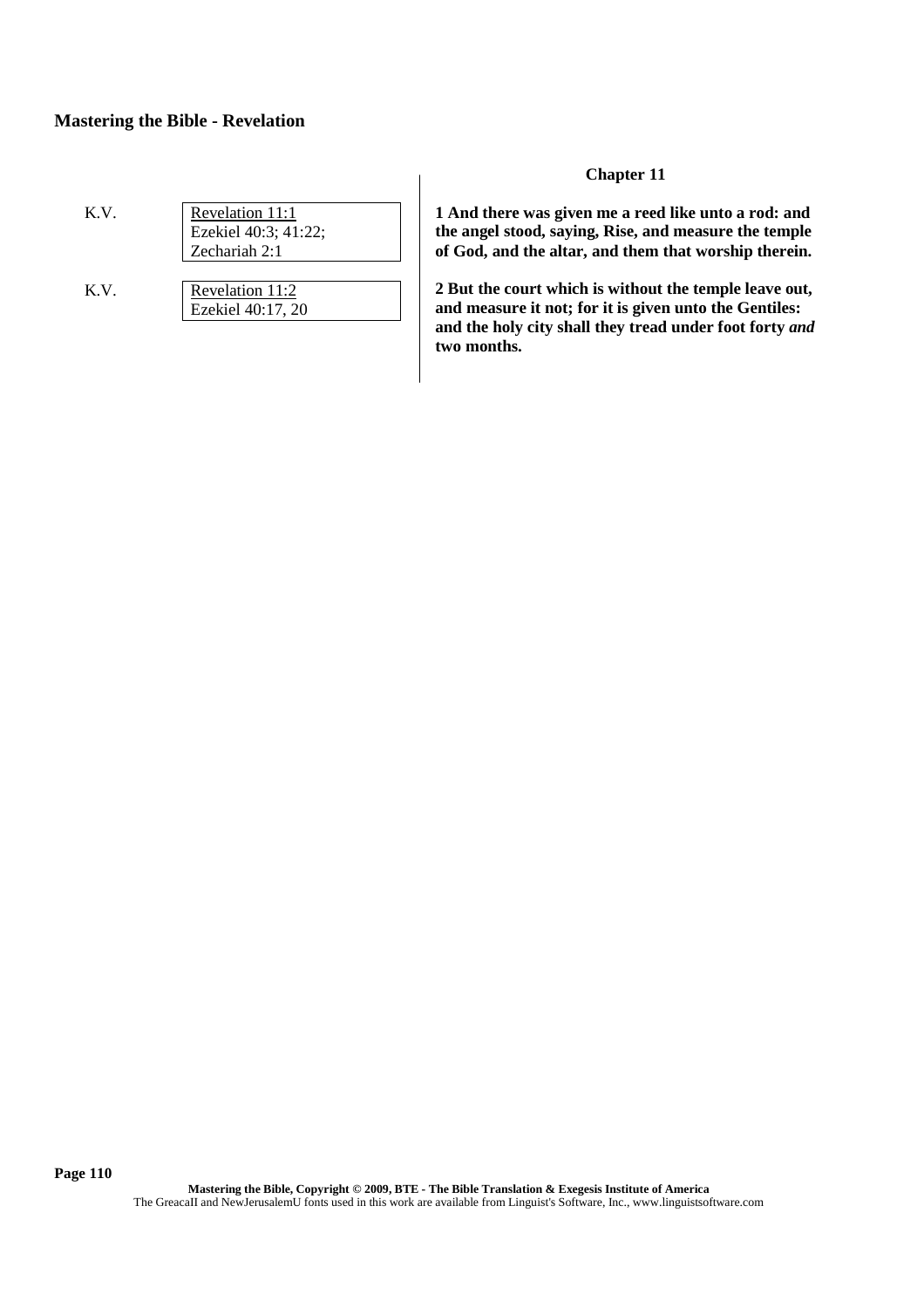| K.V. | Revelation 11:1      |
|------|----------------------|
|      | Ezekiel 40:3; 41:22; |
|      | Zechariah 2:1        |

K.V. Revelation 11:2 Ezekiel 40:17, 20

### **Chapter 11**

**1 And there was given me a reed like unto a rod: and the angel stood, saying, Rise, and measure the temple of God, and the altar, and them that worship therein.**

**2 But the court which is without the temple leave out, and measure it not; for it is given unto the Gentiles: and the holy city shall they tread under foot forty** *and* **two months.**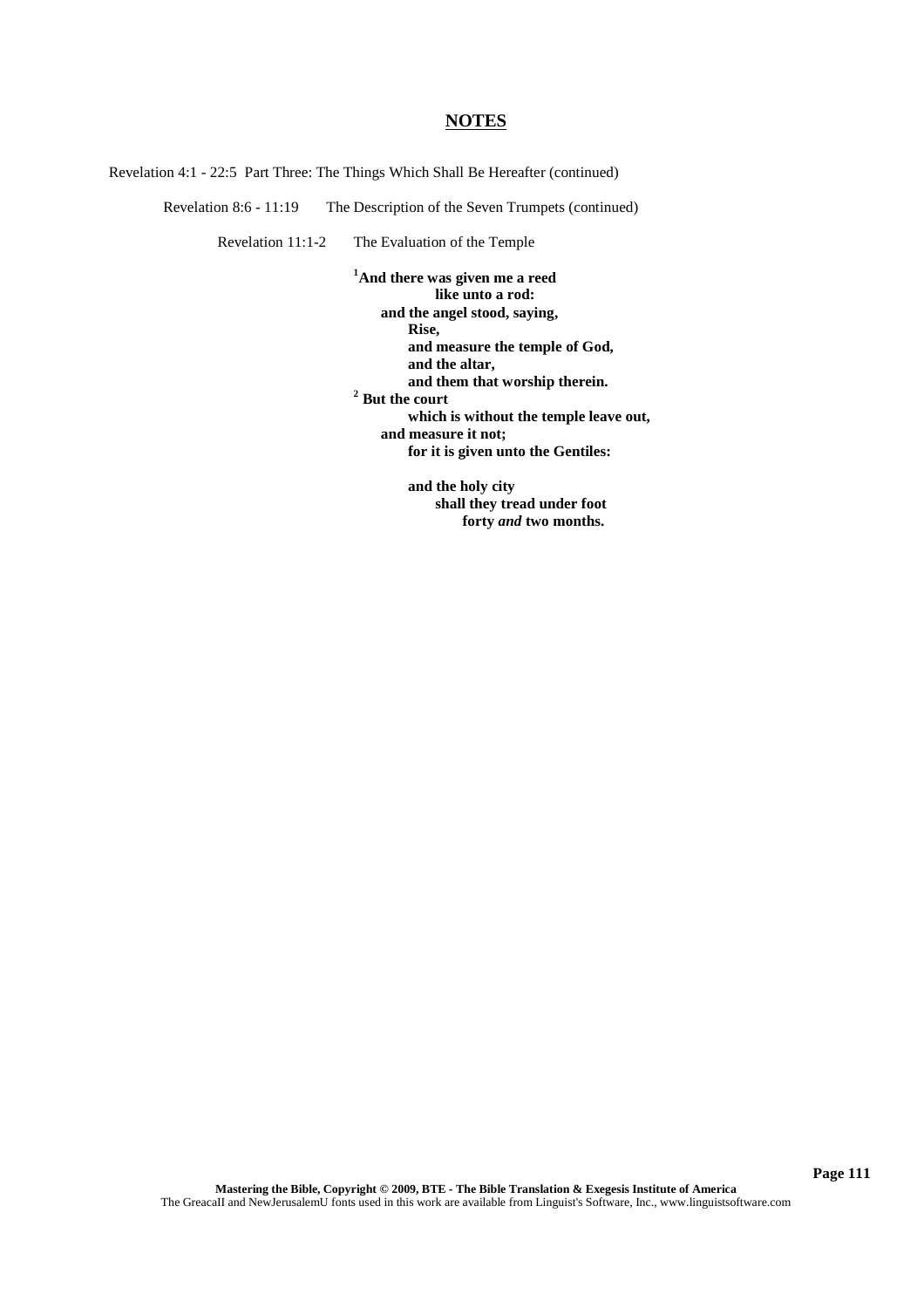Revelation 4:1 - 22:5 Part Three: The Things Which Shall Be Hereafter (continued)

Revelation 8:6 - 11:19 The Description of the Seven Trumpets (continued)

Revelation 11:1-2 The Evaluation of the Temple

**<sup>1</sup>And there was given me a reed like unto a rod: and the angel stood, saying, Rise, and measure the temple of God, and the altar, and them that worship therein. <sup>2</sup> But the court which is without the temple leave out, and measure it not; for it is given unto the Gentiles:**

> **and the holy city shall they tread under foot forty** *and* **two months.**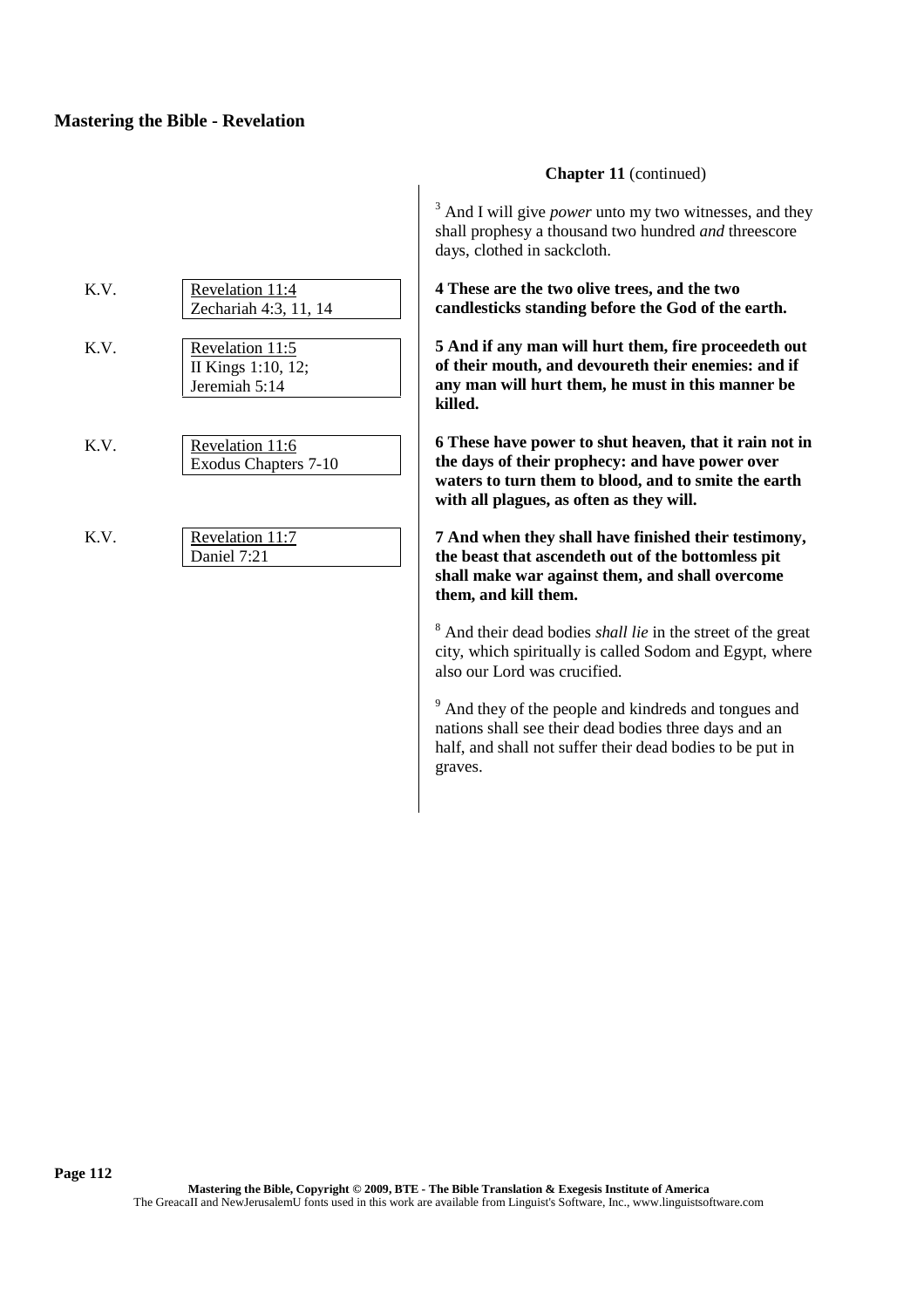| K.V. | Revelation 11:4<br>Zechariah 4:3, 11, 14               |
|------|--------------------------------------------------------|
| K.V. | Revelation 11:5<br>II Kings 1:10, 12;<br>Jeremiah 5:14 |
| K.V. | Revelation 11:6<br><b>Exodus Chapters 7-10</b>         |
| K.V. | Revelation 11:7<br>Daniel 7:21                         |
|      |                                                        |

### **Chapter 11** (continued)

<sup>3</sup> And I will give *power* unto my two witnesses, and they shall prophesy a thousand two hundred *and* threescore days, clothed in sackcloth.

**4 These are the two olive trees, and the two candlesticks standing before the God of the earth.**

**5 And if any man will hurt them, fire proceedeth out of their mouth, and devoureth their enemies: and if any man will hurt them, he must in this manner be killed.**

**6 These have power to shut heaven, that it rain not in the days of their prophecy: and have power over waters to turn them to blood, and to smite the earth with all plagues, as often as they will.**

**7 And when they shall have finished their testimony, the beast that ascendeth out of the bottomless pit shall make war against them, and shall overcome them, and kill them.**

<sup>8</sup> And their dead bodies *shall lie* in the street of the great city, which spiritually is called Sodom and Egypt, where also our Lord was crucified.

<sup>9</sup> And they of the people and kindreds and tongues and nations shall see their dead bodies three days and an half, and shall not suffer their dead bodies to be put in graves.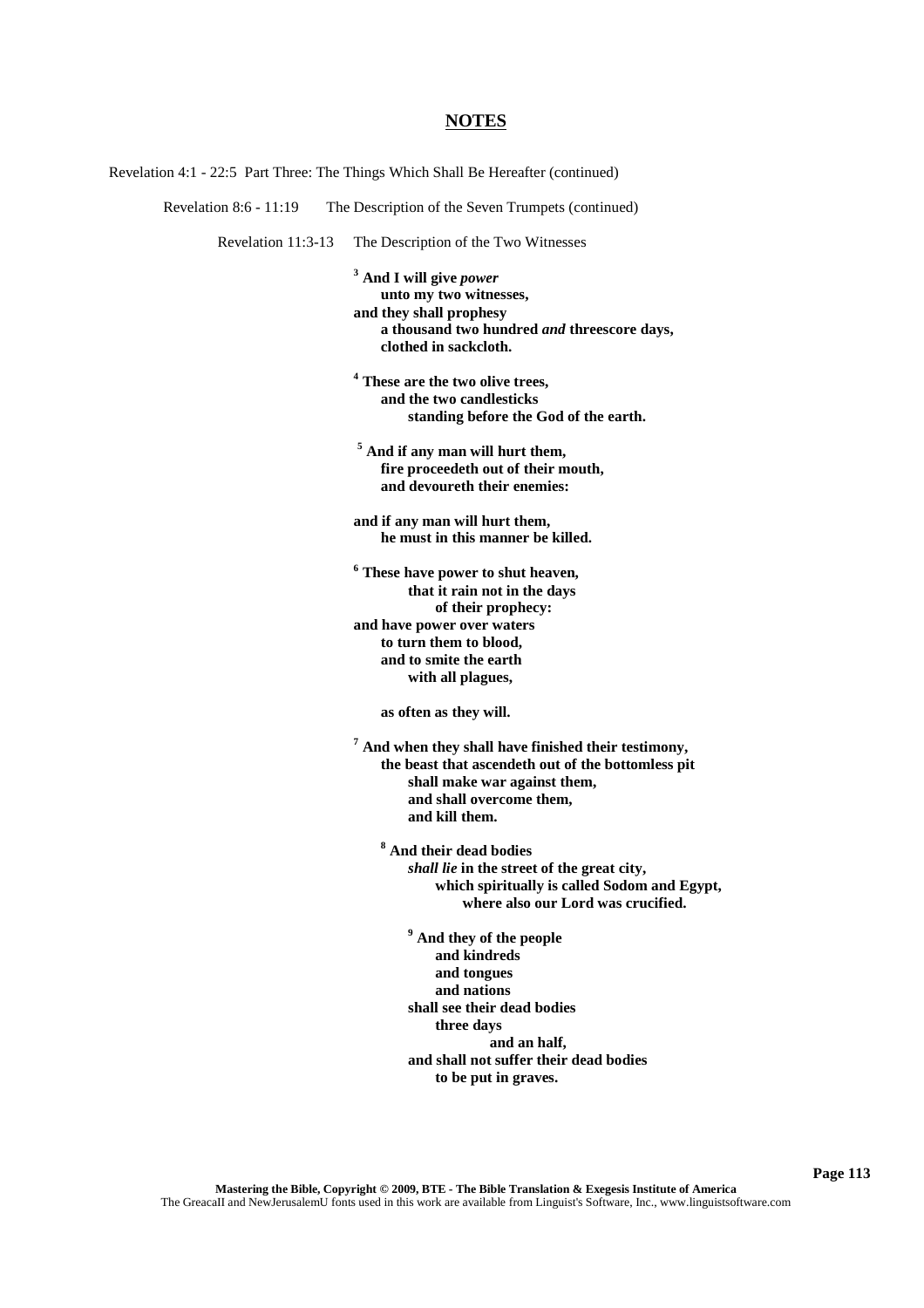Revelation 4:1 - 22:5 Part Three: The Things Which Shall Be Hereafter (continued)

Revelation 8:6 - 11:19 The Description of the Seven Trumpets (continued)

Revelation 11:3-13 The Description of the Two Witnesses

**<sup>3</sup> And I will give** *power* **unto my two witnesses, and they shall prophesy a thousand two hundred** *and* **threescore days, clothed in sackcloth.**

**<sup>4</sup> These are the two olive trees, and the two candlesticks standing before the God of the earth.**

**<sup>5</sup> And if any man will hurt them, fire proceedeth out of their mouth, and devoureth their enemies:**

**and if any man will hurt them, he must in this manner be killed.**

**<sup>6</sup> These have power to shut heaven, that it rain not in the days of their prophecy: and have power over waters to turn them to blood, and to smite the earth with all plagues,**

**as often as they will.**

**<sup>7</sup> And when they shall have finished their testimony, the beast that ascendeth out of the bottomless pit shall make war against them, and shall overcome them, and kill them.**

- **<sup>8</sup> And their dead bodies** *shall lie* **in the street of the great city, which spiritually is called Sodom and Egypt, where also our Lord was crucified.**
	- **<sup>9</sup> And they of the people and kindreds and tongues and nations shall see their dead bodies three days and an half, and shall not suffer their dead bodies to be put in graves.**

**Page 113**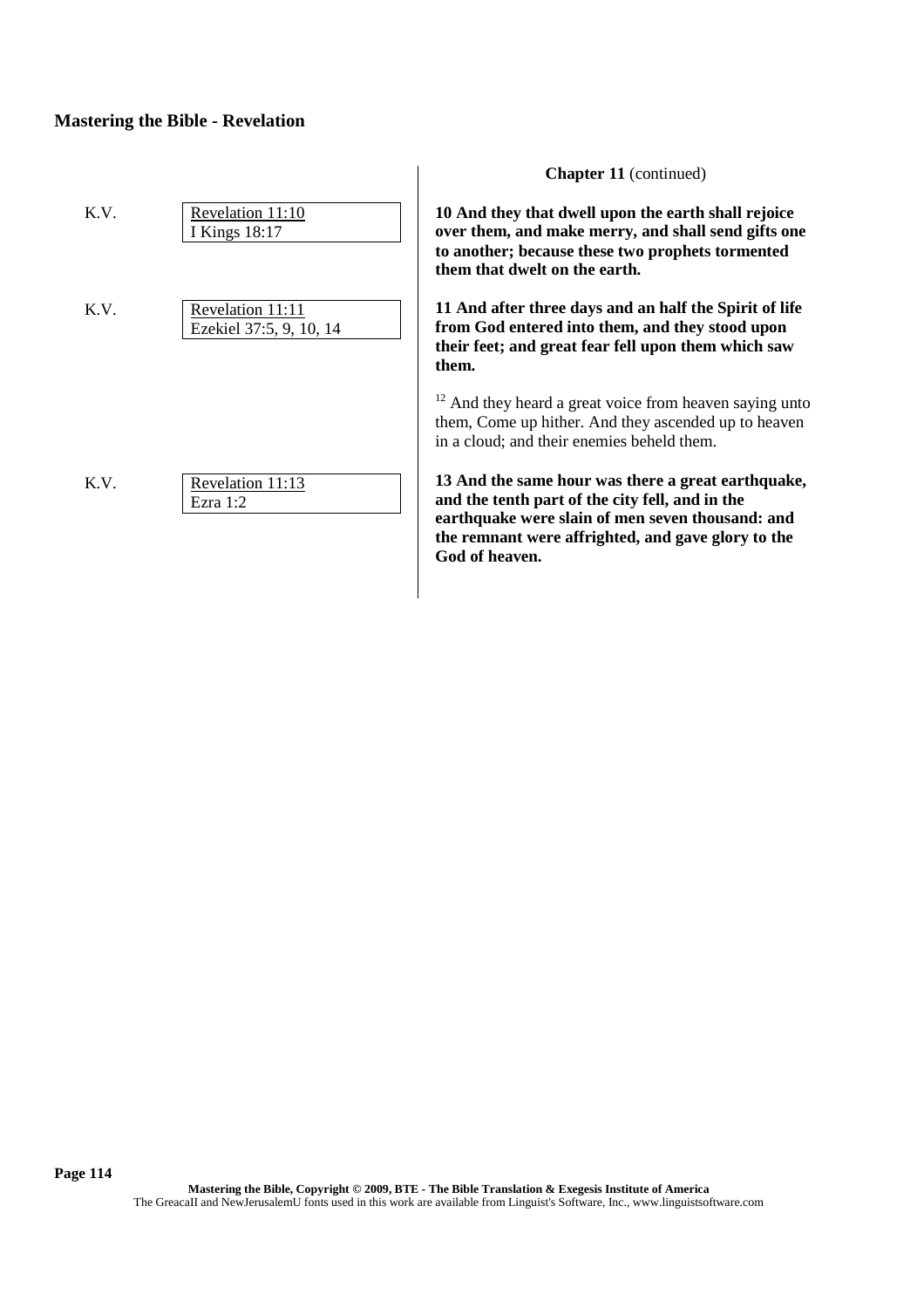| K.V. | Revelation 11:10<br>I Kings 18:17           | 10 And they that dwell upon the earth shall rejoice<br>over them, and make merry, and shall send gifts one<br>to another; because these two prophets tormented<br>them that dwelt on the earth.                                   |
|------|---------------------------------------------|-----------------------------------------------------------------------------------------------------------------------------------------------------------------------------------------------------------------------------------|
| K.V. | Revelation 11:11<br>Ezekiel 37:5, 9, 10, 14 | 11 And after three days and an half the Spirit of life<br>from God entered into them, and they stood upon<br>their feet; and great fear fell upon them which saw<br>them.                                                         |
|      |                                             | $12$ And they heard a great voice from heaven saying unto<br>them, Come up hither. And they ascended up to heaven<br>in a cloud; and their enemies beheld them.                                                                   |
| K.V. | Revelation 11:13<br>Ezra 1:2                | 13 And the same hour was there a great earthquake,<br>and the tenth part of the city fell, and in the<br>earthquake were slain of men seven thousand: and<br>the remnant were affrighted, and gave glory to the<br>God of heaven. |

 $\overline{\phantom{a}}$ 

**Chapter 11** (continued)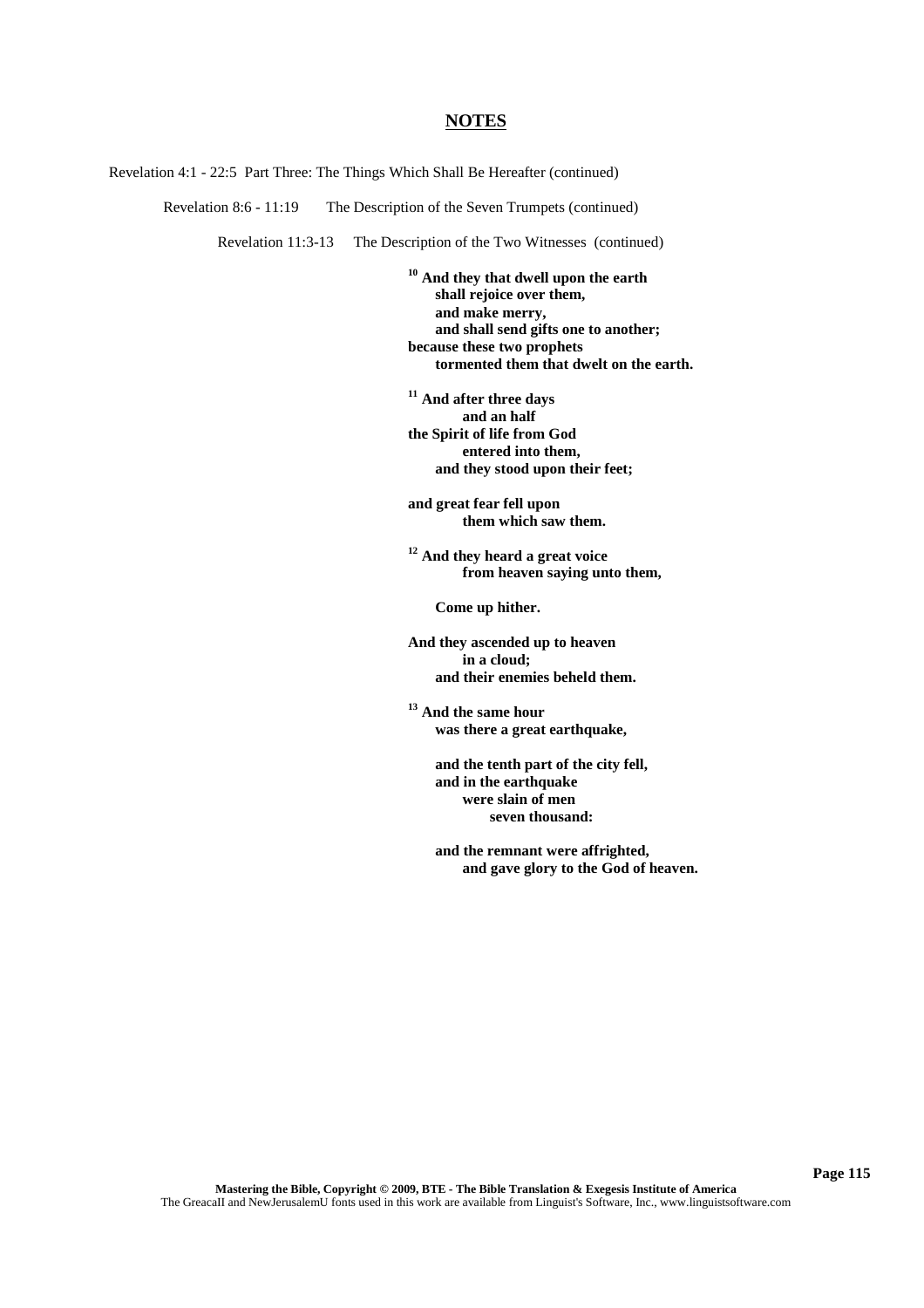Revelation 4:1 - 22:5 Part Three: The Things Which Shall Be Hereafter (continued)

Revelation 8:6 - 11:19 The Description of the Seven Trumpets (continued)

Revelation 11:3-13 The Description of the Two Witnesses (continued)

**<sup>10</sup> And they that dwell upon the earth shall rejoice over them, and make merry, and shall send gifts one to another; because these two prophets tormented them that dwelt on the earth.**

**<sup>11</sup> And after three days and an half the Spirit of life from God entered into them, and they stood upon their feet;**

**and great fear fell upon them which saw them.**

**<sup>12</sup> And they heard a great voice from heaven saying unto them,**

**Come up hither.**

**And they ascended up to heaven in a cloud; and their enemies beheld them.**

**<sup>13</sup> And the same hour was there a great earthquake,**

> **and the tenth part of the city fell, and in the earthquake were slain of men seven thousand:**

**and the remnant were affrighted, and gave glory to the God of heaven.**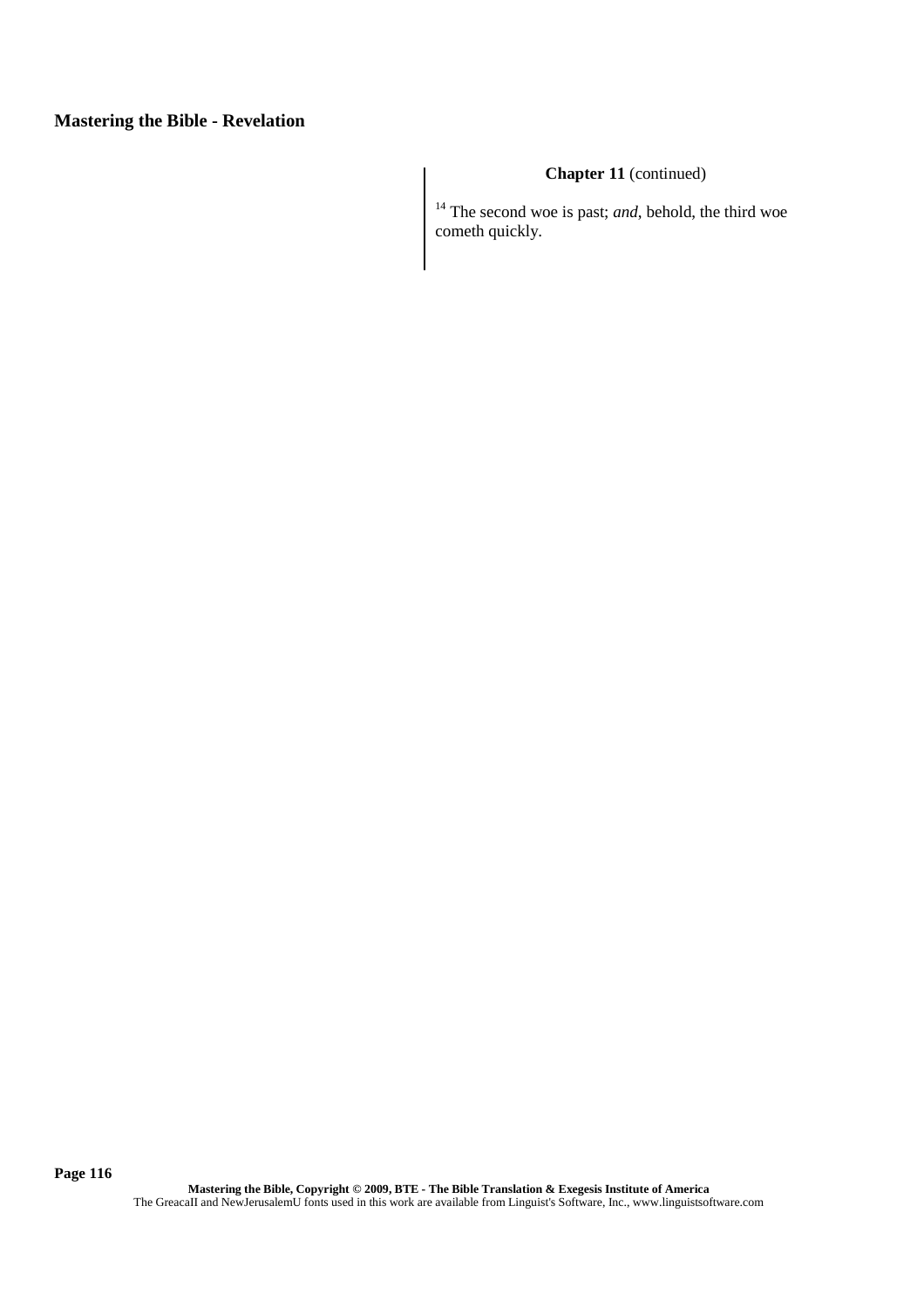# **Chapter 11** (continued)

<sup>14</sup> The second woe is past; *and*, behold, the third woe cometh quickly.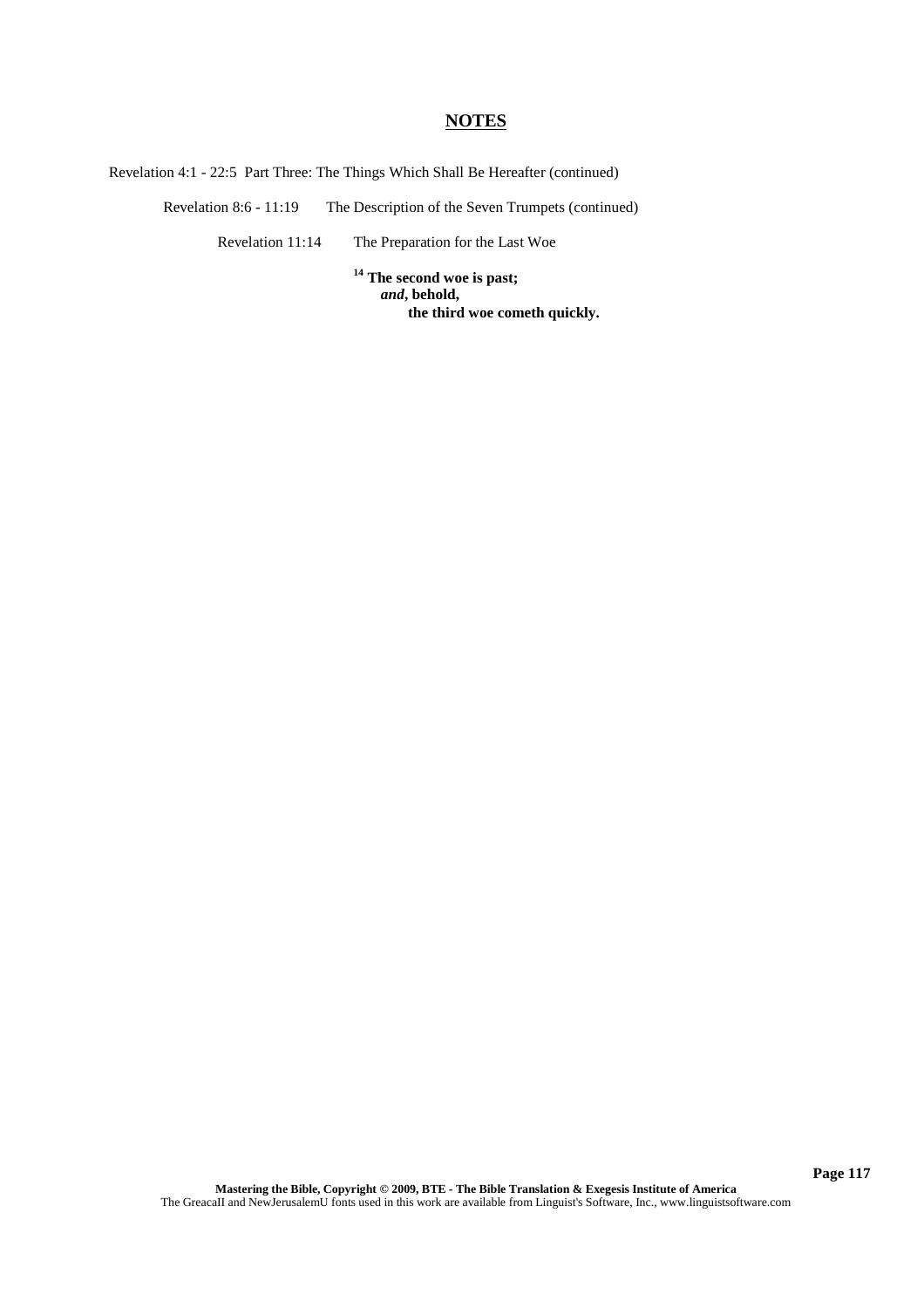Revelation 4:1 - 22:5 Part Three: The Things Which Shall Be Hereafter (continued)

Revelation 8:6 - 11:19 The Description of the Seven Trumpets (continued)

Revelation 11:14 The Preparation for the Last Woe

**<sup>14</sup> The second woe is past;** *and***, behold, the third woe cometh quickly.**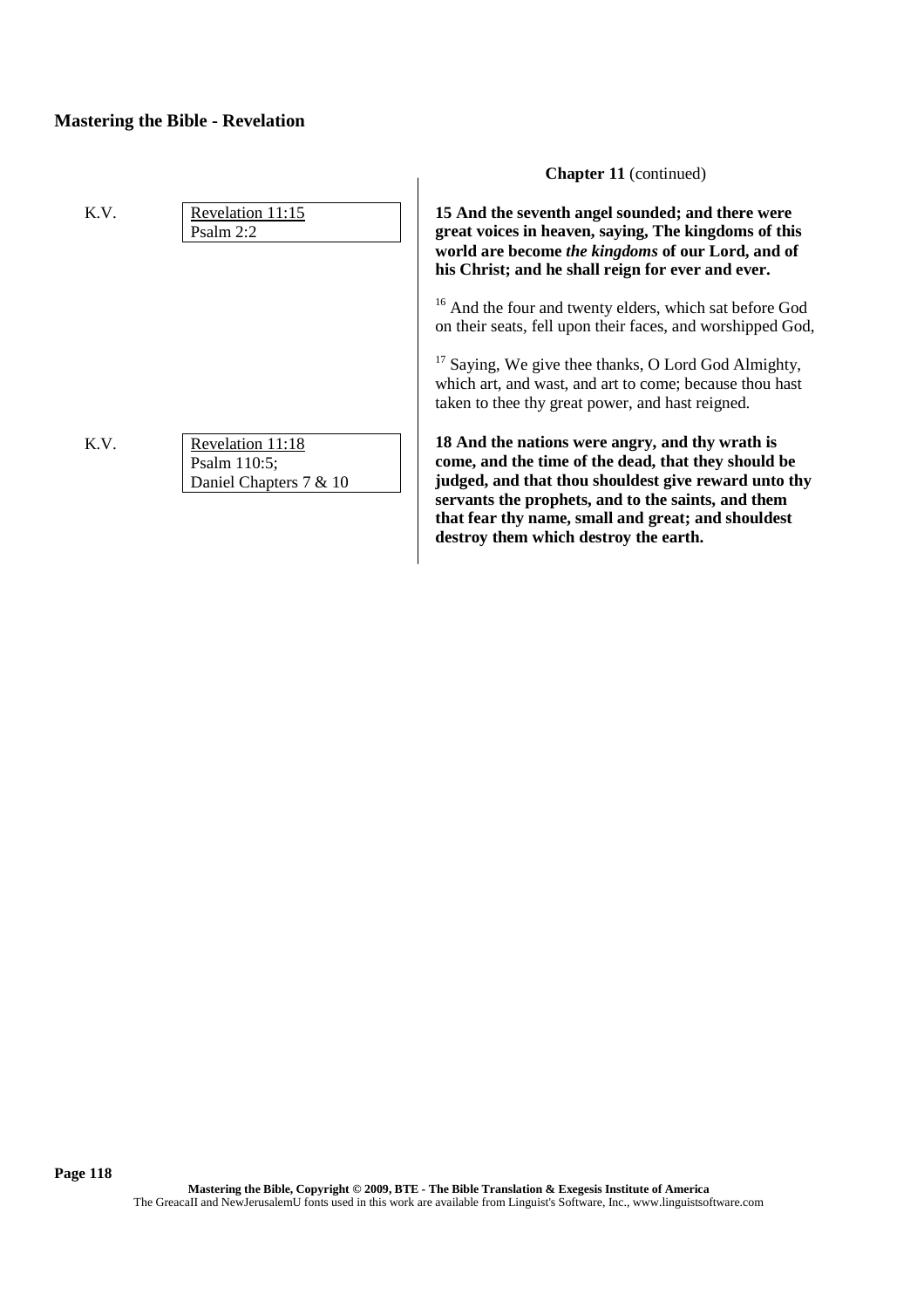|      |                                                            | <b>Chapter 11</b> (continued)                                                                                                                                                                                                                                                                                       |
|------|------------------------------------------------------------|---------------------------------------------------------------------------------------------------------------------------------------------------------------------------------------------------------------------------------------------------------------------------------------------------------------------|
| K.V. | Revelation 11:15<br>Psalm 2:2                              | 15 And the seventh angel sounded; and there were<br>great voices in heaven, saying, The kingdoms of this<br>world are become the kingdoms of our Lord, and of<br>his Christ; and he shall reign for ever and ever.                                                                                                  |
|      |                                                            | <sup>16</sup> And the four and twenty elders, which sat before God<br>on their seats, fell upon their faces, and worshipped God,                                                                                                                                                                                    |
|      |                                                            | <sup>17</sup> Saying, We give thee thanks, O Lord God Almighty,<br>which art, and wast, and art to come; because thou hast<br>taken to thee thy great power, and hast reigned.                                                                                                                                      |
| K.V. | Revelation 11:18<br>Psalm 110:5;<br>Daniel Chapters 7 & 10 | 18 And the nations were angry, and thy wrath is<br>come, and the time of the dead, that they should be<br>judged, and that thou shouldest give reward unto thy<br>servants the prophets, and to the saints, and them<br>that fear thy name, small and great; and shouldest<br>destroy them which destroy the earth. |

**Chapter 11** (continued)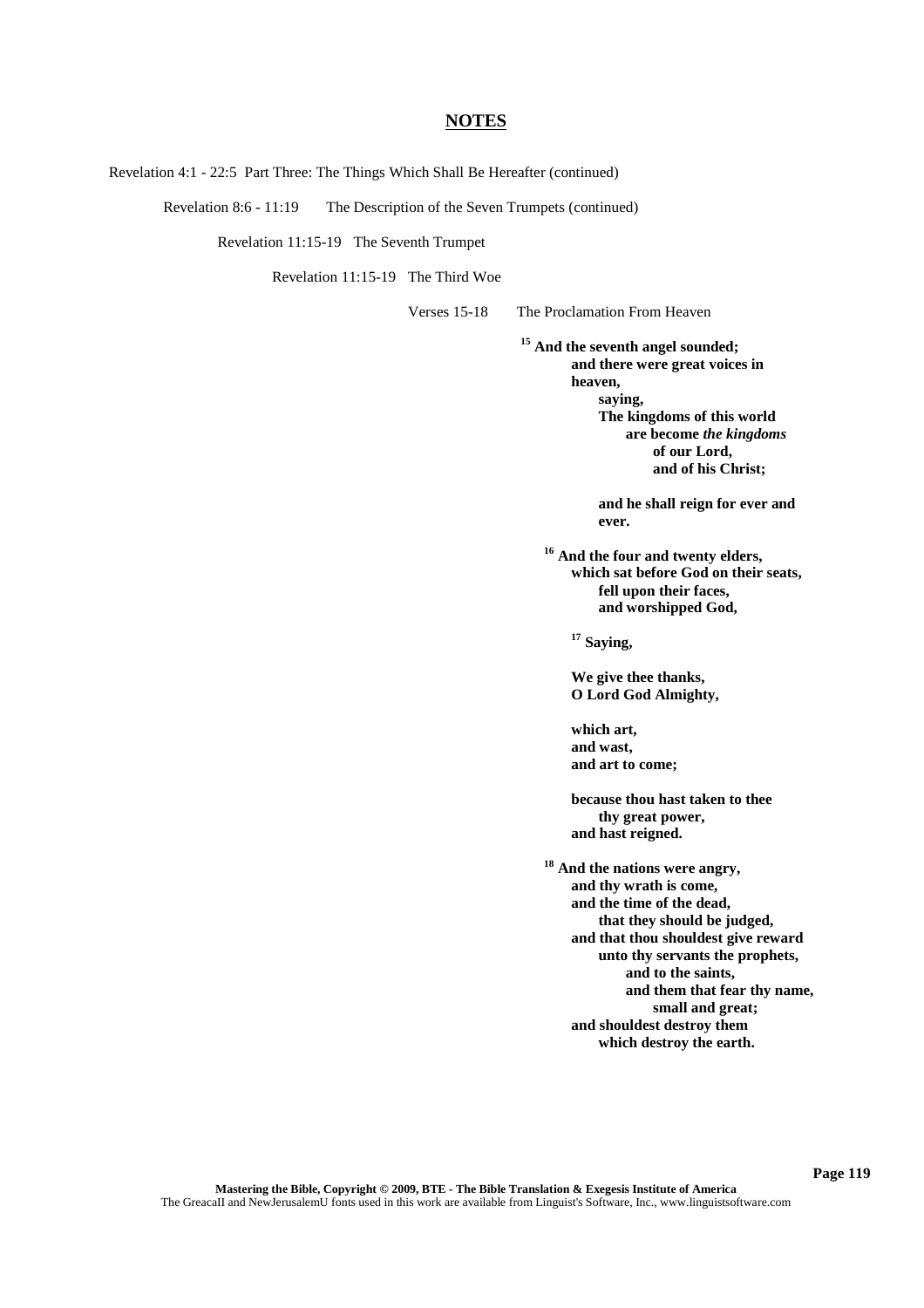Revelation 4:1 - 22:5 Part Three: The Things Which Shall Be Hereafter (continued)

Revelation 8:6 - 11:19 The Description of the Seven Trumpets (continued)

Revelation 11:15-19 The Seventh Trumpet

Revelation 11:15-19 The Third Woe

Verses 15-18 The Proclamation From Heaven

**<sup>15</sup> And the seventh angel sounded; and there were great voices in heaven, saying, The kingdoms of this world are become** *the kingdoms* **of our Lord, and of his Christ;**

> **and he shall reign for ever and ever.**

**<sup>16</sup> And the four and twenty elders, which sat before God on their seats, fell upon their faces, and worshipped God,**

**<sup>17</sup> Saying,**

**We give thee thanks, O Lord God Almighty,**

**which art, and wast, and art to come;**

**because thou hast taken to thee thy great power, and hast reigned.**

**<sup>18</sup> And the nations were angry, and thy wrath is come, and the time of the dead, that they should be judged, and that thou shouldest give reward unto thy servants the prophets, and to the saints, and them that fear thy name, small and great; and shouldest destroy them which destroy the earth.**

**Page 119**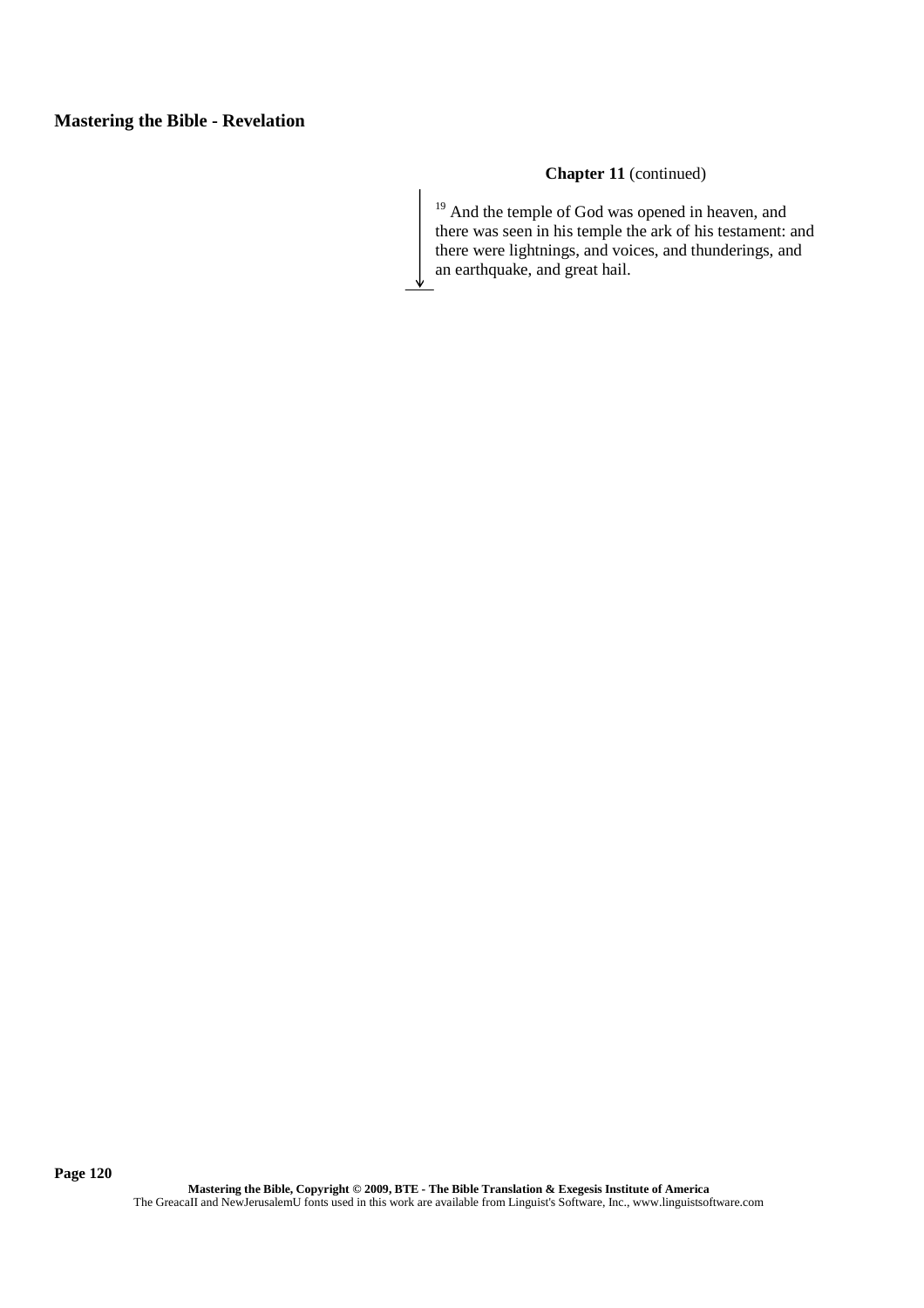## **Chapter 11** (continued)

<sup>19</sup> And the temple of God was opened in heaven, and there was seen in his temple the ark of his testament: and there were lightnings, and voices, and thunderings, and an earthquake, and great hail.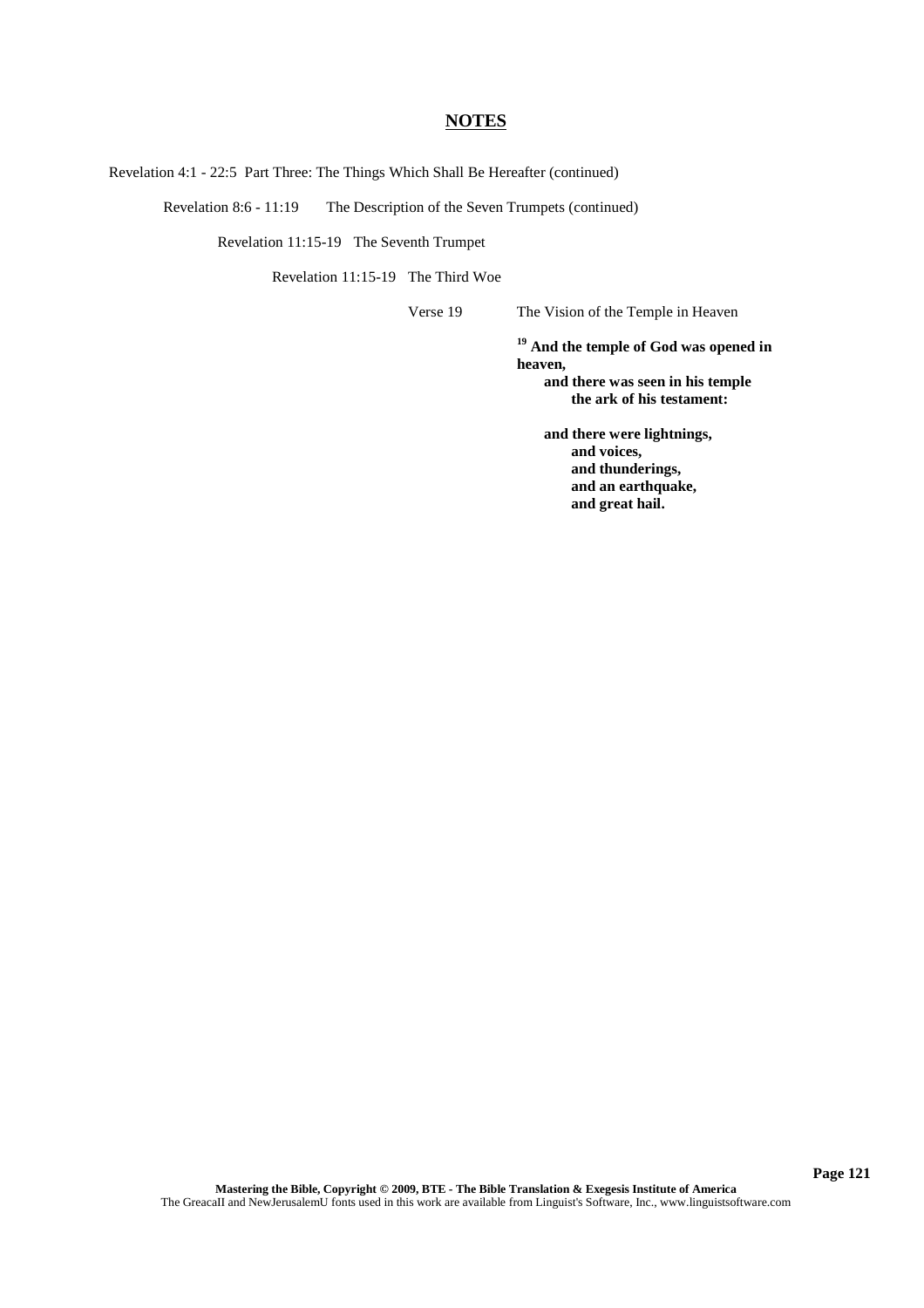Revelation 4:1 - 22:5 Part Three: The Things Which Shall Be Hereafter (continued)

Revelation 8:6 - 11:19 The Description of the Seven Trumpets (continued)

Revelation 11:15-19 The Seventh Trumpet

Revelation 11:15-19 The Third Woe

Verse 19 The Vision of the Temple in Heaven

**<sup>19</sup> And the temple of God was opened in heaven,**

**and there was seen in his temple the ark of his testament:**

**and there were lightnings, and voices, and thunderings, and an earthquake, and great hail.**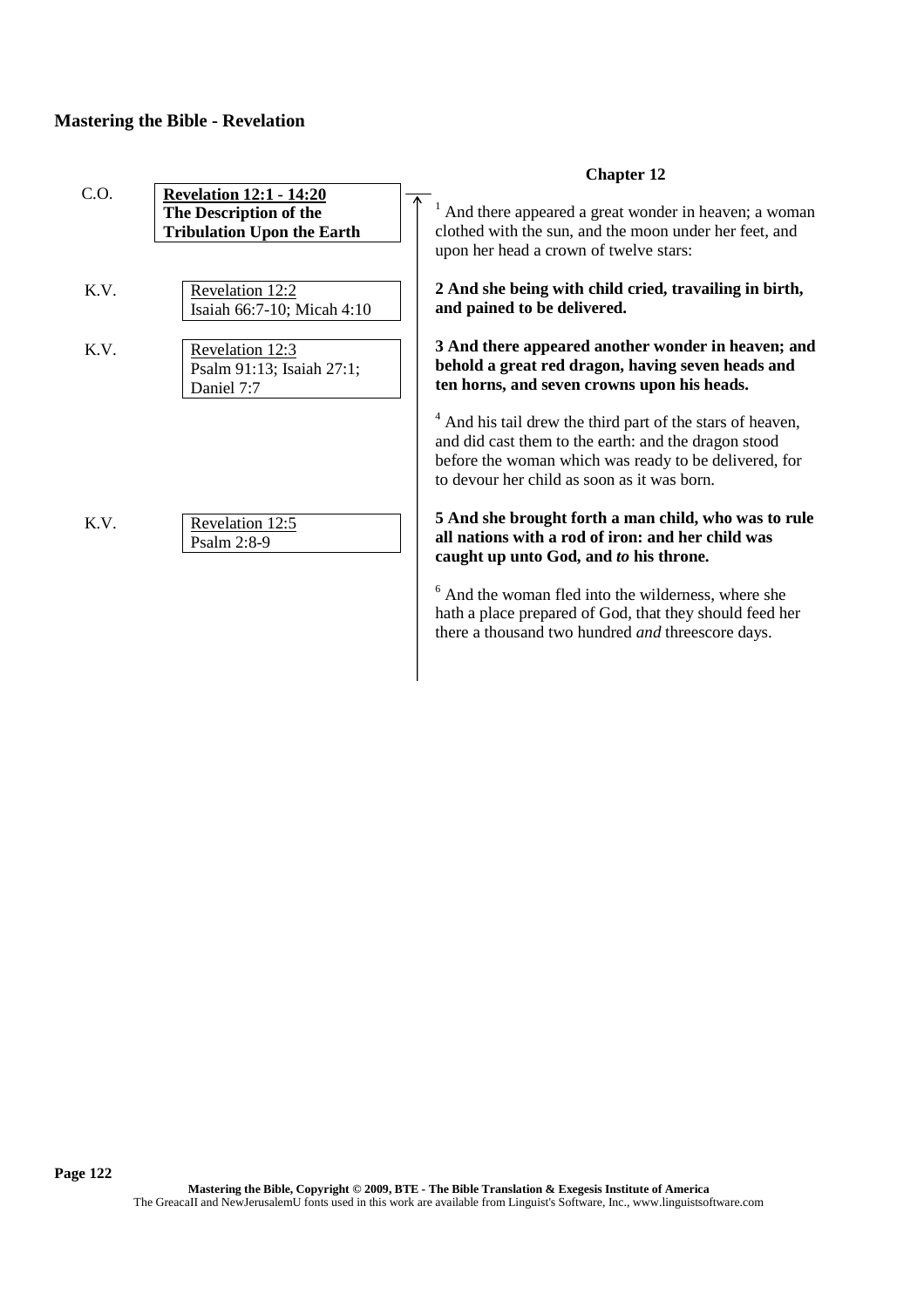|      | <b>Chapter 12</b>                                                                             |                                                                                                                                                                                                                                       |  |
|------|-----------------------------------------------------------------------------------------------|---------------------------------------------------------------------------------------------------------------------------------------------------------------------------------------------------------------------------------------|--|
| C.O. | <b>Revelation 12:1 - 14:20</b><br>The Description of the<br><b>Tribulation Upon the Earth</b> | And there appeared a great wonder in heaven; a woman<br>clothed with the sun, and the moon under her feet, and<br>upon her head a crown of twelve stars:                                                                              |  |
| K.V. | Revelation 12:2<br>Isaiah 66:7-10; Micah 4:10                                                 | 2 And she being with child cried, travailing in birth,<br>and pained to be delivered.                                                                                                                                                 |  |
| K.V. | Revelation 12:3<br>Psalm 91:13; Isaiah 27:1;<br>Daniel 7:7                                    | 3 And there appeared another wonder in heaven; and<br>behold a great red dragon, having seven heads and<br>ten horns, and seven crowns upon his heads.                                                                                |  |
|      |                                                                                               | <sup>4</sup> And his tail drew the third part of the stars of heaven,<br>and did cast them to the earth: and the dragon stood<br>before the woman which was ready to be delivered, for<br>to devour her child as soon as it was born. |  |
| K.V. | Revelation 12:5<br>Psalm 2:8-9                                                                | 5 And she brought forth a man child, who was to rule<br>all nations with a rod of iron: and her child was<br>caught up unto God, and to his throne.                                                                                   |  |
|      |                                                                                               | <sup>6</sup> And the woman fled into the wilderness, where she<br>hath a place prepared of God, that they should feed her<br>there a thousand two hundred and threescore days.                                                        |  |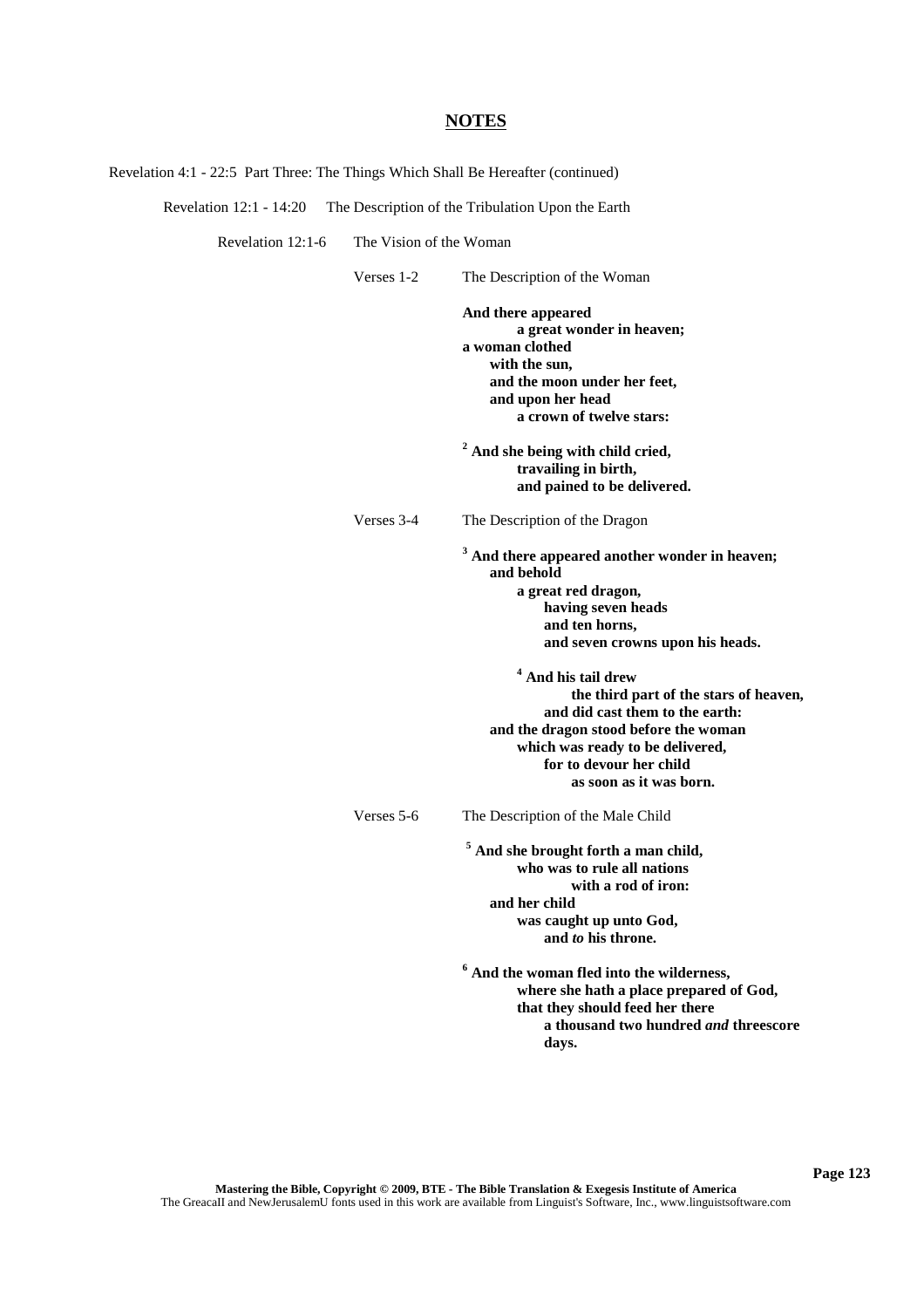Revelation 4:1 - 22:5 Part Three: The Things Which Shall Be Hereafter (continued)

Revelation 12:1 - 14:20 The Description of the Tribulation Upon the Earth

Revelation 12:1-6 The Vision of the Woman

Verses 1-2 The Description of the Woman

**And there appeared a great wonder in heaven; a woman clothed with the sun, and the moon under her feet, and upon her head a crown of twelve stars:**

**<sup>2</sup> And she being with child cried, travailing in birth, and pained to be delivered.**

Verses 3-4 The Description of the Dragon

**<sup>3</sup> And there appeared another wonder in heaven; and behold a great red dragon, having seven heads and ten horns, and seven crowns upon his heads.**

**<sup>4</sup> And his tail drew the third part of the stars of heaven, and did cast them to the earth: and the dragon stood before the woman which was ready to be delivered, for to devour her child as soon as it was born.**

Verses 5-6 The Description of the Male Child

**<sup>5</sup> And she brought forth a man child, who was to rule all nations with a rod of iron: and her child was caught up unto God, and** *to* **his throne.**

**<sup>6</sup> And the woman fled into the wilderness, where she hath a place prepared of God, that they should feed her there a thousand two hundred** *and* **threescore days.**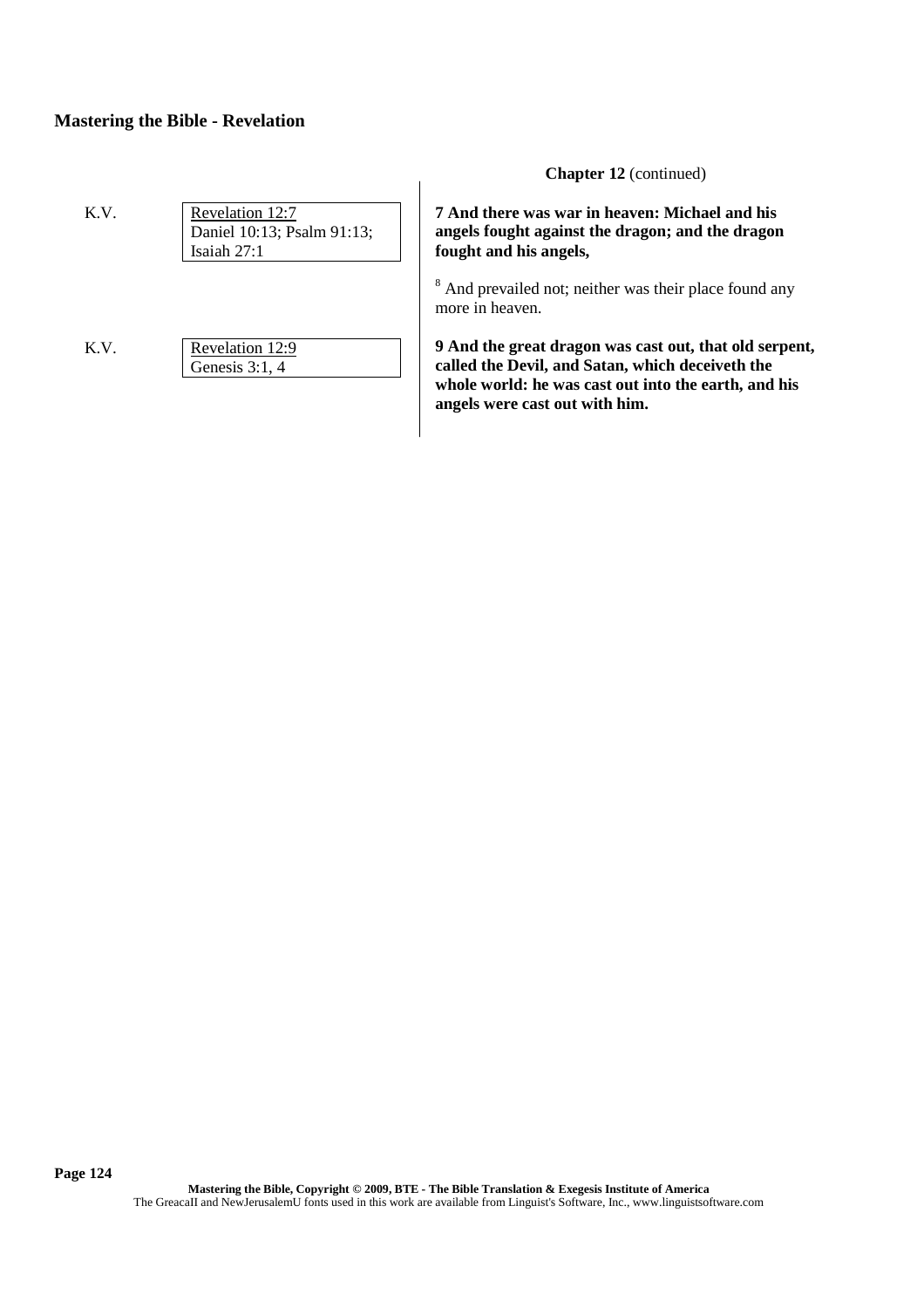| K.V. | Revelation 12:7            |
|------|----------------------------|
|      | Daniel 10:13; Psalm 91:13; |
|      | Isaiah $27:1$              |
|      |                            |
|      |                            |

K.V. Revelation 12:9 Genesis 3:1, 4

**Chapter 12** (continued)

**7 And there was war in heaven: Michael and his angels fought against the dragon; and the dragon fought and his angels,**

<sup>8</sup> And prevailed not; neither was their place found any more in heaven.

**9 And the great dragon was cast out, that old serpent, called the Devil, and Satan, which deceiveth the whole world: he was cast out into the earth, and his angels were cast out with him.**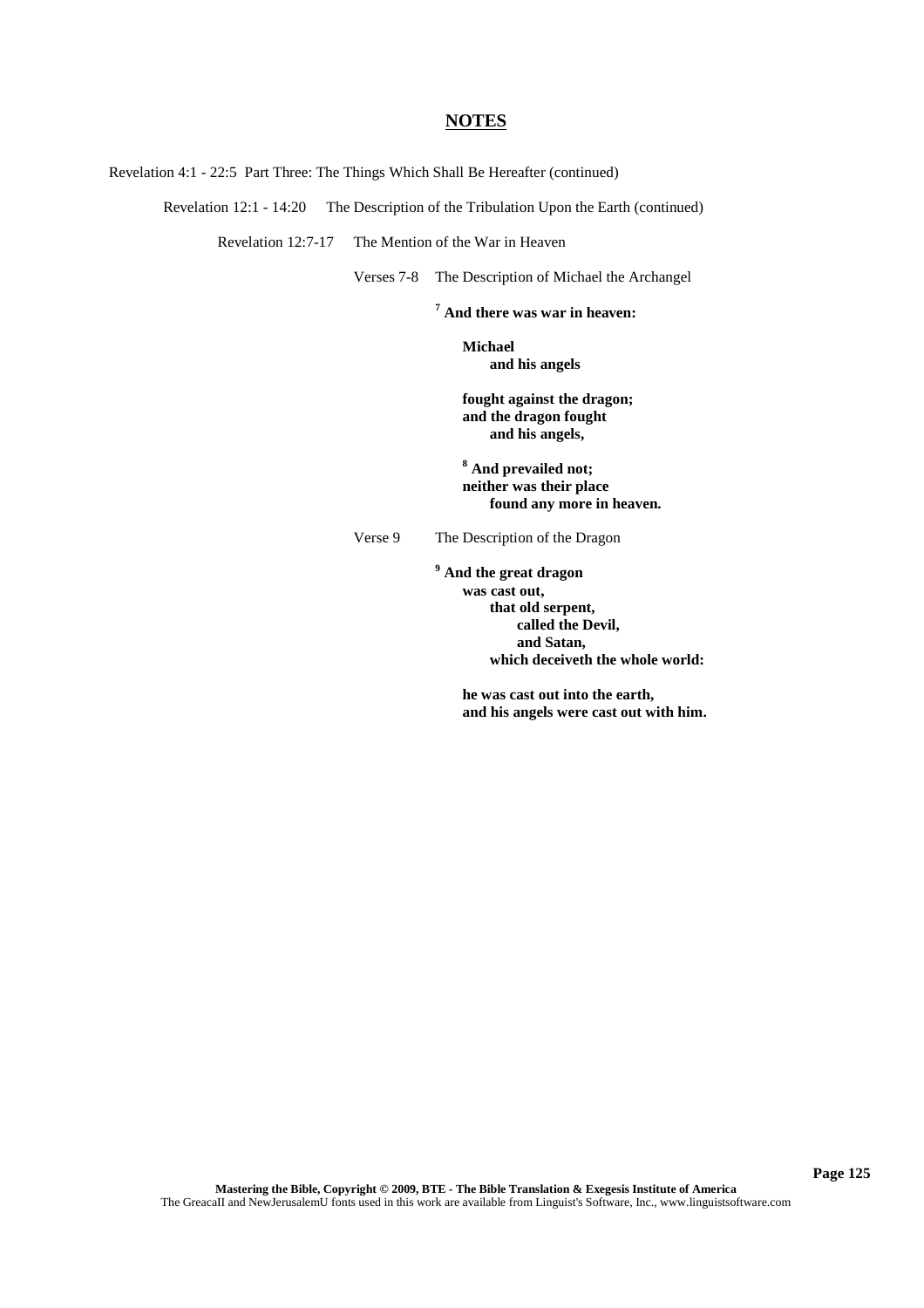Revelation 4:1 - 22:5 Part Three: The Things Which Shall Be Hereafter (continued)

Revelation 12:1 - 14:20 The Description of the Tribulation Upon the Earth (continued)

Revelation 12:7-17 The Mention of the War in Heaven

Verses 7-8 The Description of Michael the Archangel

**<sup>7</sup> And there was war in heaven:**

**Michael and his angels**

**fought against the dragon; and the dragon fought and his angels,**

**<sup>8</sup> And prevailed not; neither was their place found any more in heaven.**

Verse 9 The Description of the Dragon

**<sup>9</sup> And the great dragon was cast out, that old serpent, called the Devil, and Satan, which deceiveth the whole world:**

**he was cast out into the earth, and his angels were cast out with him.**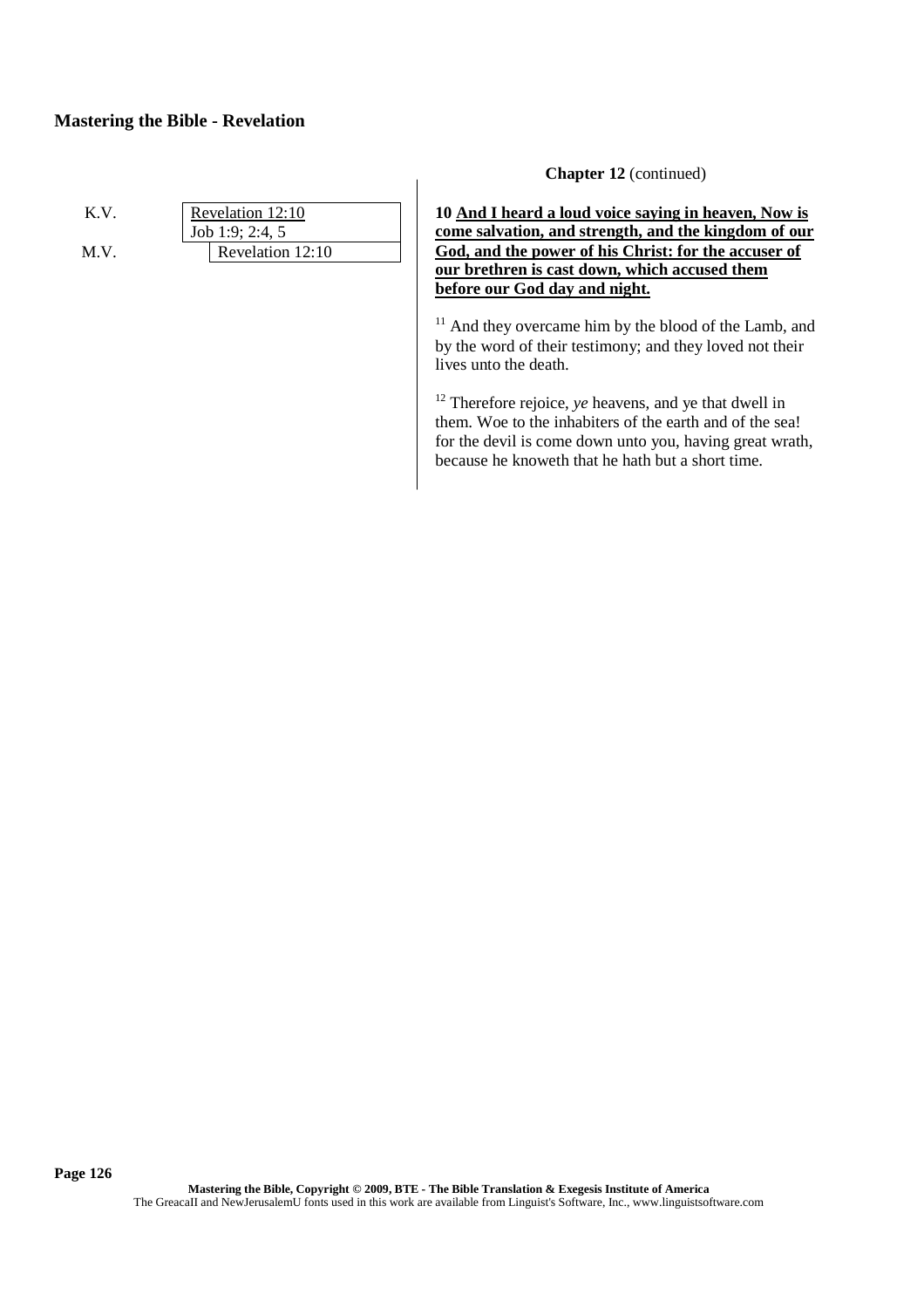| K.V  | Revelation 12:10<br>Job 1:9; 2:4, 5 |  |
|------|-------------------------------------|--|
| M.V. | Revelation 12:10                    |  |

**Chapter 12** (continued)

**10 And I heard a loud voice saying in heaven, Now is come salvation, and strength, and the kingdom of our God, and the power of his Christ: for the accuser of our brethren is cast down, which accused them before our God day and night.**

<sup>11</sup> And they overcame him by the blood of the Lamb, and by the word of their testimony; and they loved not their lives unto the death.

<sup>12</sup> Therefore rejoice, *ye* heavens, and ye that dwell in them. Woe to the inhabiters of the earth and of the sea! for the devil is come down unto you, having great wrath, because he knoweth that he hath but a short time.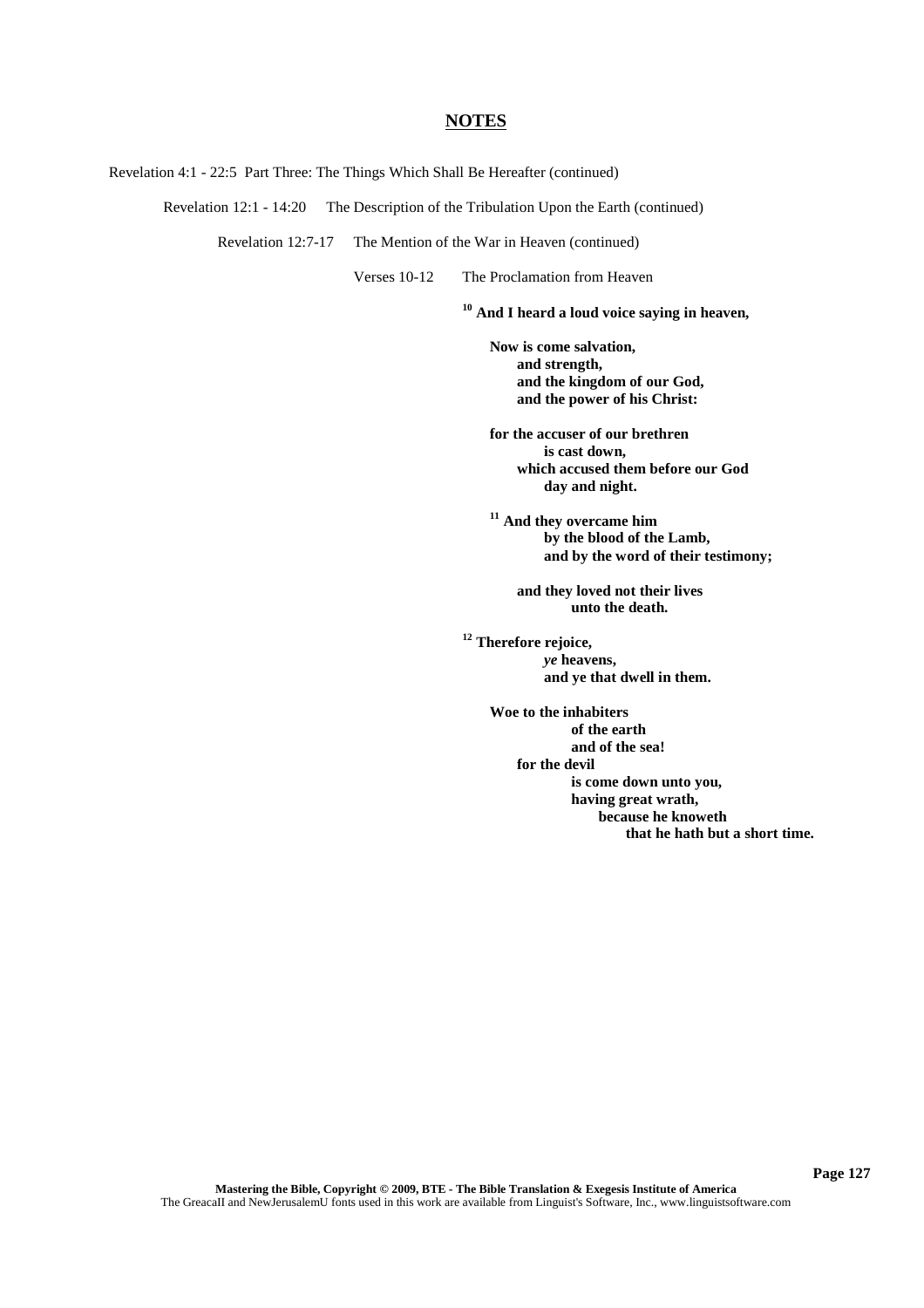Revelation 4:1 - 22:5 Part Three: The Things Which Shall Be Hereafter (continued)

Revelation 12:1 - 14:20 The Description of the Tribulation Upon the Earth (continued)

Revelation 12:7-17 The Mention of the War in Heaven (continued)

Verses 10-12 The Proclamation from Heaven

**<sup>10</sup> And I heard a loud voice saying in heaven,**

**Now is come salvation, and strength, and the kingdom of our God, and the power of his Christ:**

**for the accuser of our brethren is cast down, which accused them before our God day and night.**

**<sup>11</sup> And they overcame him by the blood of the Lamb, and by the word of their testimony;**

**and they loved not their lives unto the death.**

**<sup>12</sup> Therefore rejoice,** *ye* **heavens, and ye that dwell in them.**

> **Woe to the inhabiters of the earth and of the sea! for the devil is come down unto you, having great wrath, because he knoweth that he hath but a short time.**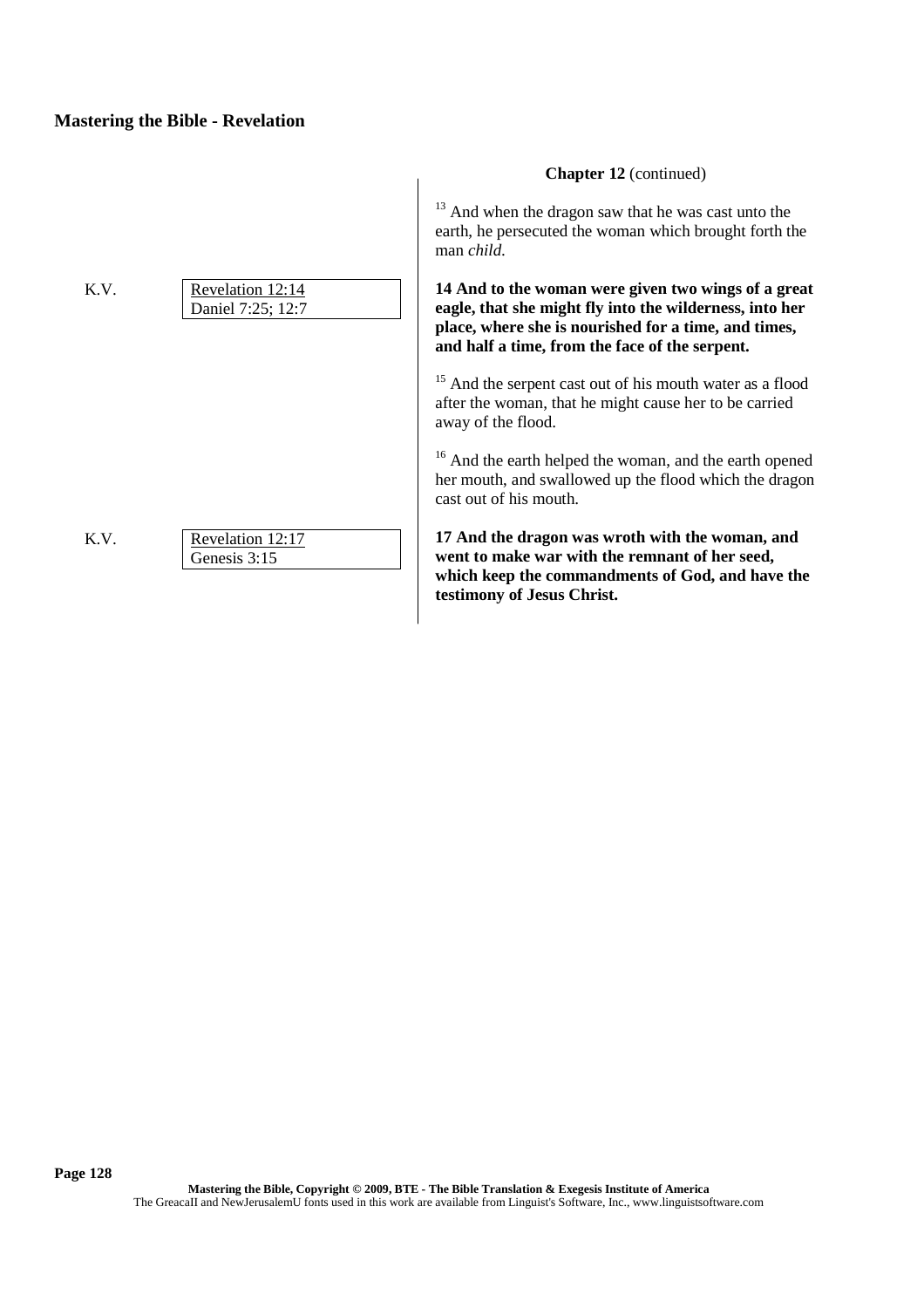K.V. Revelation 12:17

K.V. Revelation 12:14 Daniel 7:25; 12:7

Genesis 3:15

**Chapter 12** (continued)

<sup>13</sup> And when the dragon saw that he was cast unto the earth, he persecuted the woman which brought forth the man *child*.

**14 And to the woman were given two wings of a great eagle, that she might fly into the wilderness, into her place, where she is nourished for a time, and times, and half a time, from the face of the serpent.**

<sup>15</sup> And the serpent cast out of his mouth water as a flood after the woman, that he might cause her to be carried away of the flood.

<sup>16</sup> And the earth helped the woman, and the earth opened her mouth, and swallowed up the flood which the dragon cast out of his mouth.

**17 And the dragon was wroth with the woman, and went to make war with the remnant of her seed, which keep the commandments of God, and have the testimony of Jesus Christ.**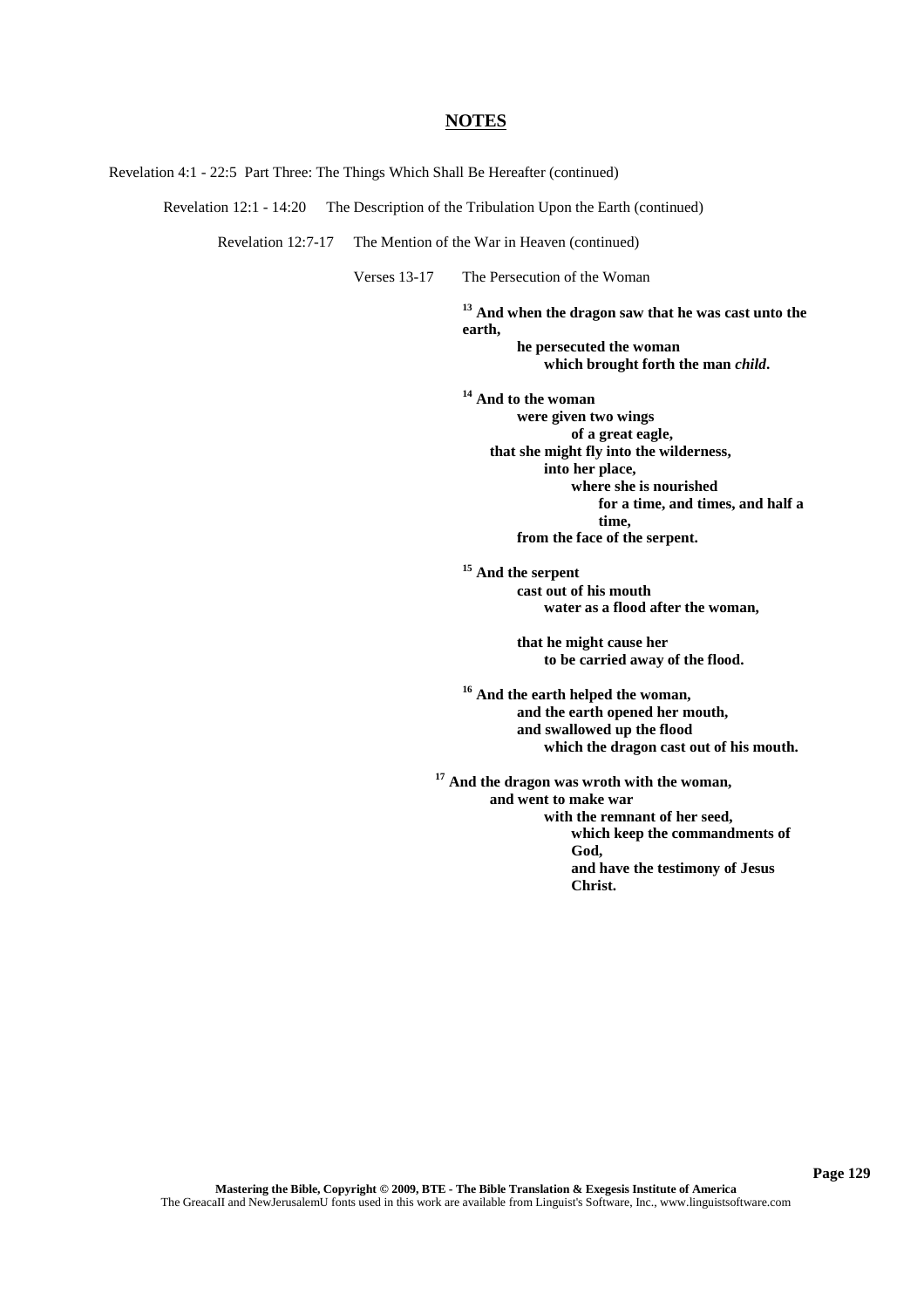Revelation 4:1 - 22:5 Part Three: The Things Which Shall Be Hereafter (continued)

Revelation 12:1 - 14:20 The Description of the Tribulation Upon the Earth (continued)

Revelation 12:7-17 The Mention of the War in Heaven (continued)

Verses 13-17 The Persecution of the Woman

**<sup>13</sup> And when the dragon saw that he was cast unto the earth, he persecuted the woman**

**which brought forth the man** *child***.**

**<sup>14</sup> And to the woman were given two wings of a great eagle, that she might fly into the wilderness, into her place, where she is nourished for a time, and times, and half a time, from the face of the serpent.**

**<sup>15</sup> And the serpent cast out of his mouth water as a flood after the woman,**

> **that he might cause her to be carried away of the flood.**

**<sup>16</sup> And the earth helped the woman, and the earth opened her mouth, and swallowed up the flood which the dragon cast out of his mouth.**

**<sup>17</sup> And the dragon was wroth with the woman, and went to make war with the remnant of her seed, which keep the commandments of God, and have the testimony of Jesus Christ.**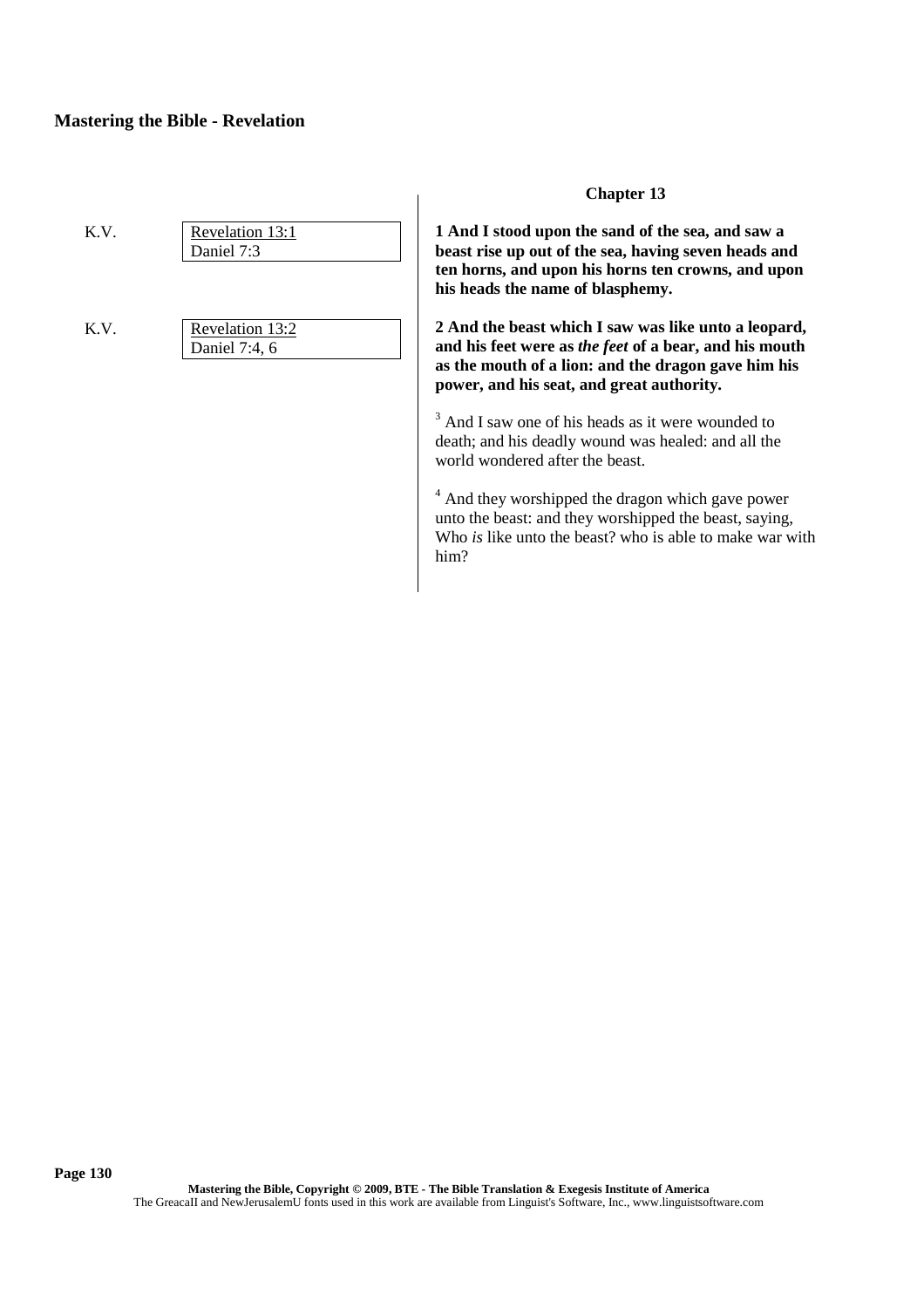K.V. Revelation 13:1 Daniel 7:3

K.V. Revelation 13:2 Daniel 7:4, 6

### **Chapter 13**

**1 And I stood upon the sand of the sea, and saw a beast rise up out of the sea, having seven heads and ten horns, and upon his horns ten crowns, and upon his heads the name of blasphemy.**

**2 And the beast which I saw was like unto a leopard, and his feet were as** *the feet* **of a bear, and his mouth as the mouth of a lion: and the dragon gave him his power, and his seat, and great authority.**

<sup>3</sup> And I saw one of his heads as it were wounded to death; and his deadly wound was healed: and all the world wondered after the beast.

<sup>4</sup> And they worshipped the dragon which gave power unto the beast: and they worshipped the beast, saying, Who *is* like unto the beast? who is able to make war with him?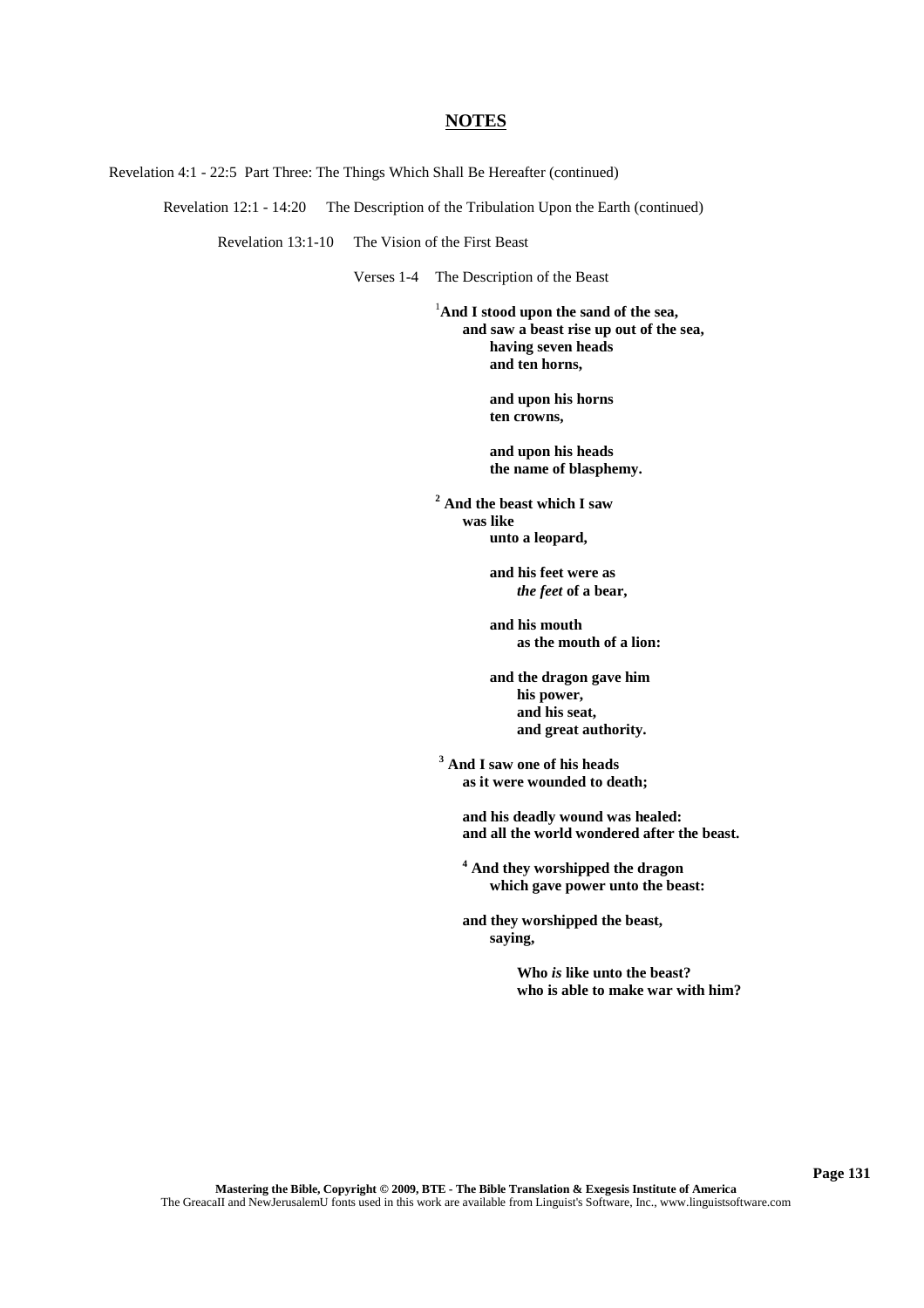Revelation 4:1 - 22:5 Part Three: The Things Which Shall Be Hereafter (continued)

Revelation 12:1 - 14:20 The Description of the Tribulation Upon the Earth (continued)

Revelation 13:1-10 The Vision of the First Beast

Verses 1-4 The Description of the Beast

<sup>1</sup>**And I stood upon the sand of the sea, and saw a beast rise up out of the sea, having seven heads and ten horns,**

> **and upon his horns ten crowns,**

**and upon his heads the name of blasphemy.**

**<sup>2</sup> And the beast which I saw was like unto a leopard,**

> **and his feet were as** *the feet* **of a bear,**

**and his mouth as the mouth of a lion:**

**and the dragon gave him his power, and his seat, and great authority.**

**<sup>3</sup> And I saw one of his heads as it were wounded to death;**

> **and his deadly wound was healed: and all the world wondered after the beast.**

**<sup>4</sup> And they worshipped the dragon which gave power unto the beast:**

**and they worshipped the beast, saying,**

> **Who** *is* **like unto the beast? who is able to make war with him?**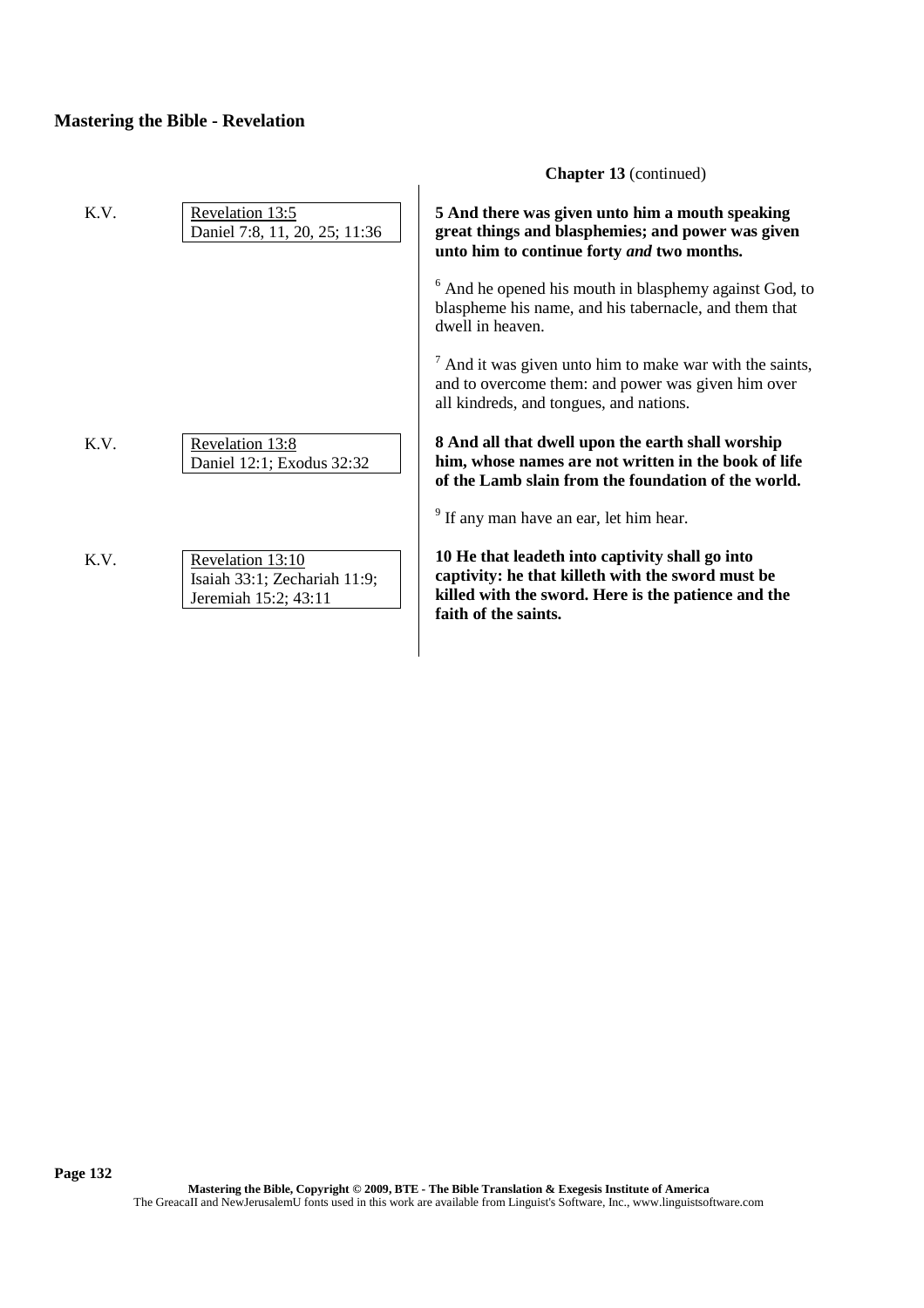|      |                                                                          | <b>Chapter 13</b> (continued)                                                                                                                                                       |  |  |
|------|--------------------------------------------------------------------------|-------------------------------------------------------------------------------------------------------------------------------------------------------------------------------------|--|--|
| K.V. | Revelation 13:5<br>Daniel 7:8, 11, 20, 25; 11:36                         | 5 And there was given unto him a mouth speaking<br>great things and blasphemies; and power was given<br>unto him to continue forty and two months.                                  |  |  |
|      |                                                                          | $6$ And he opened his mouth in blasphemy against God, to<br>blaspheme his name, and his tabernacle, and them that<br>dwell in heaven.                                               |  |  |
|      |                                                                          | And it was given unto him to make war with the saints,<br>and to overcome them: and power was given him over<br>all kindreds, and tongues, and nations.                             |  |  |
| K.V. | Revelation 13:8<br>Daniel 12:1; Exodus 32:32                             | 8 And all that dwell upon the earth shall worship<br>him, whose names are not written in the book of life<br>of the Lamb slain from the foundation of the world.                    |  |  |
|      |                                                                          | <sup>9</sup> If any man have an ear, let him hear.                                                                                                                                  |  |  |
| K.V. | Revelation 13:10<br>Isaiah 33:1; Zechariah 11:9;<br>Jeremiah 15:2; 43:11 | 10 He that leadeth into captivity shall go into<br>captivity: he that killeth with the sword must be<br>killed with the sword. Here is the patience and the<br>faith of the saints. |  |  |
|      |                                                                          |                                                                                                                                                                                     |  |  |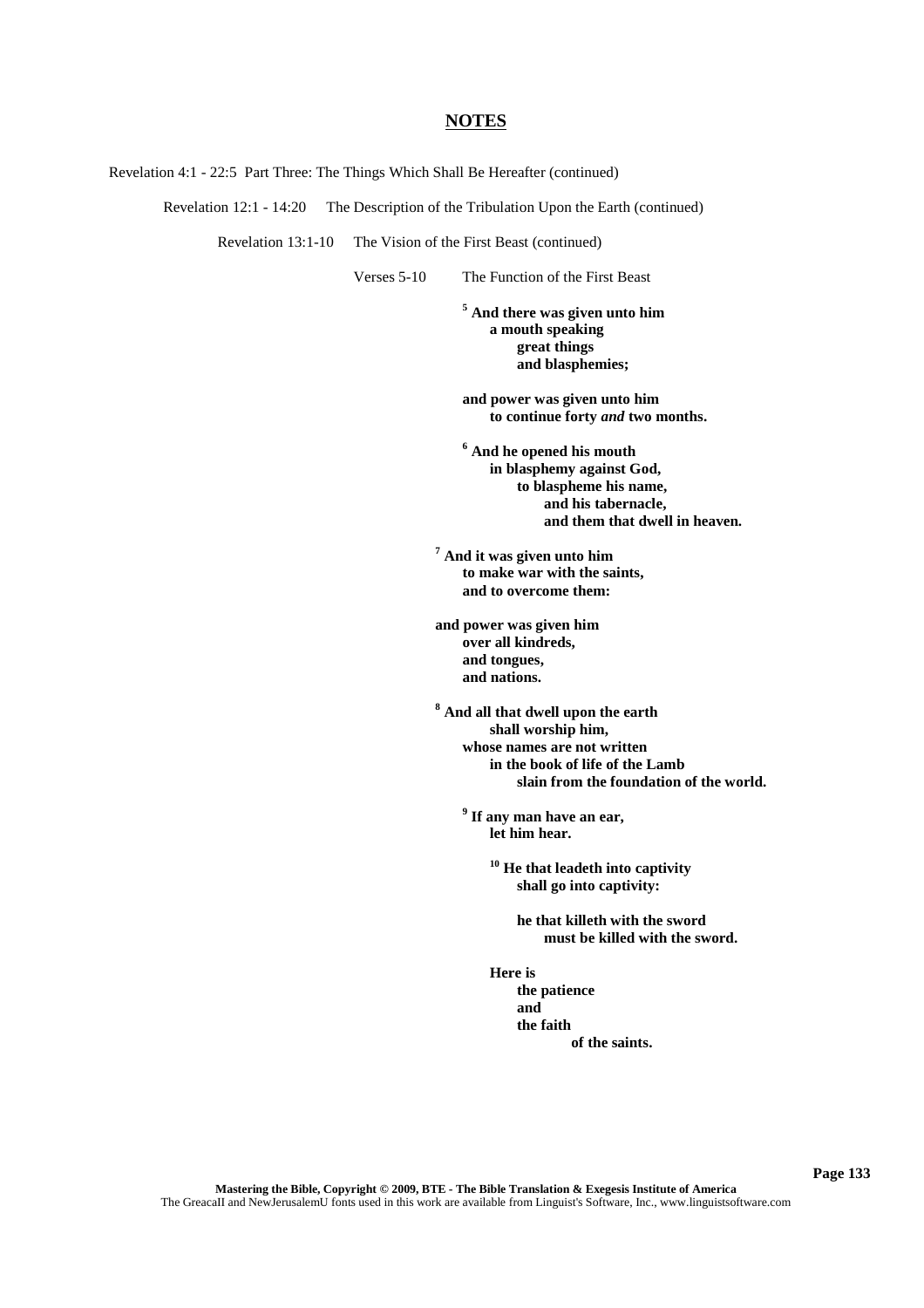Revelation 4:1 - 22:5 Part Three: The Things Which Shall Be Hereafter (continued)

Revelation 12:1 - 14:20 The Description of the Tribulation Upon the Earth (continued)

Revelation 13:1-10 The Vision of the First Beast (continued)

Verses 5-10 The Function of the First Beast

**<sup>5</sup> And there was given unto him a mouth speaking great things and blasphemies;**

**and power was given unto him to continue forty** *and* **two months.**

**<sup>6</sup> And he opened his mouth in blasphemy against God, to blaspheme his name, and his tabernacle, and them that dwell in heaven.**

**<sup>7</sup> And it was given unto him to make war with the saints, and to overcome them:**

**and power was given him over all kindreds, and tongues, and nations.**

**<sup>8</sup> And all that dwell upon the earth shall worship him, whose names are not written in the book of life of the Lamb slain from the foundation of the world.**

**9 If any man have an ear, let him hear.**

> **<sup>10</sup> He that leadeth into captivity shall go into captivity:**

> > **he that killeth with the sword must be killed with the sword.**

**Here is the patience**

**and the faith of the saints.**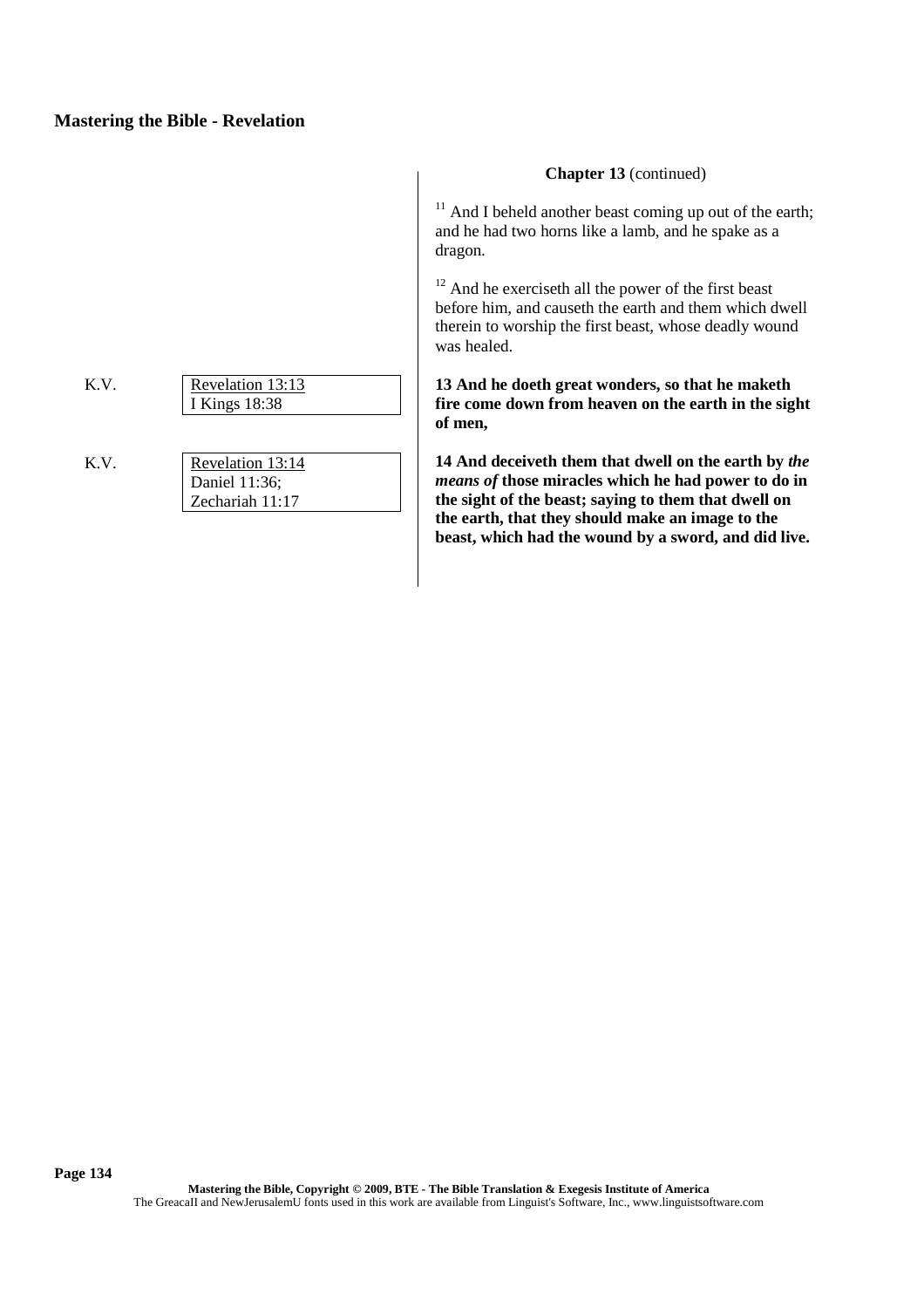| K.V. | Revelation 13:13<br>I Kings 18:38 |  |
|------|-----------------------------------|--|
|      |                                   |  |
| ΚV   | Revelation $13.14$                |  |

K.V. Revelation  $13:14$ Daniel 11:36; Zechariah 11:17

### **Chapter 13** (continued)

<sup>11</sup> And I beheld another beast coming up out of the earth; and he had two horns like a lamb, and he spake as a dragon.

 $12$  And he exerciseth all the power of the first beast before him, and causeth the earth and them which dwell therein to worship the first beast, whose deadly wound was healed.

**13 And he doeth great wonders, so that he maketh fire come down from heaven on the earth in the sight of men,**

**14 And deceiveth them that dwell on the earth by** *the means of* **those miracles which he had power to do in the sight of the beast; saying to them that dwell on the earth, that they should make an image to the beast, which had the wound by a sword, and did live.**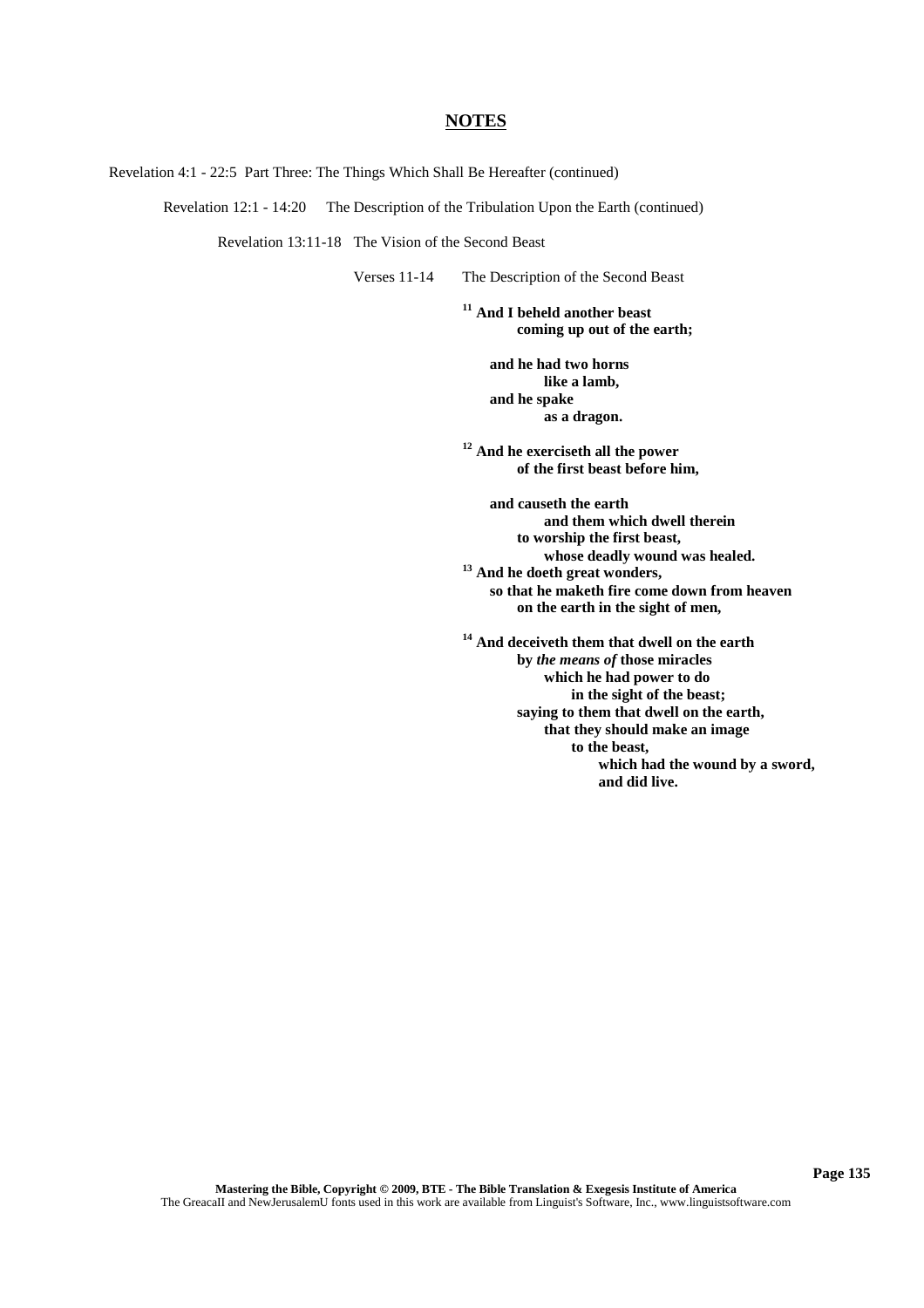Revelation 4:1 - 22:5 Part Three: The Things Which Shall Be Hereafter (continued)

Revelation 12:1 - 14:20 The Description of the Tribulation Upon the Earth (continued)

Revelation 13:11-18 The Vision of the Second Beast

Verses 11-14 The Description of the Second Beast

**<sup>11</sup> And I beheld another beast coming up out of the earth;**

> **and he had two horns like a lamb, and he spake as a dragon.**

**<sup>12</sup> And he exerciseth all the power of the first beast before him,**

**and causeth the earth and them which dwell therein to worship the first beast, whose deadly wound was healed. <sup>13</sup> And he doeth great wonders, so that he maketh fire come down from heaven on the earth in the sight of men,**

**<sup>14</sup> And deceiveth them that dwell on the earth by** *the means of* **those miracles which he had power to do in the sight of the beast; saying to them that dwell on the earth, that they should make an image to the beast, which had the wound by a sword, and did live.**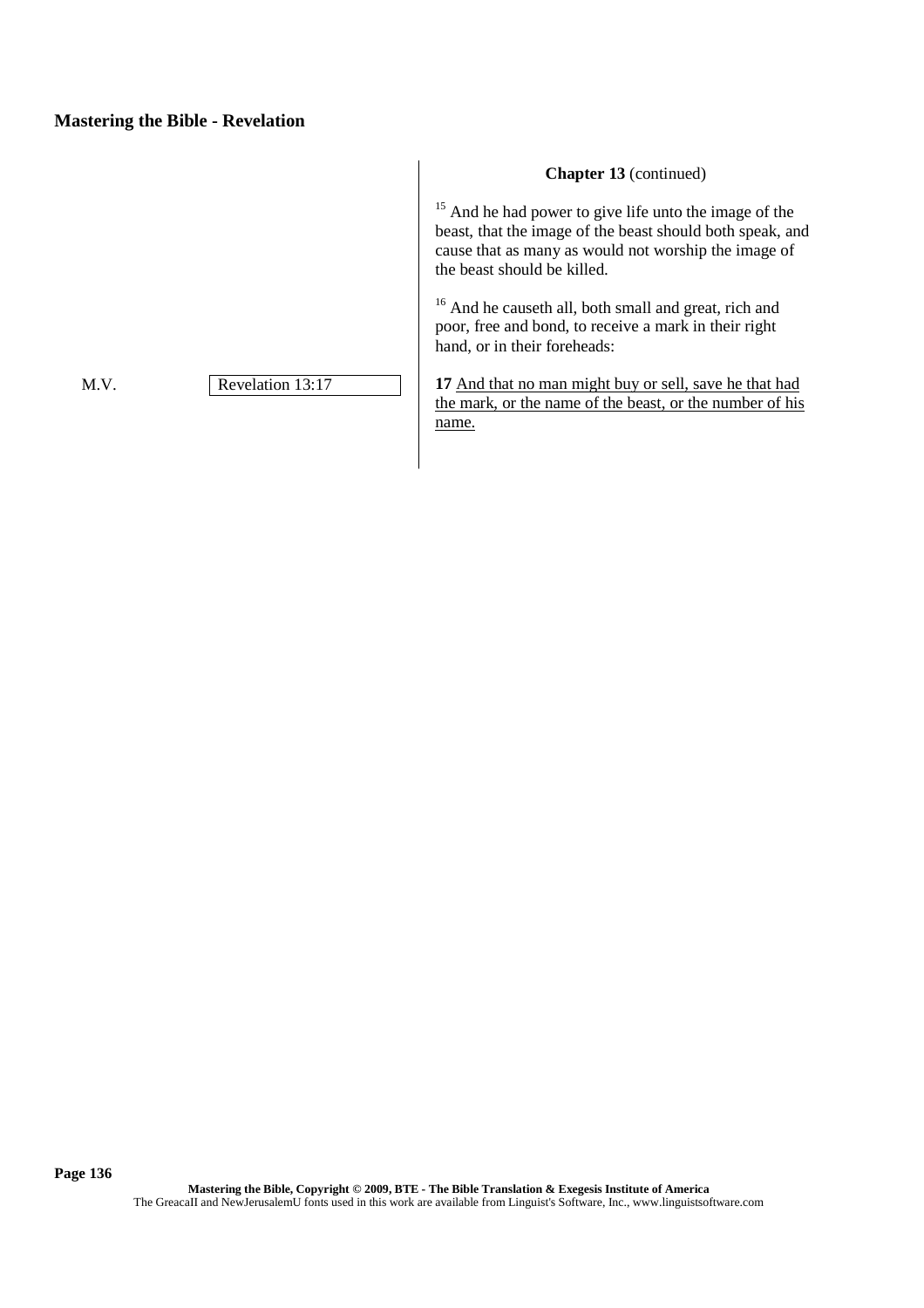M.V. Revelation 13:17

## **Chapter 13** (continued)

<sup>15</sup> And he had power to give life unto the image of the beast, that the image of the beast should both speak, and cause that as many as would not worship the image of the beast should be killed.

<sup>16</sup> And he causeth all, both small and great, rich and poor, free and bond, to receive a mark in their right hand, or in their foreheads:

**17** And that no man might buy or sell, save he that had the mark, or the name of the beast, or the number of his name.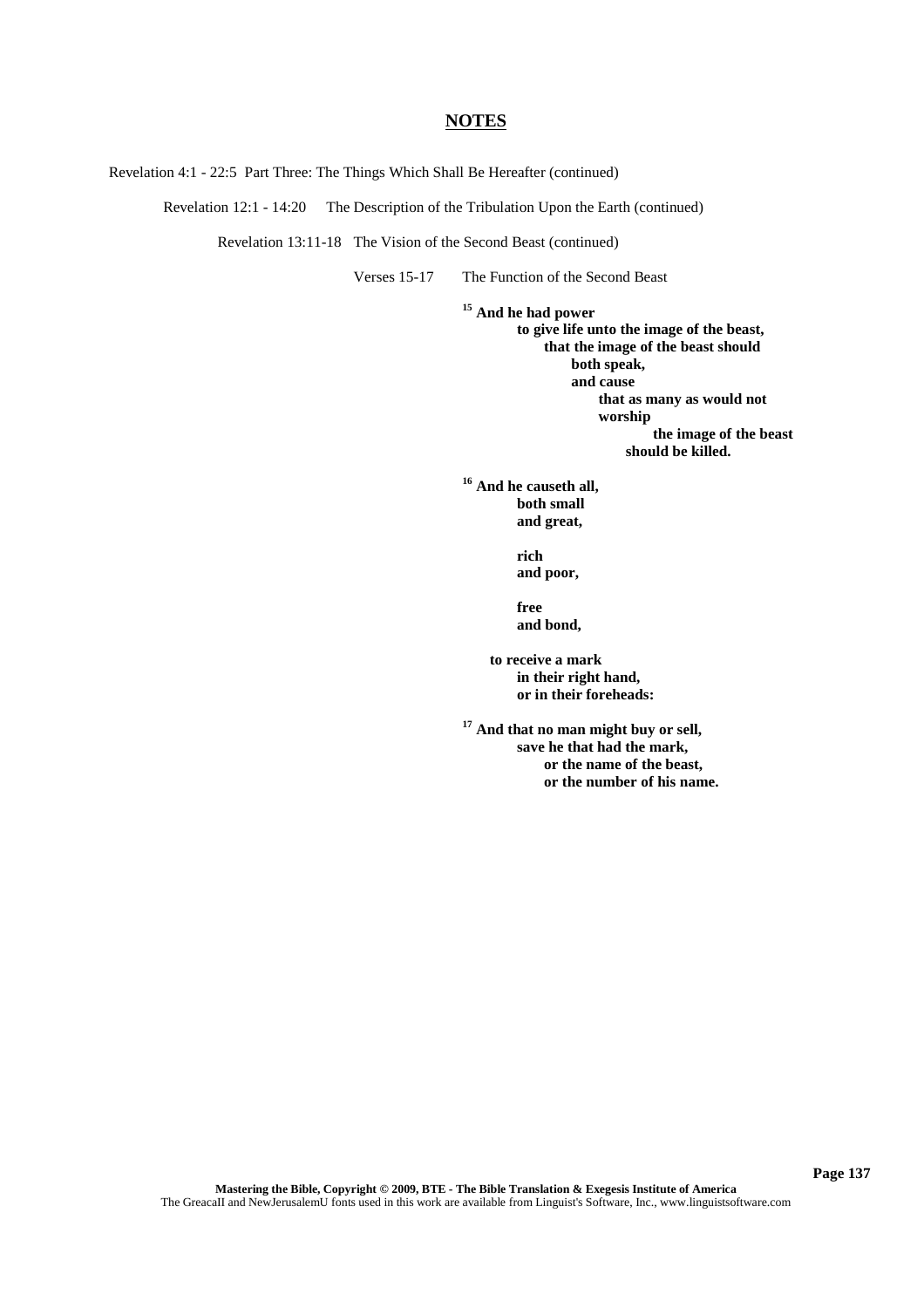Revelation 4:1 - 22:5 Part Three: The Things Which Shall Be Hereafter (continued)

Revelation 12:1 - 14:20 The Description of the Tribulation Upon the Earth (continued)

Revelation 13:11-18 The Vision of the Second Beast (continued)

Verses 15-17 The Function of the Second Beast

**<sup>15</sup> And he had power to give life unto the image of the beast, that the image of the beast should both speak, and cause that as many as would not worship the image of the beast should be killed.**

**<sup>16</sup> And he causeth all, both small and great,**

> **rich and poor,**

**free and bond,**

**to receive a mark in their right hand, or in their foreheads:**

**<sup>17</sup> And that no man might buy or sell, save he that had the mark, or the name of the beast, or the number of his name.**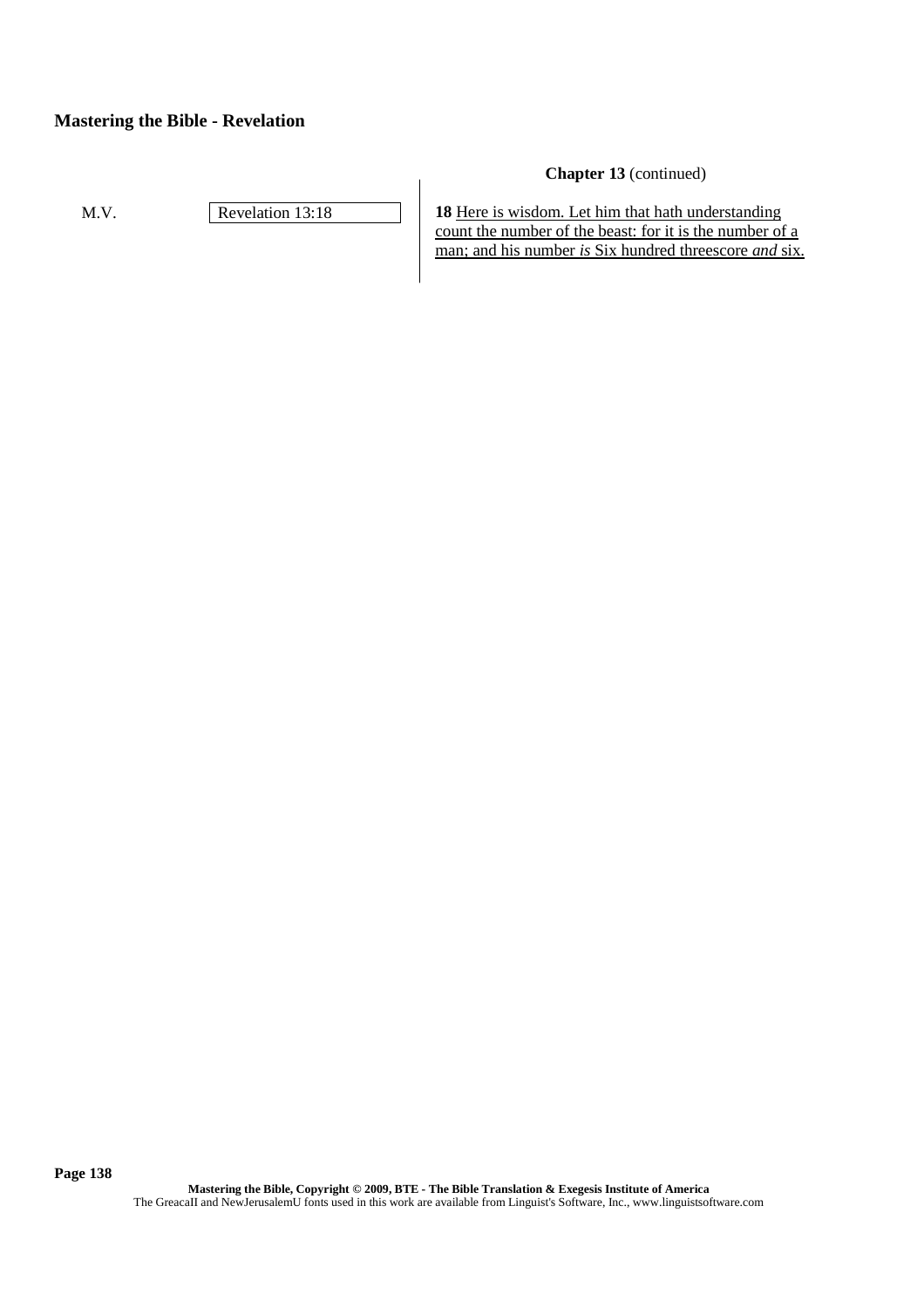M.V. Revelation 13:18

**Chapter 13** (continued)

**18** Here is wisdom. Let him that hath understanding count the number of the beast: for it is the number of a man; and his number *is* Six hundred threescore *and* six.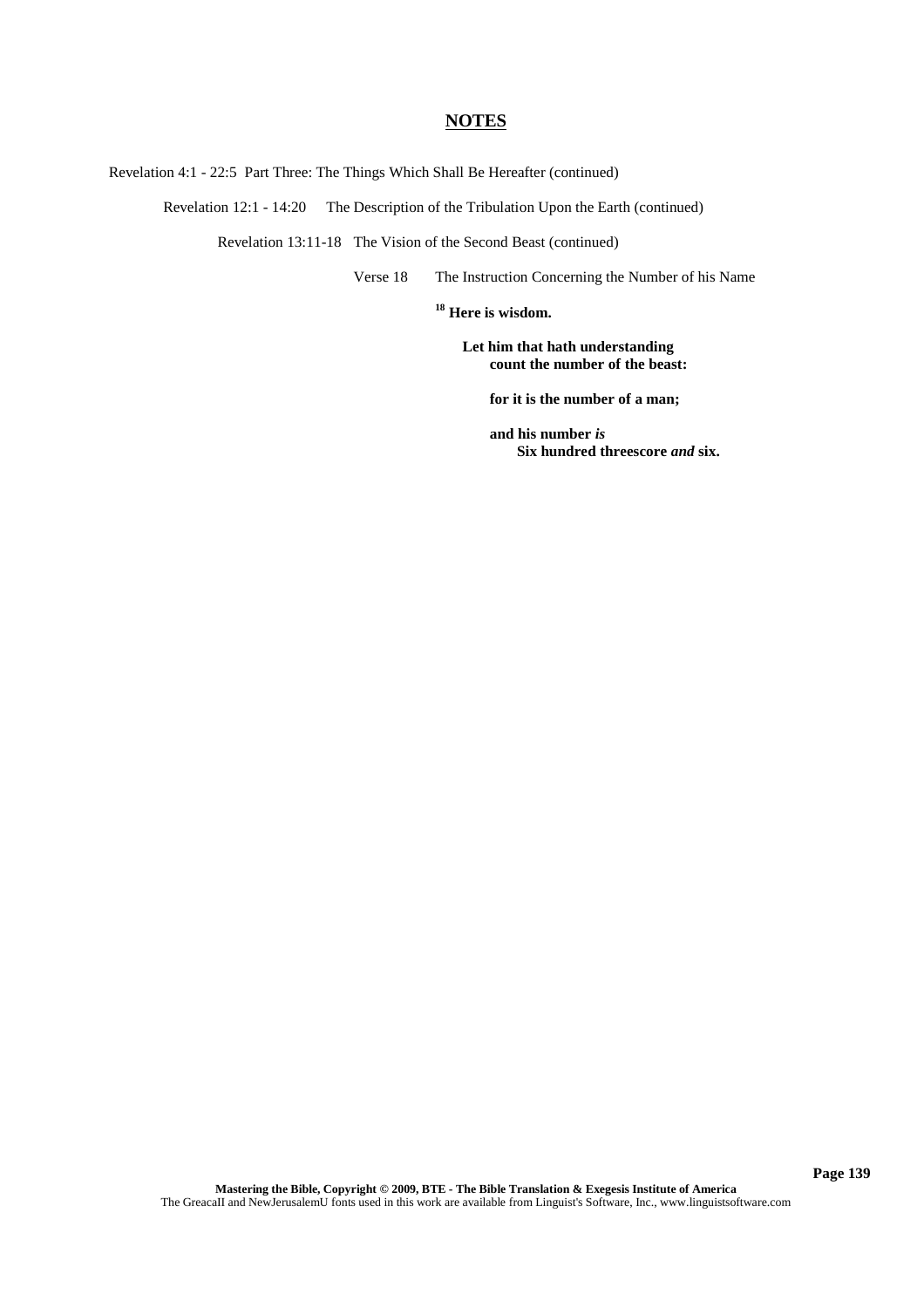Revelation 4:1 - 22:5 Part Three: The Things Which Shall Be Hereafter (continued)

Revelation 12:1 - 14:20 The Description of the Tribulation Upon the Earth (continued)

Revelation 13:11-18 The Vision of the Second Beast (continued)

Verse 18 The Instruction Concerning the Number of his Name

**<sup>18</sup> Here is wisdom.**

**Let him that hath understanding count the number of the beast:**

**for it is the number of a man;**

**and his number** *is* **Six hundred threescore** *and* **six.**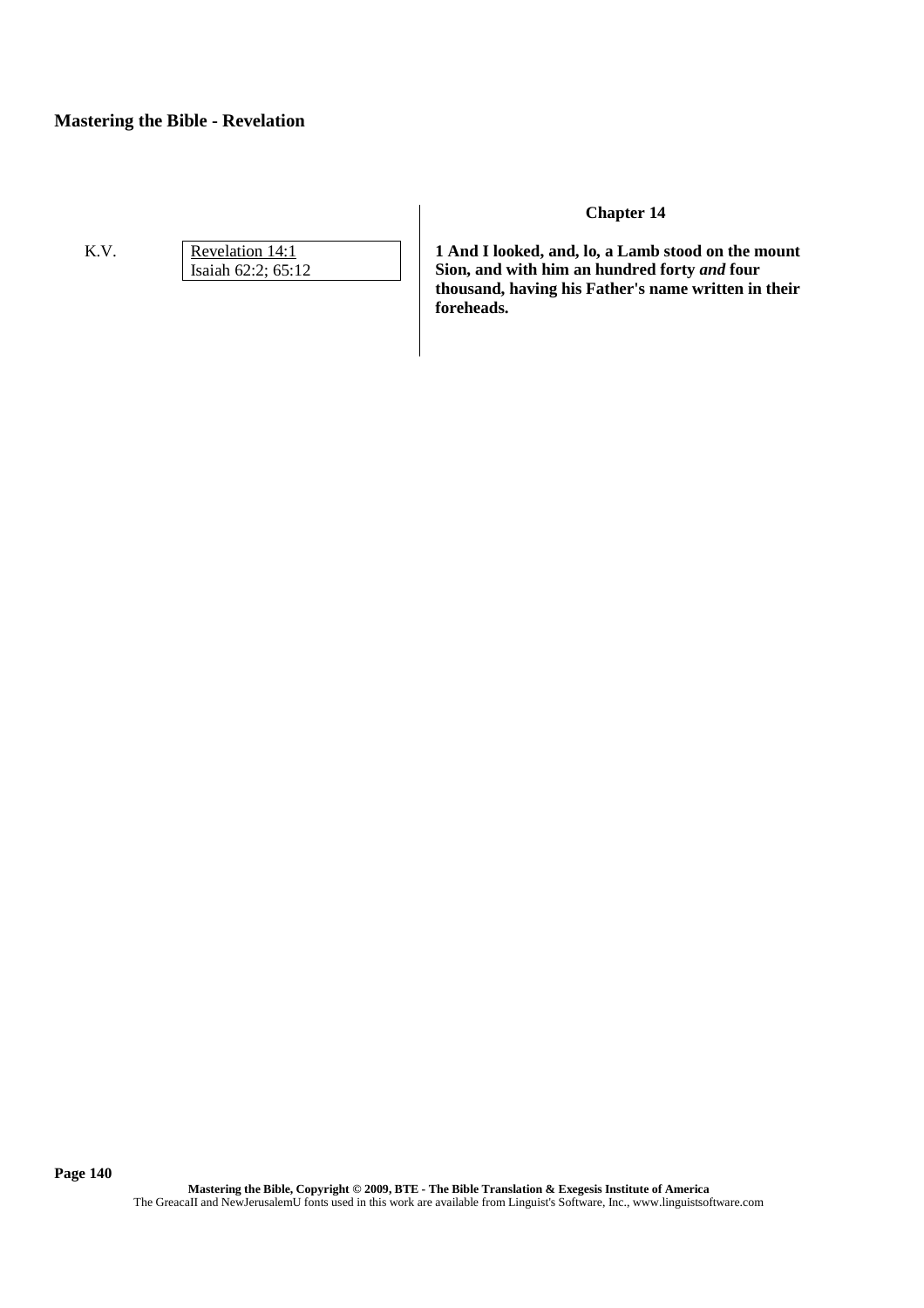K.V. Revelation 14:1 Isaiah 62:2; 65:12

## **Chapter 14**

**1 And I looked, and, lo, a Lamb stood on the mount Sion, and with him an hundred forty** *and* **four thousand, having his Father's name written in their foreheads.**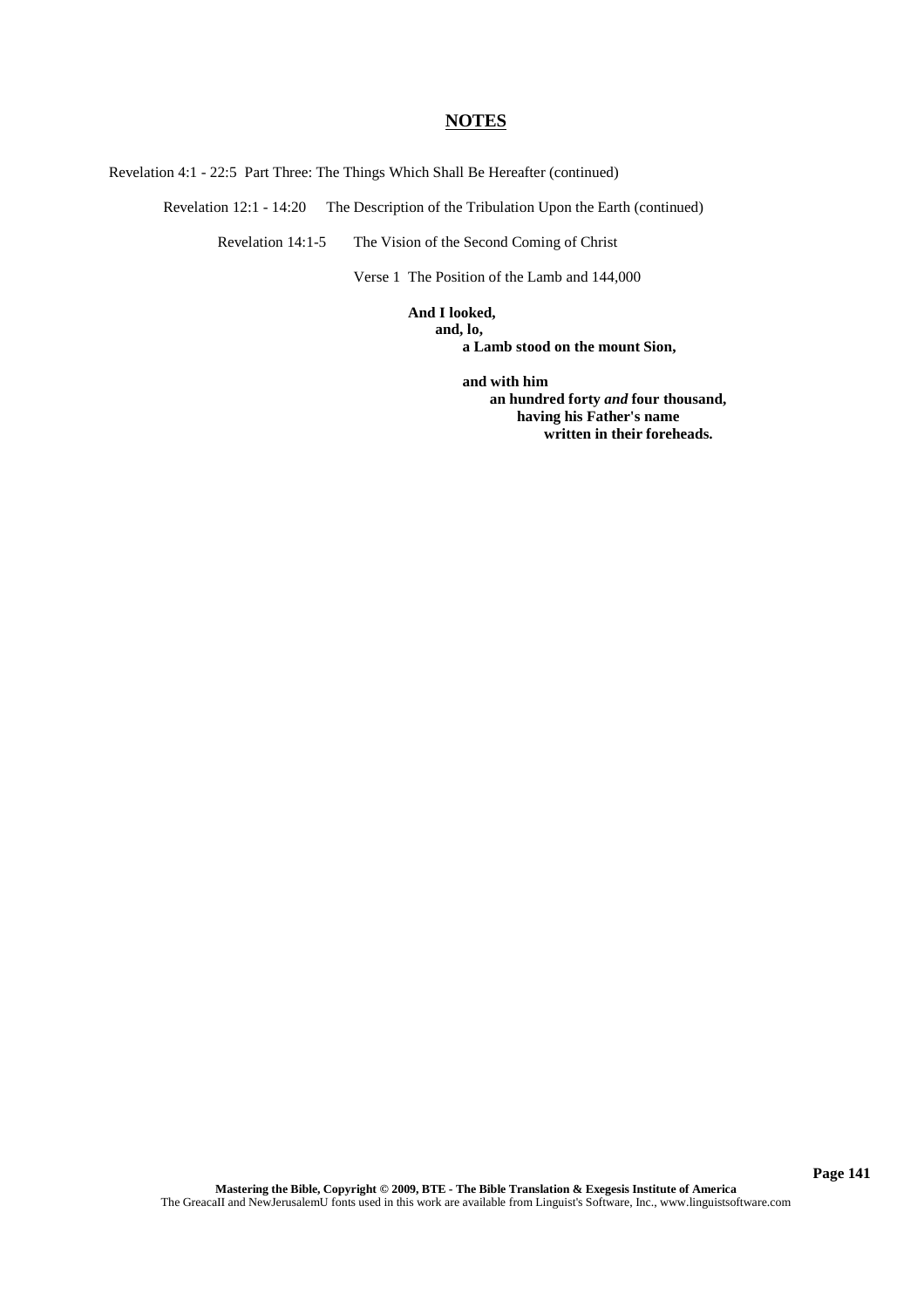Revelation 4:1 - 22:5 Part Three: The Things Which Shall Be Hereafter (continued)

Revelation 12:1 - 14:20 The Description of the Tribulation Upon the Earth (continued)

Revelation 14:1-5 The Vision of the Second Coming of Christ

Verse 1 The Position of the Lamb and 144,000

**And I looked, and, lo, a Lamb stood on the mount Sion,**

> **and with him an hundred forty** *and* **four thousand, having his Father's name written in their foreheads.**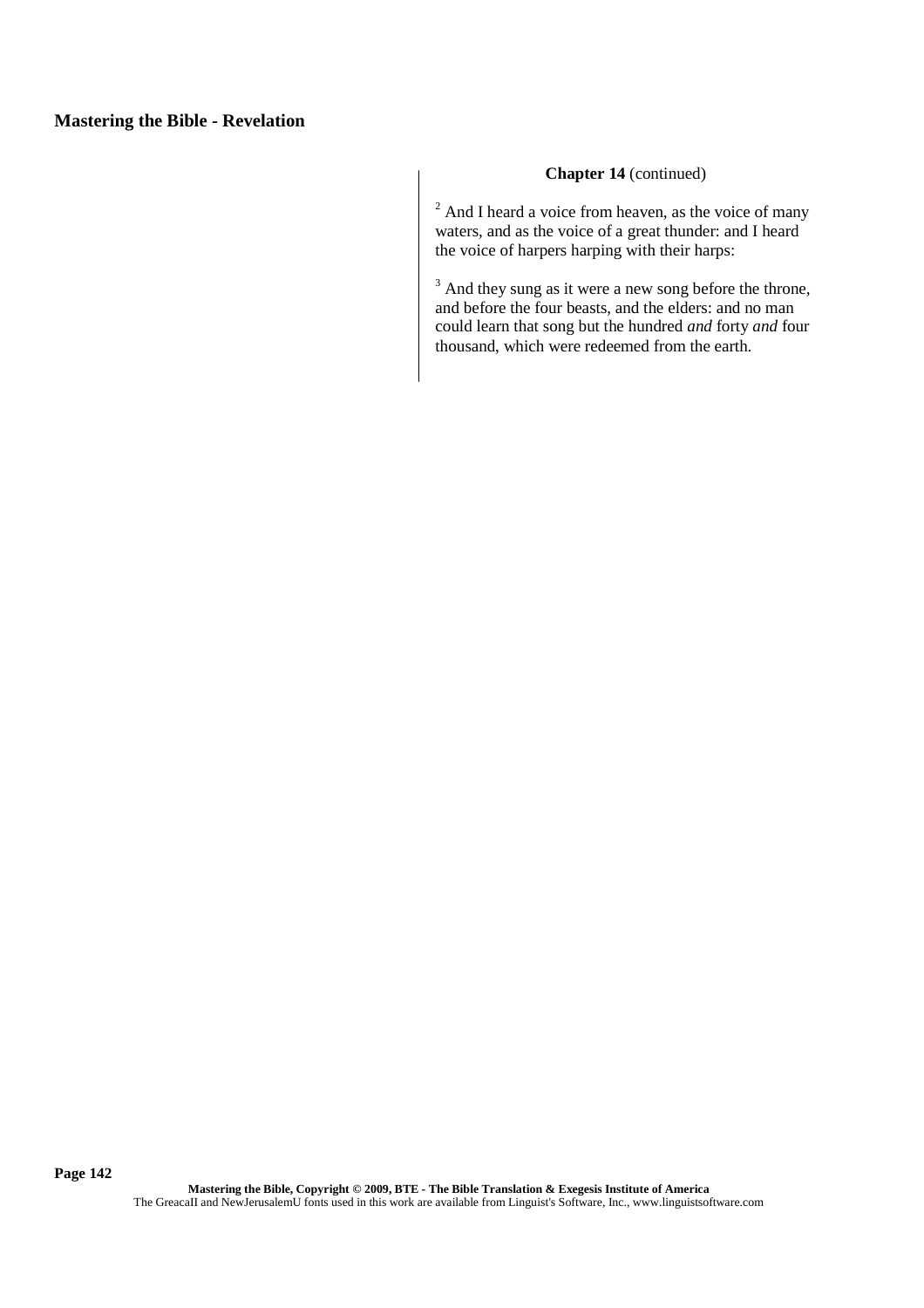## **Chapter 14** (continued)

 $2^{2}$  And I heard a voice from heaven, as the voice of many waters, and as the voice of a great thunder: and I heard the voice of harpers harping with their harps:

<sup>3</sup> And they sung as it were a new song before the throne, and before the four beasts, and the elders: and no man could learn that song but the hundred *and* forty *and* four thousand, which were redeemed from the earth.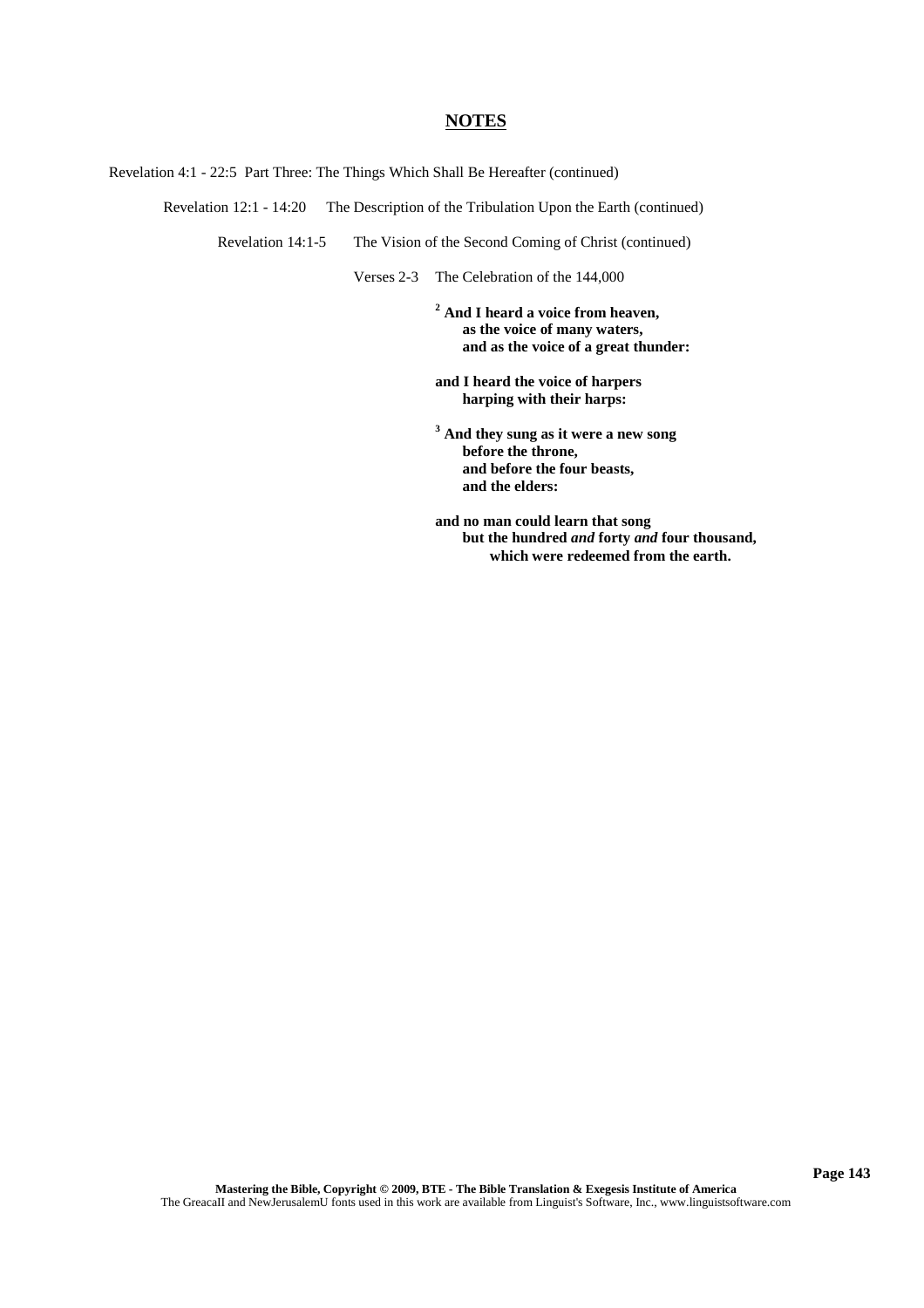Revelation 4:1 - 22:5 Part Three: The Things Which Shall Be Hereafter (continued)

Revelation 12:1 - 14:20 The Description of the Tribulation Upon the Earth (continued)

Revelation 14:1-5 The Vision of the Second Coming of Christ (continued)

Verses 2-3 The Celebration of the 144,000

**<sup>2</sup> And I heard a voice from heaven, as the voice of many waters, and as the voice of a great thunder:**

**and I heard the voice of harpers harping with their harps:**

**<sup>3</sup> And they sung as it were a new song before the throne, and before the four beasts, and the elders:**

**and no man could learn that song but the hundred** *and* **forty** *and* **four thousand, which were redeemed from the earth.**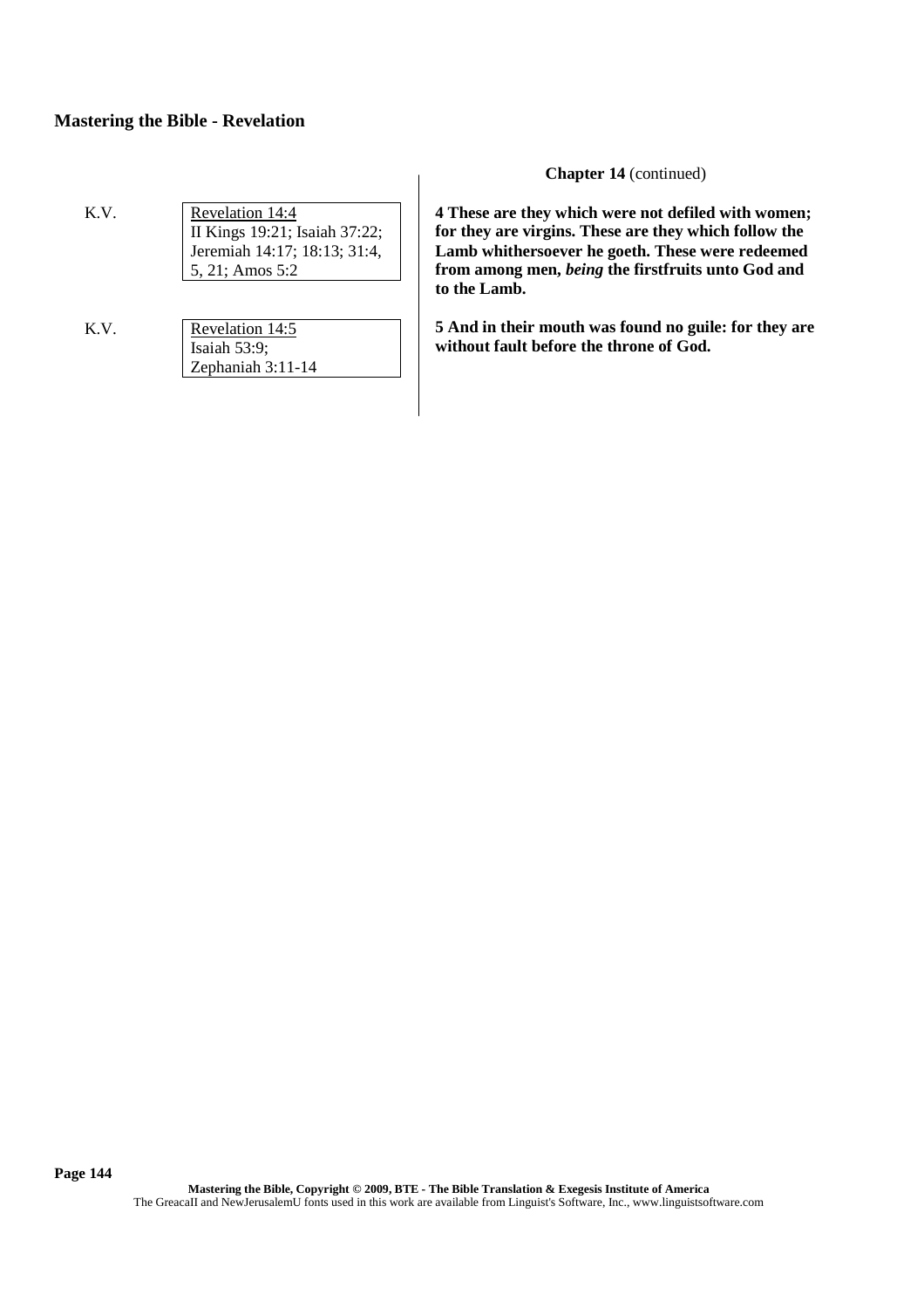- K.V. Revelation 14:4 II Kings 19:21; Isaiah 37:22; Jeremiah 14:17; 18:13; 31:4, 5, 21; Amos 5:2
- K.V. Revelation 14:5 Isaiah 53:9; Zephaniah 3:11-14

**Chapter 14** (continued)

**4 These are they which were not defiled with women; for they are virgins. These are they which follow the Lamb whithersoever he goeth. These were redeemed from among men,** *being* **the firstfruits unto God and to the Lamb.**

**5 And in their mouth was found no guile: for they are without fault before the throne of God.**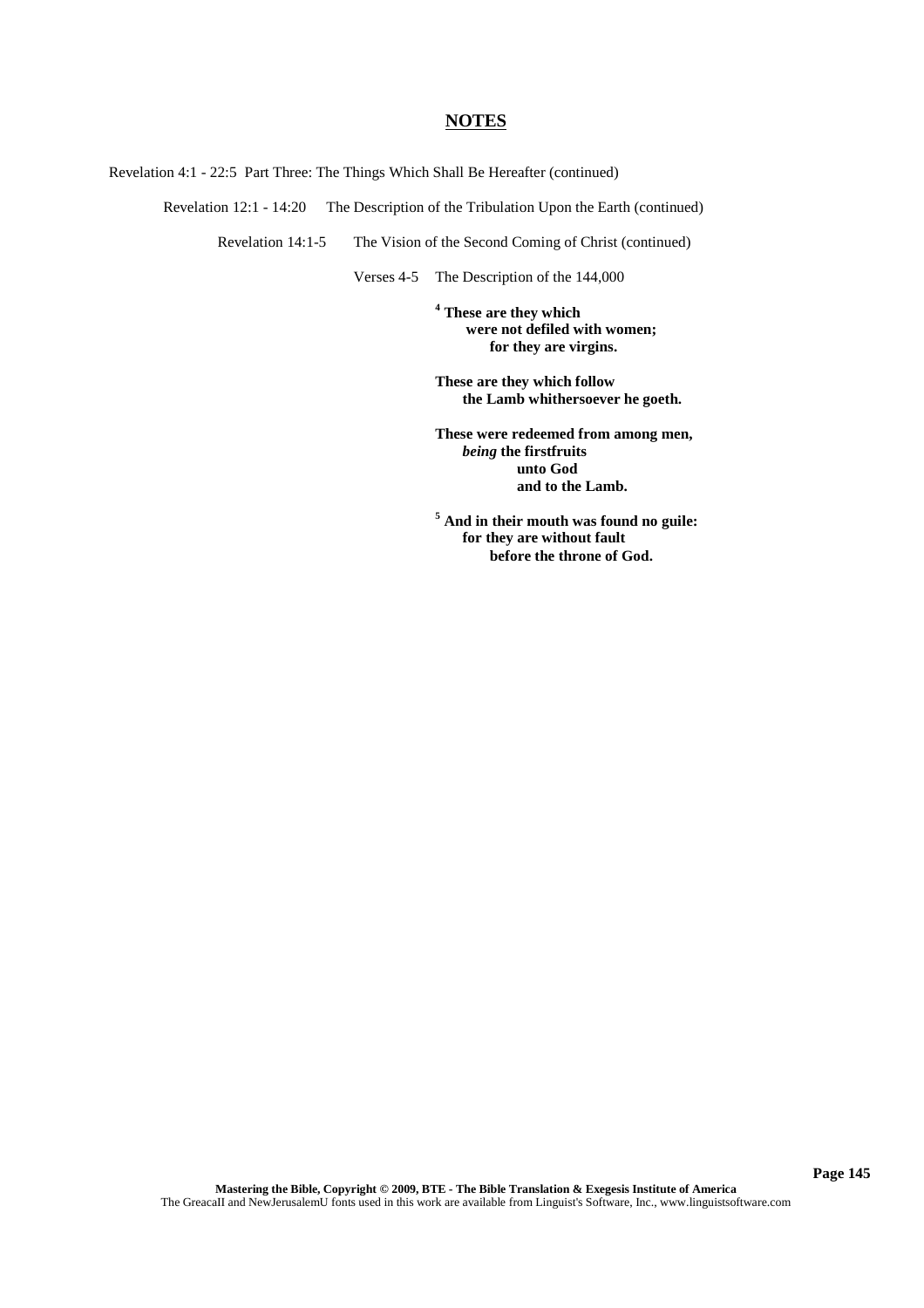Revelation 4:1 - 22:5 Part Three: The Things Which Shall Be Hereafter (continued)

Revelation 12:1 - 14:20 The Description of the Tribulation Upon the Earth (continued)

Revelation 14:1-5 The Vision of the Second Coming of Christ (continued)

Verses 4-5 The Description of the 144,000

**<sup>4</sup> These are they which were not defiled with women; for they are virgins.**

**These are they which follow the Lamb whithersoever he goeth.**

**These were redeemed from among men,** *being* **the firstfruits unto God and to the Lamb.**

**<sup>5</sup> And in their mouth was found no guile: for they are without fault before the throne of God.**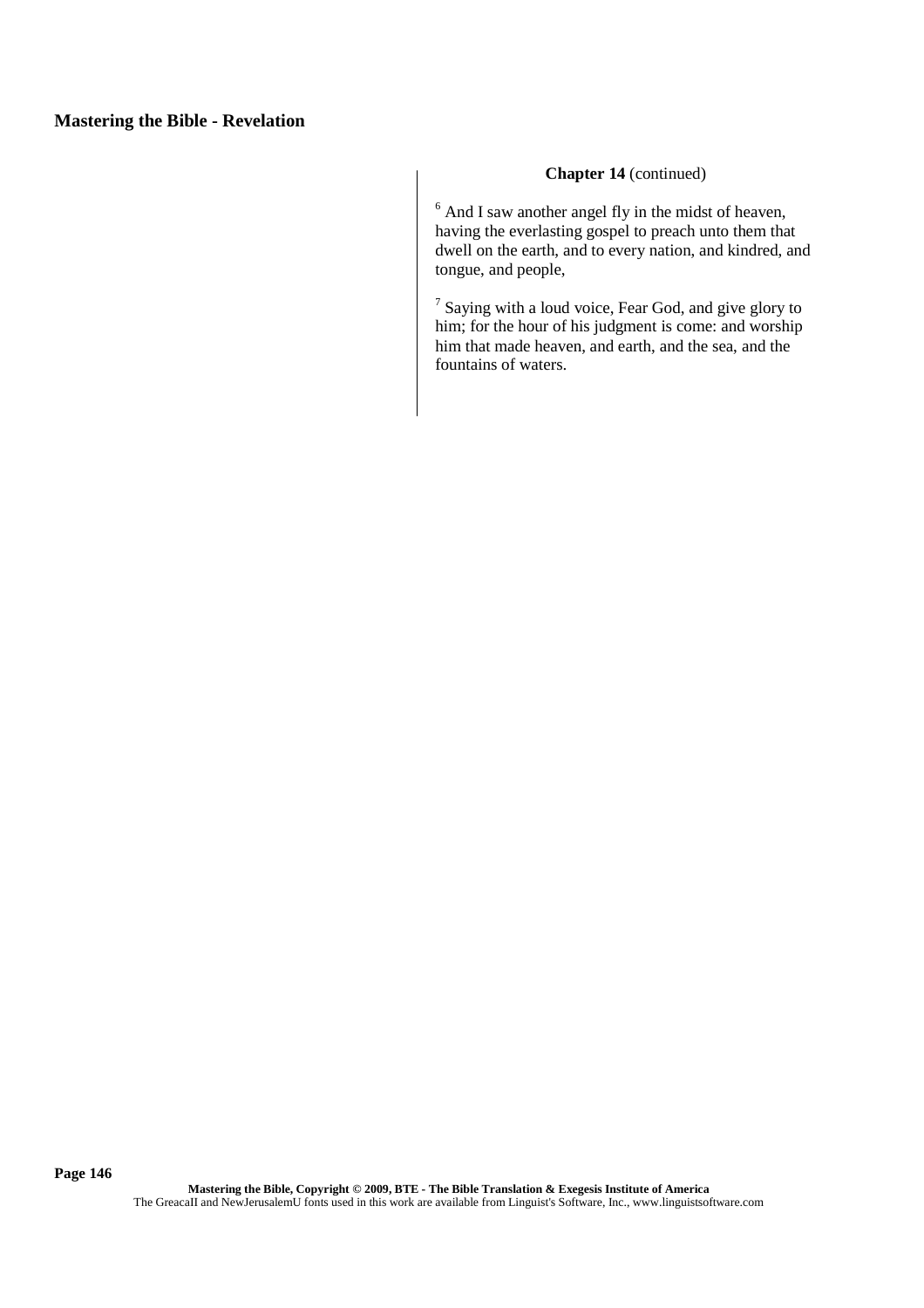### **Chapter 14** (continued)

 $6$  And I saw another angel fly in the midst of heaven, having the everlasting gospel to preach unto them that dwell on the earth, and to every nation, and kindred, and tongue, and people,

 $\frac{7}{7}$  Saying with a loud voice, Fear God, and give glory to him; for the hour of his judgment is come: and worship him that made heaven, and earth, and the sea, and the fountains of waters.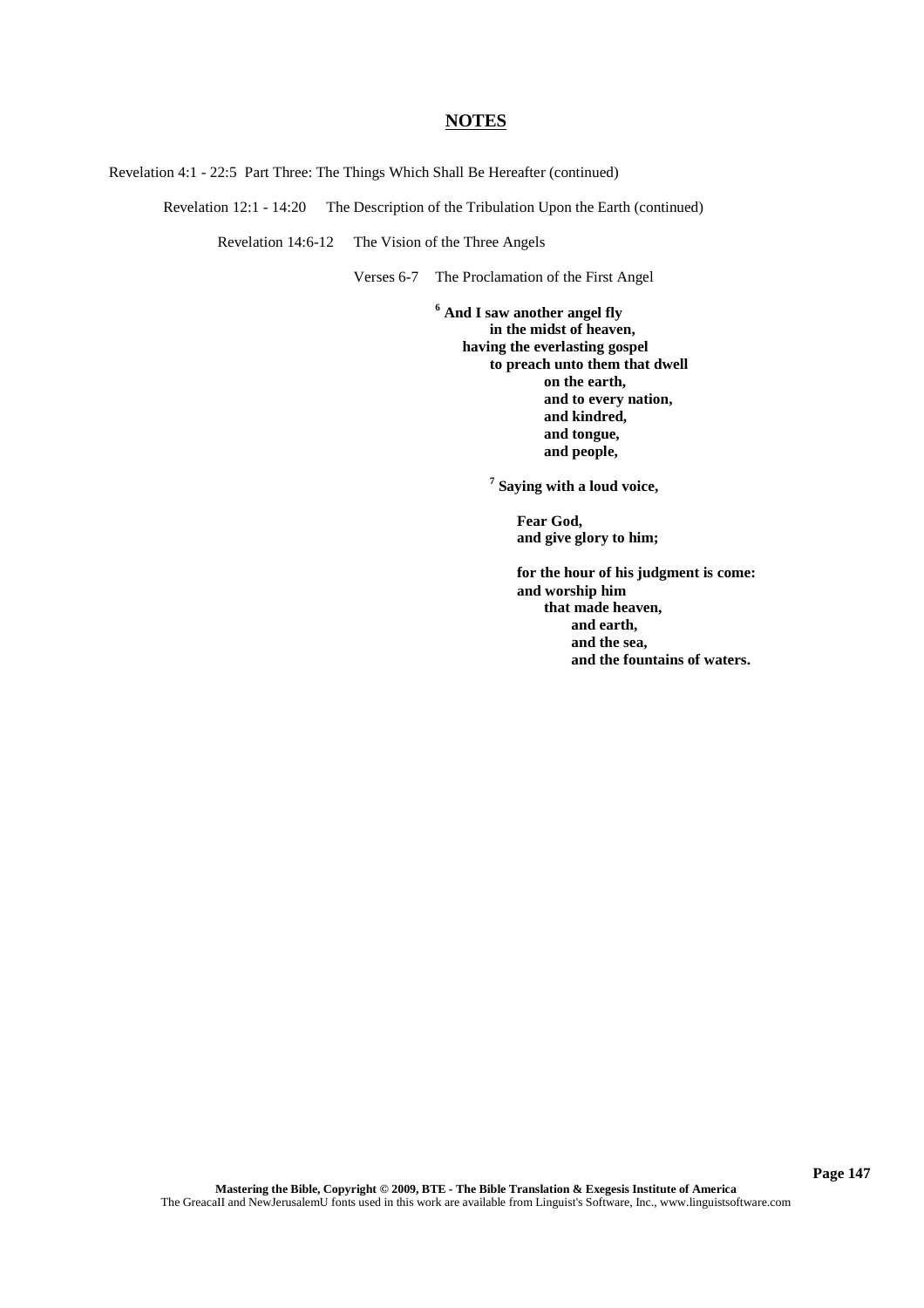Revelation 4:1 - 22:5 Part Three: The Things Which Shall Be Hereafter (continued)

Revelation 12:1 - 14:20 The Description of the Tribulation Upon the Earth (continued)

Revelation 14:6-12 The Vision of the Three Angels

Verses 6-7 The Proclamation of the First Angel

**<sup>6</sup> And I saw another angel fly in the midst of heaven, having the everlasting gospel to preach unto them that dwell on the earth, and to every nation, and kindred, and tongue, and people,**

**7 Saying with a loud voice,**

**Fear God, and give glory to him;**

**for the hour of his judgment is come: and worship him that made heaven, and earth, and the sea, and the fountains of waters.**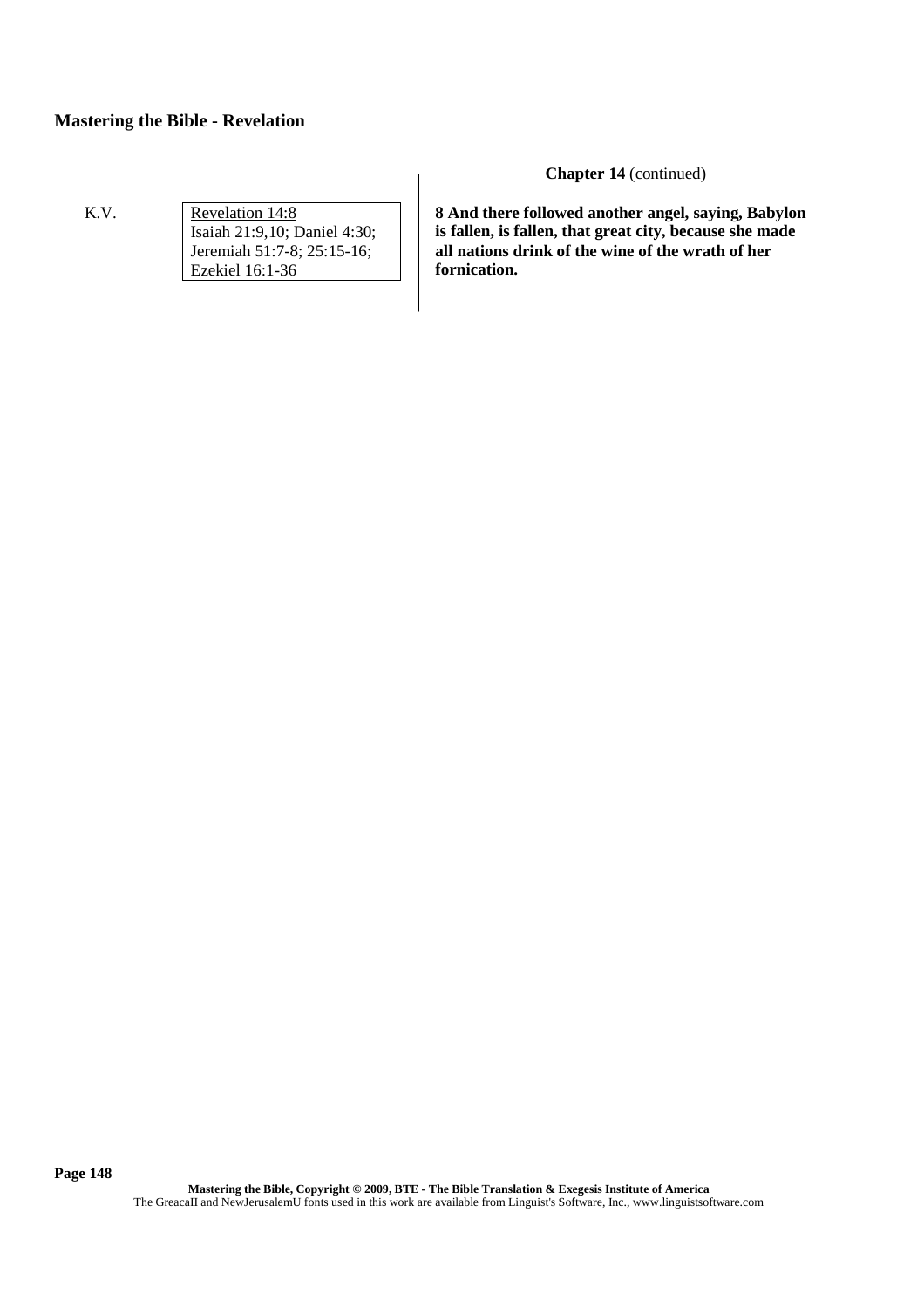K.V. Revelation 14:8 Isaiah 21:9,10; Daniel 4:30; Jeremiah 51:7-8; 25:15-16; Ezekiel 16:1-36

**Chapter 14** (continued)

**8 And there followed another angel, saying, Babylon is fallen, is fallen, that great city, because she made all nations drink of the wine of the wrath of her fornication.**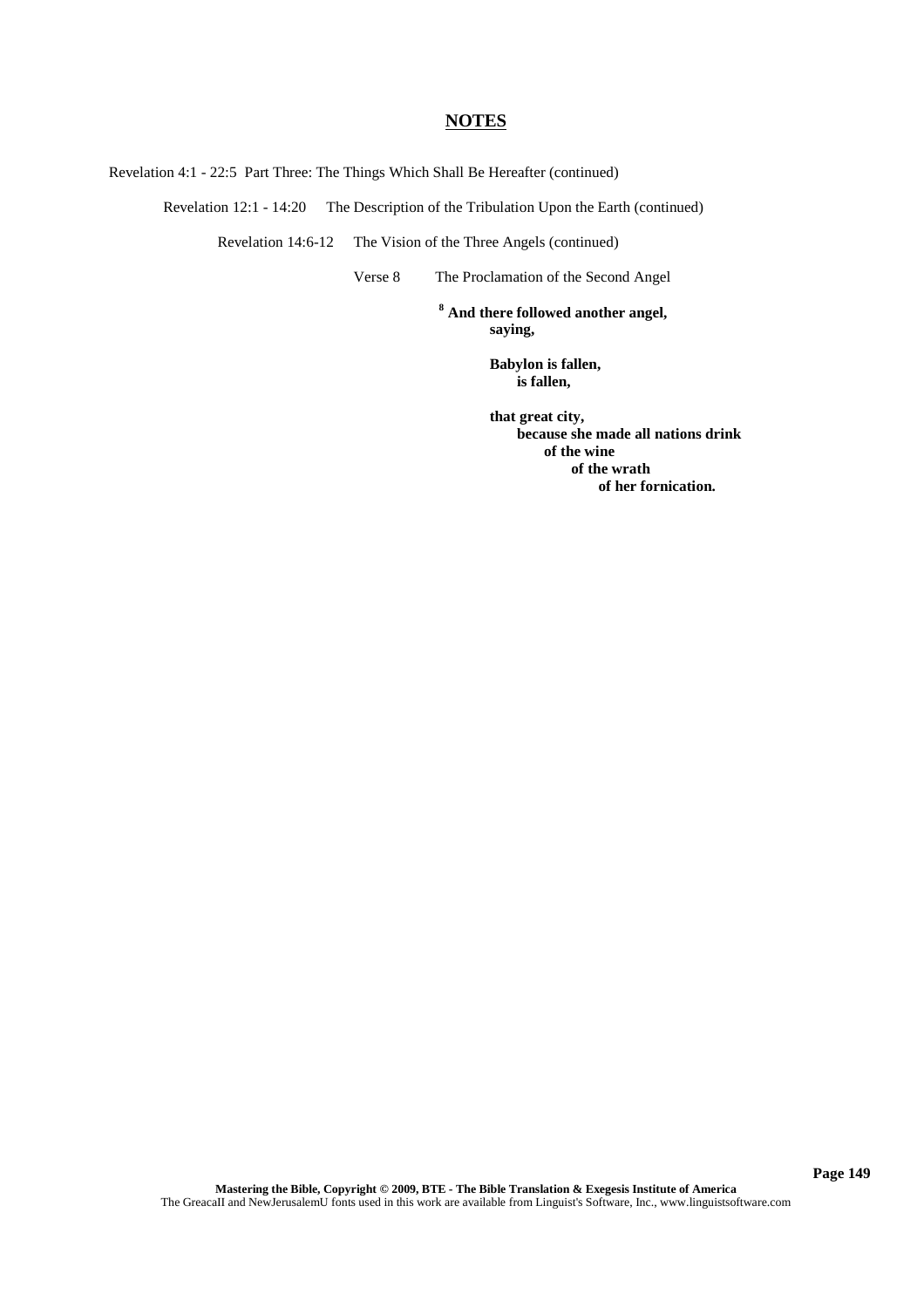Revelation 4:1 - 22:5 Part Three: The Things Which Shall Be Hereafter (continued)

Revelation 12:1 - 14:20 The Description of the Tribulation Upon the Earth (continued)

Revelation 14:6-12 The Vision of the Three Angels (continued)

Verse 8 The Proclamation of the Second Angel

**<sup>8</sup> And there followed another angel, saying,**

> **Babylon is fallen, is fallen,**

**that great city, because she made all nations drink of the wine of the wrath of her fornication.**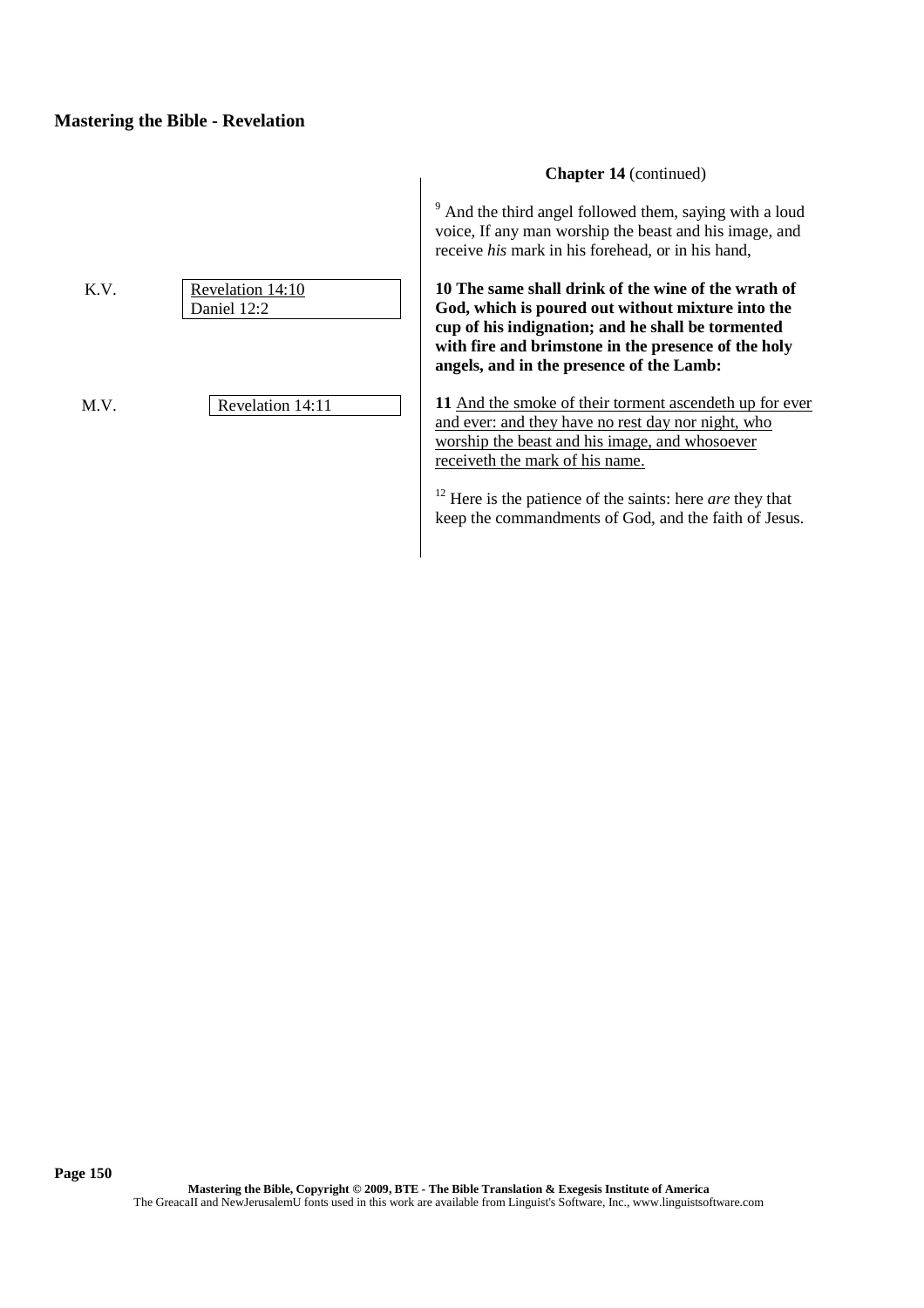K.V. Revelation 14:10 Daniel 12:2

M.V. Revelation 14:11

## **Chapter 14** (continued)

<sup>9</sup> And the third angel followed them, saying with a loud voice, If any man worship the beast and his image, and receive *his* mark in his forehead, or in his hand,

**10 The same shall drink of the wine of the wrath of God, which is poured out without mixture into the cup of his indignation; and he shall be tormented with fire and brimstone in the presence of the holy angels, and in the presence of the Lamb:**

**11** And the smoke of their torment ascendeth up for ever and ever: and they have no rest day nor night, who worship the beast and his image, and whosoever receiveth the mark of his name.

<sup>12</sup> Here is the patience of the saints: here *are* they that keep the commandments of God, and the faith of Jesus.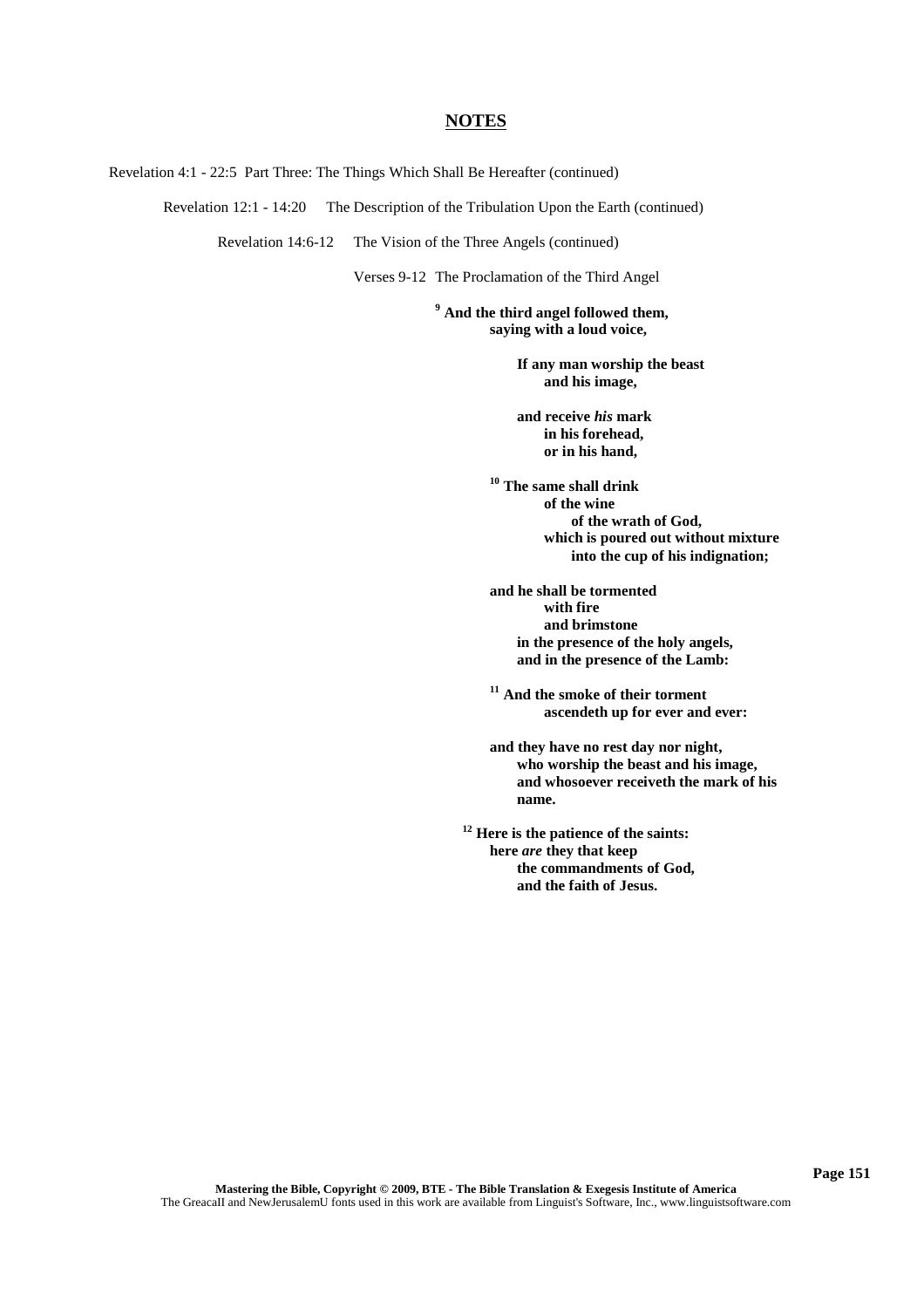Revelation 4:1 - 22:5 Part Three: The Things Which Shall Be Hereafter (continued)

Revelation 12:1 - 14:20 The Description of the Tribulation Upon the Earth (continued)

Revelation 14:6-12 The Vision of the Three Angels (continued)

Verses 9-12 The Proclamation of the Third Angel

**<sup>9</sup> And the third angel followed them, saying with a loud voice,**

> **If any man worship the beast and his image,**

**and receive** *his* **mark in his forehead, or in his hand,**

**<sup>10</sup> The same shall drink of the wine of the wrath of God, which is poured out without mixture into the cup of his indignation;**

**and he shall be tormented with fire and brimstone in the presence of the holy angels, and in the presence of the Lamb:**

**<sup>11</sup> And the smoke of their torment ascendeth up for ever and ever:**

**and they have no rest day nor night, who worship the beast and his image, and whosoever receiveth the mark of his name.**

**<sup>12</sup> Here is the patience of the saints: here** *are* **they that keep the commandments of God, and the faith of Jesus.**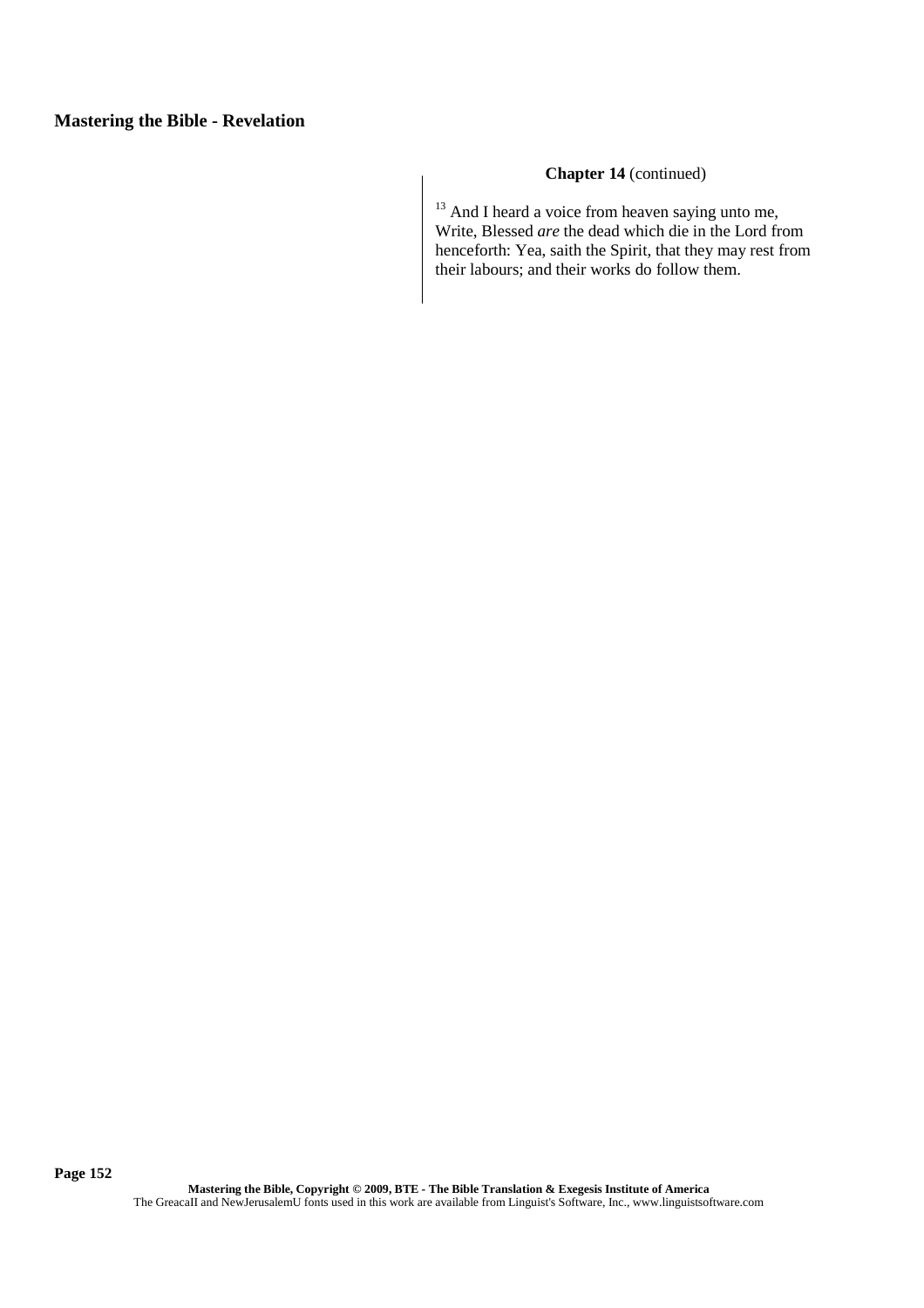## **Chapter 14** (continued)

 $13$  And I heard a voice from heaven saying unto me, Write, Blessed *are* the dead which die in the Lord from henceforth: Yea, saith the Spirit, that they may rest from their labours; and their works do follow them.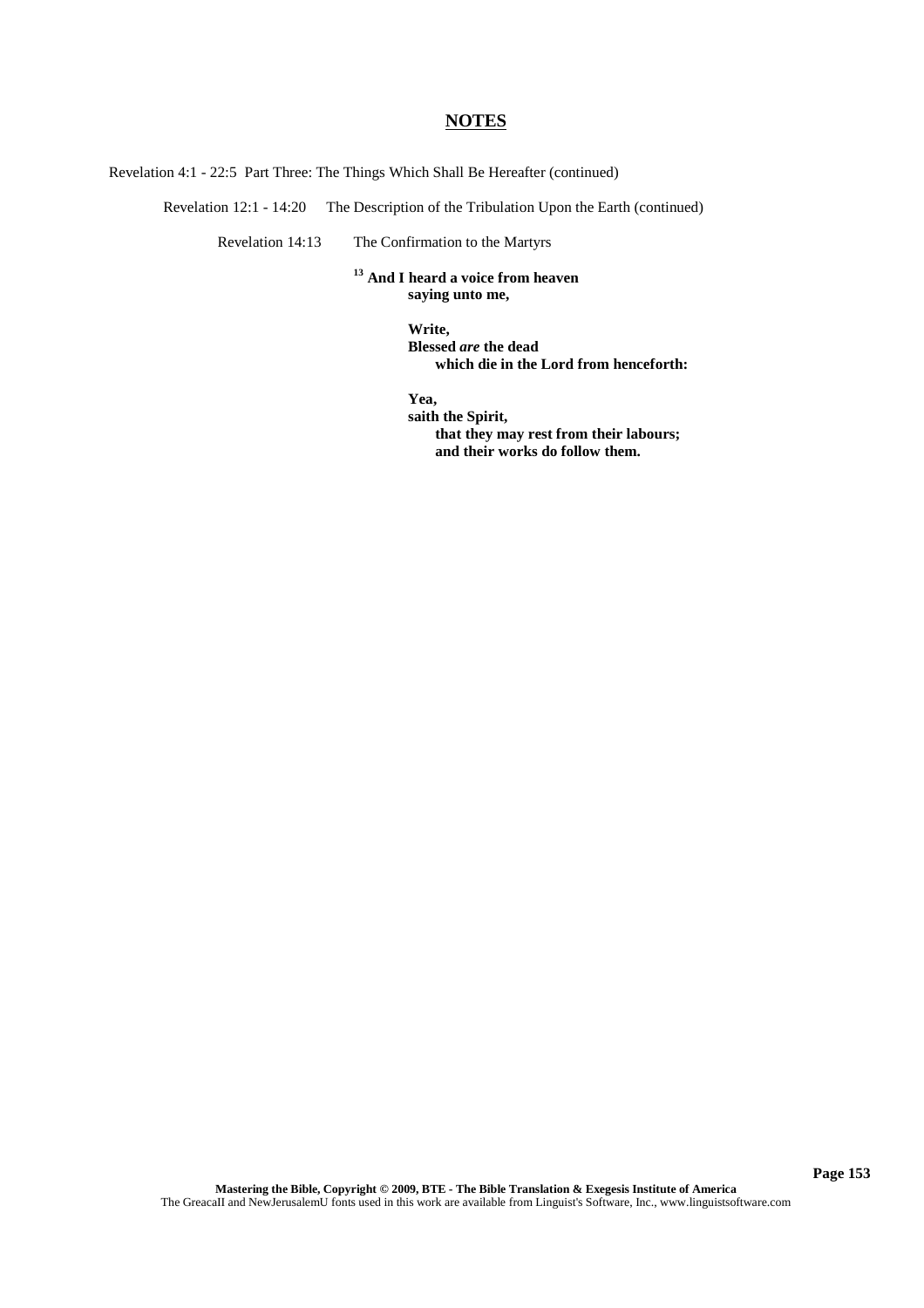Revelation 4:1 - 22:5 Part Three: The Things Which Shall Be Hereafter (continued)

Revelation 12:1 - 14:20 The Description of the Tribulation Upon the Earth (continued)

Revelation 14:13 The Confirmation to the Martyrs

**<sup>13</sup> And I heard a voice from heaven saying unto me,**

#### **Write,**

**Blessed** *are* **the dead which die in the Lord from henceforth:**

**Yea,**

**saith the Spirit, that they may rest from their labours; and their works do follow them.**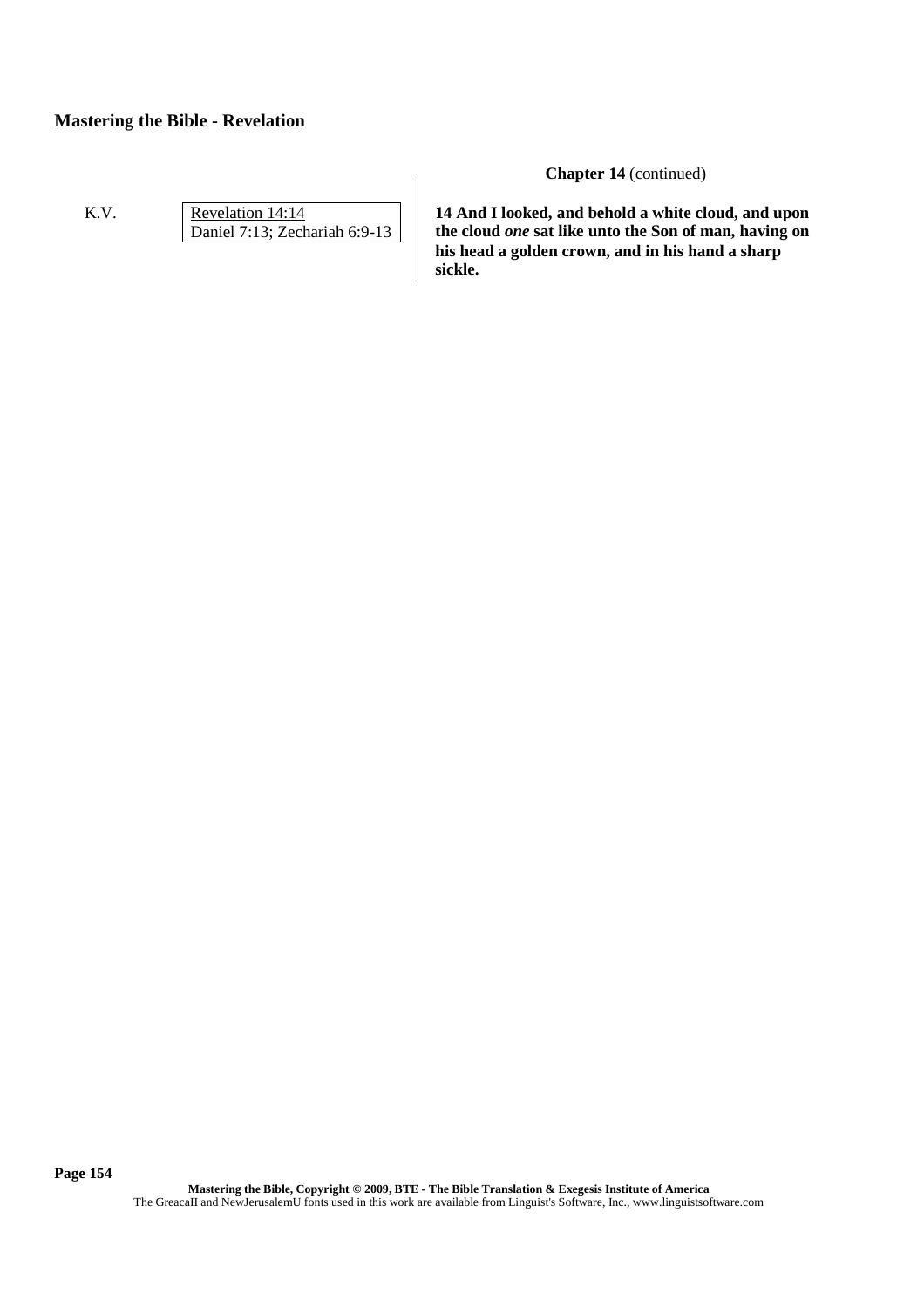K.V. Revelation 14:14 Daniel 7:13; Zechariah 6:9-13 **Chapter 14** (continued)

**14 And I looked, and behold a white cloud, and upon the cloud** *one* **sat like unto the Son of man, having on his head a golden crown, and in his hand a sharp sickle.**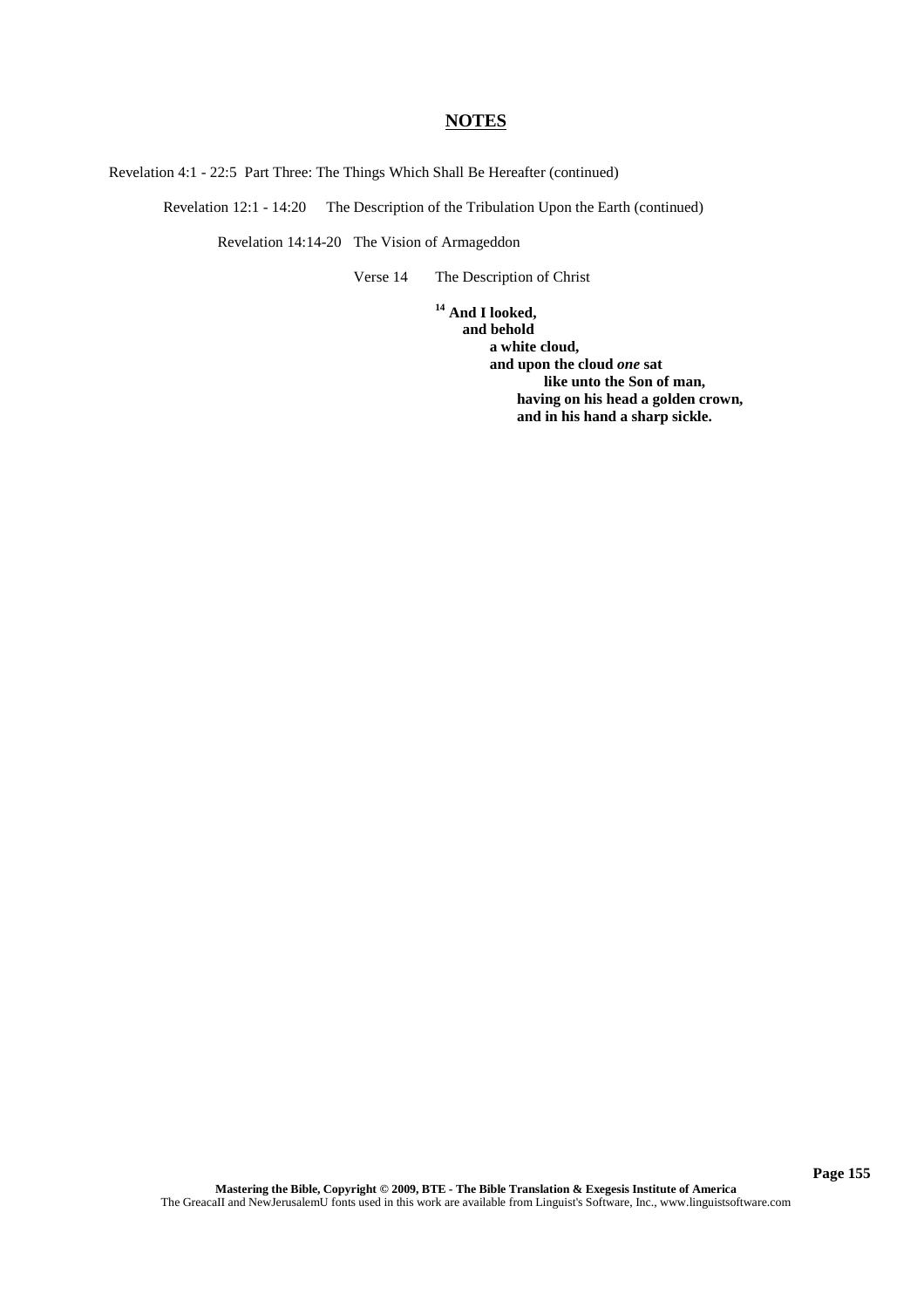Revelation 4:1 - 22:5 Part Three: The Things Which Shall Be Hereafter (continued)

Revelation 12:1 - 14:20 The Description of the Tribulation Upon the Earth (continued)

Revelation 14:14-20 The Vision of Armageddon

Verse 14 The Description of Christ

**<sup>14</sup> And I looked, and behold a white cloud, and upon the cloud** *one* **sat like unto the Son of man, having on his head a golden crown, and in his hand a sharp sickle.**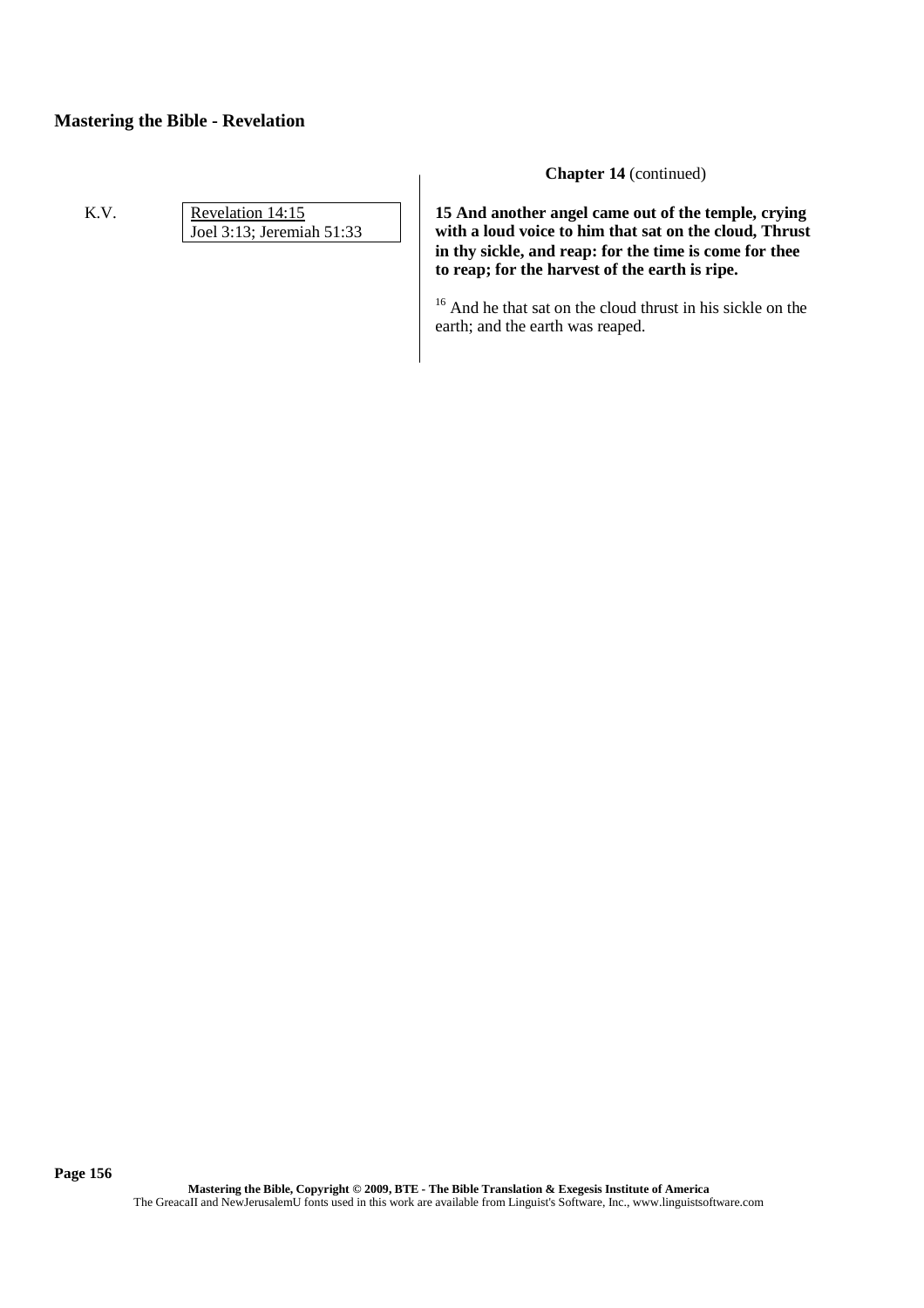## K.V. Revelation 14:15 Joel 3:13; Jeremiah 51:33

**Chapter 14** (continued)

**15 And another angel came out of the temple, crying with a loud voice to him that sat on the cloud, Thrust in thy sickle, and reap: for the time is come for thee to reap; for the harvest of the earth is ripe.**

<sup>16</sup> And he that sat on the cloud thrust in his sickle on the earth; and the earth was reaped.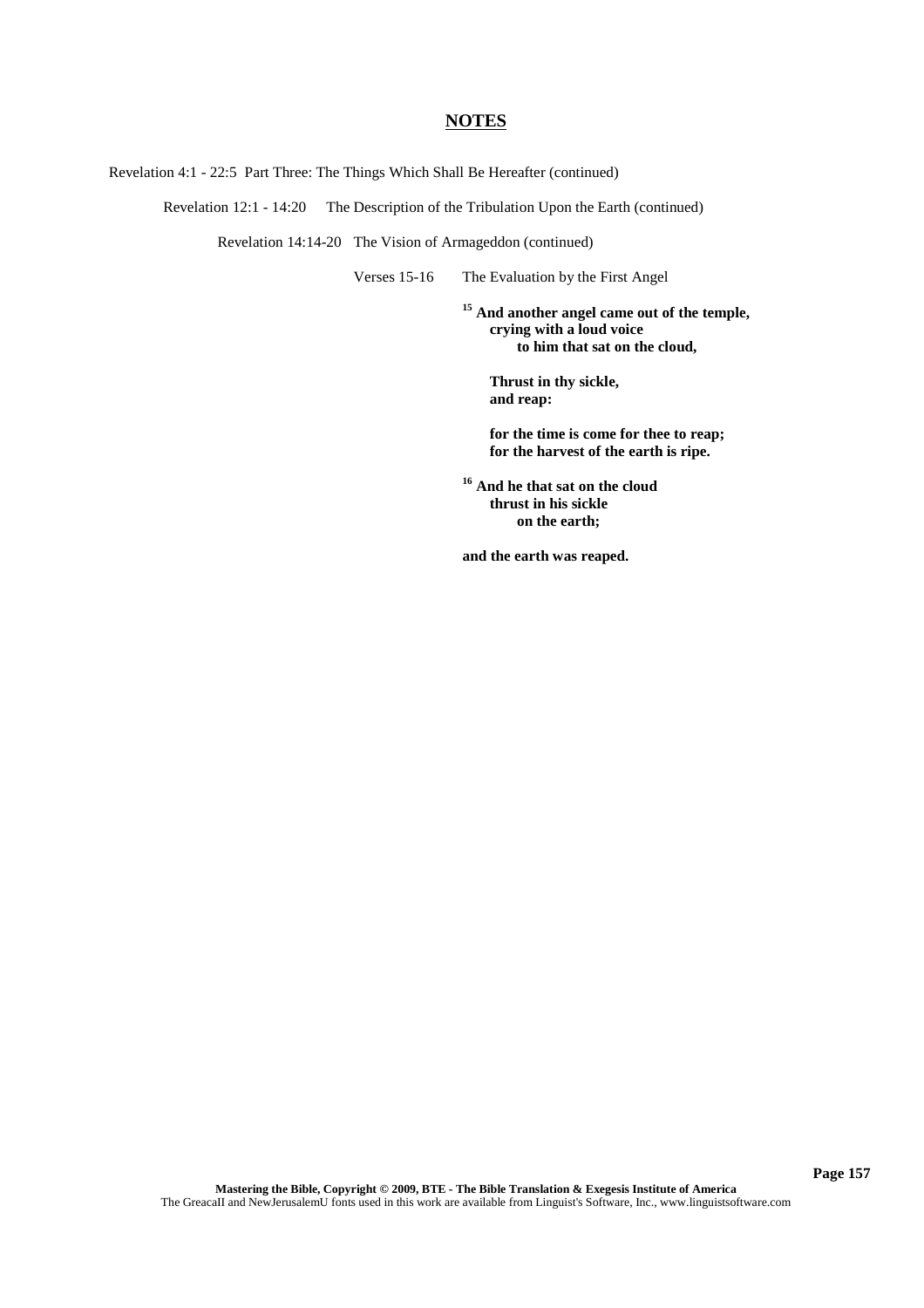Revelation 4:1 - 22:5 Part Three: The Things Which Shall Be Hereafter (continued)

Revelation 12:1 - 14:20 The Description of the Tribulation Upon the Earth (continued)

Revelation 14:14-20 The Vision of Armageddon (continued)

Verses 15-16 The Evaluation by the First Angel

**<sup>15</sup> And another angel came out of the temple, crying with a loud voice to him that sat on the cloud,**

**Thrust in thy sickle, and reap:**

**for the time is come for thee to reap; for the harvest of the earth is ripe.**

**<sup>16</sup> And he that sat on the cloud thrust in his sickle on the earth;**

**and the earth was reaped.**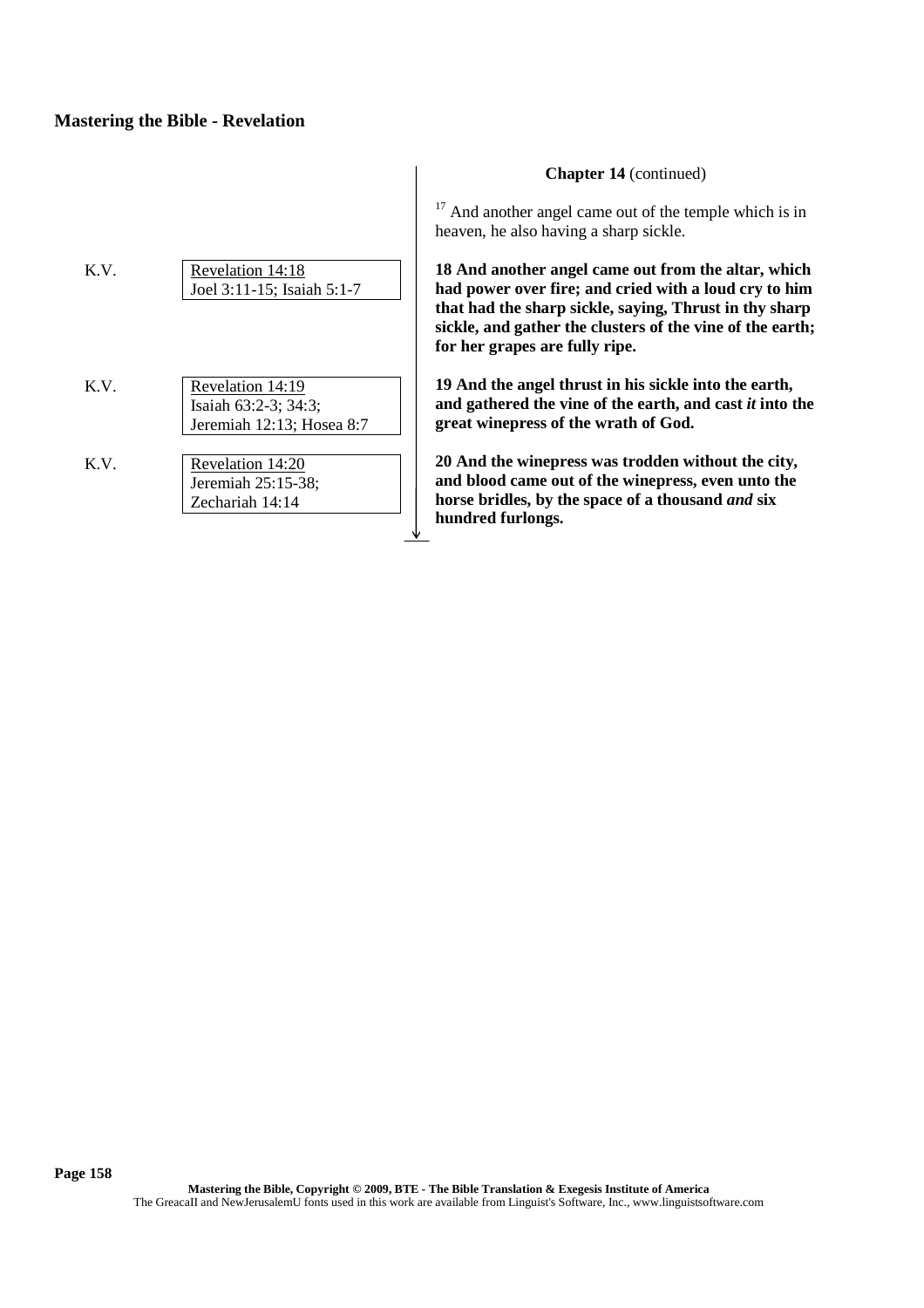| K.V. | Revelation 14:18<br>Joel 3:11-15; Isaiah 5:1-7                        |  |
|------|-----------------------------------------------------------------------|--|
| K.V. | Revelation 14:19<br>Isaiah 63:2-3; 34:3;<br>Jeremiah 12:13; Hosea 8:7 |  |
| K.V. | Revelation 14:20<br>Jeremiah 25:15-38;<br>Zechariah 14:14             |  |

### **Chapter 14** (continued)

 $17$  And another angel came out of the temple which is in heaven, he also having a sharp sickle.

**18 And another angel came out from the altar, which had power over fire; and cried with a loud cry to him that had the sharp sickle, saying, Thrust in thy sharp sickle, and gather the clusters of the vine of the earth; for her grapes are fully ripe.**

**19 And the angel thrust in his sickle into the earth, and gathered the vine of the earth, and cast** *it* **into the great winepress of the wrath of God.**

**20 And the winepress was trodden without the city, and blood came out of the winepress, even unto the horse bridles, by the space of a thousand** *and* **six hundred furlongs.**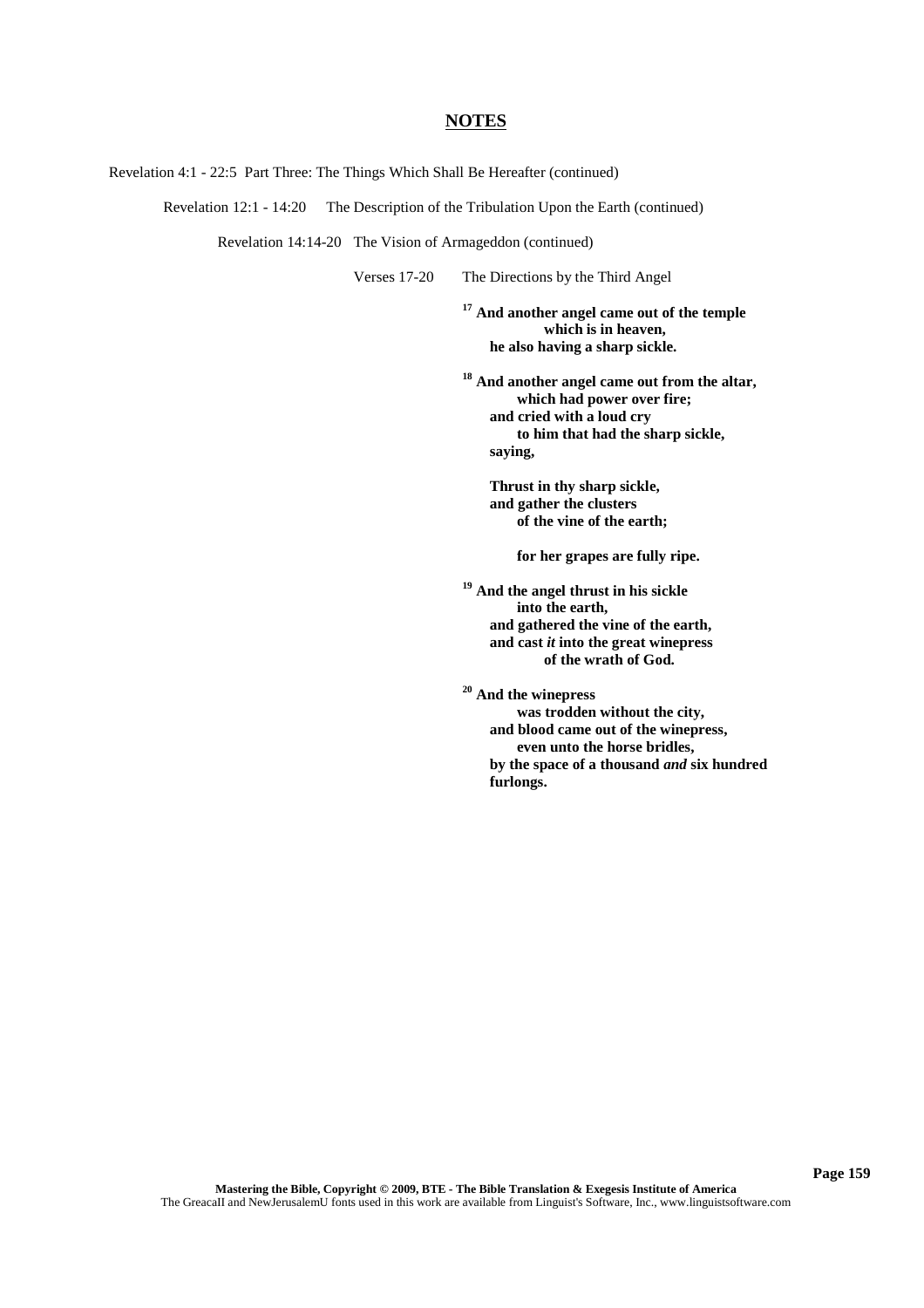Revelation 4:1 - 22:5 Part Three: The Things Which Shall Be Hereafter (continued)

Revelation 12:1 - 14:20 The Description of the Tribulation Upon the Earth (continued)

Revelation 14:14-20 The Vision of Armageddon (continued)

Verses 17-20 The Directions by the Third Angel

**<sup>17</sup> And another angel came out of the temple which is in heaven, he also having a sharp sickle.**

**<sup>18</sup> And another angel came out from the altar, which had power over fire; and cried with a loud cry to him that had the sharp sickle, saying,**

**Thrust in thy sharp sickle, and gather the clusters of the vine of the earth;**

**for her grapes are fully ripe.**

**<sup>19</sup> And the angel thrust in his sickle into the earth, and gathered the vine of the earth, and cast** *it* **into the great winepress of the wrath of God.**

**<sup>20</sup> And the winepress was trodden without the city, and blood came out of the winepress, even unto the horse bridles, by the space of a thousand** *and* **six hundred furlongs.**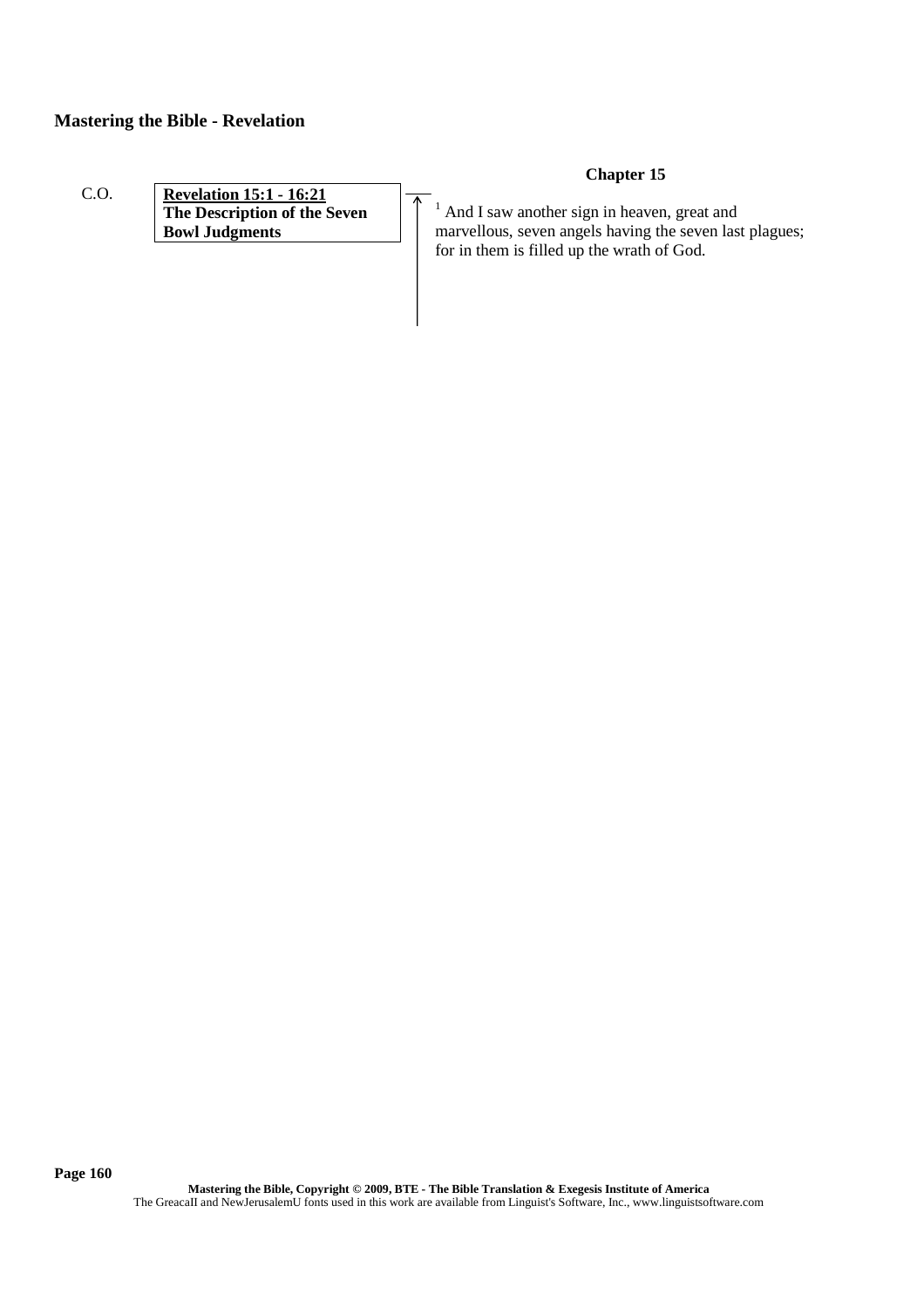C.O. **Revelation 15:1 - 16:21 The Description of the Seven Bowl Judgments**

 $\overline{\wedge}$ 

## **Chapter 15**

 $<sup>1</sup>$  And I saw another sign in heaven, great and</sup> marvellous, seven angels having the seven last plagues; for in them is filled up the wrath of God.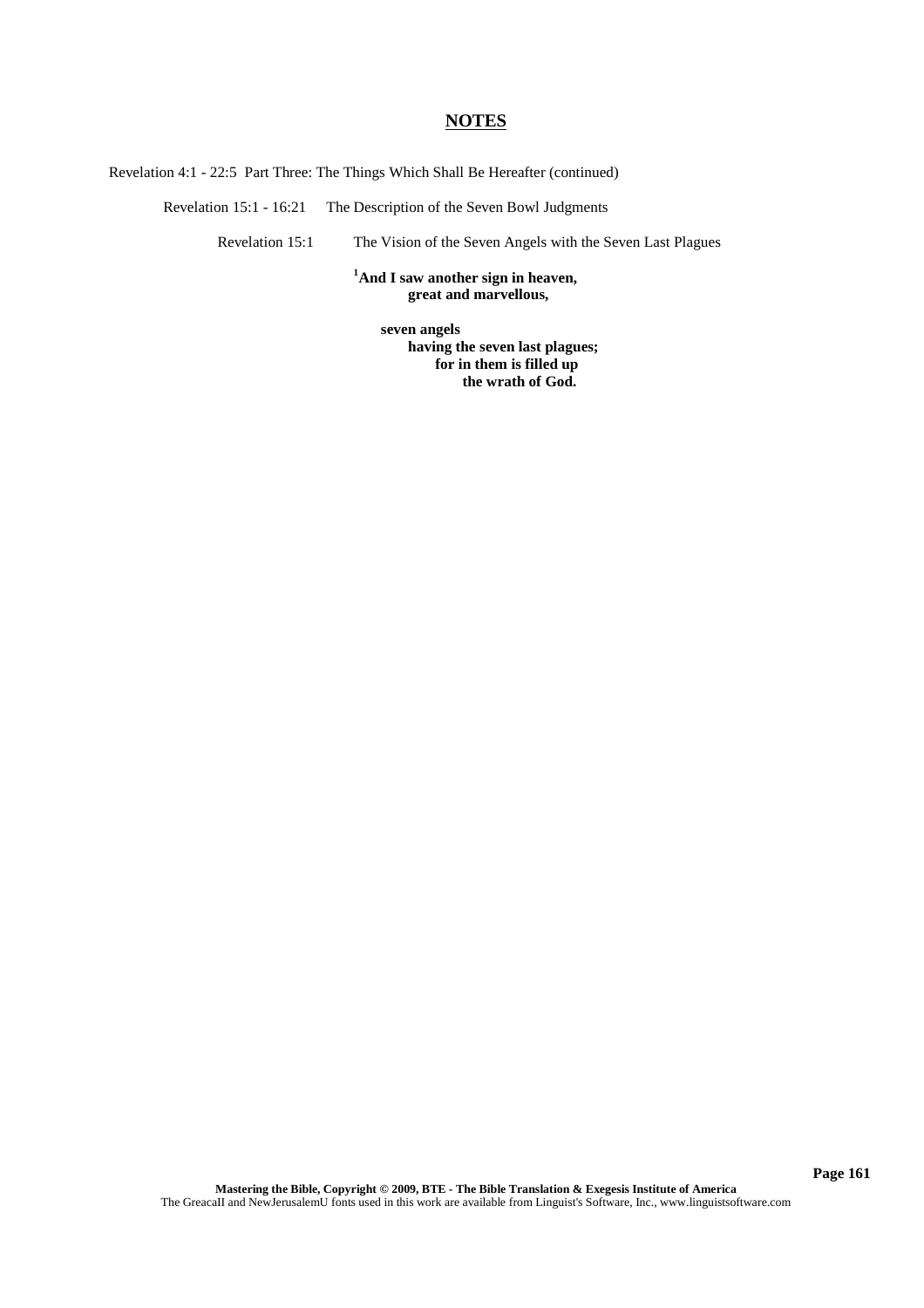Revelation 4:1 - 22:5 Part Three: The Things Which Shall Be Hereafter (continued)

Revelation 15:1 - 16:21 The Description of the Seven Bowl Judgments

Revelation 15:1 The Vision of the Seven Angels with the Seven Last Plagues

**<sup>1</sup>And I saw another sign in heaven, great and marvellous,**

> **seven angels having the seven last plagues; for in them is filled up the wrath of God.**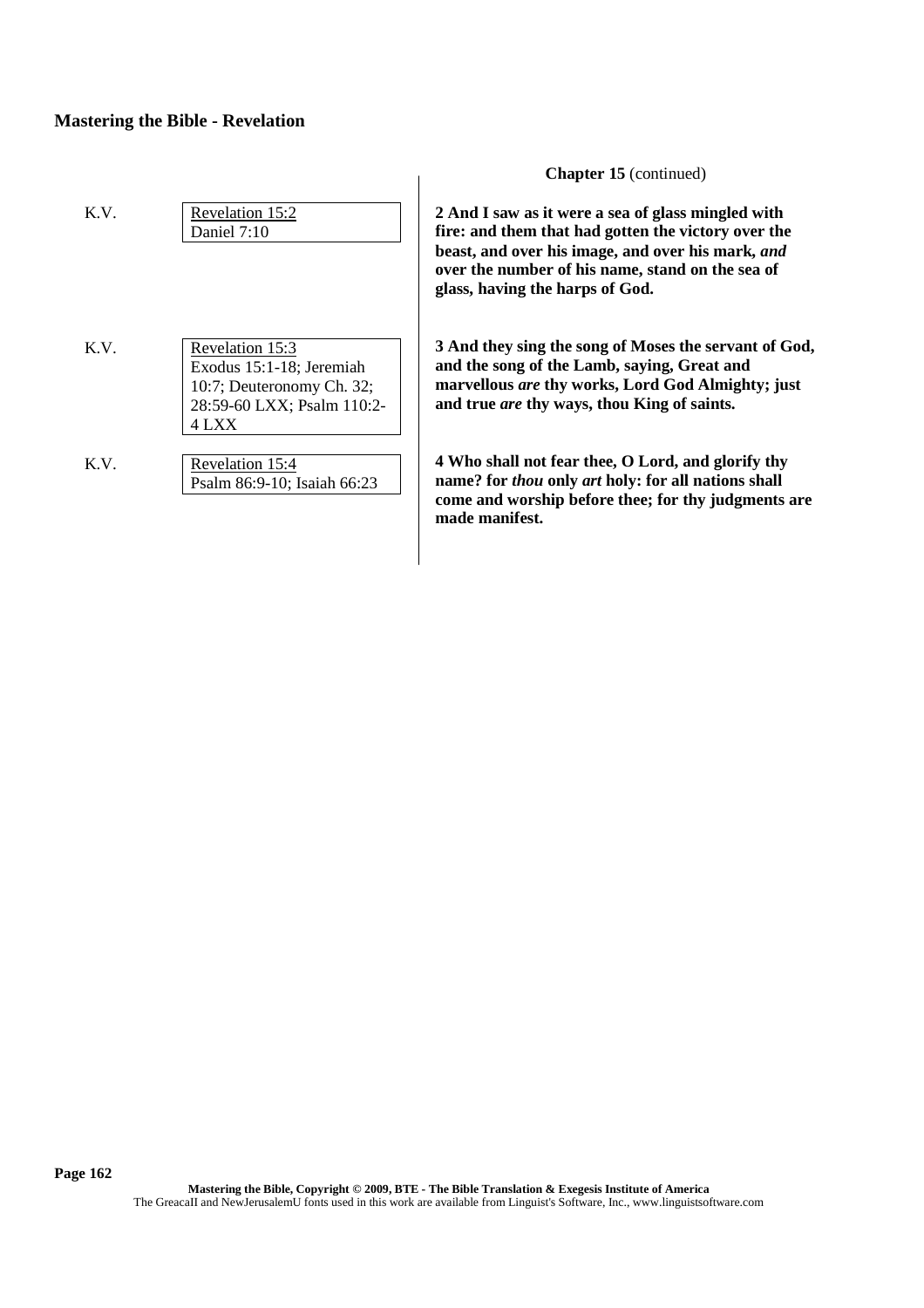| K.V. | Revelation 15:2<br>Daniel 7:10                                                                         | 2<br>f<br>b           |
|------|--------------------------------------------------------------------------------------------------------|-----------------------|
| K.V. | Revelation 15:3<br>Exodus 15:1-18; Jeremiah<br>10:7; Deuteronomy Ch. 32;<br>28:59-60 LXX; Psalm 110:2- | g<br>3<br>a<br>n<br>a |
| K.V. | 4 LXX<br>Revelation 15:4<br>Psalm 86:9-10; Isaiah 66:23                                                | n                     |

 $\overline{\phantom{a}}$ 

### **Chapter 15** (continued)

**2 And I saw as it were a sea of glass mingled with fire: and them that had gotten the victory over the beast, and over his image, and over his mark,** *and* **over the number of his name, stand on the sea of glass, having the harps of God.**

**3 And they sing the song of Moses the servant of God, and the song of the Lamb, saying, Great and marvellous** *are* **thy works, Lord God Almighty; just and true** *are* **thy ways, thou King of saints.**

**4 Who shall not fear thee, O Lord, and glorify thy name? for** *thou* **only** *art* **holy: for all nations shall come and worship before thee; for thy judgments are made manifest.**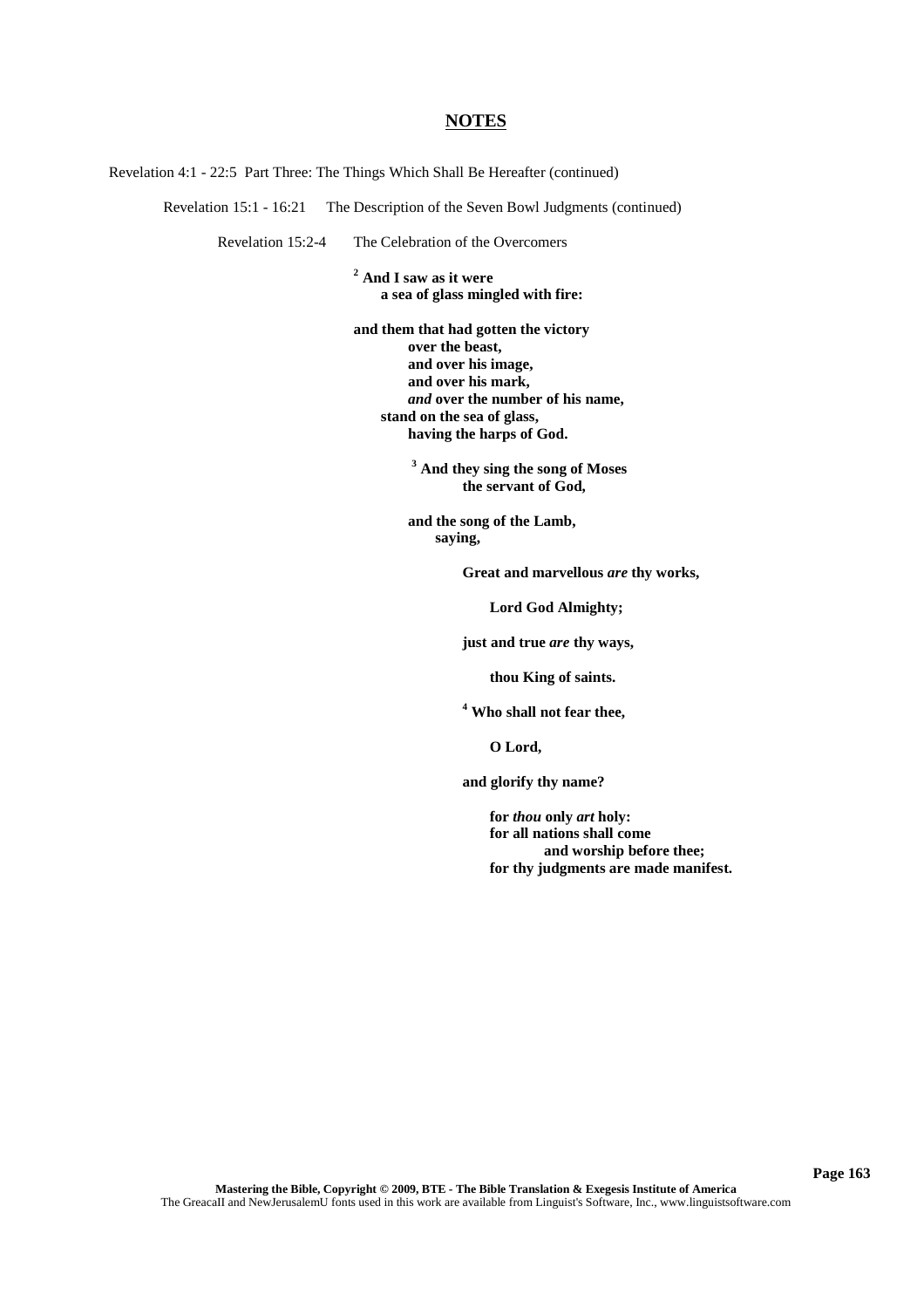Revelation 4:1 - 22:5 Part Three: The Things Which Shall Be Hereafter (continued)

Revelation 15:1 - 16:21 The Description of the Seven Bowl Judgments (continued)

Revelation 15:2-4 The Celebration of the Overcomers

**<sup>2</sup> And I saw as it were a sea of glass mingled with fire:**

**and them that had gotten the victory over the beast, and over his image, and over his mark,** *and* **over the number of his name, stand on the sea of glass, having the harps of God.**

> **<sup>3</sup> And they sing the song of Moses the servant of God,**

**and the song of the Lamb, saying,**

**Great and marvellous** *are* **thy works,**

**Lord God Almighty;**

**just and true** *are* **thy ways,**

**thou King of saints.**

**<sup>4</sup> Who shall not fear thee,**

**O Lord,**

**and glorify thy name?**

**for** *thou* **only** *art* **holy: for all nations shall come and worship before thee; for thy judgments are made manifest.**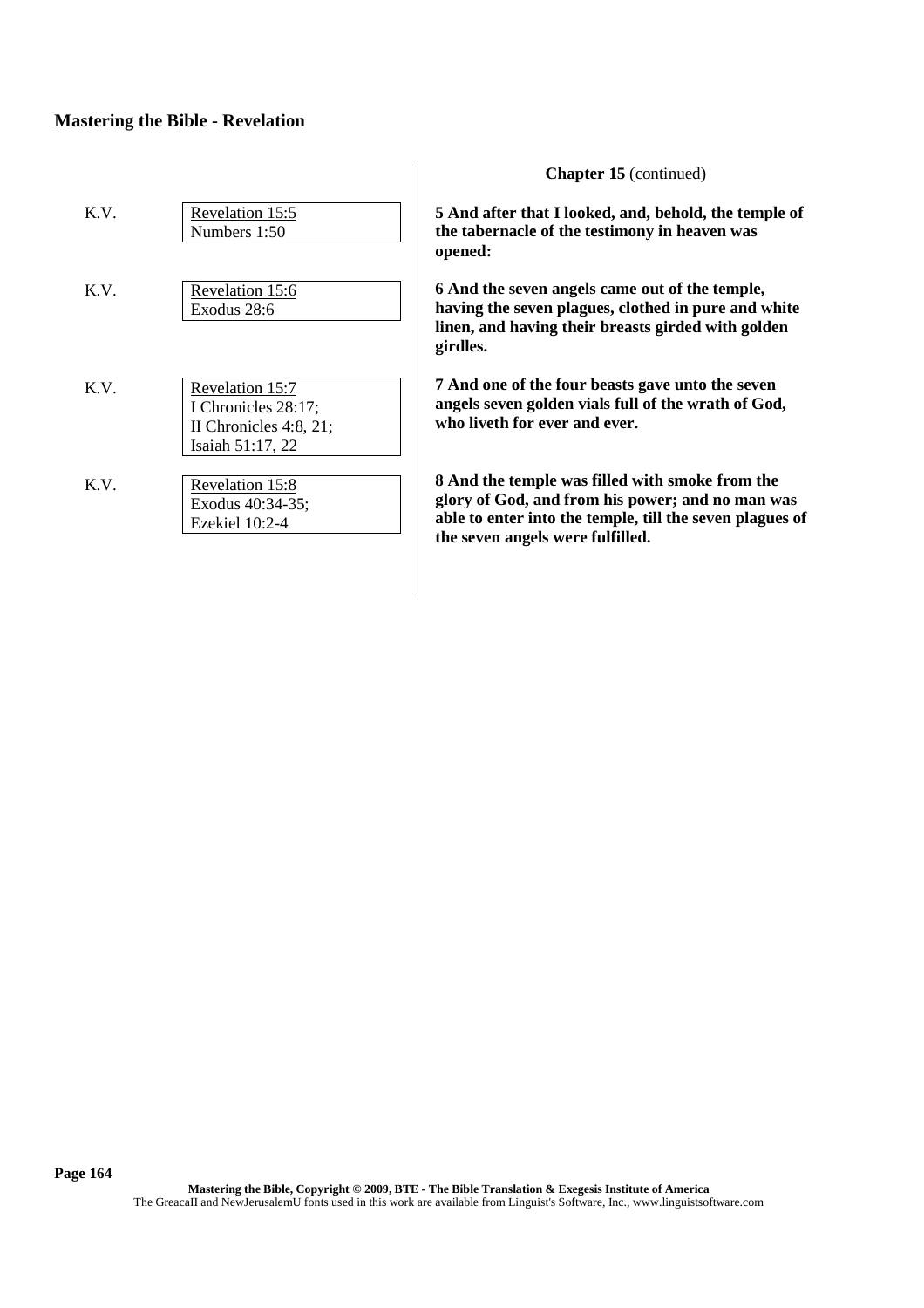| K.V. | Revelation 15:5<br>Numbers 1:50                                                         | 5 And aft<br>the taber<br>opened:               |
|------|-----------------------------------------------------------------------------------------|-------------------------------------------------|
| K.V. | Revelation 15:6<br>Exodus 28:6                                                          | 6 And th<br>having th<br>linen, an<br>girdles.  |
| K.V. | Revelation 15:7<br>I Chronicles 28:17;<br>II Chronicles $4:8, 21$ ;<br>Isaiah 51:17, 22 | 7 And on<br>angels se<br>who livet              |
| K.V. | Revelation 15:8<br>Exodus 40:34-35;<br>Ezekiel 10:2-4                                   | 8 And th<br>glory of<br>able to er<br>the seven |

### **Chapter 15** (continued)

**5 And after that I looked, and, behold, the temple of the tabernacle of the testimony in heaven was**

**e** seven angels came out of the temple, he seven plagues, clothed in pure and white **linen, and having their breasts girded with golden**

**7 And one of the four beasts gave unto the seven angels seven golden vials full of the wrath of God, th for ever and ever.** 

 $e$  temple was filled with smoke from the **glory of God, and from his power; and no man was able to enter into the temple, till the seven plagues of the sext** serve fulfilled.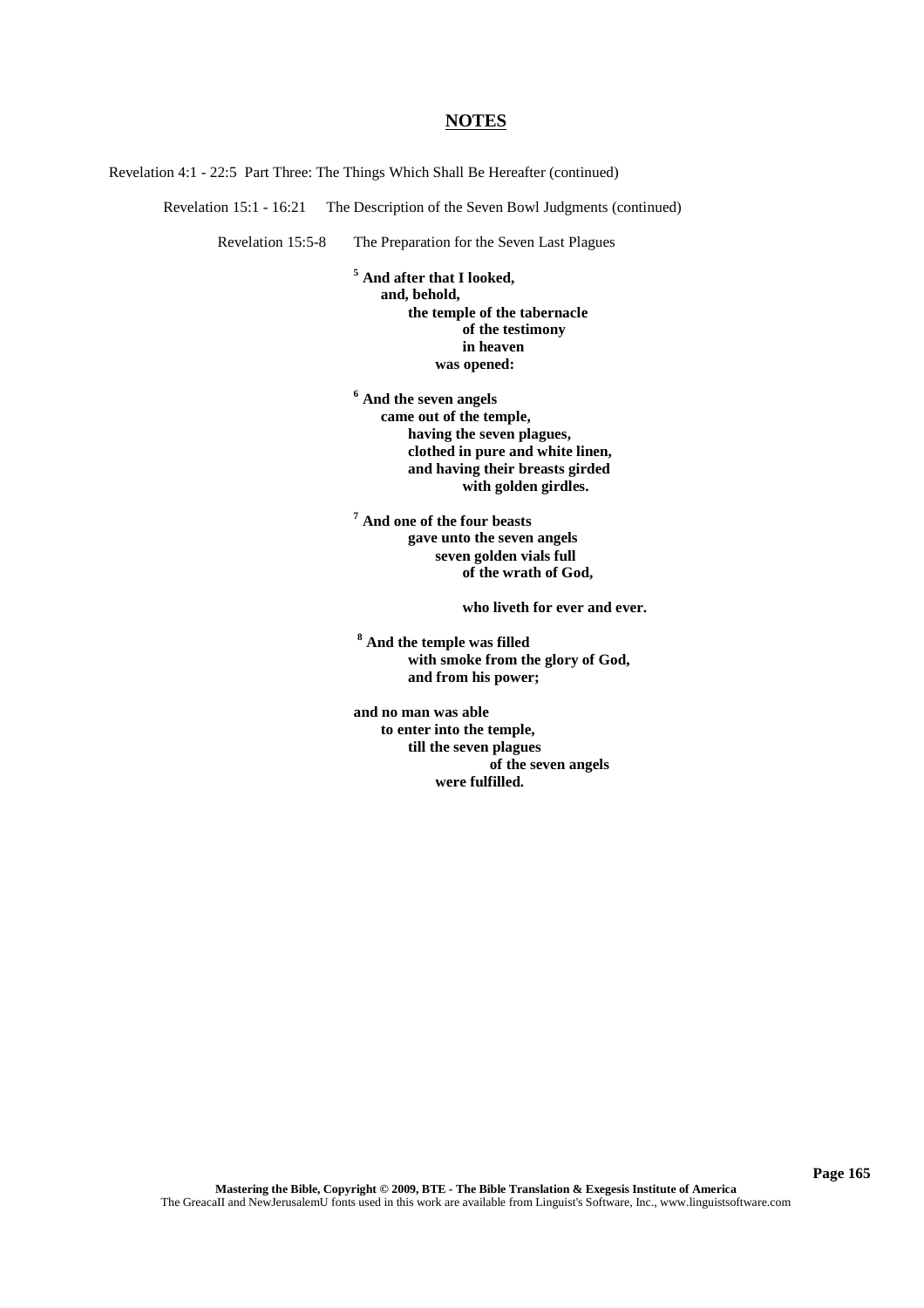Revelation 4:1 - 22:5 Part Three: The Things Which Shall Be Hereafter (continued)

Revelation 15:1 - 16:21 The Description of the Seven Bowl Judgments (continued)

Revelation 15:5-8 The Preparation for the Seven Last Plagues

**<sup>5</sup> And after that I looked, and, behold, the temple of the tabernacle of the testimony in heaven was opened:**

**<sup>6</sup> And the seven angels came out of the temple, having the seven plagues, clothed in pure and white linen, and having their breasts girded with golden girdles.**

**<sup>7</sup> And one of the four beasts gave unto the seven angels seven golden vials full of the wrath of God,**

**who liveth for ever and ever.**

**<sup>8</sup> And the temple was filled with smoke from the glory of God, and from his power;**

**and no man was able to enter into the temple, till the seven plagues of the seven angels were fulfilled.**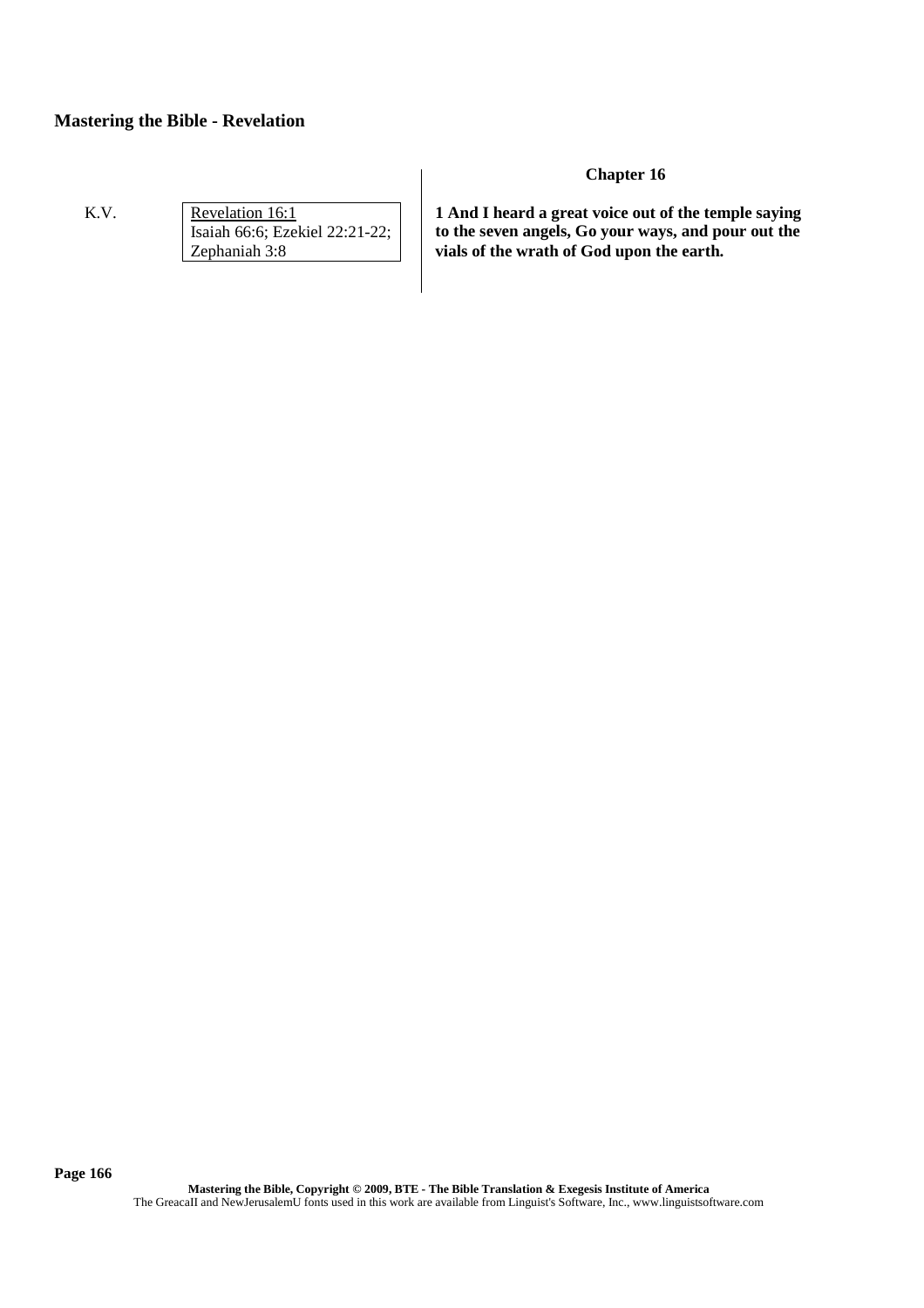K.V. Revelation 16:1 Isaiah 66:6; Ezekiel 22:21-22; Zephaniah 3:8

### **Chapter 16**

**1 And I heard a great voice out of the temple saying to the seven angels, Go your ways, and pour out the vials of the wrath of God upon the earth.**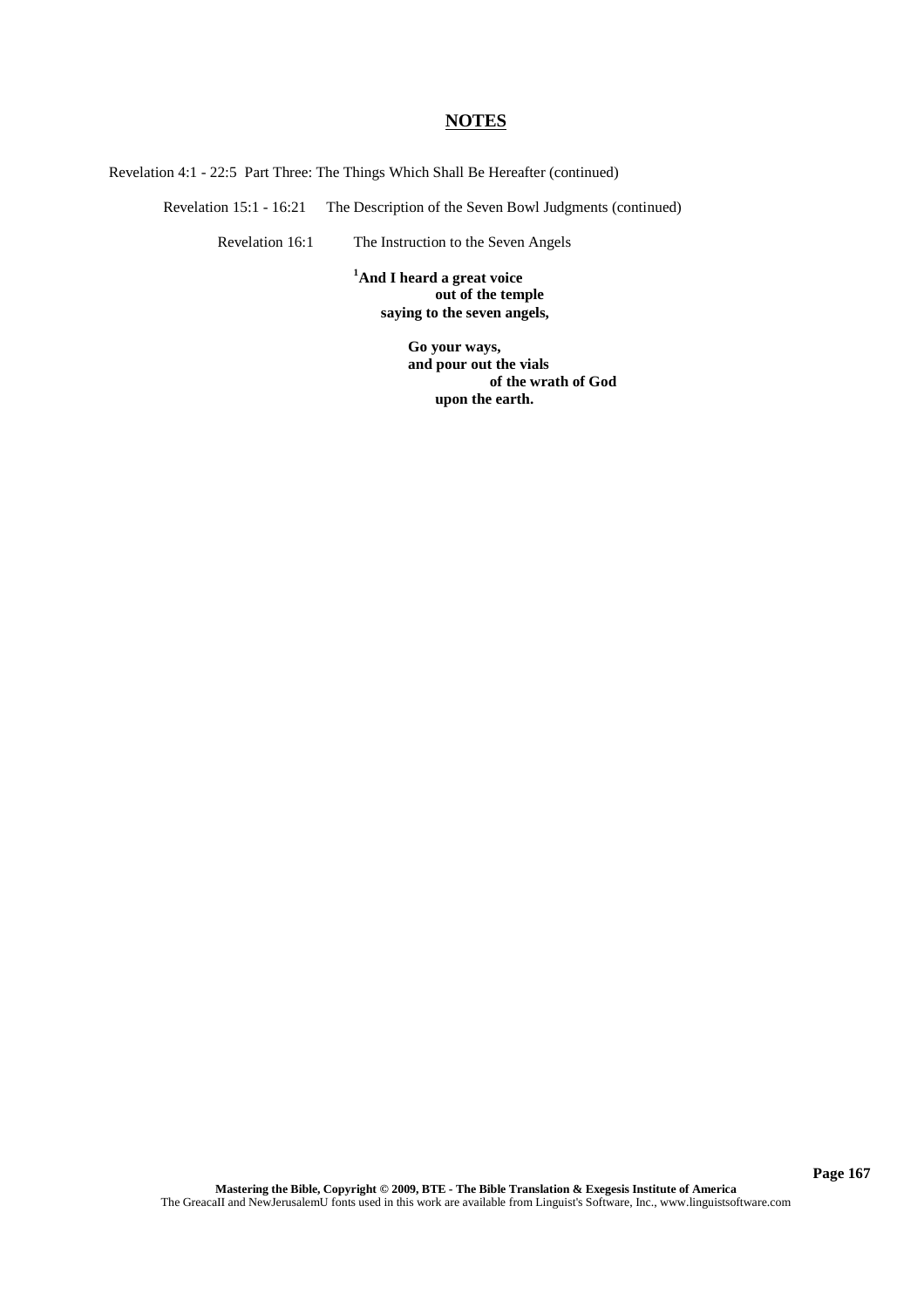Revelation 4:1 - 22:5 Part Three: The Things Which Shall Be Hereafter (continued)

Revelation 15:1 - 16:21 The Description of the Seven Bowl Judgments (continued)

Revelation 16:1 The Instruction to the Seven Angels

**<sup>1</sup>And I heard a great voice out of the temple saying to the seven angels,**

> **Go your ways, and pour out the vials of the wrath of God upon the earth.**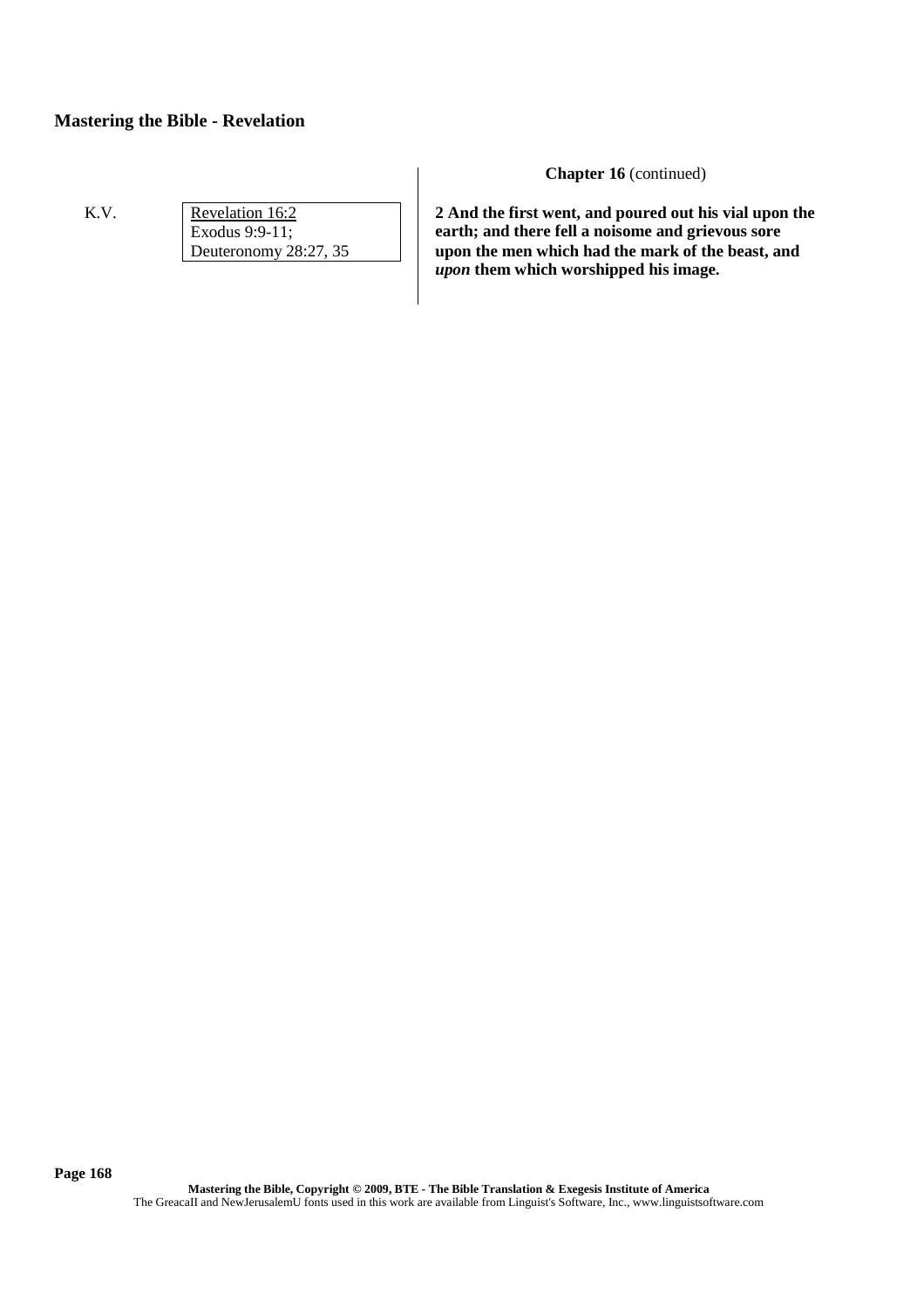K.V. Revelation 16:2 Exodus 9:9-11; Deuteronomy 28:27, 35 **Chapter 16** (continued)

**2 And the first went, and poured out his vial upon the earth; and there fell a noisome and grievous sore upon the men which had the mark of the beast, and** *upon* **them which worshipped his image.**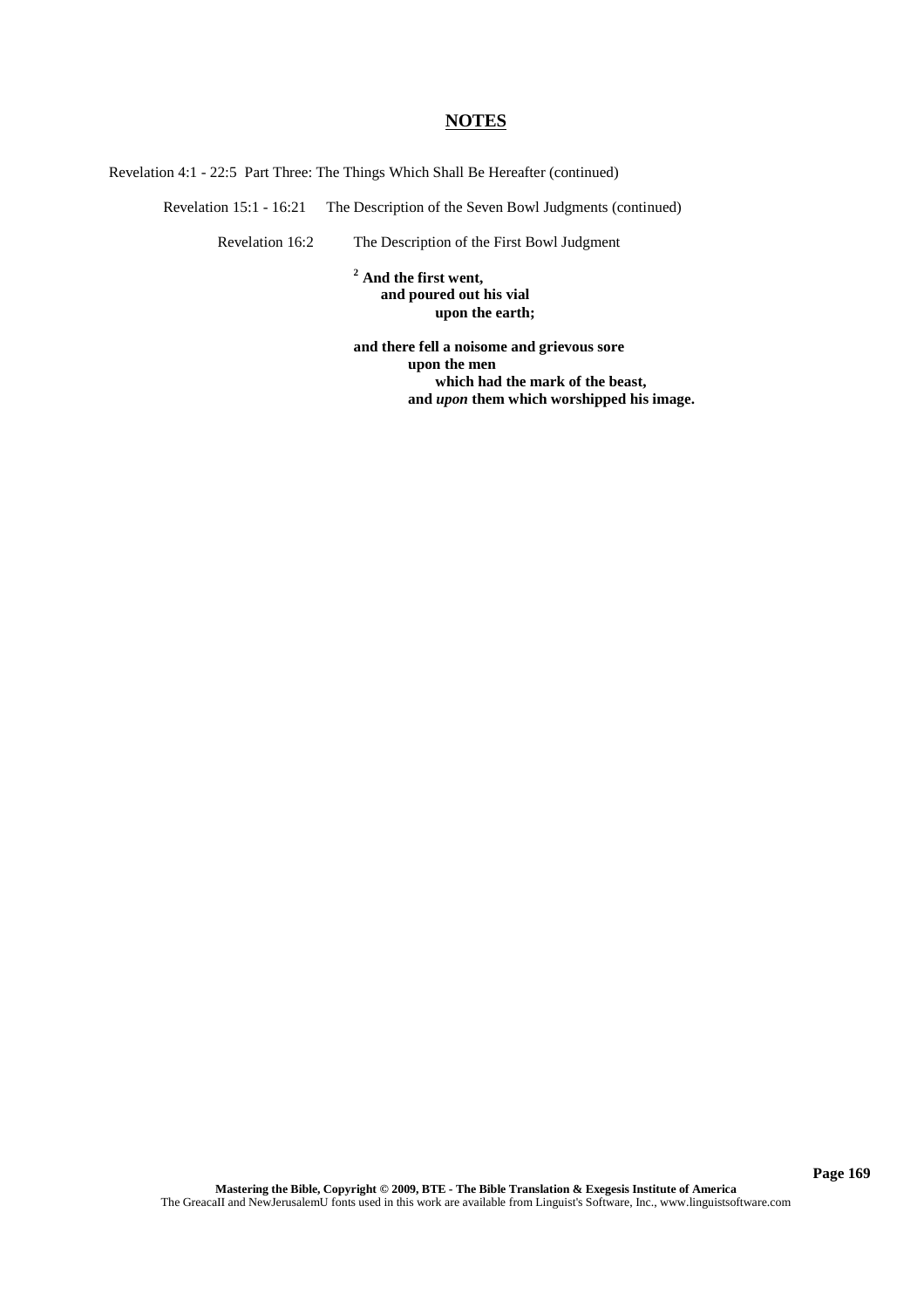Revelation 4:1 - 22:5 Part Three: The Things Which Shall Be Hereafter (continued)

Revelation 15:1 - 16:21 The Description of the Seven Bowl Judgments (continued)

Revelation 16:2 The Description of the First Bowl Judgment

**<sup>2</sup> And the first went, and poured out his vial upon the earth;**

**and there fell a noisome and grievous sore upon the men which had the mark of the beast, and** *upon* **them which worshipped his image.**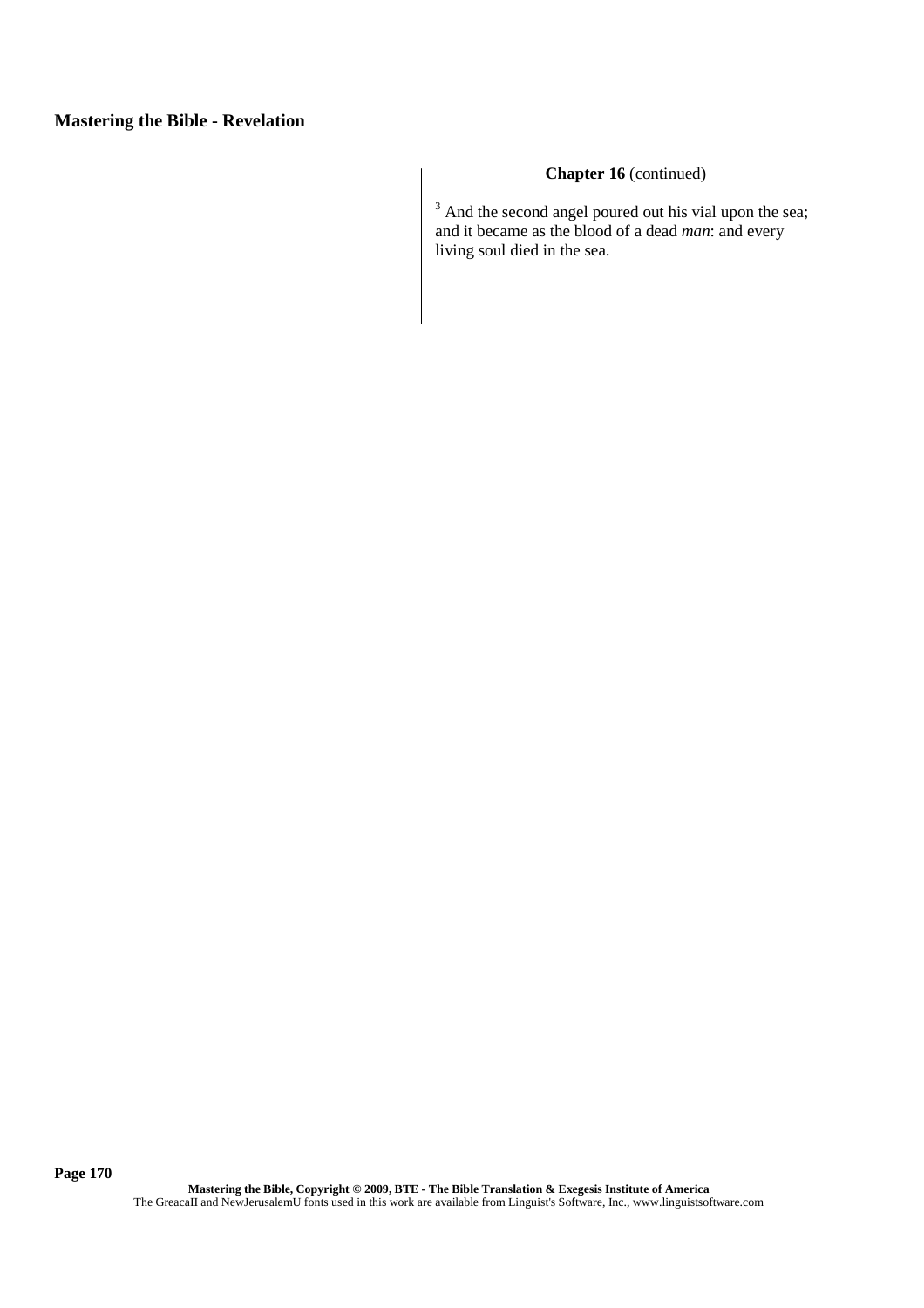## **Chapter 16** (continued)

<sup>3</sup> And the second angel poured out his vial upon the sea; and it became as the blood of a dead *man*: and every living soul died in the sea.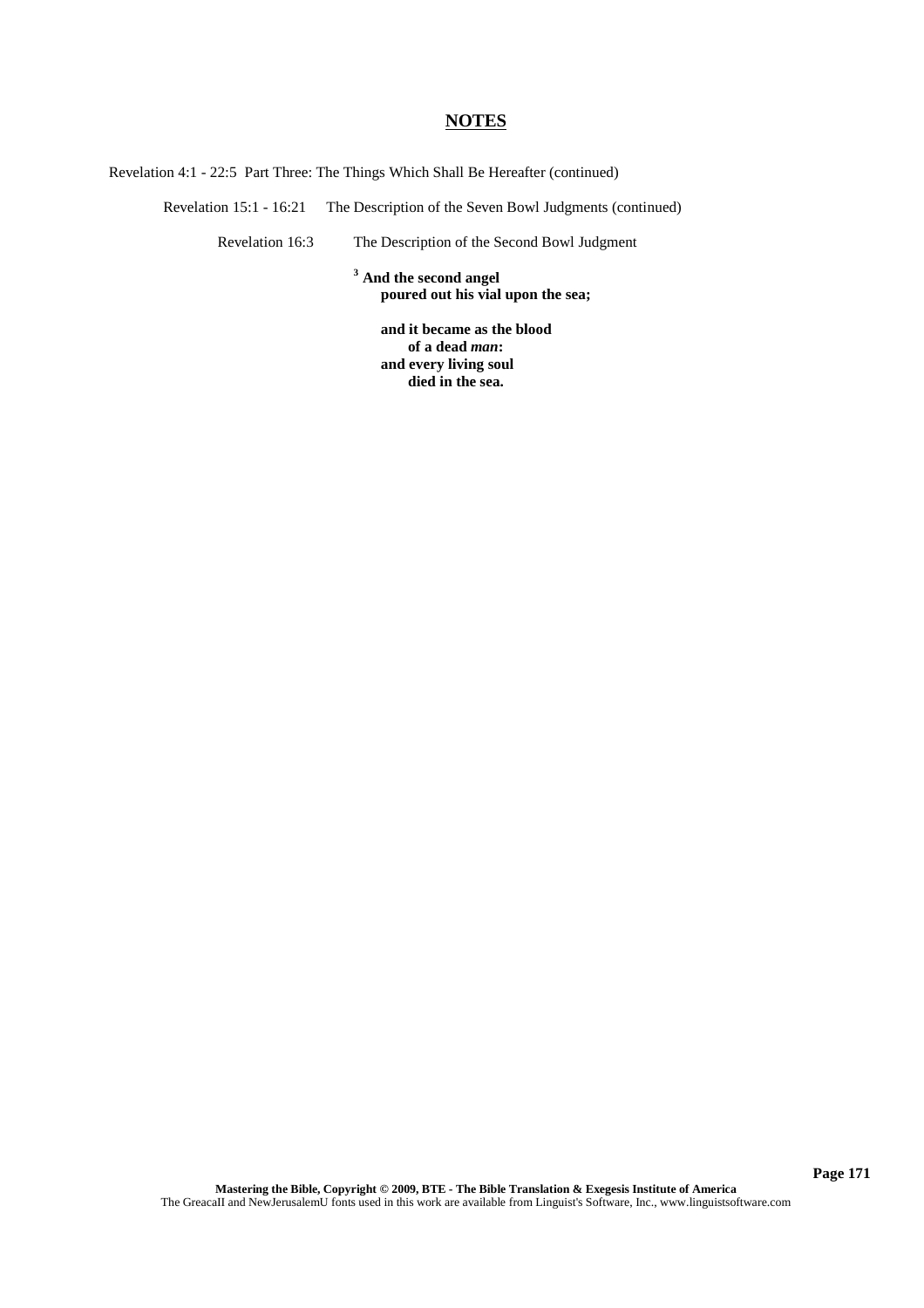Revelation 4:1 - 22:5 Part Three: The Things Which Shall Be Hereafter (continued)

Revelation 15:1 - 16:21 The Description of the Seven Bowl Judgments (continued)

Revelation 16:3 The Description of the Second Bowl Judgment

**<sup>3</sup> And the second angel poured out his vial upon the sea;**

> **and it became as the blood of a dead** *man***: and every living soul died in the sea.**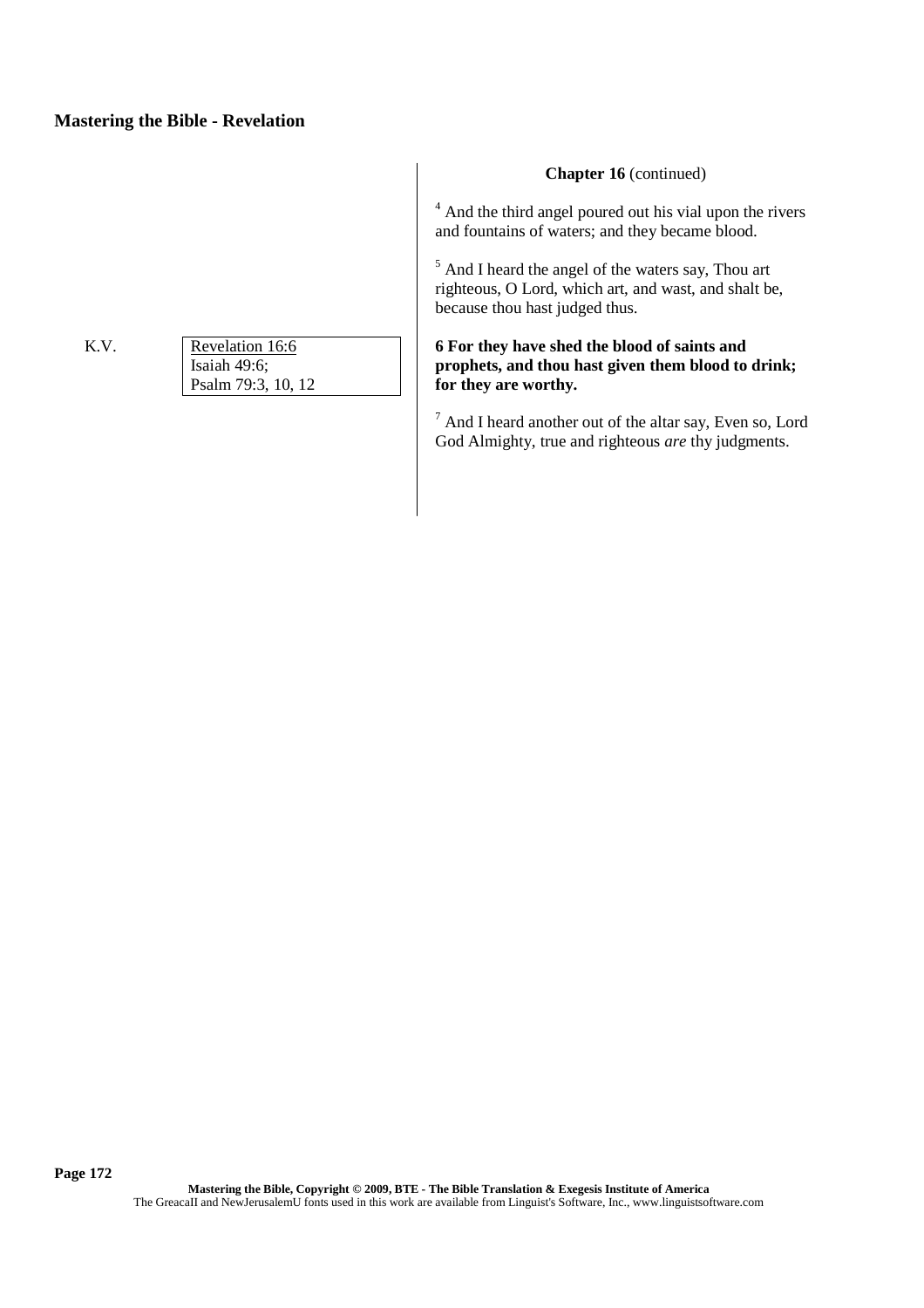K.V. Revelation 16:6 Isaiah 49:6; Psalm 79:3, 10, 12

## **Chapter 16** (continued)

 $4$  And the third angel poured out his vial upon the rivers and fountains of waters; and they became blood.

<sup>5</sup> And I heard the angel of the waters say, Thou art righteous, O Lord, which art, and wast, and shalt be, because thou hast judged thus.

**6 For they have shed the blood of saints and prophets, and thou hast given them blood to drink; for they are worthy.**

<sup>7</sup> And I heard another out of the altar say, Even so, Lord God Almighty, true and righteous *are* thy judgments.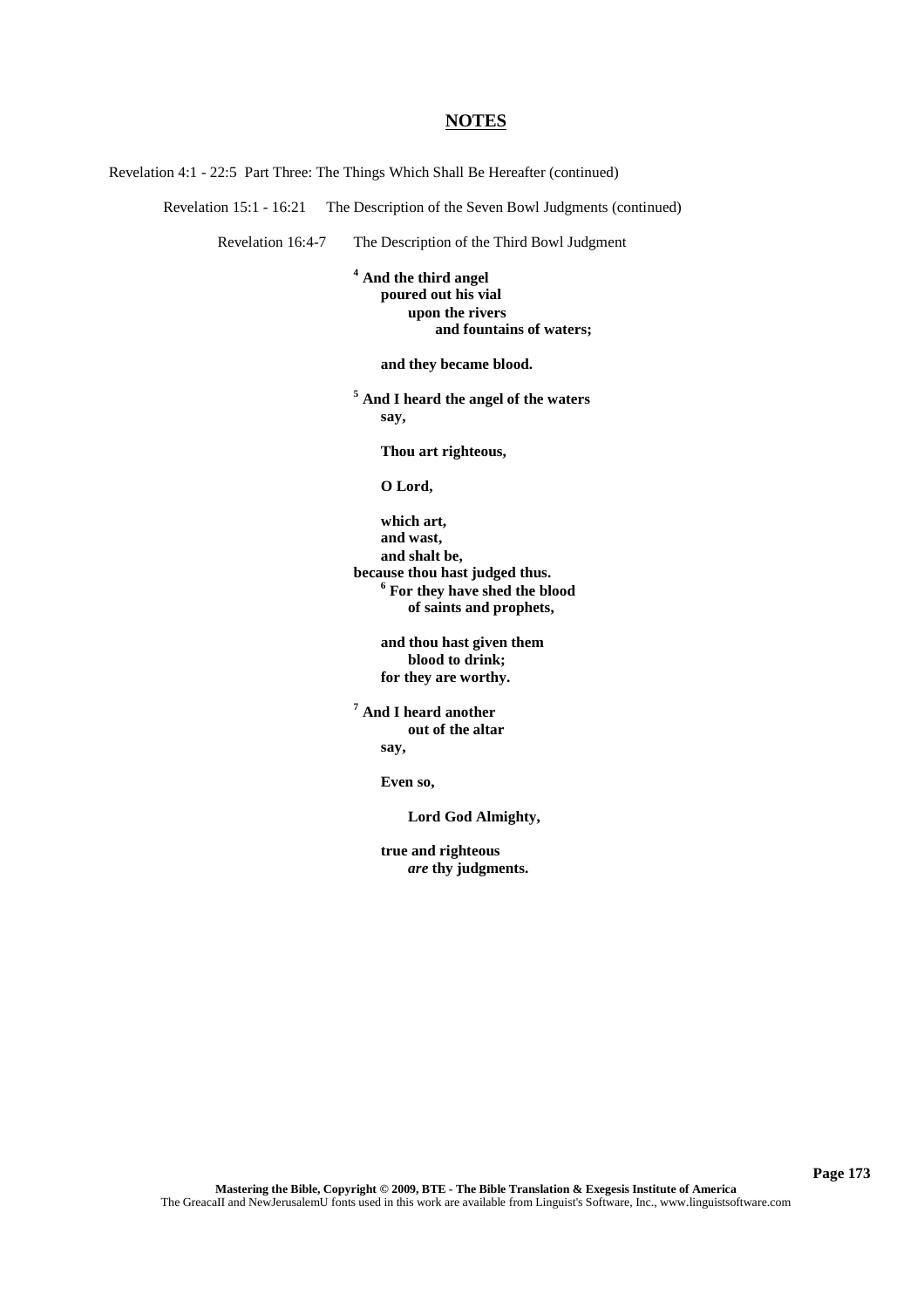Revelation 4:1 - 22:5 Part Three: The Things Which Shall Be Hereafter (continued)

Revelation 15:1 - 16:21 The Description of the Seven Bowl Judgments (continued)

Revelation 16:4-7 The Description of the Third Bowl Judgment

**<sup>4</sup> And the third angel poured out his vial upon the rivers and fountains of waters;**

**and they became blood.**

**<sup>5</sup> And I heard the angel of the waters say,**

**Thou art righteous,**

**O Lord,**

**which art, and wast, and shalt be, because thou hast judged thus. <sup>6</sup> For they have shed the blood of saints and prophets,**

> **and thou hast given them blood to drink; for they are worthy.**

**<sup>7</sup> And I heard another out of the altar say,**

**Even so,**

**Lord God Almighty,**

**true and righteous** *are* **thy judgments.**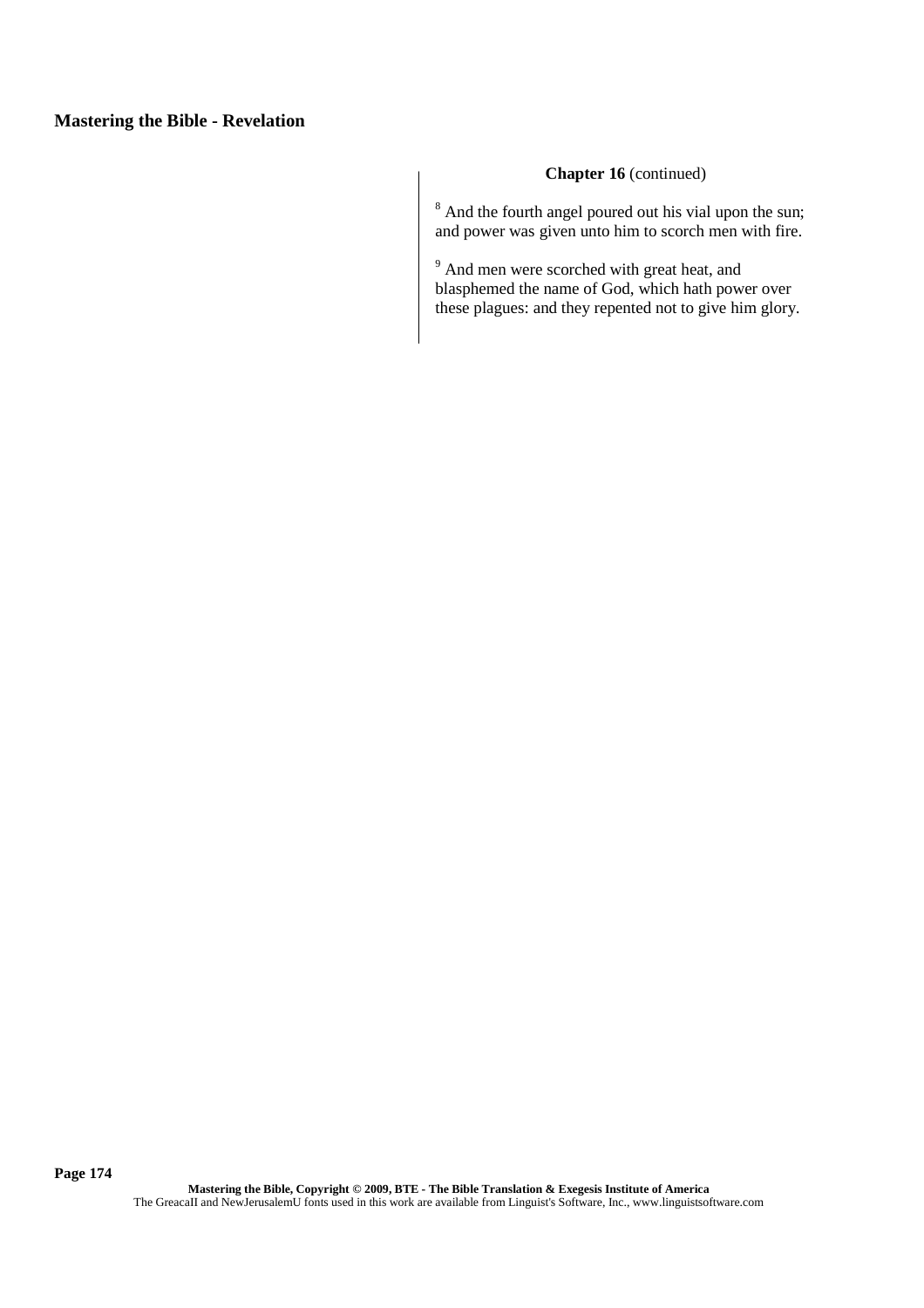# **Chapter 16** (continued)

<sup>8</sup> And the fourth angel poured out his vial upon the sun; and power was given unto him to scorch men with fire.

<sup>9</sup> And men were scorched with great heat, and blasphemed the name of God, which hath power over these plagues: and they repented not to give him glory.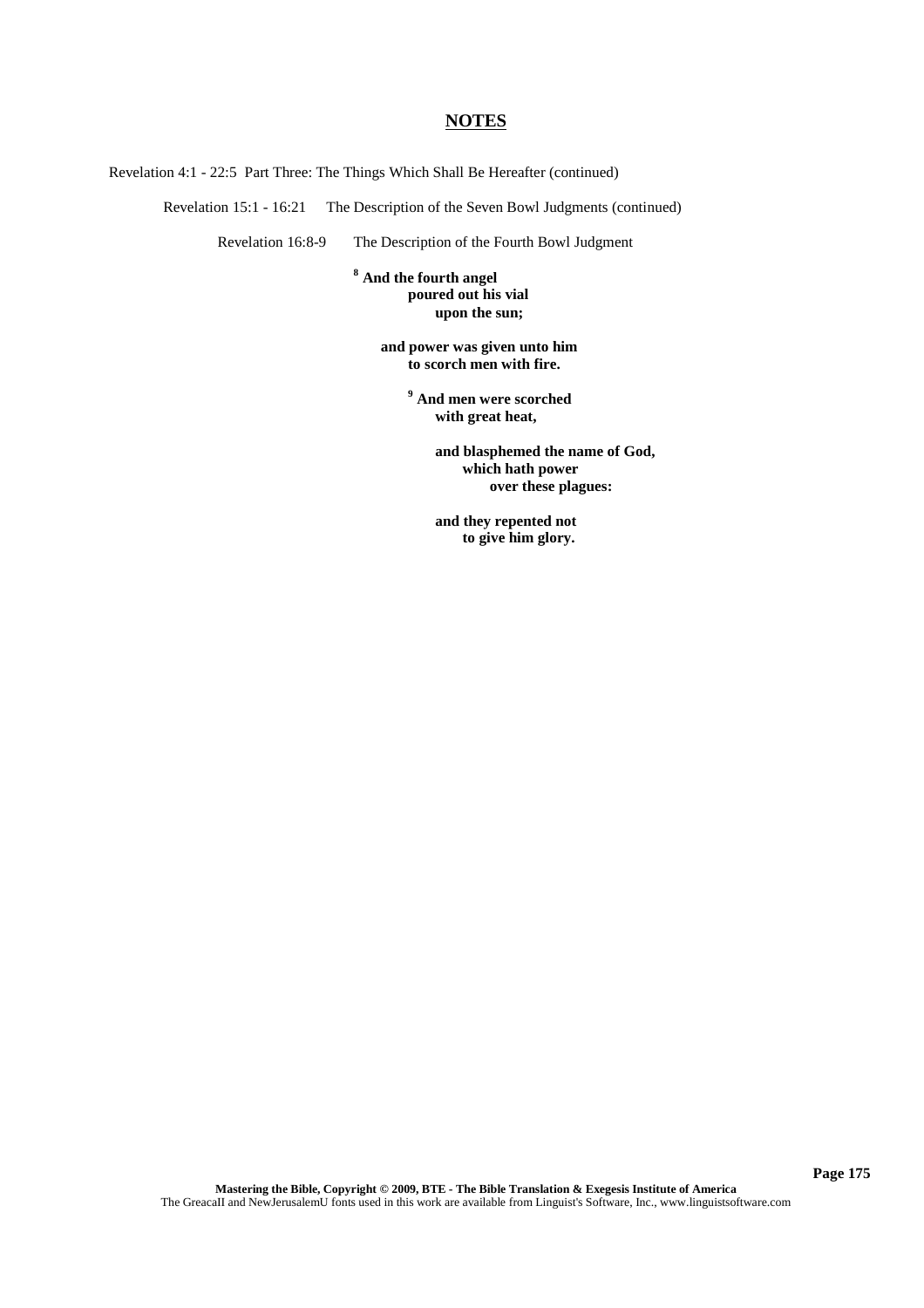Revelation 4:1 - 22:5 Part Three: The Things Which Shall Be Hereafter (continued)

Revelation 15:1 - 16:21 The Description of the Seven Bowl Judgments (continued)

Revelation 16:8-9 The Description of the Fourth Bowl Judgment

**<sup>8</sup> And the fourth angel poured out his vial upon the sun;**

> **and power was given unto him to scorch men with fire.**

> > **<sup>9</sup> And men were scorched with great heat,**

> > > **and blasphemed the name of God, which hath power over these plagues:**

**and they repented not to give him glory.**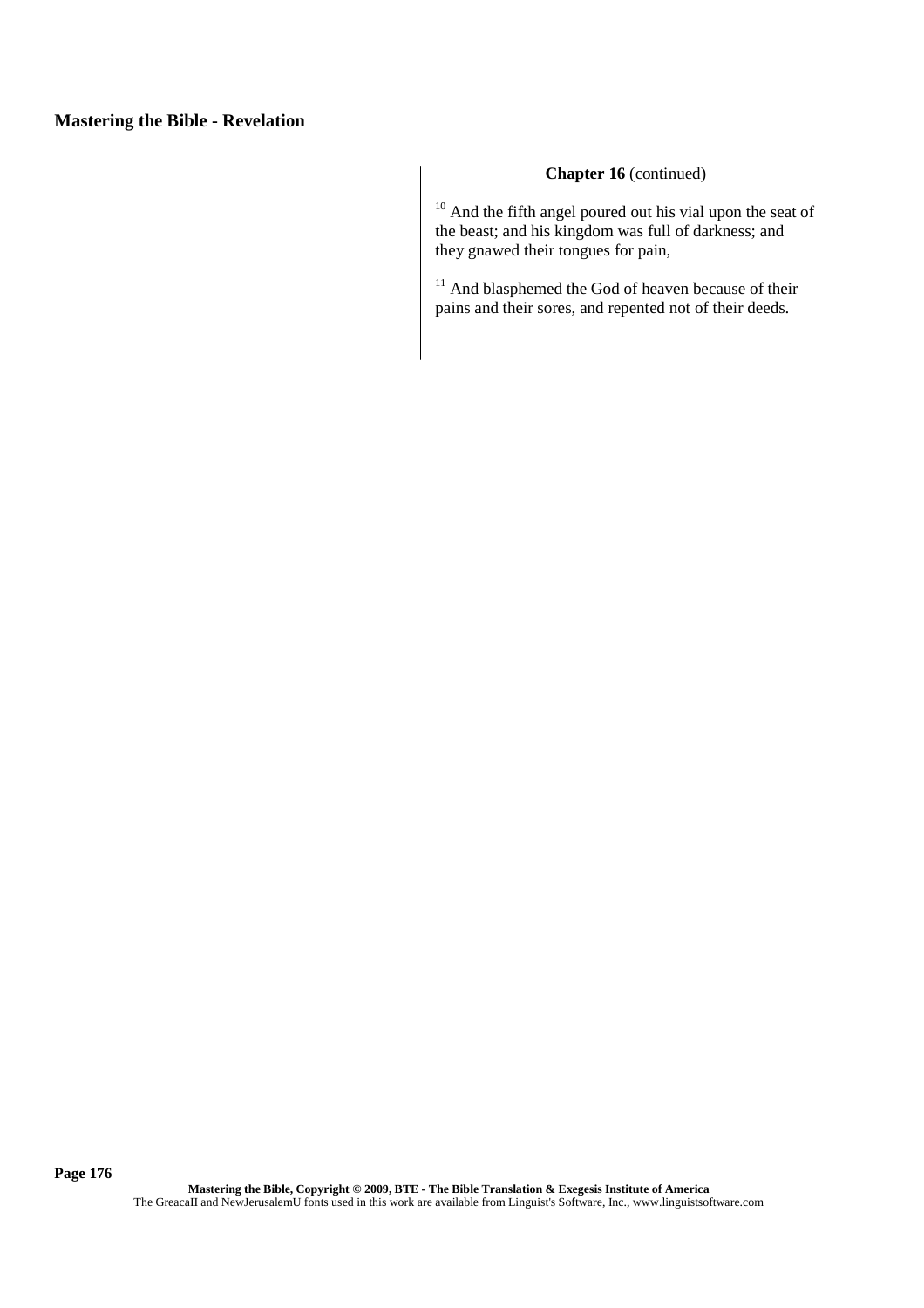# **Chapter 16** (continued)

<sup>10</sup> And the fifth angel poured out his vial upon the seat of the beast; and his kingdom was full of darkness; and they gnawed their tongues for pain,

 $11$  And blasphemed the God of heaven because of their pains and their sores, and repented not of their deeds.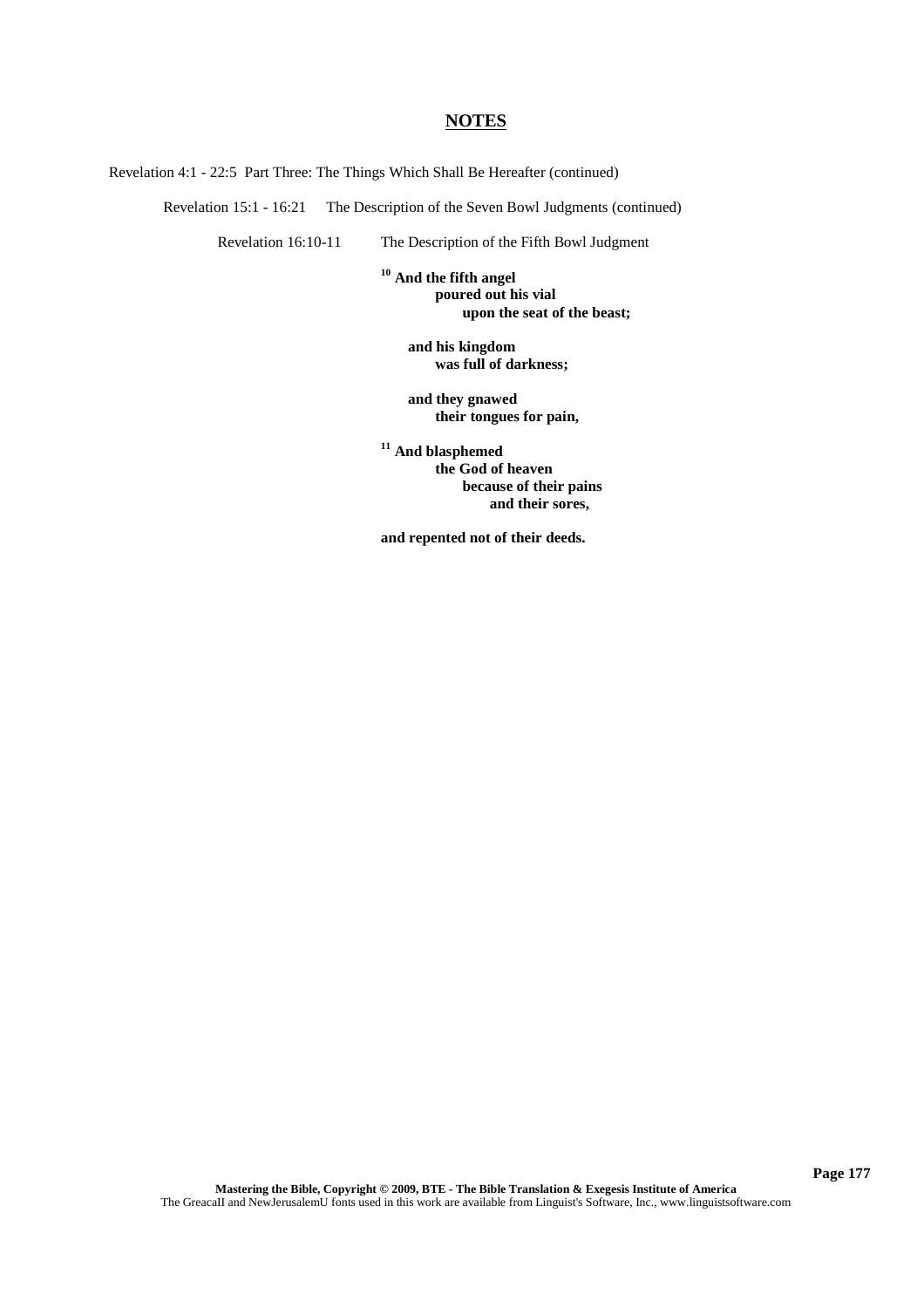Revelation 4:1 - 22:5 Part Three: The Things Which Shall Be Hereafter (continued)

Revelation 15:1 - 16:21 The Description of the Seven Bowl Judgments (continued)

Revelation 16:10-11 The Description of the Fifth Bowl Judgment

**<sup>10</sup> And the fifth angel poured out his vial upon the seat of the beast;**

> **and his kingdom was full of darkness;**

**and they gnawed their tongues for pain,**

**<sup>11</sup> And blasphemed the God of heaven because of their pains and their sores,**

**and repented not of their deeds.**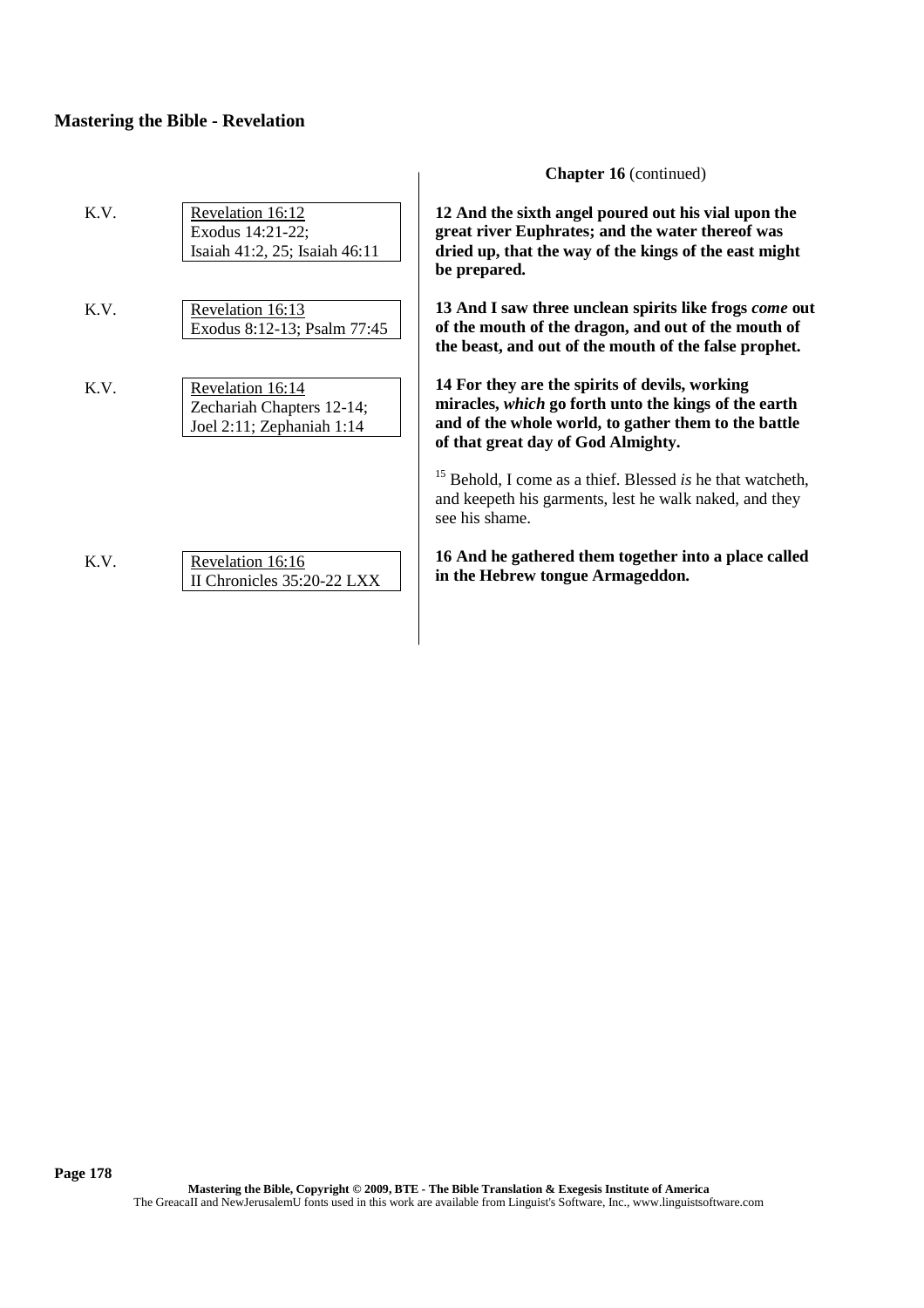| K.V. | Revelation 16:12<br>Exodus 14:21-22;<br>Isaiah 41:2, 25; Isaiah 46:11      | 12 And the<br>great river<br>dried up, tl<br>be prepare  |
|------|----------------------------------------------------------------------------|----------------------------------------------------------|
| K.V. | Revelation 16:13<br>Exodus 8:12-13; Psalm 77:45                            | 13 And I sa<br>of the mou<br>the beast, a                |
| K.V. | Revelation 16:14<br>Zechariah Chapters 12-14;<br>Joel 2:11; Zephaniah 1:14 | 14 For they<br>miracles, w<br>and of the<br>of that grea |
|      |                                                                            | Behold, I<br>and keepeth<br>see his shan                 |
| K.V. | Revelation 16:16<br>II Chronicles 35:20-22 LXX                             | 16 And he<br>in the Hebi                                 |

 $\overline{\phantom{a}}$ 

## **Chapter 16** (continued)

sixth angel poured out his vial upon the Euphrates; and the water thereof was hat the way of the kings of the east might **be prepared.**

**13 And I saw three unclean spirits like frogs** *come* **out of the mouth of the dragon, and out of the mouth of** and out of the mouth of the false prophet.

**14 July 20 For the spirits of devils, working miracles,** *which* **go forth unto the kings of the earth** whole world, to gather them to the battle **of that great day of God Almighty.**

come as a thief. Blessed *is* he that watcheth, h his garments, lest he walk naked, and they ne.

**16 And he gathered them together into a place called in the Europe Armageddon.**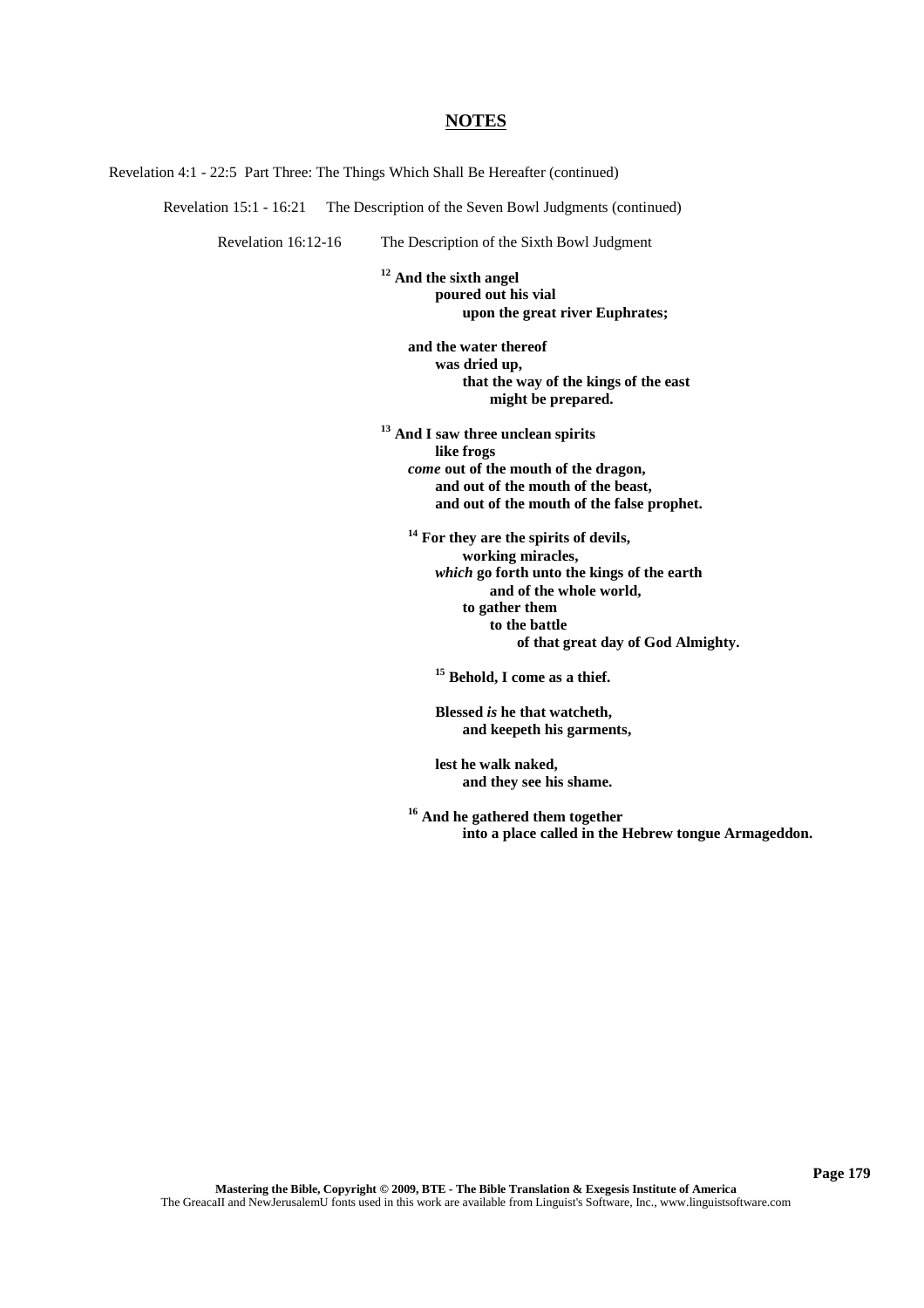Revelation 4:1 - 22:5 Part Three: The Things Which Shall Be Hereafter (continued)

Revelation 15:1 - 16:21 The Description of the Seven Bowl Judgments (continued)

Revelation 16:12-16 The Description of the Sixth Bowl Judgment

**<sup>12</sup> And the sixth angel poured out his vial upon the great river Euphrates;**

**and the water thereof was dried up, that the way of the kings of the east might be prepared.**

**<sup>13</sup> And I saw three unclean spirits like frogs** *come* **out of the mouth of the dragon, and out of the mouth of the beast, and out of the mouth of the false prophet.**

**<sup>14</sup> For they are the spirits of devils, working miracles,** *which* **go forth unto the kings of the earth and of the whole world, to gather them to the battle of that great day of God Almighty.**

**<sup>15</sup> Behold, I come as a thief.**

**Blessed** *is* **he that watcheth, and keepeth his garments,**

**lest he walk naked, and they see his shame.**

**<sup>16</sup> And he gathered them together into a place called in the Hebrew tongue Armageddon.**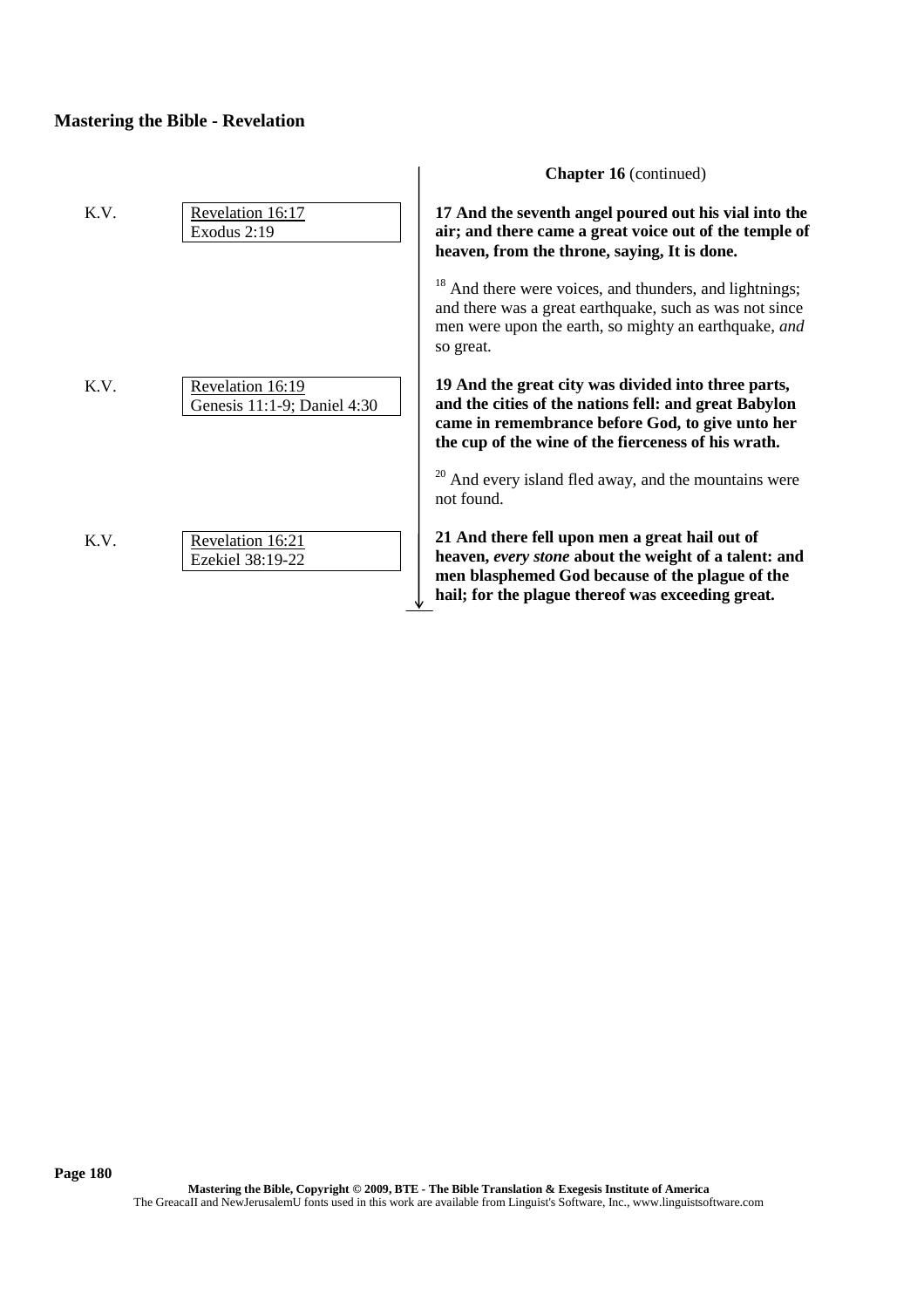|      |                                                 | <b>Chapter 16</b> (continued)                                                                                                                                                                                           |
|------|-------------------------------------------------|-------------------------------------------------------------------------------------------------------------------------------------------------------------------------------------------------------------------------|
| K.V. | Revelation 16:17<br>Exodus 2:19                 | 17 And the seventh angel poured out his vial into the<br>air; and there came a great voice out of the temple of<br>heaven, from the throne, saying, It is done.                                                         |
|      |                                                 | <sup>18</sup> And there were voices, and thunders, and lightnings;<br>and there was a great earthquake, such as was not since<br>men were upon the earth, so mighty an earthquake, and<br>so great.                     |
| K.V. | Revelation 16:19<br>Genesis 11:1-9; Daniel 4:30 | 19 And the great city was divided into three parts,<br>and the cities of the nations fell: and great Babylon<br>came in remembrance before God, to give unto her<br>the cup of the wine of the fierceness of his wrath. |
|      |                                                 | And every island fled away, and the mountains were<br>not found.                                                                                                                                                        |
| K.V. | Revelation 16:21<br>Ezekiel 38:19-22            | 21 And there fell upon men a great hail out of<br>heaven, every stone about the weight of a talent: and<br>men blasphemed God because of the plague of the<br>hail; for the plague thereof was exceeding great.         |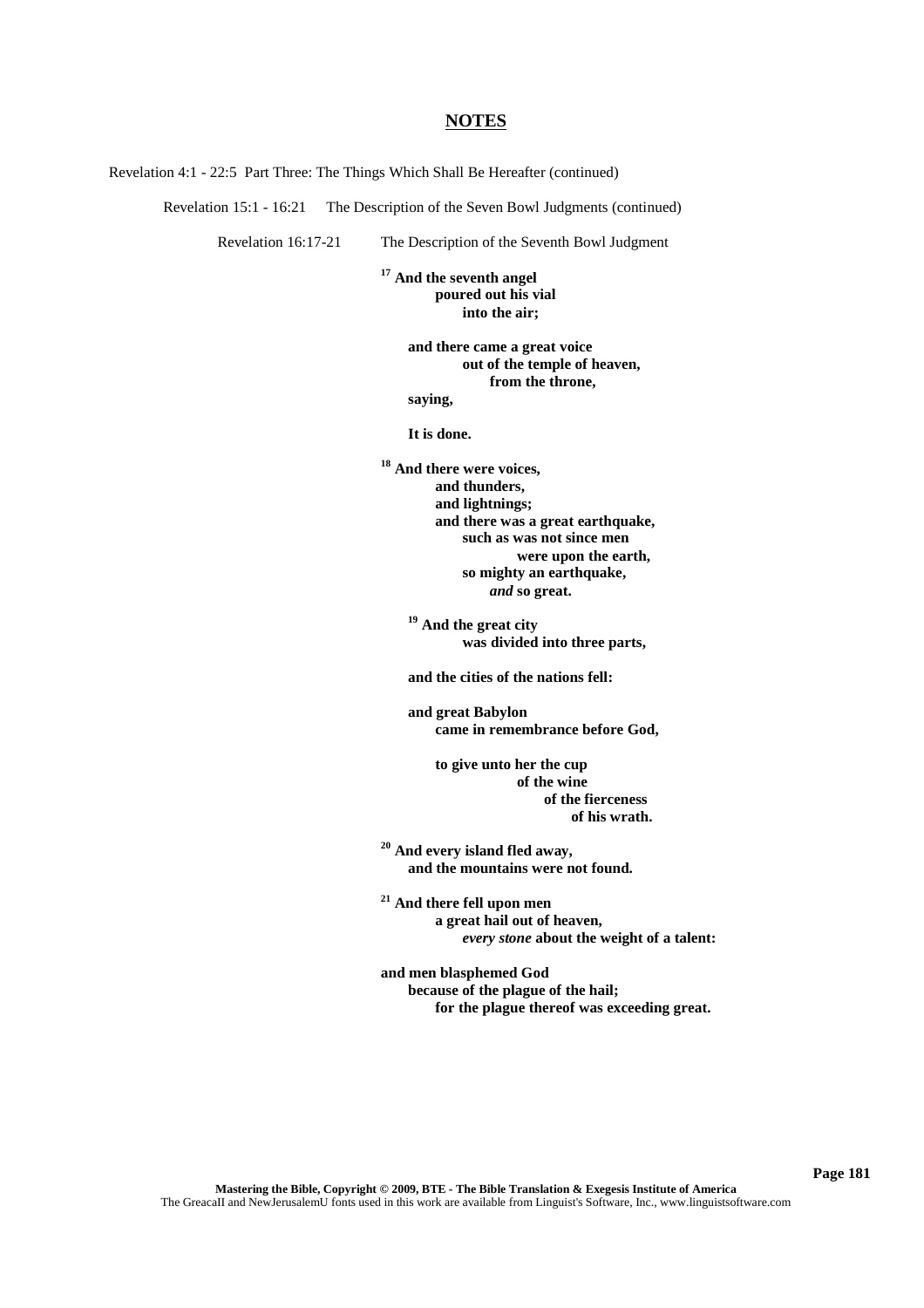Revelation 4:1 - 22:5 Part Three: The Things Which Shall Be Hereafter (continued)

Revelation 15:1 - 16:21 The Description of the Seven Bowl Judgments (continued)

Revelation 16:17-21 The Description of the Seventh Bowl Judgment

**<sup>17</sup> And the seventh angel poured out his vial into the air;**

> **and there came a great voice out of the temple of heaven, from the throne,**

**saying,**

**It is done.**

**<sup>18</sup> And there were voices, and thunders, and lightnings; and there was a great earthquake, such as was not since men were upon the earth, so mighty an earthquake,** *and* **so great.**

**<sup>19</sup> And the great city was divided into three parts,**

**and the cities of the nations fell:**

**and great Babylon came in remembrance before God,**

> **to give unto her the cup of the wine of the fierceness of his wrath.**

**<sup>20</sup> And every island fled away, and the mountains were not found.**

**<sup>21</sup> And there fell upon men a great hail out of heaven,** *every stone* **about the weight of a talent:**

**and men blasphemed God because of the plague of the hail; for the plague thereof was exceeding great.**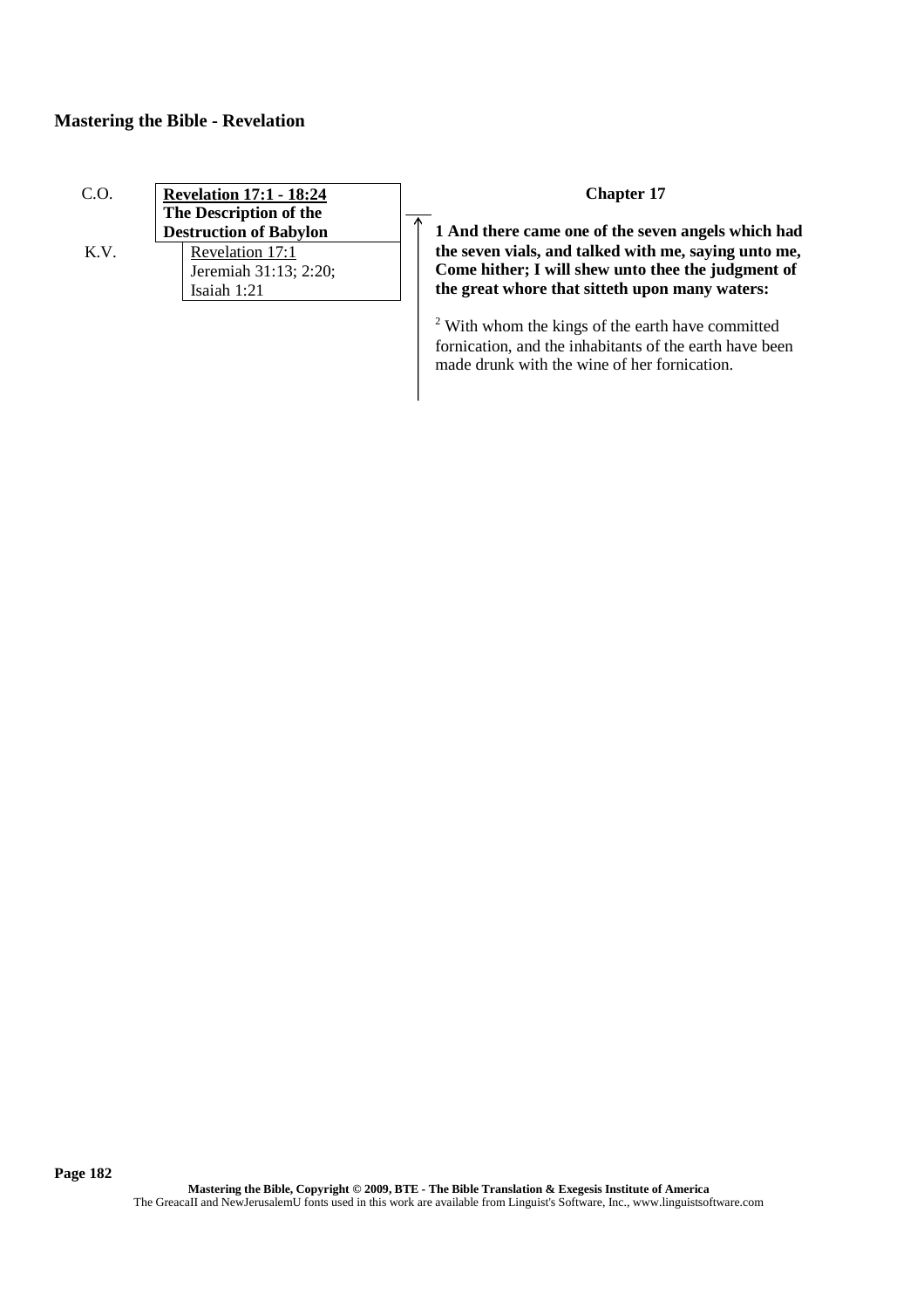- 
- C.O. **Revelation 17:1 18:24 The Description of the Destruction of Babylon** K.V. Revelation 17:1 Jeremiah 31:13; 2:20; Isaiah 1:21

## **Chapter 17**

**1 And there came one of the seven angels which had the seven vials, and talked with me, saying unto me, Come hither; I will shew unto thee the judgment of the great whore that sitteth upon many waters:**

<sup>2</sup> With whom the kings of the earth have committed fornication, and the inhabitants of the earth have been made drunk with the wine of her fornication.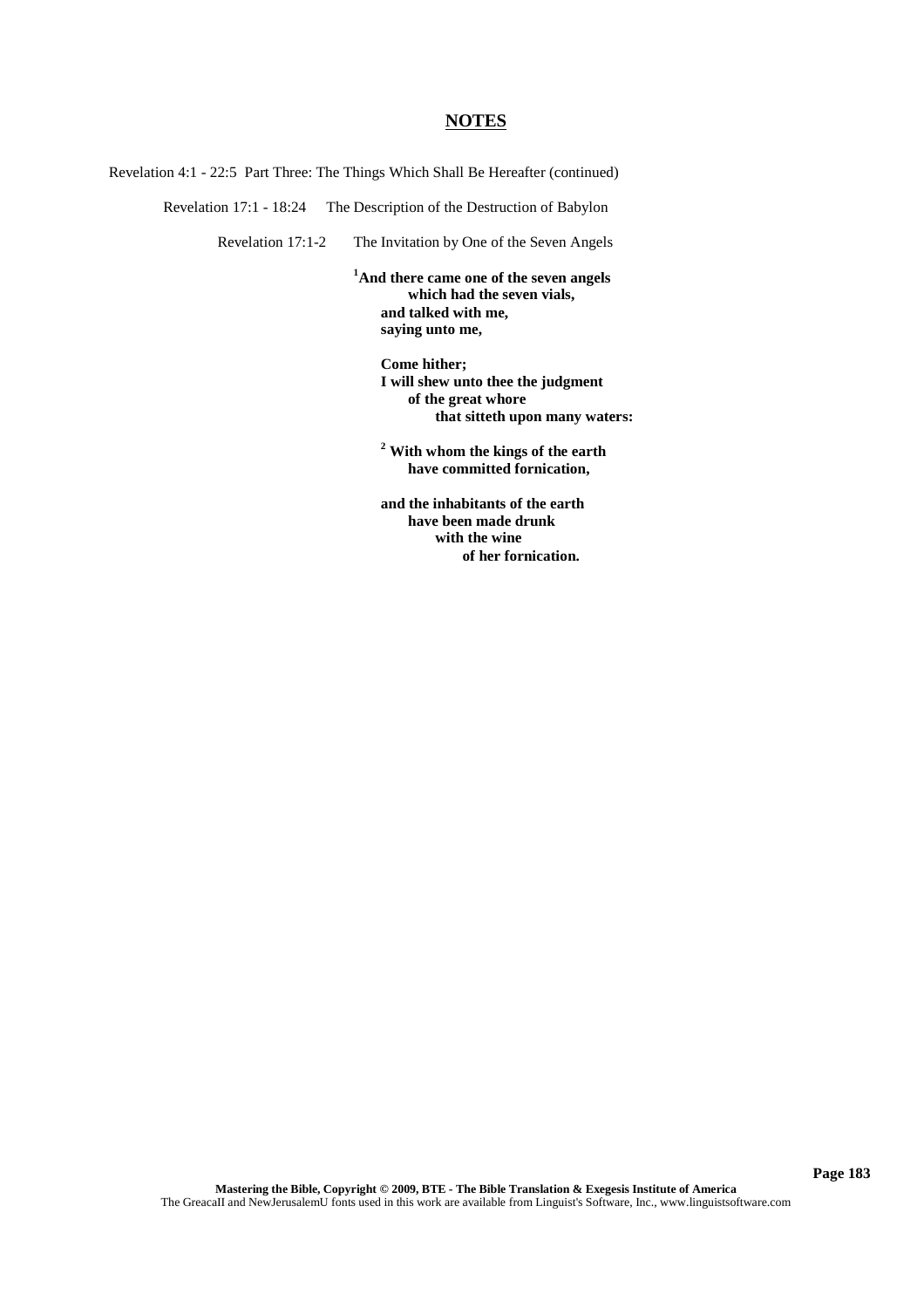Revelation 4:1 - 22:5 Part Three: The Things Which Shall Be Hereafter (continued)

Revelation 17:1 - 18:24 The Description of the Destruction of Babylon

Revelation 17:1-2 The Invitation by One of the Seven Angels

**<sup>1</sup>And there came one of the seven angels which had the seven vials, and talked with me, saying unto me,**

> **Come hither; I will shew unto thee the judgment of the great whore that sitteth upon many waters:**

**<sup>2</sup> With whom the kings of the earth have committed fornication,**

**and the inhabitants of the earth have been made drunk with the wine of her fornication.**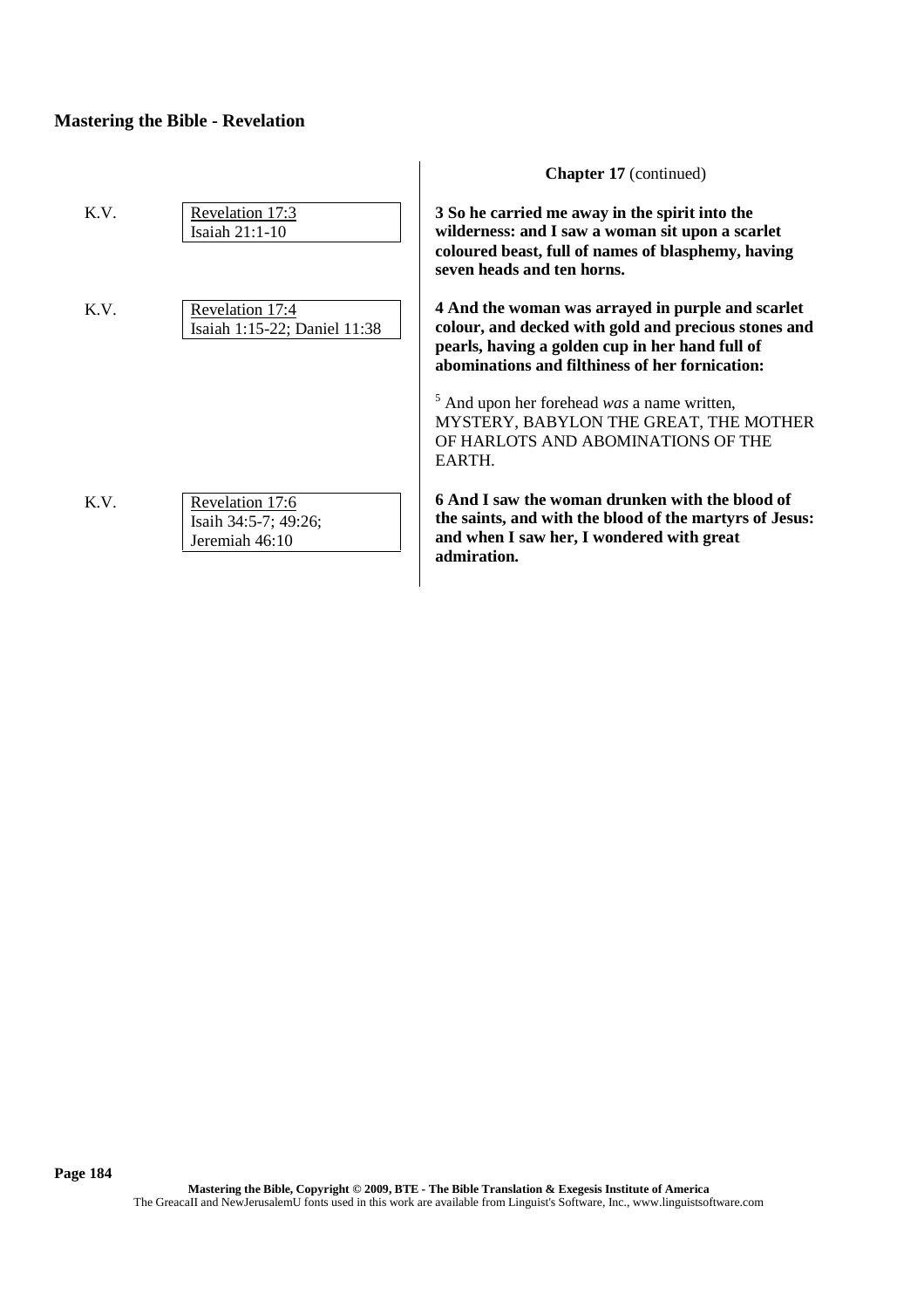|      |                                                           | <b>Chapter 17</b> (continued)                                                                                                                                                                                   |
|------|-----------------------------------------------------------|-----------------------------------------------------------------------------------------------------------------------------------------------------------------------------------------------------------------|
| K.V. | Revelation 17:3<br>Isaiah $21:1-10$                       | 3 So he carried me away in the spirit into the<br>wilderness: and I saw a woman sit upon a scarlet<br>coloured beast, full of names of blasphemy, having<br>seven heads and ten horns.                          |
| K.V. | Revelation 17:4<br>Isaiah 1:15-22; Daniel 11:38           | 4 And the woman was arrayed in purple and scarlet<br>colour, and decked with gold and precious stones and<br>pearls, having a golden cup in her hand full of<br>abominations and filthiness of her fornication: |
|      |                                                           | And upon her forehead was a name written,<br>MYSTERY, BABYLON THE GREAT, THE MOTHER<br>OF HARLOTS AND ABOMINATIONS OF THE<br>EARTH.                                                                             |
| K.V. | Revelation 17:6<br>Isaih 34:5-7; 49:26;<br>Jeremiah 46:10 | 6 And I saw the woman drunken with the blood of<br>the saints, and with the blood of the martyrs of Jesus:<br>and when I saw her, I wondered with great<br>admiration.                                          |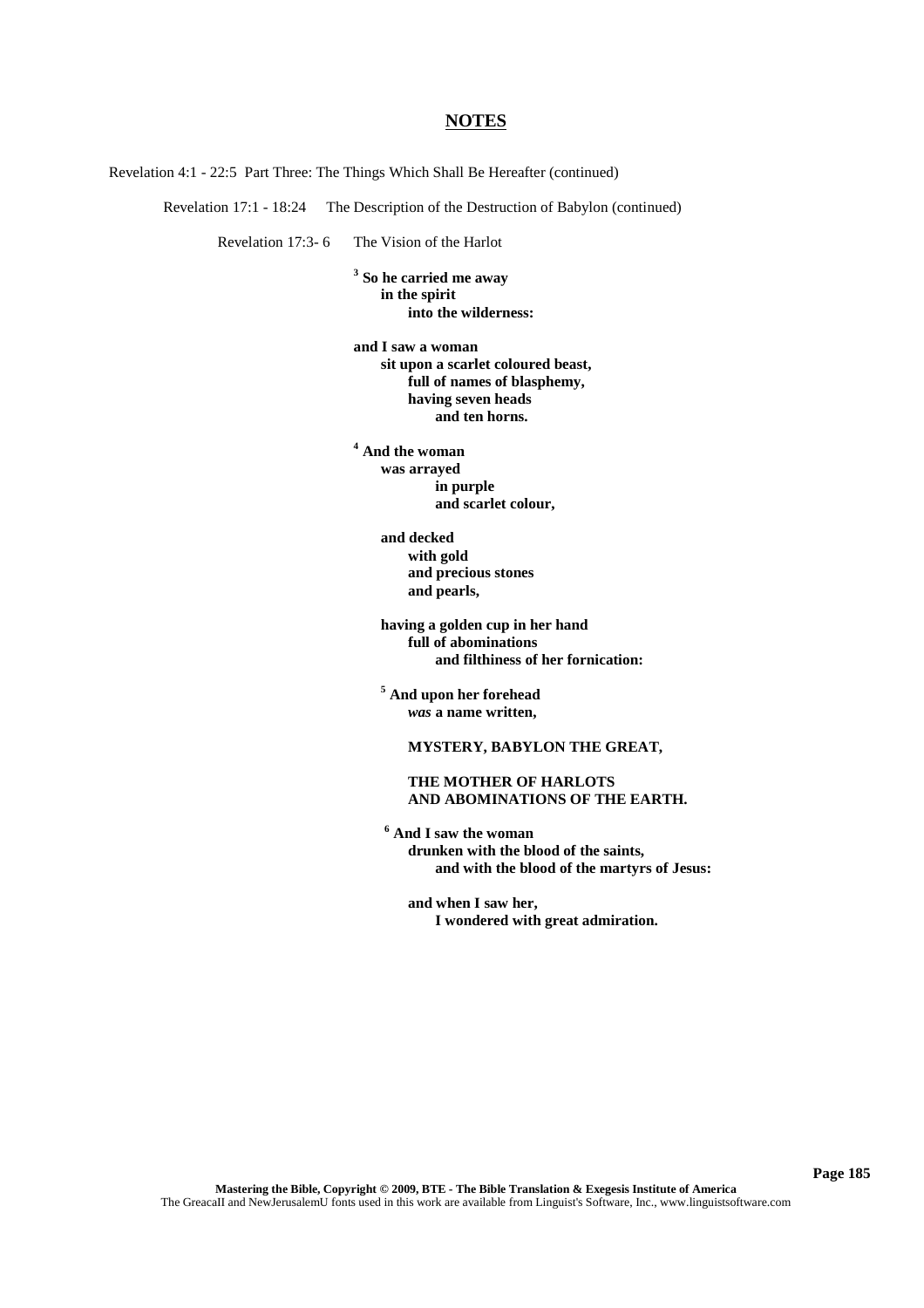Revelation 4:1 - 22:5 Part Three: The Things Which Shall Be Hereafter (continued)

Revelation 17:1 - 18:24 The Description of the Destruction of Babylon (continued)

Revelation 17:3- 6 The Vision of the Harlot

**3 So he carried me away in the spirit into the wilderness:**

**and I saw a woman sit upon a scarlet coloured beast, full of names of blasphemy, having seven heads and ten horns.**

**<sup>4</sup> And the woman was arrayed in purple and scarlet colour,**

> **and decked with gold and precious stones and pearls,**

**having a golden cup in her hand full of abominations and filthiness of her fornication:**

**<sup>5</sup> And upon her forehead** *was* **a name written,**

**MYSTERY, BABYLON THE GREAT,**

**THE MOTHER OF HARLOTS AND ABOMINATIONS OF THE EARTH.**

**<sup>6</sup> And I saw the woman drunken with the blood of the saints, and with the blood of the martyrs of Jesus:**

**and when I saw her, I wondered with great admiration.**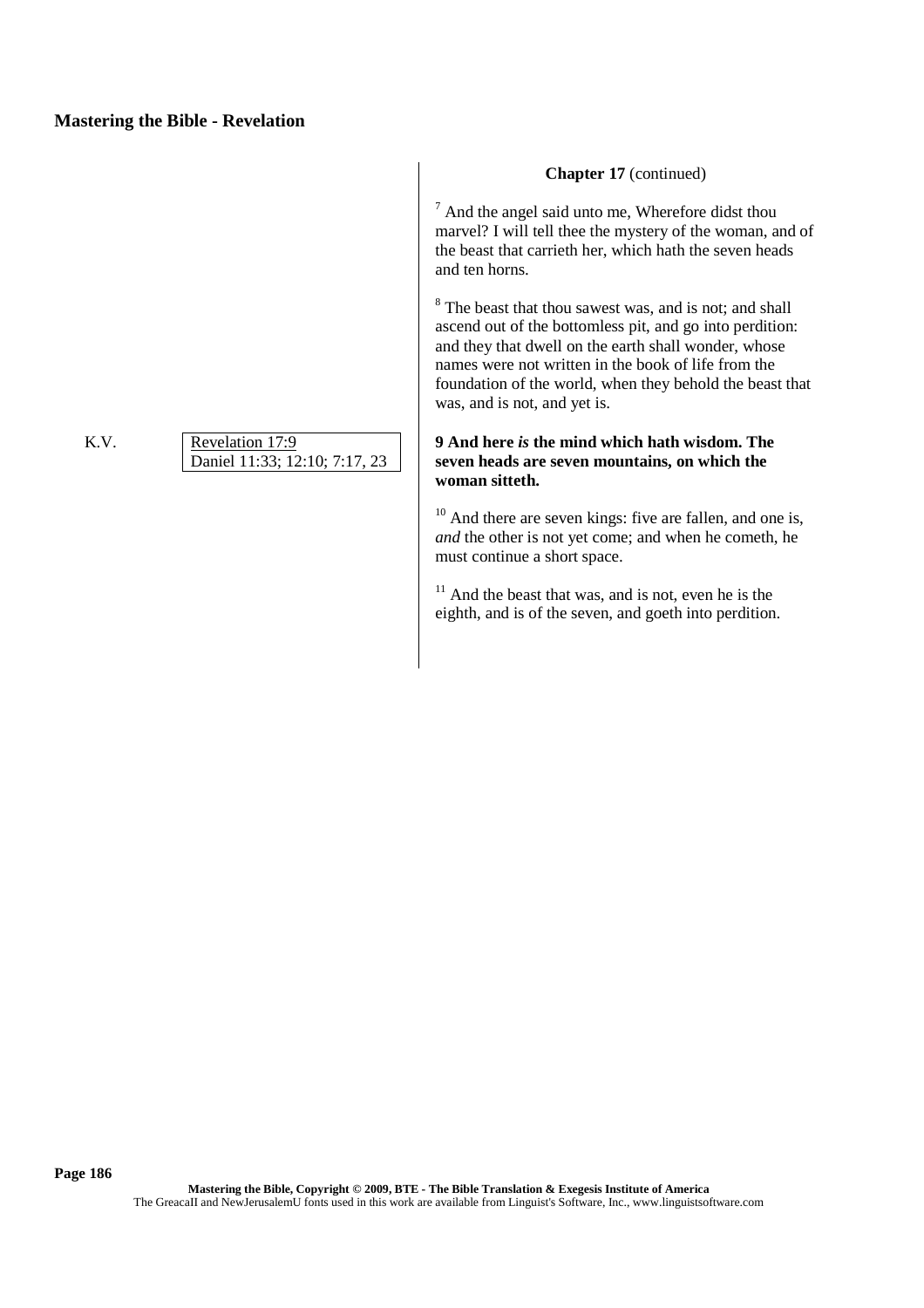K.V. Revelation 17:9 Daniel 11:33; 12:10; 7:17, 23

## **Chapter 17** (continued)

 $<sup>7</sup>$  And the angel said unto me, Wherefore didst thou</sup> marvel? I will tell thee the mystery of the woman, and of the beast that carrieth her, which hath the seven heads and ten horns.

<sup>8</sup> The beast that thou sawest was, and is not; and shall ascend out of the bottomless pit, and go into perdition: and they that dwell on the earth shall wonder, whose names were not written in the book of life from the foundation of the world, when they behold the beast that was, and is not, and yet is.

## **9 And here** *is* **the mind which hath wisdom. The seven heads are seven mountains, on which the woman sitteth.**

 $10$  And there are seven kings: five are fallen, and one is, *and* the other is not yet come; and when he cometh, he must continue a short space.

 $11$  And the beast that was, and is not, even he is the eighth, and is of the seven, and goeth into perdition.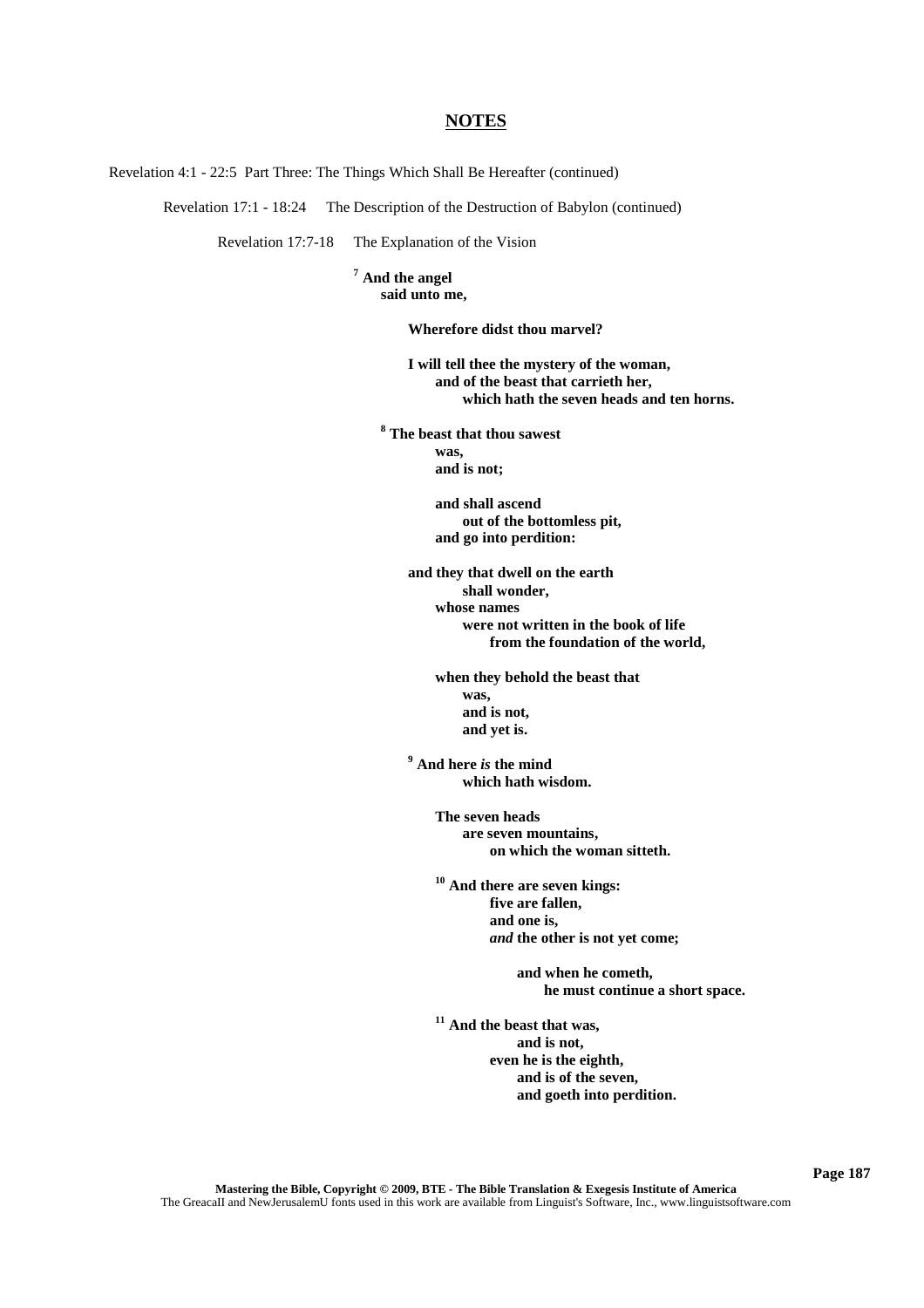Revelation 4:1 - 22:5 Part Three: The Things Which Shall Be Hereafter (continued)

Revelation 17:1 - 18:24 The Description of the Destruction of Babylon (continued)

Revelation 17:7-18 The Explanation of the Vision

**<sup>7</sup> And the angel said unto me,**

**Wherefore didst thou marvel?**

**I will tell thee the mystery of the woman, and of the beast that carrieth her, which hath the seven heads and ten horns.**

**<sup>8</sup> The beast that thou sawest was, and is not;**

> **and shall ascend out of the bottomless pit, and go into perdition:**

**and they that dwell on the earth shall wonder, whose names were not written in the book of life from the foundation of the world,**

**when they behold the beast that was, and is not, and yet is.**

**<sup>9</sup> And here** *is* **the mind which hath wisdom.**

> **The seven heads are seven mountains, on which the woman sitteth.**

**<sup>10</sup> And there are seven kings: five are fallen, and one is,** *and* **the other is not yet come;**

> **and when he cometh, he must continue a short space.**

**<sup>11</sup> And the beast that was, and is not, even he is the eighth, and is of the seven, and goeth into perdition.**

**Page 187**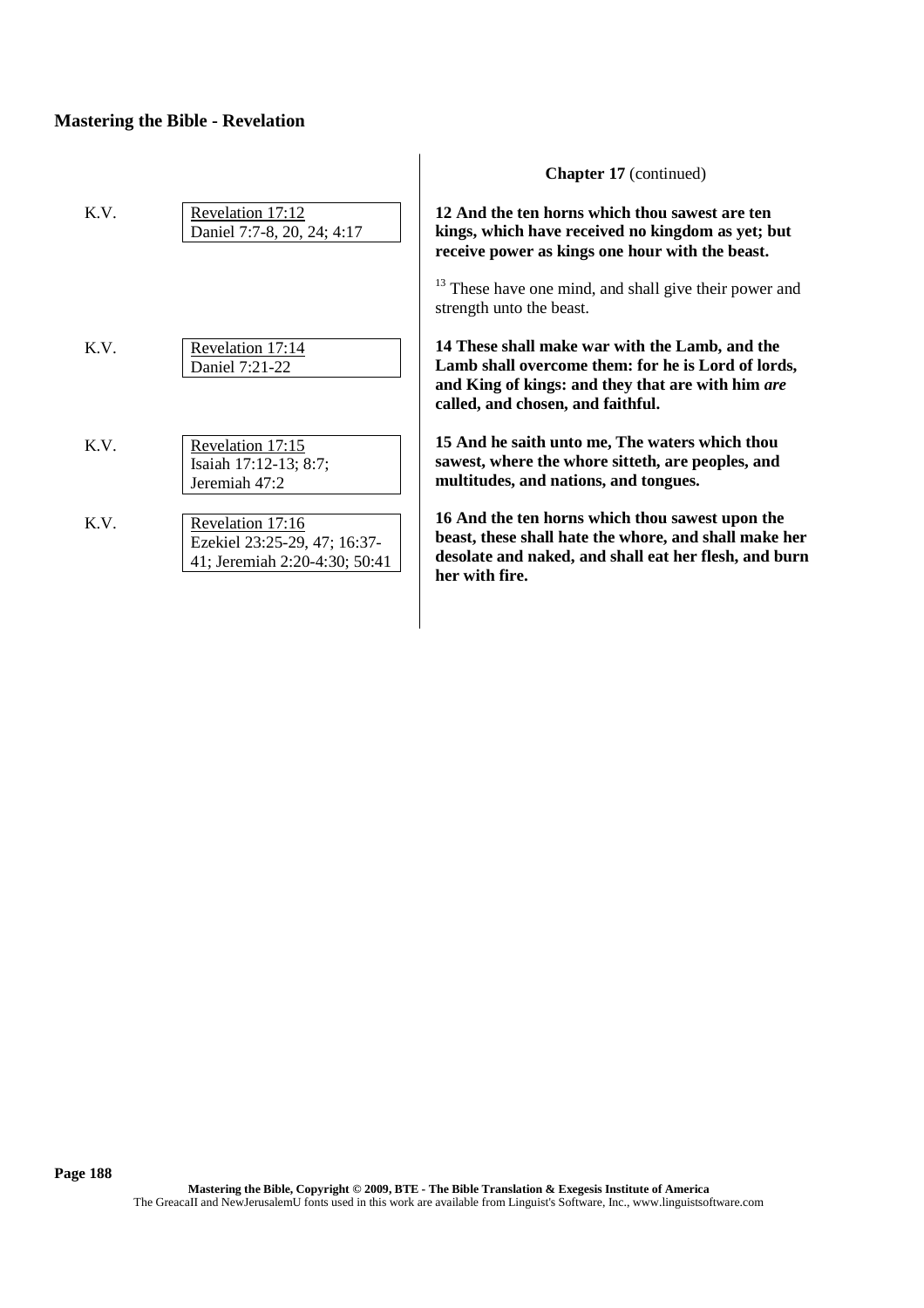|      |                                                                                   | <b>Chapter 17</b> (continued)                                                                                                                                                                  |
|------|-----------------------------------------------------------------------------------|------------------------------------------------------------------------------------------------------------------------------------------------------------------------------------------------|
| K.V. | Revelation 17:12<br>Daniel 7:7-8, 20, 24; 4:17                                    | 12 And the ten horns which thou sawest are ten<br>kings, which have received no kingdom as yet; but<br>receive power as kings one hour with the beast.                                         |
|      |                                                                                   | <sup>13</sup> These have one mind, and shall give their power and<br>strength unto the beast.                                                                                                  |
| K.V. | Revelation 17:14<br>Daniel 7:21-22                                                | 14 These shall make war with the Lamb, and the<br>Lamb shall overcome them: for he is Lord of lords,<br>and King of kings: and they that are with him are<br>called, and chosen, and faithful. |
| K.V. | Revelation 17:15<br>Isaiah 17:12-13; 8:7;<br>Jeremiah 47:2                        | 15 And he saith unto me, The waters which thou<br>sawest, where the whore sitteth, are peoples, and<br>multitudes, and nations, and tongues.                                                   |
| K.V. | Revelation 17:16<br>Ezekiel 23:25-29, 47; 16:37-<br>41; Jeremiah 2:20-4:30; 50:41 | 16 And the ten horns which thou sawest upon the<br>beast, these shall hate the whore, and shall make her<br>desolate and naked, and shall eat her flesh, and burn<br>her with fire.            |

 $\overline{1}$ 

**Page 188**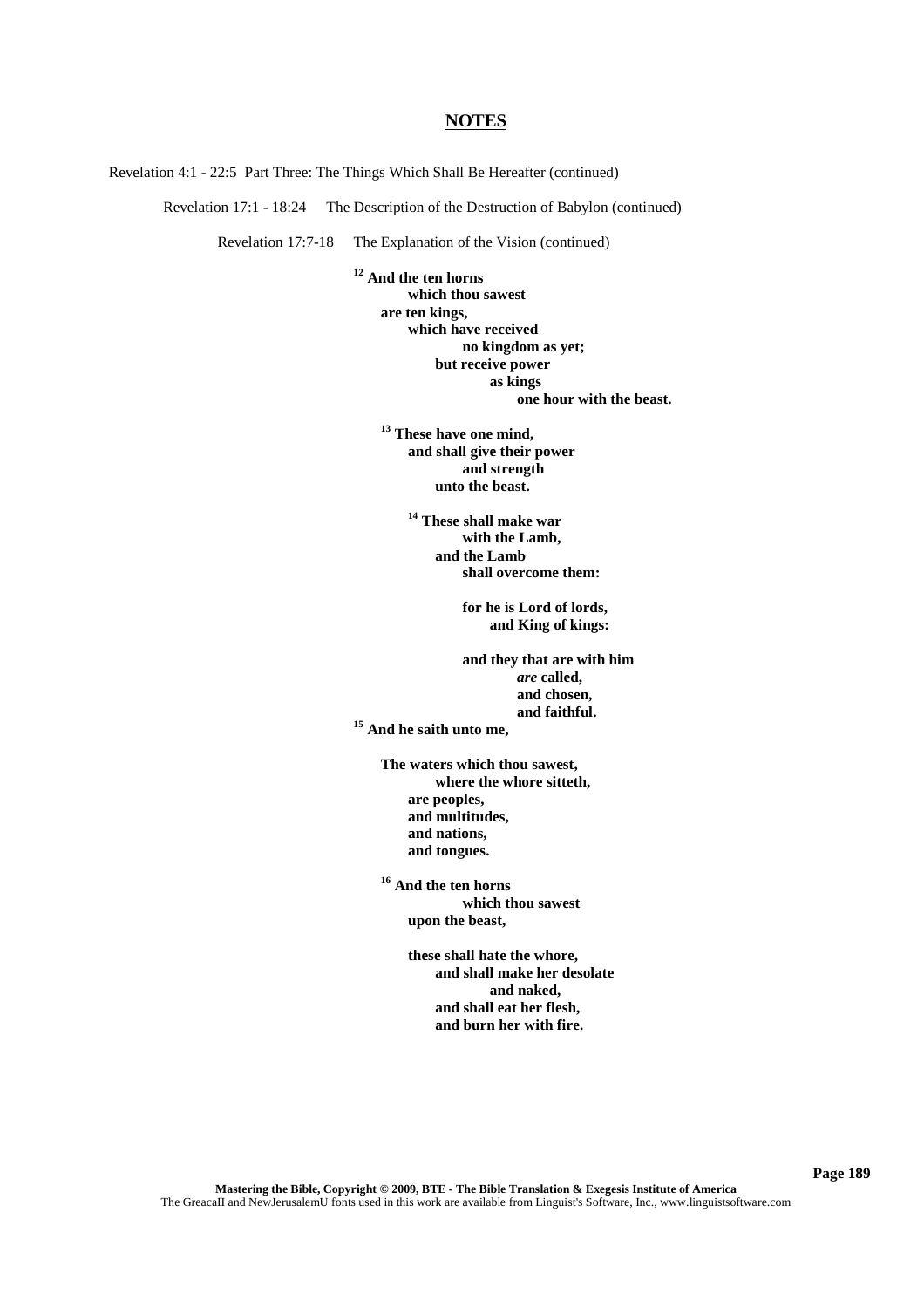Revelation 4:1 - 22:5 Part Three: The Things Which Shall Be Hereafter (continued)

Revelation 17:1 - 18:24 The Description of the Destruction of Babylon (continued)

Revelation 17:7-18 The Explanation of the Vision (continued)

**<sup>12</sup> And the ten horns which thou sawest are ten kings, which have received no kingdom as yet; but receive power as kings one hour with the beast.**

**<sup>13</sup> These have one mind, and shall give their power and strength unto the beast.**

> **<sup>14</sup> These shall make war with the Lamb, and the Lamb shall overcome them:**

> > **for he is Lord of lords, and King of kings:**

**and they that are with him** *are* **called, and chosen, and faithful.**

**<sup>15</sup> And he saith unto me,**

**The waters which thou sawest, where the whore sitteth, are peoples, and multitudes, and nations, and tongues.**

**<sup>16</sup> And the ten horns which thou sawest upon the beast,**

> **these shall hate the whore, and shall make her desolate and naked, and shall eat her flesh, and burn her with fire.**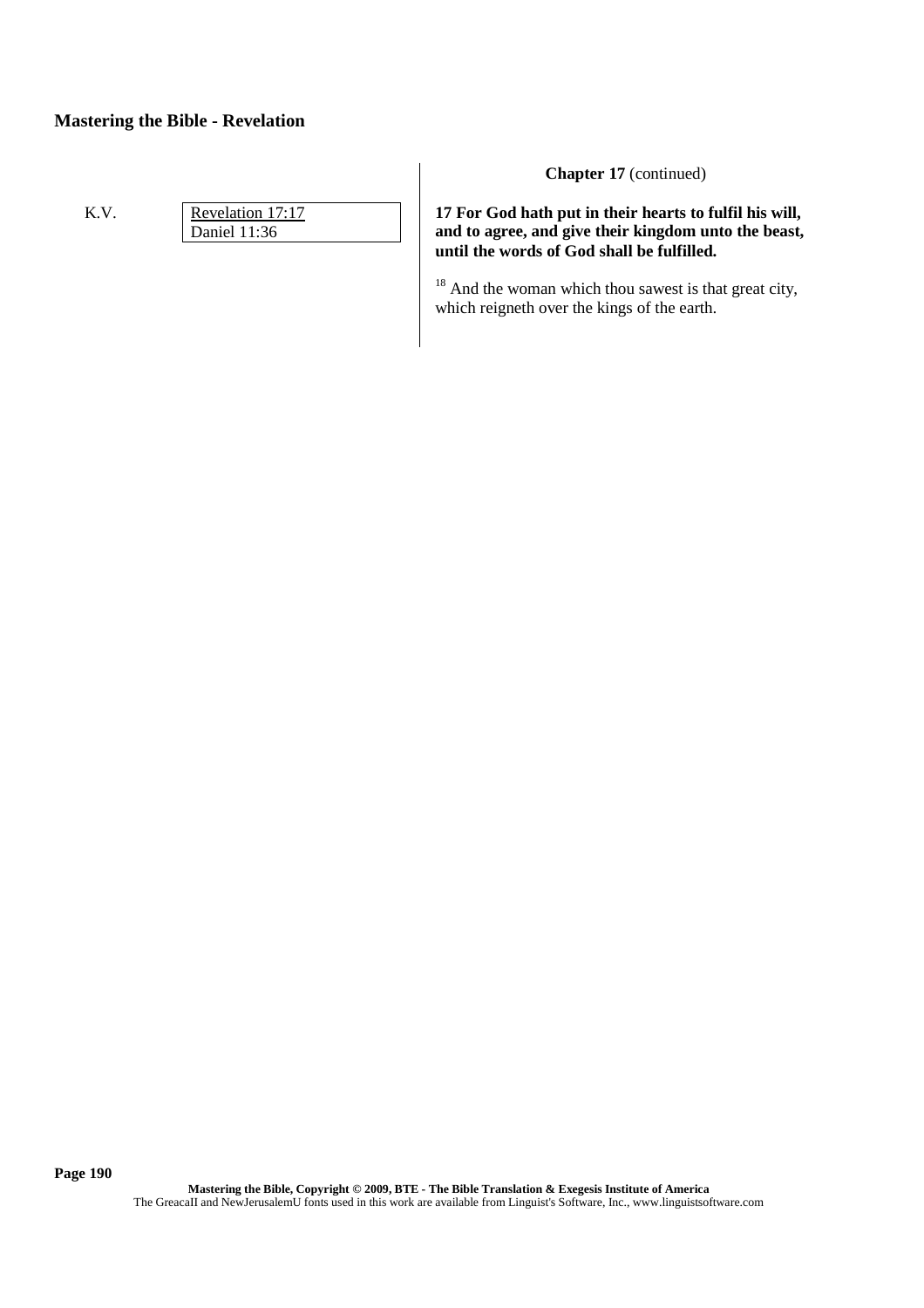# K.V. Revelation 17:17 Daniel 11:36

**Chapter 17** (continued)

**17 For God hath put in their hearts to fulfil his will, and to agree, and give their kingdom unto the beast, until the words of God shall be fulfilled.**

<sup>18</sup> And the woman which thou sawest is that great city, which reigneth over the kings of the earth.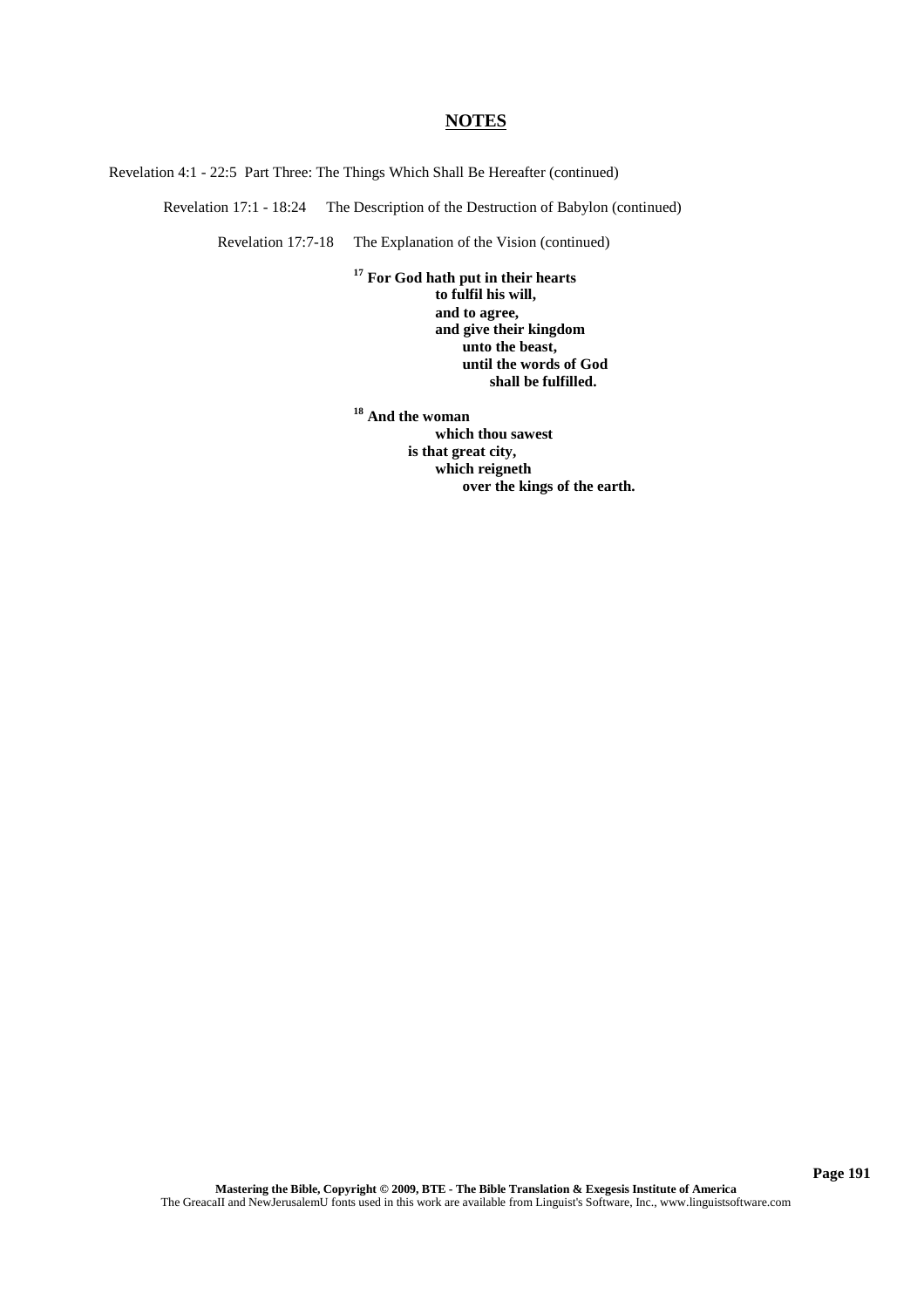Revelation 4:1 - 22:5 Part Three: The Things Which Shall Be Hereafter (continued)

Revelation 17:1 - 18:24 The Description of the Destruction of Babylon (continued)

Revelation 17:7-18 The Explanation of the Vision (continued)

**<sup>17</sup> For God hath put in their hearts to fulfil his will, and to agree, and give their kingdom unto the beast, until the words of God shall be fulfilled.**

**<sup>18</sup> And the woman which thou sawest is that great city, which reigneth over the kings of the earth.**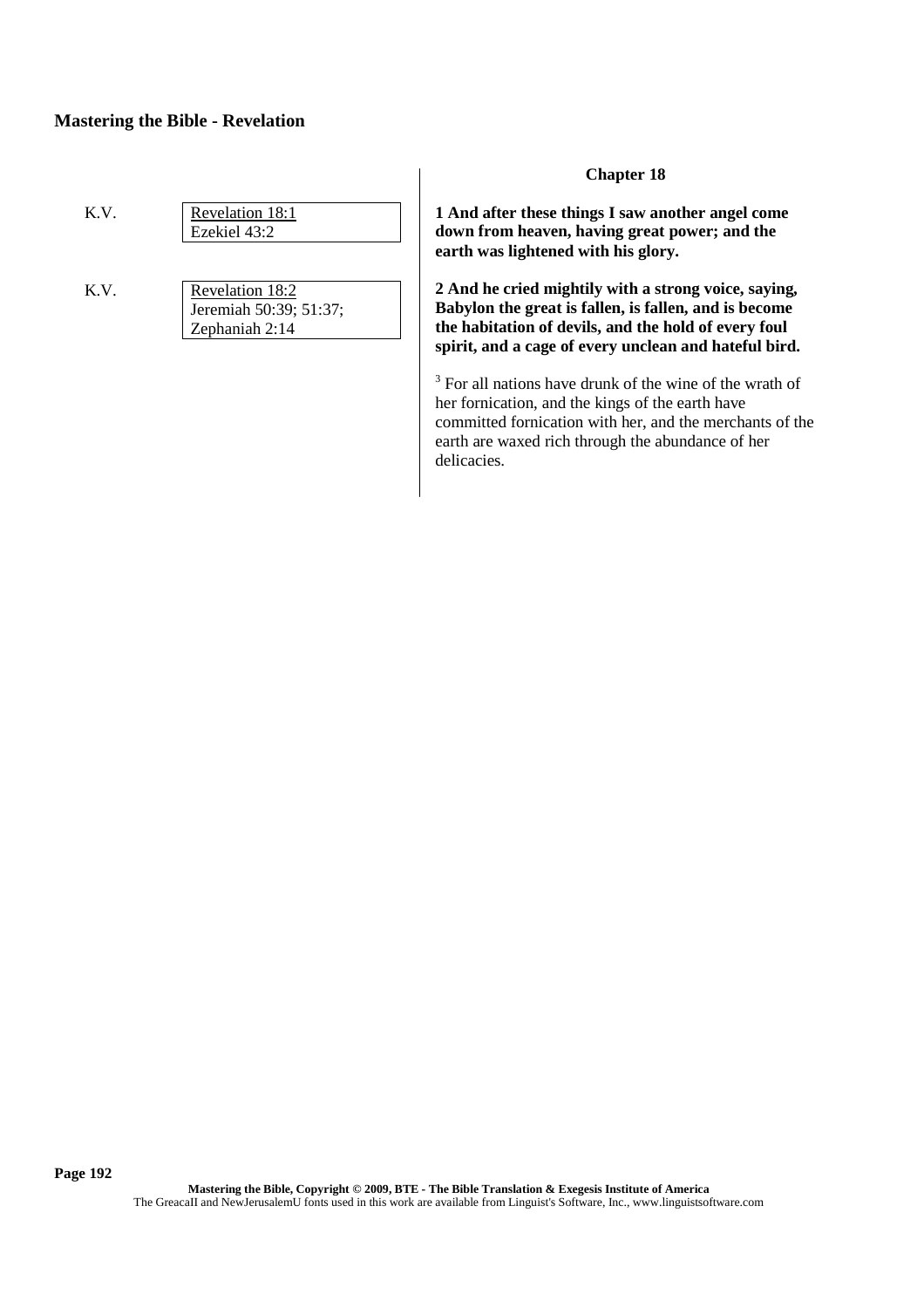| Revelation 18:1<br>Ezekiel 43:2 |
|---------------------------------|
|                                 |

K.V. Revelation 18:2 Jeremiah 50:39; 51:37; Zephaniah 2:14

### **Chapter 18**

**1 And after these things I saw another angel come down from heaven, having great power; and the earth was lightened with his glory.**

**2 And he cried mightily with a strong voice, saying, Babylon the great is fallen, is fallen, and is become the habitation of devils, and the hold of every foul spirit, and a cage of every unclean and hateful bird.**

<sup>3</sup> For all nations have drunk of the wine of the wrath of her fornication, and the kings of the earth have committed fornication with her, and the merchants of the earth are waxed rich through the abundance of her delicacies.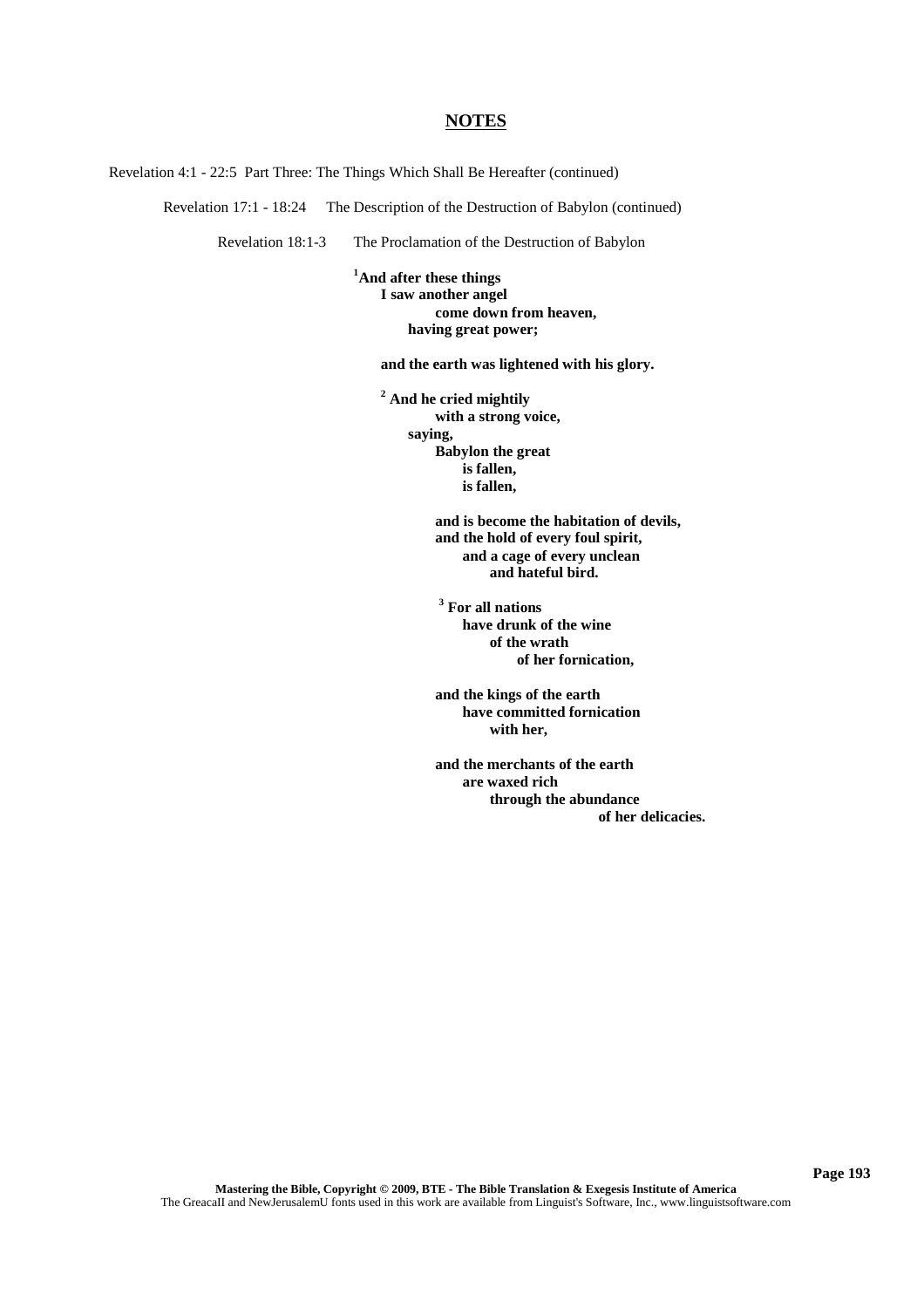Revelation 4:1 - 22:5 Part Three: The Things Which Shall Be Hereafter (continued)

Revelation 17:1 - 18:24 The Description of the Destruction of Babylon (continued)

Revelation 18:1-3 The Proclamation of the Destruction of Babylon

**<sup>1</sup>And after these things I saw another angel come down from heaven, having great power;**

**and the earth was lightened with his glory.**

**<sup>2</sup> And he cried mightily with a strong voice, saying, Babylon the great is fallen, is fallen,**

> **and is become the habitation of devils, and the hold of every foul spirit, and a cage of every unclean and hateful bird.**

**<sup>3</sup> For all nations have drunk of the wine of the wrath of her fornication,**

**and the kings of the earth have committed fornication with her,**

**and the merchants of the earth are waxed rich through the abundance of her delicacies.**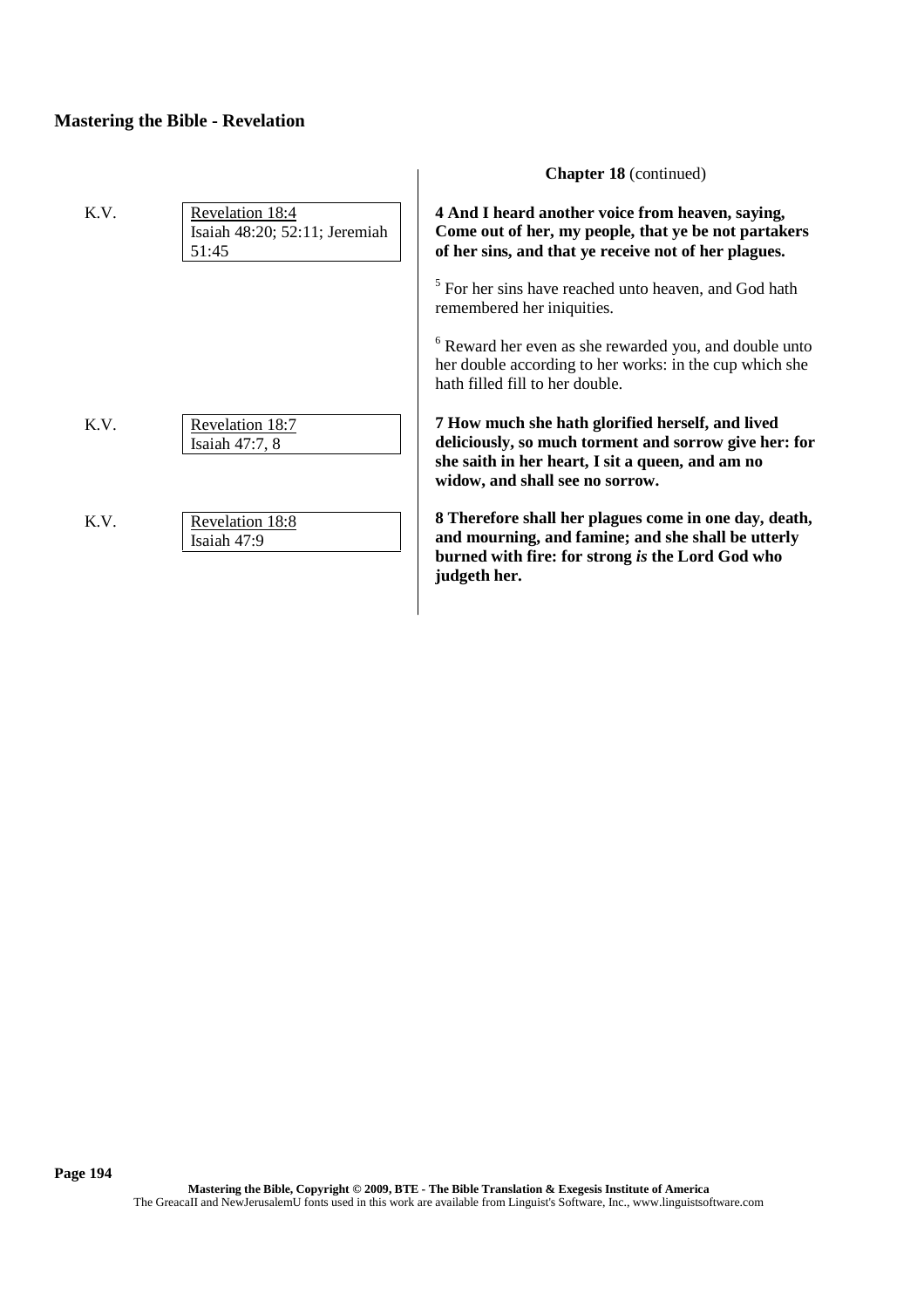|      |                                                           | <b>Chapter 18</b> (continued)                                                                                                                                                                    |
|------|-----------------------------------------------------------|--------------------------------------------------------------------------------------------------------------------------------------------------------------------------------------------------|
| K.V. | Revelation 18:4<br>Isaiah 48:20; 52:11; Jeremiah<br>51:45 | 4 And I heard another voice from heaven, saying,<br>Come out of her, my people, that ye be not partakers<br>of her sins, and that ye receive not of her plagues.                                 |
|      |                                                           | $5$ For her sins have reached unto heaven, and God hath<br>remembered her iniquities.                                                                                                            |
|      |                                                           | $6$ Reward her even as she rewarded you, and double unto<br>her double according to her works: in the cup which she<br>hath filled fill to her double.                                           |
| K.V. | Revelation 18:7<br>Isaiah 47:7, 8                         | 7 How much she hath glorified herself, and lived<br>deliciously, so much torment and sorrow give her: for<br>she saith in her heart, I sit a queen, and am no<br>widow, and shall see no sorrow. |
| K.V. | Revelation 18:8<br>Isaiah 47:9                            | 8 Therefore shall her plagues come in one day, death,<br>and mourning, and famine; and she shall be utterly<br>burned with fire: for strong is the Lord God who<br>judgeth her.                  |
|      |                                                           |                                                                                                                                                                                                  |

**Chapter 18** (continued)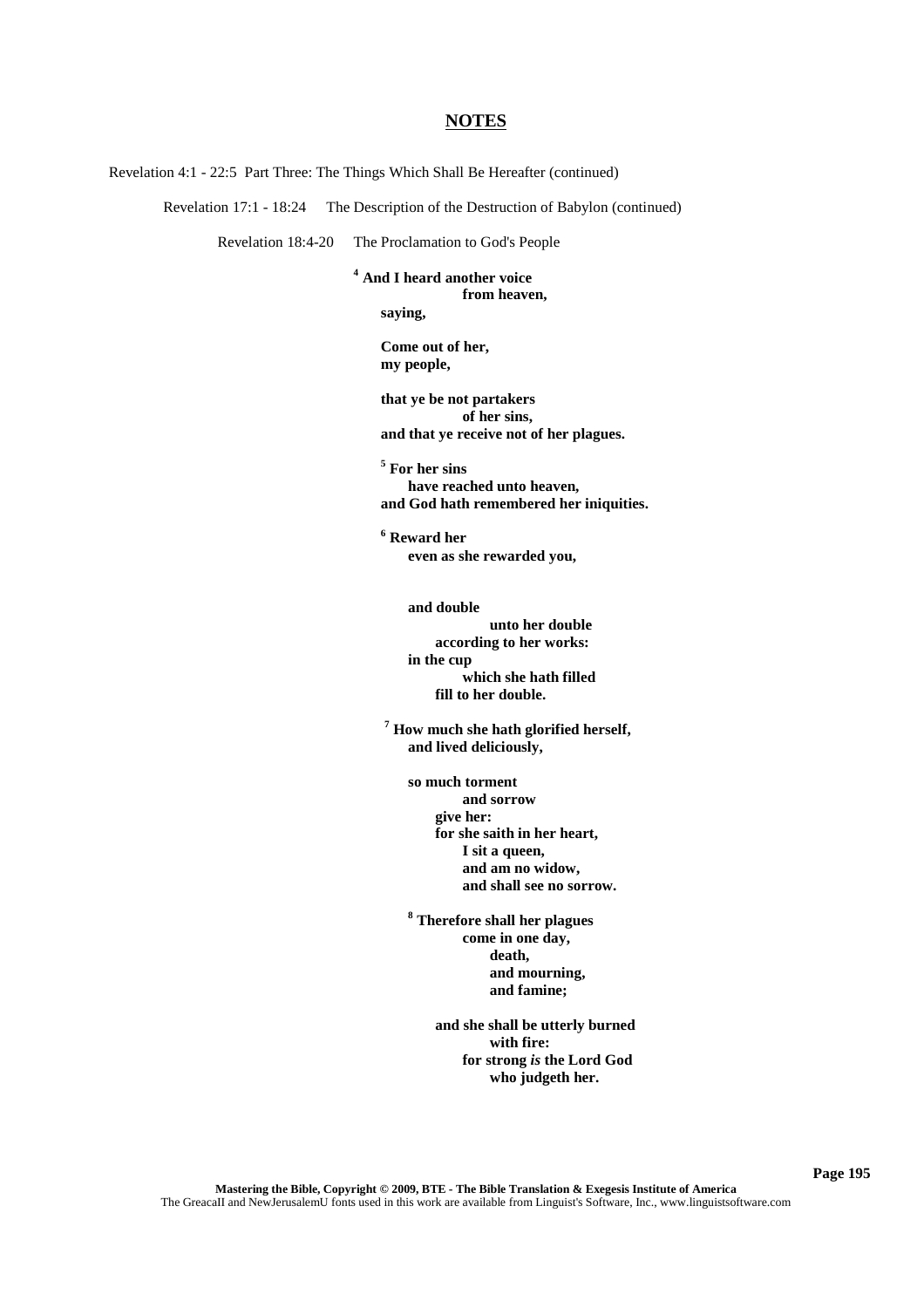Revelation 4:1 - 22:5 Part Three: The Things Which Shall Be Hereafter (continued)

Revelation 17:1 - 18:24 The Description of the Destruction of Babylon (continued)

Revelation 18:4-20 The Proclamation to God's People

**<sup>4</sup> And I heard another voice from heaven, saying,**

> **Come out of her, my people,**

**that ye be not partakers of her sins, and that ye receive not of her plagues.**

**<sup>5</sup> For her sins have reached unto heaven, and God hath remembered her iniquities.**

**<sup>6</sup> Reward her even as she rewarded you,**

> **and double unto her double according to her works: in the cup which she hath filled fill to her double.**

**<sup>7</sup> How much she hath glorified herself, and lived deliciously,**

**so much torment and sorrow give her: for she saith in her heart, I sit a queen, and am no widow, and shall see no sorrow.**

**<sup>8</sup> Therefore shall her plagues come in one day, death, and mourning, and famine;**

> **and she shall be utterly burned with fire: for strong** *is* **the Lord God who judgeth her.**

**Page 195**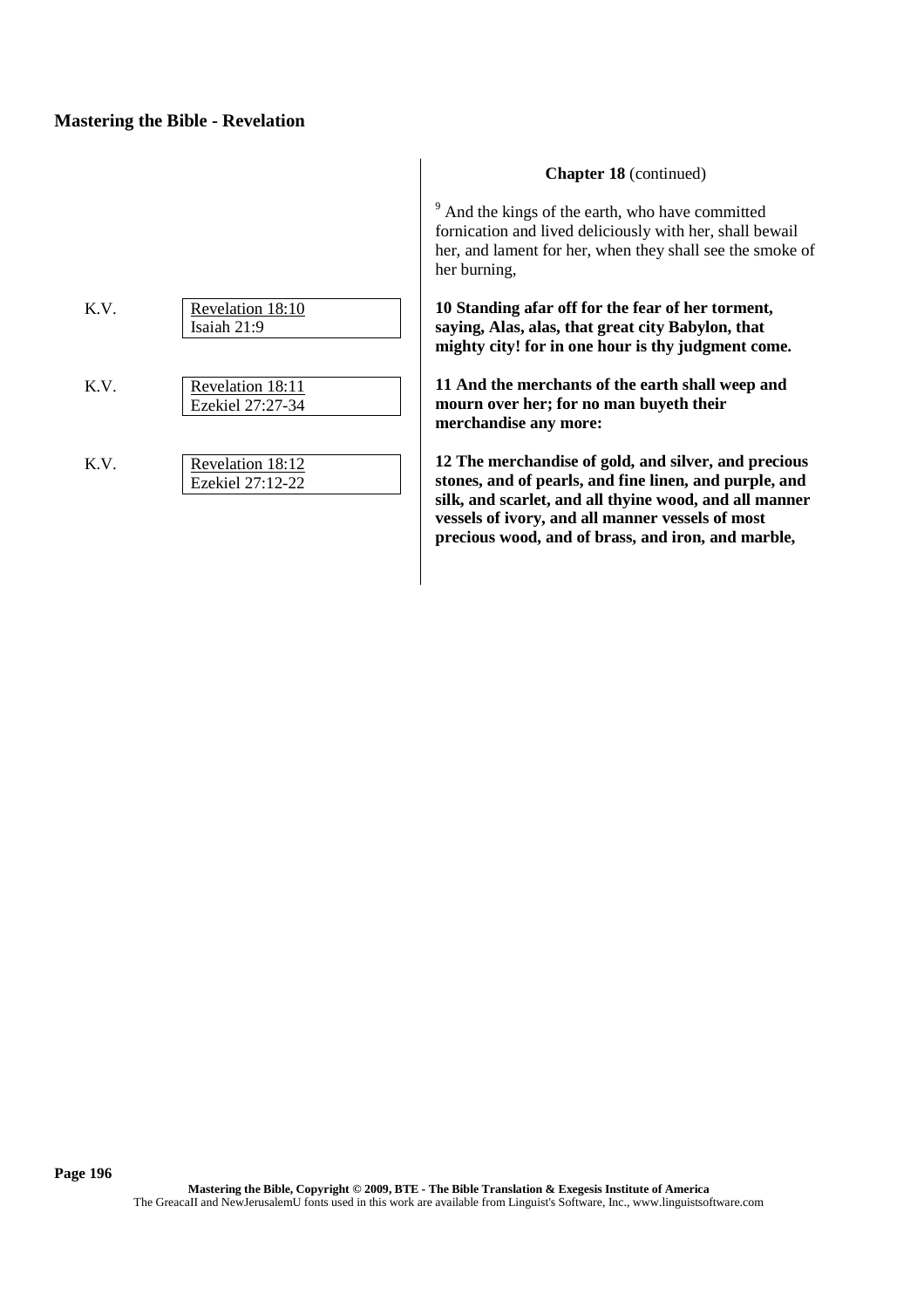| K.V. | Revelation 18:10<br>Isaiah 21:9      |
|------|--------------------------------------|
| K.V. | Revelation 18:11<br>Ezekiel 27:27-34 |
| K.V. | Revelation 18:12<br>Ezekiel 27:12-22 |

## **Chapter 18** (continued)

 $9$  And the kings of the earth, who have committed fornication and lived deliciously with her, shall bewail her, and lament for her, when they shall see the smoke of her burning,

**10 Standing afar off for the fear of her torment, saying, Alas, alas, that great city Babylon, that mighty city! for in one hour is thy judgment come.**

**11 And the merchants of the earth shall weep and mourn over her; for no man buyeth their merchandise any more:**

**12 The merchandise of gold, and silver, and precious stones, and of pearls, and fine linen, and purple, and silk, and scarlet, and all thyine wood, and all manner vessels of ivory, and all manner vessels of most precious wood, and of brass, and iron, and marble,**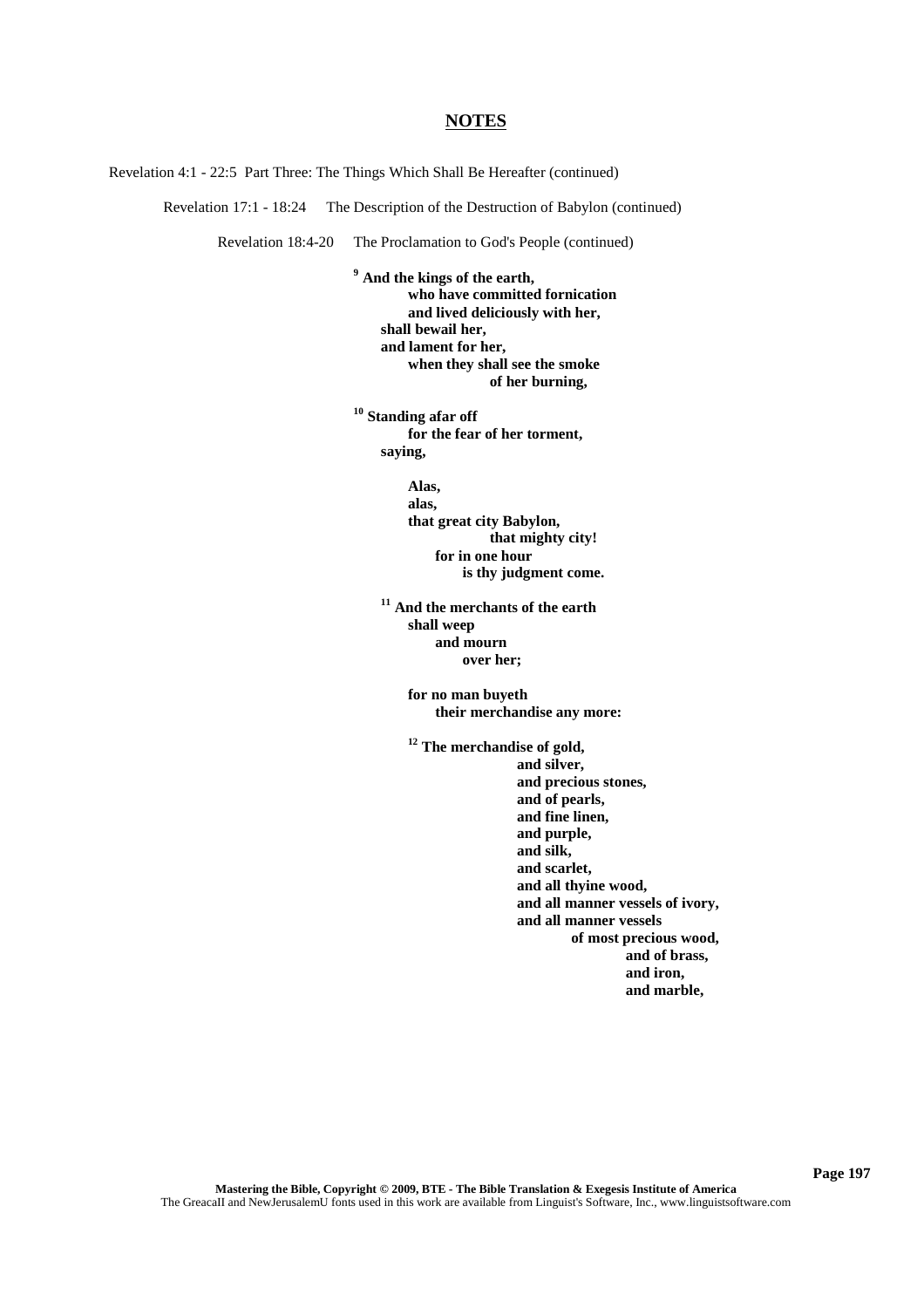Revelation 4:1 - 22:5 Part Three: The Things Which Shall Be Hereafter (continued)

Revelation 17:1 - 18:24 The Description of the Destruction of Babylon (continued)

Revelation 18:4-20 The Proclamation to God's People (continued)

**<sup>9</sup> And the kings of the earth, who have committed fornication and lived deliciously with her, shall bewail her, and lament for her, when they shall see the smoke of her burning,**

**<sup>10</sup> Standing afar off for the fear of her torment, saying,**

> **Alas, alas, that great city Babylon, that mighty city! for in one hour is thy judgment come.**

**<sup>11</sup> And the merchants of the earth shall weep and mourn over her;**

> **for no man buyeth their merchandise any more:**

**<sup>12</sup> The merchandise of gold,**

**and silver, and precious stones, and of pearls, and fine linen, and purple, and silk, and scarlet, and all thyine wood, and all manner vessels of ivory, and all manner vessels of most precious wood, and of brass, and iron, and marble,**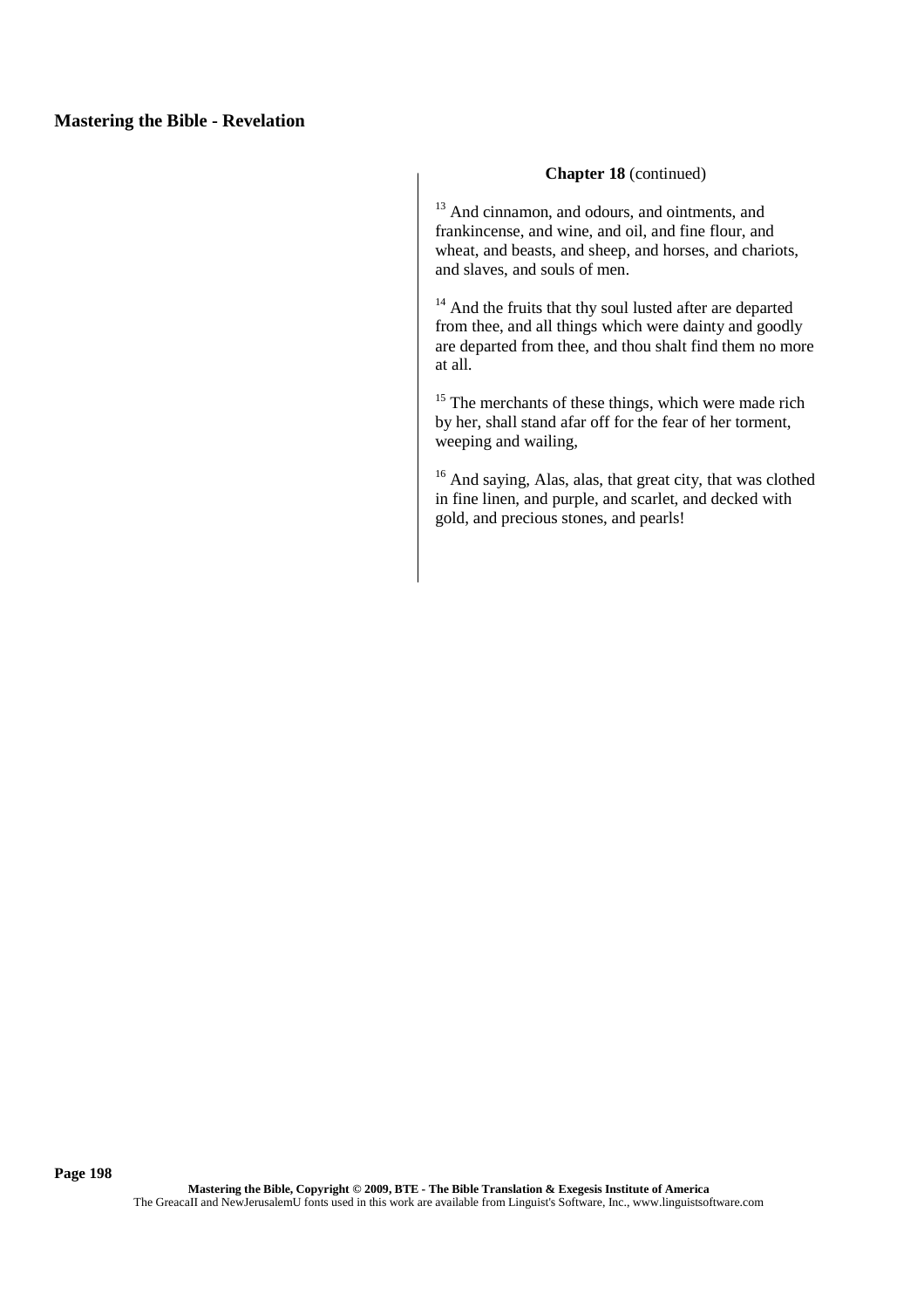## **Chapter 18** (continued)

<sup>13</sup> And cinnamon, and odours, and ointments, and frankincense, and wine, and oil, and fine flour, and wheat, and beasts, and sheep, and horses, and chariots, and slaves, and souls of men.

<sup>14</sup> And the fruits that thy soul lusted after are departed from thee, and all things which were dainty and goodly are departed from thee, and thou shalt find them no more at all.

<sup>15</sup> The merchants of these things, which were made rich by her, shall stand afar off for the fear of her torment, weeping and wailing,

<sup>16</sup> And saying, Alas, alas, that great city, that was clothed in fine linen, and purple, and scarlet, and decked with gold, and precious stones, and pearls!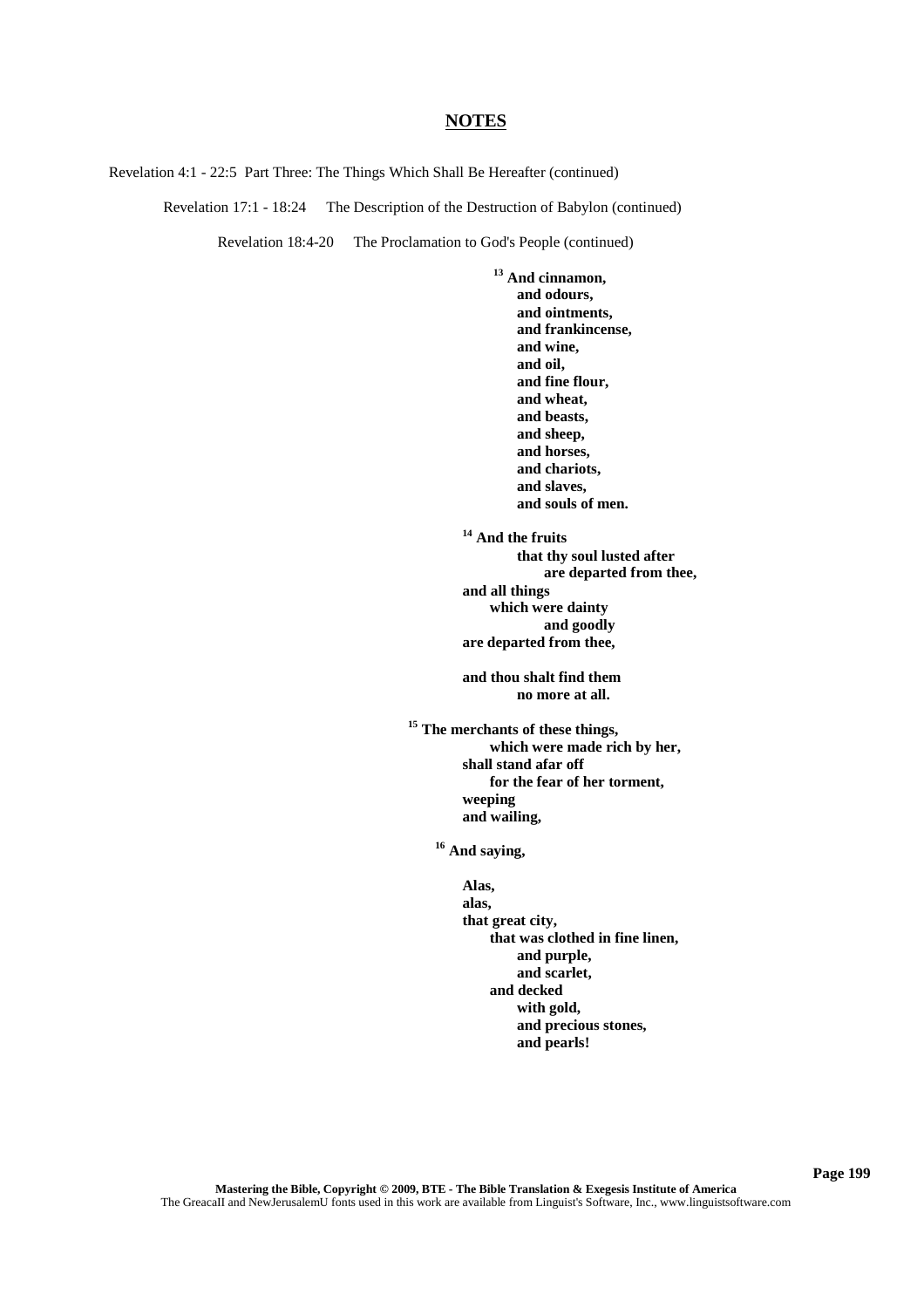Revelation 4:1 - 22:5 Part Three: The Things Which Shall Be Hereafter (continued)

Revelation 17:1 - 18:24 The Description of the Destruction of Babylon (continued)

Revelation 18:4-20 The Proclamation to God's People (continued)

**<sup>13</sup> And cinnamon, and odours, and ointments, and frankincense, and wine, and oil, and fine flour, and wheat, and beasts, and sheep, and horses, and chariots, and slaves, and souls of men. <sup>14</sup> And the fruits**

**that thy soul lusted after are departed from thee, and all things which were dainty and goodly are departed from thee,**

**and thou shalt find them no more at all.**

**<sup>15</sup> The merchants of these things, which were made rich by her, shall stand afar off for the fear of her torment, weeping and wailing,**

**<sup>16</sup> And saying,**

**Alas, alas, that great city, that was clothed in fine linen, and purple, and scarlet, and decked with gold, and precious stones, and pearls!**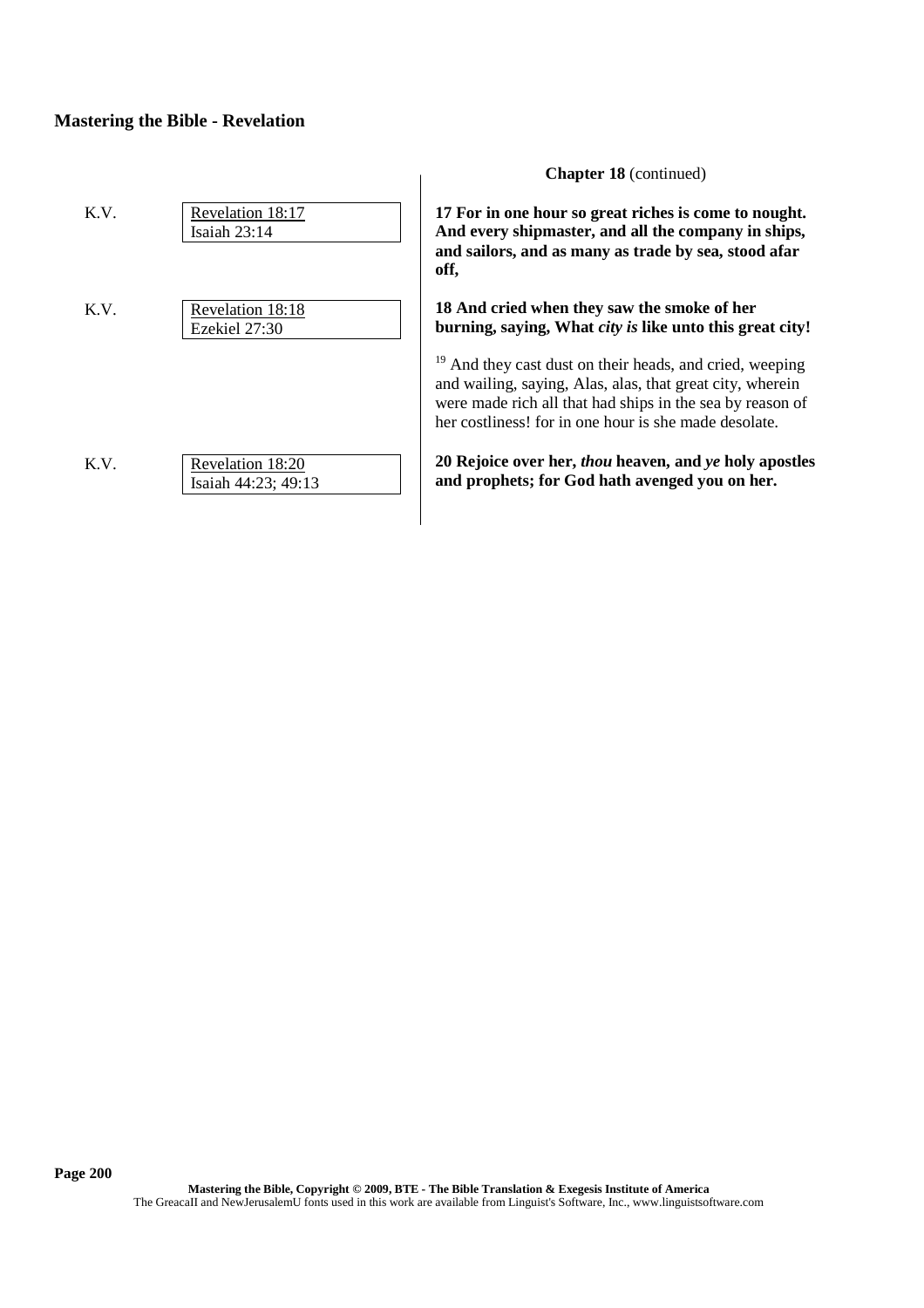|      |                                         | <b>Chapter 18</b> (continued)                                                                                                                                                   |
|------|-----------------------------------------|---------------------------------------------------------------------------------------------------------------------------------------------------------------------------------|
| K.V. | Revelation 18:17<br>Isaiah 23:14        | 17 For in one hour so great riches is come to nought.<br>And every shipmaster, and all the company in ships,<br>and sailors, and as many as trade by sea, stood afar<br>off,    |
| K.V. | Revelation 18:18<br>Ezekiel 27:30       | 18 And cried when they saw the smoke of her<br>burning, saying, What <i>city is</i> like unto this great city!<br>And they cast dust on their heads, and cried, weeping         |
|      |                                         | and wailing, saying, Alas, alas, that great city, wherein<br>were made rich all that had ships in the sea by reason of<br>her costliness! for in one hour is she made desolate. |
| K.V. | Revelation 18:20<br>Isaiah 44:23; 49:13 | 20 Rejoice over her, thou heaven, and ye holy apostles<br>and prophets; for God hath avenged you on her.                                                                        |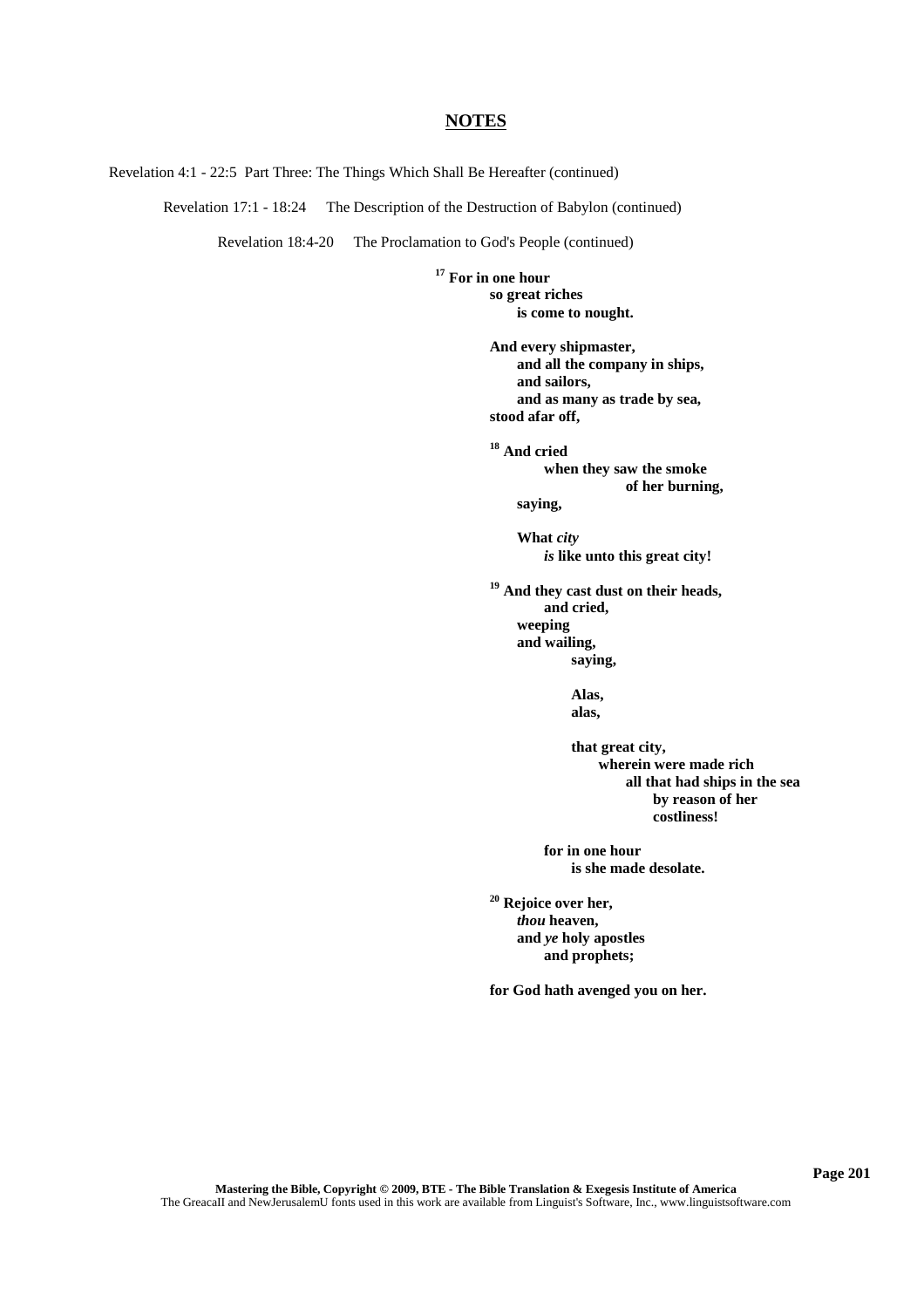Revelation 4:1 - 22:5 Part Three: The Things Which Shall Be Hereafter (continued)

Revelation 17:1 - 18:24 The Description of the Destruction of Babylon (continued)

Revelation 18:4-20 The Proclamation to God's People (continued)

**<sup>17</sup> For in one hour so great riches is come to nought.**

> **And every shipmaster, and all the company in ships, and sailors, and as many as trade by sea, stood afar off,**

**<sup>18</sup> And cried when they saw the smoke of her burning,**

**saying,**

**What** *city is* **like unto this great city!**

**<sup>19</sup> And they cast dust on their heads, and cried, weeping and wailing, saying,**

> **Alas, alas,**

**that great city, wherein were made rich all that had ships in the sea by reason of her costliness!**

**for in one hour is she made desolate.**

**<sup>20</sup> Rejoice over her,** *thou* **heaven, and** *ye* **holy apostles and prophets;**

**for God hath avenged you on her.**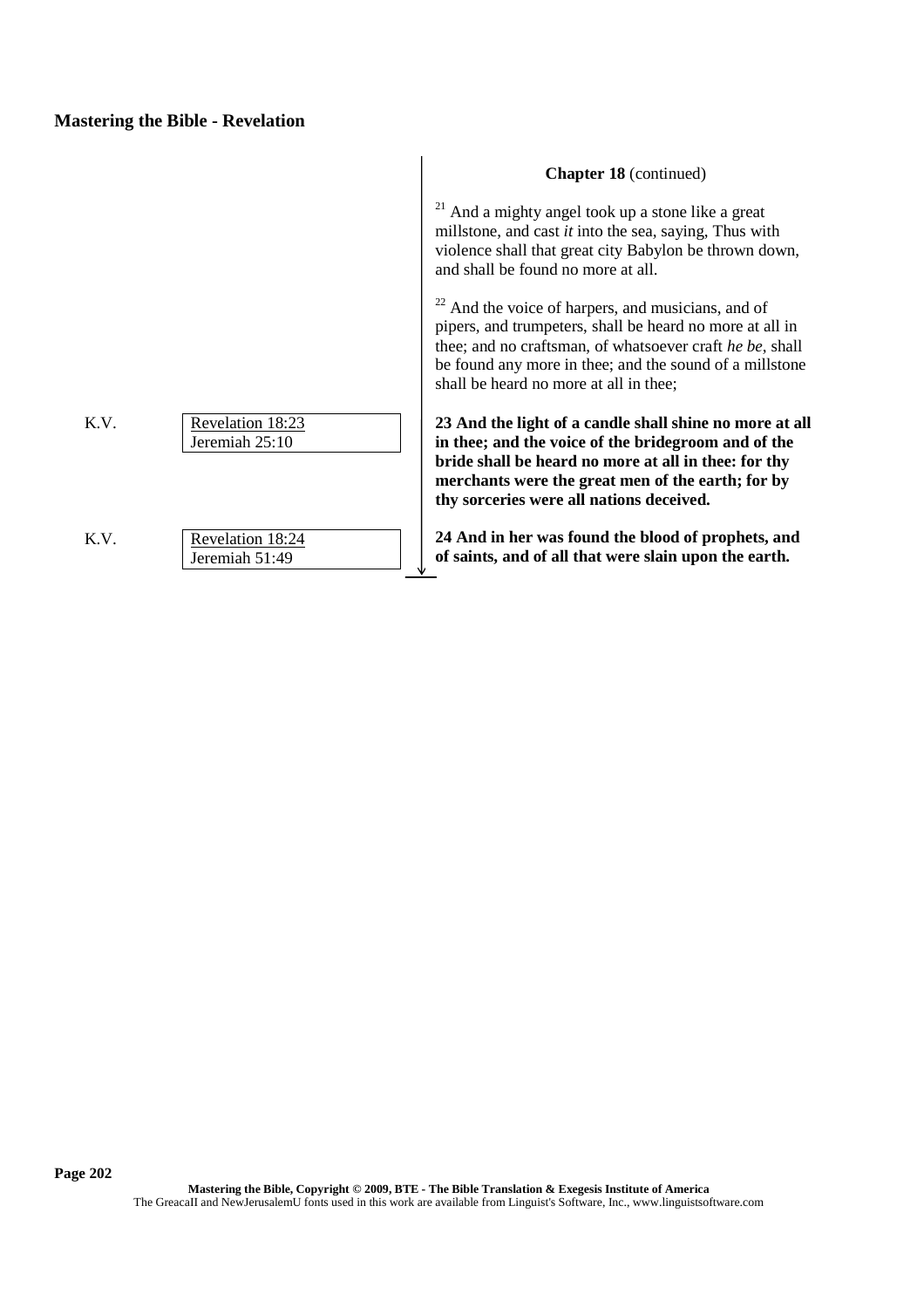|      |                  | $21 \n\overline{)}$ |
|------|------------------|---------------------|
|      |                  | mil                 |
|      |                  | vio                 |
|      |                  |                     |
|      |                  | ano                 |
|      |                  | 22 f                |
|      |                  |                     |
|      |                  | pip<br>the          |
|      |                  | be                  |
|      |                  | sha                 |
|      |                  |                     |
| K.V. | Revelation 18:23 | 23                  |
|      |                  |                     |
|      | Jeremiah 25:10   | in <sub>1</sub>     |
|      |                  | bri                 |
|      |                  | me                  |
|      |                  | thy                 |
|      |                  |                     |
| K.V. | Revelation 18:24 | 24                  |
|      | Jeremiah 51:49   | of :<br>ν           |

## **Chapter 18** (continued)

And a mighty angel took up a stone like a great llstone, and cast  $it$  into the sea, saying, Thus with lence shall that great city Babylon be thrown down, d shall be found no more at all.

And the voice of harpers, and musicians, and of pers, and trumpeters, shall be heard no more at all in thee; and no craftsman, of whatsoever craft *he be*, shall found any more in thee; and the sound of a millstone all be heard no more at all in thee;

**23 And the light of a candle shall shine no more at all in thee; and the voice of the bridegroom and of the bride shall be heard no more at all in thee: for thy merchants were the great men of the earth; for by thy sorceries were all nations deceived.**

**24 And in her was found the blood of prophets, and of saints, and of all that were slain upon the earth.**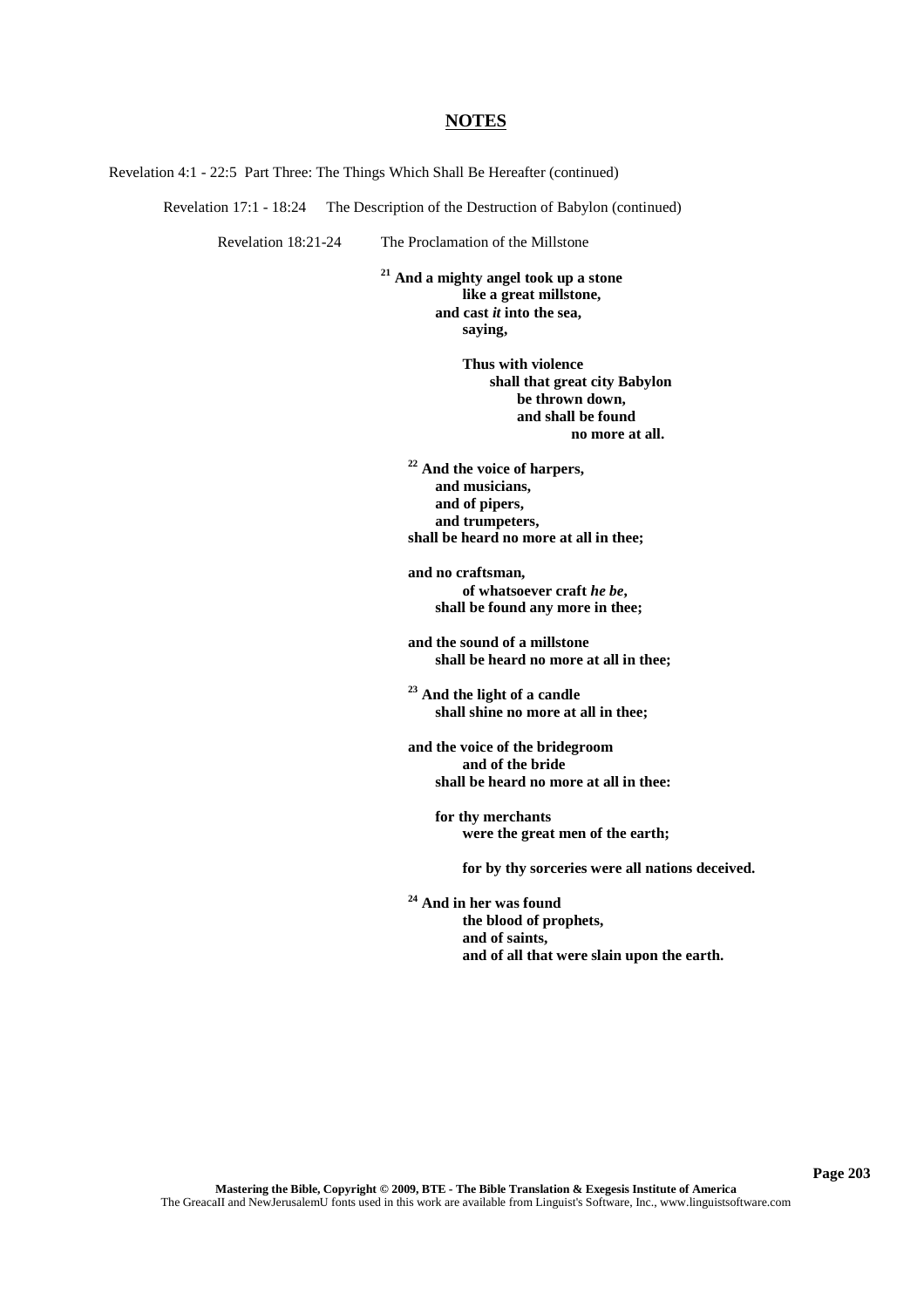Revelation 4:1 - 22:5 Part Three: The Things Which Shall Be Hereafter (continued)

Revelation 17:1 - 18:24 The Description of the Destruction of Babylon (continued)

Revelation 18:21-24 The Proclamation of the Millstone

**<sup>21</sup> And a mighty angel took up a stone like a great millstone, and cast** *it* **into the sea, saying,**

> **Thus with violence shall that great city Babylon be thrown down, and shall be found no more at all.**

**<sup>22</sup> And the voice of harpers, and musicians, and of pipers, and trumpeters, shall be heard no more at all in thee;**

**and no craftsman, of whatsoever craft** *he be***, shall be found any more in thee;**

**and the sound of a millstone shall be heard no more at all in thee;**

**<sup>23</sup> And the light of a candle shall shine no more at all in thee;**

**and the voice of the bridegroom and of the bride shall be heard no more at all in thee:**

> **for thy merchants were the great men of the earth;**

> > **for by thy sorceries were all nations deceived.**

**<sup>24</sup> And in her was found the blood of prophets, and of saints, and of all that were slain upon the earth.**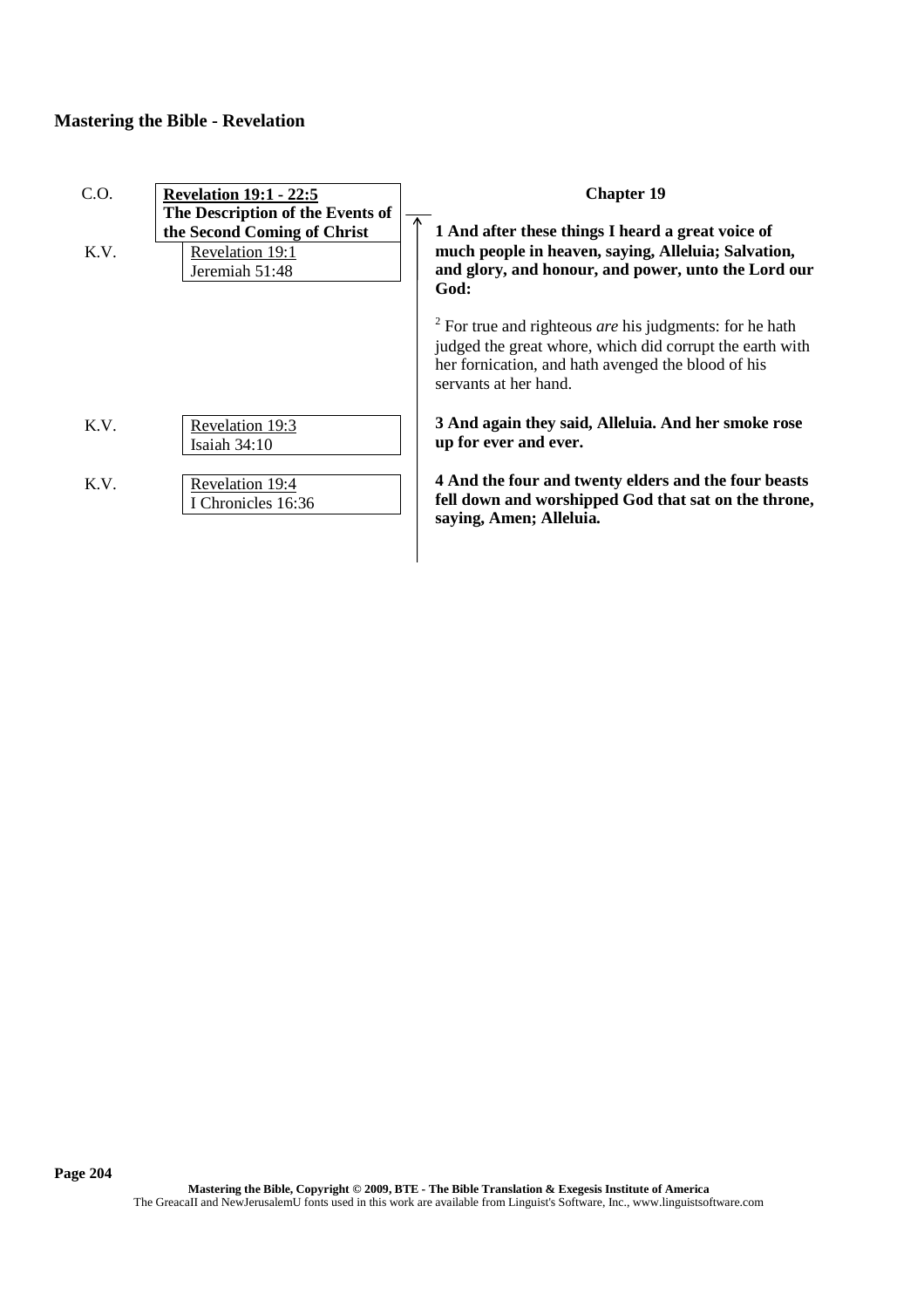| $C_{\cdot}$ O. | <b>Revelation 19:1 - 22:5</b><br>The Description of the Events of | <b>Chapter 19</b>                                                                                                                                                                                           |
|----------------|-------------------------------------------------------------------|-------------------------------------------------------------------------------------------------------------------------------------------------------------------------------------------------------------|
| K.V.           | the Second Coming of Christ<br>Revelation 19:1<br>Jeremiah 51:48  | 1 And after these things I heard a great voice of<br>much people in heaven, saying, Alleluia; Salvation,<br>and glory, and honour, and power, unto the Lord our<br>God:                                     |
|                |                                                                   | $2$ For true and righteous <i>are</i> his judgments: for he hath<br>judged the great whore, which did corrupt the earth with<br>her fornication, and hath avenged the blood of his<br>servants at her hand. |
| K.V.           | Revelation 19:3<br>Isaiah $34:10$                                 | 3 And again they said, Alleluia. And her smoke rose<br>up for ever and ever.                                                                                                                                |
| K.V.           | Revelation 19:4<br>I Chronicles 16:36                             | 4 And the four and twenty elders and the four beasts<br>fell down and worshipped God that sat on the throne,<br>saying, Amen; Alleluia.                                                                     |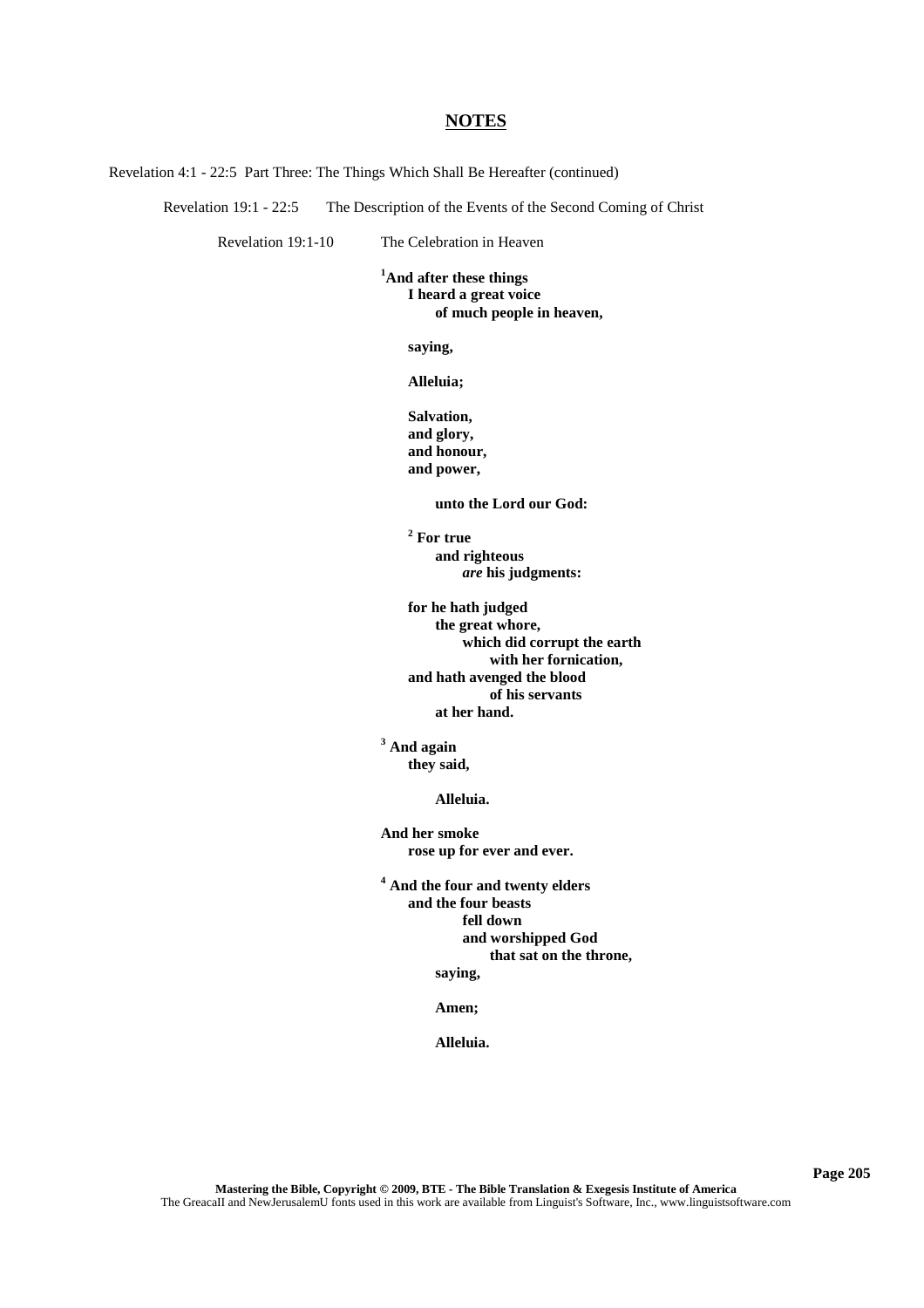Revelation 4:1 - 22:5 Part Three: The Things Which Shall Be Hereafter (continued)

Revelation 19:1 - 22:5 The Description of the Events of the Second Coming of Christ

Revelation 19:1-10 The Celebration in Heaven

**<sup>1</sup>And after these things I heard a great voice of much people in heaven,**

**saying,**

**Alleluia;**

**Salvation, and glory, and honour, and power,**

**unto the Lord our God:**

**<sup>2</sup> For true and righteous** *are* **his judgments:**

**for he hath judged the great whore, which did corrupt the earth with her fornication, and hath avenged the blood of his servants at her hand.**

**<sup>3</sup> And again they said,**

**Alleluia.**

**And her smoke rose up for ever and ever.**

**<sup>4</sup> And the four and twenty elders and the four beasts fell down and worshipped God that sat on the throne, saying,**

**Amen;**

**Alleluia.**

**Page 205**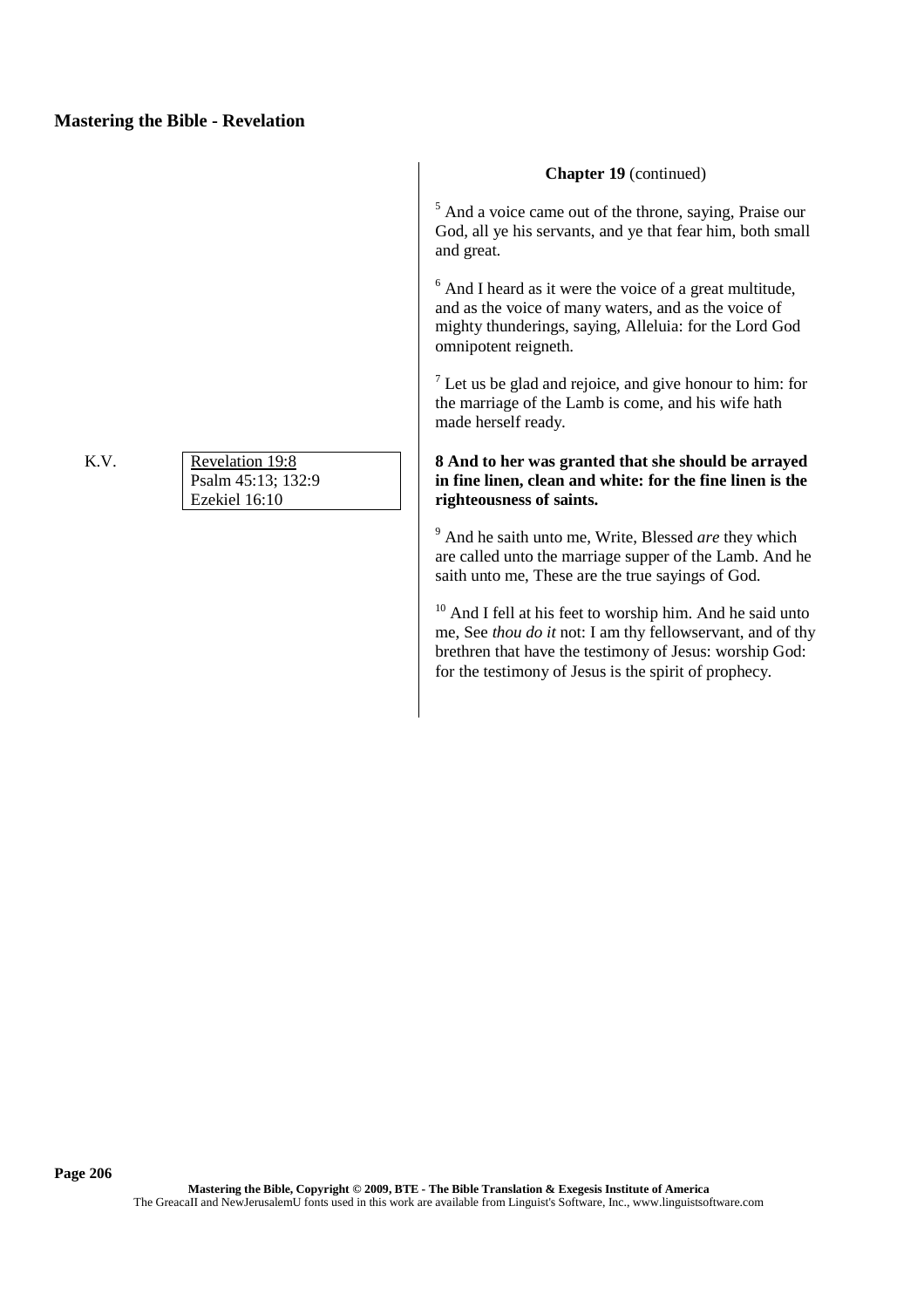K.V. Revelation 19:8 Psalm 45:13; 132:9 Ezekiel 16:10

## **Chapter 19** (continued)

<sup>5</sup> And a voice came out of the throne, saying, Praise our God, all ye his servants, and ye that fear him, both small and great.

<sup>6</sup> And I heard as it were the voice of a great multitude, and as the voice of many waters, and as the voice of mighty thunderings, saying, Alleluia: for the Lord God omnipotent reigneth.

 $<sup>7</sup>$  Let us be glad and rejoice, and give honour to him: for</sup> the marriage of the Lamb is come, and his wife hath made herself ready.

## **8 And to her was granted that she should be arrayed in fine linen, clean and white: for the fine linen is the righteousness of saints.**

<sup>9</sup> And he saith unto me, Write, Blessed *are* they which are called unto the marriage supper of the Lamb. And he saith unto me, These are the true sayings of God.

<sup>10</sup> And I fell at his feet to worship him. And he said unto me, See *thou do it* not: I am thy fellowservant, and of thy brethren that have the testimony of Jesus: worship God: for the testimony of Jesus is the spirit of prophecy.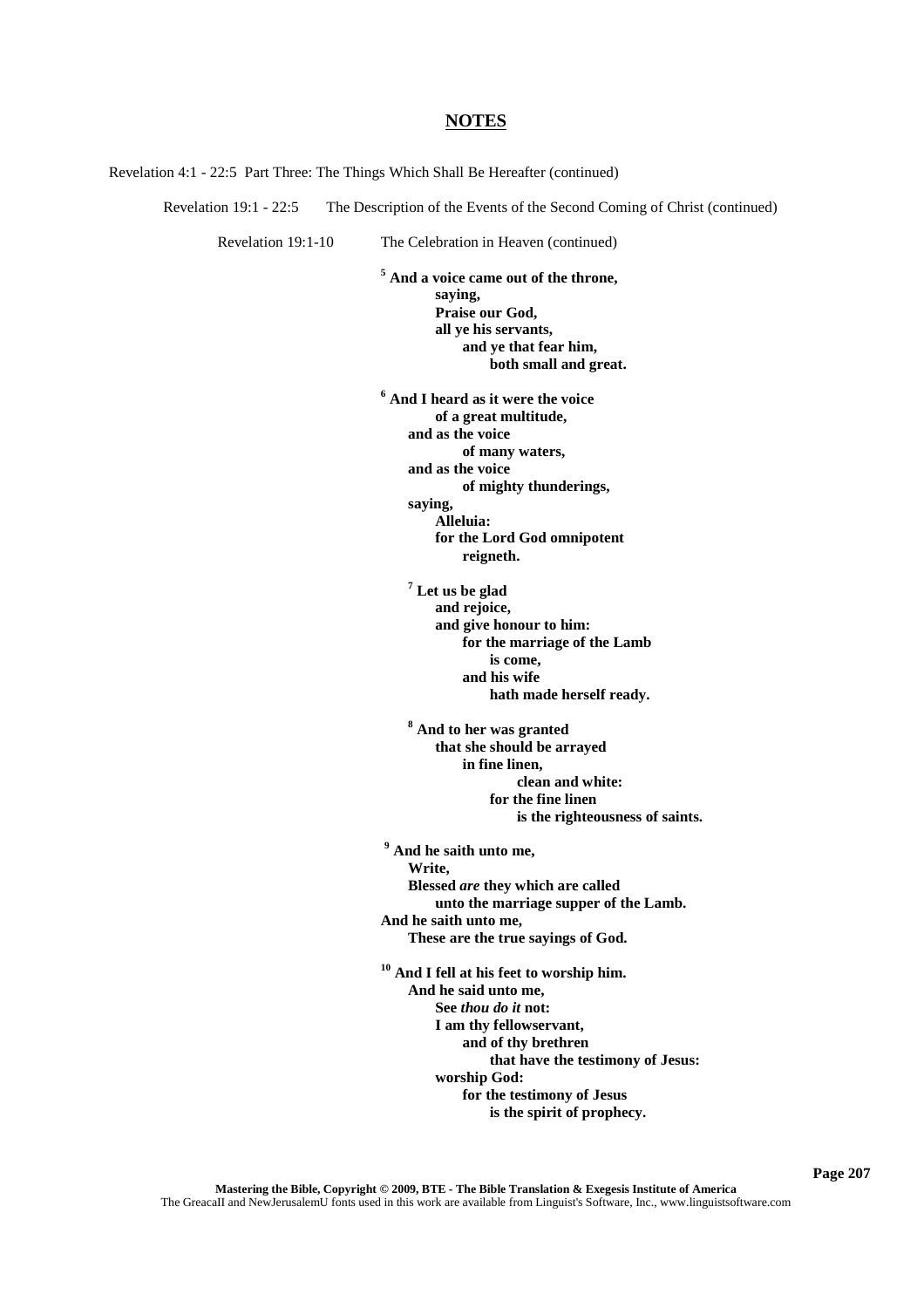Revelation 4:1 - 22:5 Part Three: The Things Which Shall Be Hereafter (continued)

Revelation 19:1 - 22:5 The Description of the Events of the Second Coming of Christ (continued)

Revelation 19:1-10 The Celebration in Heaven (continued)

**<sup>5</sup> And a voice came out of the throne, saying, Praise our God, all ye his servants, and ye that fear him, both small and great.**

**<sup>6</sup> And I heard as it were the voice of a great multitude, and as the voice of many waters, and as the voice of mighty thunderings, saying, Alleluia:**

> **for the Lord God omnipotent reigneth.**

**<sup>7</sup> Let us be glad and rejoice, and give honour to him: for the marriage of the Lamb is come, and his wife hath made herself ready.**

**<sup>8</sup> And to her was granted that she should be arrayed in fine linen, clean and white: for the fine linen is the righteousness of saints.**

**<sup>9</sup> And he saith unto me, Write, Blessed** *are* **they which are called unto the marriage supper of the Lamb. And he saith unto me, These are the true sayings of God.**

**<sup>10</sup> And I fell at his feet to worship him. And he said unto me, See** *thou do it* **not: I am thy fellowservant, and of thy brethren that have the testimony of Jesus: worship God: for the testimony of Jesus is the spirit of prophecy.**

**Page 207**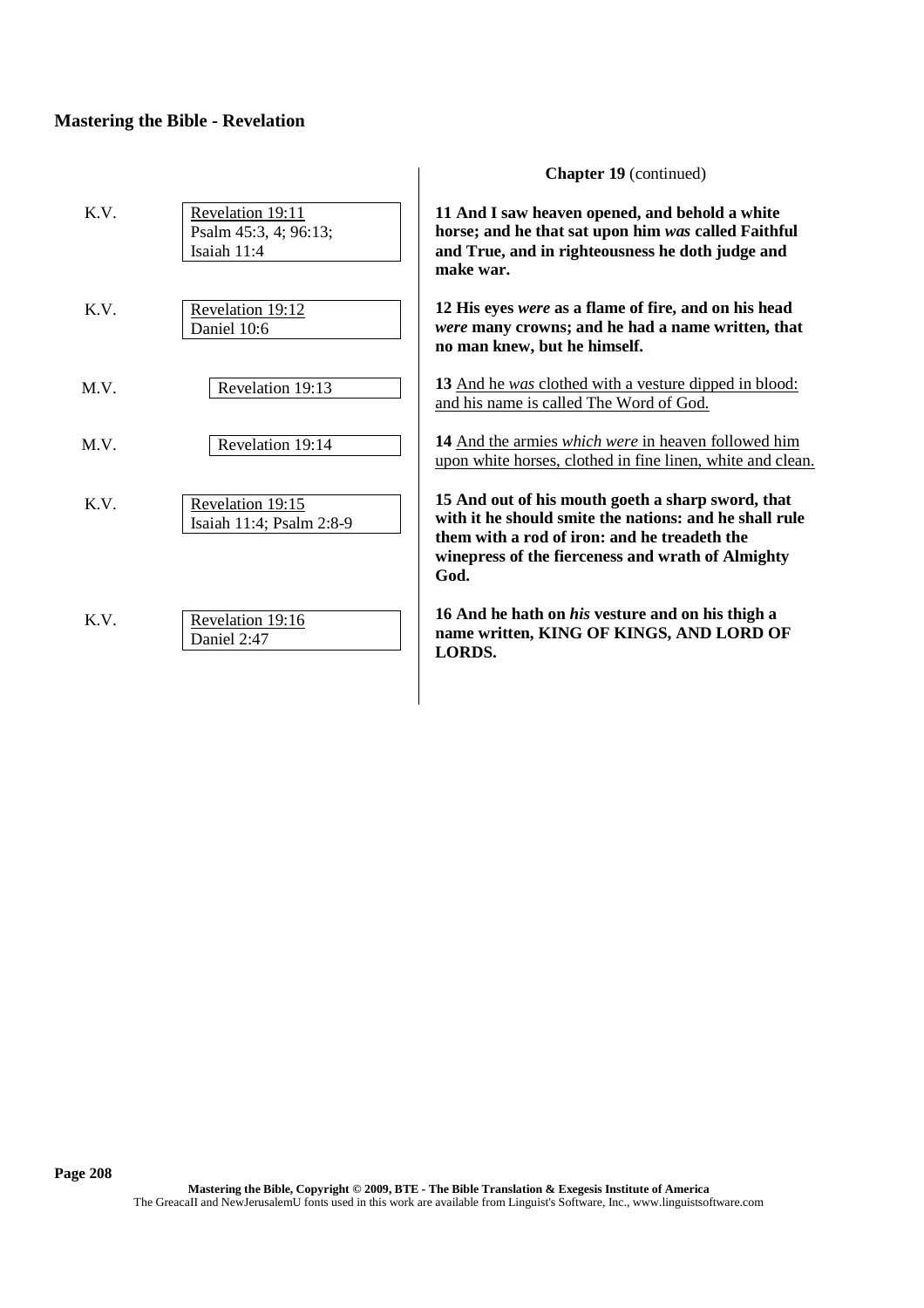| K.V. | Revelation 19:11<br>Psalm 45:3, 4; 96:13;<br>Isaiah 11:4 | 11 And I saw heaven opened, and behold a white<br>horse; and he that sat upon him was called Faithful<br>and True, and in righteousness he doth judge and<br>make war.                                                   |
|------|----------------------------------------------------------|--------------------------------------------------------------------------------------------------------------------------------------------------------------------------------------------------------------------------|
| K.V. | Revelation 19:12<br>Daniel 10:6                          | 12 His eyes were as a flame of fire, and on his head<br>were many crowns; and he had a name written, that<br>no man knew, but he himself.                                                                                |
| M.V. | Revelation 19:13                                         | 13 And he was clothed with a vesture dipped in blood:<br>and his name is called The Word of God.                                                                                                                         |
| M.V. | Revelation 19:14                                         | 14 And the armies <i>which were</i> in heaven followed him<br>upon white horses, clothed in fine linen, white and clean.                                                                                                 |
| K.V. | Revelation 19:15<br>Isaiah 11:4; Psalm 2:8-9             | 15 And out of his mouth goeth a sharp sword, that<br>with it he should smite the nations: and he shall rule<br>them with a rod of iron: and he treadeth the<br>winepress of the fierceness and wrath of Almighty<br>God. |
| K.V. | Revelation 19:16<br>Daniel 2:47                          | 16 And he hath on his vesture and on his thigh a<br>name written, KING OF KINGS, AND LORD OF<br>LORDS.                                                                                                                   |

 $\overline{\phantom{a}}$ 

**Chapter 19** (continued)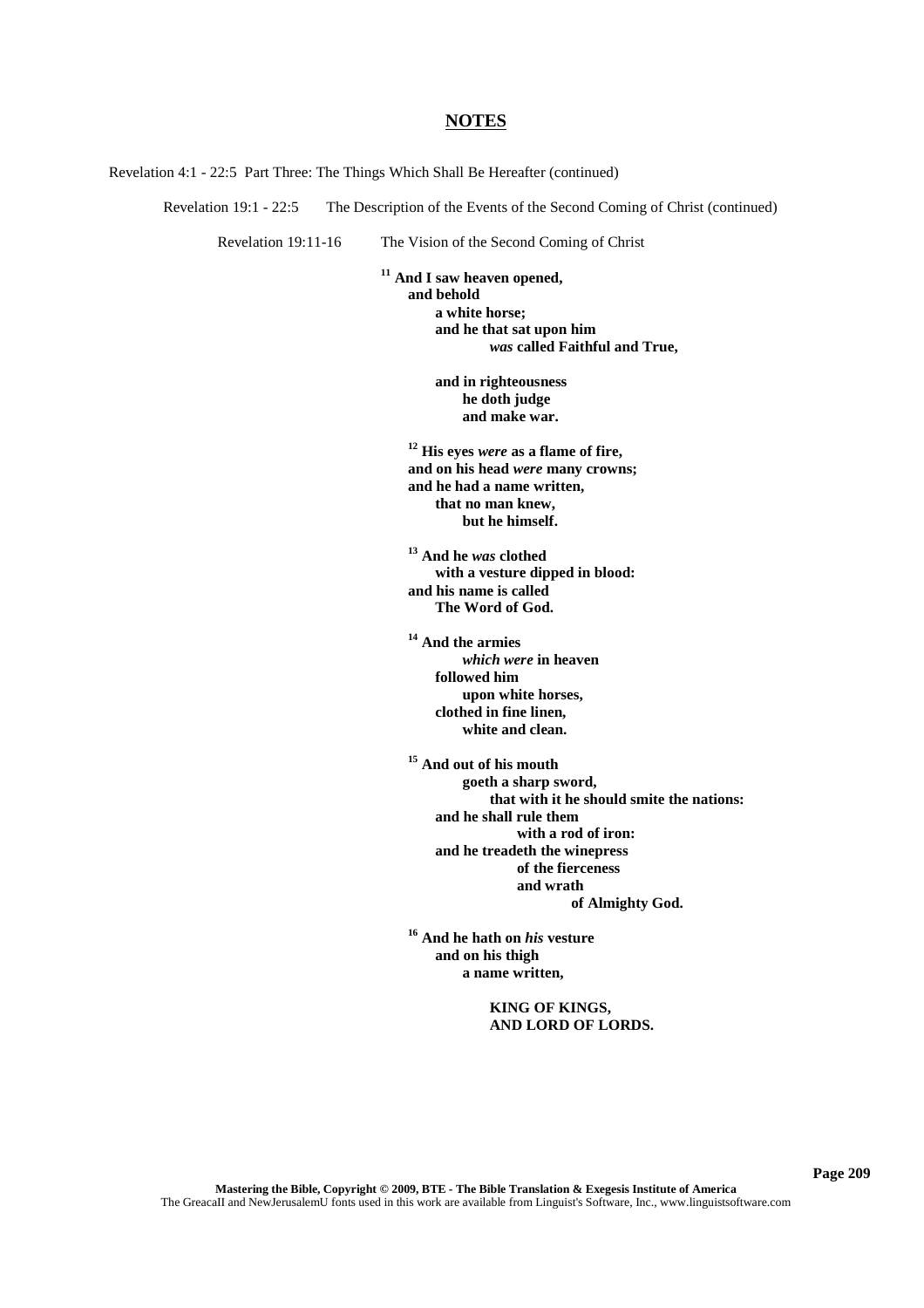Revelation 4:1 - 22:5 Part Three: The Things Which Shall Be Hereafter (continued)

Revelation 19:1 - 22:5 The Description of the Events of the Second Coming of Christ (continued)

Revelation 19:11-16 The Vision of the Second Coming of Christ

**<sup>11</sup> And I saw heaven opened, and behold a white horse; and he that sat upon him** *was* **called Faithful and True,**

> **and in righteousness he doth judge and make war.**

**<sup>12</sup> His eyes** *were* **as a flame of fire, and on his head** *were* **many crowns; and he had a name written, that no man knew, but he himself.**

**<sup>13</sup> And he** *was* **clothed with a vesture dipped in blood: and his name is called The Word of God.**

**<sup>14</sup> And the armies** *which were* **in heaven followed him upon white horses, clothed in fine linen, white and clean.**

**<sup>15</sup> And out of his mouth goeth a sharp sword, that with it he should smite the nations: and he shall rule them with a rod of iron: and he treadeth the winepress of the fierceness and wrath of Almighty God.**

**<sup>16</sup> And he hath on** *his* **vesture and on his thigh a name written,**

> **KING OF KINGS, AND LORD OF LORDS.**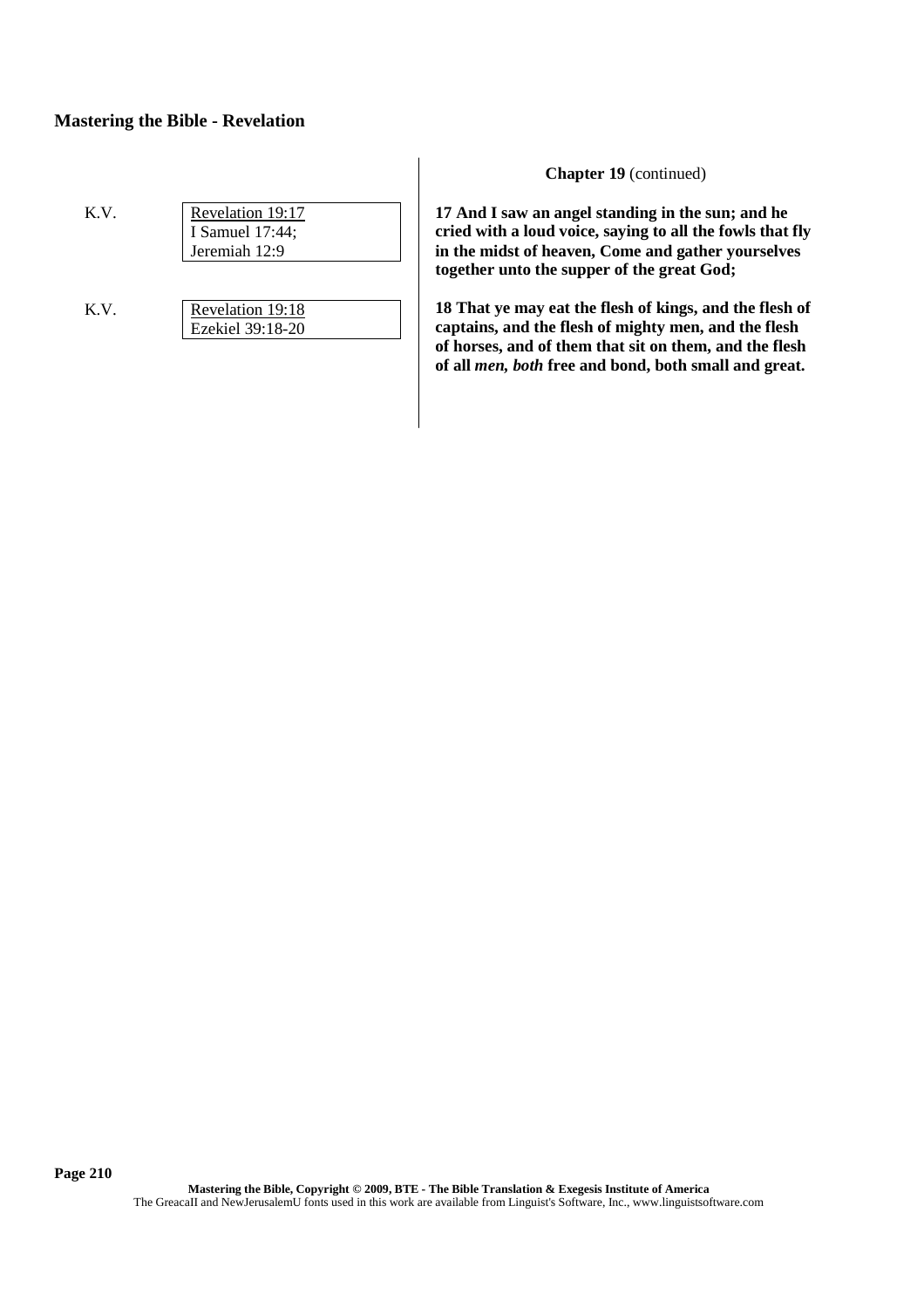| K.V. |                                     |  |
|------|-------------------------------------|--|
|      | Revelation 19:17<br>I Samuel 17:44; |  |
|      | Jeremiah 12:9                       |  |
|      |                                     |  |
|      |                                     |  |
| K.V. | Revelation 19:18                    |  |
|      | Ezekiel 39:18-20                    |  |

**Chapter 19** (continued)

**17 And I saw an angel standing in the sun; and he cried with a loud voice, saying to all the fowls that fly in the midst of heaven, Come and gather yourselves together unto the supper of the great God;**

**18 That ye may eat the flesh of kings, and the flesh of captains, and the flesh of mighty men, and the flesh of horses, and of them that sit on them, and the flesh of all** *men, both* **free and bond, both small and great.**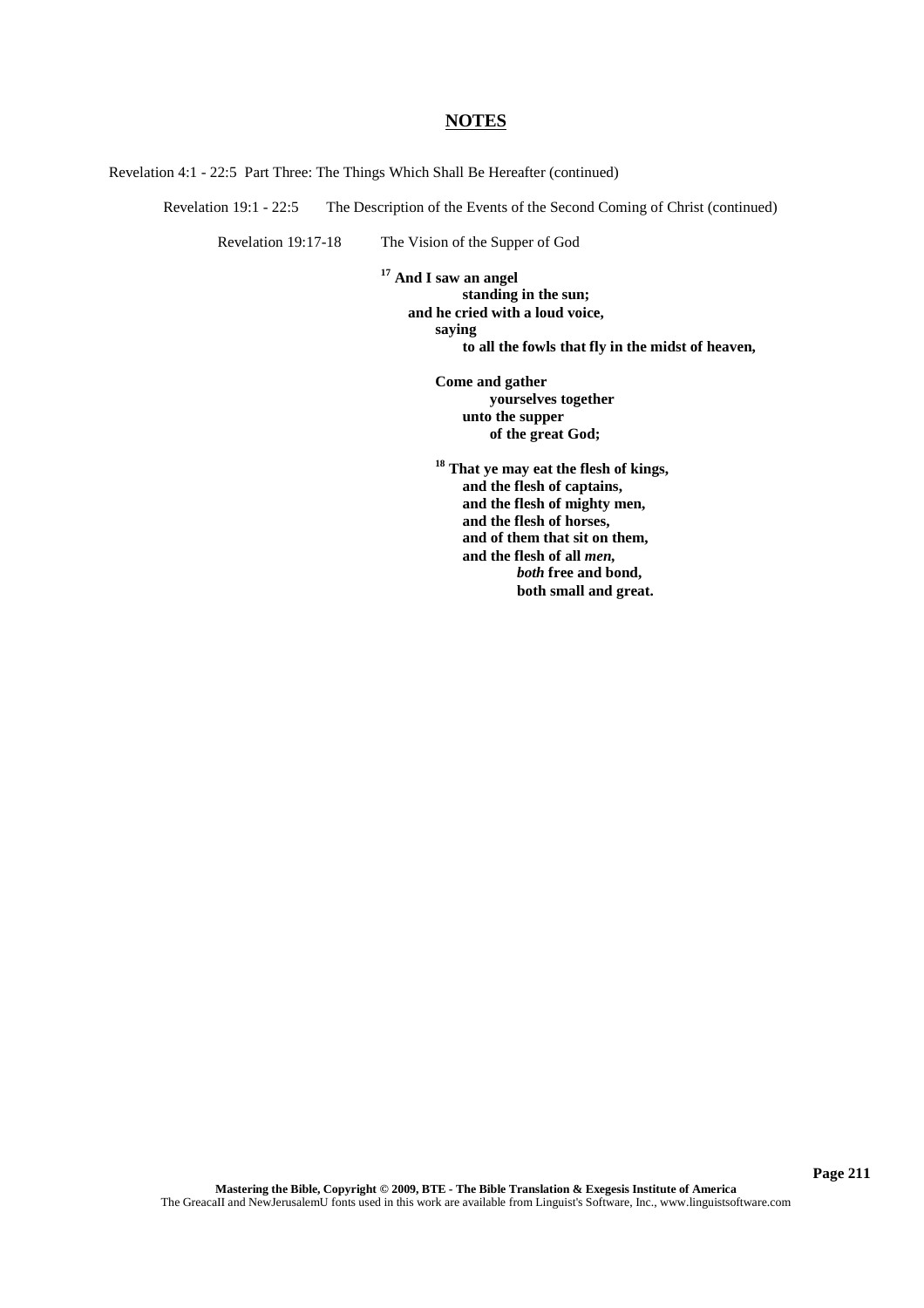Revelation 4:1 - 22:5 Part Three: The Things Which Shall Be Hereafter (continued)

Revelation 19:1 - 22:5 The Description of the Events of the Second Coming of Christ (continued)

Revelation 19:17-18 The Vision of the Supper of God

**<sup>17</sup> And I saw an angel standing in the sun; and he cried with a loud voice, saying to all the fowls that fly in the midst of heaven,**

> **Come and gather yourselves together unto the supper of the great God;**

**<sup>18</sup> That ye may eat the flesh of kings, and the flesh of captains, and the flesh of mighty men, and the flesh of horses, and of them that sit on them, and the flesh of all** *men, both* **free and bond, both small and great.**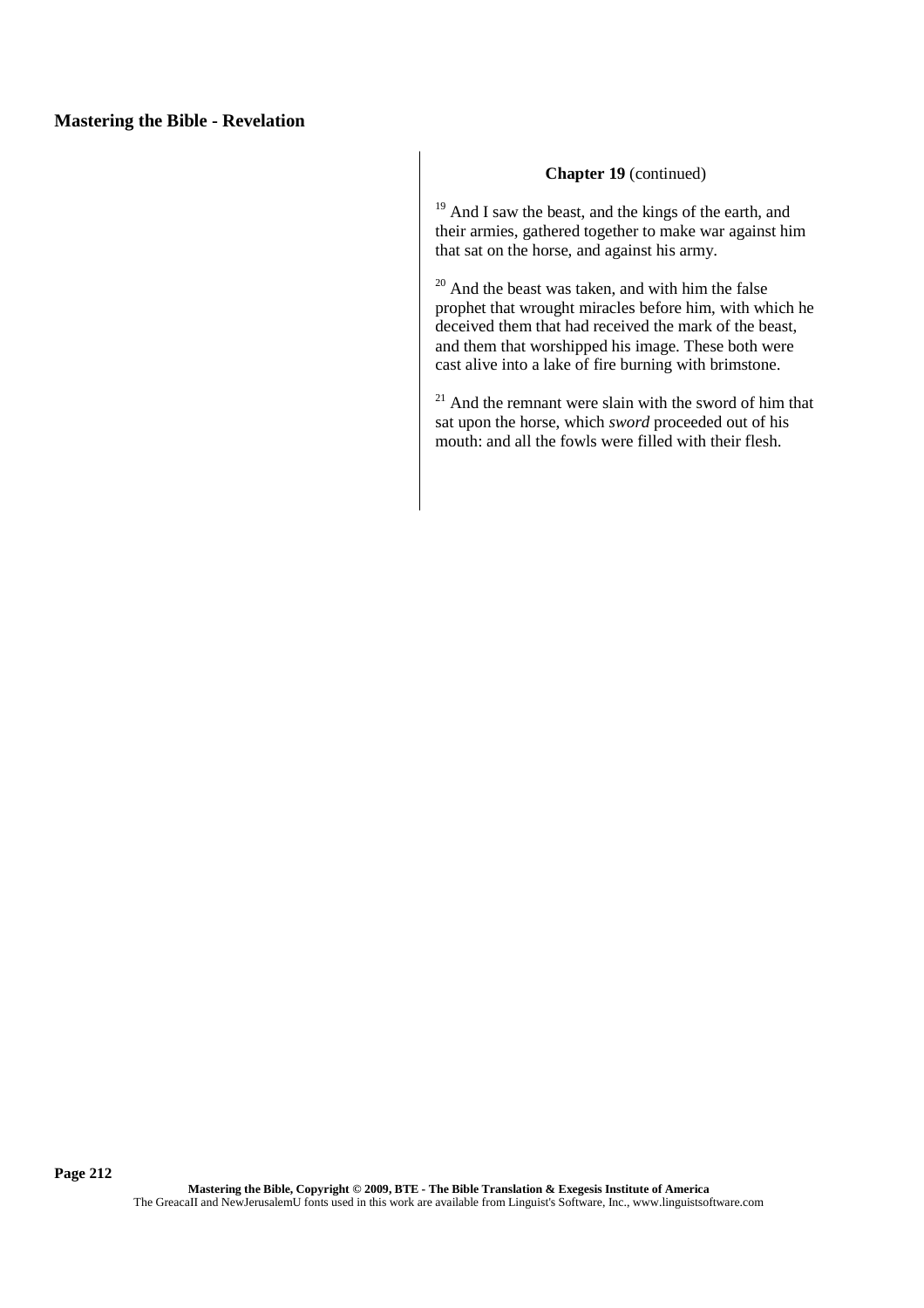#### **Chapter 19** (continued)

<sup>19</sup> And I saw the beast, and the kings of the earth, and their armies, gathered together to make war against him that sat on the horse, and against his army.

 $20$  And the beast was taken, and with him the false prophet that wrought miracles before him, with which he deceived them that had received the mark of the beast, and them that worshipped his image. These both were cast alive into a lake of fire burning with brimstone.

 $21$  And the remnant were slain with the sword of him that sat upon the horse, which *sword* proceeded out of his mouth: and all the fowls were filled with their flesh.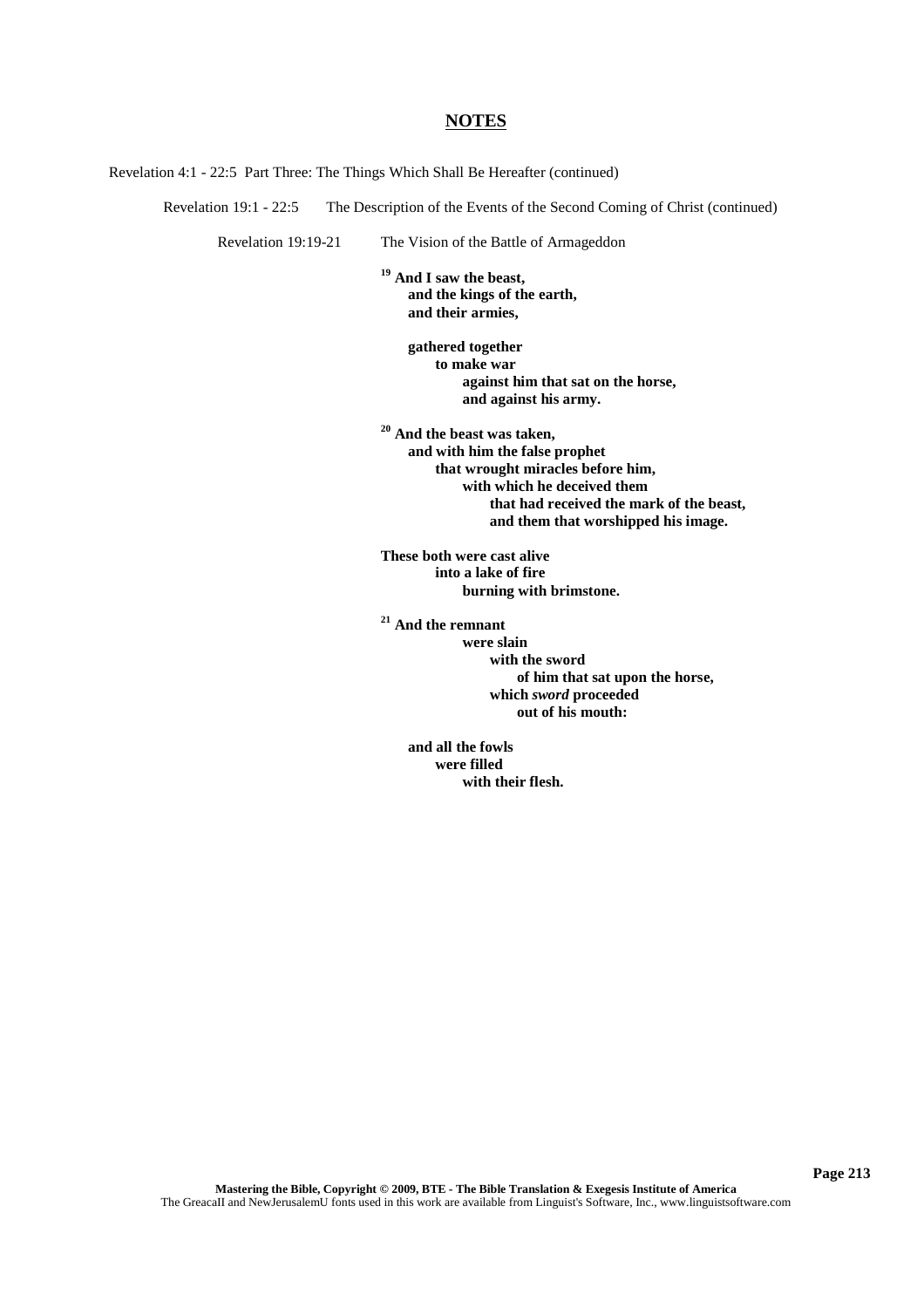Revelation 4:1 - 22:5 Part Three: The Things Which Shall Be Hereafter (continued)

Revelation 19:1 - 22:5 The Description of the Events of the Second Coming of Christ (continued)

Revelation 19:19-21 The Vision of the Battle of Armageddon

**<sup>19</sup> And I saw the beast, and the kings of the earth, and their armies,**

> **gathered together to make war against him that sat on the horse, and against his army.**

**<sup>20</sup> And the beast was taken, and with him the false prophet that wrought miracles before him, with which he deceived them that had received the mark of the beast, and them that worshipped his image.**

**These both were cast alive into a lake of fire burning with brimstone.**

**<sup>21</sup> And the remnant were slain with the sword of him that sat upon the horse, which** *sword* **proceeded out of his mouth:**

**and all the fowls were filled with their flesh.**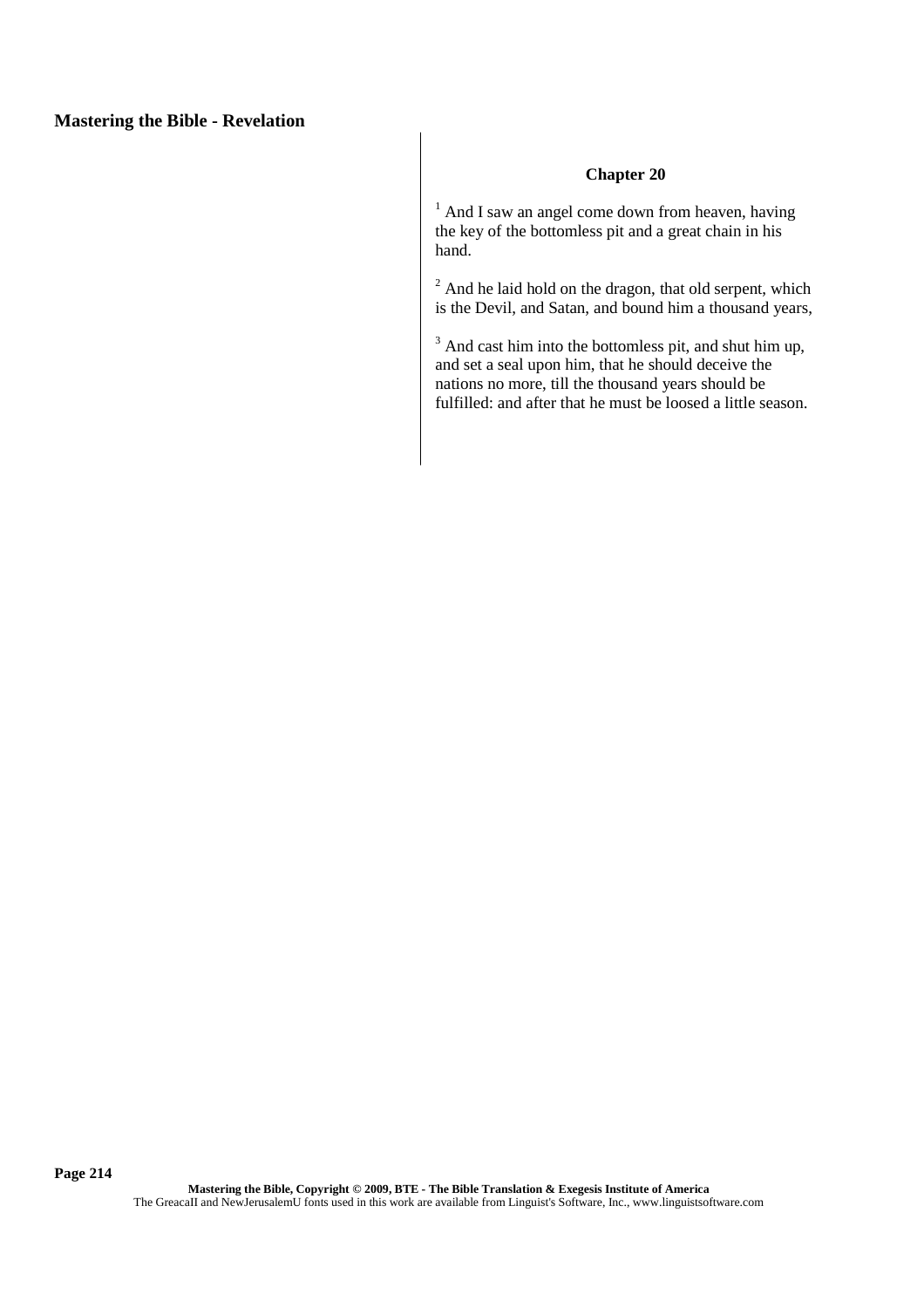#### **Chapter 20**

 $<sup>1</sup>$  And I saw an angel come down from heaven, having</sup> the key of the bottomless pit and a great chain in his hand.

<sup>2</sup> And he laid hold on the dragon, that old serpent, which is the Devil, and Satan, and bound him a thousand years,

<sup>3</sup> And cast him into the bottomless pit, and shut him up, and set a seal upon him, that he should deceive the nations no more, till the thousand years should be fulfilled: and after that he must be loosed a little season.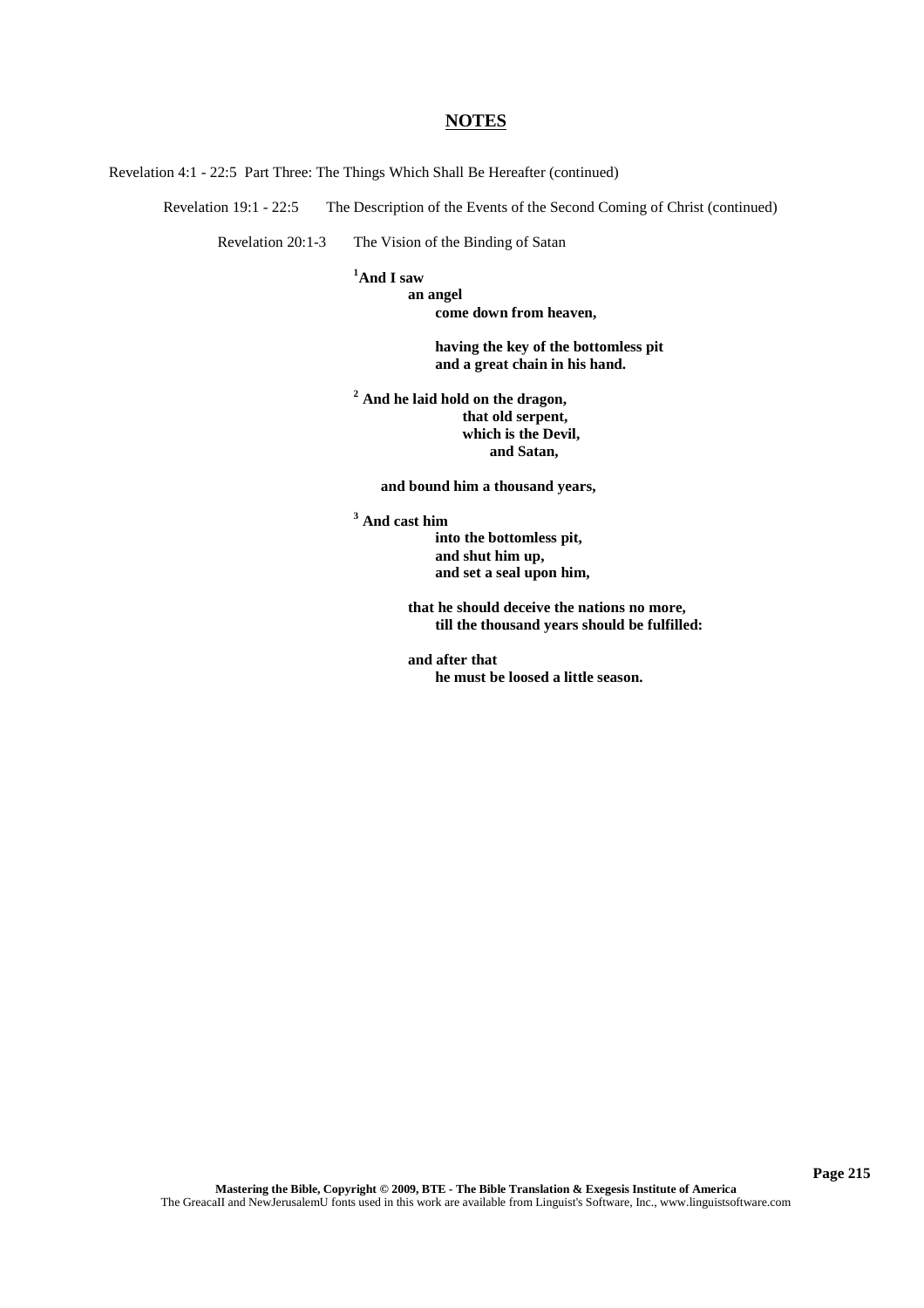Revelation 4:1 - 22:5 Part Three: The Things Which Shall Be Hereafter (continued)

Revelation 19:1 - 22:5 The Description of the Events of the Second Coming of Christ (continued)

Revelation 20:1-3 The Vision of the Binding of Satan

## **<sup>1</sup>And I saw**

**an angel come down from heaven,**

> **having the key of the bottomless pit and a great chain in his hand.**

**<sup>2</sup> And he laid hold on the dragon, that old serpent, which is the Devil, and Satan,**

**and bound him a thousand years,**

**<sup>3</sup> And cast him**

**into the bottomless pit, and shut him up, and set a seal upon him,**

**that he should deceive the nations no more, till the thousand years should be fulfilled:**

**and after that he must be loosed a little season.**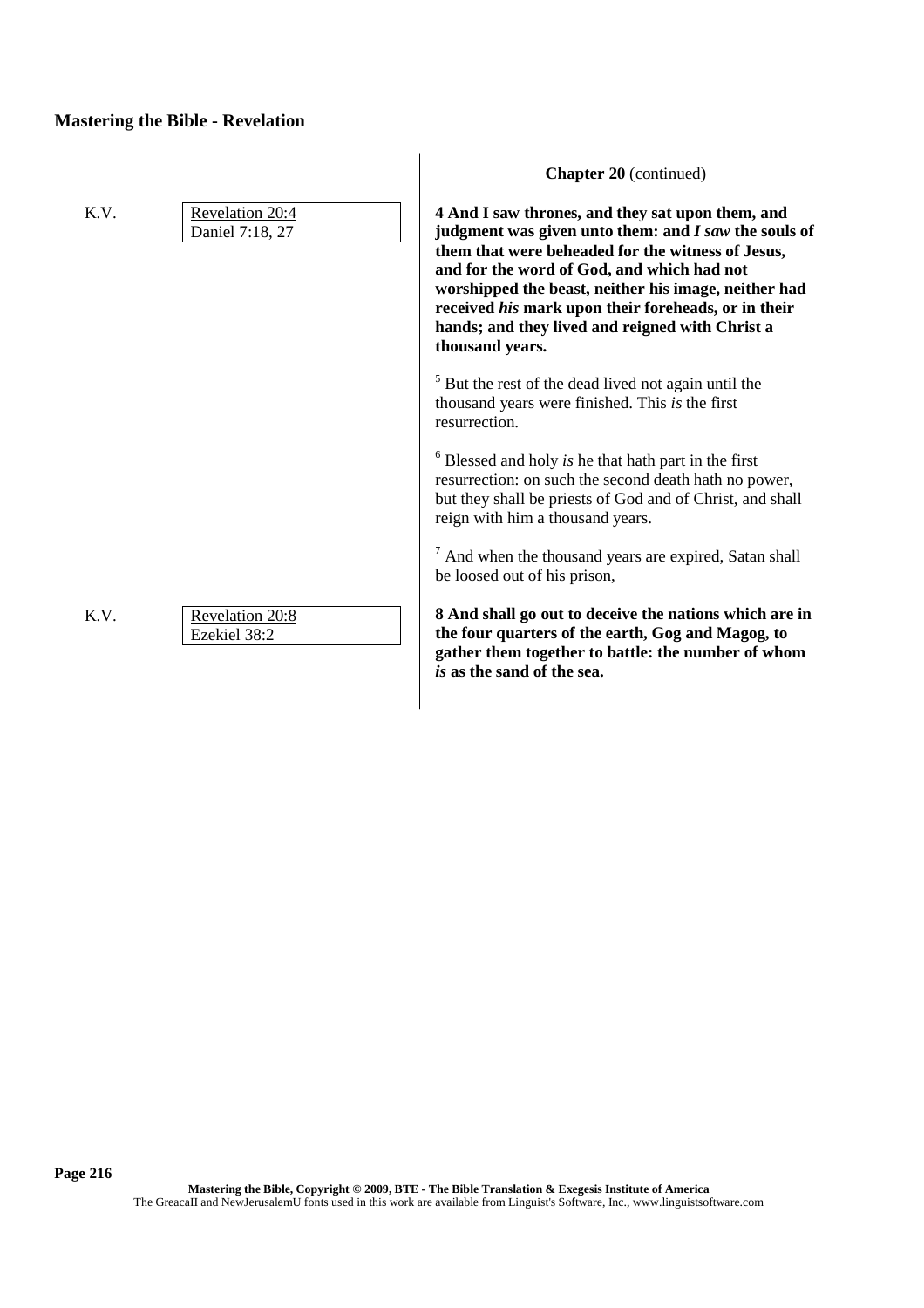|      |                                    | <b>Chapter 20</b> (continued)                                                                                                                                                                                                                                                                                                                                                                    |
|------|------------------------------------|--------------------------------------------------------------------------------------------------------------------------------------------------------------------------------------------------------------------------------------------------------------------------------------------------------------------------------------------------------------------------------------------------|
| K.V. | Revelation 20:4<br>Daniel 7:18, 27 | 4 And I saw thrones, and they sat upon them, and<br>judgment was given unto them: and I saw the souls of<br>them that were beheaded for the witness of Jesus,<br>and for the word of God, and which had not<br>worshipped the beast, neither his image, neither had<br>received his mark upon their foreheads, or in their<br>hands; and they lived and reigned with Christ a<br>thousand years. |
|      |                                    | $5$ But the rest of the dead lived not again until the<br>thousand years were finished. This is the first<br>resurrection.                                                                                                                                                                                                                                                                       |
|      |                                    | $6$ Blessed and holy <i>is</i> he that hath part in the first<br>resurrection: on such the second death hath no power,<br>but they shall be priests of God and of Christ, and shall<br>reign with him a thousand years.                                                                                                                                                                          |
|      |                                    | <sup>7</sup> And when the thousand years are expired, Satan shall<br>be loosed out of his prison,                                                                                                                                                                                                                                                                                                |
| K.V. | Revelation 20:8<br>Ezekiel 38:2    | 8 And shall go out to deceive the nations which are in<br>the four quarters of the earth, Gog and Magog, to<br>gather them together to battle: the number of whom<br>is as the sand of the sea.                                                                                                                                                                                                  |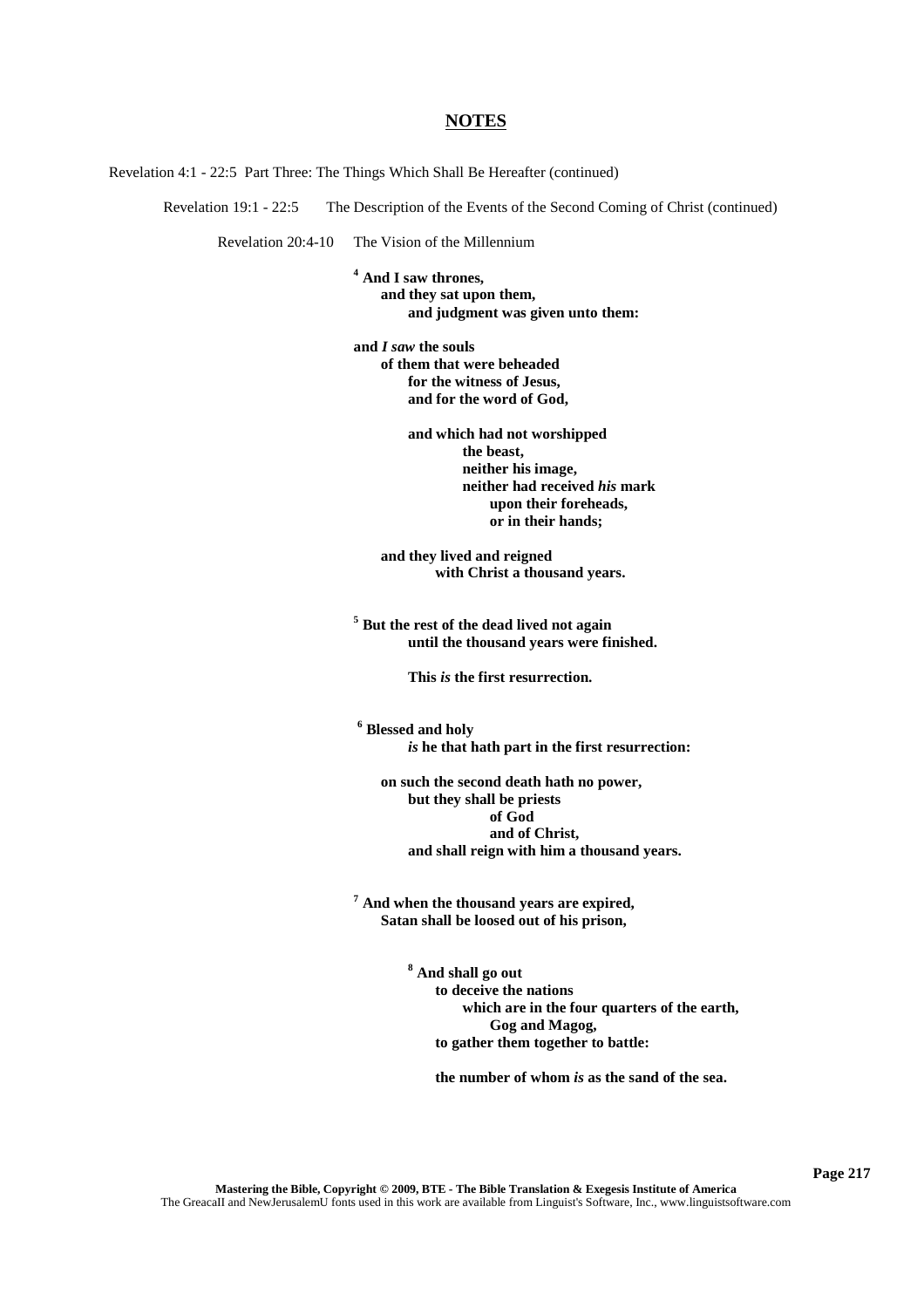Revelation 4:1 - 22:5 Part Three: The Things Which Shall Be Hereafter (continued)

Revelation 19:1 - 22:5 The Description of the Events of the Second Coming of Christ (continued)

Revelation 20:4-10 The Vision of the Millennium

**<sup>4</sup> And I saw thrones, and they sat upon them, and judgment was given unto them:**

**and** *I saw* **the souls of them that were beheaded for the witness of Jesus, and for the word of God,**

> **and which had not worshipped the beast, neither his image, neither had received** *his* **mark upon their foreheads, or in their hands;**

**and they lived and reigned with Christ a thousand years.**

**<sup>5</sup> But the rest of the dead lived not again until the thousand years were finished.**

**This** *is* **the first resurrection.**

**<sup>6</sup> Blessed and holy** *is* **he that hath part in the first resurrection:**

**on such the second death hath no power, but they shall be priests of God and of Christ, and shall reign with him a thousand years.**

**<sup>7</sup> And when the thousand years are expired, Satan shall be loosed out of his prison,**

> **<sup>8</sup> And shall go out to deceive the nations which are in the four quarters of the earth, Gog and Magog, to gather them together to battle:**

**the number of whom** *is* **as the sand of the sea.**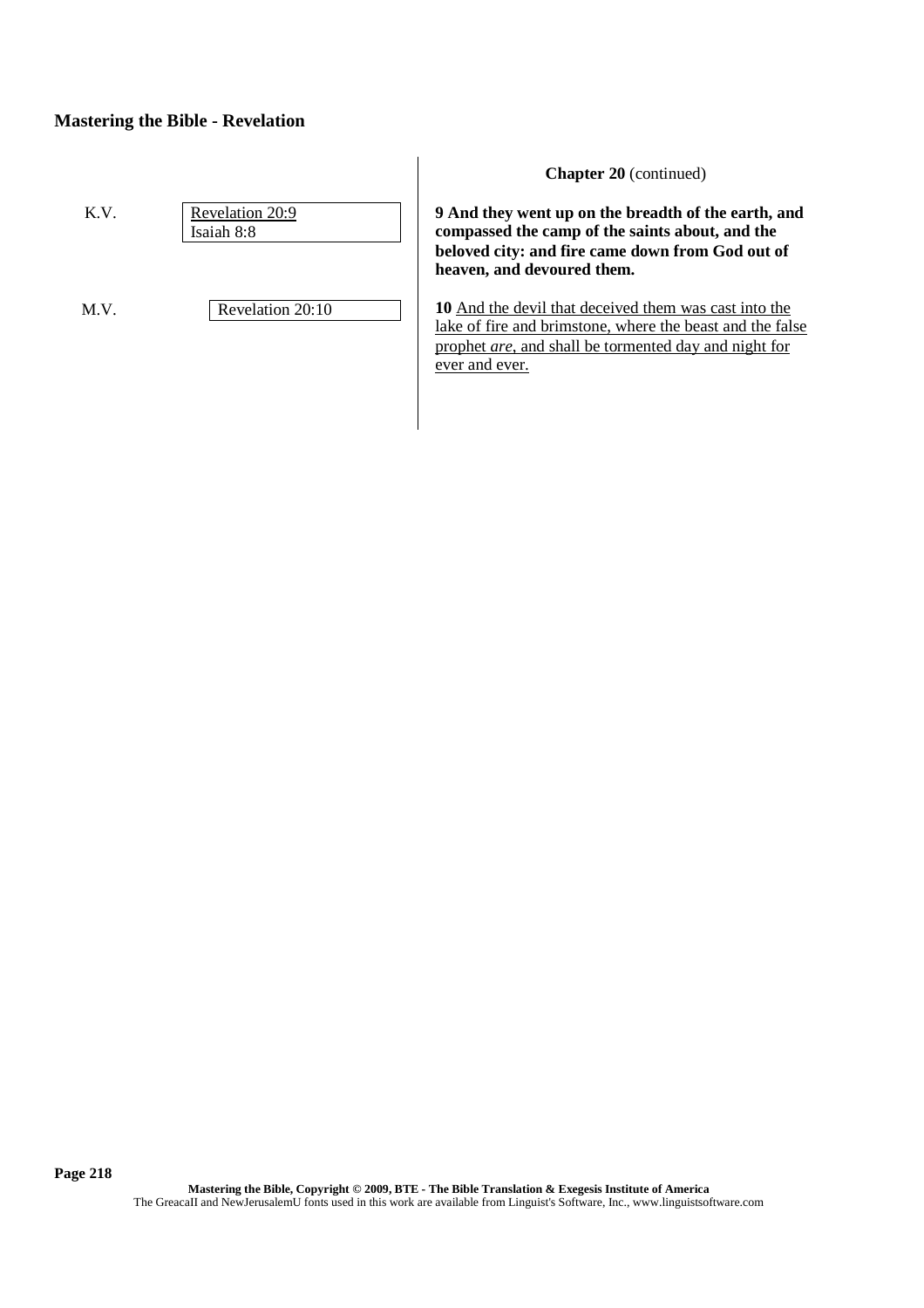| K.V. | Revelation 20:9<br>Isaiah 8:8 |  |
|------|-------------------------------|--|
|      |                               |  |
| M.V. | Revelation 20:10              |  |
|      |                               |  |

**Chapter 20** (continued)

**9 And they went up on the breadth of the earth, and compassed the camp of the saints about, and the beloved city: and fire came down from God out of heaven, and devoured them.**

**10** And the devil that deceived them was cast into the lake of fire and brimstone, where the beast and the false prophet *are*, and shall be tormented day and night for ever and ever.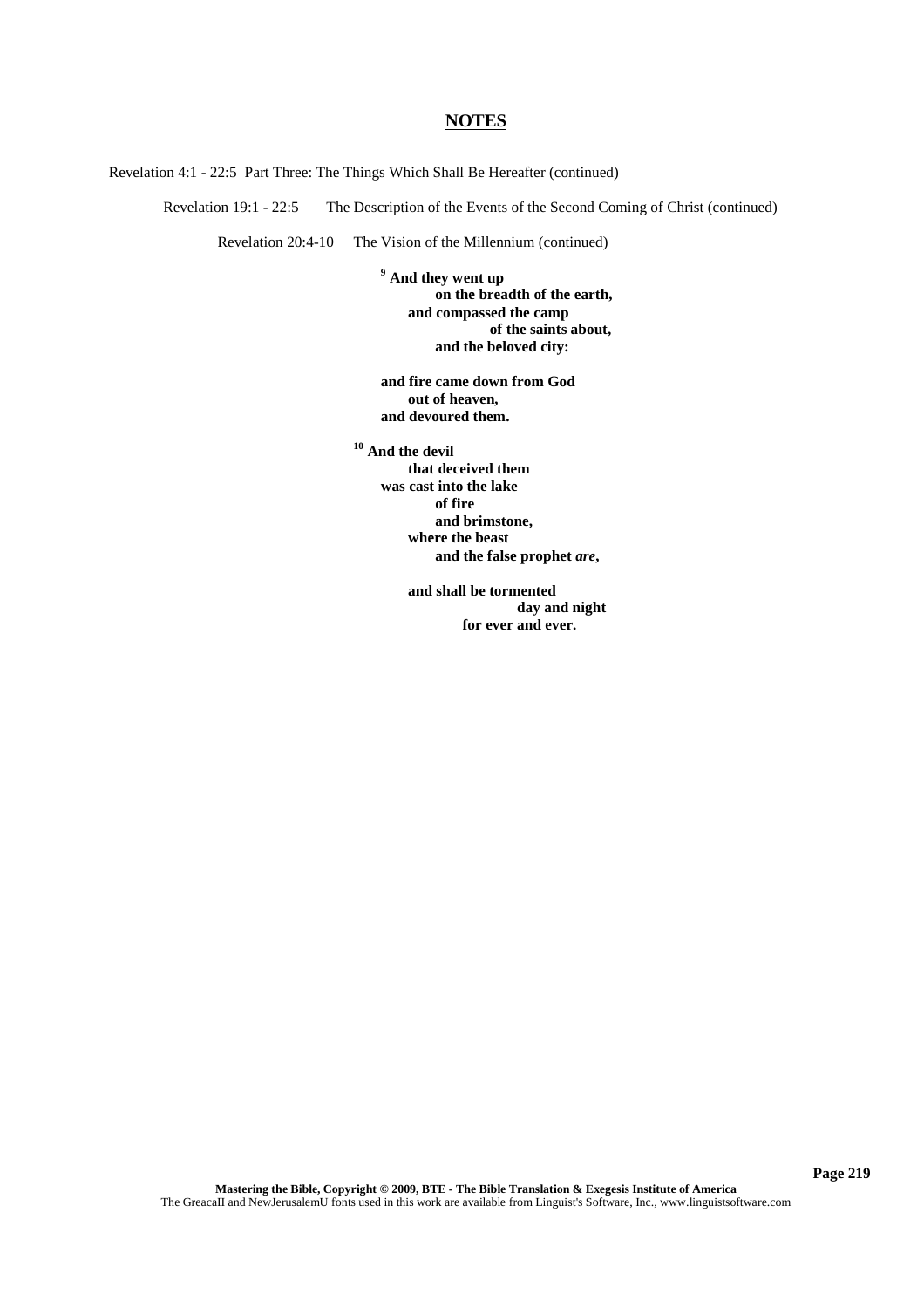Revelation 4:1 - 22:5 Part Three: The Things Which Shall Be Hereafter (continued)

Revelation 19:1 - 22:5 The Description of the Events of the Second Coming of Christ (continued)

Revelation 20:4-10 The Vision of the Millennium (continued)

**<sup>9</sup> And they went up on the breadth of the earth, and compassed the camp of the saints about, and the beloved city:**

**and fire came down from God out of heaven, and devoured them.**

**<sup>10</sup> And the devil that deceived them was cast into the lake of fire and brimstone, where the beast and the false prophet** *are***,**

> **and shall be tormented day and night for ever and ever.**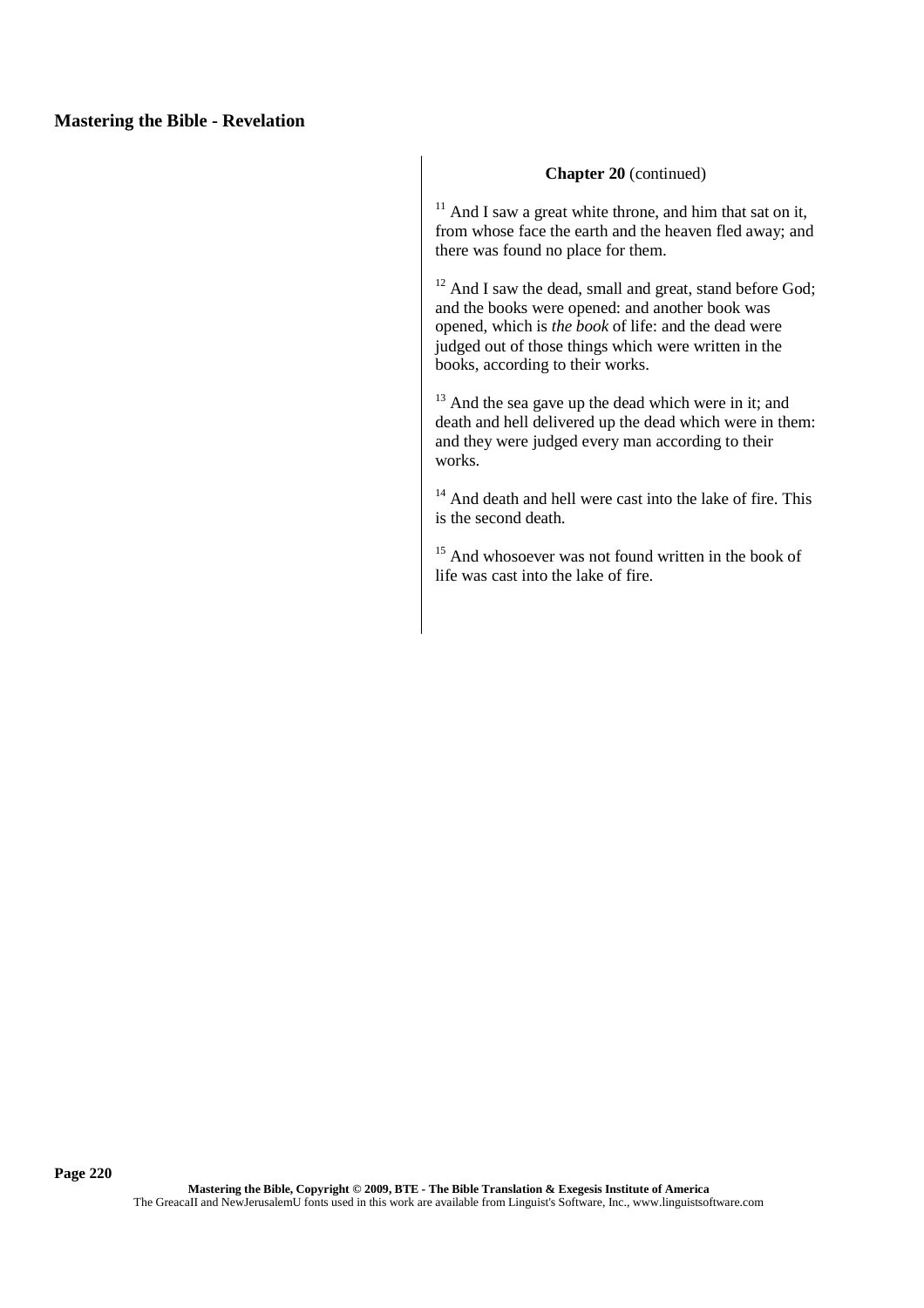#### **Chapter 20** (continued)

 $11$  And I saw a great white throne, and him that sat on it, from whose face the earth and the heaven fled away; and there was found no place for them.

<sup>12</sup> And I saw the dead, small and great, stand before God; and the books were opened: and another book was opened, which is *the book* of life: and the dead were judged out of those things which were written in the books, according to their works.

<sup>13</sup> And the sea gave up the dead which were in it; and death and hell delivered up the dead which were in them: and they were judged every man according to their works.

<sup>14</sup> And death and hell were cast into the lake of fire. This is the second death.

<sup>15</sup> And whosoever was not found written in the book of life was cast into the lake of fire.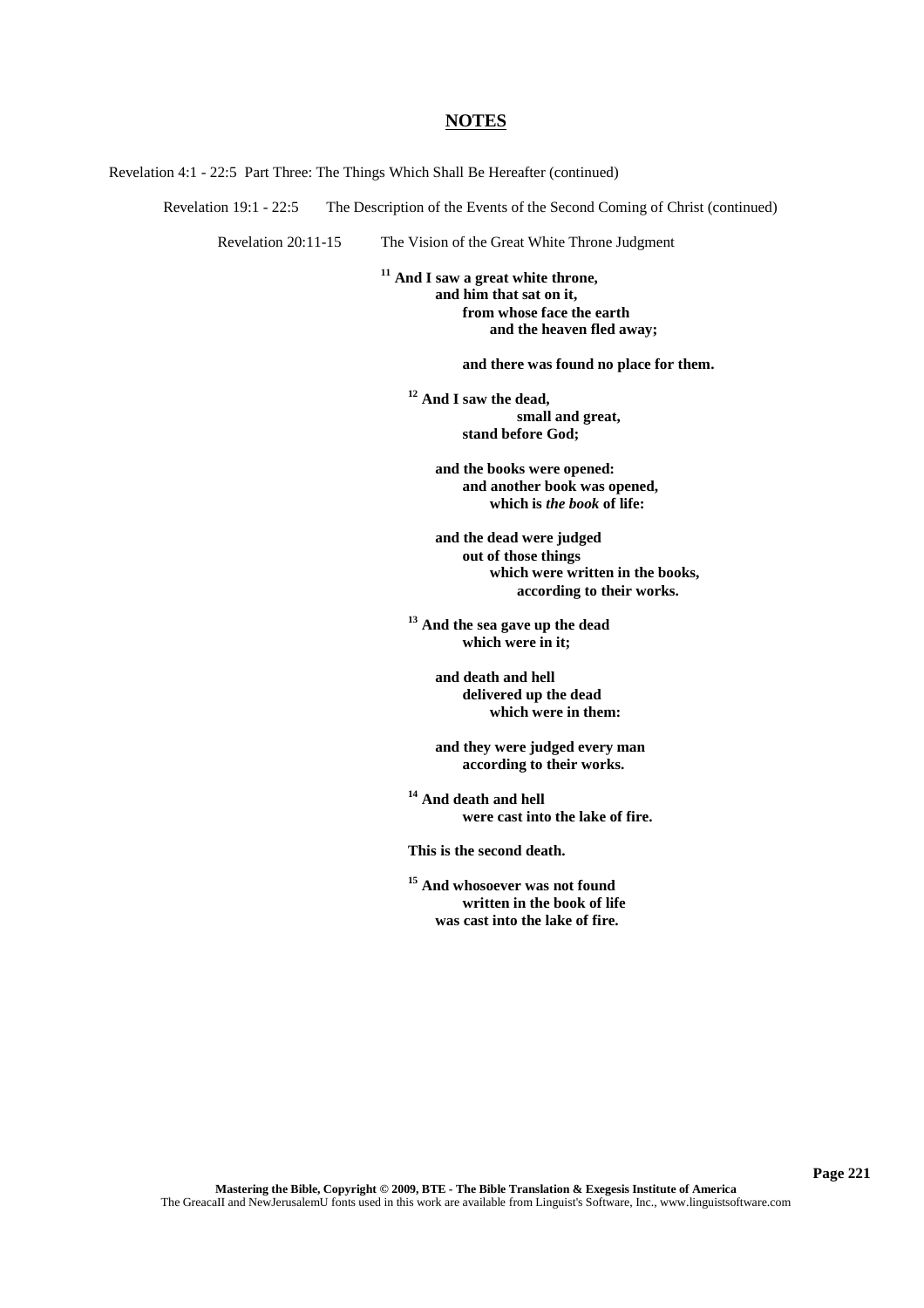Revelation 4:1 - 22:5 Part Three: The Things Which Shall Be Hereafter (continued)

Revelation 19:1 - 22:5 The Description of the Events of the Second Coming of Christ (continued)

Revelation 20:11-15 The Vision of the Great White Throne Judgment

**<sup>11</sup> And I saw a great white throne, and him that sat on it, from whose face the earth and the heaven fled away;**

**and there was found no place for them.**

**<sup>12</sup> And I saw the dead, small and great, stand before God;**

> **and the books were opened: and another book was opened, which is** *the book* **of life:**

**and the dead were judged out of those things which were written in the books, according to their works.**

**<sup>13</sup> And the sea gave up the dead which were in it;**

> **and death and hell delivered up the dead which were in them:**

**and they were judged every man according to their works.**

**<sup>14</sup> And death and hell were cast into the lake of fire.**

**This is the second death.**

**<sup>15</sup> And whosoever was not found written in the book of life was cast into the lake of fire.**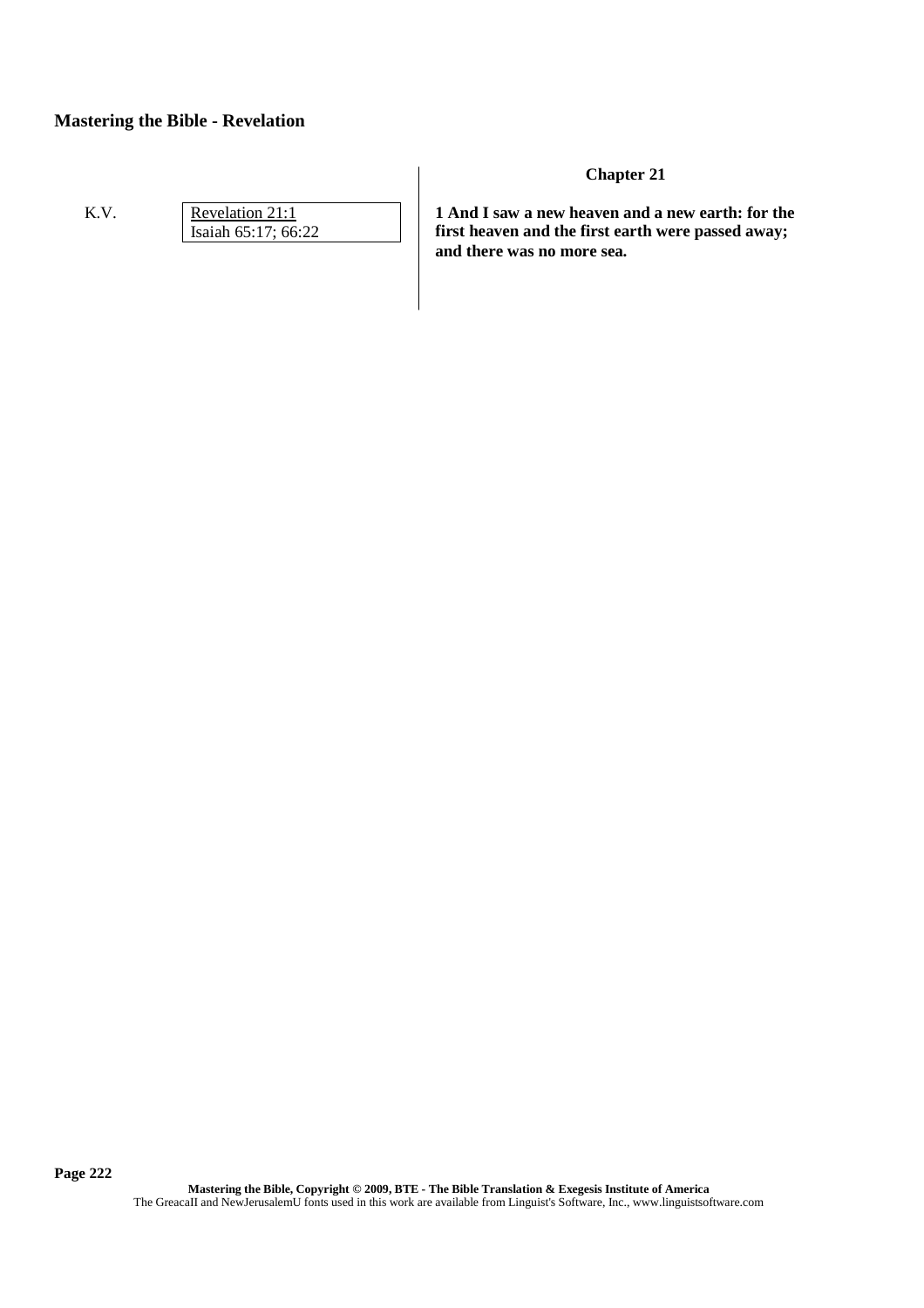K.V. Revelation 21:1 Isaiah 65:17; 66:22 **Chapter 21**

**1 And I saw a new heaven and a new earth: for the first heaven and the first earth were passed away; and there was no more sea.**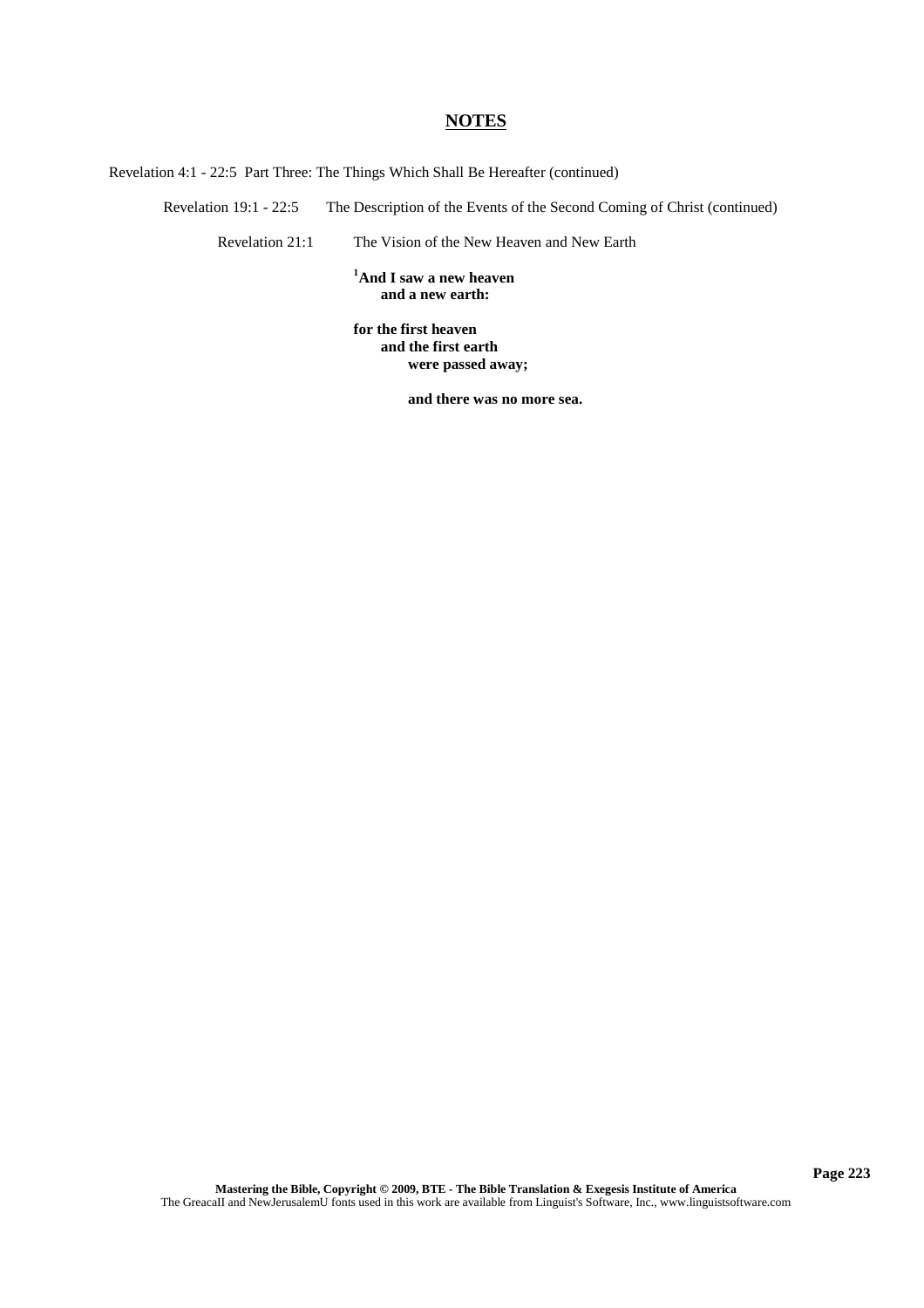Revelation 4:1 - 22:5 Part Three: The Things Which Shall Be Hereafter (continued)

Revelation 19:1 - 22:5 The Description of the Events of the Second Coming of Christ (continued)

Revelation 21:1 The Vision of the New Heaven and New Earth

**<sup>1</sup>And I saw a new heaven and a new earth:**

**for the first heaven and the first earth were passed away;**

**and there was no more sea.**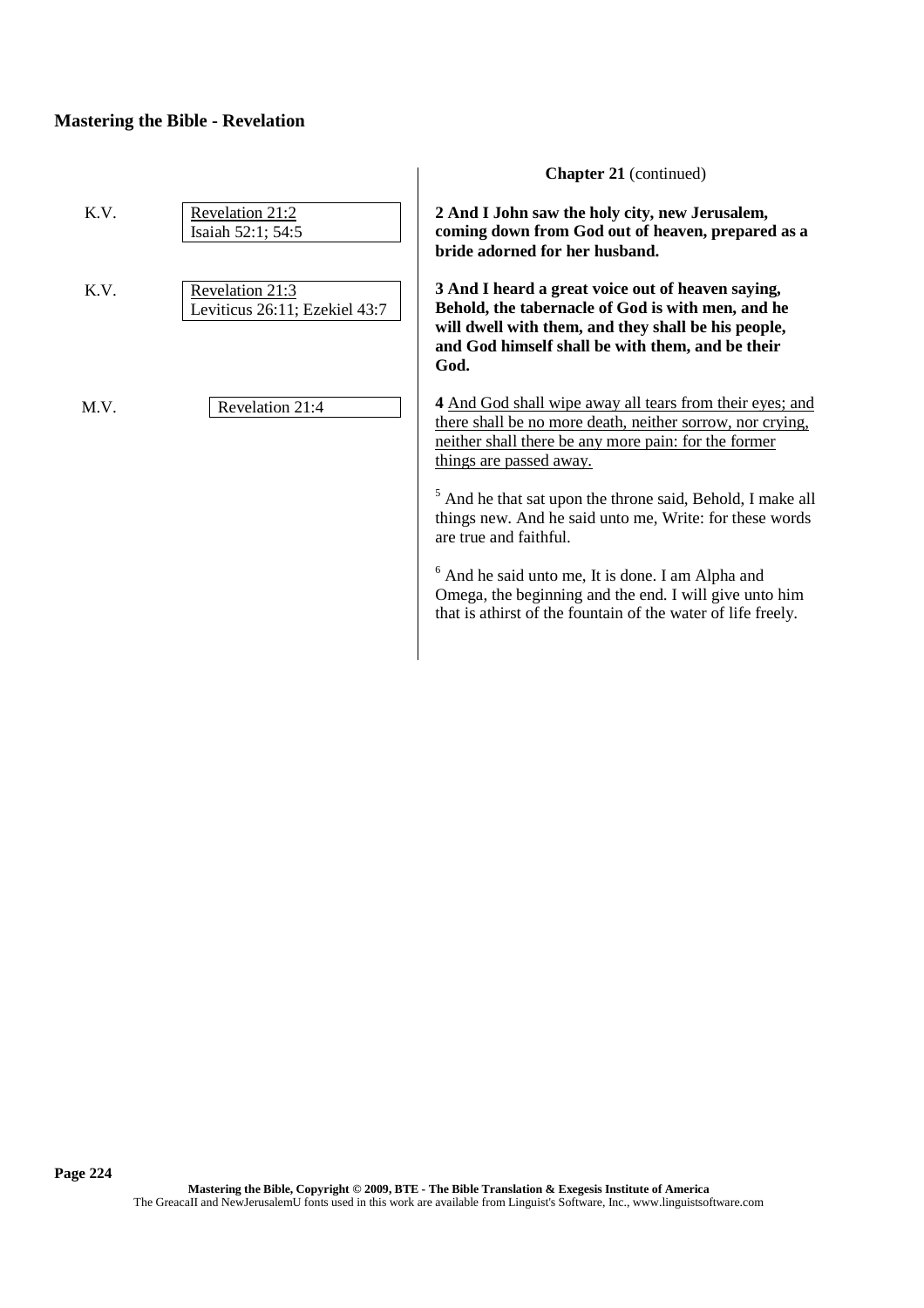| K.V. | Revelation 21:2<br>Isaiah 52:1; 54:5             | 2 And I John<br>coming down<br>bride adorne                                                                                |
|------|--------------------------------------------------|----------------------------------------------------------------------------------------------------------------------------|
| K.V. | Revelation 21:3<br>Leviticus 26:11; Ezekiel 43:7 | 3 And I hear<br>Behold, the t<br>will dwell wit<br>and God him<br>God.                                                     |
| M.V. | Revelation 21:4                                  | 4 And God sh<br>there shall be<br>neither shall t<br>things are pas<br>$5$ And he that<br>things new. A<br>are true and fa |

**Chapter 21** (continued)

**2 And Saw the holy city, new Jerusalem, coming down from God out of heaven, prepared as a brd** for her husband.

d a great voice out of heaven saying, abernacle of God is with men, and he **will dwell with them, and they shall be his people, and God himself shall be with them, and be their**

all wipe away all tears from their eyes; and no more death, neither sorrow, nor crying, here be any more pain: for the former sed away.

sat upon the throne said, Behold, I make all and he said unto me, Write: for these words aithful.

<sup>6</sup> And he said unto me, It is done. I am Alpha and Omega, the beginning and the end. I will give unto him that is athirst of the fountain of the water of life freely.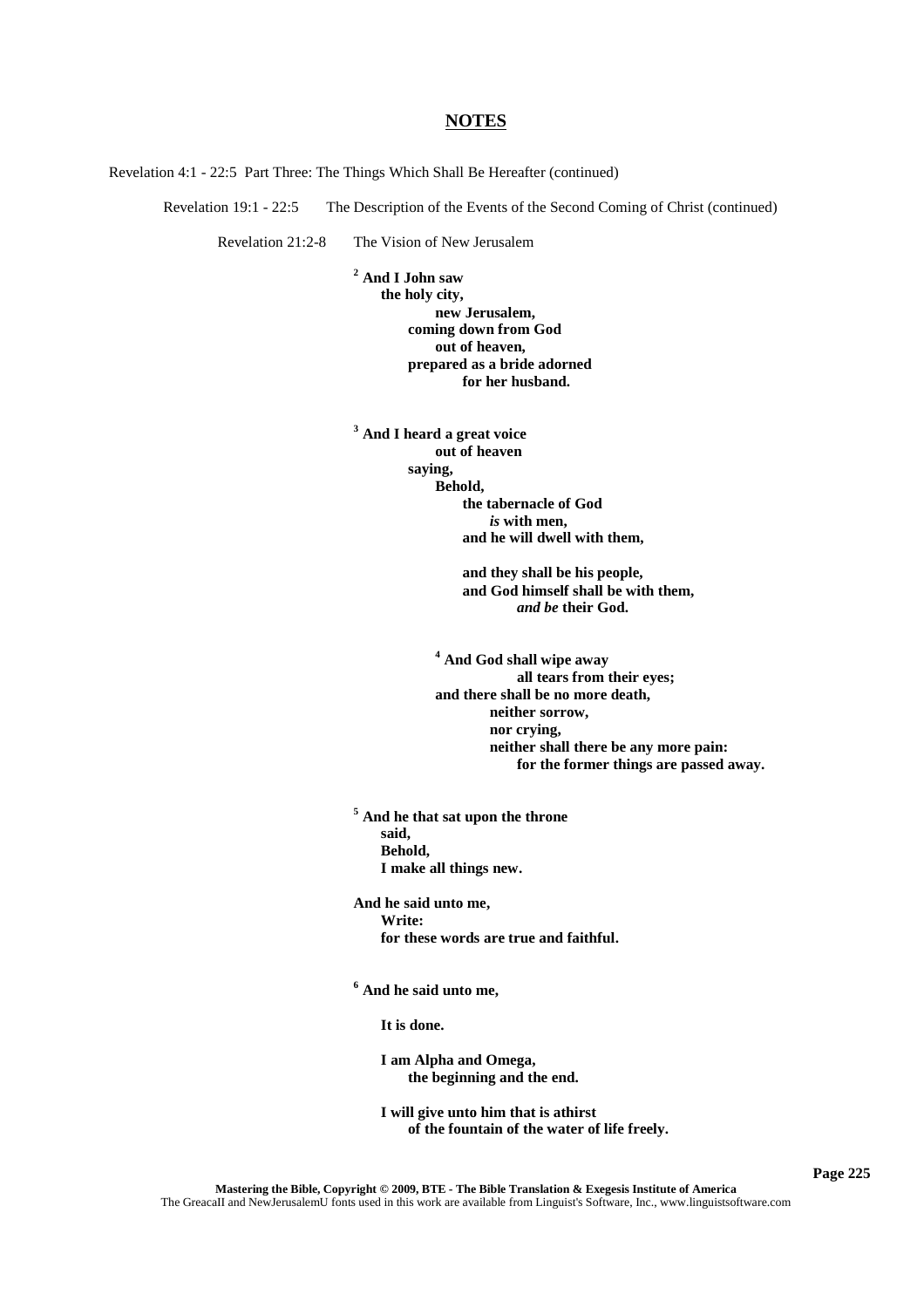Revelation 4:1 - 22:5 Part Three: The Things Which Shall Be Hereafter (continued)

Revelation 19:1 - 22:5 The Description of the Events of the Second Coming of Christ (continued)

Revelation 21:2-8 The Vision of New Jerusalem

**<sup>2</sup> And I John saw the holy city, new Jerusalem, coming down from God out of heaven, prepared as a bride adorned for her husband.**

**<sup>3</sup> And I heard a great voice out of heaven saying, Behold, the tabernacle of God** *is* **with men, and he will dwell with them,**

> **and they shall be his people, and God himself shall be with them,** *and be* **their God.**

**<sup>4</sup> And God shall wipe away all tears from their eyes; and there shall be no more death, neither sorrow, nor crying, neither shall there be any more pain: for the former things are passed away.**

**<sup>5</sup> And he that sat upon the throne said, Behold, I make all things new.**

**And he said unto me, Write: for these words are true and faithful.**

**<sup>6</sup> And he said unto me,**

**It is done.**

**I am Alpha and Omega, the beginning and the end.**

**I will give unto him that is athirst of the fountain of the water of life freely.**

**Page 225**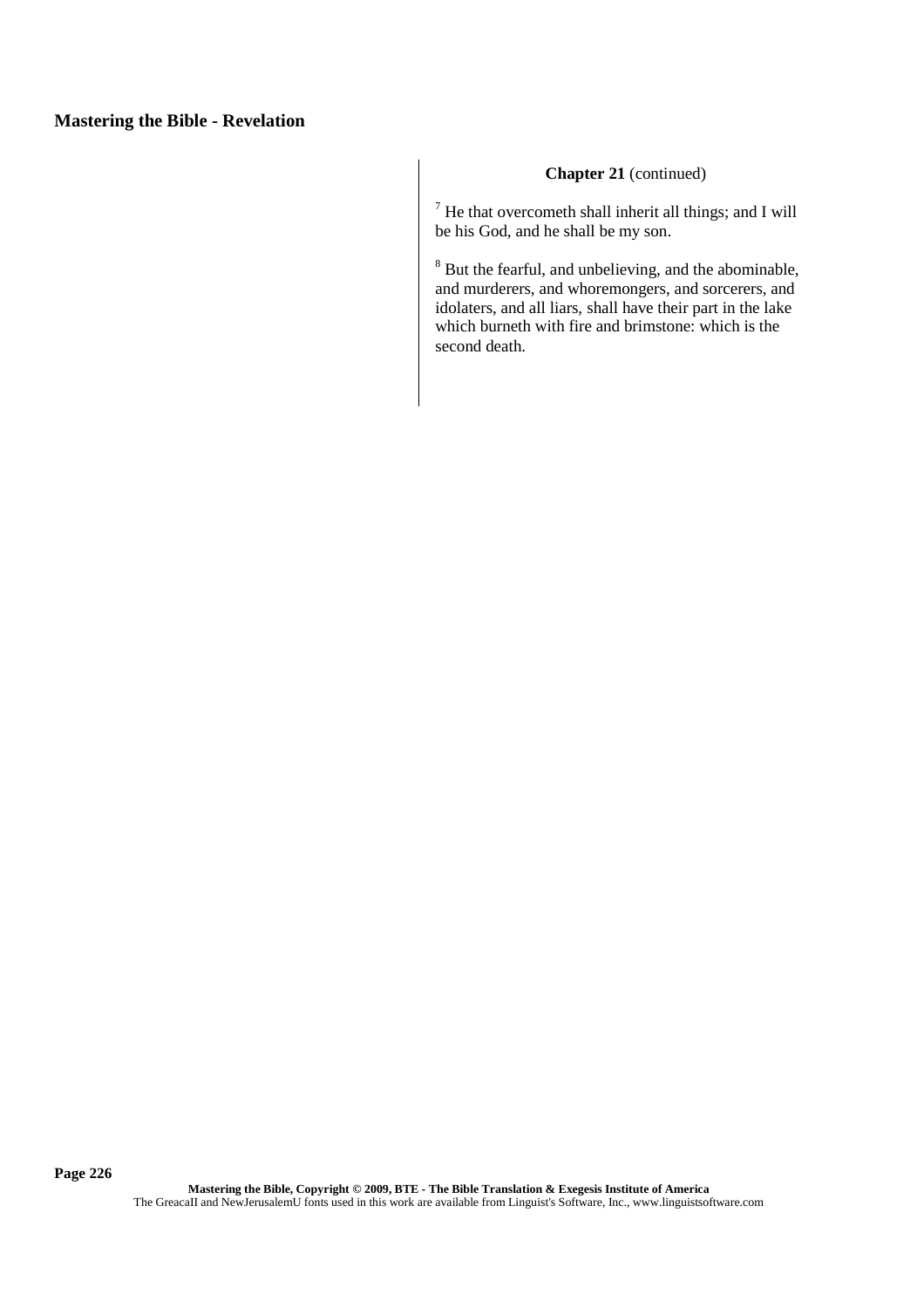## **Chapter 21** (continued)

 $<sup>7</sup>$  He that overcometh shall inherit all things; and I will</sup> be his God, and he shall be my son.

<sup>8</sup> But the fearful, and unbelieving, and the abominable, and murderers, and whoremongers, and sorcerers, and idolaters, and all liars, shall have their part in the lake which burneth with fire and brimstone: which is the second death.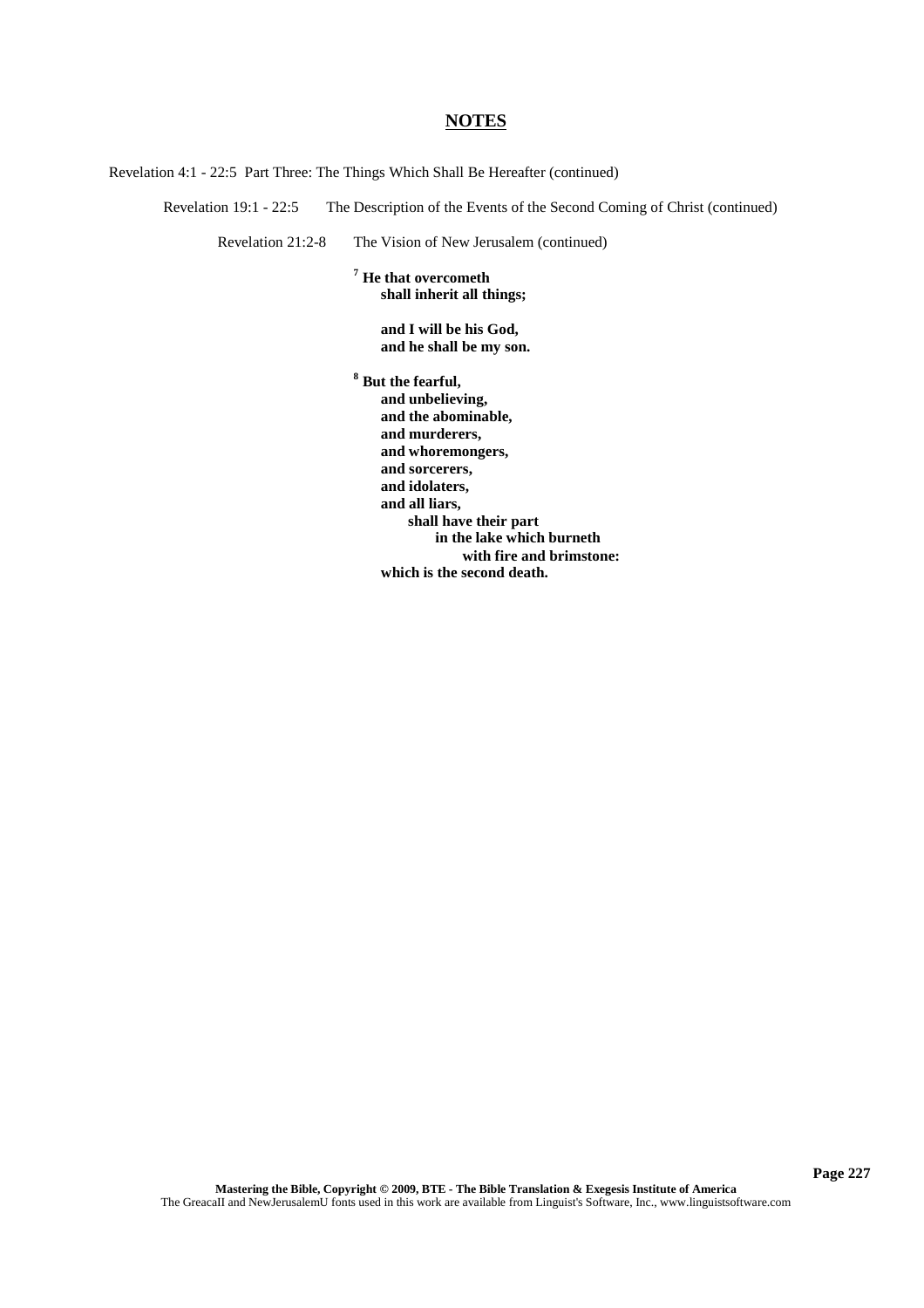Revelation 4:1 - 22:5 Part Three: The Things Which Shall Be Hereafter (continued)

Revelation 19:1 - 22:5 The Description of the Events of the Second Coming of Christ (continued)

Revelation 21:2-8 The Vision of New Jerusalem (continued)

**<sup>7</sup> He that overcometh shall inherit all things;**

> **and I will be his God, and he shall be my son.**

**<sup>8</sup> But the fearful, and unbelieving, and the abominable, and murderers, and whoremongers, and sorcerers, and idolaters, and all liars, shall have their part in the lake which burneth with fire and brimstone: which is the second death.**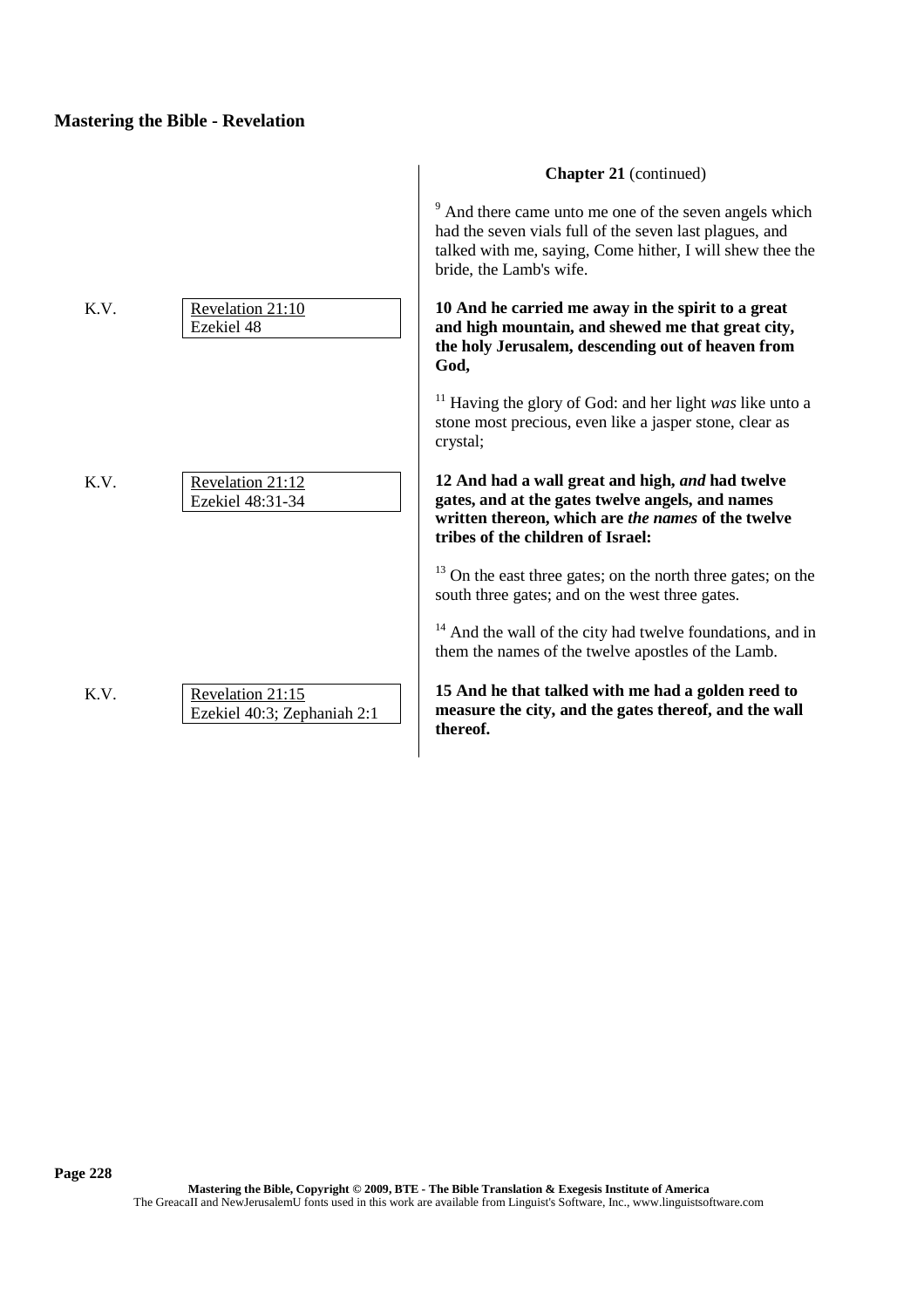K.V. Revelation 21:10 Ezekiel 48 K.V. Revelation 21:12 Ezekiel 48:31-34 K.V. Revelation 21:15 Ezekiel 40:3; Zephaniah 2:1 **Chapter 21** (continued) <sup>9</sup> And there came unto me one of the seven angels which had the seven vials full of the seven last plagues, and talked with me, saying, Come hither, I will shew thee the bride, the Lamb's wife. **10 And he carried me away in the spirit to a great and high mountain, and shewed me that great city, the holy Jerusalem, descending out of heaven from God,** <sup>11</sup> Having the glory of God: and her light *was* like unto a stone most precious, even like a jasper stone, clear as crystal; **12 And had a wall great and high,** *and* **had twelve gates, and at the gates twelve angels, and names written thereon, which are** *the names* **of the twelve tribes of the children of Israel:** <sup>13</sup> On the east three gates; on the north three gates; on the south three gates; and on the west three gates. <sup>14</sup> And the wall of the city had twelve foundations, and in them the names of the twelve apostles of the Lamb. **15 And he that talked with me had a golden reed to measure the city, and the gates thereof, and the wall thereof.**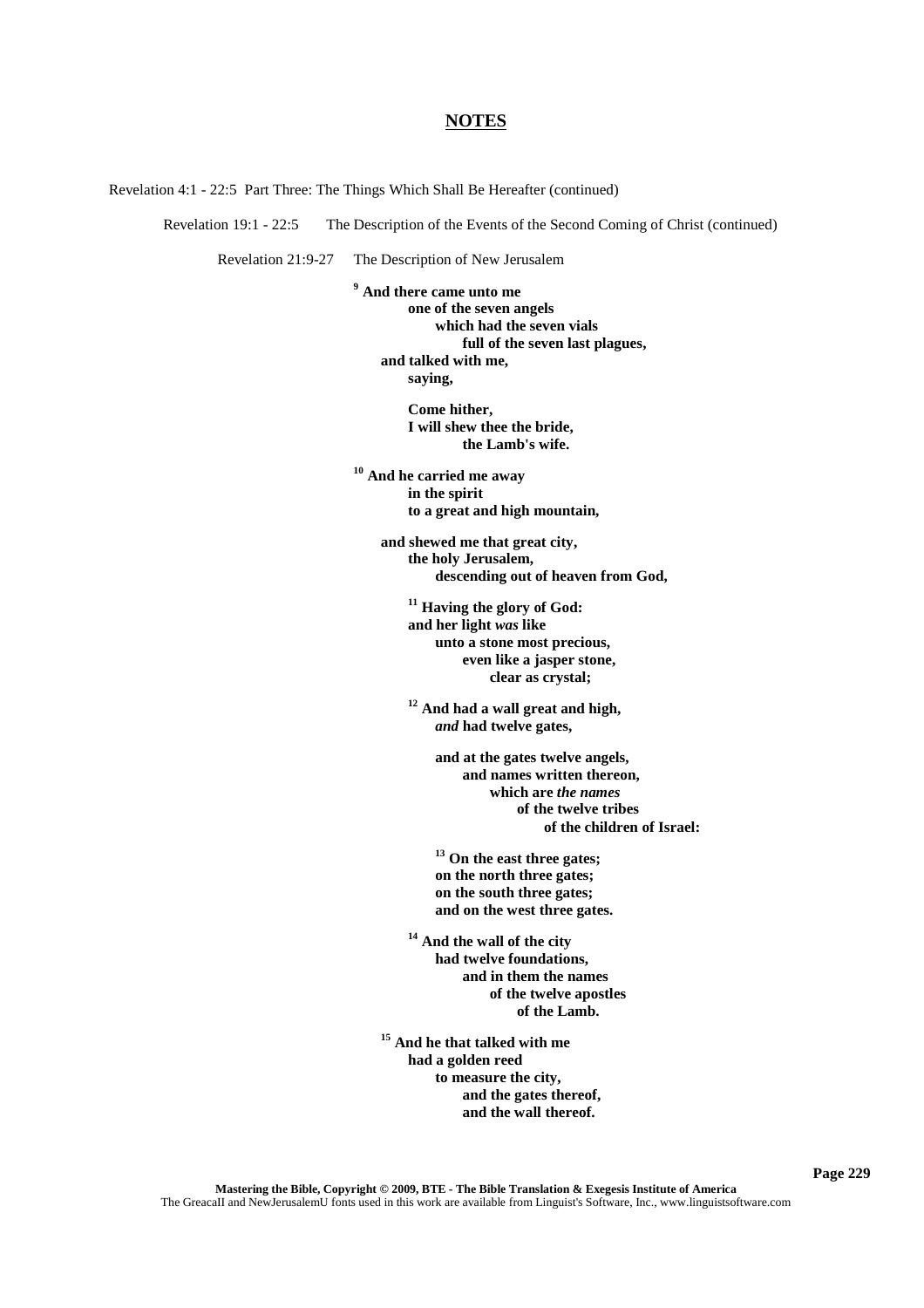Revelation 4:1 - 22:5 Part Three: The Things Which Shall Be Hereafter (continued)

Revelation 19:1 - 22:5 The Description of the Events of the Second Coming of Christ (continued)

Revelation 21:9-27 The Description of New Jerusalem

**<sup>9</sup> And there came unto me one of the seven angels which had the seven vials full of the seven last plagues, and talked with me, saying,**

> **Come hither, I will shew thee the bride, the Lamb's wife.**

**<sup>10</sup> And he carried me away in the spirit to a great and high mountain,**

> **and shewed me that great city, the holy Jerusalem, descending out of heaven from God,**

**<sup>11</sup> Having the glory of God: and her light** *was* **like unto a stone most precious, even like a jasper stone, clear as crystal;**

**<sup>12</sup> And had a wall great and high,** *and* **had twelve gates,**

> **and at the gates twelve angels, and names written thereon, which are** *the names* **of the twelve tribes of the children of Israel:**

**<sup>13</sup> On the east three gates; on the north three gates; on the south three gates; and on the west three gates.**

**<sup>14</sup> And the wall of the city had twelve foundations, and in them the names of the twelve apostles of the Lamb.**

**<sup>15</sup> And he that talked with me had a golden reed to measure the city, and the gates thereof, and the wall thereof.**

**Page 229**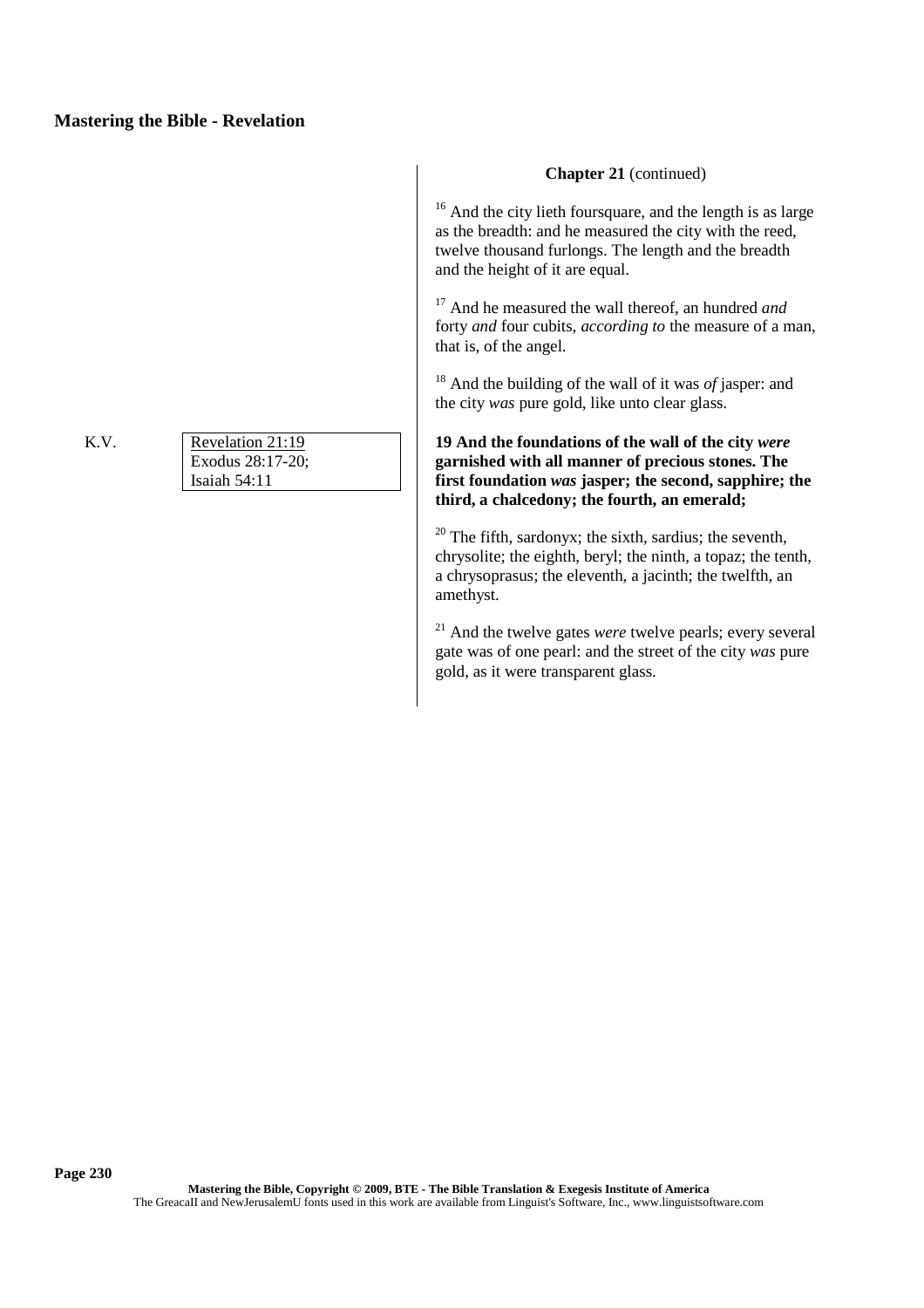K.V. Revelation 21:19 Exodus 28:17-20; Isaiah 54:11

#### **Chapter 21** (continued)

<sup>16</sup> And the city lieth foursquare, and the length is as large as the breadth: and he measured the city with the reed, twelve thousand furlongs. The length and the breadth and the height of it are equal.

<sup>17</sup> And he measured the wall thereof, an hundred *and* forty *and* four cubits, *according to* the measure of a man, that is, of the angel.

<sup>18</sup> And the building of the wall of it was *of* jasper: and the city *was* pure gold, like unto clear glass.

**19 And the foundations of the wall of the city** *were* **garnished with all manner of precious stones. The first foundation** *was* **jasper; the second, sapphire; the third, a chalcedony; the fourth, an emerald;**

 $20$  The fifth, sardonyx; the sixth, sardius; the seventh, chrysolite; the eighth, beryl; the ninth, a topaz; the tenth, a chrysoprasus; the eleventh, a jacinth; the twelfth, an amethyst.

<sup>21</sup> And the twelve gates *were* twelve pearls; every several gate was of one pearl: and the street of the city *was* pure gold, as it were transparent glass.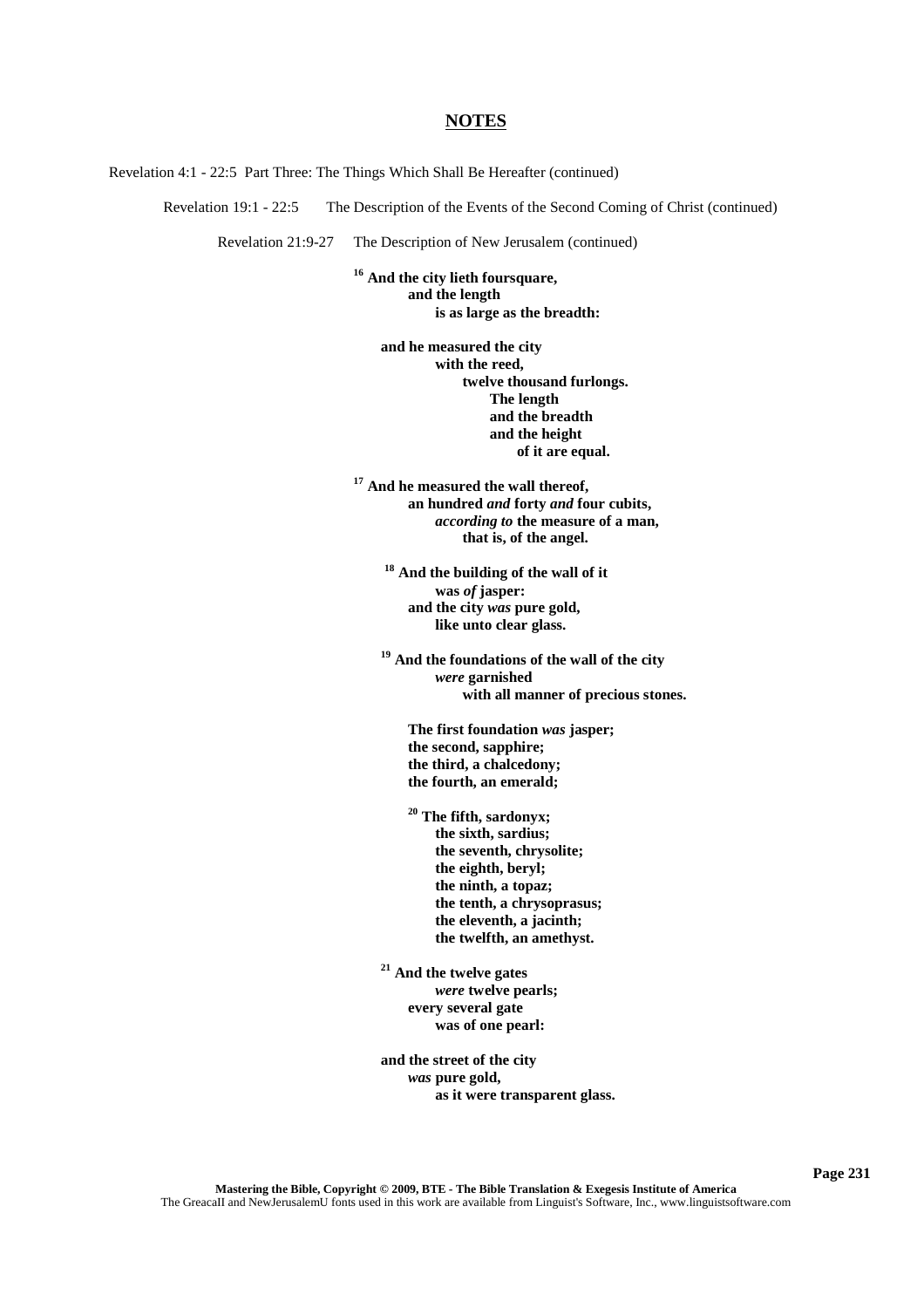Revelation 4:1 - 22:5 Part Three: The Things Which Shall Be Hereafter (continued)

Revelation 19:1 - 22:5 The Description of the Events of the Second Coming of Christ (continued)

Revelation 21:9-27 The Description of New Jerusalem (continued)

**<sup>16</sup> And the city lieth foursquare, and the length is as large as the breadth:**

> **and he measured the city with the reed, twelve thousand furlongs. The length and the breadth and the height of it are equal.**

**<sup>17</sup> And he measured the wall thereof, an hundred** *and* **forty** *and* **four cubits,** *according to* **the measure of a man, that is, of the angel.**

> **<sup>18</sup> And the building of the wall of it was** *of* **jasper: and the city** *was* **pure gold, like unto clear glass.**

**<sup>19</sup> And the foundations of the wall of the city** *were* **garnished with all manner of precious stones.**

**The first foundation** *was* **jasper; the second, sapphire; the third, a chalcedony; the fourth, an emerald;**

**<sup>20</sup> The fifth, sardonyx; the sixth, sardius; the seventh, chrysolite; the eighth, beryl; the ninth, a topaz; the tenth, a chrysoprasus; the eleventh, a jacinth; the twelfth, an amethyst.**

**<sup>21</sup> And the twelve gates** *were* **twelve pearls; every several gate was of one pearl:**

**and the street of the city** *was* **pure gold, as it were transparent glass.**

**Page 231**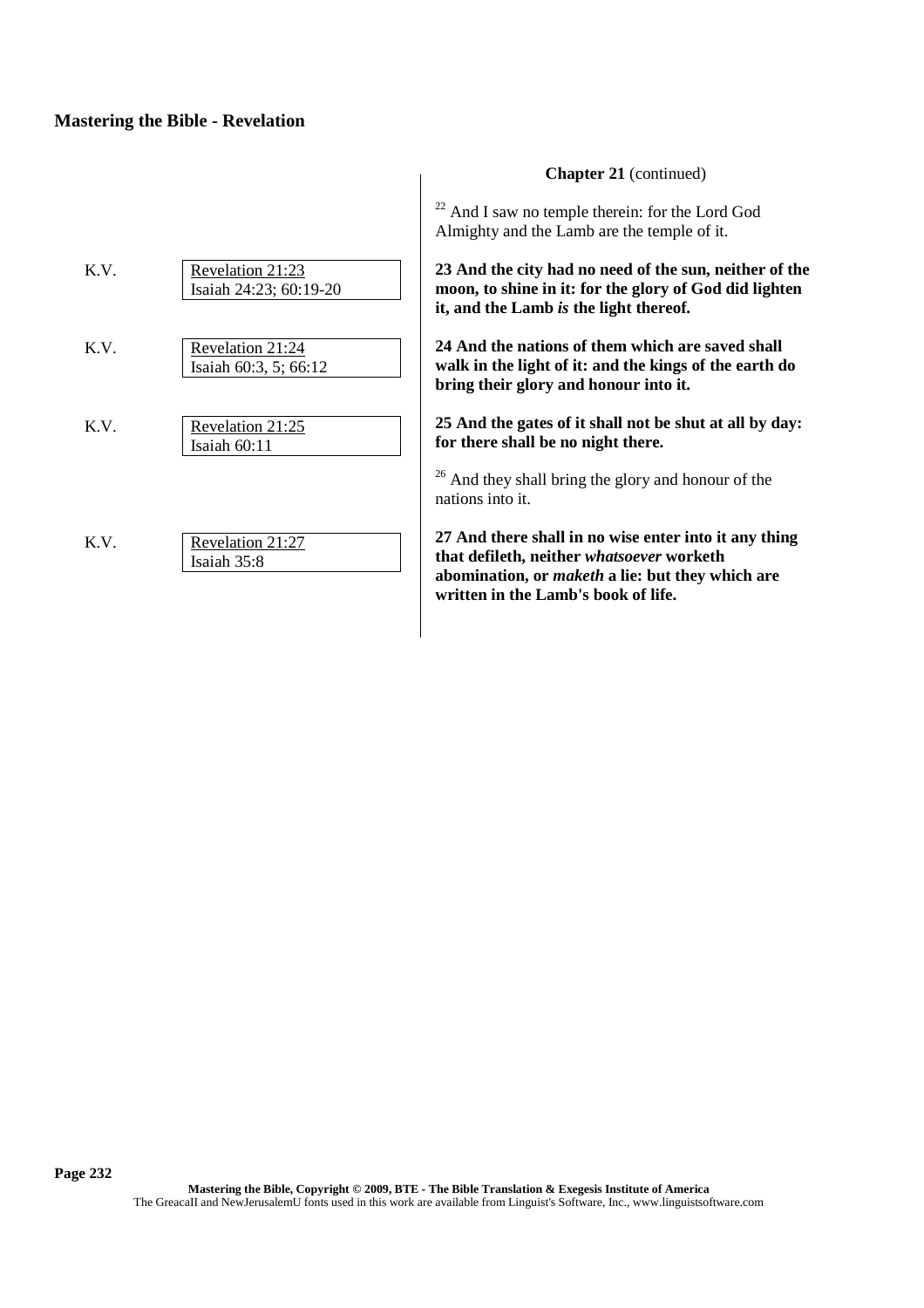| K.V. | Revelation 21:23       | 23 And the c                 |
|------|------------------------|------------------------------|
|      | Isaiah 24:23; 60:19-20 | moon, to shi                 |
|      |                        | it, and the L                |
| K.V. | Revelation 21:24       | 24 And the n                 |
|      | Isaiah 60:3, 5; 66:12  | walk in the l                |
|      |                        | bring their g                |
| K.V. | Revelation 21:25       | 25 And the g                 |
|      | Isaiah 60:11           | for there sha                |
|      |                        | $26$ And they s              |
|      |                        | nations into it              |
| K.V. | Revelation 21:27       | 27 And there                 |
|      | Isaiah 35:8            | that defileth.               |
|      |                        | abomination<br>written in th |
|      |                        |                              |

## **Chapter 21** (continued)

 $22$  And I saw no temple therein: for the Lord God Almighty and the Lamb are the temple of it.

**23 And the city had no need of the sun, neither of the moon, to shine in it: for the glory of God did lighten** amb *is* the light thereof.

rations of them which are saved shall **ight of it: and the kings of the earth do bring their glory and honour into it.**

gates of it shall not be shut at all by day: **for the no night there.** 

hall bring the glory and honour of the nations into it.

**27 And in no wise enter into it any thing neither** *whatsoever* **worketh abomination, or** *maketh* **a lie: but they which are we Lamb's book of life.**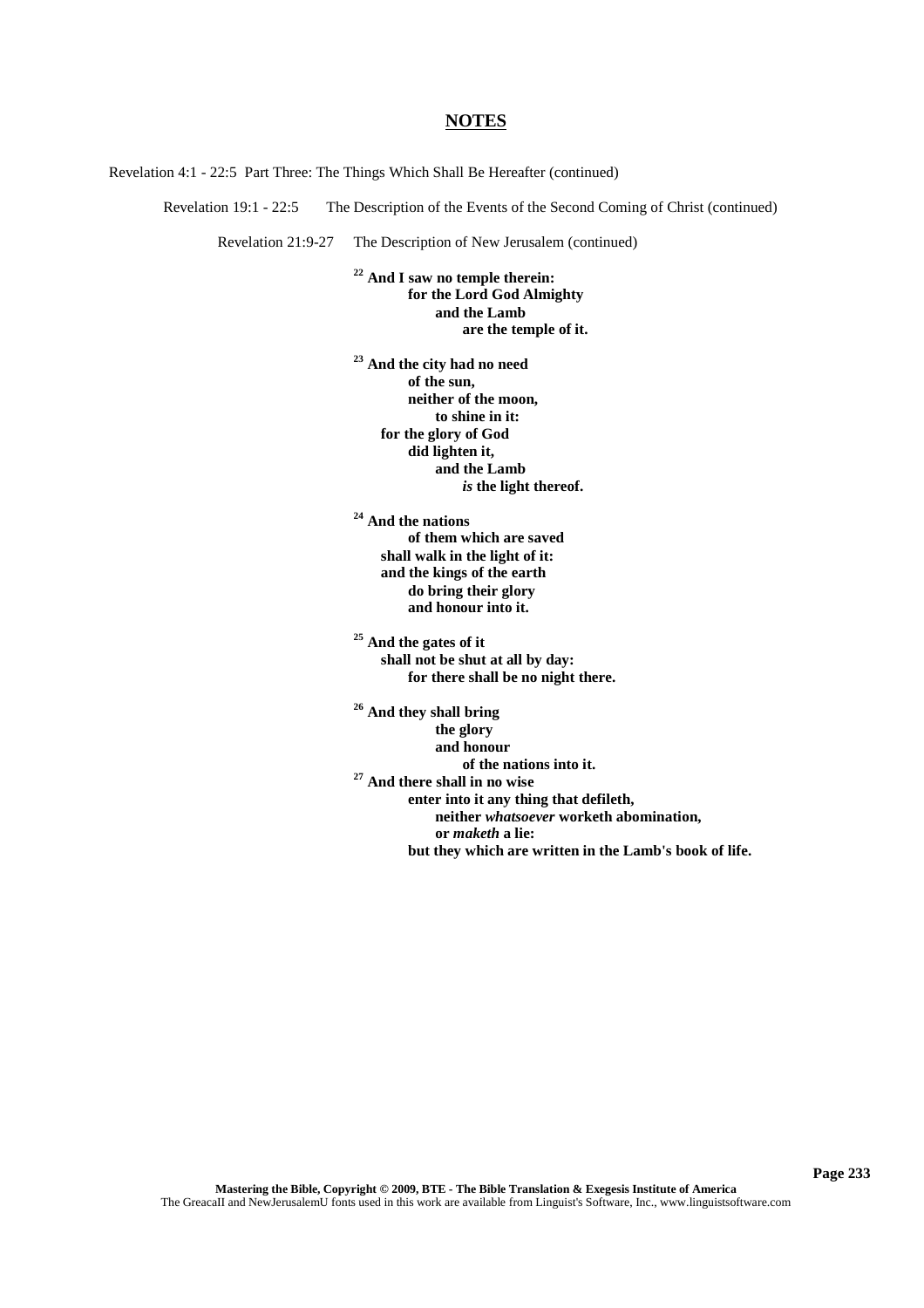Revelation 4:1 - 22:5 Part Three: The Things Which Shall Be Hereafter (continued)

Revelation 19:1 - 22:5 The Description of the Events of the Second Coming of Christ (continued)

Revelation 21:9-27 The Description of New Jerusalem (continued)

**<sup>22</sup> And I saw no temple therein: for the Lord God Almighty and the Lamb are the temple of it.**

**<sup>23</sup> And the city had no need of the sun, neither of the moon, to shine in it: for the glory of God did lighten it, and the Lamb** *is* **the light thereof.**

**<sup>24</sup> And the nations of them which are saved shall walk in the light of it: and the kings of the earth do bring their glory and honour into it.**

**<sup>25</sup> And the gates of it shall not be shut at all by day: for there shall be no night there.**

**<sup>26</sup> And they shall bring the glory and honour of the nations into it. <sup>27</sup> And there shall in no wise enter into it any thing that defileth, neither** *whatsoever* **worketh abomination, or** *maketh* **a lie: but they which are written in the Lamb's book of life.**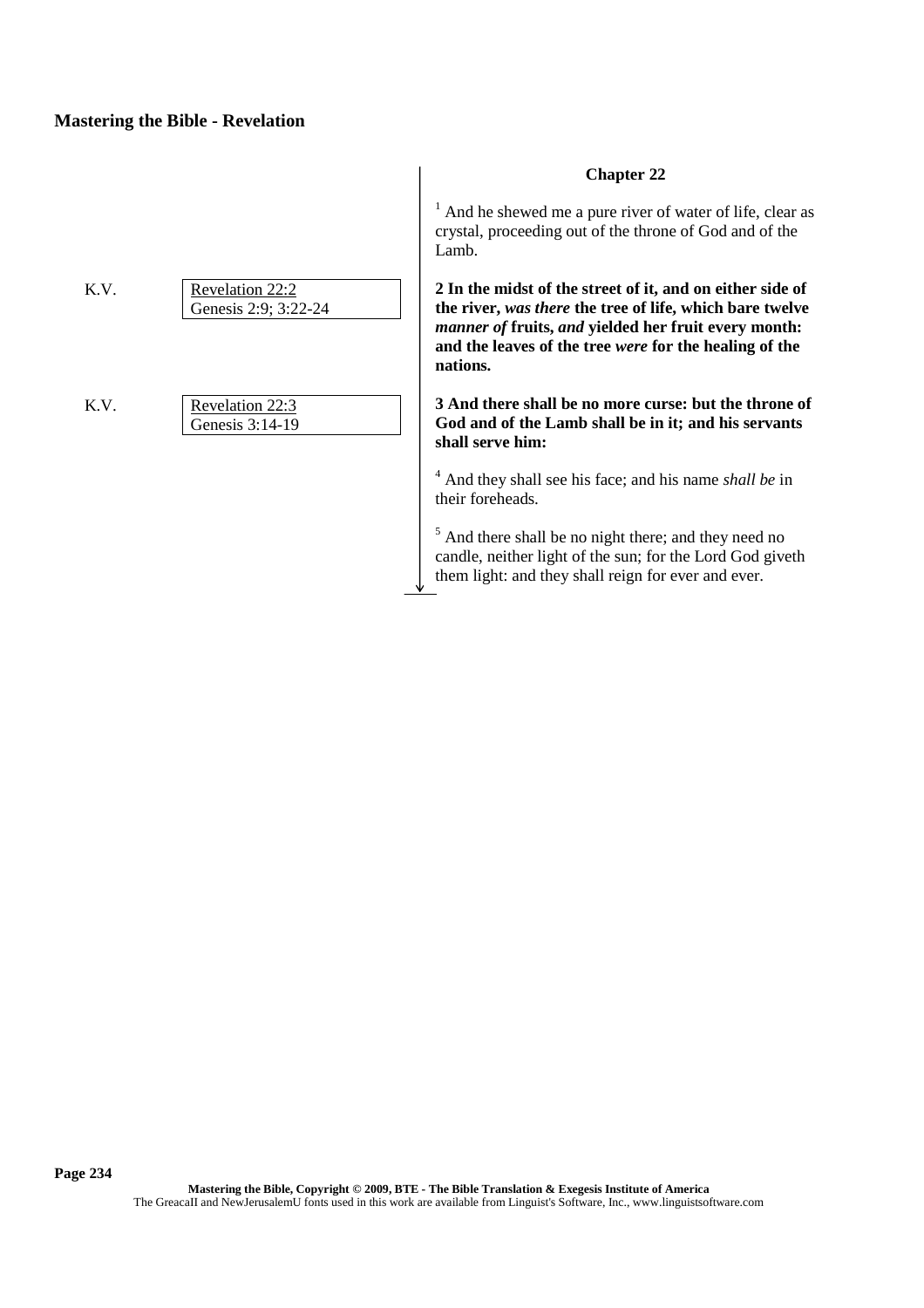K.V. Revelation 22:2 Genesis 2:9; 3:22-24

K.V. Revelation 22:3 Genesis 3:14-19

#### **Chapter 22**

 $1$  And he shewed me a pure river of water of life, clear as crystal, proceeding out of the throne of God and of the Lamb.

**2 In the midst of the street of it, and on either side of the river,** *was there* **the tree of life, which bare twelve** *manner of* **fruits,** *and* **yielded her fruit every month: and the leaves of the tree** *were* **for the healing of the nations.**

**3 And there shall be no more curse: but the throne of God and of the Lamb shall be in it; and his servants shall serve him:**

<sup>4</sup> And they shall see his face; and his name *shall be* in their foreheads.

<sup>5</sup> And there shall be no night there; and they need no candle, neither light of the sun; for the Lord God giveth them light: and they shall reign for ever and ever.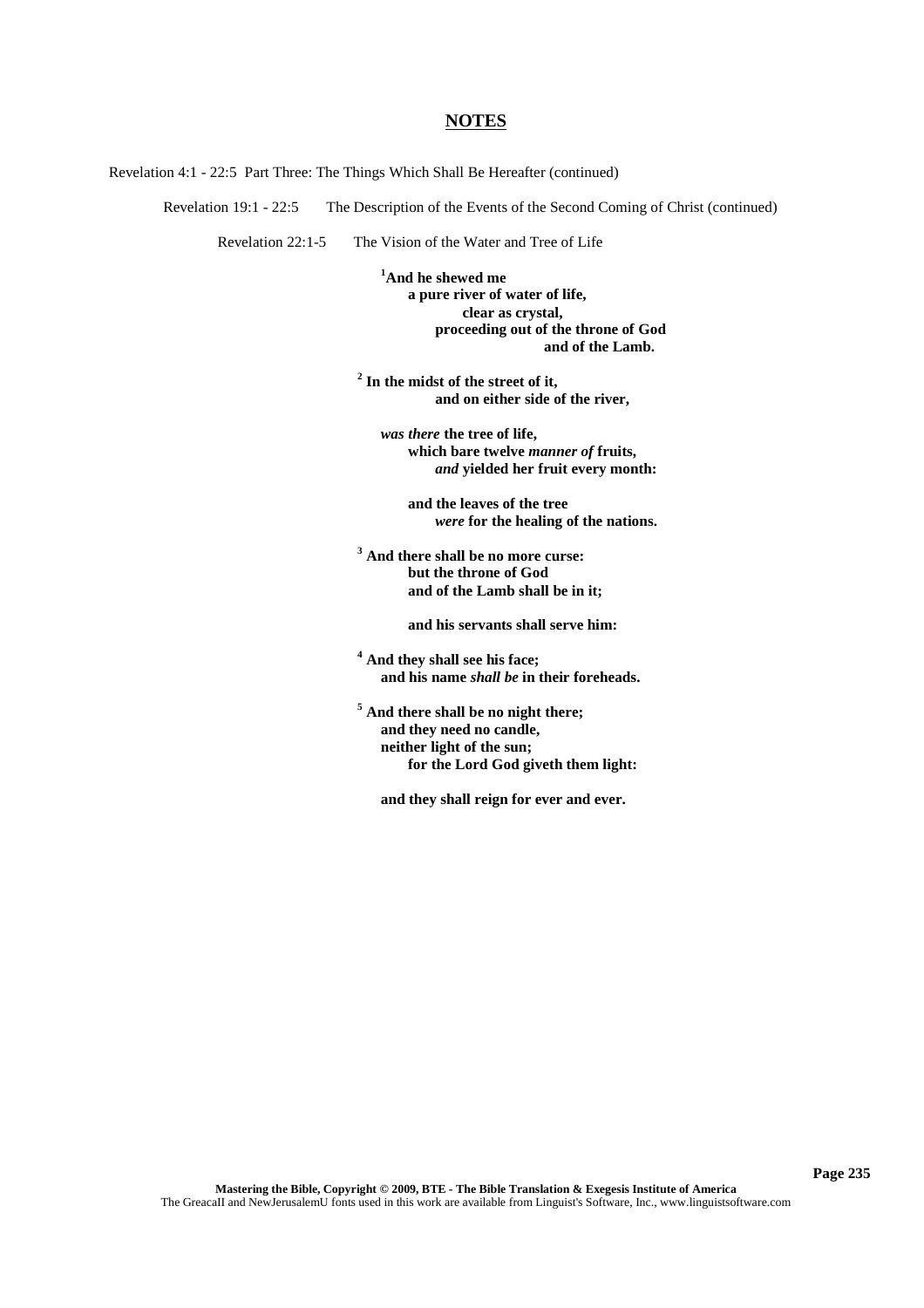Revelation 4:1 - 22:5 Part Three: The Things Which Shall Be Hereafter (continued)

Revelation 19:1 - 22:5 The Description of the Events of the Second Coming of Christ (continued)

Revelation 22:1-5 The Vision of the Water and Tree of Life

**<sup>1</sup>And he shewed me a pure river of water of life, clear as crystal, proceeding out of the throne of God and of the Lamb.**

**2 In the midst of the street of it, and on either side of the river,**

*was there* **the tree of life, which bare twelve** *manner of* **fruits,** *and* **yielded her fruit every month:**

**and the leaves of the tree** *were* **for the healing of the nations.**

**<sup>3</sup> And there shall be no more curse: but the throne of God and of the Lamb shall be in it;**

**and his servants shall serve him:**

**<sup>4</sup> And they shall see his face; and his name** *shall be* **in their foreheads.**

**<sup>5</sup> And there shall be no night there; and they need no candle, neither light of the sun; for the Lord God giveth them light:**

**and they shall reign for ever and ever.**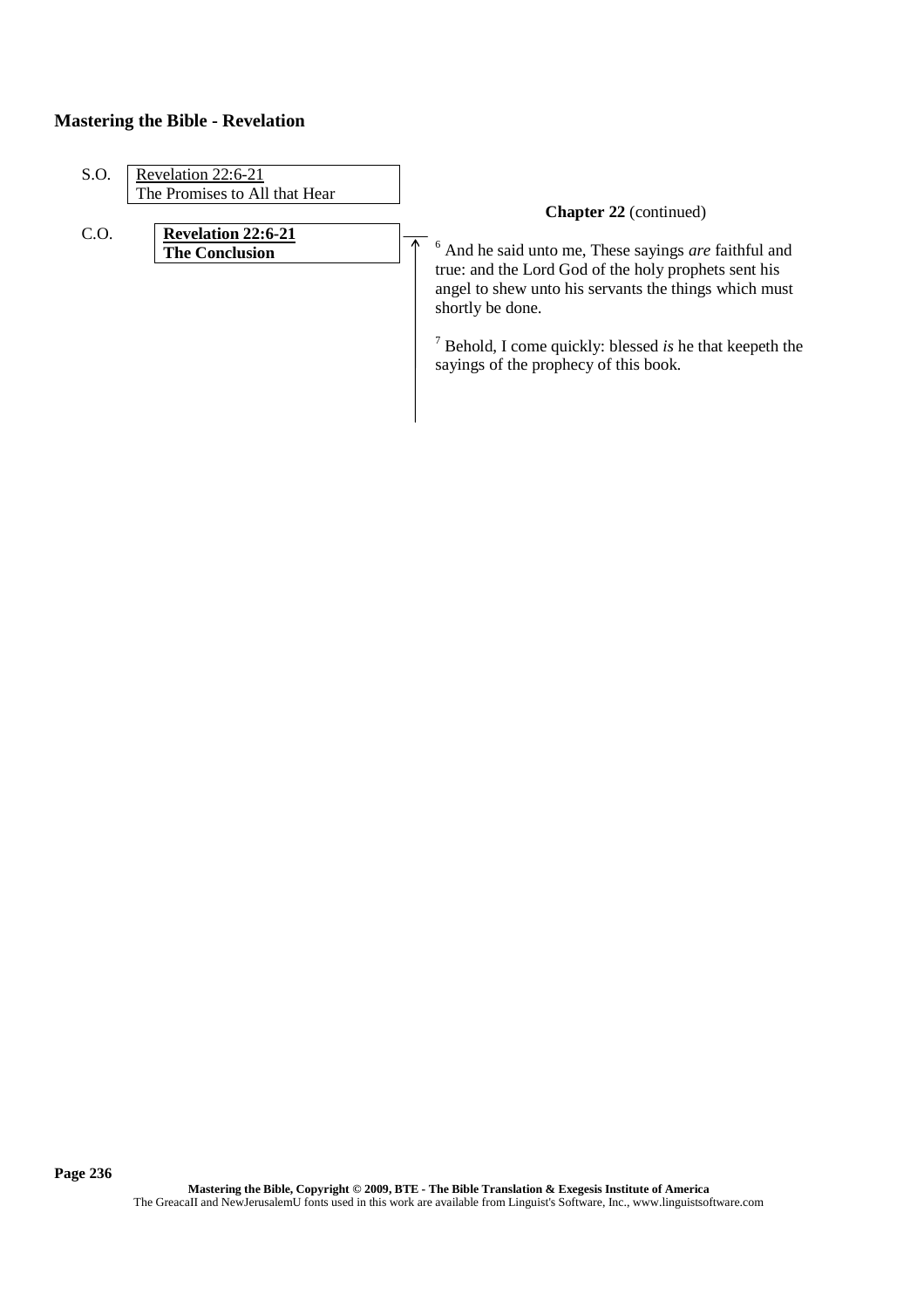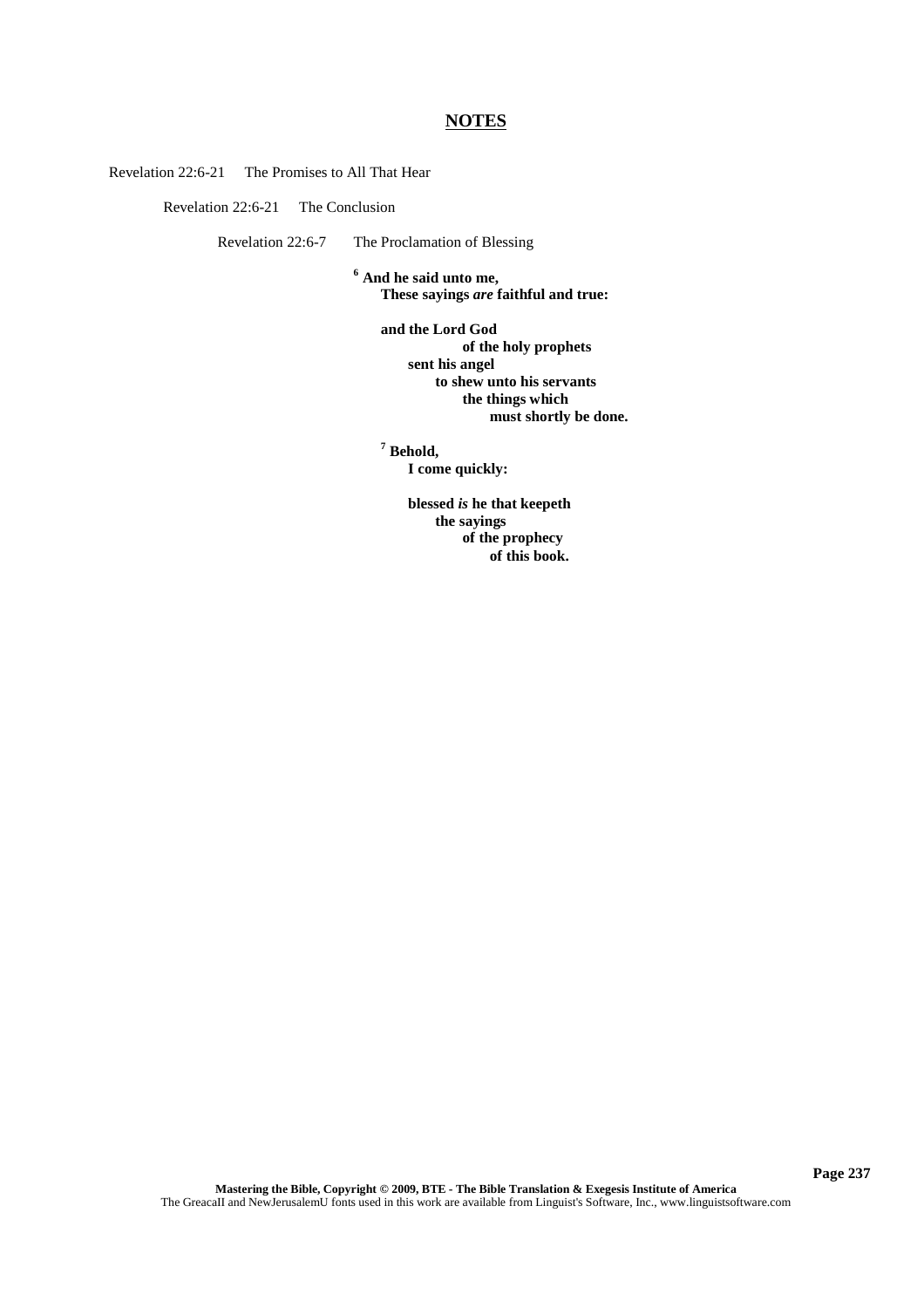#### Revelation 22:6-21 The Promises to All That Hear

Revelation 22:6-21 The Conclusion

Revelation 22:6-7 The Proclamation of Blessing

**<sup>6</sup> And he said unto me, These sayings** *are* **faithful and true:**

> **and the Lord God of the holy prophets sent his angel to shew unto his servants the things which must shortly be done.**

**<sup>7</sup> Behold, I come quickly:**

> **blessed** *is* **he that keepeth the sayings of the prophecy of this book.**

**Mastering the Bible, Copyright © 2009, BTE - The Bible Translation & Exegesis Institute of America** The GreacaII and NewJerusalemU fonts used in this work are available from Linguist's Software, Inc., www.linguistsoftware.com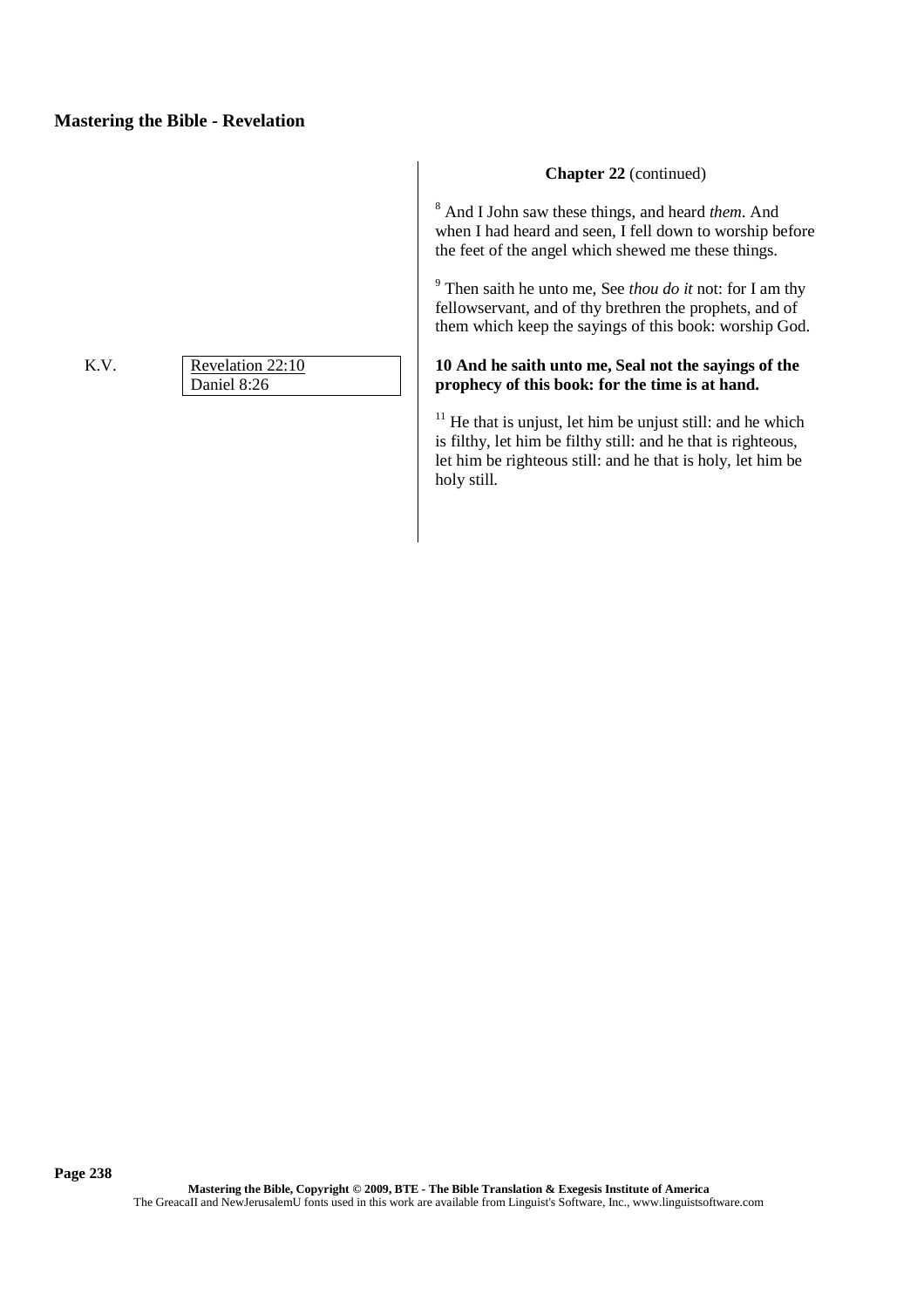K.V. Revelation 22:10 Daniel 8:26

## **Chapter 22** (continued)

<sup>8</sup> And I John saw these things, and heard *them*. And when I had heard and seen, I fell down to worship before the feet of the angel which shewed me these things.

<sup>9</sup> Then saith he unto me, See *thou do it* not: for I am thy fellowservant, and of thy brethren the prophets, and of them which keep the sayings of this book: worship God.

#### **10 And he saith unto me, Seal not the sayings of the prophecy of this book: for the time is at hand.**

 $11$  He that is unjust, let him be unjust still: and he which is filthy, let him be filthy still: and he that is righteous, let him be righteous still: and he that is holy, let him be holy still.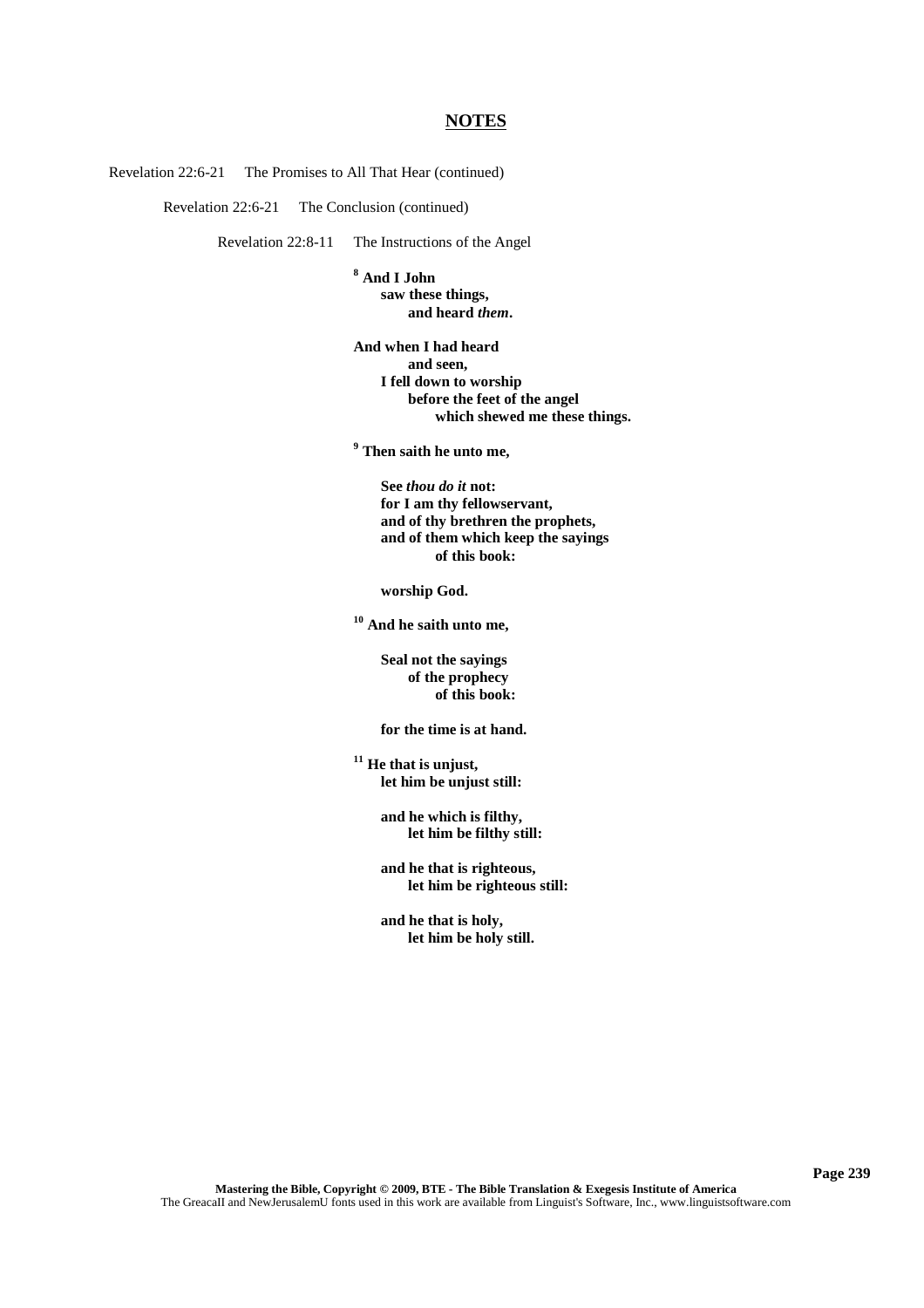Revelation 22:6-21 The Promises to All That Hear (continued)

Revelation 22:6-21 The Conclusion (continued)

Revelation 22:8-11 The Instructions of the Angel

**<sup>8</sup> And I John saw these things, and heard** *them***.**

**And when I had heard and seen, I fell down to worship before the feet of the angel which shewed me these things.**

**<sup>9</sup> Then saith he unto me,**

**See** *thou do it* **not: for I am thy fellowservant, and of thy brethren the prophets, and of them which keep the sayings of this book:**

**worship God.**

**<sup>10</sup> And he saith unto me,**

**Seal not the sayings of the prophecy of this book:**

**for the time is at hand.**

**<sup>11</sup> He that is unjust, let him be unjust still:**

> **and he which is filthy, let him be filthy still:**

**and he that is righteous, let him be righteous still:**

**and he that is holy, let him be holy still.**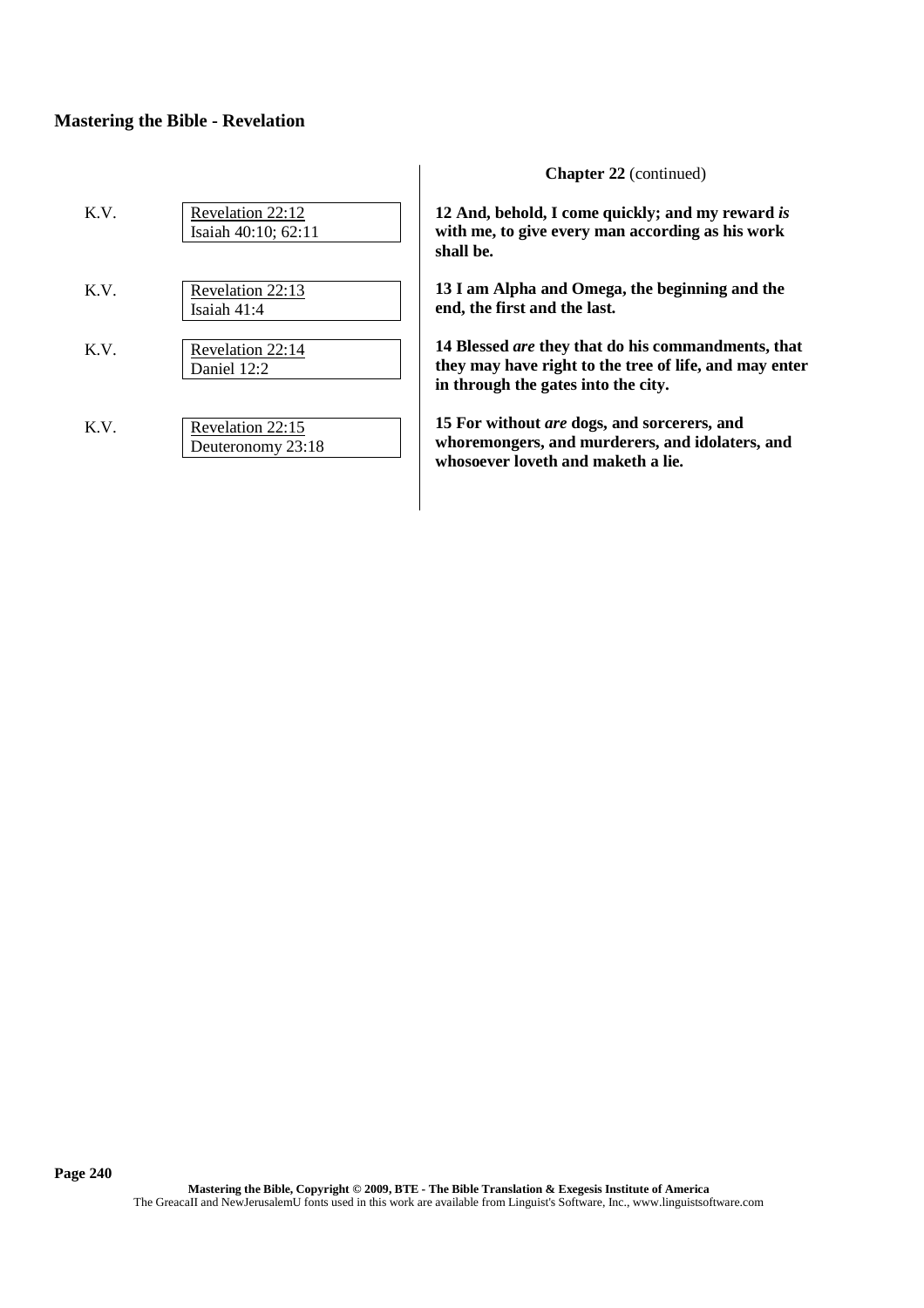| K.V. | Revelation 22:12<br>Isaiah 40:10; 62:11 |
|------|-----------------------------------------|
| K.V. | Revelation 22:13<br>Isaiah $41:4$       |
| K.V. | Revelation 22:14<br>Daniel 12:2         |
| K.V. | Revelation 22:15<br>Deuteronomy 23:18   |

#### **Chapter 22** (continued)

**12 And, behold, I come quickly; and my reward** *is* **with me, to give every man according as his work shall be.**

**13 I am Alpha and Omega, the beginning and the end, the first and the last.**

**14 Blessed** *are* **they that do his commandments, that they may have right to the tree of life, and may enter in through the gates into the city.**

**15 For without** *are* **dogs, and sorcerers, and whoremongers, and murderers, and idolaters, and whosoever loveth and maketh a lie.**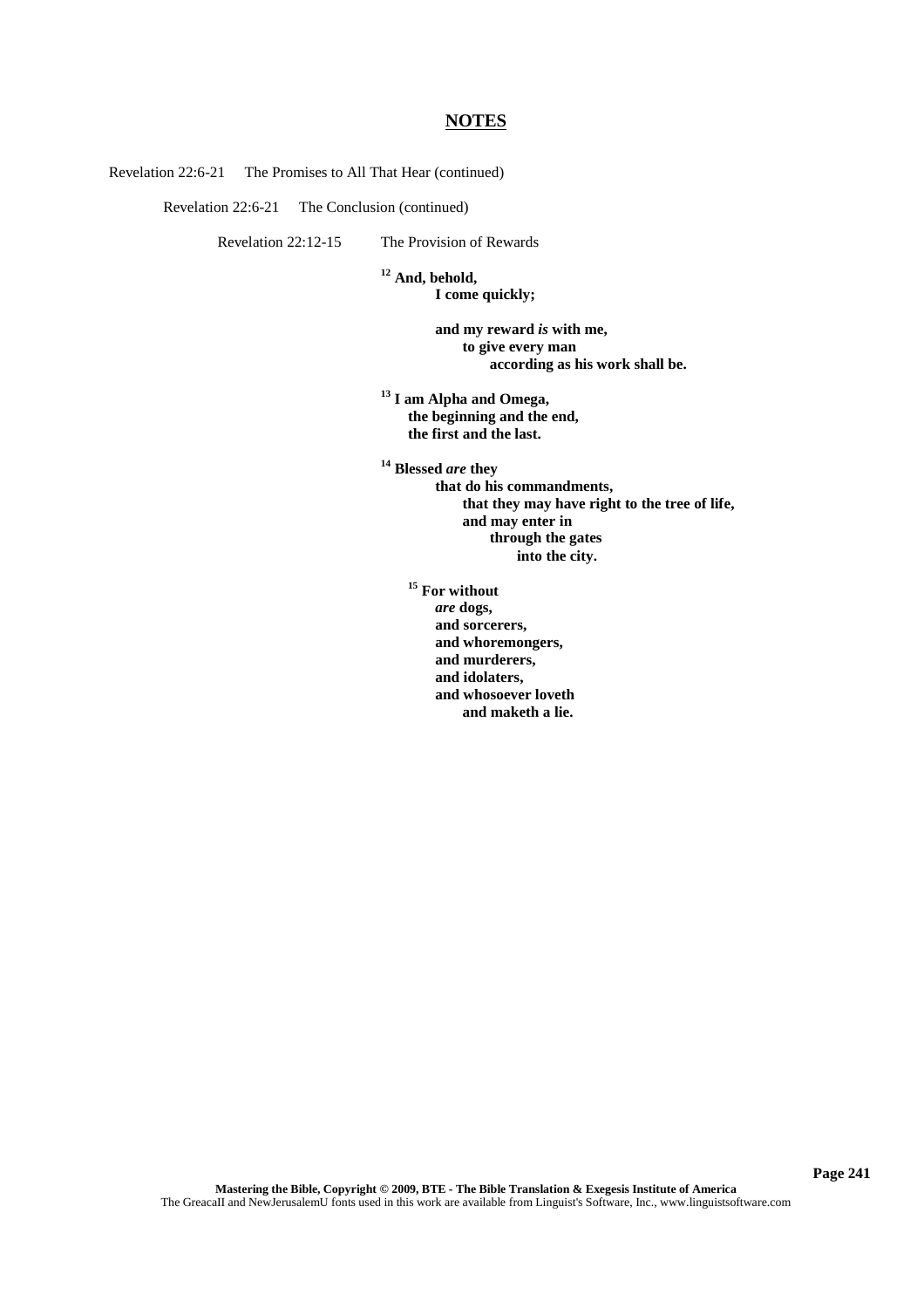Revelation 22:6-21 The Promises to All That Hear (continued)

Revelation 22:6-21 The Conclusion (continued)

Revelation 22:12-15 The Provision of Rewards

**<sup>12</sup> And, behold, I come quickly;**

> **and my reward** *is* **with me, to give every man according as his work shall be.**

**<sup>13</sup> I am Alpha and Omega, the beginning and the end, the first and the last.**

**<sup>14</sup> Blessed** *are* **they**

**that do his commandments, that they may have right to the tree of life, and may enter in through the gates into the city.**

**<sup>15</sup> For without** *are* **dogs, and sorcerers, and whoremongers, and murderers, and idolaters, and whosoever loveth and maketh a lie.**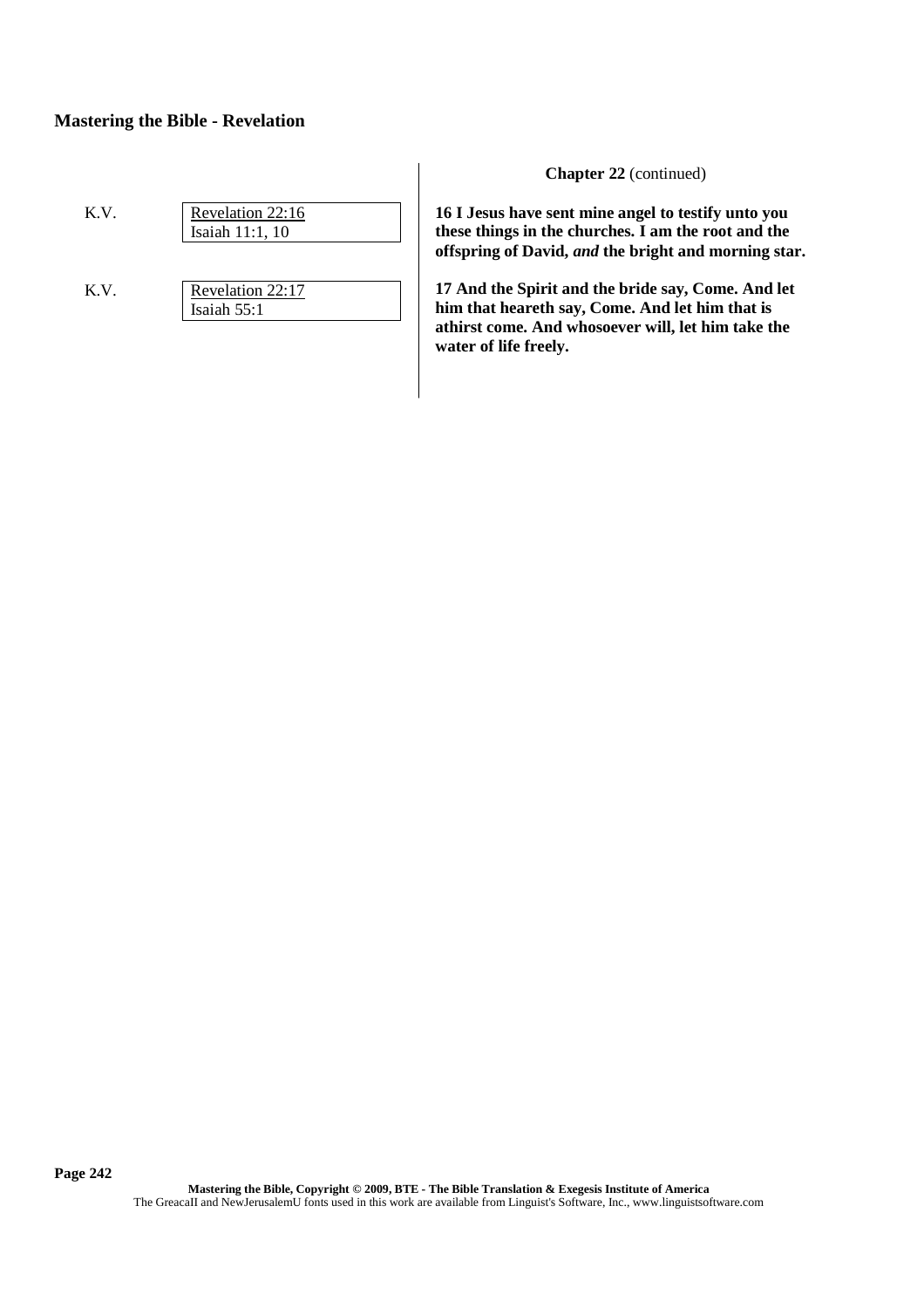| K.V. | Revelation 22:16  |  |
|------|-------------------|--|
|      | Isaiah $11:1, 10$ |  |
|      |                   |  |

K.V. Revelation 22:17 Isaiah 55:1

**Chapter 22** (continued)

**16 I Jesus have sent mine angel to testify unto you these things in the churches. I am the root and the offspring of David,** *and* **the bright and morning star.**

**17 And the Spirit and the bride say, Come. And let him that heareth say, Come. And let him that is athirst come. And whosoever will, let him take the water of life freely.**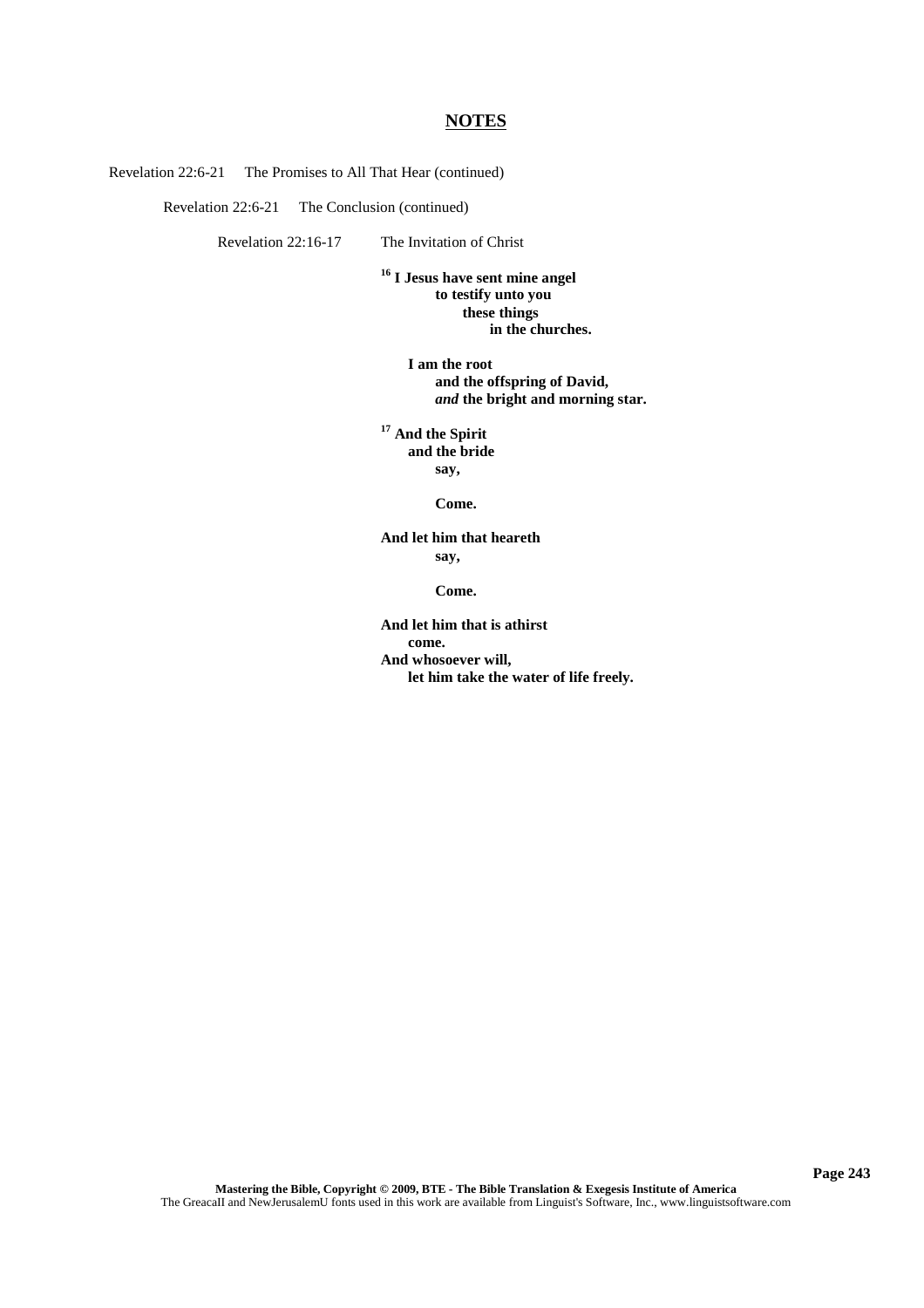Revelation 22:6-21 The Promises to All That Hear (continued)

Revelation 22:6-21 The Conclusion (continued)

Revelation 22:16-17 The Invitation of Christ

**<sup>16</sup> I Jesus have sent mine angel to testify unto you these things in the churches.**

> **I am the root and the offspring of David,** *and* **the bright and morning star.**

**<sup>17</sup> And the Spirit and the bride say,**

**Come.**

**And let him that heareth say,**

**Come.**

**And let him that is athirst come. And whosoever will, let him take the water of life freely.**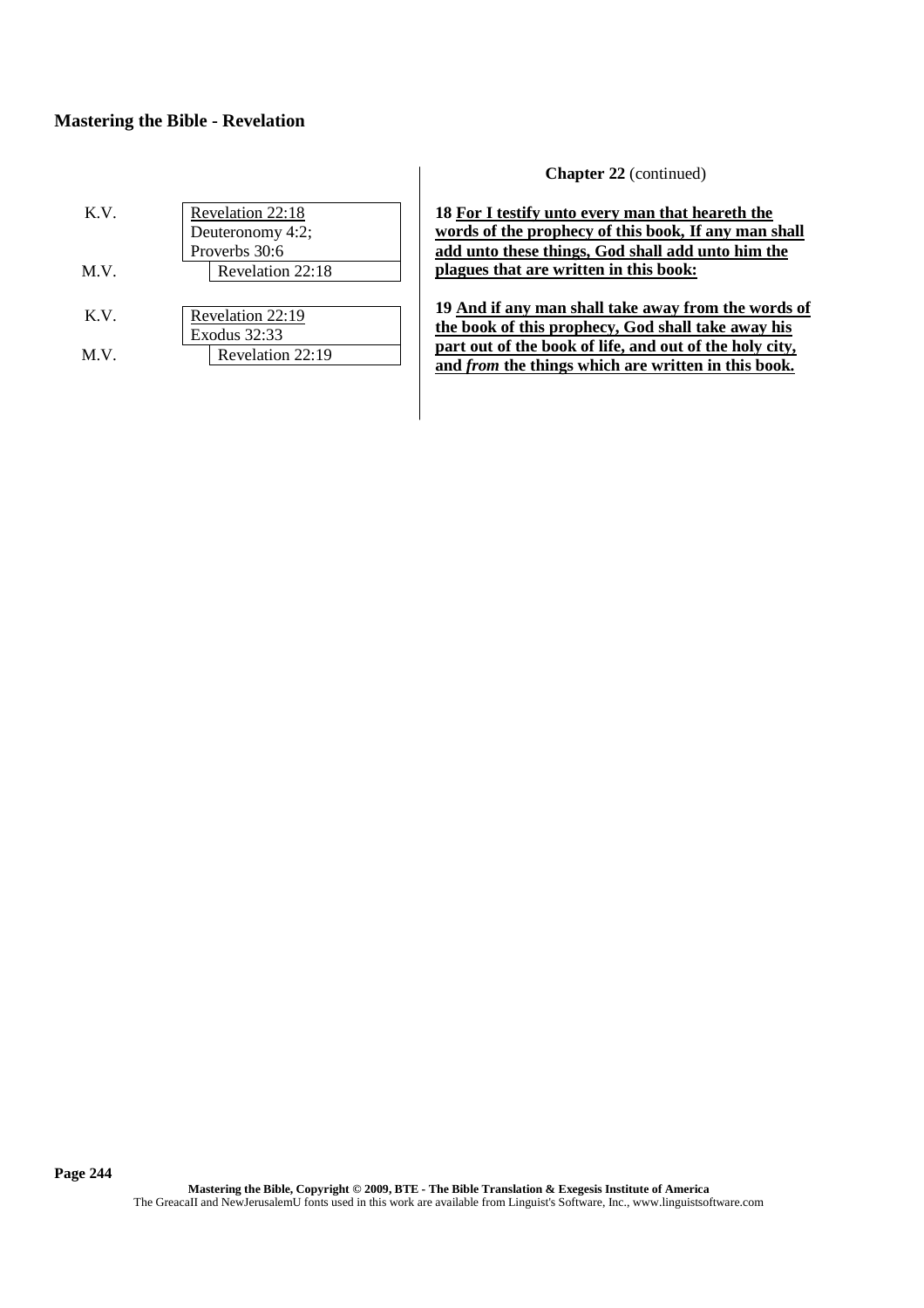| K.V. | Revelation 22:18               |
|------|--------------------------------|
|      | Deuteronomy $4\overline{.}2$ ; |
|      | Proverbs 30:6                  |
| M.V. | Revelation 22:18               |
|      |                                |
| K.V. | Revelation 22:19               |
|      | Exodus 32:33                   |
| M.V. | Revelation 22:19               |
|      |                                |

**Chapter 22** (continued)

**18 For I testify unto every man that heareth the words of the prophecy of this book, If any man shall add unto these things, God shall add unto him the plagues that are written in this book:**

**19 And if any man shall take away from the words of the book of this prophecy, God shall take away his part out of the book of life, and out of the holy city, and** *from* **the things which are written in this book.**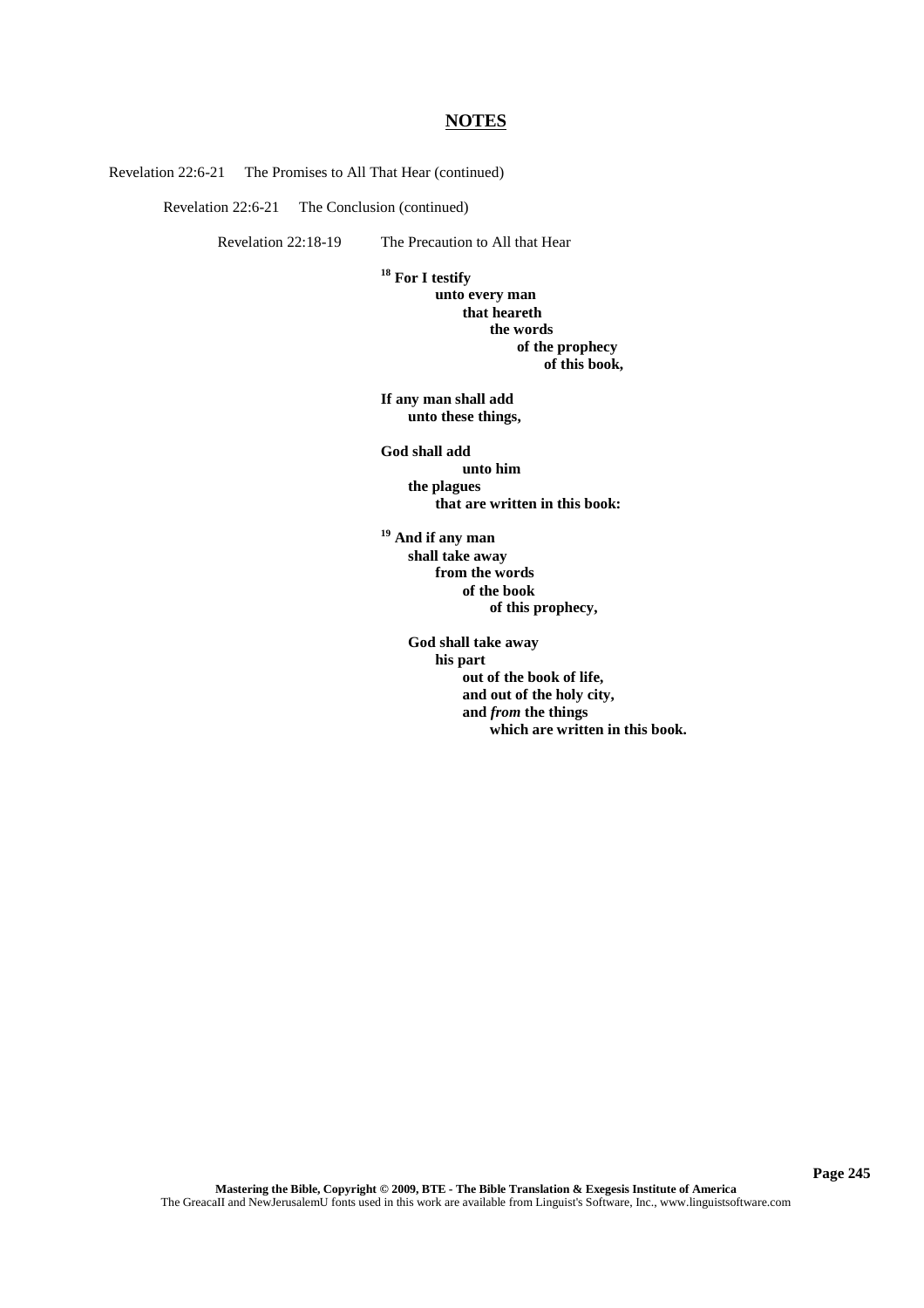## **NOTES**

Revelation 22:6-21 The Promises to All That Hear (continued)

Revelation 22:6-21 The Conclusion (continued)

Revelation 22:18-19 The Precaution to All that Hear

**<sup>18</sup> For I testify unto every man that heareth the words of the prophecy of this book,**

**If any man shall add unto these things,**

**God shall add unto him the plagues that are written in this book:**

**<sup>19</sup> And if any man shall take away from the words of the book of this prophecy,**

> **God shall take away his part out of the book of life, and out of the holy city, and** *from* **the things which are written in this book.**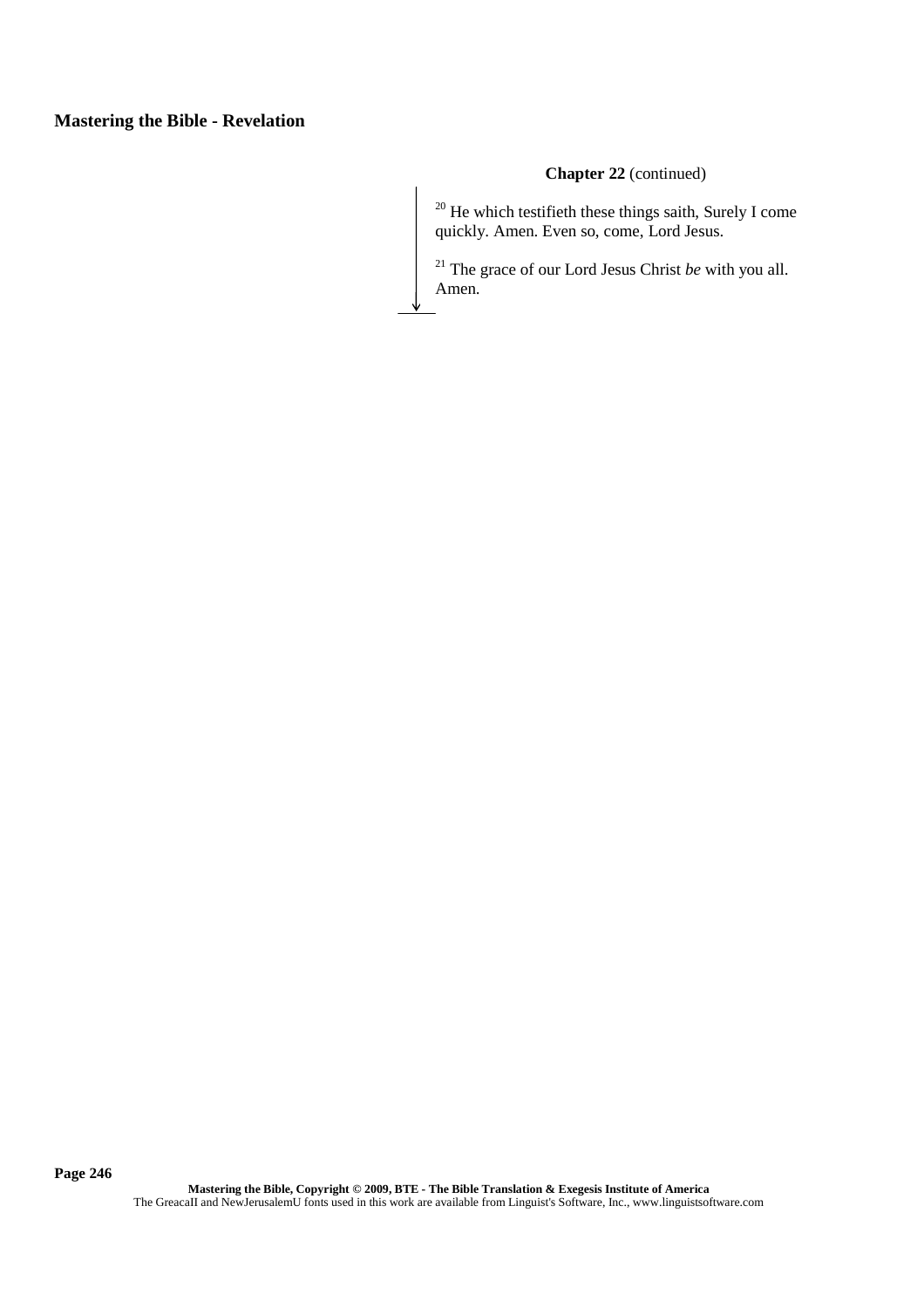## **Mastering the Bible - Revelation**

## **Chapter 22** (continued)

 $20$  He which testifieth these things saith, Surely I come quickly. Amen. Even so, come, Lord Jesus.

<sup>21</sup> The grace of our Lord Jesus Christ *be* with you all. Amen.